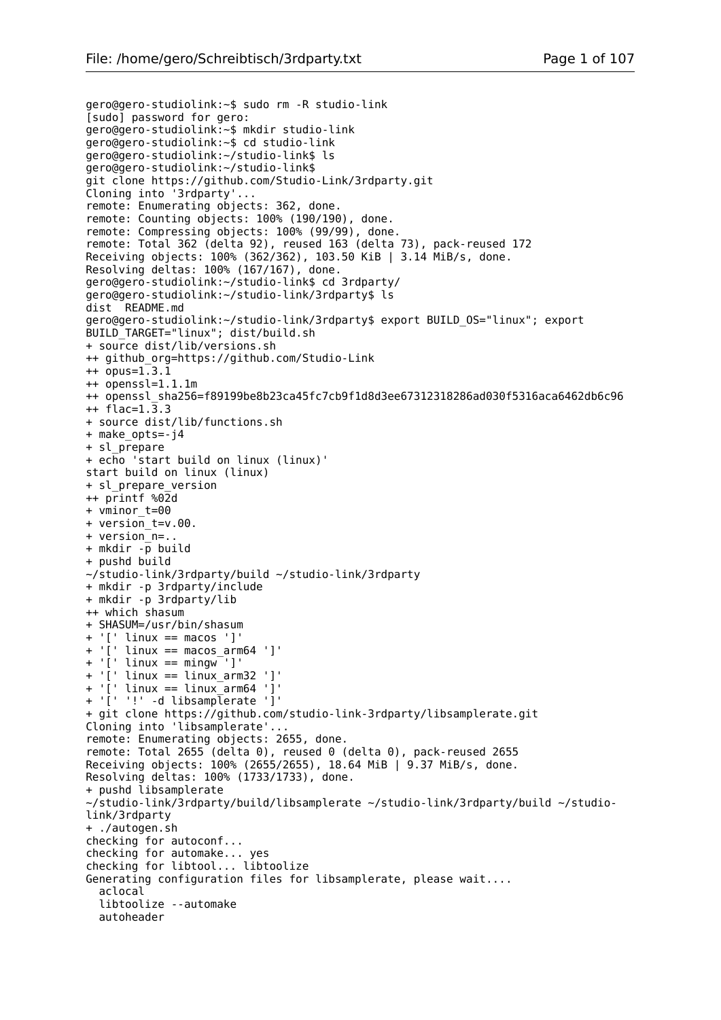```
gero@gero-studiolink:~$ sudo rm -R studio-link
[sudo] password for gero: 
gero@gero-studiolink:~$ mkdir studio-link
gero@gero-studiolink:~$ cd studio-link
gero@gero-studiolink:~/studio-link$ ls
gero@gero-studiolink:~/studio-link$ 
git clone https://github.com/Studio-Link/3rdparty.git
Cloning into '3rdparty'...
remote: Enumerating objects: 362, done.
remote: Counting objects: 100% (190/190), done.
remote: Compressing objects: 100% (99/99), done.
remote: Total 362 (delta 92), reused 163 (delta 73), pack-reused 172
Receiving objects: 100% (362/362), 103.50 KiB | 3.14 MiB/s, done.
Resolving deltas: 100% (167/167), done.
gero@gero-studiolink:~/studio-link$ cd 3rdparty/
gero@gero-studiolink:~/studio-link/3rdparty$ ls
dist README.md
gero@gero-studiolink:~/studio-link/3rdparty$ export BUILD_OS="linux"; export
BUILD_TARGET="linux"; dist/build.sh
+ source dist/lib/versions.sh
++ github_org=https://github.com/Studio-Link
++ opus=1.3.1
++ openssl=1.1.1m
++ openssl_sha256=f89199be8b23ca45fc7cb9f1d8d3ee67312318286ad030f5316aca6462db6c96
++ flac=1.3.3
+ source dist/lib/functions.sh
+ make_opts=-j4
+ sl_prepare
+ echo 'start build on linux (linux)'
start build on linux (linux)
+ sl_prepare_version
++ printf %02d
+ vminor_t=00
+ version_t=v.00.
+ version_n=..
+ mkdir -p build
+ pushd build
~/studio-link/3rdparty/build ~/studio-link/3rdparty
+ mkdir -p 3rdparty/include
+ mkdir -p 3rdparty/lib
++ which shasum
+ SHASUM=/usr/bin/shasum
+ '[' linux == macos ']'
+ '[' linux == macos_arm64 ']'
+ '\lceil ' linux == mingw<sup>-</sup>'l'
+ '[' linux == linux_arm32 ']'
+ '[' linux == linux arm64 ']'
+ '[' '!' -d libsamplerate ']'
+ git clone https://github.com/studio-link-3rdparty/libsamplerate.git
Cloning into 'libsamplerate'...
remote: Enumerating objects: 2655, done.
remote: Total 2655 (delta 0), reused 0 (delta 0), pack-reused 2655
Receiving objects: 100% (2655/2655), 18.64 MiB | 9.37 MiB/s, done.
Resolving deltas: 100% (1733/1733), done.
+ pushd libsamplerate
~/studio-link/3rdparty/build/libsamplerate ~/studio-link/3rdparty/build ~/studio-
link/3rdparty
+ ./autogen.sh
checking for autoconf... 
checking for automake... yes
checking for libtool... libtoolize
Generating configuration files for libsamplerate, please wait....
   aclocal 
   libtoolize --automake
   autoheader
```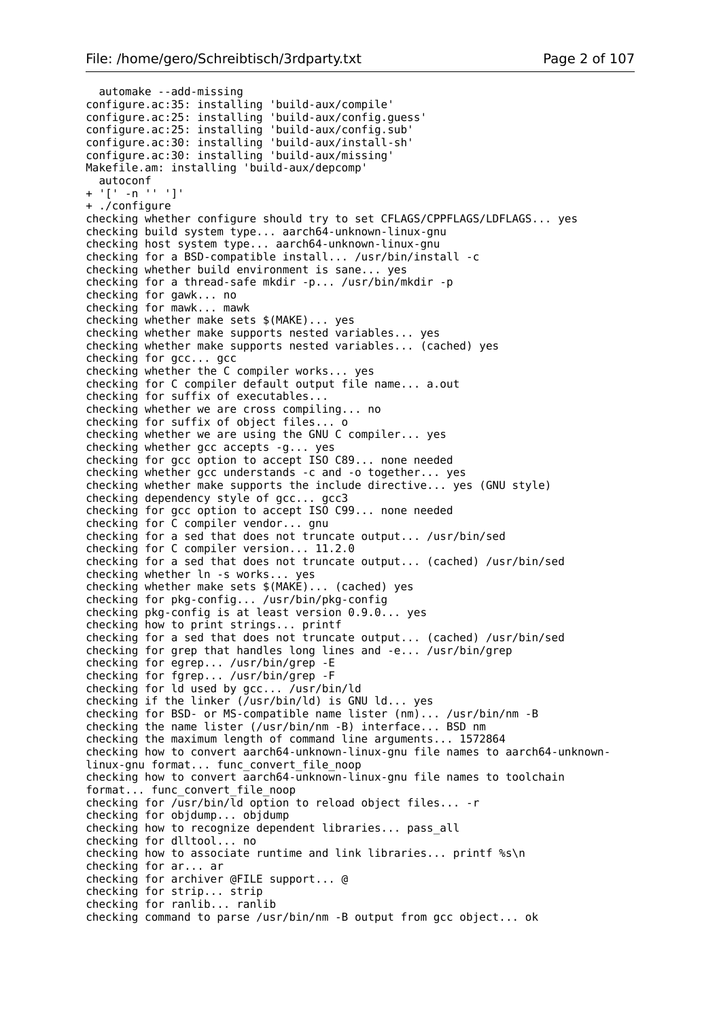```
 automake --add-missing 
configure.ac:35: installing 'build-aux/compile'
configure.ac:25: installing 'build-aux/config.guess'
configure.ac:25: installing 'build-aux/config.sub'
configure.ac:30: installing 'build-aux/install-sh'
configure.ac:30: installing 'build-aux/missing'
Makefile.am: installing 'build-aux/depcomp'
   autoconf
+ \lceil \lceil \lceil -n \lceil \lceil \lceil \lceil \lceil \lceil+ ./configure
checking whether configure should try to set CFLAGS/CPPFLAGS/LDFLAGS... yes
checking build system type... aarch64-unknown-linux-gnu
checking host system type... aarch64-unknown-linux-gnu
checking for a BSD-compatible install... /usr/bin/install -c
checking whether build environment is sane... yes
checking for a thread-safe mkdir -p... /usr/bin/mkdir -p
checking for gawk... no
checking for mawk... mawk
checking whether make sets $(MAKE)... yes
checking whether make supports nested variables... yes
checking whether make supports nested variables... (cached) yes
checking for gcc... gcc
checking whether the C compiler works... yes
checking for C compiler default output file name... a.out
checking for suffix of executables... 
checking whether we are cross compiling... no
checking for suffix of object files... o
checking whether we are using the GNU C compiler... yes
checking whether gcc accepts -g... yes
checking for gcc option to accept ISO C89... none needed
checking whether gcc understands -c and -o together... yes
checking whether make supports the include directive... yes (GNU style)
checking dependency style of gcc... gcc3
checking for gcc option to accept ISO C99... none needed
checking for C compiler vendor... gnu
checking for a sed that does not truncate output... /usr/bin/sed
checking for C compiler version... 11.2.0
checking for a sed that does not truncate output... (cached) /usr/bin/sed
checking whether ln -s works... yes
checking whether make sets $(MAKE)... (cached) yes
checking for pkg-config... /usr/bin/pkg-config
checking pkg-config is at least version 0.9.0... yes
checking how to print strings... printf
checking for a sed that does not truncate output... (cached) /usr/bin/sed
checking for grep that handles long lines and -e... /usr/bin/grep
checking for egrep... /usr/bin/grep -E
checking for fgrep... /usr/bin/grep -F
checking for ld used by gcc... /usr/bin/ld
checking if the linker (/usr/bin/ld) is GNU ld... yes
checking for BSD- or MS-compatible name lister (nm)... /usr/bin/nm -B
checking the name lister (/usr/bin/nm -B) interface... BSD nm
checking the maximum length of command line arguments... 1572864
checking how to convert aarch64-unknown-linux-gnu file names to aarch64-unknown-
linux-gnu format... func_convert_file_noop
checking how to convert aarch64-unknown-linux-gnu file names to toolchain
format... func_convert_file_noop
checking for \sqrt{u}sr/bin/ld option to reload object files... - r
checking for objdump... objdump
checking how to recognize dependent libraries... pass_all
checking for dlltool... no
checking how to associate runtime and link libraries... printf %s\n
checking for ar... ar
checking for archiver @FILE support... @
checking for strip... strip
checking for ranlib... ranlib
checking command to parse /usr/bin/nm -B output from gcc object... ok
```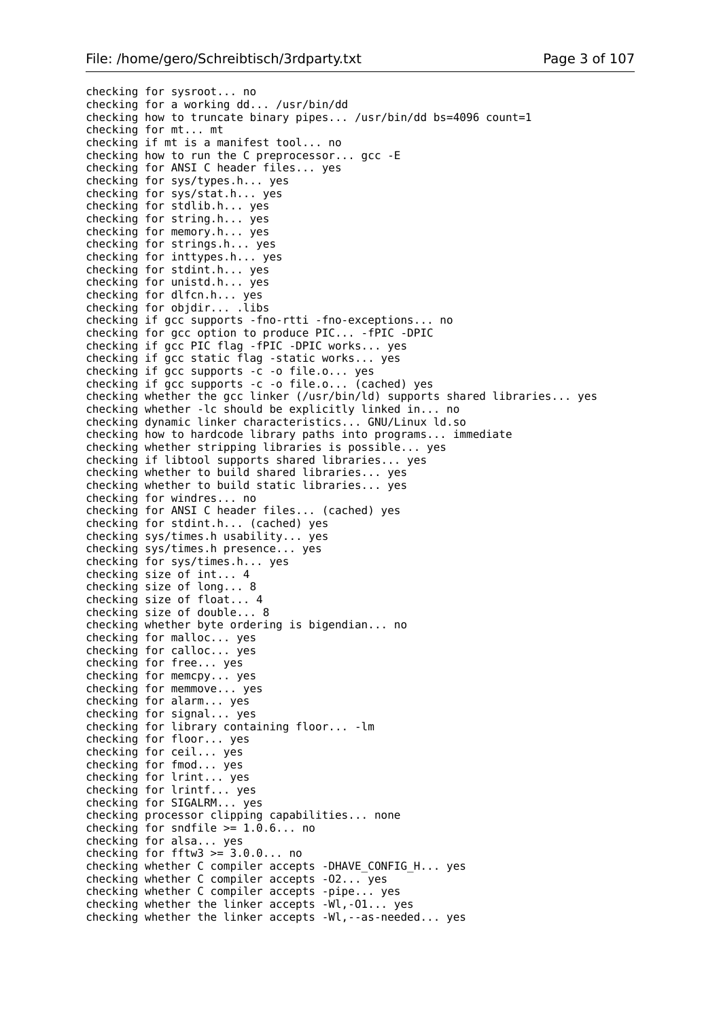```
checking for sysroot... no
checking for a working dd... /usr/bin/dd
checking how to truncate binary pipes... /usr/bin/dd bs=4096 count=1
checking for mt... mt
checking if mt is a manifest tool... no
checking how to run the C preprocessor... gcc -E
checking for ANSI C header files... yes
checking for sys/types.h... yes
checking for sys/stat.h... yes
checking for stdlib.h... yes
checking for string.h... yes
checking for memory.h... yes
checking for strings.h... yes
checking for inttypes.h... yes
checking for stdint.h... yes
checking for unistd.h... yes
checking for dlfcn.h... yes
checking for objdir... .libs
checking if gcc supports -fno-rtti -fno-exceptions... no
checking for gcc option to produce PIC... -fPIC -DPIC
checking if gcc PIC flag -fPIC -DPIC works... yes
checking if gcc static flag -static works... yes
checking if gcc supports -c -o file.o... yes
checking if gcc supports -c -o file.o... (cached) yes
checking whether the gcc linker (/usr/bin/ld) supports shared libraries... yes
checking whether -lc should be explicitly linked in... no
checking dynamic linker characteristics... GNU/Linux ld.so
checking how to hardcode library paths into programs... immediate
checking whether stripping libraries is possible... yes
checking if libtool supports shared libraries... yes
checking whether to build shared libraries... yes
checking whether to build static libraries... yes
checking for windres... no
checking for ANSI C header files... (cached) yes
checking for stdint.h... (cached) yes
checking sys/times.h usability... yes
checking sys/times.h presence... yes
checking for sys/times.h... yes
checking size of int... 4
checking size of long... 8
checking size of float... 4
checking size of double... 8
checking whether byte ordering is bigendian... no
checking for malloc... yes
checking for calloc... yes
checking for free... yes
checking for memcpy... yes
checking for memmove... yes
checking for alarm... yes
checking for signal... yes
checking for library containing floor... -lm
checking for floor... yes
checking for ceil... yes
checking for fmod... yes
checking for lrint... yes
checking for lrintf... yes
checking for SIGALRM... yes
checking processor clipping capabilities... none
checking for sndfile >= 1.0.6... no
checking for alsa... yes
checking for fftw3 > = 3.0.0... no
checking whether C compiler accepts -DHAVE_CONFIG_H... yes
checking whether C compiler accepts -O2... yes
checking whether C compiler accepts -pipe... yes
checking whether the linker accepts -Wl,-O1... yes
checking whether the linker accepts -Wl,--as-needed... yes
```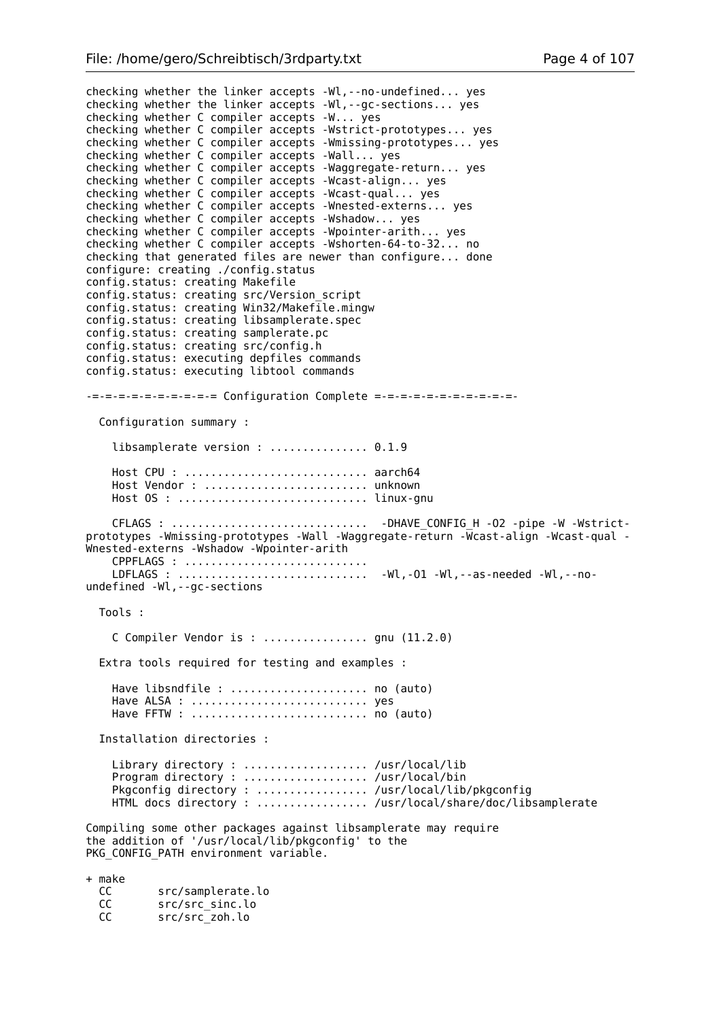checking whether the linker accepts -Wl,--no-undefined... yes checking whether the linker accepts -Wl,--gc-sections... yes checking whether C compiler accepts -W... yes checking whether C compiler accepts -Wstrict-prototypes... yes checking whether C compiler accepts -Wmissing-prototypes... yes checking whether C compiler accepts -Wall... yes checking whether C compiler accepts -Waggregate-return... yes checking whether C compiler accepts -Wcast-align... yes checking whether C compiler accepts -Wcast-qual... yes checking whether C compiler accepts -Wnested-externs... yes checking whether C compiler accepts -Wshadow... yes checking whether C compiler accepts -Wpointer-arith... yes checking whether C compiler accepts -Wshorten-64-to-32... no checking that generated files are newer than configure... done configure: creating ./config.status config.status: creating Makefile config.status: creating src/Version\_script config.status: creating Win32/Makefile.mingw config.status: creating libsamplerate.spec config.status: creating samplerate.pc config.status: creating src/config.h config.status: executing depfiles commands config.status: executing libtool commands -=-=-=-=-=-=-=-=-=-= Configuration Complete =-=-=-=-=-=-=-=-=-=-=- Configuration summary : libsamplerate version : ................ 0.1.9 Host CPU : ............................ aarch64 Host Vendor : ......................... unknown Host OS : ............................. linux-gnu CFLAGS : .............................. -DHAVE\_CONFIG\_H -O2 -pipe -W -Wstrictprototypes -Wmissing-prototypes -Wall -Waggregate-return -Wcast-align -Wcast-qual - Wnested-externs -Wshadow -Wpointer-arith CPPFLAGS : ............................ LDFLAGS : ............................. -Wl,-O1 -Wl,--as-needed -Wl,--noundefined -Wl,--gc-sections Tools : C Compiler Vendor is : ................ gnu (11.2.0) Extra tools required for testing and examples : Have libsndfile : ...................... no (auto) Have ALSA : ............................... yes Have FFTW : .............................. no (auto) Installation directories : Library directory : ...................... /usr/local/lib Program directory : ...................... /usr/local/bin Pkgconfig directory : .................... /usr/local/lib/pkgconfig HTML docs directory : ................. /usr/local/share/doc/libsamplerate Compiling some other packages against libsamplerate may require the addition of '/usr/local/lib/pkgconfig' to the PKG CONFIG PATH environment variable. + make src/samplerate.lo CC src/src\_sinc.lo<br>CC src/src\_zoh.lo src/src zoh.lo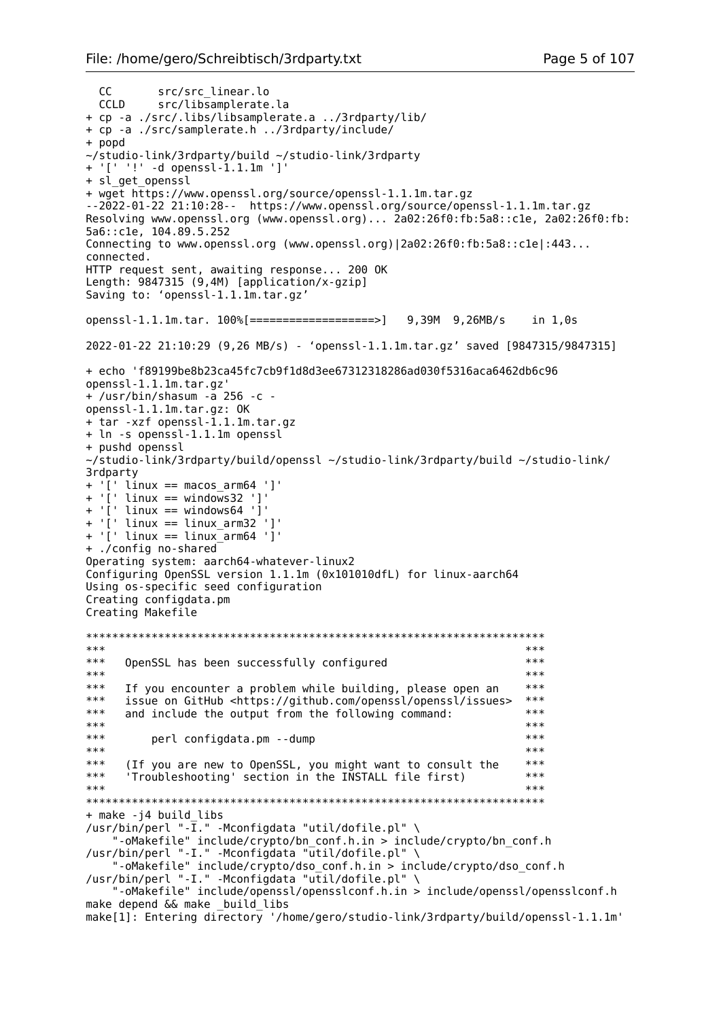```
 CC src/src_linear.lo
 CCLD src/libsamplerate.la
+ cp -a ./src/.libs/libsamplerate.a ../3rdparty/lib/
+ cp -a ./src/samplerate.h ../3rdparty/include/
+ popd
~/studio-link/3rdparty/build ~/studio-link/3rdparty
+ '[' '!' -d openssl-1.1.1m ']'
+ sl get openssl
+ wget https://www.openssl.org/source/openssl-1.1.1m.tar.gz
--2022-01-22 21:10:28-- https://www.openssl.org/source/openssl-1.1.1m.tar.gz
Resolving www.openssl.org (www.openssl.org)... 2a02:26f0:fb:5a8::c1e, 2a02:26f0:fb:
5a6::c1e, 104.89.5.252
Connecting to www.openssl.org (www.openssl.org)|2a02:26f0:fb:5a8::c1e|:443...
connected.
HTTP request sent, awaiting response... 200 OK
Length: 9847315 (9,4M) [application/x-gzip]
Saving to: 'openssl-1.1.1m.tar.gz'
openssl-1.1.1m.tar. 100%[===================>] 9,39M 9,26MB/s in 1,0s 
2022-01-22 21:10:29 (9,26 MB/s) - 'openssl-1.1.1m.tar.gz' saved [9847315/9847315]
+ echo 'f89199be8b23ca45fc7cb9f1d8d3ee67312318286ad030f5316aca6462db6c96 
openssl-1.1.1m.tar.gz'
+ /usr/bin/shasum -a 256 -c -
openssl-1.1.1m.tar.gz: OK
+ tar -xzf openssl-1.1.1m.tar.gz
+ ln -s openssl-1.1.1m openssl
+ pushd openssl
~/studio-link/3rdparty/build/openssl ~/studio-link/3rdparty/build ~/studio-link/
3rdparty
+ '[' linux == macos_arm64 ']'
+ '[' linux == windows32 ']'
+ '[' linux == windows64 ']'
+ '[' linux == linux_arm32 ']'
+ '[' linux == linux_arm64 ']'
+ ./config no-shared
Operating system: aarch64-whatever-linux2
Configuring OpenSSL version 1.1.1m (0x101010dfL) for linux-aarch64
Using os-specific seed configuration
Creating configdata.pm
Creating Makefile
**********************************************************************
*** *** **** OpenSSL has been successfully configured *** *** *** ***
*** *** **** If you encounter a problem while building, please open an ***<br>*** issue on GitHub chttps://github.com/openssl/openssl/issues ***
*** issue on GitHub <https://github.com/openssl/openssl/issues> ***<br>*** and include the output from the following command: ***
*** and include the output from the following command: ***<br>***
*** ****** perl configdata.pm --dump *** *** *** *** ***
*** ****** (If you are new to OpenSSL, you might want to consult the ***<br>*** 'Trouhlero section in the INSTALL file first) ***
*** 'Troubleshooting' section in the INSTALL file first) ***
*** *************************************************************************
+ make -j4 build_libs
/usr/bin/perl "-\overline{I}." -Mconfigdata "util/dofile.pl" \
     "-oMakefile" include/crypto/bn_conf.h.in > include/crypto/bn_conf.h
/usr/bin/perl "-I." -Mconfigdata "util/dofile.pl" \
     "-oMakefile" include/crypto/dso_conf.h.in > include/crypto/dso_conf.h
/usr/bin/perl "-I." -Mconfigdata "util/dofile.pl" \
     "-oMakefile" include/openssl/opensslconf.h.in > include/openssl/opensslconf.h
make depend && make _build_libs
make[1]: Entering directory '/home/gero/studio-link/3rdparty/build/openssl-1.1.1m'
```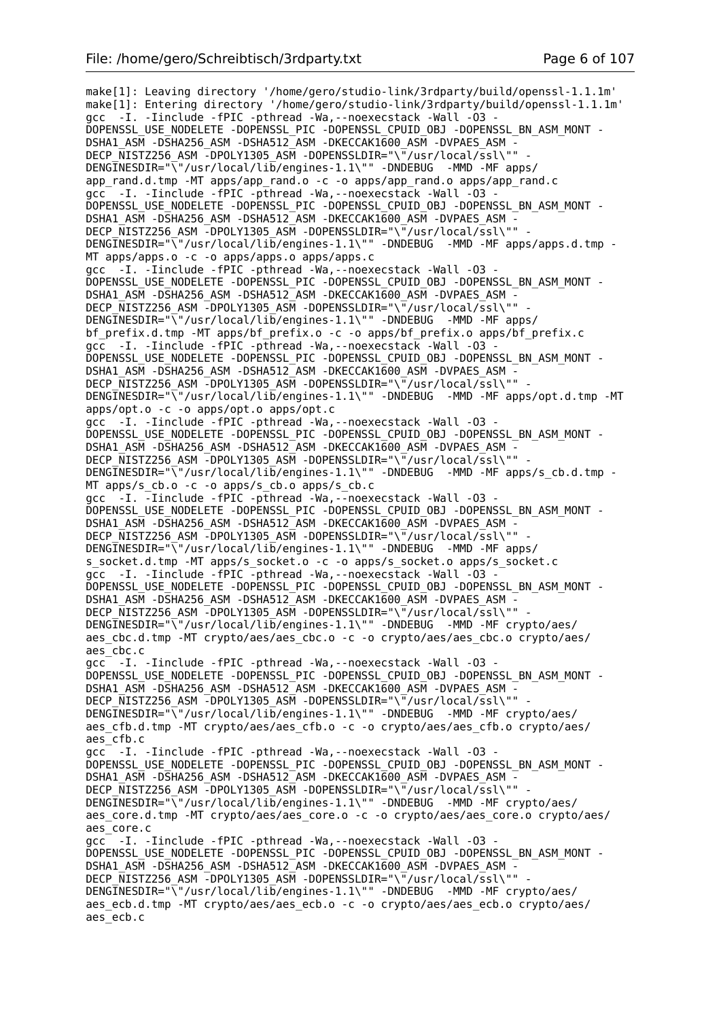make[1]: Leaving directory '/home/gero/studio-link/3rdparty/build/openssl-1.1.1m' make[1]: Entering directory '/home/gero/studio-link/3rdparty/build/openssl-1.1.1m' gcc -I. -Iinclude -fPIC -pthread -Wa, --noexecstack -Wall -03 DOPENSSL\_USE\_NODELETE -DOPENSSL\_PIC -DOPENSSL\_CPUID\_OBJ -DOPENSSL\_BN\_ASM\_MONT - DSHA1\_ASM -DSHA256\_ASM -DSHA512\_ASM -DKECCAK1600\_ASM -DVPAES\_ASM - DECP\_NISTZ256\_ASM -DPOLY1305\_ASM -DOPENSSLDIR="\"/usr/local/ssl\"" -DENGINESDIR="\"/usr/local/lib/engines-1.1\"" -DNDEBUG -MMD -MF apps/ app\_rand.d.tmp -MT apps/app\_rand.o -c -o apps/app\_rand.o apps/app\_rand.c gcc -I. -Iinclude -fPIC -pthread -Wa,--noexecstack -Wall -O3 - DOPENSSL\_USE\_NODELETE -DOPENSSL\_PIC -DOPENSSL\_CPUID\_OBJ -DOPENSSL\_BN\_ASM\_MONT - DSHA1\_ASM -DSHA256\_ASM -DSHA512\_ASM -DKECCAK1600\_ASM -DVPAES\_ASM -DECP\_NISTZ256\_ASM -DPOLY1305\_ASM -DOPENSSLDIR="\"/usr/local/ssl\"" DENGINESDIR="\"/usr/local/lib/engines-1.1\"" -DNDEBUG -MMD -MF apps/apps.d.tmp -MT apps/apps.o -c -o apps/apps.o apps/apps.c gcc -I. -Iinclude -fPIC -pthread -Wa,--noexecstack -Wall -O3 - DOPENSSL\_USE\_NODELETE -DOPENSSL\_PIC -DOPENSSL\_CPUID\_OBJ -DOPENSSL\_BN\_ASM\_MONT -DSHA1\_ASM -DSHA256\_ASM -DSHA512\_ASM -DKECCAK1600\_ASM -DVPAES\_ASM -DECP NISTZ256 ASM -DPOLY1305 ASM -DOPENSSLDIR="\"/usr/local/ssl\"" DENGINESDIR="\"/usr/local/lib/engines-1.1\"" -DNDEBUG -MMD -MF apps/ bf\_prefix.d.tmp -MT apps/bf\_prefix.o -c -o apps/bf\_prefix.o apps/bf\_prefix.c gcc -I. -Iinclude -fPIC -pthread -Wa,--noexecstack -Wall -O3 - DOPENSSL\_USE\_NODELETE -DOPENSSL\_PIC -DOPENSSL\_CPUID\_OBJ -DOPENSSL\_BN\_ASM\_MONT -DSHA1\_ASM -DSHA256\_ASM -DSHA512\_ASM -DKECCAK1600\_ASM -DVPAES\_ASM -DECP\_NISTZ256\_ASM -DPOLY1305\_ASM -DOPENSSLDIR="\"/usr/local/ssl\"" DENGINESDIR="\"/usr/local/lib/engines-1.1\"" -DNDEBUG -MMD -MF apps/opt.d.tmp -MT apps/opt.o -c -o apps/opt.o apps/opt.c gcc -I. -Iinclude -fPIC -pthread -Wa,--noexecstack -Wall -O3 - DOPENSSL\_USE\_NODELETE -DOPENSSL\_PIC -DOPENSSL\_CPUID\_OBJ -DOPENSSL\_BN\_ASM\_MONT - DSHA1\_ASM -DSHA256\_ASM -DSHA512\_ASM -DKECCAK1600\_ASM -DVPAES\_ASM - DECP\_NISTZ256\_ASM -DPOLY1305\_ASM -DOPENSSLDIR="\"/usr/local/ssl\"" DENGINESDIR=" $\sqrt{\ }$ "/usr/local/lib/engines-1.1 $\sqrt{\ }$ " -DNDEBUG -MMD -MF apps/s cb.d.tmp -MT apps/s\_cb.o -c -o apps/s\_cb.o apps/s\_cb.c gcc -I. -Iinclude -fPIC -pthread -Wa,--noexecstack -Wall -O3 - DOPENSSL\_USE\_NODELETE -DOPENSSL\_PIC -DOPENSSL\_CPUID\_OBJ -DOPENSSL\_BN\_ASM\_MONT - DSHA1\_ASM -DSHA256\_ASM -DSHA512\_ASM -DKECCAK1600\_ASM -DVPAES\_ASM - DECP\_NISTZ256\_ASM -DPOLY1305\_ASM -DOPENSSLDIR="\"/usr/local/ssl\"" DENGINESDIR="\"/usr/local/lib/engines-1.1\"" -DNDEBUG -MMD -MF apps/ s\_socket.d.tmp -MT apps/s\_socket.o -c -o apps/s\_socket.o apps/s\_socket.c gcc -I. -Iinclude -fPIC -pthread -Wa,--noexecstack -Wall -O3 - DOPENSSL\_USE\_NODELETE -DOPENSSL\_PIC -DOPENSSL\_CPUID\_OBJ -DOPENSSL\_BN\_ASM\_MONT -DSHA1\_ASM -DSHA256\_ASM -DSHA512\_ASM -DKECCAK1600\_ASM -DVPAES\_ASM -DECP NISTZ256 ASM -DPOLY1305 ASM -DOPENSSLDIR="\"/usr/local/ssl\"" DENGINESDIR="\"/usr/local/lib/engines-1.1\"" -DNDEBUG -MMD -MF crypto/aes/ aes cbc.d.tmp -MT crypto/aes/aes cbc.o -c -o crypto/aes/aes cbc.o crypto/aes/ aes\_cbc.c gcc -I. -Iinclude -fPIC -pthread -Wa,--noexecstack -Wall -O3 - DOPENSSL\_USE\_NODELETE -DOPENSSL\_PIC -DOPENSSL\_CPUID\_OBJ -DOPENSSL\_BN\_ASM\_MONT - DSHA1\_ASM -DSHA256\_ASM -DSHA512\_ASM -DKECCAK1600\_ASM -DVPAES\_ASM -DECP NISTZ256 ASM -DPOLY1305 ASM -DOPENSSLDIR="\"/usr/local/ssl\"" DENGINESDIR="\"/usr/local/lib/engines-1.1\"" -DNDEBUG -MMD -MF crypto/aes/ aes cfb.d.tmp -MT crypto/aes/aes cfb.o -c -o crypto/aes/aes cfb.o crypto/aes/ aes\_cfb.c gcc -I. -Iinclude -fPIC -pthread -Wa,--noexecstack -Wall -O3 - DOPENSSL\_USE\_NODELETE -DOPENSSL\_PIC -DOPENSSL\_CPUID\_OBJ -DOPENSSL\_BN\_ASM\_MONT -DSHA1\_ASM -DSHA256\_ASM -DSHA512\_ASM -DKECCAK1600 ASM -DVPAES ASM -DECP\_NISTZ256\_ASM -DPOLY1305\_ASM -DOPENSSLDIR="\"/usr/local/ssl\"" DENGINESDIR="\"/usr/local/lib/engines-1.1\"" -DNDEBUG -MMD -MF crypto/aes/ aes core.d.tmp -MT crypto/aes/aes core.o -c -o crypto/aes/aes core.o crypto/aes/ aes\_core.c gcc<sup>-</sup> -I. -Iinclude -fPIC -pthread -Wa, --noexecstack -Wall -03 -DOPENSSL\_USE\_NODELETE -DOPENSSL\_PIC -DOPENSSL\_CPUID\_OBJ -DOPENSSL\_BN\_ASM\_MONT -DSHA1\_ASM -DSHA256\_ASM -DSHA512\_ASM -DKECCAK1600\_ASM -DVPAES\_ASM -DECP NISTZ256 ASM -DPOLY1305 ASM -DOPENSSLDIR="\"/usr/local/ssl\"" DENGINESDIR="\"/usr/local/lib/engines-1.1\"" -DNDEBUG -MMD -MF crypto/aes/ aes ecb.d.tmp -MT crypto/aes/aes ecb.o -c -o crypto/aes/aes ecb.o crypto/aes/ aes\_ecb.c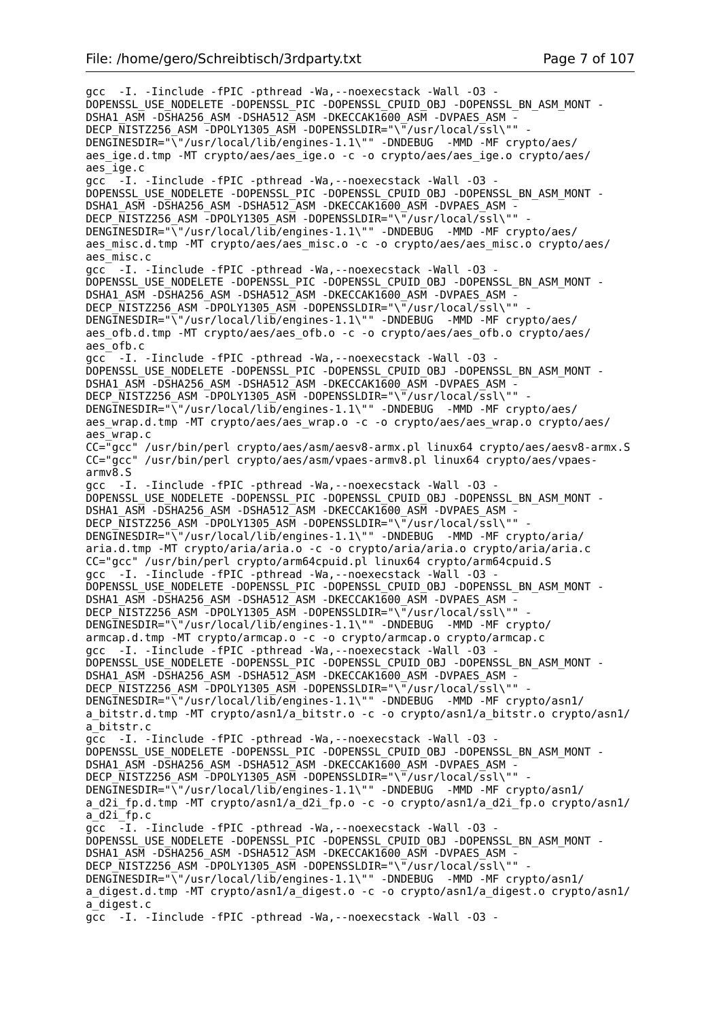gcc -I. -Iinclude -fPIC -pthread -Wa,--noexecstack -Wall -O3 - DOPENSSL\_USE\_NODELETE -DOPENSSL\_PIC -DOPENSSL\_CPUID\_OBJ -DOPENSSL\_BN\_ASM\_MONT - DSHA1\_ASM -DSHA256\_ASM -DSHA512\_ASM -DKECCAK1600\_ASM -DVPAES\_ASM -DECP NISTZ256 ASM -DPOLY1305 ASM -DOPENSSLDIR="\"/usr/local/ssl\"" DENGINESDIR="\"/usr/local/lib/engines-1.1\"" -DNDEBUG -MMD -MF crypto/aes/ aes\_ige.d.tmp -MT crypto/aes/aes\_ige.o -c -o crypto/aes/aes\_ige.o crypto/aes/ aes\_ige.c gcc -I. -Iinclude -fPIC -pthread -Wa,--noexecstack -Wall -O3 - DOPENSSL\_USE\_NODELETE -DOPENSSL\_PIC -DOPENSSL\_CPUID\_OBJ -DOPENSSL\_BN\_ASM\_MONT - DSHA1\_ASM -DSHA256\_ASM -DSHA512\_ASM -DKECCAK1600 ASM -DVPAES ASM -DECP NISTZ256 ASM -DPOLY1305 ASM -DOPENSSLDIR="\"/usr/local/ssl\"" DENGINESDIR="\"/usr/local/lib/engines-1.1\"" -DNDEBUG -MMD -MF crypto/aes/ aes misc.d.tmp -MT crypto/aes/aes misc.o -c -o crypto/aes/aes misc.o crypto/aes/ aes\_misc.c gcc -I. -Iinclude -fPIC -pthread -Wa,--noexecstack -Wall -O3 - DOPENSSL\_USE\_NODELETE -DOPENSSL\_PIC -DOPENSSL\_CPUID\_OBJ -DOPENSSL\_BN\_ASM\_MONT -DSHA1\_ASM -DSHA256\_ASM -DSHA512\_ASM -DKECCAK1600\_ASM -DVPAES\_ASM -DECP NISTZ256 ASM -DPOLY1305 ASM -DOPENSSLDIR="\"/usr/local/ssl\"" DENGINESDIR="\"/usr/local/lib/engines-1.1\"" -DNDEBUG -MMD -MF crypto/aes/ aes ofb.d.tmp -MT crypto/aes/aes ofb.o -c -o crypto/aes/aes ofb.o crypto/aes/ aes\_ofb.c gcc<sup>-</sup> -I. -Iinclude -fPIC -pthread -Wa, --noexecstack -Wall -03 -DOPENSSL\_USE\_NODELETE -DOPENSSL\_PIC -DOPENSSL\_CPUID\_OBJ -DOPENSSL\_BN\_ASM\_MONT - DSHA1\_ASM -DSHA256\_ASM -DSHA512\_ASM -DKECCAK1600\_ASM -DVPAES\_ASM -DECP\_NISTZ256\_ASM -DPOLY1305\_ASM -DOPENSSLDIR="\"/usr/local/ssl\"" -DENGINESDIR="\"/usr/local/lib/engines-1.1\"" -DNDEBUG -MMD -MF crypto/aes/ aes wrap.d.tmp -MT crypto/aes/aes wrap.o -c -o crypto/aes/aes wrap.o crypto/aes/ aes\_wrap.c CC="gcc" /usr/bin/perl crypto/aes/asm/aesv8-armx.pl linux64 crypto/aes/aesv8-armx.S CC="gcc" /usr/bin/perl crypto/aes/asm/vpaes-armv8.pl linux64 crypto/aes/vpaesarmv8.S gcc -I. -Iinclude -fPIC -pthread -Wa,--noexecstack -Wall -O3 - DOPENSSL\_USE\_NODELETE -DOPENSSL\_PIC -DOPENSSL\_CPUID\_OBJ -DOPENSSL\_BN\_ASM\_MONT - DSHA1\_ASM -DSHA256\_ASM -DSHA512\_ASM -DKECCAK1600\_ASM -DVPAES\_ASM -DECP\_NISTZ256\_ASM -DPOLY1305\_ASM -DOPENSSLDIR="\"/usr/local/ssl\"" DENGINESDIR="\"/usr/local/lib/engines-1.1\"" -DNDEBUG -MMD -MF crypto/aria/ aria.d.tmp -MT crypto/aria/aria.o -c -o crypto/aria/aria.o crypto/aria/aria.c CC="gcc" /usr/bin/perl crypto/arm64cpuid.pl linux64 crypto/arm64cpuid.S gcc -I. -Iinclude -fPIC -pthread -Wa,--noexecstack -Wall -O3 - DOPENSSL\_USE\_NODELETE -DOPENSSL\_PIC -DOPENSSL\_CPUID\_OBJ -DOPENSSL\_BN\_ASM\_MONT - DSHA1\_ASM -DSHA256\_ASM -DSHA512\_ASM -DKECCAK1600\_ASM -DVPAES\_ASM -DECP NISTZ256 ASM -DPOLY1305 ASM -DOPENSSLDIR="\"/usr/local/ssl\"" DENGINESDIR="\"/usr/local/lib/engines-1.1\"" -DNDEBUG -MMD -MF crypto/ armcap.d.tmp -MT crypto/armcap.o -c -o crypto/armcap.o crypto/armcap.c gcc -I. -Iinclude -fPIC -pthread -Wa,--noexecstack -Wall -O3 - DOPENSSL\_USE\_NODELETE -DOPENSSL\_PIC -DOPENSSL\_CPUID\_OBJ -DOPENSSL\_BN\_ASM\_MONT -DSHA1\_ASM -DSHA256\_ASM -DSHA512\_ASM -DKECCAK1600\_ASM -DVPAES\_ASM -DECP NISTZ256 ASM -DPOLY1305 ASM -DOPENSSLDIR="\"/usr/local/ssl\"" DENGINESDIR="\"/usr/local/lib/engines-1.1\"" -DNDEBUG -MMD -MF crypto/asn1/ a bitstr.d.tmp -MT crypto/asn1/a bitstr.o -c -o crypto/asn1/a bitstr.o crypto/asn1/ a\_bitstr.c gcc -I. -Iinclude -fPIC -pthread -Wa,--noexecstack -Wall -O3 - DOPENSSL\_USE\_NODELETE -DOPENSSL\_PIC -DOPENSSL\_CPUID\_OBJ -DOPENSSL\_BN\_ASM\_MONT - DSHA1\_ASM -DSHA256\_ASM -DSHA512\_ASM -DKECCAK1600\_ASM -DVPAES\_ASM -DECP  $\overline{\text{N}}$ ISTZ256 ASM -DPOLY1305 ASM -DOPENSSLDIR="\"/usr/local/ssl\"" DENGINESDIR="\"/usr/local/lib/engines-1.1\"" -DNDEBUG -MMD -MF crypto/asn1/ a d2i fp.d.tmp -MT crypto/asn1/a\_d2i fp.o -c -o crypto/asn1/a d2i fp.o crypto/asn1/  $a$ <sup> $d$ 2i $f$ p.c</sup>  $\overline{gc}$   $\overline{-1}$ . -Iinclude -fPIC -pthread -Wa, --noexecstack -Wall -03 -DOPENSSL\_USE\_NODELETE -DOPENSSL\_PIC -DOPENSSL\_CPUID\_OBJ -DOPENSSL\_BN\_ASM\_MONT - DSHA1\_ASM -DSHA256\_ASM -DSHA512\_ASM -DKECCAK1600\_ASM -DVPAES\_ASM -DECP NISTZ256 ASM -DPOLY1305 ASM -DOPENSSLDIR="\"/usr/local/ssl\"" DENGINESDIR="\"/usr/local/lib/engines-1.1\"" -DNDEBUG -MMD -MF crypto/asn1/ a\_digest.d.tmp -MT crypto/asn1/a\_digest.o -c -o crypto/asn1/a\_digest.o crypto/asn1/ a\_digest.c gcc -I. -Iinclude -fPIC -pthread -Wa,--noexecstack -Wall -O3 -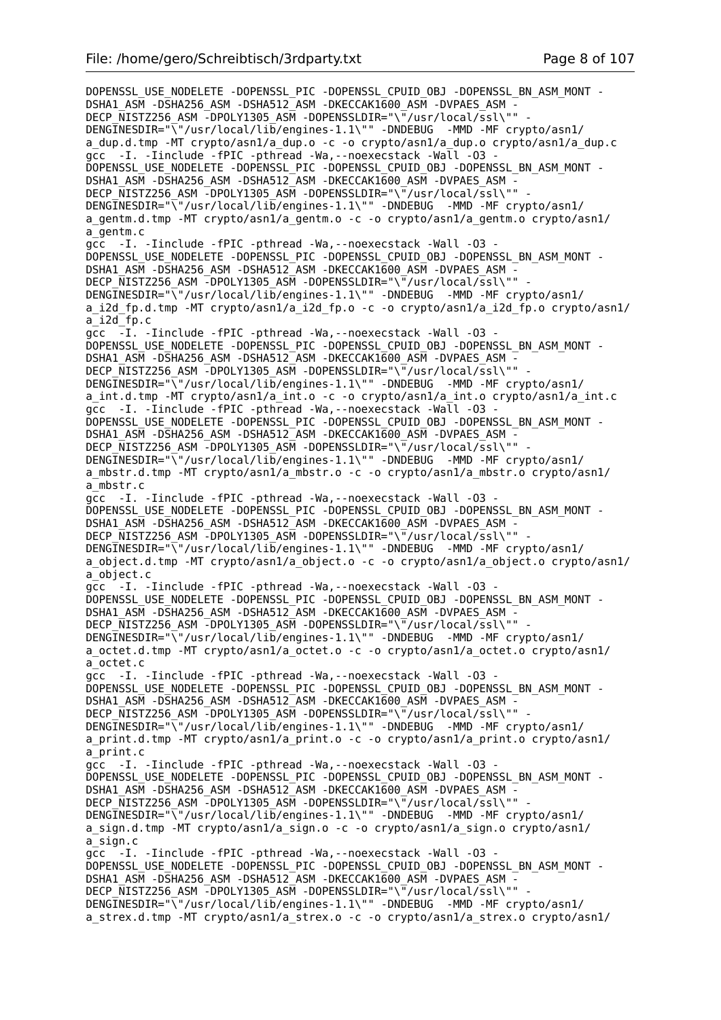DOPENSSL\_USE\_NODELETE -DOPENSSL\_PIC -DOPENSSL\_CPUID\_OBJ -DOPENSSL\_BN\_ASM\_MONT -DSHA1\_ASM -DSHA256\_ASM -DSHA512\_ASM -DKECCAK1600 ASM -DVPAES ASM -DECP\_NISTZ256\_ASM -DPOLY1305\_ASM -DOPENSSLDIR="\"/usr/local/ssl\"" DENGINESDIR="\"/usr/local/lib/engines-1.1\"" -DNDEBUG -MMD -MF crypto/asn1/ a\_dup.d.tmp -MT crypto/asn1/a\_dup.o -c -o crypto/asn1/a\_dup.o crypto/asn1/a\_dup.c gcc -I. -Iinclude -fPIC -pthread -Wa,--noexecstack -Wall -O3 - DOPENSSL\_USE\_NODELETE -DOPENSSL\_PIC -DOPENSSL\_CPUID\_OBJ\_-DOPENSSL\_BN\_ASM\_MONT -DSHA1\_ASM -DSHA256\_ASM -DSHA512\_ASM -DKECCAK1600\_ASM -DVPAES\_ASM DECP\_NISTZ256\_ASM -DPOLY1305\_ASM -DOPENSSLDIR="\"/usr/local/ssl\"" -DENGINESDIR="\"/usr/local/lib/engines-1.1\"" -DNDEBUG -MMD -MF crypto/asn1/ a gentm.d.tmp -MT crypto/asn1/a gentm.o -c -o crypto/asn1/a gentm.o crypto/asn1/ a\_gentm.c gcc -I. -Iinclude -fPIC -pthread -Wa,--noexecstack -Wall -O3 - DOPENSSL\_USE\_NODELETE -DOPENSSL\_PIC -DOPENSSL\_CPUID\_OBJ -DOPENSSL\_BN\_ASM\_MONT - DSHA1\_ASM -DSHA256\_ASM -DSHA512\_ASM -DKECCAK1600\_ASM -DVPAES\_ASM -DECP\_NISTZ256\_ASM\_-DPOLY1305\_ASM\_-DOPENSSLDIR="\"/usr/local/ssl\"" DENGINESDIR="\"/usr/local/lib/engines-1.1\"" -DNDEBUG -MMD -MF crypto/asn1/ a i2d fp.d.tmp -MT crypto/asn1/a i2d fp.o -c -o crypto/asn1/a i2d fp.o crypto/asn1/  $a$ <sup>-12d</sub> $f$ p.c</sup> gcc -I. -Iinclude -fPIC -pthread -Wa, --noexecstack -Wall -03 -DOPENSSL\_USE\_NODELETE -DOPENSSL\_PIC -DOPENSSL\_CPUID\_OBJ -DOPENSSL\_BN\_ASM\_MONT - DSHA1\_ASM -DSHA256\_ASM -DSHA512\_ASM -DKECCAK1600\_ASM -DVPAES\_ASM -DECP NISTZ256 ASM -DPOLY1305 ASM -DOPENSSLDIR="\"/usr/local/ssl\"" DENGINESDIR="\"/usr/local/lib/engines-1.1\"" -DNDEBUG -MMD -MF crypto/asn1/ a\_int.d.tmp -MT crypto/asn1/a\_int.o -c -o crypto/asn1/a\_int.o crypto/asn1/a\_int.c gcc -I. -Iinclude -fPIC -pthread -Wa, --noexecstack -Wall -03 -DOPENSSL\_USE\_NODELETE -DOPENSSL\_PIC -DOPENSSL\_CPUID\_OBJ -DOPENSSL\_BN\_ASM\_MONT - DSHA1\_ASM -DSHA256\_ASM -DSHA512\_ASM -DKECCAK1600\_ASM -DVPAES\_ASM - DECP\_NISTZ256\_ASM -DPOLY1305\_ASM -DOPENSSLDIR="\"/usr/local/ssl\"" - DENGINESDIR="\"/usr/local/lib/engines-1.1\"" -DNDEBUG -MMD -MF crypto/asn1/ a\_mbstr.d.tmp -MT crypto/asn1/a\_mbstr.o -c -o crypto/asn1/a\_mbstr.o crypto/asn1/ a\_mbstr.c gcc -I. -Iinclude -fPIC -pthread -Wa,--noexecstack -Wall -O3 - DOPENSSL\_USE\_NODELETE -DOPENSSL\_PIC -DOPENSSL\_CPUID\_OBJ -DOPENSSL\_BN\_ASM\_MONT - DSHA1\_ASM -DSHA256\_ASM -DSHA512\_ASM -DKECCAK1600\_ASM -DVPAES ASM DECP\_NISTZ256\_ASM -DPOLY1305\_ASM -DOPENSSLDIR="\"/usr/local/ssl\"" DENGINESDIR="\"/usr/local/lib/engines-1.1\"" -DNDEBUG -MMD -MF crypto/asn1/ a\_object.d.tmp -MT crypto/asn1/a\_object.o -c -o crypto/asn1/a\_object.o crypto/asn1/ a\_object.c gcc -I. -Iinclude -fPIC -pthread -Wa,--noexecstack -Wall -O3 - DOPENSSL\_USE\_NODELETE -DOPENSSL\_PIC -DOPENSSL\_CPUID\_OBJ -DOPENSSL\_BN\_ASM\_MONT - DSHA1\_ASM -DSHA256\_ASM -DSHA512\_ASM -DKECCAK1600\_ASM -DVPAES\_ASM - DECP\_NISTZ256\_ASM -DPOLY1305\_ASM -DOPENSSLDIR="\"/usr/local/ssl\"" - DENGINESDIR="\"/usr/local/lib/engines-1.1\"" -DNDEBUG -MMD -MF crypto/asn1/ a octet.d.tmp -MT crypto/asn1/a octet.o -c -o crypto/asn1/a octet.o crypto/asn1/ a\_octet.c gcc -I. -Iinclude -fPIC -pthread -Wa,--noexecstack -Wall -O3 - DOPENSSL\_USE\_NODELETE -DOPENSSL\_PIC -DOPENSSL\_CPUID\_OBJ -DOPENSSL\_BN\_ASM\_MONT - DSHA1\_ASM -DSHA256\_ASM -DSHA512\_ASM -DKECCAK1600\_ASM -DVPAES\_ASM - DECP\_NISTZ256\_ASM -DPOLY1305\_ASM -DOPENSSLDIR="\"/usr/local/ssl\"" DENGINESDIR="\"/usr/local/lib/engines-1.1\"" -DNDEBUG -MMD -MF crypto/asn1/ a print.d.tmp -MT crypto/asn1/a print.o -c -o crypto/asn1/a print.o crypto/asn1/ a\_print.c gcc -I. -Iinclude -fPIC -pthread -Wa,--noexecstack -Wall -O3 - DOPENSSL\_USE\_NODELETE -DOPENSSL\_PIC -DOPENSSL\_CPUID\_OBJ -DOPENSSL\_BN\_ASM\_MONT - DSHA1\_ASM -DSHA256\_ASM -DSHA512\_ASM -DKECCAK1600\_ASM -DVPAES\_ASM -DECP NISTZ256 ASM -DPOLY1305 ASM -DOPENSSLDIR="\"/usr/local/ssl\"" DENGINESDIR="\"/usr/local/lib/engines-1.1\"" -DNDEBUG -MMD -MF crypto/asn1/ a\_sign.d.tmp -MT crypto/asn1/a\_sign.o -c -o crypto/asn1/a\_sign.o crypto/asn1/ a\_sign.c gcc -I. -Iinclude -fPIC -pthread -Wa,--noexecstack -Wall -O3 - DOPENSSL\_USE\_NODELETE -DOPENSSL\_PIC -DOPENSSL\_CPUID\_OBJ -DOPENSSL\_BN\_ASM\_MONT - DSHA1\_ASM -DSHA256\_ASM -DSHA512\_ASM -DKECCAK1600\_ASM -DVPAES\_ASM - DECP\_NISTZ256\_ASM -DPOLY1305\_ASM -DOPENSSLDIR="\"/usr/local/ssl\"" DENGINESDIR="\"/usr/local/lib/engines-1.1\"" -DNDEBUG -MMD -MF crypto/asn1/ a strex.d.tmp -MT crypto/asn1/a strex.o -c -o crypto/asn1/a strex.o crypto/asn1/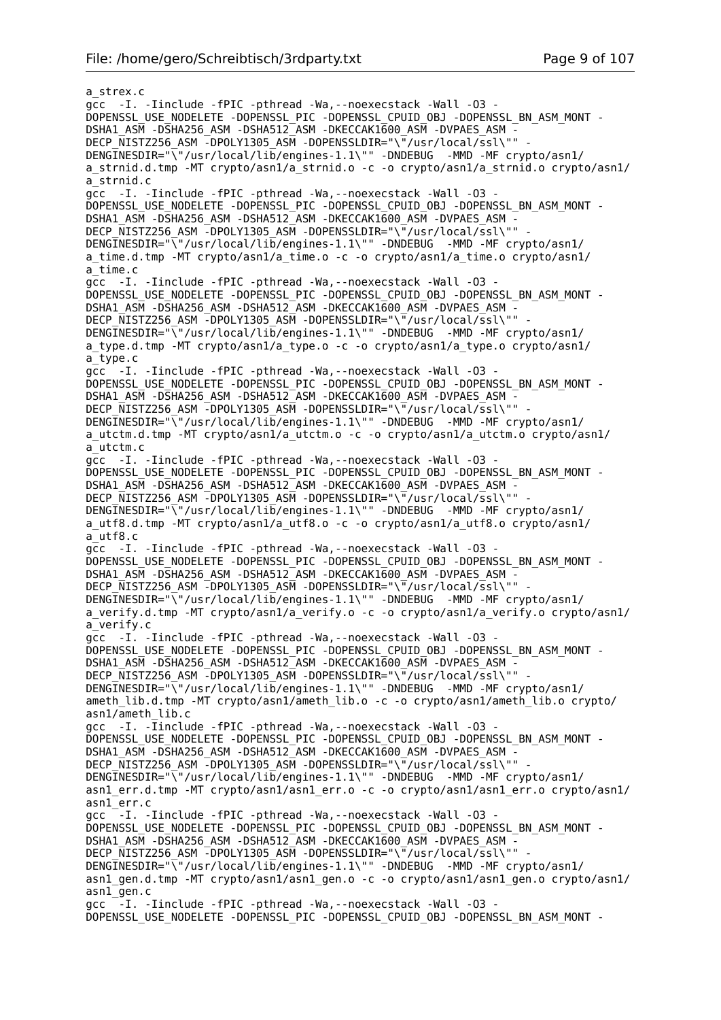a\_strex.c gcc -I. -Iinclude -fPIC -pthread -Wa,--noexecstack -Wall -O3 - DOPENSSL\_USE\_NODELETE -DOPENSSL\_PIC -DOPENSSL\_CPUID\_OBJ -DOPENSSL\_BN\_ASM\_MONT - DSHA1\_ASM -DSHA256\_ASM -DSHA512\_ASM -DKECCAK1600\_ASM -DVPAES\_ASM - DECP\_NISTZ256\_ASM -DPOLY1305\_ASM -DOPENSSLDIR="\"/usr/local/ssl\"" DENGINESDIR="\"/usr/local/lib/engines-1.1\"" -DNDEBUG -MMD -MF crypto/asn1/ a strnid.d.tmp -MT crypto/asn1/a strnid.o -c -o crypto/asn1/a strnid.o crypto/asn1/ a\_strnid.c gcc -I. -Iinclude -fPIC -pthread -Wa,--noexecstack -Wall -O3 - DOPENSSL\_USE\_NODELETE -DOPENSSL\_PIC -DOPENSSL\_CPUID\_OBJ -DOPENSSL\_BN\_ASM\_MONT -DSHA1\_ASM -DSHA256\_ASM -DSHA512\_ASM -DKECCAK1600\_ASM -DVPAES\_ASM -DECP\_NISTZ256\_ASM -DPOLY1305\_ASM -DOPENSSLDIR="\"/usr/local/ssl\"" DENGINESDIR="\"/usr/local/lib/engines-1.1\"" -DNDEBUG -MMD -MF crypto/asn1/ a\_time.d.tmp -MT crypto/asn1/a\_time.o -c -o crypto/asn1/a\_time.o crypto/asn1/ a\_time.c gcc -I. -Iinclude -fPIC -pthread -Wa,--noexecstack -Wall -O3 - DOPENSSL\_USE\_NODELETE -DOPENSSL\_PIC -DOPENSSL\_CPUID\_OBJ\_-DOPENSSL\_BN\_ASM\_MONT -DSHA1\_ASM -DSHA256\_ASM -DSHA512\_ASM -DKECCAK1600\_ASM -DVPAES\_ASM -DECP\_NISTZ256\_ASM -DPOLY1305\_ASM -DOPENSSLDIR="\"/usr/local/ssl\"" DENGINESDIR="\"/usr/local/lib/engines-1.1\"" -DNDEBUG -MMD -MF crypto/asn1/ a\_type.d.tmp -MT crypto/asn1/a\_type.o -c -o crypto/asn1/a\_type.o crypto/asn1/ a\_type.c gcc -I. -Iinclude -fPIC -pthread -Wa,--noexecstack -Wall -O3 - DOPENSSL\_USE\_NODELETE -DOPENSSL\_PIC -DOPENSSL\_CPUID\_OBJ -DOPENSSL\_BN\_ASM\_MONT -DSHA1\_ASM -DSHA256\_ASM -DSHA512\_ASM -DKECCAK1600\_ASM -DVPAES\_ASM -DECP NISTZ256 ASM -DPOLY1305 ASM -DOPENSSLDIR="\"/usr/local/ssl\"" DENGINESDIR="\"/usr/local/lib/engines-1.1\"" -DNDEBUG -MMD -MF crypto/asn1/ a utctm.d.tmp -MT crypto/asn1/a utctm.o -c -o crypto/asn1/a utctm.o crypto/asn1/ a\_utctm.c gcc -I. -Iinclude -fPIC -pthread -Wa,--noexecstack -Wall -O3 - DOPENSSL\_USE\_NODELETE -DOPENSSL\_PIC -DOPENSSL\_CPUID\_OBJ -DOPENSSL\_BN\_ASM\_MONT -DSHA1\_ASM -DSHA256\_ASM -DSHA512\_ASM -DKECCAK1600\_ASM -DVPAES\_ASM - DECP NISTZ256 ASM -DPOLY1305 ASM -DOPENSSLDIR="\"/usr/local/ssl\"" DENGINESDIR="\"/usr/local/lib/engines-1.1\"" -DNDEBUG -MMD -MF crypto/asn1/ a\_utf8.d.tmp -MT crypto/asn1/a\_utf8.o -c -o crypto/asn1/a\_utf8.o crypto/asn1/ a\_utf8.c gcc -I. -Iinclude -fPIC -pthread -Wa,--noexecstack -Wall -O3 - DOPENSSL\_USE\_NODELETE -DOPENSSL\_PIC -DOPENSSL\_CPUID\_OBJ -DOPENSSL\_BN\_ASM\_MONT - DSHA1\_ASM -DSHA256\_ASM -DSHA512\_ASM -DKECCAK1600\_ASM -DVPAES\_ASM -DECP NISTZ256 ASM -DPOLY1305 ASM -DOPENSSLDIR="\"/usr/local/ssl\"" -DENGINESDIR="\"/usr/local/lib/engines-1.1\"" -DNDEBUG -MMD -MF crypto/asn1/ a verify.d.tmp -MT crypto/asn1/a verify.o -c -o crypto/asn1/a verify.o crypto/asn1/ a\_verify.c gcc -I. -Iinclude -fPIC -pthread -Wa,--noexecstack -Wall -O3 - DOPENSSL\_USE\_NODELETE -DOPENSSL\_PIC -DOPENSSL\_CPUID\_OBJ\_-DOPENSSL\_BN\_ASM\_MONT -DSHA1\_ASM -DSHA256\_ASM -DSHA512\_ASM -DKECCAK1600\_ASM -DVPAES\_ASM DECP NISTZ256 ASM -DPOLY1305 ASM -DOPENSSLDIR="\"/usr/local/ssl\"" DENGINESDIR="\"/usr/local/lib/engines-1.1\"" -DNDEBUG -MMD -MF crypto/asn1/ ameth lib.d.tmp -MT crypto/asn1/ameth lib.o -c -o crypto/asn1/ameth lib.o crypto/ asn1/ameth lib.c gcc -I. - Iinclude -fPIC -pthread -Wa, --noexecstack -Wall -03 -DOPENSSL\_USE\_NODELETE -DOPENSSL\_PIC -DOPENSSL\_CPUID\_OBJ -DOPENSSL\_BN\_ASM\_MONT -DSHA1\_ASM -DSHA256\_ASM -DSHA512\_ASM -DKECCAK1600\_ASM -DVPAES\_ASM DECP NISTZ256 ASM -DPOLY1305 ASM -DOPENSSLDIR="\"/usr/local/ssl\"" -DENGINESDIR="\"/usr/local/lib/engines-1.1\"" -DNDEBUG -MMD -MF crypto/asn1/ asn1\_err.d.tmp -MT crypto/asn1/asn1\_err.o -c -o crypto/asn1/asn1\_err.o crypto/asn1/ asn1\_err.c gcc  $-$ -I. -Iinclude -fPIC -pthread -Wa, --noexecstack -Wall -03 -DOPENSSL\_USE\_NODELETE -DOPENSSL\_PIC -DOPENSSL\_CPUID\_OBJ\_-DOPENSSL\_BN\_ASM\_MONT -DSHA1\_ASM -DSHA256\_ASM -DSHA512\_ASM -DKECCAK1600\_ASM -DVPAES\_ASM -DECP NISTZ256 ASM -DPOLY1305 ASM -DOPENSSLDIR="\"/usr/local/ssl\"" DENGINESDIR="\"/usr/local/lib/engines-1.1\"" -DNDEBUG -MMD -MF crypto/asn1/ asn1\_gen.d.tmp -MT crypto/asn1/asn1\_gen.o -c -o crypto/asn1/asn1\_gen.o crypto/asn1/ asn1\_gen.c gcc  $-I.$  -Iinclude -fPIC -pthread -Wa, --noexecstack -Wall -03 -DOPENSSL\_USE\_NODELETE -DOPENSSL\_PIC -DOPENSSL\_CPUID\_OBJ -DOPENSSL\_BN\_ASM\_MONT -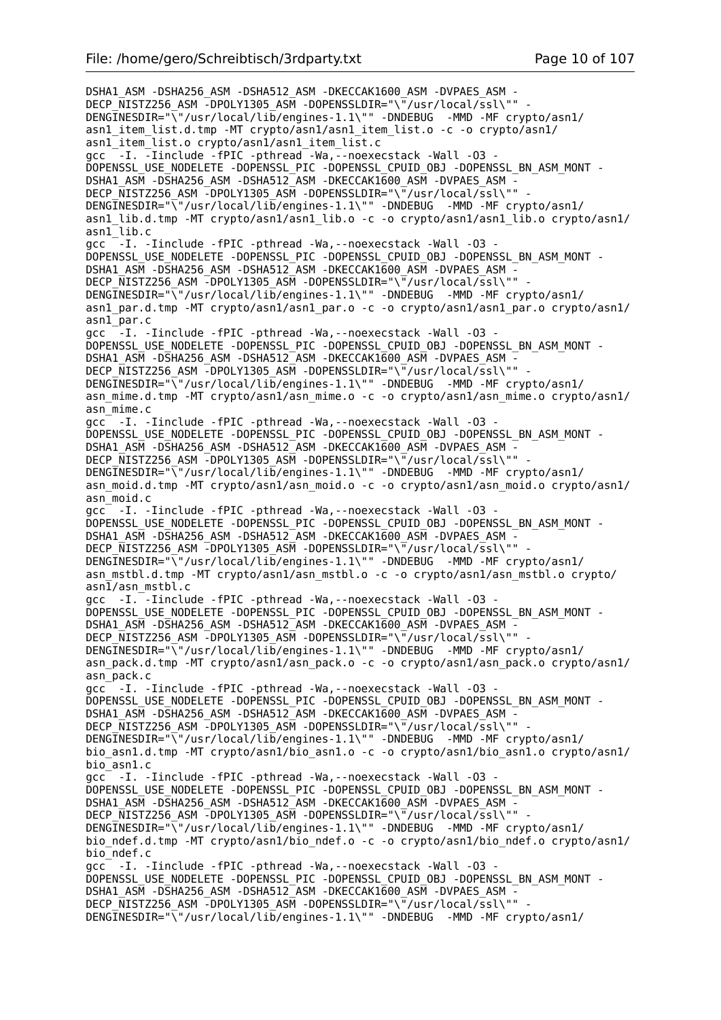DSHA1\_ASM -DSHA256\_ASM -DSHA512\_ASM -DKECCAK1600\_ASM -DVPAES\_ASM - DECP\_NISTZ256\_ASM -DPOLY1305\_ASM -DOPENSSLDIR="\"/usr/local/ssl\"" DENGINESDIR="\"/usr/local/lib/engines-1.1\"" -DNDEBUG -MMD -MF crypto/asn1/ asn1\_item\_list.d.tmp -MT crypto/asn1/asn1\_item\_list.o -c -o crypto/asn1/ asn1\_item\_list.o crypto/asn1/asn1\_item\_list.c gcc -I. -Iinclude -fPIC -pthread -Wa,--noexecstack -Wall -O3 - DOPENSSL\_USE\_NODELETE -DOPENSSL\_PIC -DOPENSSL\_CPUID\_OBJ -DOPENSSL\_BN\_ASM\_MONT - DSHA1\_ASM -DSHA256\_ASM -DSHA512\_ASM -DKECCAK1600\_ASM -DVPAES\_ASM DECP\_NISTZ256\_ASM -DPOLY1305\_ASM -DOPENSSLDIR="\"/usr/local/ssl\"" -DENGINESDIR="\"/usr/local/lib/engines-1.1\"" -DNDEBUG -MMD -MF crypto/asn1/ asn1\_lib.d.tmp -MT crypto/asn1/asn1\_lib.o -c -o crypto/asn1/asn1\_lib.o crypto/asn1/ asn1\_lib.c gcc  $-$ -I. -Iinclude -fPIC -pthread -Wa,--noexecstack -Wall -03 -DOPENSSL\_USE\_NODELETE -DOPENSSL\_PIC -DOPENSSL\_CPUID\_OBJ -DOPENSSL\_BN\_ASM\_MONT - DSHA1\_ASM -DSHA256\_ASM -DSHA512\_ASM -DKECCAK1600\_ASM -DVPAES\_ASM -DECP\_NISTZ256\_ASM -DPOLY1305\_ASM -DOPENSSLDIR="\"/usr/local/ssl\"" DENGINESDIR="\"/usr/local/lib/engines-1.1\"" -DNDEBUG -MMD -MF crypto/asn1/ asn1\_par.d.tmp -MT crypto/asn1/asn1\_par.o -c -o crypto/asn1/asn1\_par.o crypto/asn1/ asn1\_par.c gcc  $-I.$  -Iinclude -fPIC -pthread -Wa, --noexecstack -Wall -03 -DOPENSSL\_USE\_NODELETE -DOPENSSL\_PIC -DOPENSSL\_CPUID\_OBJ -DOPENSSL\_BN\_ASM\_MONT - DSHA1\_ASM -DSHA256\_ASM -DSHA512\_ASM -DKECCAK1600\_ASM -DVPAES\_ASM -DECP NISTZ256 ASM -DPOLY1305 ASM -DOPENSSLDIR="\"/usr/local/ssl\"" DENGINESDIR="\"/usr/local/lib/engines-1.1\"" -DNDEBUG -MMD -MF crypto/asn1/ asn mime.d.tmp -MT crypto/asn1/asn mime.o -c -o crypto/asn1/asn mime.o crypto/asn1/ asn\_mime.c gcc -I. -Iinclude -fPIC -pthread -Wa,--noexecstack -Wall -O3 - DOPENSSL\_USE\_NODELETE -DOPENSSL\_PIC -DOPENSSL\_CPUID\_OBJ -DOPENSSL\_BN\_ASM\_MONT - DSHA1\_ASM -DSHA256\_ASM -DSHA512\_ASM -DKECCAK1600\_ASM -DVPAES\_ASM - DECP\_NISTZ256\_ASM -DPOLY1305\_ASM -DOPENSSLDIR="\"/usr/local/ssl\"" DENGINESDIR="\"/usr/local/lib/engines-1.1\"" -DNDEBUG -MMD -MF crypto/asn1/ asn\_moid.d.tmp -MT crypto/asn1/asn\_moid.o -c -o crypto/asn1/asn\_moid.o crypto/asn1/ asn\_moid.c gcc -I. -Iinclude -fPIC -pthread -Wa,--noexecstack -Wall -O3 - DOPENSSL\_USE\_NODELETE -DOPENSSL\_PIC -DOPENSSL\_CPUID\_OBJ -DOPENSSL\_BN\_ASM\_MONT - DSHA1\_ASM -DSHA256\_ASM -DSHA512\_ASM -DKECCAK1600\_ASM -DVPAES\_ASM - DECP\_NISTZ256\_ASM -DPOLY1305\_ASM -DOPENSSLDIR="\"/usr/local/ssl\"" DENGINESDIR="\"/usr/local/lib/engines-1.1\"" -DNDEBUG -MMD -MF crypto/asn1/ asn\_mstbl.d.tmp -MT crypto/asn1/asn\_mstbl.o -c -o crypto/asn1/asn\_mstbl.o crypto/ asn1/asn\_mstbl.c gcc -I. -Iinclude -fPIC -pthread -Wa,--noexecstack -Wall -O3 - DOPENSSL\_USE\_NODELETE -DOPENSSL\_PIC -DOPENSSL\_CPUID\_OBJ -DOPENSSL\_BN\_ASM\_MONT - DSHA1\_ASM -DSHA256\_ASM -DSHA512\_ASM -DKECCAK1600\_ASM -DVPAES\_ASM - DECP NISTZ256 ASM -DPOLY1305 ASM -DOPENSSLDIR="\"/usr/local/ssl\"" DENGINESDIR="\"/usr/local/lib/engines-1.1\"" -DNDEBUG -MMD -MF crypto/asn1/ asn\_pack.d.tmp -MT crypto/asn1/asn\_pack.o -c -o crypto/asn1/asn\_pack.o crypto/asn1/ asn\_pack.c gcc<sup>-</sup> -I. -Iinclude -fPIC -pthread -Wa, --noexecstack -Wall -03 -DOPENSSL\_USE\_NODELETE -DOPENSSL\_PIC -DOPENSSL\_CPUID\_OBJ -DOPENSSL\_BN\_ASM\_MONT - DSHA1\_ASM -DSHA256\_ASM -DSHA512\_ASM -DKECCAK1600\_ASM -DVPAES\_ASM - DECP\_NISTZ256\_ASM -DPOLY1305\_ASM -DOPENSSLDIR="\"/usr/local/ssl\"" DENGINESDIR="\"/usr/local/lib/engines-1.1\"" -DNDEBUG -MMD -MF crypto/asn1/ bio asn1.d.tmp -MT crypto/asn1/bio asn1.o -c -o crypto/asn1/bio asn1.o crypto/asn1/ bio\_asn1.c gcc -I. -Iinclude -fPIC -pthread -Wa,--noexecstack -Wall -O3 - DOPENSSL\_USE\_NODELETE -DOPENSSL\_PIC -DOPENSSL\_CPUID\_OBJ -DOPENSSL\_BN\_ASM\_MONT - DSHA1\_ASM -DSHA256\_ASM -DSHA512\_ASM -DKECCAK1600\_ASM -DVPAES\_ASM - DECP NISTZ256 ASM  $\overline{-}$ DPOLY1305 ASM -DOPENSSLDIR="\ $\overline{-}/$ usr/local/ssl\"" DENGINESDIR="\"/usr/local/lib/engines-1.1\"" -DNDEBUG -MMD -MF crypto/asn1/ bio\_ndef.d.tmp -MT crypto/asn1/bio\_ndef.o -c -o crypto/asn1/bio\_ndef.o crypto/asn1/ bio\_ndef.c gcc -I. -Iinclude -fPIC -pthread -Wa,--noexecstack -Wall -O3 - DOPENSSL\_USE\_NODELETE -DOPENSSL\_PIC -DOPENSSL\_CPUID\_OBJ -DOPENSSL\_BN\_ASM\_MONT - DSHA1\_ASM -DSHA256\_ASM -DSHA512\_ASM -DKECCAK1600\_ASM -DVPAES\_ASM -DECP NISTZ256 ASM -DPOLY1305 ASM -DOPENSSLDIR="\"/usr/local/ssl\"" DENGINESDIR="\"/usr/local/lib/engines-1.1\"" -DNDEBUG -MMD -MF crypto/asn1/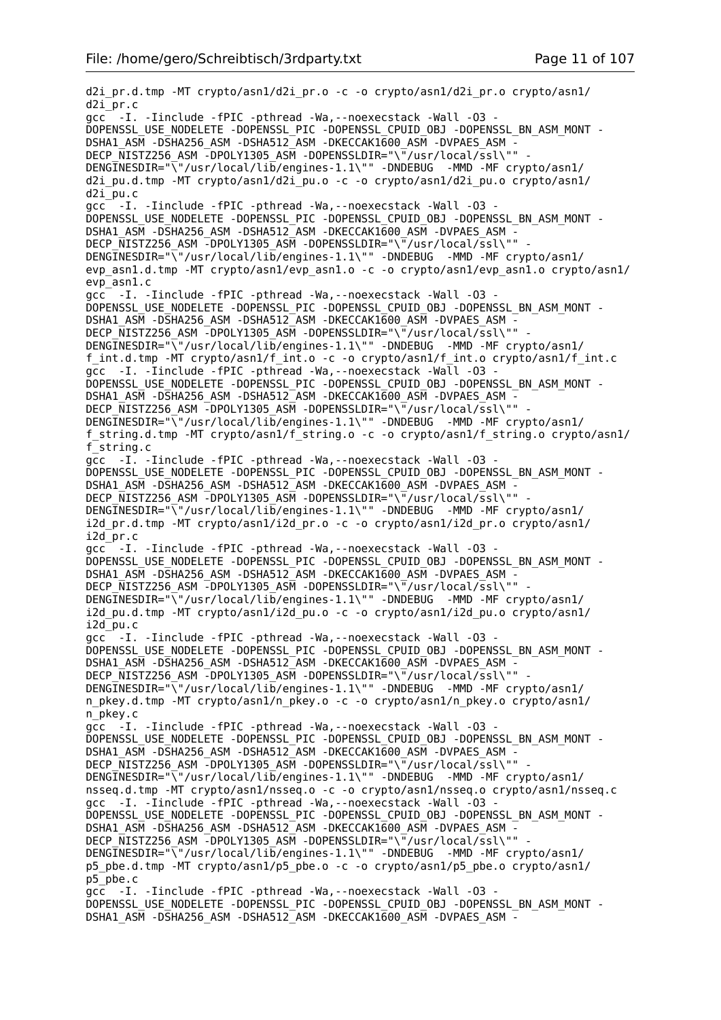d2i\_pr.d.tmp -MT crypto/asn1/d2i\_pr.o -c -o crypto/asn1/d2i\_pr.o crypto/asn1/ d2i\_pr.c gcc<sup>-</sup> -I. -Iinclude -fPIC -pthread -Wa,--noexecstack -Wall -03 -DOPENSSL\_USE\_NODELETE -DOPENSSL\_PIC -DOPENSSL\_CPUID\_OBJ -DOPENSSL\_BN\_ASM\_MONT - DSHA1\_ASM -DSHA256\_ASM -DSHA512\_ASM -DKECCAK1600\_ASM -DVPAES\_ASM - DECP\_NISTZ256\_ASM\_-DPOLY1305\_ASM\_-DOPENSSLDIR="\"/usr/local/ssl\"" DENGINESDIR="\"/usr/local/lib/engines-1.1\"" -DNDEBUG -MMD -MF crypto/asn1/ d2i\_pu.d.tmp -MT crypto/asn1/d2i\_pu.o -c -o crypto/asn1/d2i\_pu.o crypto/asn1/ d2i\_pu.c gcc -I. -Iinclude -fPIC -pthread -Wa,--noexecstack -Wall -O3 - DOPENSSL\_USE\_NODELETE -DOPENSSL\_PIC -DOPENSSL\_CPUID\_OBJ -DOPENSSL\_BN\_ASM\_MONT - DSHA1\_ASM -DSHA256\_ASM -DSHA512\_ASM -DKECCAK1600\_ASM -DVPAES\_ASM - DECP NISTZ256 ASM -DPOLY1305 ASM -DOPENSSLDIR="\"/usr/local/ssl\"" DENGINESDIR="\"/usr/local/lib/engines-1.1\"" -DNDEBUG -MMD -MF crypto/asn1/ evp\_asn1.d.tmp -MT crypto/asn1/evp\_asn1.o -c -o crypto/asn1/evp\_asn1.o crypto/asn1/ evp\_asn1.c gcc -I. -Iinclude -fPIC -pthread -Wa,--noexecstack -Wall -O3 - DOPENSSL\_USE\_NODELETE -DOPENSSL\_PIC -DOPENSSL\_CPUID\_OBJ -DOPENSSL\_BN\_ASM\_MONT - DSHA1\_ASM -DSHA256\_ASM -DSHA512\_ASM -DKECCAK1600\_ASM -DVPAES\_ASM -DECP NISTZ256 ASM -DPOLY1305 ASM -DOPENSSLDIR="\"/usr/local/ssl\"" DENGINESDIR="\"/usr/local/lib/engines-1.1\"" -DNDEBUG -MMD -MF crypto/asn1/ f\_int.d.tmp -MT crypto/asn1/f\_int.o -c -o crypto/asn1/f\_int.o crypto/asn1/f\_int.c gcc -I. -Iinclude -fPIC -pthread -Wa,--noexecstack -Wall -O3 - DOPENSSL\_USE\_NODELETE -DOPENSSL\_PIC -DOPENSSL\_CPUID\_OBJ -DOPENSSL\_BN\_ASM\_MONT -DSHA1\_ASM -DSHA256\_ASM -DSHA512\_ASM -DKECCAK1600\_ASM -DVPAES\_ASM -DECP NISTZ256 ASM -DPOLY1305 ASM -DOPENSSLDIR="\"/usr/local/ssl\"" DENGINESDIR="\"/usr/local/lib/engines-1.1\"" -DNDEBUG -MMD -MF crypto/asn1/ f\_string.d.tmp -MT crypto/asn1/f\_string.o -c -o crypto/asn1/f\_string.o crypto/asn1/ f\_string.c gcc -I. -Iinclude -fPIC -pthread -Wa,--noexecstack -Wall -O3 - DOPENSSL\_USE\_NODELETE -DOPENSSL\_PIC -DOPENSSL\_CPUID\_OBJ -DOPENSSL\_BN\_ASM\_MONT -DSHA1\_ASM -DSHA256\_ASM -DSHA512\_ASM -DKECCAK1600\_ASM -DVPAES\_ASM -DECP NISTZ256 ASM -DPOLY1305 ASM -DOPENSSLDIR="\"/usr/local/ssl\"" DENGINESDIR="\"/usr/local/lib/engines-1.1\"" -DNDEBUG -MMD -MF crypto/asn1/ i2d\_pr.d.tmp -MT crypto/asn1/i2d\_pr.o -c -o crypto/asn1/i2d\_pr.o crypto/asn1/ i2d\_pr.c gcc -I. -Iinclude -fPIC -pthread -Wa,--noexecstack -Wall -O3 - DOPENSSL\_USE\_NODELETE -DOPENSSL\_PIC -DOPENSSL\_CPUID\_OBJ -DOPENSSL\_BN\_ASM\_MONT - DSHA1\_ASM -DSHA256\_ASM -DSHA512\_ASM -DKECCAK1600\_ASM -DVPAES\_ASM -DECP NISTZ256 ASM  $\overline{-}$ DPOLY1305 ASM -DOPENSSLDIR="\ $\overline{''}/$ usr/local/ssl\"" -DENGINESDIR="\"/usr/local/lib/engines-1.1\"" -DNDEBUG -MMD -MF crypto/asn1/ i2d\_pu.d.tmp -MT crypto/asn1/i2d\_pu.o -c -o crypto/asn1/i2d\_pu.o crypto/asn1/ i2d\_pu.c gcc<sup>--</sup> -I. -Iinclude -fPIC -pthread -Wa, --noexecstack -Wall -03 -DOPENSSL\_USE\_NODELETE -DOPENSSL\_PIC -DOPENSSL\_CPUID\_OBJ\_-DOPENSSL\_BN\_ASM\_MONT -DSHA1\_ASM -DSHA256\_ASM -DSHA512\_ASM -DKECCAK1600\_ASM -DVPAES\_ASM -DECP NISTZ256 ASM -DPOLY1305 ASM -DOPENSSLDIR="\"/usr/local/ssl\"" DENGINESDIR="\"/usr/local/lib/engines-1.1\"" -DNDEBUG -MMD -MF crypto/asn1/ n\_pkey.d.tmp -MT crypto/asn1/n\_pkey.o -c -o crypto/asn1/n\_pkey.o crypto/asn1/ n\_pkey.c gcc -I. -Iinclude -fPIC -pthread -Wa,--noexecstack -Wall -O3 - DOPENSSL\_USE\_NODELETE -DOPENSSL\_PIC -DOPENSSL\_CPUID\_OBJ -DOPENSSL\_BN\_ASM\_MONT -DSHA1\_ASM -DSHA256\_ASM -DSHA512\_ASM -DKECCAK1600\_ASM -DVPAES\_ASM DECP\_NISTZ256\_ASM -DPOLY1305\_ASM -DOPENSSLDIR="\"/usr/local/ssl\"" -DENGINESDIR="\"/usr/local/lib/engines-1.1\"" -DNDEBUG -MMD -MF crypto/asn1/ nsseq.d.tmp -MT crypto/asn1/nsseq.o -c -o crypto/asn1/nsseq.o crypto/asn1/nsseq.c gcc -I. -Iinclude -fPIC -pthread -Wa,--noexecstack -Wall -O3 - DOPENSSL\_USE\_NODELETE -DOPENSSL\_PIC -DOPENSSL\_CPUID\_OBJ -DOPENSSL\_BN\_ASM\_MONT - DSHA1\_ASM -DSHA256\_ASM -DSHA512\_ASM -DKECCAK1600\_ASM -DVPAES\_ASM -DECP\_NISTZ256\_ASM -DPOLY1305\_ASM -DOPENSSLDIR="\"/usr/local/ssl\"" DENGINESDIR="\"/usr/local/lib/engines-1.1\"" -DNDEBUG -MMD -MF crypto/asn1/ p5\_pbe.d.tmp -MT crypto/asn1/p5\_pbe.o -c -o crypto/asn1/p5\_pbe.o crypto/asn1/ p5\_pbe.c gcc -I. -Iinclude -fPIC -pthread -Wa,--noexecstack -Wall -O3 - DOPENSSL\_USE\_NODELETE -DOPENSSL\_PIC -DOPENSSL\_CPUID\_OBJ -DOPENSSL\_BN\_ASM\_MONT - DSHA1\_ASM -DSHA256\_ASM -DSHA512\_ASM -DKECCAK1600\_ASM -DVPAES\_ASM -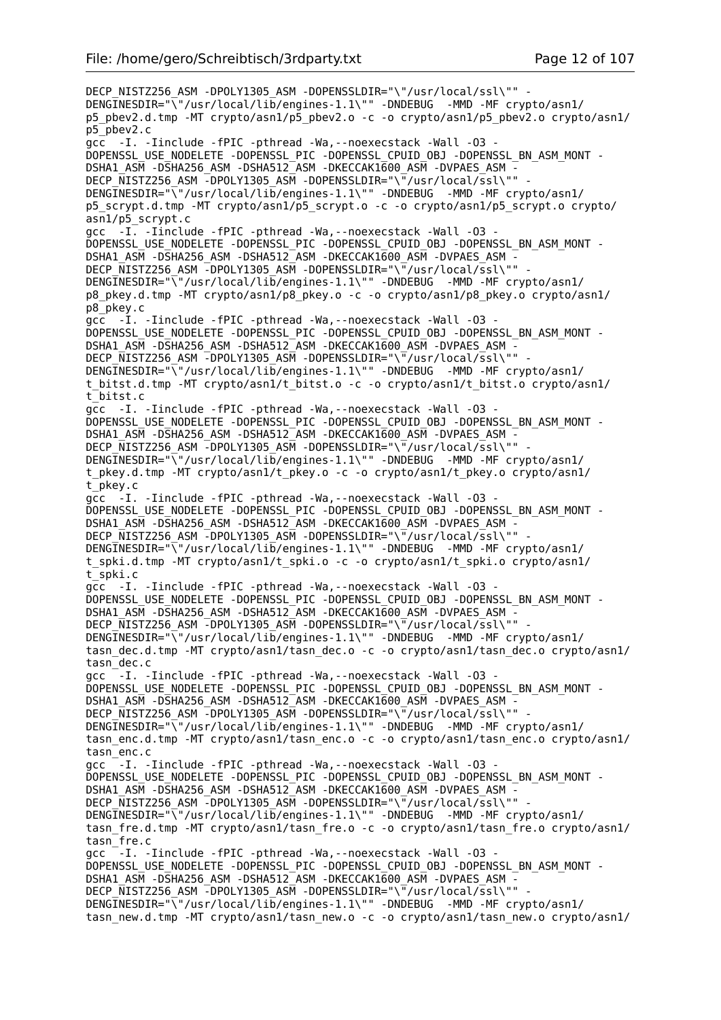DECP\_NISTZ256\_ASM -DPOLY1305\_ASM -DOPENSSLDIR="\"/usr/local/ssl\"" -DENGINESDIR="\"/usr/local/lib/engines-1.1\"" -DNDEBUG -MMD -MF crypto/asn1/ p5\_pbev2.d.tmp -MT crypto/asn1/p5\_pbev2.o -c -o crypto/asn1/p5\_pbev2.o crypto/asn1/ p5\_pbev2.c  $\overline{acc}$  -I. -Iinclude -fPIC -pthread -Wa, --noexecstack -Wall -03 -DOPENSSL\_USE\_NODELETE -DOPENSSL\_PIC -DOPENSSL\_CPUID\_OBJ -DOPENSSL\_BN\_ASM\_MONT - DSHA1\_ASM -DSHA256\_ASM -DSHA512\_ASM -DKECCAK1600\_ASM -DVPAES\_ASM -DECP NISTZ256 ASM -DPOLY1305 ASM -DOPENSSLDIR="\"/usr/local/ssl\"" -DENGINESDIR="\"/usr/local/lib/engines-1.1\"" -DNDEBUG -MMD -MF crypto/asn1/ p5\_scrypt.d.tmp -MT crypto/asn1/p5\_scrypt.o -c -o crypto/asn1/p5\_scrypt.o crypto/ asn1/p5\_scrypt.c gcc -I. -Iinclude -fPIC -pthread -Wa, --noexecstack -Wall -03 DOPENSSL\_USE\_NODELETE -DOPENSSL\_PIC -DOPENSSL\_CPUID\_OBJ\_-DOPENSSL\_BN\_ASM\_MONT -DSHA1\_ASM -DSHA256\_ASM -DSHA512\_ASM -DKECCAK1600\_ASM -DVPAES\_ASM -DECP NISTZ256 ASM -DPOLY1305 ASM -DOPENSSLDIR="\"/usr/local/ssl\"" DENGINESDIR="\"/usr/local/lib/engines-1.1\"" -DNDEBUG -MMD -MF crypto/asn1/ p8\_pkey.d.tmp -MT crypto/asn1/p8\_pkey.o -c -o crypto/asn1/p8\_pkey.o crypto/asn1/ p8\_pkey.c gcc -I. -Iinclude -fPIC -pthread -Wa,--noexecstack -Wall -O3 - DOPENSSL\_USE\_NODELETE -DOPENSSL\_PIC -DOPENSSL\_CPUID\_OBJ -DOPENSSL\_BN\_ASM\_MONT - DSHA1\_ASM -DSHA256\_ASM -DSHA512\_ASM -DKECCAK1600\_ASM -DVPAES\_ASM - DECP  $\overline{\text{N}}$ ISTZ256 ASM -DPOLY1305 ASM -DOPENSSLDIR="\"/usr/local/ssl\"" DENGINESDIR="\"/usr/local/lib/engines-1.1\"" -DNDEBUG -MMD -MF crypto/asn1/ t bitst.d.tmp -MT crypto/asn1/t bitst.o -c -o crypto/asn1/t bitst.o crypto/asn1/ t\_bitst.c gcc -I. -Iinclude -fPIC -pthread -Wa,--noexecstack -Wall -O3 - DOPENSSL\_USE\_NODELETE -DOPENSSL\_PIC -DOPENSSL\_CPUID\_OBJ -DOPENSSL\_BN\_ASM\_MONT - DSHA1\_ASM -DSHA256\_ASM -DSHA512\_ASM -DKECCAK1600\_ASM -DVPAES\_ASM - DECP\_NISTZ256\_ASM -DPOLY1305\_ASM -DOPENSSLDIR="\"/usr/local/ssl\"" - DENGINESDIR="\"/usr/local/lib/engines-1.1\"" -DNDEBUG -MMD -MF crypto/asn1/ t pkey.d.tmp -MT crypto/asn1/t pkey.o -c -o crypto/asn1/t pkey.o crypto/asn1/ t\_pkey.c gcc -I. -Iinclude -fPIC -pthread -Wa,--noexecstack -Wall -O3 - DOPENSSL\_USE\_NODELETE -DOPENSSL\_PIC -DOPENSSL\_CPUID\_OBJ -DOPENSSL\_BN\_ASM\_MONT - DSHA1\_ASM -DSHA256\_ASM -DSHA512\_ASM -DKECCAK1600\_ASM -DVPAES ASM DECP\_NISTZ256\_ASM -DPOLY1305\_ASM -DOPENSSLDIR="\"/usr/local/ssl\"" DENGINESDIR="\"/usr/local/lib/engines-1.1\"" -DNDEBUG -MMD -MF crypto/asn1/ t\_spki.d.tmp -MT crypto/asn1/t\_spki.o -c -o crypto/asn1/t\_spki.o crypto/asn1/ t\_spki.c gcc -I. -Iinclude -fPIC -pthread -Wa,--noexecstack -Wall -O3 - DOPENSSL\_USE\_NODELETE -DOPENSSL\_PIC -DOPENSSL\_CPUID\_OBJ -DOPENSSL\_BN\_ASM\_MONT - DSHA1\_ASM -DSHA256\_ASM -DSHA512\_ASM -DKECCAK1600\_ASM -DVPAES\_ASM - DECP\_NISTZ256\_ASM -DPOLY1305\_ASM -DOPENSSLDIR="\"/usr/local/ssl\"" - DENGINESDIR="\"/usr/local/lib/engines-1.1\"" -DNDEBUG -MMD -MF crypto/asn1/ tasn\_dec.d.tmp -MT crypto/asn1/tasn\_dec.o -c -o crypto/asn1/tasn\_dec.o crypto/asn1/ tasn\_dec.c gcc  $\overline{-}$ -I. -Iinclude -fPIC -pthread -Wa,--noexecstack -Wall -03 -DOPENSSL\_USE\_NODELETE -DOPENSSL\_PIC -DOPENSSL\_CPUID\_OBJ -DOPENSSL\_BN\_ASM\_MONT - DSHA1\_ASM -DSHA256\_ASM -DSHA512\_ASM -DKECCAK1600\_ASM -DVPAES\_ASM - DECP NISTZ256 ASM -DPOLY1305 ASM -DOPENSSLDIR="\"/usr/local/ssl\"" DENGINESDIR="\"/usr/local/lib/engines-1.1\"" -DNDEBUG -MMD -MF crypto/asn1/ tasn\_enc.d.tmp -MT crypto/asn1/tasn\_enc.o -c -o crypto/asn1/tasn\_enc.o crypto/asn1/ tasn\_enc.c gcc -I. -Iinclude -fPIC -pthread -Wa,--noexecstack -Wall -O3 - DOPENSSL\_USE\_NODELETE -DOPENSSL\_PIC -DOPENSSL\_CPUID\_OBJ -DOPENSSL\_BN\_ASM\_MONT - DSHA1\_ASM -DSHA256\_ASM -DSHA512\_ASM -DKECCAK1600\_ASM -DVPAES\_ASM -DECP NISTZ256 ASM -DPOLY1305 ASM -DOPENSSLDIR="\"/usr/local/ssl\"" DENGINESDIR="\"/usr/local/lib/engines-1.1\"" -DNDEBUG -MMD -MF crypto/asn1/ tasn fre.d.tmp -MT crypto/asn1/tasn fre.o -c -o crypto/asn1/tasn fre.o crypto/asn1/ tasn\_fre.c gcc  $-I.$  -Iinclude -fPIC -pthread -Wa, --noexecstack -Wall -03 -DOPENSSL\_USE\_NODELETE -DOPENSSL\_PIC -DOPENSSL\_CPUID\_OBJ -DOPENSSL\_BN\_ASM\_MONT - DSHA1\_ASM -DSHA256\_ASM -DSHA512\_ASM -DKECCAK1600\_ASM -DVPAES\_ASM - DECP\_NISTZ256\_ASM -DPOLY1305\_ASM -DOPENSSLDIR="\"/usr/local/ssl\"" DENGINESDIR="\"/usr/local/lib/engines-1.1\"" -DNDEBUG -MMD -MF crypto/asn1/ tasn new.d.tmp -MT crypto/asn1/tasn new.o -c -o crypto/asn1/tasn new.o crypto/asn1/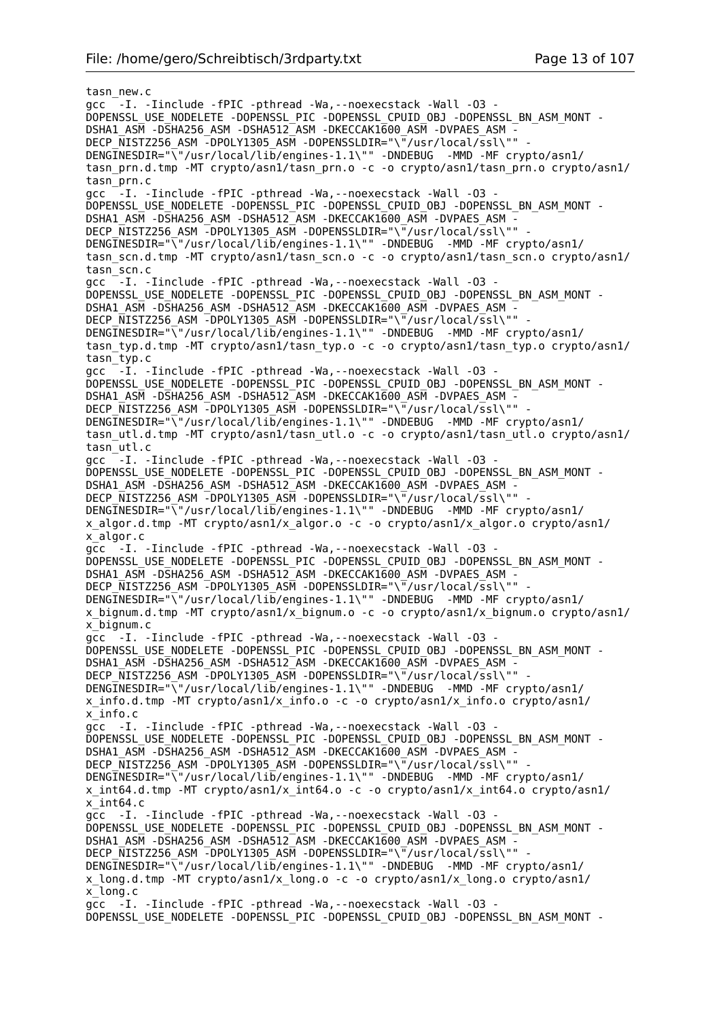tasn\_new.c gcc  $\overline{-}$ -I. -Iinclude -fPIC -pthread -Wa, --noexecstack -Wall -03 -DOPENSSL\_USE\_NODELETE -DOPENSSL\_PIC -DOPENSSL\_CPUID\_OBJ -DOPENSSL\_BN\_ASM\_MONT - DSHA1\_ASM -DSHA256\_ASM -DSHA512\_ASM -DKECCAK1600\_ASM -DVPAES\_ASM - DECP\_NISTZ256\_ASM\_-DPOLY1305\_ASM\_-DOPENSSLDIR="\"/usr/local/ssl\"" DENGINESDIR="\"/usr/local/lib/engines-1.1\"" -DNDEBUG -MMD -MF crypto/asn1/ tasn\_prn.d.tmp -MT crypto/asn1/tasn\_prn.o -c -o crypto/asn1/tasn\_prn.o crypto/asn1/ tasn\_prn.c gcc -I. -Iinclude -fPIC -pthread -Wa,--noexecstack -Wall -O3 - DOPENSSL\_USE\_NODELETE -DOPENSSL\_PIC -DOPENSSL\_CPUID\_OBJ -DOPENSSL\_BN\_ASM\_MONT -DSHA1\_ASM -DSHA256\_ASM -DSHA512\_ASM -DKECCAK1600\_ASM -DVPAES\_ASM -DECP\_NISTZ256\_ASM -DPOLY1305\_ASM -DOPENSSLDIR="\"/usr/local/ssl\"" DENGINESDIR="\"/usr/local/lib/engines-1.1\"" -DNDEBUG -MMD -MF crypto/asn1/ tasn\_scn.d.tmp -MT crypto/asn1/tasn\_scn.o -c -o crypto/asn1/tasn\_scn.o crypto/asn1/ tasn\_scn.c gcc -I. -Iinclude -fPIC -pthread -Wa,--noexecstack -Wall -O3 - DOPENSSL\_USE\_NODELETE -DOPENSSL\_PIC -DOPENSSL\_CPUID\_OBJ\_-DOPENSSL\_BN\_ASM\_MONT -DSHA1\_ASM -DSHA256\_ASM -DSHA512\_ASM -DKECCAK1600\_ASM -DVPAES\_ASM -DECP NISTZ256 ASM -DPOLY1305 ASM -DOPENSSLDIR="\"/usr/local/ssl\"" DENGINESDIR="\"/usr/local/lib/engines-1.1\"" -DNDEBUG -MMD -MF crypto/asn1/ tasn typ.d.tmp -MT crypto/asn1/tasn typ.o -c -o crypto/asn1/tasn typ.o crypto/asn1/ tasn\_typ.c gcc  $-I.$  -Iinclude -fPIC -pthread -Wa, --noexecstack -Wall -03 -DOPENSSL\_USE\_NODELETE -DOPENSSL\_PIC -DOPENSSL\_CPUID\_OBJ -DOPENSSL\_BN\_ASM\_MONT -DSHA1\_ASM -DSHA256\_ASM -DSHA512\_ASM -DKECCAK1600\_ASM -DVPAES\_ASM -DECP NISTZ256 ASM -DPOLY1305 ASM -DOPENSSLDIR="\"/usr/local/ssl\"" DENGINESDIR="\"/usr/local/lib/engines-1.1\"" -DNDEBUG -MMD -MF crypto/asn1/ tasn utl.d.tmp -MT crypto/asn1/tasn utl.o -c -o crypto/asn1/tasn utl.o crypto/asn1/ tasn\_utl.c gcc  $-I.$  -Iinclude -fPIC -pthread -Wa,--noexecstack -Wall -03 -DOPENSSL\_USE\_NODELETE -DOPENSSL\_PIC -DOPENSSL\_CPUID\_OBJ -DOPENSSL\_BN\_ASM\_MONT -DSHA1\_ASM -DSHA256\_ASM -DSHA512\_ASM -DKECCAK1600\_ASM -DVPAES\_ASM -DECP NISTZ256 ASM -DPOLY1305 ASM -DOPENSSLDIR="\"/usr/local/ssl\"" DENGINESDIR="\"/usr/local/lib/engines-1.1\"" -DNDEBUG -MMD -MF crypto/asn1/ x\_algor.d.tmp -MT crypto/asn1/x\_algor.o -c -o crypto/asn1/x\_algor.o crypto/asn1/ x\_algor.c gcc -I. -Iinclude -fPIC -pthread -Wa,--noexecstack -Wall -O3 - DOPENSSL\_USE\_NODELETE -DOPENSSL\_PIC -DOPENSSL\_CPUID\_OBJ -DOPENSSL\_BN\_ASM\_MONT - DSHA1\_ASM -DSHA256\_ASM -DSHA512\_ASM -DKECCAK1600\_ASM -DVPAES\_ASM -DECP NISTZ256 ASM -DPOLY1305 ASM -DOPENSSLDIR="\"/usr/local/ssl\"" -DENGINESDIR="\"/usr/local/lib/engines-1.1\"" -DNDEBUG -MMD -MF crypto/asn1/ x\_bignum.d.tmp -MT crypto/asn1/x\_bignum.o -c -o crypto/asn1/x\_bignum.o crypto/asn1/ x\_bignum.c gcc -I. -Iinclude -fPIC -pthread -Wa,--noexecstack -Wall -O3 - DOPENSSL\_USE\_NODELETE -DOPENSSL\_PIC -DOPENSSL\_CPUID\_OBJ\_-DOPENSSL\_BN\_ASM\_MONT -DSHA1\_ASM -DSHA256\_ASM -DSHA512\_ASM -DKECCAK1600\_ASM -DVPAES\_ASM DECP NISTZ256 ASM -DPOLY1305 ASM -DOPENSSLDIR="\"/usr/local/ssl\"" DENGINESDIR="\"/usr/local/lib/engines-1.1\"" -DNDEBUG -MMD -MF crypto/asn1/ x\_info.d.tmp -MT crypto/asn1/x\_info.o -c -o crypto/asn1/x\_info.o crypto/asn1/ x\_info.c gcc -I. -Iinclude -fPIC -pthread -Wa,--noexecstack -Wall -O3 - DOPENSSL\_USE\_NODELETE -DOPENSSL\_PIC -DOPENSSL\_CPUID\_OBJ -DOPENSSL\_BN\_ASM\_MONT -DSHA1\_ASM -DSHA256\_ASM -DSHA512\_ASM -DKECCAK1600\_ASM -DVPAES\_ASM DECP\_NISTZ256\_ASM -DPOLY1305\_ASM -DOPENSSLDIR="\"/usr/local/ssl\"" -DENGINESDIR="\"/usr/local/lib/engines-1.1\"" -DNDEBUG -MMD -MF crypto/asn1/ x\_int64.d.tmp -MT crypto/asn1/x\_int64.o -c -o crypto/asn1/x\_int64.o crypto/asn1/ x\_int64.c gcc -I. -Iinclude -fPIC -pthread -Wa,--noexecstack -Wall -O3 - DOPENSSL\_USE\_NODELETE -DOPENSSL\_PIC -DOPENSSL\_CPUID\_OBJ\_-DOPENSSL\_BN\_ASM\_MONT -DSHA1\_ASM -DSHA256\_ASM -DSHA512\_ASM -DKECCAK1600\_ASM -DVPAES\_ASM -DECP NISTZ256 ASM -DPOLY1305 ASM -DOPENSSLDIR="\"/usr/local/ssl\"" DENGINESDIR="\"/usr/local/lib/engines-1.1\"" -DNDEBUG -MMD -MF crypto/asn1/ x\_long.d.tmp -MT crypto/asn1/x\_long.o -c -o crypto/asn1/x\_long.o crypto/asn1/ x\_long.c gcc -I. -Iinclude -fPIC -pthread -Wa,--noexecstack -Wall -O3 - DOPENSSL\_USE\_NODELETE -DOPENSSL\_PIC -DOPENSSL\_CPUID\_OBJ\_-DOPENSSL\_BN\_ASM\_MONT -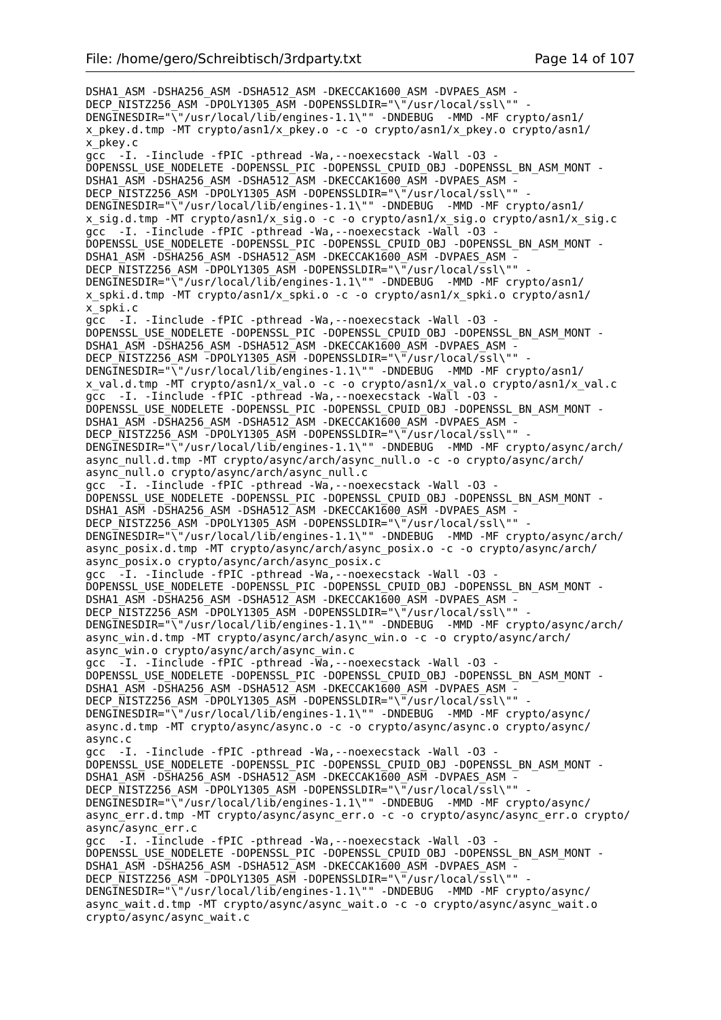DSHA1\_ASM -DSHA256\_ASM -DSHA512\_ASM -DKECCAK1600\_ASM -DVPAES\_ASM - DECP\_NISTZ256\_ASM -DPOLY1305\_ASM -DOPENSSLDIR="\"/usr/local/ssl\"" DENGINESDIR="\"/usr/local/lib/engines-1.1\"" -DNDEBUG -MMD -MF crypto/asn1/ x\_pkey.d.tmp -MT crypto/asn1/x\_pkey.o -c -o crypto/asn1/x\_pkey.o crypto/asn1/ x\_pkey.c gcc -I. -Iinclude -fPIC -pthread -Wa,--noexecstack -Wall -O3 - DOPENSSL\_USE\_NODELETE -DOPENSSL\_PIC -DOPENSSL\_CPUID\_OBJ\_-DOPENSSL\_BN\_ASM\_MONT -DSHA1\_ASM -DSHA256\_ASM -DSHA512\_ASM -DKECCAK1600\_ASM -DVPAES\_ASM DECP\_NISTZ256\_ASM -DPOLY1305\_ASM -DOPENSSLDIR="\"/usr/local/ssl\"" -DENGINESDIR="\"/usr/local/lib/engines-1.1\"" -DNDEBUG -MMD -MF crypto/asn1/ x sig.d.tmp -MT crypto/asn1/x sig.o -c -o crypto/asn1/x sig.o crypto/asn1/x sig.c gcc -I. -Iinclude -fPIC -pthread -Wa, --noexecstack -Wall -03 DOPENSSL\_USE\_NODELETE -DOPENSSL\_PIC -DOPENSSL\_CPUID\_OBJ\_-DOPENSSL\_BN\_ASM\_MONT -DSHA1\_ASM -DSHA256\_ASM -DSHA512\_ASM -DKECCAK1600\_ASM -DVPAES\_ASM -DECP NISTZ256 ASM -DPOLY1305 ASM -DOPENSSLDIR="\"/usr/local/ssl\"" DENGINESDIR="\"/usr/local/lib/engines-1.1\"" -DNDEBUG -MMD -MF crypto/asn1/ x\_spki.d.tmp -MT crypto/asn1/x\_spki.o -c -o crypto/asn1/x\_spki.o crypto/asn1/ x\_spki.c gcc -I. -Iinclude -fPIC -pthread -Wa,--noexecstack -Wall -O3 - DOPENSSL\_USE\_NODELETE -DOPENSSL\_PIC -DOPENSSL\_CPUID\_OBJ -DOPENSSL\_BN\_ASM\_MONT - DSHA1\_ASM -DSHA256\_ASM -DSHA512\_ASM -DKECCAK1600\_ASM -DVPAES\_ASM - DECP NISTZ256 ASM  $\overline{-}$ DPOLY1305 ASM -DOPENSSLDIR="\ $\overline{-}$ /usr/local/ssl\"" DENGINESDIR="\"/usr/local/lib/engines-1.1\"" -DNDEBUG -MMD -MF crypto/asn1/ x\_val.d.tmp -MT crypto/asn1/x\_val.o -c -o crypto/asn1/x\_val.o crypto/asn1/x\_val.c gcc -I. -Iinclude -fPIC -pthread -Wa,--noexecstack -Wall -O3 - DOPENSSL\_USE\_NODELETE -DOPENSSL\_PIC -DOPENSSL\_CPUID\_OBJ -DOPENSSL\_BN\_ASM\_MONT - DSHA1\_ASM -DSHA256\_ASM -DSHA512\_ASM -DKECCAK1600\_ASM -DVPAES\_ASM - DECP\_NISTZ256\_ASM -DPOLY1305\_ASM -DOPENSSLDIR="\"/usr/local/ssl\"" DENGINESDIR="\"/usr/local/lib/engines-1.1\"" -DNDEBUG -MMD -MF crypto/async/arch/ async\_null.d.tmp -MT crypto/async/arch/async\_null.o -c -o crypto/async/arch/ async\_null.o crypto/async/arch/async\_null.c gcc -I. -Iinclude -fPIC -pthread -Wa,--noexecstack -Wall -O3 - DOPENSSL\_USE\_NODELETE -DOPENSSL\_PIC -DOPENSSL\_CPUID\_OBJ -DOPENSSL\_BN\_ASM\_MONT - DSHA1\_ASM -DSHA256\_ASM -DSHA512\_ASM -DKECCAK1600\_ASM -DVPAES\_ASM -DECP\_NISTZ256\_ASM -DPOLY1305\_ASM -DOPENSSLDIR="\"/usr/local/ssl\"" DENGINESDIR="\"/usr/local/lib/engines-1.1\"" -DNDEBUG -MMD -MF crypto/async/arch/ async\_posix.d.tmp -MT crypto/async/arch/async\_posix.o -c -o crypto/async/arch/ async\_posix.o crypto/async/arch/async\_posix.c gcc -I. -Iinclude -fPIC -pthread -Wa,--noexecstack -Wall -O3 - DOPENSSL\_USE\_NODELETE -DOPENSSL\_PIC -DOPENSSL\_CPUID\_OBJ -DOPENSSL\_BN\_ASM\_MONT -DSHA1\_ASM -DSHA256\_ASM -DSHA512\_ASM -DKECCAK1600\_ASM -DVPAES\_ASM -DECP NISTZ256 ASM -DPOLY1305 ASM -DOPENSSLDIR="\"/usr/local/ssl\"" DENGINESDIR="\"/usr/local/lib/engines-1.1\"" -DNDEBUG -MMD -MF crypto/async/arch/ async\_win.d.tmp -MT crypto/async/arch/async\_win.o -c -o crypto/async/arch/ async\_win.o crypto/async/arch/async\_win.c gcc -I. -Iinclude -fPIC -pthread -Wa,--noexecstack -Wall -O3 - DOPENSSL\_USE\_NODELETE -DOPENSSL\_PIC -DOPENSSL\_CPUID\_OBJ -DOPENSSL\_BN\_ASM\_MONT - DSHA1\_ASM -DSHA256\_ASM -DSHA512\_ASM -DKECCAK1600\_ASM -DVPAES\_ASM -DECP NISTZ256 ASM -DPOLY1305 ASM -DOPENSSLDIR="\"/usr/local/ssl\"" DENGINESDIR="\"/usr/local/lib/engines-1.1\"" -DNDEBUG -MMD -MF crypto/async/ async.d.tmp -MT crypto/async/async.o -c -o crypto/async/async.o crypto/async/ async.c gcc -I. -Iinclude -fPIC -pthread -Wa,--noexecstack -Wall -O3 - DOPENSSL\_USE\_NODELETE -DOPENSSL\_PIC -DOPENSSL\_CPUID\_OBJ -DOPENSSL\_BN\_ASM\_MONT -DSHA1\_ASM -DSHA256\_ASM -DSHA512\_ASM -DKECCAK1600 ASM -DVPAES ASM -DECP\_NISTZ256\_ASM -DPOLY1305\_ASM -DOPENSSLDIR="\"/usr/local/ssl\"" DENGINESDIR="\"/usr/local/lib/engines-1.1\"" -DNDEBUG -MMD -MF crypto/async/ async\_err.d.tmp -MT crypto/async/async\_err.o -c -o crypto/async/async\_err.o crypto/ async/async\_err.c gcc -I. -Iinclude -fPIC -pthread -Wa,--noexecstack -Wall -O3 - DOPENSSL\_USE\_NODELETE -DOPENSSL\_PIC -DOPENSSL\_CPUID\_OBJ -DOPENSSL\_BN\_ASM\_MONT -DSHA1\_ASM -DSHA256\_ASM -DSHA512\_ASM -DKECCAK1600\_ASM -DVPAES\_ASM -DECP NISTZ256 ASM -DPOLY1305 ASM -DOPENSSLDIR="\"/usr/local/ssl\"" DENGINESDIR="\"/usr/local/lib/engines-1.1\"" -DNDEBUG -MMD -MF crypto/async/ async wait.d.tmp -MT crypto/async/async wait.o -c -o crypto/async/async wait.o crypto/async/async\_wait.c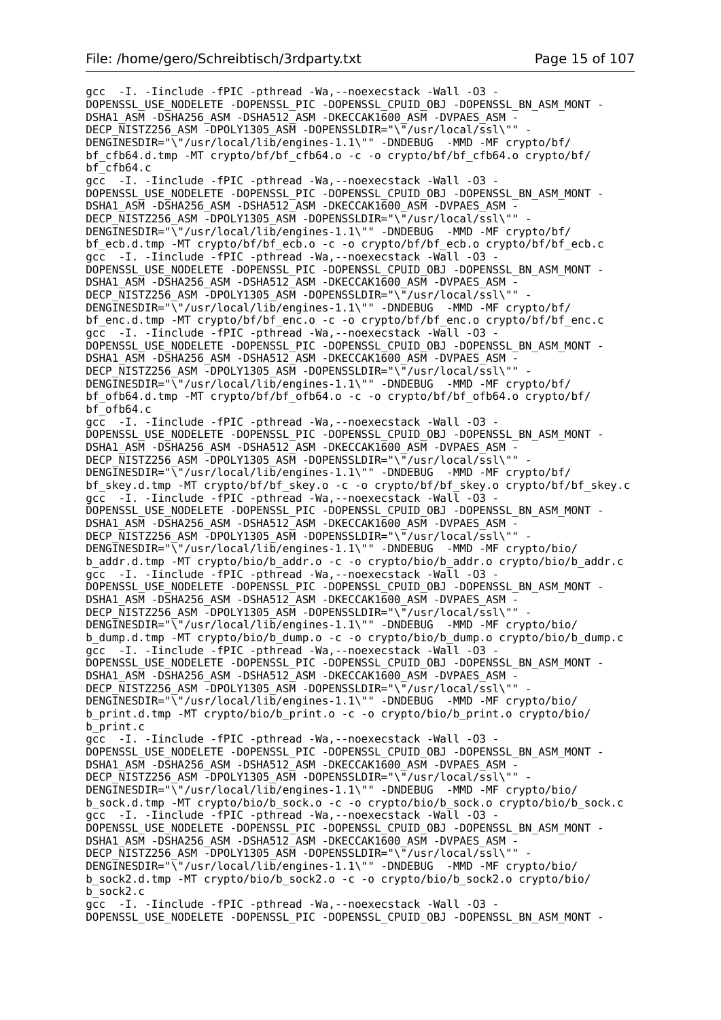gcc -I. -Iinclude -fPIC -pthread -Wa,--noexecstack -Wall -O3 - DOPENSSL\_USE\_NODELETE -DOPENSSL\_PIC -DOPENSSL\_CPUID\_OBJ -DOPENSSL\_BN\_ASM\_MONT - DSHA1\_ASM -DSHA256\_ASM -DSHA512\_ASM -DKECCAK1600\_ASM -DVPAES\_ASM - DECP NISTZ256 ASM -DPOLY1305 ASM -DOPENSSLDIR="\"/usr/local/ssl\"" DENGINESDIR="\"/usr/local/lib/engines-1.1\"" -DNDEBUG -MMD -MF crypto/bf/ bf\_cfb64.d.tmp -MT crypto/bf/bf\_cfb64.o -c -o crypto/bf/bf\_cfb64.o crypto/bf/ bf\_cfb64.c gcc -I. -Iinclude -fPIC -pthread -Wa,--noexecstack -Wall -O3 - DOPENSSL\_USE\_NODELETE -DOPENSSL\_PIC -DOPENSSL\_CPUID\_OBJ -DOPENSSL\_BN\_ASM\_MONT - DSHA1\_ASM -DSHA256\_ASM -DSHA512\_ASM -DKECCAK1600 ASM -DVPAES ASM -DECP NISTZ256 ASM -DPOLY1305 ASM -DOPENSSLDIR="\"/usr/local/ssl\"" DENGINESDIR="\"/usr/local/lib/engines-1.1\"" -DNDEBUG -MMD -MF crypto/bf/ bf\_ecb.d.tmp -MT crypto/bf/bf\_ecb.o -c -o crypto/bf/bf\_ecb.o crypto/bf/bf\_ecb.c gcc -I. -Iinclude -fPIC -pthread -Wa,--noexecstack -Wall -O3 - DOPENSSL\_USE\_NODELETE -DOPENSSL\_PIC -DOPENSSL\_CPUID\_OBJ -DOPENSSL\_BN\_ASM\_MONT - DSHA1\_ASM -DSHA256\_ASM -DSHA512\_ASM -DKECCAK1600\_ASM -DVPAES\_ASM -DECP NISTZ256 ASM -DPOLY1305 ASM -DOPENSSLDIR="\"/usr/local/ssl\"" DENGINESDIR="\"/usr/local/lib/engines-1.1\"" -DNDEBUG -MMD -MF crypto/bf/ bf\_enc.d.tmp -MT crypto/bf/bf\_enc.o -c -o crypto/bf/bf\_enc.o crypto/bf/bf\_enc.c gcc -I. -Iinclude -fPIC -pthread -Wa,--noexecstack -Wall -O3 - DOPENSSL\_USE\_NODELETE -DOPENSSL\_PIC -DOPENSSL\_CPUID\_OBJ\_-DOPENSSL\_BN\_ASM\_MONT -DSHA1\_ASM -DSHA256\_ASM -DSHA512\_ASM -DKECCAK1600\_ASM -DVPAES\_ASM -DECP NISTZ256 ASM -DPOLY1305 ASM -DOPENSSLDIR="\"/usr/local/ssl\"" DENGINESDIR="\"/usr/local/lib/engines-1.1\"" -DNDEBUG -MMD -MF crypto/bf/ bf\_ofb64.d.tmp -MT crypto/bf/bf\_ofb64.o -c -o crypto/bf/bf\_ofb64.o crypto/bf/  $bf^-$ ofb64.c gcc -I. -Iinclude -fPIC -pthread -Wa, --noexecstack -Wall -03 -DOPENSSL\_USE\_NODELETE -DOPENSSL\_PIC -DOPENSSL\_CPUID\_OBJ -DOPENSSL\_BN\_ASM\_MONT -DSHA1\_ASM -DSHA256\_ASM -DSHA512\_ASM -DKECCAK1600\_ASM -DVPAES\_ASM - DECP\_NISTZ256\_ASM -DPOLY1305\_ASM -DOPENSSLDIR="\"/usr/local/ssl\"" DENGINESDIR="\"/usr/local/lib/engines-1.1\"" -DNDEBUG -MMD -MF crypto/bf/ bf skey.d.tmp -MT crypto/bf/bf skey.o -c -o crypto/bf/bf skey.o crypto/bf/bf skey.c gcc -I. -Iinclude -fPIC -pthread -Wa,--noexecstack -Wall -O3 - DOPENSSL\_USE\_NODELETE -DOPENSSL\_PIC -DOPENSSL\_CPUID\_OBJ -DOPENSSL\_BN\_ASM\_MONT - DSHA1\_ASM -DSHA256\_ASM -DSHA512\_ASM -DKECCAK1600\_ASM -DVPAES\_ASM - DECP\_NISTZ256\_ASM -DPOLY1305\_ASM -DOPENSSLDIR="\"/usr/local/ssl\"" DENGINESDIR="\"/usr/local/lib/engines-1.1\"" -DNDEBUG -MMD -MF crypto/bio/ b\_addr.d.tmp -MT crypto/bio/b\_addr.o -c -o crypto/bio/b\_addr.o crypto/bio/b\_addr.c gcc -I. -Iinclude -fPIC -pthread -Wa,--noexecstack -Wall -O3 - DOPENSSL\_USE\_NODELETE -DOPENSSL\_PIC -DOPENSSL\_CPUID\_OBJ -DOPENSSL\_BN\_ASM\_MONT -DSHA1\_ASM -DSHA256\_ASM -DSHA512\_ASM -DKECCAK1600\_ASM -DVPAES\_ASM -DECP NISTZ256 ASM -DPOLY1305 ASM -DOPENSSLDIR="\"/usr/local/ssl\"" DENGINESDIR="\"/usr/local/lib/engines-1.1\"" -DNDEBUG -MMD -MF crypto/bio/ b\_dump.d.tmp -MT crypto/bio/b\_dump.o -c -o crypto/bio/b\_dump.o crypto/bio/b\_dump.c gcc -I. -Iinclude -fPIC -pthread -Wa,--noexecstack -Wall -O3 - DOPENSSL\_USE\_NODELETE -DOPENSSL\_PIC -DOPENSSL\_CPUID\_OBJ -DOPENSSL\_BN\_ASM\_MONT -DSHA1\_ASM -DSHA256\_ASM -DSHA512\_ASM -DKECCAK1600\_ASM -DVPAES\_ASM -DECP NISTZ256 ASM -DPOLY1305 ASM -DOPENSSLDIR="\"/usr/local/ssl\"" DENGINESDIR="\"/usr/local/lib/engines-1.1\"" -DNDEBUG -MMD -MF crypto/bio/ b\_print.d.tmp -MT crypto/bio/b\_print.o -c -o crypto/bio/b\_print.o crypto/bio/ b\_print.c gcc -I. -Iinclude -fPIC -pthread -Wa,--noexecstack -Wall -O3 - DOPENSSL\_USE\_NODELETE -DOPENSSL\_PIC -DOPENSSL\_CPUID\_OBJ -DOPENSSL\_BN\_ASM\_MONT - DSHA1\_ASM -DSHA256\_ASM -DSHA512\_ASM -DKECCAK1600\_ASM -DVPAES\_ASM -DECP  $\overline{\text{N}}$ ISTZ256 ASM -DPOLY1305 ASM -DOPENSSLDIR="\"/usr/local/ssl\"" DENGINESDIR="\"/usr/local/lib/engines-1.1\"" -DNDEBUG -MMD -MF crypto/bio/ b\_sock.d.tmp -MT crypto/bio/b\_sock.o -c -o crypto/bio/b\_sock.o crypto/bio/b\_sock.c gcc -I. -Iinclude -fPIC -pthread -Wa, --noexecstack -Wall -03 DOPENSSL\_USE\_NODELETE -DOPENSSL\_PIC -DOPENSSL\_CPUID\_OBJ\_-DOPENSSL\_BN\_ASM\_MONT -DSHA1\_ASM -DSHA256\_ASM -DSHA512\_ASM -DKECCAK1600\_ASM -DVPAES\_ASM -DECP NISTZ256 ASM -DPOLY1305 ASM -DOPENSSLDIR="\"/usr/local/ssl\"" DENGINESDIR="\"/usr/local/lib/engines-1.1\"" -DNDEBUG -MMD -MF crypto/bio/ b\_sock2.d.tmp -MT crypto/bio/b\_sock2.o -c -o crypto/bio/b\_sock2.o crypto/bio/ b\_sock2.c gcc -I. -Iinclude -fPIC -pthread -Wa,--noexecstack -Wall -O3 - DOPENSSL\_USE\_NODELETE -DOPENSSL\_PIC -DOPENSSL\_CPUID\_OBJ -DOPENSSL\_BN\_ASM\_MONT -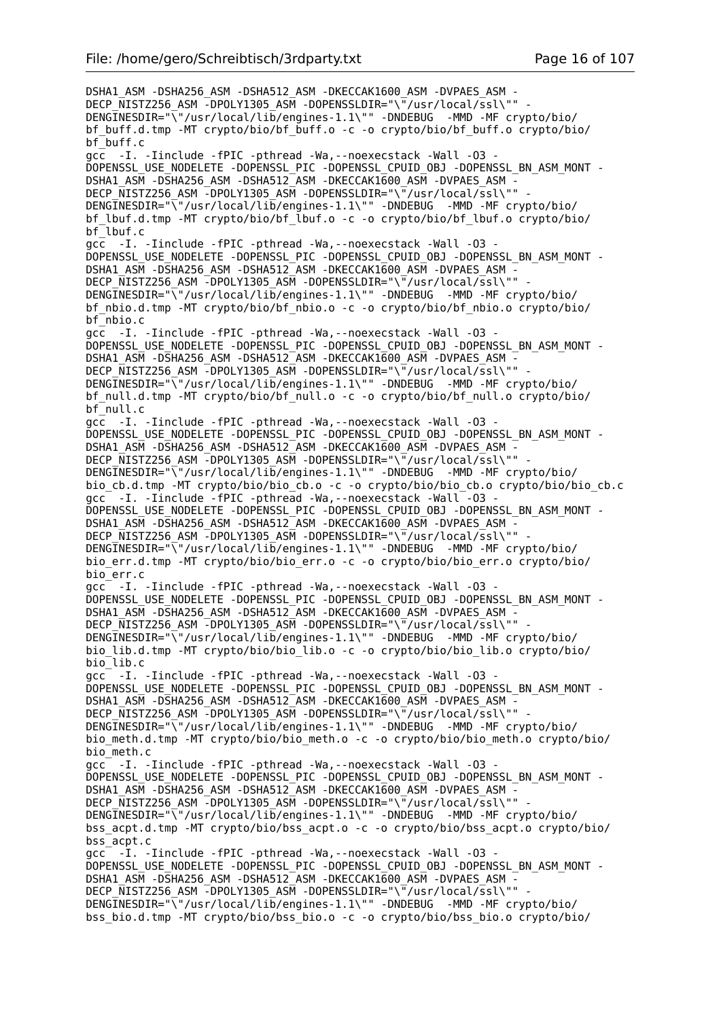DSHA1\_ASM -DSHA256\_ASM -DSHA512\_ASM -DKECCAK1600\_ASM -DVPAES\_ASM - DECP\_NISTZ256\_ASM -DPOLY1305\_ASM -DOPENSSLDIR="\"/usr/local/ssl\"" DENGINESDIR="\"/usr/local/lib/engines-1.1\"" -DNDEBUG -MMD -MF crypto/bio/ bf buff.d.tmp -MT crypto/bio/bf buff.o -c -o crypto/bio/bf buff.o crypto/bio/ bf\_buff.c gcc -I. -Iinclude -fPIC -pthread -Wa,--noexecstack -Wall -O3 - DOPENSSL\_USE\_NODELETE -DOPENSSL\_PIC -DOPENSSL\_CPUID\_OBJ -DOPENSSL\_BN\_ASM\_MONT - DSHA1\_ASM -DSHA256\_ASM -DSHA512\_ASM -DKECCAK1600\_ASM -DVPAES\_ASM DECP\_NISTZ256\_ASM -DPOLY1305\_ASM -DOPENSSLDIR="\"/usr/local/ssl\"" -DENGINESDIR="\"/usr/local/lib/engines-1.1\"" -DNDEBUG -MMD -MF crypto/bio/ bf\_lbuf.d.tmp -MT crypto/bio/bf\_lbuf.o -c -o crypto/bio/bf\_lbuf.o crypto/bio/ bf\_lbuf.c qcc -I. -Iinclude -fPIC -pthread -Wa, --noexecstack -Wall -03 -DOPENSSL\_USE\_NODELETE -DOPENSSL\_PIC -DOPENSSL\_CPUID\_OBJ -DOPENSSL\_BN\_ASM\_MONT - DSHA1\_ASM -DSHA256\_ASM -DSHA512\_ASM -DKECCAK1600\_ASM -DVPAES\_ASM -DECP\_NISTZ256\_ASM\_-DPOLY1305\_ASM\_-DOPENSSLDIR="\"/usr/local/ssl\"" DENGINESDIR="\"/usr/local/lib/engines-1.1\"" -DNDEBUG -MMD -MF crypto/bio/ bf\_nbio.d.tmp -MT crypto/bio/bf\_nbio.o -c -o crypto/bio/bf\_nbio.o crypto/bio/ bf\_nbio.c gcc -I. -Iinclude -fPIC -pthread -Wa,--noexecstack -Wall -O3 - DOPENSSL\_USE\_NODELETE -DOPENSSL\_PIC -DOPENSSL\_CPUID\_OBJ -DOPENSSL\_BN\_ASM\_MONT - DSHA1\_ASM -DSHA256\_ASM -DSHA512\_ASM -DKECCAK1600\_ASM -DVPAES\_ASM -DECP NISTZ256 ASM -DPOLY1305 ASM -DOPENSSLDIR="\"/usr/local/ssl\"" DENGINESDIR="\"/usr/local/lib/engines-1.1\"" -DNDEBUG -MMD -MF crypto/bio/ bf null.d.tmp -MT crypto/bio/bf null.o -c -o crypto/bio/bf null.o crypto/bio/ bf\_null.c gcc -I. -Iinclude -fPIC -pthread -Wa, --noexecstack -Wall -03 -DOPENSSL\_USE\_NODELETE -DOPENSSL\_PIC -DOPENSSL\_CPUID\_OBJ -DOPENSSL\_BN\_ASM\_MONT -DSHA1\_ASM -DSHA256\_ASM -DSHA512\_ASM -DKECCAK1600\_ASM -DVPAES\_ASM - DECP\_NISTZ256\_ASM -DPOLY1305\_ASM -DOPENSSLDIR="\"/usr/local/ssl\"" DENGINESDIR="\"/usr/local/lib/engines-1.1\"" -DNDEBUG -MMD -MF crypto/bio/ bio\_cb.d.tmp -MT crypto/bio/bio\_cb.o -c -o crypto/bio/bio\_cb.o crypto/bio/bio\_cb.c gcc -I. -Iinclude -fPIC -pthread -Wa,--noexecstack -Wall -O3 - DOPENSSL\_USE\_NODELETE -DOPENSSL\_PIC -DOPENSSL\_CPUID\_OBJ -DOPENSSL\_BN\_ASM\_MONT - DSHA1\_ASM -DSHA256\_ASM -DSHA512\_ASM -DKECCAK1600\_ASM -DVPAES\_ASM DECP\_NISTZ256\_ASM -DPOLY1305\_ASM -DOPENSSLDIR="\"/usr/local/ssl\"" DENGINESDIR="\"/usr/local/lib/engines-1.1\"" -DNDEBUG -MMD -MF crypto/bio/ bio\_err.d.tmp -MT crypto/bio/bio\_err.o -c -o crypto/bio/bio\_err.o crypto/bio/ bio\_err.c gcc -I. -Iinclude -fPIC -pthread -Wa,--noexecstack -Wall -O3 - DOPENSSL\_USE\_NODELETE -DOPENSSL\_PIC -DOPENSSL\_CPUID\_OBJ -DOPENSSL\_BN\_ASM\_MONT - DSHA1\_ASM -DSHA256\_ASM -DSHA512\_ASM -DKECCAK1600\_ASM -DVPAES\_ASM - DECP\_NISTZ256\_ASM -DPOLY1305\_ASM -DOPENSSLDIR="\"/usr/local/ssl\"" DENGINESDIR="\"/usr/local/lib/engines-1.1\"" -DNDEBUG -MMD -MF crypto/bio/ bio\_lib.d.tmp -MT crypto/bio/bio\_lib.o -c -o crypto/bio/bio\_lib.o crypto/bio/ bio\_lib.c gcc -I. -Iinclude -fPIC -pthread -Wa,--noexecstack -Wall -O3 - DOPENSSL\_USE\_NODELETE -DOPENSSL\_PIC -DOPENSSL\_CPUID\_OBJ -DOPENSSL\_BN\_ASM\_MONT - DSHA1\_ASM -DSHA256\_ASM -DSHA512\_ASM -DKECCAK1600\_ASM -DVPAES\_ASM - DECP\_NISTZ256\_ASM -DPOLY1305\_ASM -DOPENSSLDIR="\"/usr/local/ssl\"" DENGINESDIR="\"/usr/local/lib/engines-1.1\"" -DNDEBUG -MMD -MF crypto/bio/ bio meth.d.tmp -MT crypto/bio/bio meth.o -c -o crypto/bio/bio meth.o crypto/bio/ bio\_meth.c gcc -I. -Iinclude -fPIC -pthread -Wa,--noexecstack -Wall -O3 - DOPENSSL\_USE\_NODELETE -DOPENSSL\_PIC -DOPENSSL\_CPUID\_OBJ -DOPENSSL\_BN\_ASM\_MONT - DSHA1\_ASM -DSHA256\_ASM -DSHA512\_ASM -DKECCAK1600\_ASM -DVPAES\_ASM -DECP NISTZ256 ASM -DPOLY1305 ASM -DOPENSSLDIR="\"/usr/local/ssl\"" DENGINESDIR="\"/usr/local/lib/engines-1.1\"" -DNDEBUG -MMD -MF crypto/bio/ bss acpt.d.tmp -MT crypto/bio/bss acpt.o -c -o crypto/bio/bss acpt.o crypto/bio/ bss\_acpt.c gcc -I. -Iinclude -fPIC -pthread -Wa,--noexecstack -Wall -O3 - DOPENSSL\_USE\_NODELETE -DOPENSSL\_PIC -DOPENSSL\_CPUID\_OBJ -DOPENSSL\_BN\_ASM\_MONT - DSHA1\_ASM -DSHA256\_ASM -DSHA512\_ASM -DKECCAK1600\_ASM -DVPAES\_ASM - DECP\_NISTZ256\_ASM -DPOLY1305\_ASM -DOPENSSLDIR="\"/usr/local/ssl\"" DENGINESDIR="\"/usr/local/lib/engines-1.1\"" -DNDEBUG -MMD -MF crypto/bio/ bss\_bio.d.tmp -MT crypto/bio/bss\_bio.o -c -o crypto/bio/bss\_bio.o crypto/bio/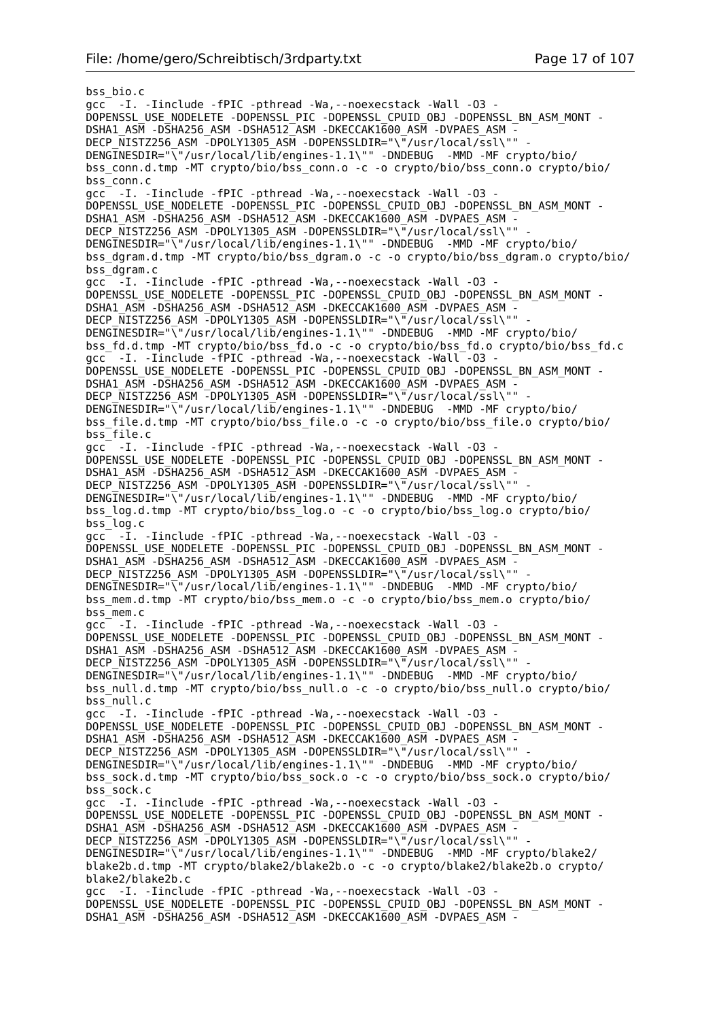bss\_bio.c gcc -I. -Iinclude -fPIC -pthread -Wa,--noexecstack -Wall -O3 - DOPENSSL\_USE\_NODELETE -DOPENSSL\_PIC -DOPENSSL\_CPUID\_OBJ -DOPENSSL\_BN\_ASM\_MONT - DSHA1\_ASM -DSHA256\_ASM -DSHA512\_ASM -DKECCAK1600\_ASM -DVPAES\_ASM - DECP\_NISTZ256\_ASM -DPOLY1305\_ASM -DOPENSSLDIR="\"/usr/local/ssl\"" DENGINESDIR="\"/usr/local/lib/engines-1.1\"" -DNDEBUG -MMD -MF crypto/bio/ bss\_conn.d.tmp -MT crypto/bio/bss\_conn.o -c -o crypto/bio/bss\_conn.o crypto/bio/ bss<sup>-</sup>conn.c gcc -I. -Iinclude -fPIC -pthread -Wa,--noexecstack -Wall -O3 - DOPENSSL\_USE\_NODELETE -DOPENSSL\_PIC -DOPENSSL\_CPUID\_OBJ -DOPENSSL\_BN\_ASM\_MONT -DSHA1\_ASM -DSHA256\_ASM -DSHA512\_ASM -DKECCAK1600\_ASM -DVPAES\_ASM -DECP\_NISTZ256\_ASM -DPOLY1305\_ASM -DOPENSSLDIR="\"/usr/local/ssl\"" DENGINESDIR="\"/usr/local/lib/engines-1.1\"" -DNDEBUG -MMD -MF crypto/bio/ bss\_dgram.d.tmp -MT crypto/bio/bss\_dgram.o -c -o crypto/bio/bss\_dgram.o crypto/bio/ bss\_dgram.c gcc -I. -Iinclude -fPIC -pthread -Wa,--noexecstack -Wall -O3 - DOPENSSL\_USE\_NODELETE -DOPENSSL\_PIC -DOPENSSL\_CPUID\_OBJ\_-DOPENSSL\_BN\_ASM\_MONT -DSHA1\_ASM -DSHA256\_ASM -DSHA512\_ASM -DKECCAK1600\_ASM -DVPAES\_ASM -DECP NISTZ256 ASM -DPOLY1305 ASM -DOPENSSLDIR="\"/usr/local/ssl\"" DENGINESDIR="\"/usr/local/lib/engines-1.1\"" -DNDEBUG -MMD -MF crypto/bio/ bss\_fd.d.tmp -MT crypto/bio/bss\_fd.o -c -o crypto/bio/bss\_fd.o crypto/bio/bss\_fd.c gcc<sup>-</sup> -I. -Iinclude -fPIC -pthread -Wa, --noexecstack -Wall<sup>-</sup>-03 -DOPENSSL\_USE\_NODELETE -DOPENSSL\_PIC -DOPENSSL\_CPUID\_OBJ -DOPENSSL\_BN\_ASM\_MONT - DSHA1\_ASM -DSHA256\_ASM -DSHA512\_ASM -DKECCAK1600 ASM -DVPAES ASM -DECP\_NISTZ256\_ASM -DPOLY1305\_ASM -DOPENSSLDIR="\"/usr/local/ssl\"" -DENGINESDIR="\"/usr/local/lib/engines-1.1\"" -DNDEBUG -MMD -MF crypto/bio/ bss\_file.d.tmp -MT crypto/bio/bss\_file.o -c -o crypto/bio/bss\_file.o crypto/bio/ bss\_file.c gcc -I. -Iinclude -fPIC -pthread -Wa,--noexecstack -Wall -O3 - DOPENSSL\_USE\_NODELETE -DOPENSSL\_PIC -DOPENSSL\_CPUID\_OBJ -DOPENSSL\_BN\_ASM\_MONT - DSHA1\_ASM -DSHA256\_ASM -DSHA512\_ASM -DKECCAK1600\_ASM -DVPAES\_ASM DECP NISTZ256 ASM -DPOLY1305 ASM -DOPENSSLDIR="\"/usr/local/ssl\"" DENGINESDIR="\"/usr/local/lib/engines-1.1\"" -DNDEBUG -MMD -MF crypto/bio/ bss\_log.d.tmp -MT crypto/bio/bss\_log.o -c -o crypto/bio/bss\_log.o crypto/bio/ bss\_log.c gcc -I. -Iinclude -fPIC -pthread -Wa,--noexecstack -Wall -O3 - DOPENSSL\_USE\_NODELETE -DOPENSSL\_PIC -DOPENSSL\_CPUID\_OBJ -DOPENSSL\_BN\_ASM\_MONT - DSHA1\_ASM -DSHA256\_ASM -DSHA512\_ASM -DKECCAK1600\_ASM -DVPAES\_ASM - DECP\_NISTZ256\_ASM -DPOLY1305\_ASM -DOPENSSLDIR="\"/usr/local/ssl\"" -DENGINESDIR="\"/usr/local/lib/engines-1.1\"" -DNDEBUG -MMD -MF crypto/bio/ bss\_mem.d.tmp -MT crypto/bio/bss\_mem.o -c -o crypto/bio/bss\_mem.o crypto/bio/ bss\_mem.c gcc -I. -Iinclude -fPIC -pthread -Wa,--noexecstack -Wall -O3 - DOPENSSL\_USE\_NODELETE -DOPENSSL\_PIC -DOPENSSL\_CPUID\_OBJ -DOPENSSL\_BN\_ASM\_MONT - DSHA1\_ASM -DSHA256\_ASM -DSHA512\_ASM -DKECCAK1600\_ASM -DVPAES\_ASM -DECP NISTZ256 ASM -DPOLY1305 ASM -DOPENSSLDIR="\"/usr/local/ssl\"" DENGINESDIR="\"/usr/local/lib/engines-1.1\"" -DNDEBUG -MMD -MF crypto/bio/ bss null.d.tmp -MT crypto/bio/bss null.o -c -o crypto/bio/bss null.o crypto/bio/ bss\_null.c gcc -I. -Iinclude -fPIC -pthread -Wa,--noexecstack -Wall -O3 - DOPENSSL\_USE\_NODELETE -DOPENSSL\_PIC -DOPENSSL\_CPUID\_OBJ -DOPENSSL\_BN\_ASM\_MONT - DSHA1\_ASM -DSHA256\_ASM -DSHA512\_ASM -DKECCAK1600\_ASM -DVPAES\_ASM -DECP NISTZ256 ASM -DPOLY1305 ASM -DOPENSSLDIR="\"/usr/local/ssl\"" DENGINESDIR="\"/usr/local/lib/engines-1.1\"" -DNDEBUG -MMD -MF crypto/bio/ bss\_sock.d.tmp -MT crypto/bio/bss\_sock.o -c -o crypto/bio/bss\_sock.o crypto/bio/ bss\_sock.c gcc -I. -Iinclude -fPIC -pthread -Wa,--noexecstack -Wall -O3 - DOPENSSL\_USE\_NODELETE -DOPENSSL\_PIC -DOPENSSL\_CPUID\_OBJ -DOPENSSL\_BN\_ASM\_MONT - DSHA1\_ASM -DSHA256\_ASM -DSHA512\_ASM -DKECCAK1600\_ASM -DVPAES\_ASM -DECP\_NISTZ256\_ASM -DPOLY1305\_ASM -DOPENSSLDIR="\"/usr/local/ssl\"" DENGINESDIR="\"/usr/local/lib/engines-1.1\"" -DNDEBUG -MMD -MF crypto/blake2/ blake2b.d.tmp -MT crypto/blake2/blake2b.o -c -o crypto/blake2/blake2b.o crypto/ blake2/blake2b.c gcc -I. -Iinclude -fPIC -pthread -Wa,--noexecstack -Wall -O3 - DOPENSSL\_USE\_NODELETE -DOPENSSL\_PIC -DOPENSSL\_CPUID\_OBJ -DOPENSSL\_BN\_ASM\_MONT - DSHA1\_ASM -DSHA256\_ASM -DSHA512\_ASM -DKECCAK1600\_ASM -DVPAES\_ASM -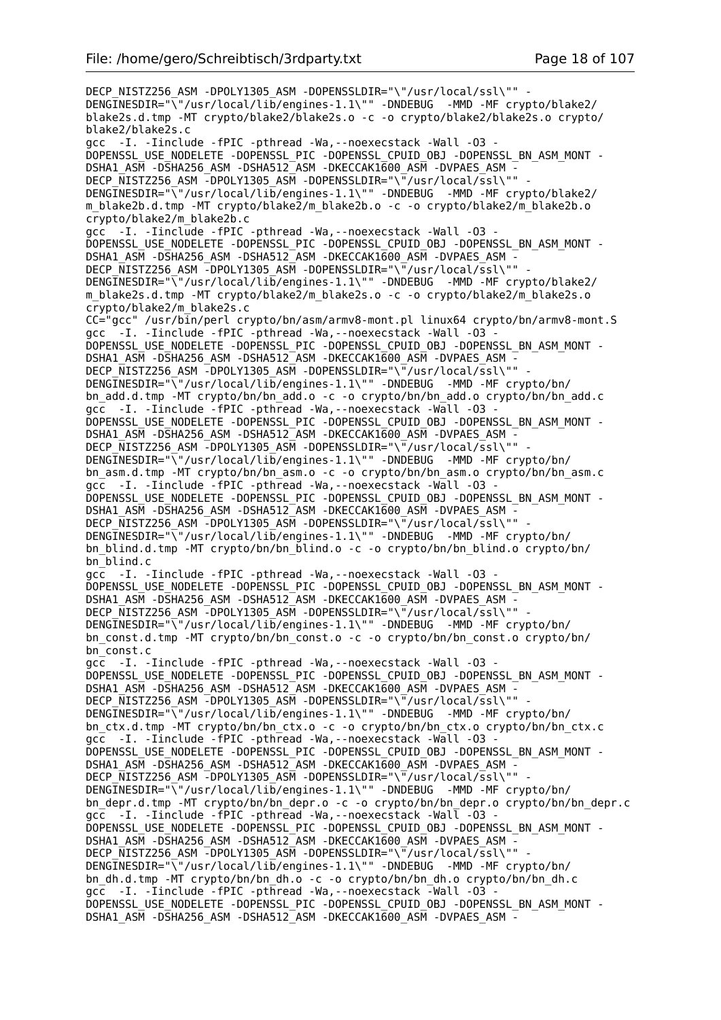DECP\_NISTZ256\_ASM -DPOLY1305\_ASM -DOPENSSLDIR="\"/usr/local/ssl\"" -DENGINESDIR="\"/usr/local/lib/engines-1.1\"" -DNDEBUG -MMD -MF crypto/blake2/ blake2s.d.tmp -MT crypto/blake2/blake2s.o -c -o crypto/blake2/blake2s.o crypto/ blake2/blake2s.c gcc -I. -Iinclude -fPIC -pthread -Wa,--noexecstack -Wall -O3 - DOPENSSL\_USE\_NODELETE -DOPENSSL\_PIC -DOPENSSL\_CPUID\_OBJ -DOPENSSL\_BN\_ASM\_MONT - DSHA1\_ASM -DSHA256\_ASM -DSHA512\_ASM -DKECCAK1600\_ASM -DVPAES\_ASM -DECP NISTZ256 ASM -DPOLY1305 ASM -DOPENSSLDIR="\"/usr/local/ssl\"" DENGINESDIR="\"/usr/local/lib/engines-1.1\"" -DNDEBUG -MMD -MF crypto/blake2/ m\_blake2b.d.tmp -MT crypto/blake2/m\_blake2b.o -c -o crypto/blake2/m\_blake2b.o crypto/blake2/m\_blake2b.c gcc -I. -Iinclude -fPIC -pthread -Wa, --noexecstack -Wall -03 -DOPENSSL\_USE\_NODELETE -DOPENSSL\_PIC -DOPENSSL\_CPUID\_OBJ\_-DOPENSSL\_BN\_ASM\_MONT -DSHA1\_ASM -DSHA256\_ASM -DSHA512\_ASM -DKECCAK1600\_ASM -DVPAES\_ASM -DECP NISTZ256 ASM -DPOLY1305 ASM -DOPENSSLDIR="\"/usr/local/ssl\"" DENGINESDIR="\"/usr/local/lib/engines-1.1\"" -DNDEBUG -MMD -MF crypto/blake2/ m\_blake2s.d.tmp -MT crypto/blake2/m\_blake2s.o -c -o crypto/blake2/m\_blake2s.o crypto/blake2/m\_blake2s.c CC="gcc" /usr/bin/perl crypto/bn/asm/armv8-mont.pl linux64 crypto/bn/armv8-mont.S gcc -I. -Iinclude -fPIC -pthread -Wa,--noexecstack -Wall -O3 - DOPENSSL\_USE\_NODELETE -DOPENSSL\_PIC -DOPENSSL\_CPUID\_OBJ\_-DOPENSSL\_BN\_ASM\_MONT -DSHA1\_ASM -DSHA256\_ASM -DSHA512\_ASM -DKECCAK1600\_ASM -DVPAES\_ASM -DECP NISTZ256 ASM -DPOLY1305 ASM -DOPENSSLDIR="\"/usr/local/ssl\"" DENGINESDIR="\"/usr/local/lib/engines-1.1\"" -DNDEBUG -MMD -MF crypto/bn/ bn\_add.d.tmp -MT crypto/bn/bn\_add.o -c -o crypto/bn/bn\_add.o crypto/bn/bn\_add.c gcc -I. -Iinclude -fPIC -pthread -Wa,--noexecstack -Wall -O3 - DOPENSSL\_USE\_NODELETE -DOPENSSL\_PIC -DOPENSSL\_CPUID\_OBJ -DOPENSSL\_BN\_ASM\_MONT - DSHA1\_ASM -DSHA256\_ASM -DSHA512\_ASM -DKECCAK1600\_ASM -DVPAES\_ASM - DECP\_NISTZ256\_ASM -DPOLY1305\_ASM -DOPENSSLDIR="\"/usr/local/ssl\"" - DENGINESDIR="\"/usr/local/lib/engines-1.1\"" -DNDEBUG -MMD -MF crypto/bn/ bn\_asm.d.tmp -MT crypto/bn/bn\_asm.o -c -o crypto/bn/bn\_asm.o crypto/bn/bn\_asm.c gcc -I. -Iinclude -fPIC -pthread -Wa,--noexecstack -Wall -O3 - DOPENSSL\_USE\_NODELETE -DOPENSSL\_PIC -DOPENSSL\_CPUID\_OBJ -DOPENSSL\_BN\_ASM\_MONT - DSHA1\_ASM -DSHA256\_ASM -DSHA512\_ASM -DKECCAK1600\_ASM -DVPAES\_ASM -DECP\_NISTZ256\_ASM -DPOLY1305\_ASM -DOPENSSLDIR="\"/usr/local/ssl\"" DENGINESDIR="\"/usr/local/lib/engines-1.1\"" -DNDEBUG -MMD -MF crypto/bn/ bn\_blind.d.tmp -MT crypto/bn/bn\_blind.o -c -o crypto/bn/bn\_blind.o crypto/bn/ bn\_blind.c gcc -I. -Iinclude -fPIC -pthread -Wa,--noexecstack -Wall -O3 - DOPENSSL\_USE\_NODELETE -DOPENSSL\_PIC -DOPENSSL\_CPUID\_OBJ -DOPENSSL\_BN\_ASM\_MONT - DSHA1\_ASM -DSHA256\_ASM -DSHA512\_ASM -DKECCAK1600\_ASM -DVPAES\_ASM -DECP NISTZ256 ASM -DPOLY1305 ASM -DOPENSSLDIR="\"/usr/local/ssl\"" DENGINESDIR="\"/usr/local/lib/engines-1.1\"" -DNDEBUG -MMD -MF crypto/bn/ bn\_const.d.tmp -MT crypto/bn/bn\_const.o -c -o crypto/bn/bn\_const.o crypto/bn/ bn\_const.c gcc -I. -Iinclude -fPIC -pthread -Wa,--noexecstack -Wall -O3 - DOPENSSL\_USE\_NODELETE -DOPENSSL\_PIC -DOPENSSL\_CPUID\_OBJ -DOPENSSL\_BN\_ASM\_MONT - DSHA1\_ASM -DSHA256\_ASM -DSHA512\_ASM -DKECCAK1600\_ASM -DVPAES\_ASM -DECP NISTZ256 ASM -DPOLY1305 ASM -DOPENSSLDIR="\"/usr/local/ssl\"" DENGINESDIR="\"/usr/local/lib/engines-1.1\"" -DNDEBUG -MMD -MF crypto/bn/ bn\_ctx.d.tmp -MT crypto/bn/bn\_ctx.o -c -o crypto/bn/bn\_ctx.o crypto/bn/bn\_ctx.c gcc -I. -Iinclude -fPIC -pthread -Wa,--noexecstack -Wall -O3 - DOPENSSL\_USE\_NODELETE -DOPENSSL\_PIC -DOPENSSL\_CPUID\_OBJ -DOPENSSL\_BN\_ASM\_MONT -DSHA1\_ASM -DSHA256\_ASM -DSHA512\_ASM -DKECCAK1600\_ASM -DVPAES ASM -DECP\_NISTZ256\_ASM -DPOLY1305\_ASM -DOPENSSLDIR="\"/usr/local/ssl\"" -DENGINESDIR="\"/usr/local/lib/engines-1.1\"" -DNDEBUG -MMD -MF crypto/bn/ bn\_depr.d.tmp -MT crypto/bn/bn\_depr.o -c -o crypto/bn/bn\_depr.o crypto/bn/bn\_depr.c gcc -I. -Iinclude -fPIC -pthread -Wa,--noexecstack -Wall -O3 - DOPENSSL\_USE\_NODELETE -DOPENSSL\_PIC -DOPENSSL\_CPUID\_OBJ\_-DOPENSSL\_BN\_ASM\_MONT -DSHA1\_ASM -DSHA256\_ASM -DSHA512\_ASM -DKECCAK1600\_ASM -DVPAES\_ASM -DECP NISTZ256 ASM -DPOLY1305 ASM -DOPENSSLDIR="\"/usr/local/ssl\"" DENGINESDIR="\"/usr/local/lib/engines-1.1\"" -DNDEBUG -MMD -MF crypto/bn/ bn\_dh.d.tmp -MT crypto/bn/bn\_dh.o -c -o crypto/bn/bn\_dh.o crypto/bn/bn\_dh.c gcc -I. -Iinclude -fPIC -pthread -Wa,--noexecstack -Wall -O3 - DOPENSSL\_USE\_NODELETE -DOPENSSL\_PIC -DOPENSSL\_CPUID\_OBJ -DOPENSSL\_BN\_ASM\_MONT - DSHA1\_ASM -DSHA256\_ASM -DSHA512\_ASM -DKECCAK1600\_ASM -DVPAES\_ASM -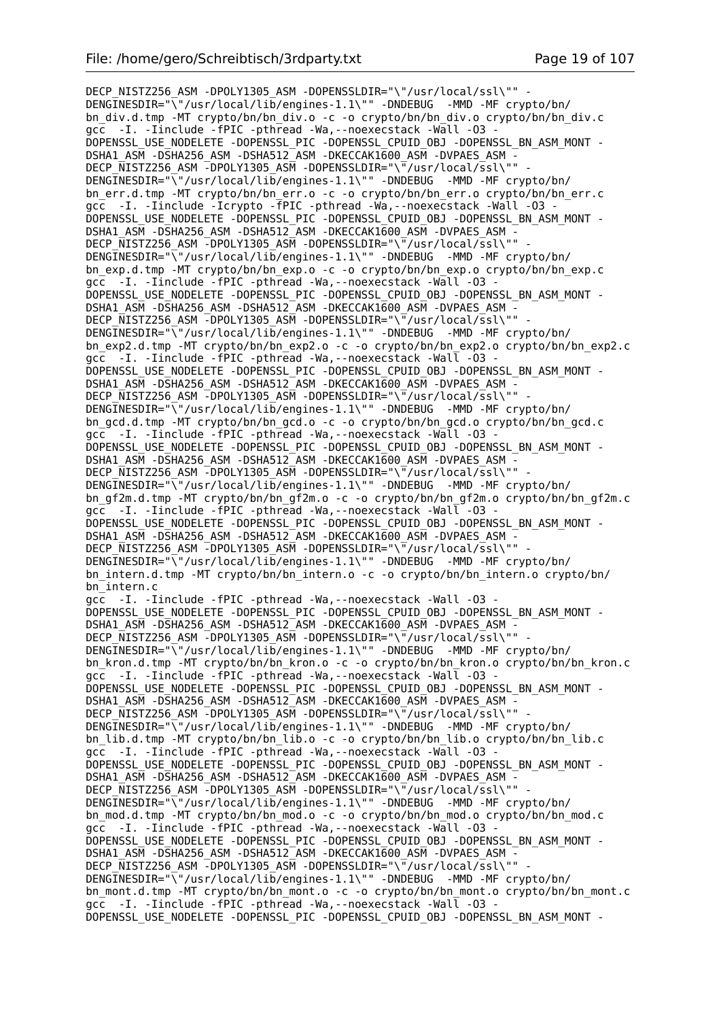DECP\_NISTZ256\_ASM -DPOLY1305\_ASM -DOPENSSLDIR="\"/usr/local/ssl\"" -DENGINESDIR="\"/usr/local/lib/engines-1.1\"" -DNDEBUG -MMD -MF crypto/bn/ bn\_div.d.tmp -MT crypto/bn/bn\_div.o -c -o crypto/bn/bn\_div.o crypto/bn/bn\_div.c gcc -I. -Iinclude -fPIC -pthread -Wa,--noexecstack -Wall -O3 - DOPENSSL\_USE\_NODELETE -DOPENSSL\_PIC -DOPENSSL\_CPUID\_OBJ -DOPENSSL\_BN\_ASM\_MONT - DSHA1\_ASM -DSHA256\_ASM -DSHA512\_ASM -DKECCAK1600\_ASM -DVPAES\_ASM - DECP\_NISTZ256\_ASM -DPOLY1305\_ASM -DOPENSSLDIR="\"/usr/local/ssl\"" -DENGINESDIR="\"/usr/local/lib/engines-1.1\"" -DNDEBUG -MMD -MF crypto/bn/ bn\_err.d.tmp -MT crypto/bn/bn\_err.o -c -o crypto/bn/bn\_err.o crypto/bn/bn\_err.c gcc -I. -Iinclude -Icrypto -fPIC -pthread -Wa,--noexecstack -Wall -O3 - DOPENSSL\_USE\_NODELETE -DOPENSSL\_PIC -DOPENSSL\_CPUID\_OBJ -DOPENSSL\_BN\_ASM\_MONT - DSHA1\_ASM -DSHA256\_ASM -DSHA512\_ASM -DKECCAK1600\_ASM -DVPAES\_ASM - DECP NISTZ256 ASM  $\overline{-}$ DPOLY1305 ASM -DOPENSSLDIR="\ $\overline{-}/$ usr/local/ssl\"" DENGINESDIR="\"/usr/local/lib/engines-1.1\"" -DNDEBUG -MMD -MF crypto/bn/ bn\_exp.d.tmp -MT crypto/bn/bn\_exp.o -c -o crypto/bn/bn\_exp.o crypto/bn/bn\_exp.c gcc -I. -Iinclude -fPIC -pthread -Wa,--noexecstack -Wall -O3 - DOPENSSL\_USE\_NODELETE -DOPENSSL\_PIC -DOPENSSL\_CPUID\_OBJ -DOPENSSL\_BN\_ASM\_MONT -DSHA1\_ASM -DSHA256\_ASM -DSHA512\_ASM -DKECCAK1600\_ASM -DVPAES\_ASM -DECP NISTZ256 ASM -DPOLY1305 ASM -DOPENSSLDIR="\"/usr/local/ssl\"" DENGINESDIR="\"/usr/local/lib/engines-1.1\"" -DNDEBUG -MMD -MF crypto/bn/ bn\_exp2.d.tmp -MT crypto/bn/bn\_exp2.o -c -o crypto/bn/bn\_exp2.o crypto/bn/bn\_exp2.c gcc -I. -Iinclude -fPIC -pthread -Wa, --noexecstack -Wall -03 -DOPENSSL\_USE\_NODELETE -DOPENSSL\_PIC -DOPENSSL\_CPUID\_OBJ -DOPENSSL\_BN\_ASM\_MONT - DSHA1\_ASM -DSHA256\_ASM -DSHA512\_ASM -DKECCAK1600 ASM -DVPAES ASM -DECP\_NISTZ256\_ASM -DPOLY1305\_ASM -DOPENSSLDIR="\"/usr/local/ssl\"" DENGINESDIR="\"/usr/local/lib/engines-1.1\"" -DNDEBUG -MMD -MF crypto/bn/ bn\_gcd.d.tmp -MT crypto/bn/bn\_gcd.o -c -o crypto/bn/bn\_gcd.o crypto/bn/bn\_gcd.c gcc -I. -Iinclude -fPIC -pthread -Wa,--noexecstack -Wall -O3 - DOPENSSL\_USE\_NODELETE -DOPENSSL\_PIC -DOPENSSL\_CPUID\_OBJ -DOPENSSL\_BN\_ASM\_MONT -DSHA1\_ASM -DSHA256\_ASM -DSHA512\_ASM -DKECCAK1600\_ASM -DVPAES\_ASM -DECP NISTZ256 ASM -DPOLY1305 ASM -DOPENSSLDIR="\"/usr/local/ssl\"" DENGINESDIR="\"/usr/local/lib/engines-1.1\"" -DNDEBUG -MMD -MF crypto/bn/ bn\_gf2m.d.tmp -MT crypto/bn/bn\_gf2m.o -c -o crypto/bn/bn\_gf2m.o crypto/bn/bn\_gf2m.c gcc -I. -Iinclude -fPIC -pthread -Wa,--noexecstack -Wall -O3 - DOPENSSL\_USE\_NODELETE -DOPENSSL\_PIC -DOPENSSL\_CPUID\_OBJ -DOPENSSL\_BN\_ASM\_MONT - DSHA1\_ASM -DSHA256\_ASM -DSHA512\_ASM -DKECCAK1600\_ASM -DVPAES\_ASM - DECP\_NISTZ256\_ASM -DPOLY1305\_ASM -DOPENSSLDIR="\"/usr/local/ssl\"" DENGINESDIR="\"/usr/local/lib/engines-1.1\"" -DNDEBUG -MMD -MF crypto/bn/ bn\_intern.d.tmp -MT crypto/bn/bn\_intern.o -c -o crypto/bn/bn\_intern.o crypto/bn/ bn\_intern.c gcc -I. -Iinclude -fPIC -pthread -Wa,--noexecstack -Wall -O3 - DOPENSSL\_USE\_NODELETE -DOPENSSL\_PIC -DOPENSSL\_CPUID\_OBJ -DOPENSSL\_BN\_ASM\_MONT - DSHA1\_ASM -DSHA256\_ASM -DSHA512\_ASM -DKECCAK1600\_ASM -DVPAES\_ASM - DECP NISTZ256 ASM -DPOLY1305 ASM -DOPENSSLDIR="\"/usr/local/ssl\"" DENGINESDIR="\"/usr/local/lib/engines-1.1\"" -DNDEBUG -MMD -MF crypto/bn/ bn\_kron.d.tmp -MT crypto/bn/bn\_kron.o -c -o crypto/bn/bn\_kron.o crypto/bn/bn\_kron.c gcc -I. -Iinclude -fPIC -pthread -Wa,--noexecstack -Wall -O3 - DOPENSSL\_USE\_NODELETE -DOPENSSL\_PIC -DOPENSSL\_CPUID\_OBJ -DOPENSSL\_BN\_ASM\_MONT - DSHA1\_ASM -DSHA256\_ASM -DSHA512\_ASM -DKECCAK1600\_ASM -DVPAES\_ASM - DECP\_NISTZ256\_ASM -DPOLY1305\_ASM -DOPENSSLDIR="\"/usr/local/ssl\"" - DENGINESDIR="\"/usr/local/lib/engines-1.1\"" -DNDEBUG -MMD -MF crypto/bn/ bn lib.d.tmp -MT crypto/bn/bn lib.o -c -o crypto/bn/bn lib.o crypto/bn/bn lib.c gcc -I. -Iinclude -fPIC -pthread -Wa,--noexecstack -Wall -O3 - DOPENSSL\_USE\_NODELETE -DOPENSSL\_PIC -DOPENSSL\_CPUID\_OBJ -DOPENSSL\_BN\_ASM\_MONT -DSHA1\_ASM -DSHA256\_ASM -DSHA512\_ASM -DKECCAK1600\_ASM -DVPAES\_ASM -DECP\_NISTZ256\_ASM -DPOLY1305\_ASM -DOPENSSLDIR="\"/usr/local/ssl\"" DENGINESDIR="\"/usr/local/lib/engines-1.1\"" -DNDEBUG -MMD -MF crypto/bn/ bn\_mod.d.tmp -MT crypto/bn/bn\_mod.o -c -o crypto/bn/bn\_mod.o crypto/bn/bn\_mod.c gcc -I. -Iinclude -fPIC -pthread -Wa,--noexecstack -Wall -O3 - DOPENSSL\_USE\_NODELETE -DOPENSSL\_PIC -DOPENSSL\_CPUID\_OBJ -DOPENSSL\_BN\_ASM\_MONT - DSHA1\_ASM -DSHA256\_ASM -DSHA512\_ASM -DKECCAK1600\_ASM -DVPAES\_ASM -DECP NISTZ256 ASM -DPOLY1305 ASM -DOPENSSLDIR="\"/usr/local/ssl\"" DENGINESDIR="\"/usr/local/lib/engines-1.1\"" -DNDEBUG -MMD -MF crypto/bn/ bn\_mont.d.tmp -MT crypto/bn/bn\_mont.o -c -o crypto/bn/bn\_mont.o crypto/bn/bn\_mont.c  $\overline{gcc}$  -I. -Iinclude -fPIC -pthread -Wa, --noexecstack -Wall -03 -DOPENSSL\_USE\_NODELETE -DOPENSSL\_PIC -DOPENSSL\_CPUID\_OBJ -DOPENSSL\_BN\_ASM\_MONT -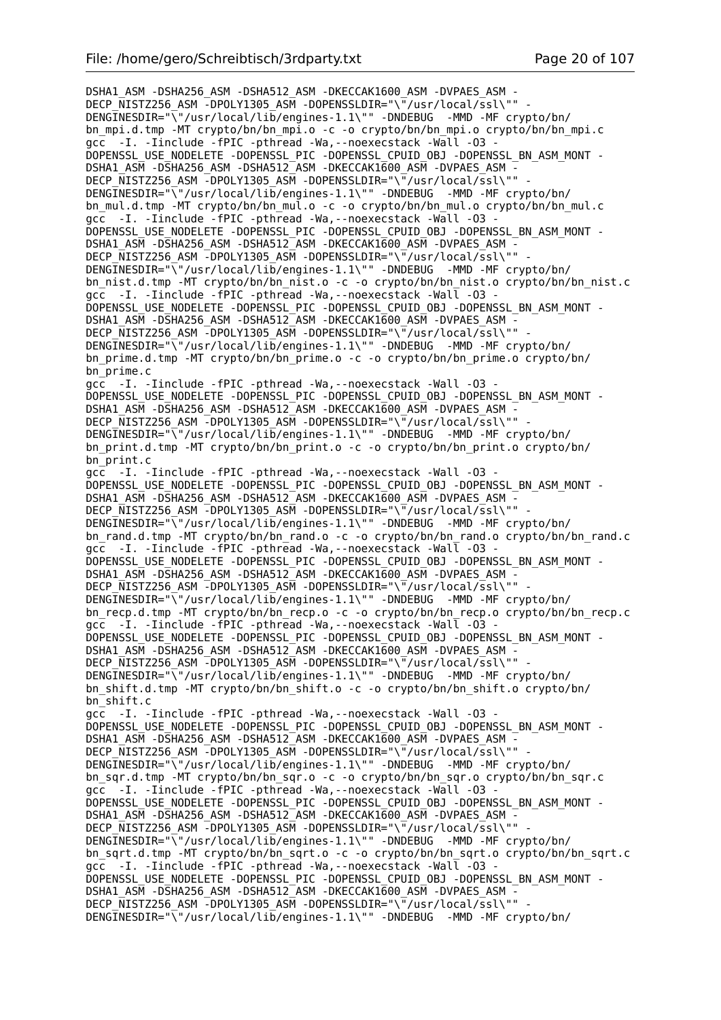DSHA1\_ASM -DSHA256\_ASM -DSHA512\_ASM -DKECCAK1600\_ASM -DVPAES\_ASM - DECP\_NISTZ256\_ASM -DPOLY1305\_ASM -DOPENSSLDIR="\"/usr/local/ssl\"" DENGINESDIR="\"/usr/local/lib/engines-1.1\"" -DNDEBUG -MMD -MF crypto/bn/ bn\_mpi.d.tmp -MT crypto/bn/bn\_mpi.o -c -o crypto/bn/bn\_mpi.o crypto/bn/bn\_mpi.c gcc -I. -Iinclude -fPIC -pthread -Wa,--noexecstack -Wall -O3 - DOPENSSL\_USE\_NODELETE -DOPENSSL\_PIC -DOPENSSL\_CPUID\_OBJ -DOPENSSL\_BN\_ASM\_MONT - DSHA1\_ASM -DSHA256\_ASM -DSHA512\_ASM -DKECCAK1600\_ASM -DVPAES\_ASM -DECP NISTZ256 ASM -DPOLY1305 ASM -DOPENSSLDIR="\"/usr/local/ssl\"" DENGINESDIR="\"/usr/local/lib/engines-1.1\"" -DNDEBUG -MMD -MF crypto/bn/ bn mul.d.tmp -MT crypto/bn/bn mul.o -c -o crypto/bn/bn mul.o crypto/bn/bn mul.c gcc -I. -Iinclude -fPIC -pthread -Wa,--noexecstack -Wall -O3 - DOPENSSL\_USE\_NODELETE -DOPENSSL\_PIC -DOPENSSL\_CPUID\_OBJ -DOPENSSL\_BN\_ASM\_MONT - DSHA1\_ASM -DSHA256\_ASM -DSHA512\_ASM -DKECCAK1600\_ASM -DVPAES\_ASM - DECP\_NISTZ256\_ASM -DPOLY1305\_ASM -DOPENSSLDIR="\"/usr/local/ssl\"" DENGINESDIR="\"/usr/local/lib/engines-1.1\"" -DNDEBUG -MMD -MF crypto/bn/ bn nist.d.tmp -MT crypto/bn/bn nist.o -c -o crypto/bn/bn nist.o crypto/bn/bn nist.c gcc -I. -Iinclude -fPIC -pthread -Wa,--noexecstack -Wall -O3 - DOPENSSL\_USE\_NODELETE -DOPENSSL\_PIC -DOPENSSL\_CPUID\_OBJ -DOPENSSL\_BN\_ASM\_MONT - DSHA1\_ASM -DSHA256\_ASM -DSHA512\_ASM -DKECCAK1600\_ASM -DVPAES\_ASM -DECP\_NISTZ256\_ASM -DPOLY1305\_ASM -DOPENSSLDIR="\"/usr/local/ssl\"" DENGINESDIR="\"/usr/local/lib/engines-1.1\"" -DNDEBUG -MMD -MF crypto/bn/ bn prime.d.tmp -MT crypto/bn/bn prime.o -c -o crypto/bn/bn prime.o crypto/bn/ bn\_prime.c gcc -I. -Iinclude -fPIC -pthread -Wa,--noexecstack -Wall -O3 - DOPENSSL\_USE\_NODELETE -DOPENSSL\_PIC -DOPENSSL\_CPUID\_OBJ -DOPENSSL\_BN\_ASM\_MONT -DSHA1\_ASM -DSHA256\_ASM -DSHA512\_ASM -DKECCAK1600\_ASM -DVPAES\_ASM -DECP NISTZ256 ASM -DPOLY1305 ASM -DOPENSSLDIR="\"/usr/local/ssl\"" DENGINESDIR="\"/usr/local/lib/engines-1.1\"" -DNDEBUG -MMD -MF crypto/bn/ bn\_print.d.tmp -MT crypto/bn/bn\_print.o -c -o crypto/bn/bn\_print.o crypto/bn/ bn\_print.c gcc -I. -Iinclude -fPIC -pthread -Wa,--noexecstack -Wall -O3 - DOPENSSL\_USE\_NODELETE -DOPENSSL\_PIC -DOPENSSL\_CPUID\_OBJ -DOPENSSL\_BN\_ASM\_MONT -DSHA1\_ASM -DSHA256\_ASM -DSHA512\_ASM -DKECCAK1600\_ASM -DVPAES\_ASM - DECP NISTZ256 ASM -DPOLY1305 ASM -DOPENSSLDIR="\"/usr/local/ssl\"" DENGINESDIR="\"/usr/local/lib/engines-1.1\"" -DNDEBUG -MMD -MF crypto/bn/ bn\_rand.d.tmp -MT crypto/bn/bn\_rand.o -c -o crypto/bn/bn\_rand.o crypto/bn/bn\_rand.c gcc -I. -Iinclude -fPIC -pthread -Wa,--noexecstack -Wall -O3 - DOPENSSL\_USE\_NODELETE -DOPENSSL\_PIC -DOPENSSL\_CPUID\_OBJ -DOPENSSL\_BN\_ASM\_MONT - DSHA1\_ASM -DSHA256\_ASM -DSHA512\_ASM -DKECCAK1600\_ASM -DVPAES\_ASM -DECP NISTZ256 ASM -DPOLY1305 ASM -DOPENSSLDIR="\"/usr/local/ssl\"" -DENGINESDIR="\"/usr/local/lib/engines-1.1\"" -DNDEBUG -MMD -MF crypto/bn/ bn\_recp.d.tmp -MT crypto/bn/bn\_recp.o -c -o crypto/bn/bn\_recp.o crypto/bn/bn\_recp.c  $\overline{qcc}$  -I. -Iinclude -fPIC -pthread -Wa, --noexecstack -Wall -03 DOPENSSL\_USE\_NODELETE -DOPENSSL\_PIC -DOPENSSL\_CPUID\_OBJ -DOPENSSL\_BN\_ASM\_MONT -DSHA1\_ASM -DSHA256\_ASM -DSHA512\_ASM -DKECCAK1600\_ASM -DVPAES\_ASM -DECP NISTZ256 ASM -DPOLY1305 ASM -DOPENSSLDIR="\"/usr/local/ssl\"" DENGINESDIR="\"/usr/local/lib/engines-1.1\"" -DNDEBUG -MMD -MF crypto/bn/ bn\_shift.d.tmp -MT crypto/bn/bn\_shift.o -c -o crypto/bn/bn\_shift.o crypto/bn/ bn\_shift.c gcc -I. -Iinclude -fPIC -pthread -Wa,--noexecstack -Wall -O3 - DOPENSSL\_USE\_NODELETE -DOPENSSL\_PIC -DOPENSSL\_CPUID\_OBJ -DOPENSSL\_BN\_ASM\_MONT - DSHA1\_ASM -DSHA256\_ASM -DSHA512\_ASM -DKECCAK1600\_ASM -DVPAES\_ASM -DECP NISTZ256 ASM -DPOLY1305 ASM -DOPENSSLDIR="\"/usr/local/ssl\"" DENGINESDIR="\"/usr/local/lib/engines-1.1\"" -DNDEBUG -MMD -MF crypto/bn/ bn\_sqr.d.tmp -MT crypto/bn/bn\_sqr.o -c -o crypto/bn/bn\_sqr.o crypto/bn/bn\_sqr.c gcc -I. -Iinclude -fPIC -pthread -Wa, --noexecstack -Wall -03 -DOPENSSL\_USE\_NODELETE -DOPENSSL\_PIC -DOPENSSL\_CPUID\_OBJ -DOPENSSL\_BN\_ASM\_MONT - DSHA1\_ASM -DSHA256\_ASM -DSHA512\_ASM -DKECCAK1600\_ASM -DVPAES\_ASM - DECP NISTZ256 ASM -DPOLY1305 ASM -DOPENSSLDIR="\"/usr/local/ssl\"" DENGINESDIR="\"/usr/local/lib/engines-1.1\"" -DNDEBUG -MMD -MF crypto/bn/ bn\_sqrt.d.tmp -MT crypto/bn/bn\_sqrt.o -c -o crypto/bn/bn\_sqrt.o crypto/bn/bn\_sqrt.c gcc -I. -Iinclude -fPIC -pthread -Wa,--noexecstack -Wall -O3 - DOPENSSL\_USE\_NODELETE -DOPENSSL\_PIC -DOPENSSL\_CPUID\_OBJ -DOPENSSL\_BN\_ASM\_MONT - DSHA1\_ASM -DSHA256\_ASM -DSHA512\_ASM -DKECCAK1600\_ASM -DVPAES\_ASM -DECP NISTZ256 ASM -DPOLY1305 ASM -DOPENSSLDIR="\"/usr/local/ssl\"" DENGINESDIR="\"/usr/local/lib/engines-1.1\"" -DNDEBUG -MMD -MF crypto/bn/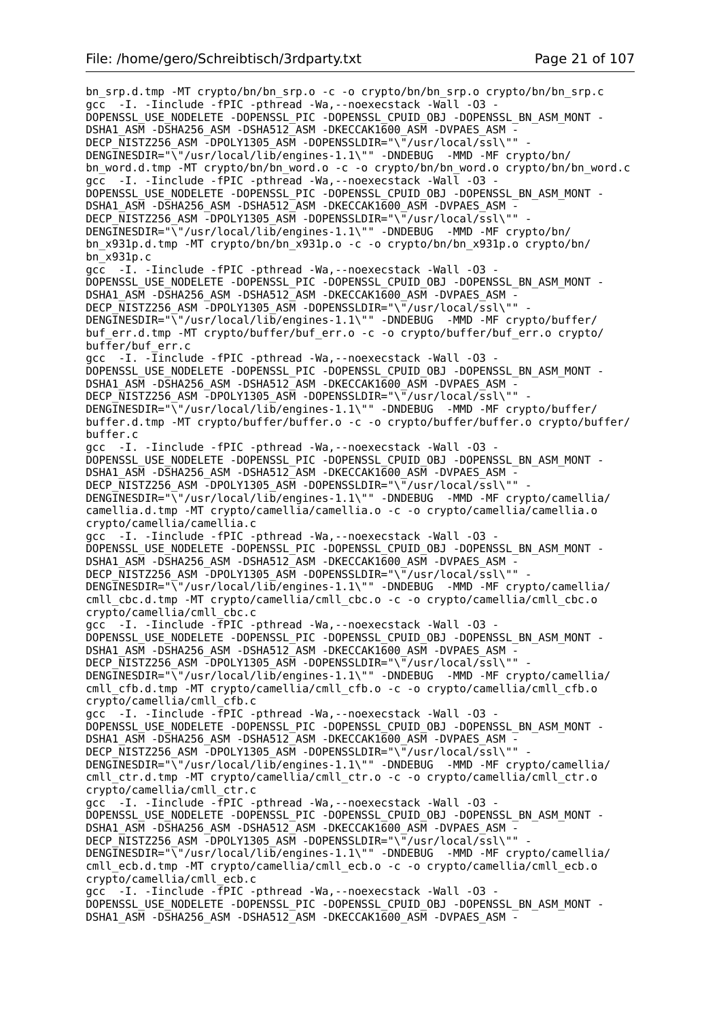bn\_srp.d.tmp -MT crypto/bn/bn\_srp.o -c -o crypto/bn/bn\_srp.o crypto/bn/bn\_srp.c gcc -I. -Iinclude -fPIC -pthread -Wa,--noexecstack -Wall -O3 - DOPENSSL\_USE\_NODELETE -DOPENSSL\_PIC -DOPENSSL\_CPUID\_OBJ -DOPENSSL\_BN\_ASM\_MONT - DSHA1\_ASM -DSHA256\_ASM -DSHA512\_ASM -DKECCAK1600\_ASM -DVPAES\_ASM - DECP\_NISTZ256\_ASM -DPOLY1305\_ASM -DOPENSSLDIR="\"/usr/local/ssl\"" - DENGINESDIR="\"/usr/local/lib/engines-1.1\"" -DNDEBUG -MMD -MF crypto/bn/ bn\_word.d.tmp -MT crypto/bn/bn\_word.o -c -o crypto/bn/bn\_word.o crypto/bn/bn\_word.c gcc -I. -Iinclude -fPIC -pthread -Wa,--noexecstack -Wall -O3 - DOPENSSL\_USE\_NODELETE -DOPENSSL\_PIC -DOPENSSL\_CPUID\_OBJ -DOPENSSL\_BN\_ASM\_MONT -DSHA1\_ASM -DSHA256\_ASM -DSHA512\_ASM -DKECCAK1600\_ASM -DVPAES\_ASM -DECP NISTZ256 ASM -DPOLY1305 ASM -DOPENSSLDIR="\"/usr/local/ssl\"" DENGINESDIR="\"/usr/local/lib/engines-1.1\"" -DNDEBUG -MMD -MF crypto/bn/ bn\_x931p.d.tmp -MT crypto/bn/bn\_x931p.o -c -o crypto/bn/bn\_x931p.o crypto/bn/ bn\_x931p.c gcc -I. -Iinclude -fPIC -pthread -Wa,--noexecstack -Wall -O3 - DOPENSSL\_USE\_NODELETE -DOPENSSL\_PIC -DOPENSSL\_CPUID\_OBJ -DOPENSSL\_BN\_ASM\_MONT -DSHA1\_ASM -DSHA256\_ASM -DSHA512\_ASM -DKECCAK1600\_ASM -DVPAES\_ASM -DECP NISTZ256 ASM -DPOLY1305 ASM -DOPENSSLDIR="\"/usr/local/ssl\"" DENGINESDIR="\"/usr/local/lib/engines-1.1\"" -DNDEBUG -MMD -MF crypto/buffer/ buf err.d.tmp -MT crypto/buffer/buf err.o -c -o crypto/buffer/buf err.o crypto/ buffer/buf err.c gcc -I. -Iinclude -fPIC -pthread -Wa, --noexecstack -Wall -03 -DOPENSSL\_USE\_NODELETE -DOPENSSL\_PIC -DOPENSSL\_CPUID\_OBJ -DOPENSSL\_BN\_ASM\_MONT -DSHA1\_ASM -DSHA256\_ASM -DSHA512\_ASM -DKECCAK1600\_ASM -DVPAES\_ASM -DECP\_NISTZ256\_ASM -DPOLY1305\_ASM -DOPENSSLDIR="\"/usr/local/ssl\"" DENGINESDIR="\"/usr/local/lib/engines-1.1\"" -DNDEBUG -MMD -MF crypto/buffer/ buffer.d.tmp -MT crypto/buffer/buffer.o -c -o crypto/buffer/buffer.o crypto/buffer/ buffer.c gcc -I. -Iinclude -fPIC -pthread -Wa,--noexecstack -Wall -O3 - DOPENSSL\_USE\_NODELETE -DOPENSSL\_PIC -DOPENSSL\_CPUID\_OBJ -DOPENSSL\_BN\_ASM\_MONT - DSHA1\_ASM -DSHA256\_ASM -DSHA512\_ASM -DKECCAK1600\_ASM -DVPAES\_ASM -DECP NISTZ256 ASM -DPOLY1305 ASM -DOPENSSLDIR="\"/usr/local/ssl\"" DENGINESDIR="\"/usr/local/lib/engines-1.1\"" -DNDEBUG -MMD -MF crypto/camellia/ camellia.d.tmp -MT crypto/camellia/camellia.o -c -o crypto/camellia/camellia.o crypto/camellia/camellia.c gcc -I. -Iinclude -fPIC -pthread -Wa,--noexecstack -Wall -O3 - DOPENSSL\_USE\_NODELETE -DOPENSSL\_PIC -DOPENSSL\_CPUID\_OBJ -DOPENSSL\_BN\_ASM\_MONT - DSHA1\_ASM -DSHA256\_ASM -DSHA512\_ASM -DKECCAK1600\_ASM -DVPAES\_ASM - DECP\_NISTZ256\_ASM -DPOLY1305\_ASM -DOPENSSLDIR="\"/usr/local/ssl\"" -DENGINESDIR="\"/usr/local/lib/engines-1.1\"" -DNDEBUG -MMD -MF crypto/camellia/ cmll\_cbc.d.tmp -MT crypto/camellia/cmll\_cbc.o -c -o crypto/camellia/cmll\_cbc.o crypto/camellia/cmll\_cbc.c gcc -I. -Iinclude -fPIC -pthread -Wa,--noexecstack -Wall -O3 - DOPENSSL\_USE\_NODELETE -DOPENSSL\_PIC -DOPENSSL\_CPUID\_OBJ\_-DOPENSSL\_BN\_ASM\_MONT -DSHA1\_ASM -DSHA256\_ASM -DSHA512\_ASM -DKECCAK1600\_ASM -DVPAES\_ASM -DECP\_NISTZ256\_ASM -DPOLY1305\_ASM -DOPENSSLDIR="\"/usr/local/ssl\"" DENGINESDIR="\"/usr/local/lib/engines-1.1\"" -DNDEBUG -MMD -MF crypto/camellia/ cmll\_cfb.d.tmp -MT crypto/camellia/cmll\_cfb.o -c -o crypto/camellia/cmll\_cfb.o crypto/camellia/cmll\_cfb.c gcc -I. -Iinclude -TPIC -pthread -Wa, --noexecstack -Wall -03 -DOPENSSL\_USE\_NODELETE -DOPENSSL\_PIC -DOPENSSL\_CPUID\_OBJ -DOPENSSL\_BN\_ASM\_MONT - DSHA1\_ASM -DSHA256\_ASM -DSHA512\_ASM -DKECCAK1600\_ASM -DVPAES\_ASM -DECP NISTZ256 ASM -DPOLY1305 ASM -DOPENSSLDIR="\"/usr/local/ssl\""  $DENG\overline{I}NESDIR="\overline{V}''/usr/local/li\overline{b}/engines-1.1\$ " - $DNDERUG$  -MMD -MF crypto/camellia/ cmll\_ctr.d.tmp -MT crypto/camellia/cmll\_ctr.o -c -o crypto/camellia/cmll\_ctr.o crypto/camellia/cmll\_ctr.c gcc -I. -Iinclude -fPIC -pthread -Wa,--noexecstack -Wall -O3 - DOPENSSL\_USE\_NODELETE -DOPENSSL\_PIC -DOPENSSL\_CPUID\_OBJ -DOPENSSL\_BN\_ASM\_MONT - DSHA1\_ASM -DSHA256\_ASM -DSHA512\_ASM -DKECCAK1600\_ASM -DVPAES\_ASM -DECP\_NISTZ256\_ASM -DPOLY1305\_ASM -DOPENSSLDIR="\"/usr/local/ssl\"" DENGINESDIR="\"/usr/local/lib/engines-1.1\"" -DNDEBUG -MMD -MF crypto/camellia/ cmll\_ecb.d.tmp -MT crypto/camellia/cmll\_ecb.o -c -o crypto/camellia/cmll\_ecb.o crypto/camellia/cmll\_ecb.c gcc -I. -Iinclude -fPIC -pthread -Wa,--noexecstack -Wall -O3 - DOPENSSL\_USE\_NODELETE -DOPENSSL\_PIC -DOPENSSL\_CPUID\_OBJ -DOPENSSL\_BN\_ASM\_MONT - DSHA1\_ASM -DSHA256\_ASM -DSHA512\_ASM -DKECCAK1600\_ASM -DVPAES\_ASM -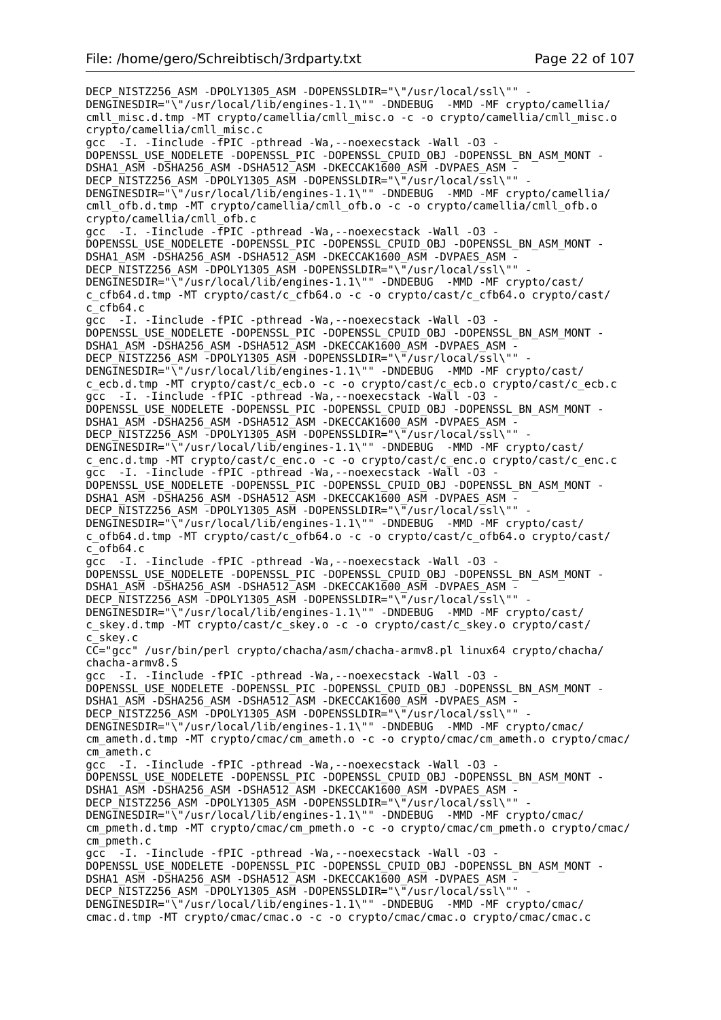DECP\_NISTZ256\_ASM -DPOLY1305\_ASM -DOPENSSLDIR="\"/usr/local/ssl\"" -DENGINESDIR="\"/usr/local/lib/engines-1.1\"" -DNDEBUG -MMD -MF crypto/camellia/ cmll\_misc.d.tmp -MT crypto/camellia/cmll\_misc.o -c -o crypto/camellia/cmll\_misc.o crypto/camellia/cmll\_misc.c gcc -I. -Iinclude -fPIC -pthread -Wa,--noexecstack -Wall -O3 - DOPENSSL\_USE\_NODELETE -DOPENSSL\_PIC -DOPENSSL\_CPUID\_OBJ -DOPENSSL\_BN\_ASM\_MONT - DSHA1\_ASM -DSHA256\_ASM -DSHA512\_ASM -DKECCAK1600\_ASM -DVPAES\_ASM -DECP NISTZ256 ASM -DPOLY1305 ASM -DOPENSSLDIR="\"/usr/local/ssl\"" DENGINESDIR="\"/usr/local/lib/engines-1.1\"" -DNDEBUG -MMD -MF crypto/camellia/ cmll\_ofb.d.tmp -MT crypto/camellia/cmll\_ofb.o -c -o crypto/camellia/cmll\_ofb.o crypto/camellia/cmll\_ofb.c gcc -I. -Iinclude - FPIC -pthread -Wa, --noexecstack -Wall -03 -DOPENSSL\_USE\_NODELETE -DOPENSSL\_PIC -DOPENSSL\_CPUID\_OBJ\_-DOPENSSL\_BN\_ASM\_MONT -DSHA1\_ASM -DSHA256\_ASM -DSHA512\_ASM -DKECCAK1600\_ASM -DVPAES\_ASM -DECP NISTZ256 ASM -DPOLY1305 ASM -DOPENSSLDIR="\"/usr/local/ssl\"" DENGINESDIR="\"/usr/local/lib/engines-1.1\"" -DNDEBUG -MMD -MF crypto/cast/ c\_cfb64.d.tmp -MT crypto/cast/c\_cfb64.o -c -o crypto/cast/c\_cfb64.o crypto/cast/  $c$ <sup> $-$ </sup>cfb64.c gcc -I. -Iinclude -fPIC -pthread -Wa,--noexecstack -Wall -O3 - DOPENSSL\_USE\_NODELETE -DOPENSSL\_PIC -DOPENSSL\_CPUID\_OBJ -DOPENSSL\_BN\_ASM\_MONT - DSHA1\_ASM -DSHA256\_ASM -DSHA512\_ASM -DKECCAK1600\_ASM -DVPAES\_ASM - DECP NISTZ256 ASM -DPOLY1305 ASM -DOPENSSLDIR="\"/usr/local/ssl\"" DENGINESDIR="\"/usr/local/lib/engines-1.1\"" -DNDEBUG -MMD -MF crypto/cast/ c\_ecb.d.tmp -MT crypto/cast/c\_ecb.o -c -o crypto/cast/c\_ecb.o crypto/cast/c\_ecb.c gcc -I. -Iinclude -fPIC -pthread -Wa,--noexecstack -Wall -O3 - DOPENSSL\_USE\_NODELETE -DOPENSSL\_PIC -DOPENSSL\_CPUID\_OBJ -DOPENSSL\_BN\_ASM\_MONT - DSHA1\_ASM -DSHA256\_ASM -DSHA512\_ASM -DKECCAK1600\_ASM -DVPAES\_ASM - DECP\_NISTZ256\_ASM -DPOLY1305\_ASM -DOPENSSLDIR="\"/usr/local/ssl\"" DENGINESDIR="\"/usr/local/lib/engines-1.1\"" -DNDEBUG -MMD -MF crypto/cast/ c\_enc.d.tmp -MT crypto/cast/c\_enc.o -c -o crypto/cast/c\_enc.o crypto/cast/c\_enc.c  $\overline{acc}$  -I. -Iinclude -fPIC -pthread -Wa,--noexecstack -Wall -03 DOPENSSL\_USE\_NODELETE -DOPENSSL\_PIC -DOPENSSL\_CPUID\_OBJ -DOPENSSL\_BN\_ASM\_MONT -DSHA1\_ASM -DSHA256\_ASM -DSHA512\_ASM -DKECCAK1600\_ASM -DVPAES\_ASM - DECP NISTZ256 ASM -DPOLY1305 ASM -DOPENSSLDIR="\"/usr/local/ssl\"" DENGINESDIR="\"/usr/local/lib/engines-1.1\"" -DNDEBUG -MMD -MF crypto/cast/ c\_ofb64.d.tmp -MT crypto/cast/c\_ofb64.o -c -o crypto/cast/c\_ofb64.o crypto/cast/ c\_ofb64.c gcc -I. -Iinclude -fPIC -pthread -Wa,--noexecstack -Wall -O3 - DOPENSSL\_USE\_NODELETE -DOPENSSL\_PIC -DOPENSSL\_CPUID\_OBJ -DOPENSSL\_BN\_ASM\_MONT -DSHA1\_ASM -DSHA256\_ASM -DSHA512\_ASM -DKECCAK1600\_ASM -DVPAES\_ASM -DECP NISTZ256 ASM -DPOLY1305 ASM -DOPENSSLDIR="\"/usr/local/ssl\"" DENGINESDIR="\"/usr/local/lib/engines-1.1\"" -DNDEBUG -MMD -MF crypto/cast/ c\_skey.d.tmp -MT crypto/cast/c\_skey.o -c -o crypto/cast/c\_skey.o crypto/cast/ c\_skey.c CC="gcc" /usr/bin/perl crypto/chacha/asm/chacha-armv8.pl linux64 crypto/chacha/ chacha-armv8.S gcc -I. -Iinclude -fPIC -pthread -Wa,--noexecstack -Wall -O3 - DOPENSSL\_USE\_NODELETE -DOPENSSL\_PIC -DOPENSSL\_CPUID\_OBJ -DOPENSSL\_BN\_ASM\_MONT - DSHA1\_ASM -DSHA256\_ASM -DSHA512\_ASM -DKECCAK1600\_ASM -DVPAES\_ASM - DECP\_NISTZ256\_ASM -DPOLY1305\_ASM -DOPENSSLDIR="\"/usr/local/ssl\"" DENGINESDIR="\"/usr/local/lib/engines-1.1\"" -DNDEBUG -MMD -MF crypto/cmac/ cm ameth.d.tmp -MT crypto/cmac/cm ameth.o -c -o crypto/cmac/cm ameth.o crypto/cmac/ cm\_ameth.c gcc -I. -Iinclude -fPIC -pthread -Wa,--noexecstack -Wall -O3 - DOPENSSL\_USE\_NODELETE -DOPENSSL\_PIC -DOPENSSL\_CPUID\_OBJ -DOPENSSL\_BN\_ASM\_MONT - DSHA1\_ASM -DSHA256\_ASM -DSHA512\_ASM -DKECCAK1600\_ASM -DVPAES\_ASM -DECP NISTZ256 ASM -DPOLY1305 ASM -DOPENSSLDIR="\"/usr/local/ssl\"" DENGINESDIR="\"/usr/local/lib/engines-1.1\"" -DNDEBUG -MMD -MF crypto/cmac/ cm pmeth.d.tmp -MT crypto/cmac/cm pmeth.o -c -o crypto/cmac/cm pmeth.o crypto/cmac/ cm\_pmeth.c gcc -I. -Iinclude -fPIC -pthread -Wa,--noexecstack -Wall -O3 - DOPENSSL\_USE\_NODELETE -DOPENSSL\_PIC -DOPENSSL\_CPUID\_OBJ -DOPENSSL\_BN\_ASM\_MONT - DSHA1\_ASM -DSHA256\_ASM -DSHA512\_ASM -DKECCAK1600\_ASM -DVPAES\_ASM -DECP\_NISTZ256\_ASM -DPOLY1305\_ASM -DOPENSSLDIR="\"/usr/local/ssl\"" DENGINESDIR="\"/usr/local/lib/engines-1.1\"" -DNDEBUG -MMD -MF crypto/cmac/ cmac.d.tmp -MT crypto/cmac/cmac.o -c -o crypto/cmac/cmac.o crypto/cmac/cmac.c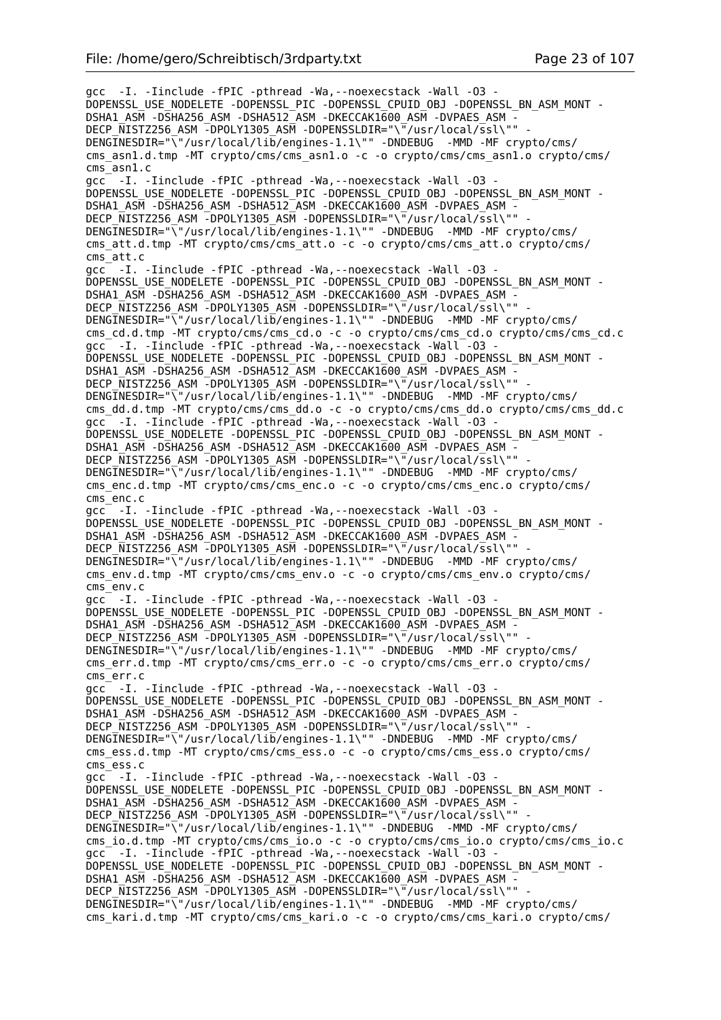gcc -I. -Iinclude -fPIC -pthread -Wa,--noexecstack -Wall -O3 - DOPENSSL\_USE\_NODELETE -DOPENSSL\_PIC -DOPENSSL\_CPUID\_OBJ -DOPENSSL\_BN\_ASM\_MONT - DSHA1\_ASM -DSHA256\_ASM -DSHA512\_ASM -DKECCAK1600\_ASM -DVPAES\_ASM -DECP NISTZ256 ASM -DPOLY1305 ASM -DOPENSSLDIR="\"/usr/local/ssl\"" DENGINESDIR="\"/usr/local/lib/engines-1.1\"" -DNDEBUG -MMD -MF crypto/cms/ cms\_asn1.d.tmp -MT crypto/cms/cms\_asn1.o -c -o crypto/cms/cms\_asn1.o crypto/cms/ cms\_asn1.c gcc -I. -Iinclude -fPIC -pthread -Wa,--noexecstack -Wall -O3 - DOPENSSL\_USE\_NODELETE -DOPENSSL\_PIC -DOPENSSL\_CPUID\_OBJ -DOPENSSL\_BN\_ASM\_MONT - DSHA1\_ASM -DSHA256\_ASM -DSHA512\_ASM -DKECCAK1600 ASM -DVPAES ASM -DECP NISTZ256 ASM -DPOLY1305 ASM -DOPENSSLDIR="\"/usr/local/ssl\"" DENGINESDIR="\"/usr/local/lib/engines-1.1\"" -DNDEBUG -MMD -MF crypto/cms/ cms att.d.tmp -MT crypto/cms/cms att.o -c -o crypto/cms/cms att.o crypto/cms/ cms\_att.c gcc -I. -Iinclude -fPIC -pthread -Wa,--noexecstack -Wall -O3 - DOPENSSL\_USE\_NODELETE -DOPENSSL\_PIC -DOPENSSL\_CPUID\_OBJ -DOPENSSL\_BN\_ASM\_MONT -DSHA1\_ASM -DSHA256\_ASM -DSHA512\_ASM -DKECCAK1600\_ASM -DVPAES\_ASM -DECP NISTZ256 ASM -DPOLY1305 ASM -DOPENSSLDIR="\"/usr/local/ssl\"" DENGINESDIR="\<sup>"</sup>/usr/local/lib/engines-1.1\"" -DNDEBUG -MMD -MF crypto/cms/ cms\_cd.d.tmp -MT crypto/cms/cms\_cd.o -c -o crypto/cms/cms\_cd.o crypto/cms/cms\_cd.c gcc -I. -Iinclude -fPIC -pthread -Wa, --noexecstack -Wall -03 -DOPENSSL\_USE\_NODELETE -DOPENSSL\_PIC -DOPENSSL\_CPUID\_OBJ -DOPENSSL\_BN\_ASM\_MONT - DSHA1\_ASM -DSHA256\_ASM -DSHA512\_ASM -DKECCAK1600\_ASM -DVPAES\_ASM -DECP NISTZ256 ASM -DPOLY1305 ASM -DOPENSSLDIR="\"/usr/local/ssl\"" -DENGINESDIR="\"/usr/local/lib/engines-1.1\"" -DNDEBUG -MMD -MF crypto/cms/ cms\_dd.d.tmp -MT crypto/cms/cms\_dd.o -c -o crypto/cms/cms\_dd.o crypto/cms/cms\_dd.c  $\texttt{gcc}$  -I. -Iinclude -fPIC -pthread -Wa, --noexecstack -Wall -03 DOPENSSL\_USE\_NODELETE -DOPENSSL\_PIC -DOPENSSL\_CPUID\_OBJ -DOPENSSL\_BN\_ASM\_MONT - DSHA1\_ASM -DSHA256\_ASM -DSHA512\_ASM -DKECCAK1600\_ASM -DVPAES\_ASM - DECP\_NISTZ256\_ASM -DPOLY1305\_ASM -DOPENSSLDIR="\"/usr/local/ssl\"" DENGINESDIR="\"/usr/local/lib/engines-1.1\"" -DNDEBUG -MMD -MF crypto/cms/ cms enc.d.tmp -MT crypto/cms/cms enc.o -c -o crypto/cms/cms enc.o crypto/cms/ cms\_enc.c gcc -I. -Iinclude -fPIC -pthread -Wa,--noexecstack -Wall -O3 - DOPENSSL\_USE\_NODELETE -DOPENSSL\_PIC -DOPENSSL\_CPUID\_OBJ -DOPENSSL\_BN\_ASM\_MONT - DSHA1\_ASM -DSHA256\_ASM -DSHA512\_ASM -DKECCAK1600\_ASM -DVPAES\_ASM - DECP\_NISTZ256\_ASM -DPOLY1305\_ASM -DOPENSSLDIR="\"/usr/local/ssl\"" DENGINESDIR="\"/usr/local/lib/engines-1.1\"" -DNDEBUG -MMD -MF crypto/cms/ cms env.d.tmp -MT crypto/cms/cms env.o -c -o crypto/cms/cms env.o crypto/cms/ cms\_env.c gcc -I. -Iinclude -fPIC -pthread -Wa,--noexecstack -Wall -O3 - DOPENSSL\_USE\_NODELETE -DOPENSSL\_PIC -DOPENSSL\_CPUID\_OBJ -DOPENSSL\_BN\_ASM\_MONT - DSHA1\_ASM -DSHA256\_ASM -DSHA512\_ASM -DKECCAK1600\_ASM -DVPAES\_ASM - DECP NISTZ256 ASM -DPOLY1305 ASM -DOPENSSLDIR="\"/usr/local/ssl\"" DENGINESDIR="\"/usr/local/lib/engines-1.1\"" -DNDEBUG -MMD -MF crypto/cms/ cms err.d.tmp -MT crypto/cms/cms err.o -c -o crypto/cms/cms err.o crypto/cms/ cms\_err.c gcc -I. -Iinclude -fPIC -pthread -Wa,--noexecstack -Wall -O3 - DOPENSSL\_USE\_NODELETE -DOPENSSL\_PIC -DOPENSSL\_CPUID\_OBJ -DOPENSSL\_BN\_ASM\_MONT - DSHA1\_ASM -DSHA256\_ASM -DSHA512\_ASM -DKECCAK1600\_ASM -DVPAES\_ASM - DECP\_NISTZ256\_ASM\_-DPOLY1305\_ASM\_-DOPENSSLDIR="\"/usr/local/ssl\"" DENGINESDIR="\"/usr/local/lib/engines-1.1\"" -DNDEBUG -MMD -MF crypto/cms/ cms ess.d.tmp -MT crypto/cms/cms ess.o -c -o crypto/cms/cms ess.o crypto/cms/ cms\_ess.c gcc -I. -Iinclude -fPIC -pthread -Wa,--noexecstack -Wall -O3 - DOPENSSL\_USE\_NODELETE -DOPENSSL\_PIC -DOPENSSL\_CPUID\_OBJ -DOPENSSL\_BN\_ASM\_MONT - DSHA1\_ASM -DSHA256\_ASM -DSHA512\_ASM -DKECCAK1600\_ASM -DVPAES\_ASM - DECP NISTZ256 ASM -DPOLY1305 ASM -DOPENSSLDIR="\"/usr/local/ssl\"" DENGINESDIR="\"/usr/local/lib/engines-1.1\"" -DNDEBUG -MMD -MF crypto/cms/ cms\_io.d.tmp -MT crypto/cms/cms\_io.o -c -o crypto/cms/cms\_io.o crypto/cms/cms\_io.c  $\texttt{acc}$  -I. -Iinclude -fPIC -pthread -Wa, --noexecstack -Wall -03 -DOPENSSL\_USE\_NODELETE -DOPENSSL\_PIC -DOPENSSL\_CPUID\_OBJ -DOPENSSL\_BN\_ASM\_MONT -DSHA1\_ASM -DSHA256\_ASM -DSHA512\_ASM -DKECCAK1600\_ASM -DVPAES\_ASM - DECP\_NISTZ256\_ASM -DPOLY1305\_ASM -DOPENSSLDIR="\"/usr/local/ssl\"" DENGINESDIR="\"/usr/local/lib/engines-1.1\"" -DNDEBUG -MMD -MF crypto/cms/ cms kari.d.tmp -MT crypto/cms/cms kari.o -c -o crypto/cms/cms kari.o crypto/cms/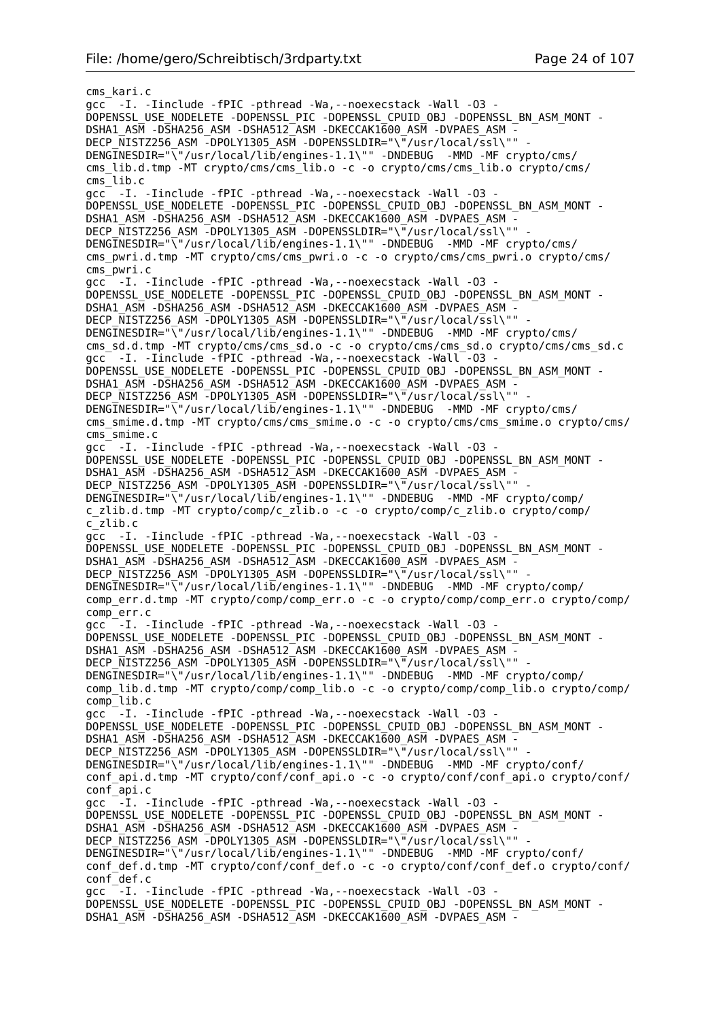cms\_kari.c gcc -I. -Iinclude -fPIC -pthread -Wa,--noexecstack -Wall -O3 - DOPENSSL\_USE\_NODELETE -DOPENSSL\_PIC -DOPENSSL\_CPUID\_OBJ -DOPENSSL\_BN\_ASM\_MONT - DSHA1\_ASM -DSHA256\_ASM -DSHA512\_ASM -DKECCAK1600\_ASM -DVPAES\_ASM - DECP\_NISTZ256\_ASM -DPOLY1305\_ASM -DOPENSSLDIR="\"/usr/local/ssl\"" - DENGINESDIR="\"/usr/local/lib/engines-1.1\"" -DNDEBUG -MMD -MF crypto/cms/ cms lib.d.tmp -MT crypto/cms/cms<sup>7</sup>lib.o -c -o crypto/cms/cms lib.o crypto/cms/ cms\_lib.c gcc -I. -Iinclude -fPIC -pthread -Wa,--noexecstack -Wall -O3 - DOPENSSL\_USE\_NODELETE -DOPENSSL\_PIC -DOPENSSL\_CPUID\_OBJ -DOPENSSL\_BN\_ASM\_MONT -DSHA1\_ASM -DSHA256\_ASM -DSHA512\_ASM -DKECCAK1600\_ASM -DVPAES\_ASM -DECP\_NISTZ256\_ASM -DPOLY1305\_ASM -DOPENSSLDIR="\"/usr/local/ssl\"" DENGINESDIR="\"/usr/local/lib/engines-1.1\"" -DNDEBUG -MMD -MF crypto/cms/ cms\_pwri.d.tmp -MT crypto/cms/cms\_pwri.o -c -o crypto/cms/cms\_pwri.o crypto/cms/ cms\_pwri.c gcc -I. -Iinclude -fPIC -pthread -Wa,--noexecstack -Wall -O3 - DOPENSSL\_USE\_NODELETE -DOPENSSL\_PIC -DOPENSSL\_CPUID\_OBJ\_-DOPENSSL\_BN\_ASM\_MONT -DSHA1\_ASM -DSHA256\_ASM -DSHA512\_ASM -DKECCAK1600\_ASM -DVPAES\_ASM -DECP NISTZ256 ASM -DPOLY1305 ASM -DOPENSSLDIR="\"/usr/local/ssl\"" DENGINESDIR="\"/usr/local/lib/engines-1.1\"" -DNDEBUG -MMD -MF crypto/cms/ cms sd.d.tmp -MT crypto/cms/cms sd.o -c -o crypto/cms/cms sd.o crypto/cms/cms sd.c gcc<sup>-</sup> -I. -Iinclude -fPIC -pthread -Wa, --noexecstack -Wall<sup>-</sup>-03 -DOPENSSL\_USE\_NODELETE -DOPENSSL\_PIC -DOPENSSL\_CPUID\_OBJ -DOPENSSL\_BN\_ASM\_MONT - DSHA1\_ASM -DSHA256\_ASM -DSHA512\_ASM -DKECCAK1600 ASM -DVPAES ASM -DECP\_NISTZ256\_ASM -DPOLY1305\_ASM -DOPENSSLDIR="\"/usr/local/ssl\"" -DENGINESDIR="\"/usr/local/lib/engines-1.1\"" -DNDEBUG -MMD -MF crypto/cms/ cms smime.d.tmp -MT crypto/cms/cms smime.o -c -o crypto/cms/cms smime.o crypto/cms/ cms\_smime.c gcc -I. -Iinclude -fPIC -pthread -Wa,--noexecstack -Wall -O3 - DOPENSSL\_USE\_NODELETE -DOPENSSL\_PIC -DOPENSSL\_CPUID\_OBJ -DOPENSSL\_BN\_ASM\_MONT - DSHA1\_ASM -DSHA256\_ASM -DSHA512\_ASM -DKECCAK1600\_ASM -DVPAES\_ASM DECP NISTZ256 ASM -DPOLY1305 ASM -DOPENSSLDIR="\"/usr/local/ssl\"" DENGINESDIR="\"/usr/local/lib/engines-1.1\"" -DNDEBUG -MMD -MF crypto/comp/ c\_zlib.d.tmp -MT crypto/comp/c\_zlib.o -c -o crypto/comp/c\_zlib.o crypto/comp/ c\_zlib.c gcc -I. -Iinclude -fPIC -pthread -Wa,--noexecstack -Wall -O3 - DOPENSSL\_USE\_NODELETE -DOPENSSL\_PIC -DOPENSSL\_CPUID\_OBJ -DOPENSSL\_BN\_ASM\_MONT - DSHA1\_ASM -DSHA256\_ASM -DSHA512\_ASM -DKECCAK1600\_ASM -DVPAES\_ASM - DECP\_NISTZ256\_ASM -DPOLY1305\_ASM -DOPENSSLDIR="\"/usr/local/ssl\"" -DENGINESDIR="\"/usr/local/lib/engines-1.1\"" -DNDEBUG -MMD -MF crypto/comp/ comp\_err.d.tmp -MT crypto/comp/comp\_err.o -c -o crypto/comp/comp\_err.o crypto/comp/ comp\_err.c gcc<sup>--</sup>I. -Iinclude -fPIC -pthread -Wa,--noexecstack -Wall -03 -DOPENSSL\_USE\_NODELETE -DOPENSSL\_PIC -DOPENSSL\_CPUID\_OBJ -DOPENSSL\_BN\_ASM\_MONT -DSHA1\_ASM -DSHA256\_ASM -DSHA512\_ASM -DKECCAK1600\_ASM -DVPAES\_ASM -DECP NISTZ256 ASM -DPOLY1305 ASM -DOPENSSLDIR="\"/usr/local/ssl\"" DENGINESDIR="\"/usr/local/lib/engines-1.1\"" -DNDEBUG -MMD -MF crypto/comp/ comp\_lib.d.tmp -MT crypto/comp/comp\_lib.o -c -o crypto/comp/comp\_lib.o crypto/comp/ comp\_lib.c gcc<sup>--</sup>I. -Iinclude -fPIC -pthread -Wa, --noexecstack -Wall -03 -DOPENSSL\_USE\_NODELETE -DOPENSSL\_PIC -DOPENSSL\_CPUID\_OBJ -DOPENSSL\_BN\_ASM\_MONT - DSHA1\_ASM -DSHA256\_ASM -DSHA512\_ASM -DKECCAK1600\_ASM -DVPAES\_ASM -DECP NISTZ256 ASM -DPOLY1305 ASM -DOPENSSLDIR="\"/usr/local/ssl\"" DENGINESDIR="\"/usr/local/lib/engines-1.1\"" -DNDEBUG -MMD -MF crypto/conf/ conf\_api.d.tmp -MT crypto/conf/conf\_api.o -c -o crypto/conf/conf\_api.o crypto/conf/ conf\_api.c gcc -I. -Iinclude -fPIC -pthread -Wa,--noexecstack -Wall -O3 - DOPENSSL\_USE\_NODELETE -DOPENSSL\_PIC -DOPENSSL\_CPUID\_OBJ -DOPENSSL\_BN\_ASM\_MONT - DSHA1\_ASM -DSHA256\_ASM -DSHA512\_ASM -DKECCAK1600\_ASM -DVPAES\_ASM -DECP\_NISTZ256\_ASM -DPOLY1305\_ASM -DOPENSSLDIR="\"/usr/local/ssl\"" DENGINESDIR="\"/usr/local/lib/engines-1.1\"" -DNDEBUG -MMD -MF crypto/conf/ conf\_def.d.tmp -MT crypto/conf/conf\_def.o -c -o crypto/conf/conf\_def.o crypto/conf/ conf\_def.c gcc<sup>-</sup>-I. -Iinclude -fPIC -pthread -Wa, --noexecstack -Wall -03 -DOPENSSL\_USE\_NODELETE -DOPENSSL\_PIC -DOPENSSL\_CPUID\_OBJ -DOPENSSL\_BN\_ASM\_MONT - DSHA1\_ASM -DSHA256\_ASM -DSHA512\_ASM -DKECCAK1600\_ASM -DVPAES\_ASM -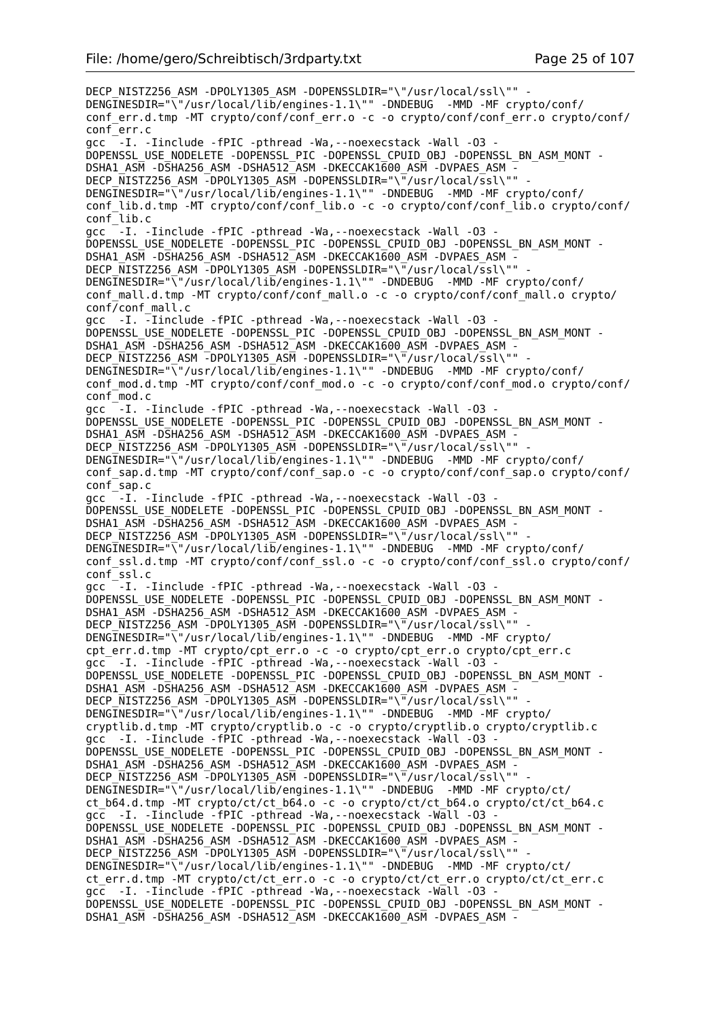DECP\_NISTZ256\_ASM -DPOLY1305\_ASM -DOPENSSLDIR="\"/usr/local/ssl\"" -DENGINESDIR="\"/usr/local/lib/engines-1.1\"" -DNDEBUG -MMD -MF crypto/conf/ conf\_err.d.tmp -MT crypto/conf/conf\_err.o -c -o crypto/conf/conf\_err.o crypto/conf/ conf\_err.c qcc  $-I$ . -Iinclude -fPIC -pthread -Wa, --noexecstack -Wall -03 -DOPENSSL\_USE\_NODELETE -DOPENSSL\_PIC -DOPENSSL\_CPUID\_OBJ -DOPENSSL\_BN\_ASM\_MONT - DSHA1\_ASM -DSHA256\_ASM -DSHA512\_ASM -DKECCAK1600\_ASM -DVPAES\_ASM -DECP NISTZ256 ASM -DPOLY1305 ASM -DOPENSSLDIR="\"/usr/local/ssl\"" DENGINESDIR="\"/usr/local/lib/engines-1.1\"" -DNDEBUG -MMD -MF crypto/conf/ conf\_lib.d.tmp -MT crypto/conf/conf\_lib.o -c -o crypto/conf/conf\_lib.o crypto/conf/ conf\_lib.c gcc  $-$ -I. -Iinclude -fPIC -pthread -Wa,--noexecstack -Wall -03 -DOPENSSL\_USE\_NODELETE -DOPENSSL\_PIC -DOPENSSL\_CPUID\_OBJ\_-DOPENSSL\_BN\_ASM\_MONT -DSHA1\_ASM -DSHA256\_ASM -DSHA512\_ASM -DKECCAK1600\_ASM -DVPAES\_ASM -DECP NISTZ256 ASM -DPOLY1305 ASM -DOPENSSLDIR="\"/usr/local/ssl\"" DENGINESDIR="\"/usr/local/lib/engines-1.1\"" -DNDEBUG -MMD -MF crypto/conf/ conf\_mall.d.tmp -MT crypto/conf/conf\_mall.o -c -o crypto/conf/conf\_mall.o crypto/ conf/conf\_mall.c gcc -I. -Iinclude -fPIC -pthread -Wa,--noexecstack -Wall -O3 - DOPENSSL\_USE\_NODELETE -DOPENSSL\_PIC -DOPENSSL\_CPUID\_OBJ -DOPENSSL\_BN\_ASM\_MONT - DSHA1\_ASM -DSHA256\_ASM -DSHA512\_ASM -DKECCAK1600\_ASM -DVPAES\_ASM - DECP NISTZ256 ASM -DPOLY1305 ASM -DOPENSSLDIR="\"/usr/local/ssl\"" DENGINESDIR="\"/usr/local/lib/engines-1.1\"" -DNDEBUG -MMD -MF crypto/conf/ conf\_mod.d.tmp -MT crypto/conf/conf\_mod.o -c -o crypto/conf/conf\_mod.o crypto/conf/ conf\_mod.c gcc  $-$ -I. -Iinclude -fPIC -pthread -Wa, --noexecstack -Wall -03 -DOPENSSL\_USE\_NODELETE -DOPENSSL\_PIC -DOPENSSL\_CPUID\_OBJ -DOPENSSL\_BN\_ASM\_MONT - DSHA1\_ASM -DSHA256\_ASM -DSHA512\_ASM -DKECCAK1600\_ASM -DVPAES\_ASM - DECP\_NISTZ256\_ASM -DPOLY1305\_ASM -DOPENSSLDIR="\"/usr/local/ssl\"" - DENGINESDIR="\"/usr/local/lib/engines-1.1\"" -DNDEBUG -MMD -MF crypto/conf/ conf\_sap.d.tmp -MT crypto/conf/conf\_sap.o -c -o crypto/conf/conf\_sap.o crypto/conf/ conf\_sap.c gcc -I. -Iinclude -fPIC -pthread -Wa,--noexecstack -Wall -O3 - DOPENSSL\_USE\_NODELETE -DOPENSSL\_PIC -DOPENSSL\_CPUID\_OBJ -DOPENSSL\_BN\_ASM\_MONT - DSHA1\_ASM -DSHA256\_ASM -DSHA512\_ASM -DKECCAK1600\_ASM -DVPAES\_ASM - DECP\_NISTZ256\_ASM -DPOLY1305\_ASM -DOPENSSLDIR="\"/usr/local/ssl\"" DENGINESDIR="\"/usr/local/lib/engines-1.1\"" -DNDEBUG -MMD -MF crypto/conf/ conf\_ssl.d.tmp -MT crypto/conf/conf\_ssl.o -c -o crypto/conf/conf\_ssl.o crypto/conf/ conf\_ssl.c gcc<sup>-</sup>-I. -Iinclude -fPIC -pthread -Wa, --noexecstack -Wall -03 -DOPENSSL\_USE\_NODELETE -DOPENSSL\_PIC -DOPENSSL\_CPUID\_OBJ -DOPENSSL\_BN\_ASM\_MONT - DSHA1\_ASM -DSHA256\_ASM -DSHA512\_ASM -DKECCAK1600\_ASM -DVPAES\_ASM - DECP\_NISTZ256\_ASM -DPOLY1305\_ASM -DOPENSSLDIR="\"/usr/local/ssl\"" - DENGINESDIR="\"/usr/local/lib/engines-1.1\"" -DNDEBUG -MMD -MF crypto/ cpt\_err.d.tmp -MT crypto/cpt\_err.o -c -o crypto/cpt\_err.o crypto/cpt\_err.c gcc -I. -Iinclude -fPIC -pthread -Wa,--noexecstack -Wall -O3 - DOPENSSL\_USE\_NODELETE -DOPENSSL\_PIC -DOPENSSL\_CPUID\_OBJ -DOPENSSL\_BN\_ASM\_MONT - DSHA1\_ASM -DSHA256\_ASM -DSHA512\_ASM -DKECCAK1600\_ASM -DVPAES\_ASM -DECP NISTZ256 ASM -DPOLY1305 ASM -DOPENSSLDIR="\"/usr/local/ssl\"" DENGINESDIR="\"/usr/local/lib/engines-1.1\"" -DNDEBUG -MMD -MF crypto/ cryptlib.d.tmp -MT crypto/cryptlib.o -c -o crypto/cryptlib.o crypto/cryptlib.c gcc -I. -Iinclude -fPIC -pthread -Wa, --noexecstack -Wall -03 -DOPENSSL\_USE\_NODELETE -DOPENSSL\_PIC -DOPENSSL\_CPUID\_OBJ -DOPENSSL\_BN\_ASM\_MONT -DSHA1\_ASM -DSHA256\_ASM -DSHA512\_ASM -DKECCAK1600\_ASM -DVPAES ASM -DECP NISTZ256 ASM -DPOLY1305 ASM -DOPENSSLDIR="\"/usr/local/ssl\"" -DENGINESDIR="\"/usr/local/lib/engines-1.1\"" -DNDEBUG -MMD -MF crypto/ct/ ct\_b64.d.tmp -MT crypto/ct/ct\_b64.o -c -o crypto/ct/ct\_b64.o crypto/ct/ct\_b64.c gcc -I. -Iinclude -fPIC -pthread -Wa,--noexecstack -Wall -O3 - DOPENSSL\_USE\_NODELETE -DOPENSSL\_PIC -DOPENSSL\_CPUID\_OBJ\_-DOPENSSL\_BN\_ASM\_MONT -DSHA1\_ASM -DSHA256\_ASM -DSHA512\_ASM -DKECCAK1600\_ASM -DVPAES\_ASM -DECP NISTZ256 ASM -DPOLY1305 ASM -DOPENSSLDIR="\"/usr/local/ssl\"" DENGINESDIR="\"/usr/local/lib/engines-1.1\"" -DNDEBUG -MMD -MF crypto/ct/ ct\_err.d.tmp -MT crypto/ct/ct\_err.o -c -o crypto/ct/ct\_err.o crypto/ct/ct\_err.c gcc -I. -Iinclude -fPIC -pthread -Wa,--noexecstack -Wall -O3 - DOPENSSL\_USE\_NODELETE -DOPENSSL\_PIC -DOPENSSL\_CPUID\_OBJ -DOPENSSL\_BN\_ASM\_MONT - DSHA1\_ASM -DSHA256\_ASM -DSHA512\_ASM -DKECCAK1600\_ASM -DVPAES\_ASM -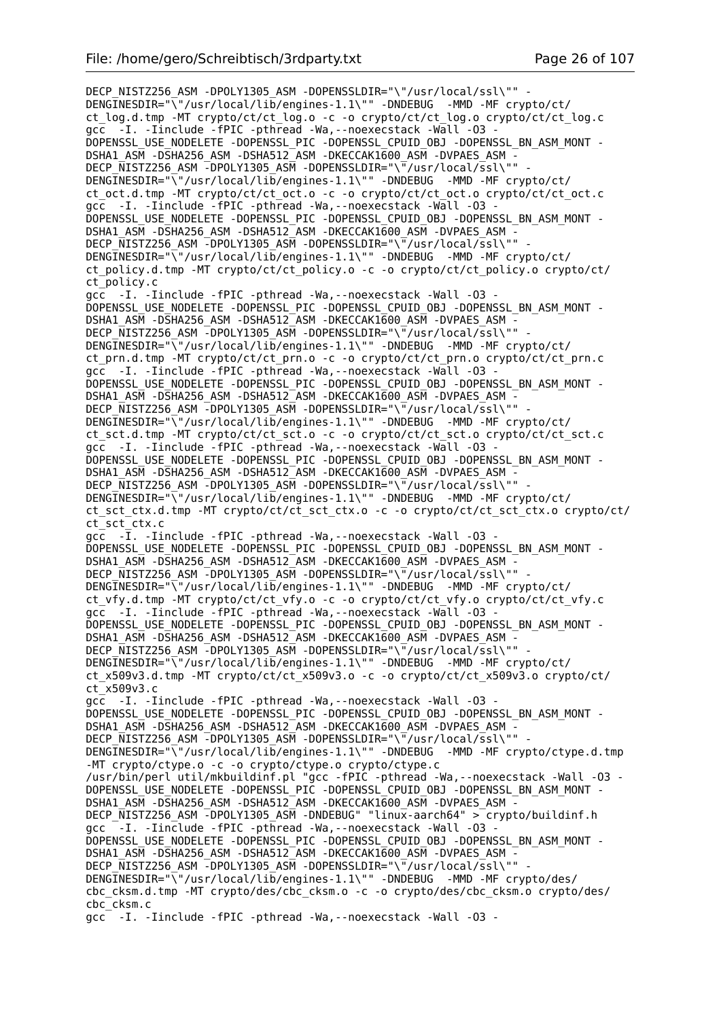DECP\_NISTZ256\_ASM -DPOLY1305\_ASM -DOPENSSLDIR="\"/usr/local/ssl\"" -DENGINESDIR="\"/usr/local/lib/engines-1.1\"" -DNDEBUG -MMD -MF crypto/ct/ ct\_log.d.tmp -MT crypto/ct/ct\_log.o -c -o crypto/ct/ct\_log.o crypto/ct/ct\_log.c gcc -I. -Iinclude -fPIC -pthread -Wa,--noexecstack -Wall -O3 - DOPENSSL\_USE\_NODELETE -DOPENSSL\_PIC -DOPENSSL\_CPUID\_OBJ -DOPENSSL\_BN\_ASM\_MONT - DSHA1\_ASM -DSHA256\_ASM -DSHA512\_ASM -DKECCAK1600\_ASM -DVPAES\_ASM - DECP\_NISTZ256\_ASM -DPOLY1305\_ASM -DOPENSSLDIR="\"/usr/local/ssl\"" -DENGINESDIR="\"/usr/local/lib/engines-1.1\"" -DNDEBUG -MMD -MF crypto/ct/ ct\_oct.d.tmp -MT crypto/ct/ct\_oct.o -c -o crypto/ct/ct\_oct.o crypto/ct/ct\_oct.c gcc -I. -Iinclude -fPIC -pthread -Wa,--noexecstack -Wall -O3 - DOPENSSL\_USE\_NODELETE -DOPENSSL\_PIC -DOPENSSL\_CPUID\_OBJ -DOPENSSL\_BN\_ASM\_MONT - DSHA1\_ASM -DSHA256\_ASM -DSHA512\_ASM -DKECCAK1600\_ASM -DVPAES\_ASM - DECP NISTZ256 ASM -DPOLY1305 ASM -DOPENSSLDIR="\"/usr/local/ssl\"" DENGINESDIR="\"/usr/local/lib/engines-1.1\"" -DNDEBUG -MMD -MF crypto/ct/ ct\_policy.d.tmp -MT crypto/ct/ct\_policy.o -c -o crypto/ct/ct\_policy.o crypto/ct/ ct\_policy.c gcc -I. -Iinclude -fPIC -pthread -Wa,--noexecstack -Wall -O3 - DOPENSSL\_USE\_NODELETE -DOPENSSL\_PIC -DOPENSSL\_CPUID\_OBJ -DOPENSSL\_BN\_ASM\_MONT - DSHA1\_ASM -DSHA256\_ASM -DSHA512\_ASM -DKECCAK1600\_ASM -DVPAES\_ASM - DECP NISTZ256 ASM -DPOLY1305 ASM -DOPENSSLDIR="\"/usr/local/ssl\"" DENGINESDIR="\"/usr/local/lib/engines-1.1\"" -DNDEBUG -MMD -MF crypto/ct/ ct\_prn.d.tmp -MT crypto/ct/ct\_prn.o -c -o crypto/ct/ct\_prn.o crypto/ct/ct\_prn.c gcc -I. -Iinclude -fPIC -pthread -Wa,--noexecstack -Wall -O3 - DOPENSSL\_USE\_NODELETE -DOPENSSL\_PIC -DOPENSSL\_CPUID\_OBJ -DOPENSSL\_BN\_ASM\_MONT -DSHA1\_ASM -DSHA256\_ASM -DSHA512\_ASM -DKECCAK1600\_ASM -DVPAES\_ASM -DECP NISTZ256 ASM -DPOLY1305 ASM -DOPENSSLDIR="\"/usr/local/ssl\"" DENGINESDIR="\"/usr/local/lib/engines-1.1\"" -DNDEBUG -MMD -MF crypto/ct/ ct\_sct.d.tmp -MT crypto/ct/ct\_sct.o -c -o crypto/ct/ct\_sct.o crypto/ct/ct\_sct.c gcc -I. -Iinclude -fPIC -pthread -Wa,--noexecstack -Wall -O3 - DOPENSSL\_USE\_NODELETE -DOPENSSL\_PIC -DOPENSSL\_CPUID\_OBJ -DOPENSSL\_BN\_ASM\_MONT - DSHA1\_ASM -DSHA256\_ASM -DSHA512\_ASM -DKECCAK1600\_ASM -DVPAES\_ASM DECP NISTZ256 ASM -DPOLY1305 ASM -DOPENSSLDIR="\"/usr/local/ssl\"" DENGINESDIR="\"/usr/local/lib/engines-1.1\"" -DNDEBUG -MMD -MF crypto/ct/ ct\_sct\_ctx.d.tmp -MT crypto/ct/ct\_sct\_ctx.o -c -o crypto/ct/ct\_sct\_ctx.o crypto/ct/ ct\_sct\_ctx.c gcc -I. -Iinclude -fPIC -pthread -Wa,--noexecstack -Wall -O3 - DOPENSSL\_USE\_NODELETE -DOPENSSL\_PIC -DOPENSSL\_CPUID\_OBJ -DOPENSSL\_BN\_ASM\_MONT - DSHA1\_ASM -DSHA256\_ASM -DSHA512\_ASM -DKECCAK1600\_ASM -DVPAES\_ASM - DECP\_NISTZ256\_ASM -DPOLY1305\_ASM -DOPENSSLDIR="\"/usr/local/ssl\"" -DENGINESDIR="\"/usr/local/lib/engines-1.1\"" -DNDEBUG -MMD -MF crypto/ct/ ct\_vfy.d.tmp -MT crypto/ct/ct\_vfy.o -c -o crypto/ct/ct\_vfy.o crypto/ct/ct\_vfy.c gcc -I. -Iinclude -fPIC -pthread -Wa,--noexecstack -Wall -O3 - DOPENSSL\_USE\_NODELETE -DOPENSSL\_PIC -DOPENSSL\_CPUID\_OBJ\_-DOPENSSL\_BN\_ASM\_MONT -DSHA1\_ASM -DSHA256\_ASM -DSHA512\_ASM -DKECCAK1600\_ASM -DVPAES\_ASM DECP NISTZ256 ASM -DPOLY1305 ASM -DOPENSSLDIR="\"/usr/local/ssl\"" DENGINESDIR="\"/usr/local/lib/engines-1.1\"" -DNDEBUG -MMD -MF crypto/ct/ ct\_x509v3.d.tmp -MT crypto/ct/ct\_x509v3.o -c -o crypto/ct/ct\_x509v3.o crypto/ct/ ct\_x509v3.c gcc -I. -Iinclude -fPIC -pthread -Wa,--noexecstack -Wall -O3 - DOPENSSL\_USE\_NODELETE -DOPENSSL\_PIC -DOPENSSL\_CPUID\_OBJ -DOPENSSL\_BN\_ASM\_MONT -DSHA1\_ASM -DSHA256\_ASM -DSHA512\_ASM -DKECCAK1600\_ASM -DVPAES\_ASM -DECP NISTZ256 ASM -DPOLY1305 ASM -DOPENSSLDIR="\"/usr/local/ssl\"" DENGINESDIR="\"/usr/local/lib/engines-1.1\"" -DNDEBUG -MMD -MF crypto/ctype.d.tmp -MT crypto/ctype.o -c -o crypto/ctype.o crypto/ctype.c /usr/bin/perl util/mkbuildinf.pl "gcc -fPIC -pthread -Wa,--noexecstack -Wall -O3 - DOPENSSL\_USE\_NODELETE -DOPENSSL\_PIC -DOPENSSL\_CPUID\_OBJ -DOPENSSL\_BN\_ASM\_MONT - DSHA1\_ASM -DSHA256\_ASM -DSHA512\_ASM -DKECCAK1600\_ASM -DVPAES\_ASM - DECP NISTZ256 ASM -DPOLY1305 ASM -DNDEBUG" "linux-aarch64" > crypto/buildinf.h gcc  $-$ -I. -Iinclude -fPIC -pthread -Wa, --noexecstack -Wall -03 -DOPENSSL\_USE\_NODELETE -DOPENSSL\_PIC -DOPENSSL\_CPUID\_OBJ -DOPENSSL\_BN\_ASM\_MONT - DSHA1\_ASM -DSHA256\_ASM -DSHA512\_ASM -DKECCAK1600\_ASM -DVPAES\_ASM -DECP NISTZ256 ASM -DPOLY1305 ASM -DOPENSSLDIR="\"/usr/local/ssl\"" DENGINESDIR="\"/usr/local/lib/engines-1.1\"" -DNDEBUG -MMD -MF crypto/des/ cbc\_cksm.d.tmp -MT crypto/des/cbc\_cksm.o -c -o crypto/des/cbc\_cksm.o crypto/des/ cbc\_cksm.c gcc -I. -Iinclude -fPIC -pthread -Wa,--noexecstack -Wall -O3 -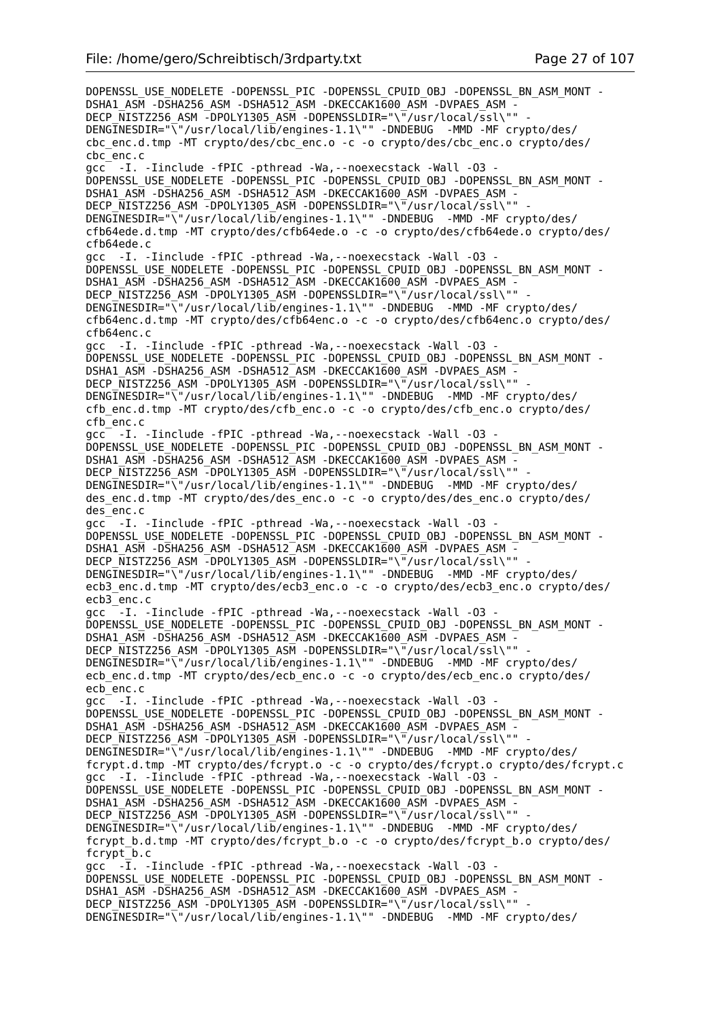DOPENSSL\_USE\_NODELETE -DOPENSSL\_PIC -DOPENSSL\_CPUID\_OBJ -DOPENSSL\_BN\_ASM\_MONT -DSHA1\_ASM -DSHA256\_ASM -DSHA512\_ASM -DKECCAK1600\_ASM -DVPAES\_ASM -DECP\_NISTZ256\_ASM -DPOLY1305\_ASM -DOPENSSLDIR="\"/usr/local/ssl\"" DENGINESDIR="\"/usr/local/lib/engines-1.1\"" -DNDEBUG -MMD -MF crypto/des/ cbc\_enc.d.tmp -MT crypto/des/cbc\_enc.o -c -o crypto/des/cbc\_enc.o crypto/des/ cbc\_enc.c gcc -I. -Iinclude -fPIC -pthread -Wa,--noexecstack -Wall -O3 - DOPENSSL\_USE\_NODELETE -DOPENSSL\_PIC -DOPENSSL\_CPUID\_OBJ -DOPENSSL\_BN\_ASM\_MONT - DSHA1\_ASM -DSHA256\_ASM -DSHA512\_ASM -DKECCAK1600\_ASM -DVPAES\_ASM -DECP NISTZ256 ASM -DPOLY1305 ASM -DOPENSSLDIR="\"/usr/local/ssl\"" DENGINESDIR="\"/usr/local/lib/engines-1.1\"" -DNDEBUG -MMD -MF crypto/des/ cfb64ede.d.tmp -MT crypto/des/cfb64ede.o -c -o crypto/des/cfb64ede.o crypto/des/ cfb64ede.c gcc -I. -Iinclude -fPIC -pthread -Wa,--noexecstack -Wall -O3 - DOPENSSL\_USE\_NODELETE -DOPENSSL\_PIC -DOPENSSL\_CPUID\_OBJ -DOPENSSL\_BN\_ASM\_MONT -DSHA1\_ASM -DSHA256\_ASM -DSHA512\_ASM -DKECCAK1600\_ASM -DVPAES\_ASM -DECP NISTZ256 ASM -DPOLY1305 ASM -DOPENSSLDIR="\"/usr/local/ssl\"" DENGINESDIR="\"/usr/local/lib/engines-1.1\"" -DNDEBUG -MMD -MF crypto/des/ cfb64enc.d.tmp -MT crypto/des/cfb64enc.o -c -o crypto/des/cfb64enc.o crypto/des/ cfb64enc.c gcc -I. -Iinclude -fPIC -pthread -Wa,--noexecstack -Wall -O3 - DOPENSSL\_USE\_NODELETE -DOPENSSL\_PIC -DOPENSSL\_CPUID\_OBJ -DOPENSSL\_BN\_ASM\_MONT - DSHA1\_ASM -DSHA256\_ASM -DSHA512\_ASM -DKECCAK1600\_ASM -DVPAES\_ASM -DECP\_NISTZ256\_ASM -DPOLY1305\_ASM -DOPENSSLDIR="\"/usr/local/ssl\"" DENGINESDIR="\"/usr/local/lib/engines-1.1\"" -DNDEBUG -MMD -MF crypto/des/ cfb\_enc.d.tmp -MT crypto/des/cfb\_enc.o -c -o crypto/des/cfb\_enc.o crypto/des/ cfb\_enc.c gcc<sup>-</sup> -I. -Iinclude -fPIC -pthread -Wa, --noexecstack -Wall -03 -DOPENSSL\_USE\_NODELETE -DOPENSSL\_PIC -DOPENSSL\_CPUID\_OBJ -DOPENSSL\_BN\_ASM\_MONT -DSHA1\_ASM -DSHA256\_ASM -DSHA512\_ASM -DKECCAK1600\_ASM -DVPAES\_ASM -DECP NISTZ256 ASM -DPOLY1305 ASM -DOPENSSLDIR="\"/usr/local/ssl\"" DENGINESDIR="\"/usr/local/lib/engines-1.1\"" -DNDEBUG -MMD -MF crypto/des/ des\_enc.d.tmp -MT crypto/des/des\_enc.o -c -o crypto/des/des\_enc.o crypto/des/ des\_enc.c gcc -I. -Iinclude -fPIC -pthread -Wa,--noexecstack -Wall -O3 - DOPENSSL\_USE\_NODELETE -DOPENSSL\_PIC -DOPENSSL\_CPUID\_OBJ -DOPENSSL\_BN\_ASM\_MONT - DSHA1\_ASM -DSHA256\_ASM -DSHA512\_ASM -DKECCAK1600\_ASM -DVPAES\_ASM -DECP\_NISTZ256\_ASM -DPOLY1305\_ASM -DOPENSSLDIR="\"/usr/local/ssl\"" DENGINESDIR="\"/usr/local/lib/engines-1.1\"" -DNDEBUG -MMD -MF crypto/des/ ecb3\_enc.d.tmp -MT crypto/des/ecb3\_enc.o -c -o crypto/des/ecb3\_enc.o crypto/des/ ecb3\_enc.c gcc  $-I.$  -Iinclude -fPIC -pthread -Wa,--noexecstack -Wall -03 DOPENSSL\_USE\_NODELETE -DOPENSSL\_PIC -DOPENSSL\_CPUID\_OBJ\_-DOPENSSL\_BN\_ASM\_MONT -DSHA1\_ASM -DSHA256\_ASM -DSHA512\_ASM -DKECCAK1600\_ASM -DVPAES\_ASM -DECP NISTZ256 ASM -DPOLY1305 ASM -DOPENSSLDIR="\"/usr/local/ssl\"" DENGINESDIR="\"/usr/local/lib/engines-1.1\"" -DNDEBUG -MMD -MF crypto/des/ ecb enc.d.tmp -MT crypto/des/ecb\_enc.o -c -o crypto/des/ecb\_enc.o crypto/des/ ecb\_enc.c gcc -I. -Iinclude -fPIC -pthread -Wa,--noexecstack -Wall -O3 - DOPENSSL\_USE\_NODELETE -DOPENSSL\_PIC -DOPENSSL\_CPUID\_OBJ -DOPENSSL\_BN\_ASM\_MONT -DSHA1\_ASM -DSHA256\_ASM -DSHA512\_ASM -DKECCAK1600\_ASM -DVPAES\_ASM - DECP NISTZ256 ASM -DPOLY1305 ASM -DOPENSSLDIR="\"/usr/local/ssl\"" DENGINESDIR="\"/usr/local/lib/engines-1.1\"" -DNDEBUG -MMD -MF crypto/des/ fcrypt.d.tmp -MT crypto/des/fcrypt.o -c -o crypto/des/fcrypt.o crypto/des/fcrypt.c gcc -I. -Iinclude -fPIC -pthread -Wa,--noexecstack -Wall -O3 - DOPENSSL\_USE\_NODELETE -DOPENSSL\_PIC -DOPENSSL\_CPUID\_OBJ -DOPENSSL\_BN\_ASM\_MONT - DSHA1\_ASM -DSHA256\_ASM -DSHA512\_ASM -DKECCAK1600\_ASM -DVPAES\_ASM - DECP\_NISTZ256\_ASM -DPOLY1305\_ASM -DOPENSSLDIR="\"/usr/local/ssl\"" - DENGINESDIR="\"/usr/local/lib/engines-1.1\"" -DNDEBUG -MMD -MF crypto/des/ fcrypt\_b.d.tmp -MT crypto/des/fcrypt\_b.o -c -o crypto/des/fcrypt\_b.o crypto/des/ fcrypt  $b.c$ gcc -I. -Iinclude -fPIC -pthread -Wa,--noexecstack -Wall -O3 - DOPENSSL\_USE\_NODELETE -DOPENSSL\_PIC -DOPENSSL\_CPUID\_OBJ -DOPENSSL\_BN\_ASM\_MONT - DSHA1\_ASM -DSHA256\_ASM -DSHA512\_ASM -DKECCAK1600\_ASM -DVPAES\_ASM -DECP NISTZ256 ASM -DPOLY1305 ASM -DOPENSSLDIR="\"/usr/local/ssl\"" DENGINESDIR="\"/usr/local/lib/engines-1.1\"" -DNDEBUG -MMD -MF crypto/des/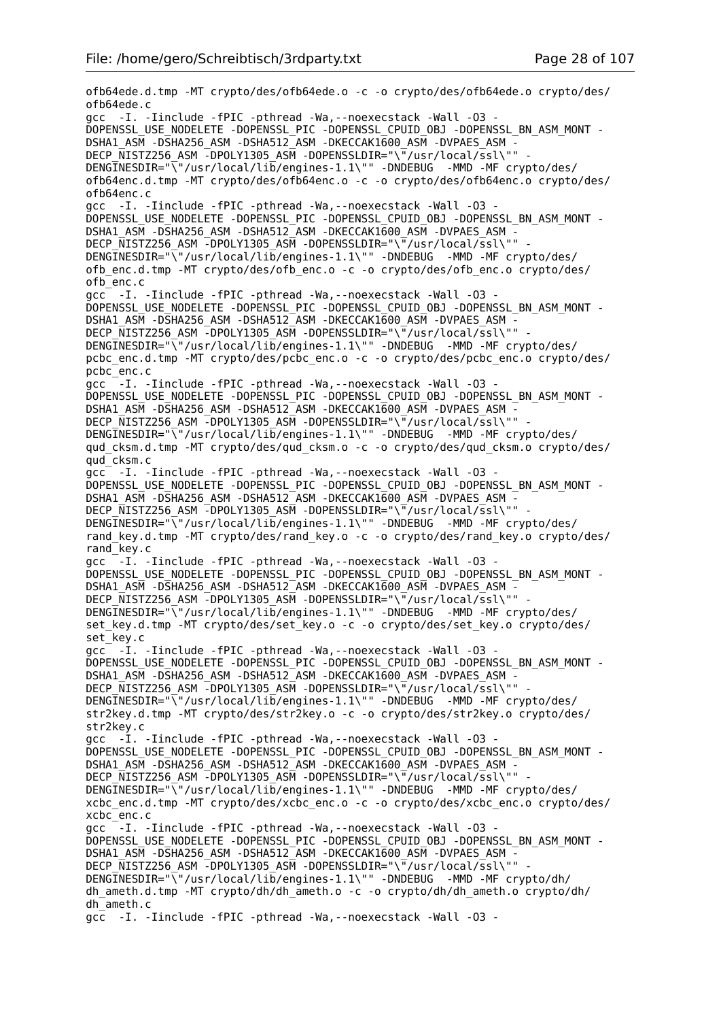ofb64ede.d.tmp -MT crypto/des/ofb64ede.o -c -o crypto/des/ofb64ede.o crypto/des/ ofb64ede.c gcc -I. -Iinclude -fPIC -pthread -Wa,--noexecstack -Wall -O3 - DOPENSSL\_USE\_NODELETE -DOPENSSL\_PIC -DOPENSSL\_CPUID\_OBJ -DOPENSSL\_BN\_ASM\_MONT - DSHA1\_ASM -DSHA256\_ASM -DSHA512\_ASM -DKECCAK1600\_ASM -DVPAES\_ASM - DECP\_NISTZ256\_ASM\_-DPOLY1305\_ASM\_-DOPENSSLDIR="\"/usr/local/ssl\"" DENGINESDIR="\"/usr/local/lib/engines-1.1\"" -DNDEBUG -MMD -MF crypto/des/ ofb64enc.d.tmp -MT crypto/des/ofb64enc.o -c -o crypto/des/ofb64enc.o crypto/des/ ofb64enc.c gcc -I. -Iinclude -fPIC -pthread -Wa,--noexecstack -Wall -O3 - DOPENSSL\_USE\_NODELETE -DOPENSSL\_PIC -DOPENSSL\_CPUID\_OBJ -DOPENSSL\_BN\_ASM\_MONT - DSHA1\_ASM -DSHA256\_ASM -DSHA512\_ASM -DKECCAK1600\_ASM -DVPAES\_ASM - DECP NISTZ256 ASM -DPOLY1305 ASM -DOPENSSLDIR="\"/usr/local/ssl\"" DENGINESDIR="\"/usr/local/lib/engines-1.1\"" -DNDEBUG -MMD -MF crypto/des/ ofb\_enc.d.tmp -MT crypto/des/ofb\_enc.o -c -o crypto/des/ofb\_enc.o crypto/des/ ofb\_enc.c gcc -I. -Iinclude -fPIC -pthread -Wa,--noexecstack -Wall -O3 - DOPENSSL\_USE\_NODELETE -DOPENSSL\_PIC -DOPENSSL\_CPUID\_OBJ -DOPENSSL\_BN\_ASM\_MONT - DSHA1\_ASM -DSHA256\_ASM -DSHA512\_ASM -DKECCAK1600\_ASM -DVPAES\_ASM -DECP NISTZ256 ASM -DPOLY1305 ASM -DOPENSSLDIR="\"/usr/local/ssl\"" DENGINESDIR="\"/usr/local/lib/engines-1.1\"" -DNDEBUG -MMD -MF crypto/des/ pcbc\_enc.d.tmp -MT crypto/des/pcbc\_enc.o -c -o crypto/des/pcbc\_enc.o crypto/des/ pcbc\_enc.c gcc -I. -Iinclude -fPIC -pthread -Wa,--noexecstack -Wall -O3 - DOPENSSL\_USE\_NODELETE -DOPENSSL\_PIC -DOPENSSL\_CPUID\_OBJ -DOPENSSL\_BN\_ASM\_MONT - DSHA1\_ASM -DSHA256\_ASM -DSHA512\_ASM -DKECCAK1600\_ASM -DVPAES\_ASM -DECP NISTZ256 ASM -DPOLY1305 ASM -DOPENSSLDIR="\"/usr/local/ssl\"" DENGINESDIR="\"/usr/local/lib/engines-1.1\"" -DNDEBUG -MMD -MF crypto/des/ qud\_cksm.d.tmp -MT crypto/des/qud\_cksm.o -c -o crypto/des/qud\_cksm.o crypto/des/ qud\_cksm.c gcc -I. -Iinclude -fPIC -pthread -Wa,--noexecstack -Wall -O3 - DOPENSSL\_USE\_NODELETE -DOPENSSL\_PIC -DOPENSSL\_CPUID\_OBJ -DOPENSSL\_BN\_ASM\_MONT -DSHA1\_ASM -DSHA256\_ASM -DSHA512\_ASM -DKECCAK1600\_ASM -DVPAES\_ASM - DECP NISTZ256 ASM -DPOLY1305 ASM -DOPENSSLDIR="\"/usr/local/ssl\"" DENGINESDIR="\"/usr/local/lib/engines-1.1\"" -DNDEBUG -MMD -MF crypto/des/ rand\_key.d.tmp -MT crypto/des/rand\_key.o -c -o crypto/des/rand\_key.o crypto/des/ rand\_key.c gcc  $-I$ . -Iinclude -fPIC -pthread -Wa, --noexecstack -Wall -03 -DOPENSSL\_USE\_NODELETE -DOPENSSL\_PIC -DOPENSSL\_CPUID\_OBJ -DOPENSSL\_BN\_ASM\_MONT -DSHA1\_ASM -DSHA256\_ASM -DSHA512\_ASM -DKECCAK1600\_ASM -DVPAES\_ASM -DECP NISTZ256 ASM -DPOLY1305 ASM -DOPENSSLDIR="\"/usr/local/ssl\"" DENGINESDIR="\"/usr/local/lib/engines-1.1\"" -DNDEBUG -MMD -MF crypto/des/ set key.d.tmp -MT crypto/des/set key.o -c -o crypto/des/set key.o crypto/des/ set<sup>-</sup>key.c gcc<sup>-</sup> -I. -Iinclude -fPIC -pthread -Wa, --noexecstack -Wall -03 -DOPENSSL\_USE\_NODELETE -DOPENSSL\_PIC -DOPENSSL\_CPUID\_OBJ -DOPENSSL\_BN\_ASM\_MONT -DSHA1\_ASM -DSHA256\_ASM -DSHA512\_ASM -DKECCAK1600\_ASM -DVPAES\_ASM -DECP NISTZ256 ASM -DPOLY1305 ASM -DOPENSSLDIR="\"/usr/local/ssl\"" DENGINESDIR="\"/usr/local/lib/engines-1.1\"" -DNDEBUG -MMD -MF crypto/des/ str2key.d.tmp -MT crypto/des/str2key.o -c -o crypto/des/str2key.o crypto/des/ str2key.c gcc -I. -Iinclude -fPIC -pthread -Wa,--noexecstack -Wall -O3 - DOPENSSL\_USE\_NODELETE -DOPENSSL\_PIC -DOPENSSL\_CPUID\_OBJ -DOPENSSL\_BN\_ASM\_MONT - DSHA1\_ASM -DSHA256\_ASM -DSHA512\_ASM -DKECCAK1600\_ASM -DVPAES\_ASM -DECP  $\overline{N}$ ISTZ256 ASM -DPOLY1305 ASM -DOPENSSLDIR="\"/usr/local/ssl\"" DENGINESDIR="\"/usr/local/lib/engines-1.1\"" -DNDEBUG -MMD -MF crypto/des/ xcbc\_enc.d.tmp -MT crypto/des/xcbc\_enc.o -c -o crypto/des/xcbc\_enc.o crypto/des/ xcbc\_enc.c gcc<sup>-</sup>-I. -Iinclude -fPIC -pthread -Wa,--noexecstack -Wall -03 -DOPENSSL\_USE\_NODELETE -DOPENSSL\_PIC -DOPENSSL\_CPUID\_OBJ -DOPENSSL\_BN\_ASM\_MONT - DSHA1\_ASM -DSHA256\_ASM -DSHA512\_ASM -DKECCAK1600\_ASM -DVPAES\_ASM -DECP\_NISTZ256\_ASM -DPOLY1305\_ASM -DOPENSSLDIR="\"/usr/local/ssl\"" DENGINESDIR="\"/usr/local/lib/engines-1.1\"" -DNDEBUG -MMD -MF crypto/dh/ dh\_ameth.d.tmp -MT crypto/dh/dh\_ameth.o -c -o crypto/dh/dh\_ameth.o crypto/dh/ dh\_ameth.c gcc -I. -Iinclude -fPIC -pthread -Wa,--noexecstack -Wall -O3 -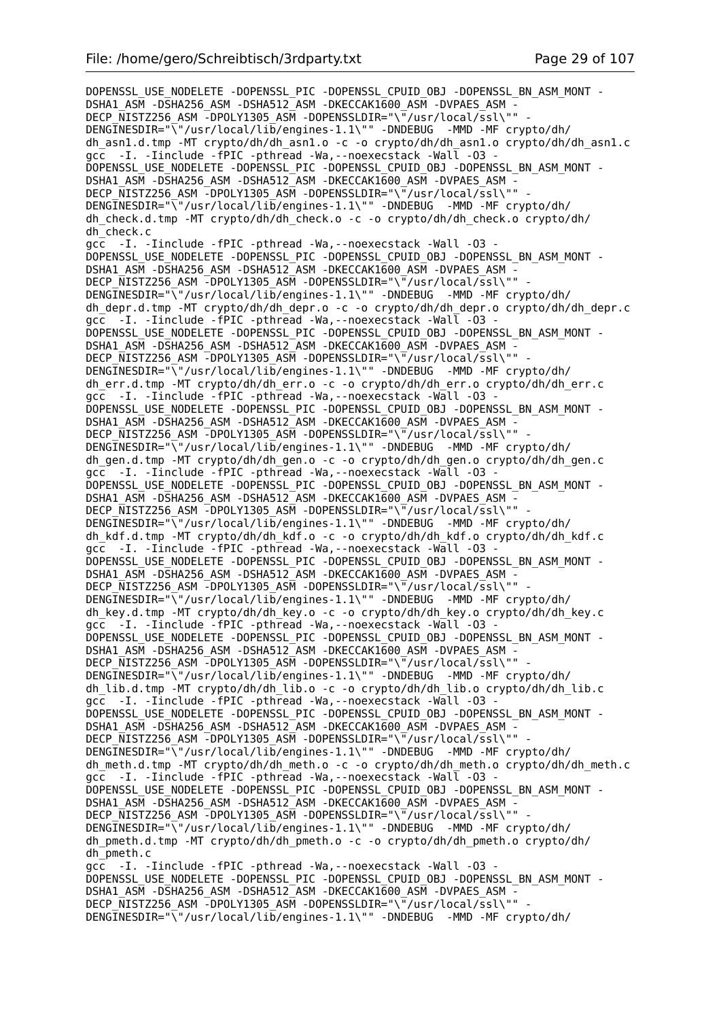DOPENSSL\_USE\_NODELETE -DOPENSSL PIC -DOPENSSL CPUID OBJ -DOPENSSL BN ASM\_MONT -DSHA1\_ASM -DSHA256\_ASM -DSHA512\_ASM -DKECCAK1600 ASM -DVPAES ASM -DECP\_NISTZ256\_ASM -DPOLY1305\_ASM -DOPENSSLDIR="\"/usr/local/ssl\"" DENGINESDIR="\"/usr/local/lib/engines-1.1\"" -DNDEBUG -MMD -MF crypto/dh/ dh\_asn1.d.tmp -MT crypto/dh/dh\_asn1.o -c -o crypto/dh/dh\_asn1.o crypto/dh/dh\_asn1.c gcc -I. -Iinclude -fPIC -pthread -Wa, --noexecstack -Wall -03 -DOPENSSL\_USE\_NODELETE -DOPENSSL\_PIC -DOPENSSL\_CPUID\_OBJ -DOPENSSL\_BN\_ASM\_MONT - DSHA1\_ASM -DSHA256\_ASM -DSHA512\_ASM -DKECCAK1600\_ASM -DVPAES\_ASM DECP NISTZ256 ASM -DPOLY1305 ASM -DOPENSSLDIR="\"/usr/local/ssl\"" -DENGINESDIR="\"/usr/local/lib/engines-1.1\"" -DNDEBUG -MMD -MF crypto/dh/ dh\_check.d.tmp -MT crypto/dh/dh\_check.o -c -o crypto/dh/dh\_check.o crypto/dh/ dh\_check.c gcc -I. -Iinclude -fPIC -pthread -Wa,--noexecstack -Wall -O3 - DOPENSSL\_USE\_NODELETE -DOPENSSL\_PIC -DOPENSSL\_CPUID\_OBJ -DOPENSSL\_BN\_ASM\_MONT - DSHA1\_ASM -DSHA256\_ASM -DSHA512\_ASM -DKECCAK1600\_ASM -DVPAES\_ASM -DECP\_NISTZ256\_ASM -DPOLY1305\_ASM -DOPENSSLDIR="\"/usr/local/ssl\"" DENGINESDIR="\"/usr/local/lib/engines-1.1\"" -DNDEBUG -MMD -MF crypto/dh/ dh\_depr.d.tmp -MT crypto/dh/dh\_depr.o -c -o crypto/dh/dh\_depr.o crypto/dh/dh\_depr.c gcc -I. -Iinclude -fPIC -pthread -Wa,--noexecstack -Wall -O3 - DOPENSSL\_USE\_NODELETE -DOPENSSL\_PIC -DOPENSSL\_CPUID\_OBJ -DOPENSSL\_BN\_ASM\_MONT - DSHA1\_ASM -DSHA256\_ASM -DSHA512\_ASM -DKECCAK1600\_ASM -DVPAES\_ASM - DECP NISTZ256 ASM -DPOLY1305 ASM -DOPENSSLDIR="\"/usr/local/ssl\"" DENGINESDIR="\"/usr/local/lib/engines-1.1\"" -DNDEBUG -MMD -MF crypto/dh/ dh\_err.d.tmp -MT crypto/dh/dh\_err.o -c -o crypto/dh/dh\_err.o crypto/dh/dh\_err.c gcc -I. -Iinclude -fPIC -pthread -Wa, --noexecstack -Wall -03 -DOPENSSL\_USE\_NODELETE -DOPENSSL\_PIC -DOPENSSL\_CPUID\_OBJ -DOPENSSL\_BN\_ASM\_MONT - DSHA1\_ASM -DSHA256\_ASM -DSHA512\_ASM -DKECCAK1600\_ASM -DVPAES\_ASM - DECP\_NISTZ256\_ASM -DPOLY1305\_ASM -DOPENSSLDIR="\"/usr/local/ssl\"" DENGINESDIR="\"/usr/local/lib/engines-1.1\"" -DNDEBUG -MMD -MF crypto/dh/ dh\_gen.d.tmp -MT crypto/dh/dh\_gen.o -c -o crypto/dh/dh\_gen.o crypto/dh/dh\_gen.c gcc -I. -Iinclude -fPIC -pthread -Wa, --noexecstack -Wall -03 DOPENSSL\_USE\_NODELETE -DOPENSSL\_PIC -DOPENSSL\_CPUID\_OBJ -DOPENSSL\_BN\_ASM\_MONT - DSHA1\_ASM -DSHA256\_ASM -DSHA512\_ASM -DKECCAK1600\_ASM -DVPAES\_ASM - DECP NISTZ256 ASM -DPOLY1305 ASM -DOPENSSLDIR="\"/usr/local/ssl\"" DENGINESDIR="\"/usr/local/lib/engines-1.1\"" -DNDEBUG -MMD -MF crypto/dh/ dh\_kdf.d.tmp -MT crypto/dh/dh\_kdf.o -c -o crypto/dh/dh\_kdf.o crypto/dh/dh\_kdf.c gcc -I. -Iinclude -fPIC -pthread -Wa,--noexecstack -Wall -O3 - DOPENSSL\_USE\_NODELETE -DOPENSSL\_PIC -DOPENSSL\_CPUID\_OBJ -DOPENSSL\_BN\_ASM\_MONT - DSHA1\_ASM -DSHA256\_ASM -DSHA512\_ASM -DKECCAK1600\_ASM -DVPAES\_ASM -DECP NISTZ256 ASM -DPOLY1305 ASM -DOPENSSLDIR="\"/usr/local/ssl\"" DENGINESDIR="\"/usr/local/lib/engines-1.1\"" -DNDEBUG -MMD -MF crypto/dh/ dh\_key.d.tmp -MT crypto/dh/dh\_key.o -c -o crypto/dh/dh\_key.o crypto/dh/dh\_key.c gcc -I. -Iinclude -fPIC -pthread -Wa,--noexecstack -Wall -O3 - DOPENSSL\_USE\_NODELETE -DOPENSSL\_PIC -DOPENSSL\_CPUID\_OBJ -DOPENSSL\_BN\_ASM\_MONT -DSHA1\_ASM -DSHA256\_ASM -DSHA512\_ASM -DKECCAK1600\_ASM -DVPAES\_ASM -DECP NISTZ256 ASM -DPOLY1305 ASM -DOPENSSLDIR="\"/usr/local/ssl\"" DENGINESDIR="\"/usr/local/lib/engines-1.1\"" -DNDEBUG -MMD -MF crypto/dh/ dh\_lib.d.tmp -MT crypto/dh/dh\_lib.o -c -o crypto/dh/dh\_lib.o crypto/dh/dh\_lib.c gcc -I. -Iinclude -fPIC -pthread -Wa, --noexecstack -Wall -03 -DOPENSSL\_USE\_NODELETE -DOPENSSL\_PIC -DOPENSSL\_CPUID\_OBJ -DOPENSSL\_BN\_ASM\_MONT - DSHA1\_ASM -DSHA256\_ASM -DSHA512\_ASM -DKECCAK1600\_ASM -DVPAES\_ASM - DECP NISTZ256 ASM -DPOLY1305 ASM -DOPENSSLDIR="\"/usr/local/ssl\"" DENGINESDIR="\"/usr/local/lib/engines-1.1\"" -DNDEBUG -MMD -MF crypto/dh/ dh\_meth.d.tmp -MT crypto/dh/dh\_meth.o -c -o crypto/dh/dh\_meth.o crypto/dh/dh\_meth.c gcc -I. -Iinclude -fPIC -pthread -Wa,--noexecstack -Wall -O3 - DOPENSSL\_USE\_NODELETE -DOPENSSL\_PIC -DOPENSSL\_CPUID\_OBJ -DOPENSSL\_BN\_ASM\_MONT - DSHA1\_ASM -DSHA256\_ASM -DSHA512\_ASM -DKECCAK1600\_ASM -DVPAES\_ASM - DECP\_NISTZ256\_ASM -DPOLY1305\_ASM -DOPENSSLDIR="\"/usr/local/ssl\"" DENGINESDIR="\"/usr/local/lib/engines-1.1\"" -DNDEBUG -MMD -MF crypto/dh/ dh\_pmeth.d.tmp -MT crypto/dh/dh\_pmeth.o -c -o crypto/dh/dh\_pmeth.o crypto/dh/ dh\_pmeth.c gcc -I. -Iinclude -fPIC -pthread -Wa,--noexecstack -Wall -O3 - DOPENSSL\_USE\_NODELETE -DOPENSSL\_PIC -DOPENSSL\_CPUID\_OBJ -DOPENSSL\_BN\_ASM\_MONT - DSHA1\_ASM -DSHA256\_ASM -DSHA512\_ASM -DKECCAK1600\_ASM -DVPAES\_ASM -DECP NISTZ256 ASM -DPOLY1305 ASM -DOPENSSLDIR="\"/usr/local/ssl\"" DENGINESDIR="\"/usr/local/lib/engines-1.1\"" -DNDEBUG -MMD -MF crypto/dh/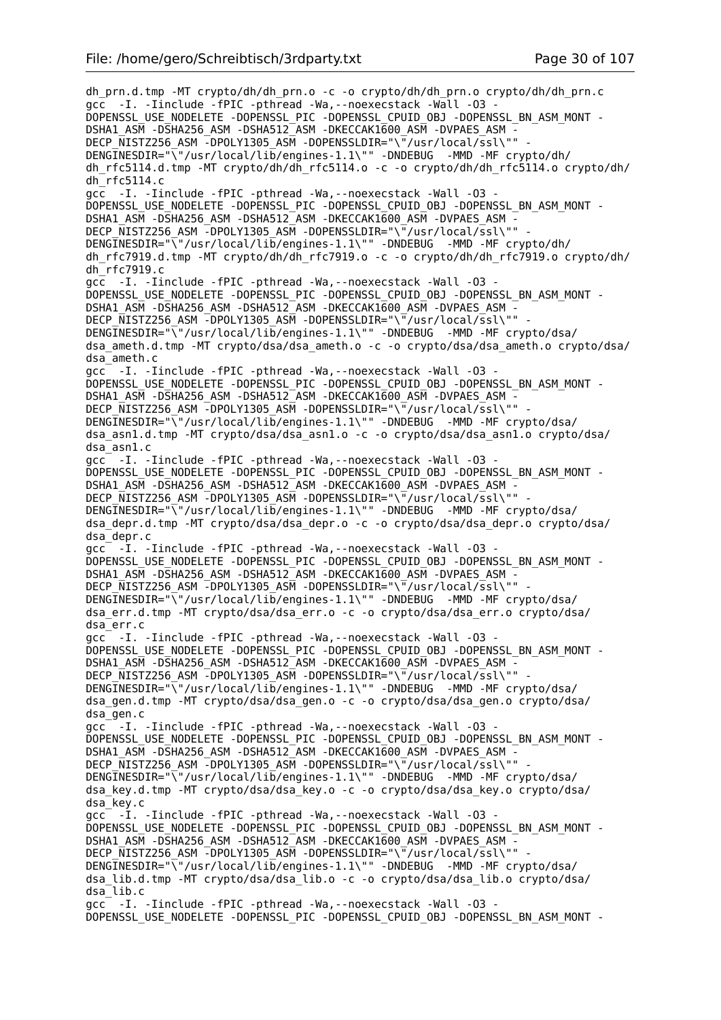dh\_prn.d.tmp -MT crypto/dh/dh\_prn.o -c -o crypto/dh/dh\_prn.o crypto/dh/dh\_prn.c gcc -I. -Iinclude -fPIC -pthread -Wa,--noexecstack -Wall -O3 - DOPENSSL\_USE\_NODELETE -DOPENSSL\_PIC -DOPENSSL\_CPUID\_OBJ -DOPENSSL\_BN\_ASM\_MONT - DSHA1\_ASM -DSHA256\_ASM -DSHA512\_ASM -DKECCAK1600\_ASM -DVPAES\_ASM - DECP\_NISTZ256\_ASM -DPOLY1305\_ASM -DOPENSSLDIR="\"/usr/local/ssl\"" - DENGINESDIR="\"/usr/local/lib/engines-1.1\"" -DNDEBUG -MMD -MF crypto/dh/ dh\_rfc5114.d.tmp -MT crypto/dh/dh\_rfc5114.o -c -o crypto/dh/dh\_rfc5114.o crypto/dh/  $dh$ <sup>-</sup>rfc5114.c gcc -I. -Iinclude -fPIC -pthread -Wa,--noexecstack -Wall -O3 - DOPENSSL\_USE\_NODELETE -DOPENSSL\_PIC -DOPENSSL\_CPUID\_OBJ -DOPENSSL\_BN\_ASM\_MONT -DSHA1\_ASM -DSHA256\_ASM -DSHA512\_ASM -DKECCAK1600\_ASM -DVPAES\_ASM -DECP\_NISTZ256\_ASM -DPOLY1305\_ASM -DOPENSSLDIR="\"/usr/local/ssl\"" DENGINESDIR="\"/usr/local/lib/engines-1.1\"" -DNDEBUG -MMD -MF crypto/dh/ dh\_rfc7919.d.tmp -MT crypto/dh/dh\_rfc7919.o -c -o crypto/dh/dh\_rfc7919.o crypto/dh/ dh\_rfc7919.c gcc -I. -Iinclude -fPIC -pthread -Wa,--noexecstack -Wall -O3 - DOPENSSL\_USE\_NODELETE -DOPENSSL\_PIC -DOPENSSL\_CPUID\_OBJ -DOPENSSL\_BN\_ASM\_MONT - DSHA1\_ASM -DSHA256\_ASM -DSHA512\_ASM -DKECCAK1600\_ASM -DVPAES\_ASM -DECP NISTZ256 ASM -DPOLY1305 ASM -DOPENSSLDIR="\"/usr/local/ssl\"" DENGINESDIR="\"/usr/local/lib/engines-1.1\"" -DNDEBUG -MMD -MF crypto/dsa/ dsa\_ameth.d.tmp -MT crypto/dsa/dsa\_ameth.o -c -o crypto/dsa/dsa\_ameth.o crypto/dsa/ dsa\_ameth.c gcc -I. -Iinclude -fPIC -pthread -Wa,--noexecstack -Wall -O3 - DOPENSSL\_USE\_NODELETE -DOPENSSL\_PIC -DOPENSSL\_CPUID\_OBJ -DOPENSSL\_BN\_ASM\_MONT -DSHA1\_ASM -DSHA256\_ASM -DSHA512\_ASM -DKECCAK1600\_ASM -DVPAES\_ASM -DECP NISTZ256 ASM -DPOLY1305 ASM -DOPENSSLDIR="\"/usr/local/ssl\"" DENGINESDIR="\"/usr/local/lib/engines-1.1\"" -DNDEBUG -MMD -MF crypto/dsa/ dsa\_asn1.d.tmp -MT crypto/dsa/dsa\_asn1.o -c -o crypto/dsa/dsa\_asn1.o crypto/dsa/ dsa\_asn1.c gcc -I. -Iinclude -fPIC -pthread -Wa,--noexecstack -Wall -O3 - DOPENSSL\_USE\_NODELETE -DOPENSSL\_PIC -DOPENSSL\_CPUID\_OBJ -DOPENSSL\_BN\_ASM\_MONT -DSHA1\_ASM -DSHA256\_ASM -DSHA512\_ASM -DKECCAK1600\_ASM -DVPAES\_ASM -DECP NISTZ256 ASM -DPOLY1305 ASM -DOPENSSLDIR="\"/usr/local/ssl\"" DENGINESDIR="\"/usr/local/lib/engines-1.1\"" -DNDEBUG -MMD -MF crypto/dsa/ dsa\_depr.d.tmp -MT crypto/dsa/dsa\_depr.o -c -o crypto/dsa/dsa\_depr.o crypto/dsa/ dsa\_depr.c gcc -I. -Iinclude -fPIC -pthread -Wa,--noexecstack -Wall -O3 - DOPENSSL\_USE\_NODELETE -DOPENSSL\_PIC -DOPENSSL\_CPUID\_OBJ -DOPENSSL\_BN\_ASM\_MONT - DSHA1\_ASM -DSHA256\_ASM -DSHA512\_ASM -DKECCAK1600\_ASM -DVPAES\_ASM -DECP NISTZ256 ASM -DPOLY1305 ASM -DOPENSSLDIR="\"/usr/local/ssl\"" -DENGINESDIR="\"/usr/local/lib/engines-1.1\"" -DNDEBUG -MMD -MF crypto/dsa/ dsa\_err.d.tmp -MT crypto/dsa/dsa\_err.o -c -o crypto/dsa/dsa\_err.o crypto/dsa/ dsa\_err.c gcc -I. -Iinclude -fPIC -pthread -Wa,--noexecstack -Wall -O3 - DOPENSSL\_USE\_NODELETE -DOPENSSL\_PIC -DOPENSSL\_CPUID\_OBJ\_-DOPENSSL\_BN\_ASM\_MONT -DSHA1\_ASM -DSHA256\_ASM -DSHA512\_ASM -DKECCAK1600\_ASM -DVPAES\_ASM DECP NISTZ256 ASM -DPOLY1305 ASM -DOPENSSLDIR="\"/usr/local/ssl\"" DENGINESDIR="\"/usr/local/lib/engines-1.1\"" -DNDEBUG -MMD -MF crypto/dsa/ dsa\_gen.d.tmp -MT crypto/dsa/dsa\_gen.o -c -o crypto/dsa/dsa\_gen.o crypto/dsa/ dsa\_gen.c gcc<sup>--</sup>-I. -Iinclude -fPIC -pthread -Wa,--noexecstack -Wall -03 -DOPENSSL\_USE\_NODELETE -DOPENSSL\_PIC -DOPENSSL\_CPUID\_OBJ -DOPENSSL\_BN\_ASM\_MONT -DSHA1\_ASM -DSHA256\_ASM -DSHA512\_ASM -DKECCAK1600\_ASM -DVPAES\_ASM DECP\_NISTZ256\_ASM -DPOLY1305\_ASM -DOPENSSLDIR="\"/usr/local/ssl\"" -DENGINESDIR="\"/usr/local/lib/engines-1.1\"" -DNDEBUG -MMD -MF crypto/dsa/ dsa\_key.d.tmp -MT crypto/dsa/dsa\_key.o -c -o crypto/dsa/dsa\_key.o crypto/dsa/ dsa\_key.c gcc<sup>-</sup> -I. -Iinclude -fPIC -pthread -Wa, --noexecstack -Wall -03 -DOPENSSL\_USE\_NODELETE -DOPENSSL\_PIC -DOPENSSL\_CPUID\_OBJ\_-DOPENSSL\_BN\_ASM\_MONT -DSHA1\_ASM -DSHA256\_ASM -DSHA512\_ASM -DKECCAK1600\_ASM -DVPAES\_ASM -DECP NISTZ256 ASM -DPOLY1305 ASM -DOPENSSLDIR="\"/usr/local/ssl\"" DENGINESDIR="\"/usr/local/lib/engines-1.1\"" -DNDEBUG -MMD -MF crypto/dsa/ dsa\_lib.d.tmp -MT crypto/dsa/dsa\_lib.o -c -o crypto/dsa/dsa\_lib.o crypto/dsa/ dsa\_lib.c gcc -I. -Iinclude -fPIC -pthread -Wa,--noexecstack -Wall -O3 - DOPENSSL\_USE\_NODELETE -DOPENSSL\_PIC -DOPENSSL\_CPUID\_OBJ\_-DOPENSSL\_BN\_ASM\_MONT -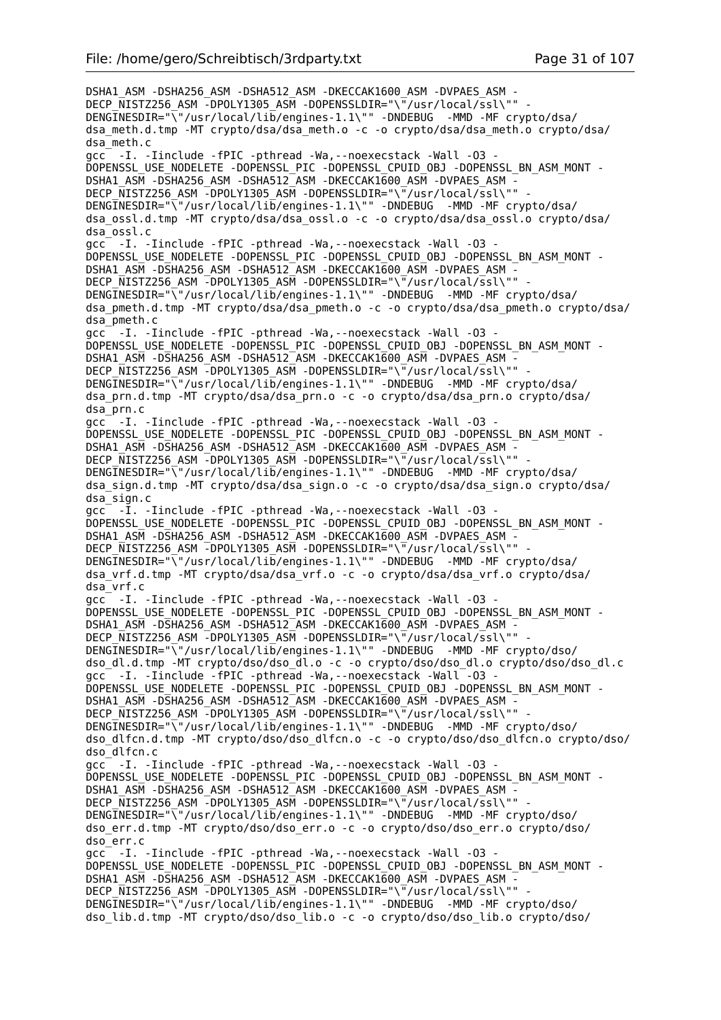DSHA1\_ASM -DSHA256\_ASM -DSHA512\_ASM -DKECCAK1600\_ASM -DVPAES\_ASM - DECP\_NISTZ256\_ASM -DPOLY1305\_ASM -DOPENSSLDIR="\"/usr/local/ssl\"" DENGINESDIR="\"/usr/local/lib/engines-1.1\"" -DNDEBUG -MMD -MF crypto/dsa/ dsa\_meth.d.tmp -MT crypto/dsa/dsa\_meth.o -c -o crypto/dsa/dsa\_meth.o crypto/dsa/ dsa\_meth.c gcc -I. -Iinclude -fPIC -pthread -Wa,--noexecstack -Wall -O3 - DOPENSSL\_USE\_NODELETE -DOPENSSL\_PIC -DOPENSSL\_CPUID\_OBJ\_-DOPENSSL\_BN\_ASM\_MONT -DSHA1\_ASM -DSHA256\_ASM -DSHA512\_ASM -DKECCAK1600\_ASM -DVPAES\_ASM DECP\_NISTZ256\_ASM -DPOLY1305\_ASM -DOPENSSLDIR="\"/usr/local/ssl\"" -DENGINESDIR="\"/usr/local/lib/engines-1.1\"" -DNDEBUG -MMD -MF crypto/dsa/ dsa\_ossl.d.tmp -MT crypto/dsa/dsa\_ossl.o -c -o crypto/dsa/dsa\_ossl.o crypto/dsa/ dsa\_ossl.c gcc -I. -Iinclude -fPIC -pthread -Wa,--noexecstack -Wall -O3 - DOPENSSL\_USE\_NODELETE -DOPENSSL\_PIC -DOPENSSL\_CPUID\_OBJ -DOPENSSL\_BN\_ASM\_MONT - DSHA1\_ASM -DSHA256\_ASM -DSHA512\_ASM -DKECCAK1600\_ASM -DVPAES\_ASM -DECP\_NISTZ256\_ASM -DPOLY1305\_ASM -DOPENSSLDIR="\"/usr/local/ssl\"" DENGINESDIR="\"/usr/local/lib/engines-1.1\"" -DNDEBUG -MMD -MF crypto/dsa/ dsa\_pmeth.d.tmp -MT crypto/dsa/dsa\_pmeth.o -c -o crypto/dsa/dsa\_pmeth.o crypto/dsa/ dsa\_pmeth.c gcc -I. -Iinclude -fPIC -pthread -Wa,--noexecstack -Wall -O3 - DOPENSSL\_USE\_NODELETE -DOPENSSL\_PIC -DOPENSSL\_CPUID\_OBJ -DOPENSSL\_BN\_ASM\_MONT - DSHA1\_ASM -DSHA256\_ASM -DSHA512\_ASM -DKECCAK1600\_ASM -DVPAES\_ASM -DECP NISTZ256 ASM -DPOLY1305 ASM -DOPENSSLDIR="\"/usr/local/ssl\"" DENGINESDIR="\"/usr/local/lib/engines-1.1\"" -DNDEBUG -MMD -MF crypto/dsa/ dsa\_prn.d.tmp -MT crypto/dsa/dsa\_prn.o -c -o crypto/dsa/dsa\_prn.o crypto/dsa/ dsa\_prn.c gcc -I. -Iinclude -fPIC -pthread -Wa,--noexecstack -Wall -O3 - DOPENSSL\_USE\_NODELETE -DOPENSSL\_PIC -DOPENSSL\_CPUID\_OBJ -DOPENSSL\_BN\_ASM\_MONT - DSHA1\_ASM -DSHA256\_ASM -DSHA512\_ASM -DKECCAK1600\_ASM -DVPAES\_ASM - DECP\_NISTZ256\_ASM -DPOLY1305\_ASM -DOPENSSLDIR="\"/usr/local/ssl\"" DENGINESDIR="\"/usr/local/lib/engines-1.1\"" -DNDEBUG -MMD -MF crypto/dsa/ dsa\_sign.d.tmp -MT crypto/dsa/dsa\_sign.o -c -o crypto/dsa/dsa\_sign.o crypto/dsa/ dsa\_sign.c gcc -I. -Iinclude -fPIC -pthread -Wa,--noexecstack -Wall -O3 - DOPENSSL\_USE\_NODELETE -DOPENSSL\_PIC -DOPENSSL\_CPUID\_OBJ -DOPENSSL\_BN\_ASM\_MONT - DSHA1\_ASM -DSHA256\_ASM -DSHA512\_ASM -DKECCAK1600\_ASM -DVPAES\_ASM - DECP\_NISTZ256\_ASM -DPOLY1305\_ASM -DOPENSSLDIR="\"/usr/local/ssl\"" DENGINESDIR="\<sup>"</sup>/usr/local/lib/engines-1.1\"" -DNDEBUG -MMD -MF crypto/dsa/ dsa\_vrf.d.tmp -MT crypto/dsa/dsa\_vrf.o -c -o crypto/dsa/dsa\_vrf.o crypto/dsa/ dsa\_vrf.c gcc -I. -Iinclude -fPIC -pthread -Wa,--noexecstack -Wall -O3 - DOPENSSL\_USE\_NODELETE -DOPENSSL\_PIC -DOPENSSL\_CPUID\_OBJ -DOPENSSL\_BN\_ASM\_MONT - DSHA1\_ASM -DSHA256\_ASM -DSHA512\_ASM -DKECCAK1600\_ASM -DVPAES\_ASM - DECP NISTZ256 ASM -DPOLY1305 ASM -DOPENSSLDIR="\"/usr/local/ssl\"" DENGINESDIR="\"/usr/local/lib/engines-1.1\"" -DNDEBUG -MMD -MF crypto/dso/ dso\_dl.d.tmp -MT crypto/dso/dso\_dl.o -c -o crypto/dso/dso\_dl.o crypto/dso/dso\_dl.c gcc -I. -Iinclude -fPIC -pthread -Wa, --noexecstack -Wall -03 -DOPENSSL\_USE\_NODELETE -DOPENSSL\_PIC -DOPENSSL\_CPUID\_OBJ -DOPENSSL\_BN\_ASM\_MONT - DSHA1\_ASM -DSHA256\_ASM -DSHA512\_ASM -DKECCAK1600\_ASM -DVPAES\_ASM - DECP\_NISTZ256\_ASM -DPOLY1305\_ASM -DOPENSSLDIR="\"/usr/local/ssl\"" DENGINESDIR="\"/usr/local/lib/engines-1.1\"" -DNDEBUG -MMD -MF crypto/dso/ dso\_dlfcn.d.tmp -MT crypto/dso/dso\_dlfcn.o -c -o crypto/dso/dso\_dlfcn.o crypto/dso/ dso\_dlfcn.c gcc -I. -Iinclude -fPIC -pthread -Wa,--noexecstack -Wall -O3 - DOPENSSL\_USE\_NODELETE -DOPENSSL\_PIC -DOPENSSL\_CPUID\_OBJ -DOPENSSL\_BN\_ASM\_MONT - DSHA1\_ASM -DSHA256\_ASM -DSHA512\_ASM -DKECCAK1600\_ASM -DVPAES\_ASM -DECP NISTZ256 ASM -DPOLY1305 ASM -DOPENSSLDIR="\"/usr/local/ssl\"" DENGINESDIR="\"/usr/local/lib/engines-1.1\"" -DNDEBUG -MMD -MF crypto/dso/ dso\_err.d.tmp -MT crypto/dso/dso\_err.o -c -o crypto/dso/dso\_err.o crypto/dso/ dso\_err.c gcc -I. -Iinclude -fPIC -pthread -Wa,--noexecstack -Wall -O3 - DOPENSSL\_USE\_NODELETE -DOPENSSL\_PIC -DOPENSSL\_CPUID\_OBJ -DOPENSSL\_BN\_ASM\_MONT - DSHA1\_ASM -DSHA256\_ASM -DSHA512\_ASM -DKECCAK1600\_ASM -DVPAES\_ASM - DECP\_NISTZ256\_ASM -DPOLY1305\_ASM -DOPENSSLDIR="\"/usr/local/ssl\"" DENGINESDIR="\"/usr/local/lib/engines-1.1\"" -DNDEBUG -MMD -MF crypto/dso/ dso\_lib.d.tmp -MT crypto/dso/dso\_lib.o -c -o crypto/dso/dso\_lib.o crypto/dso/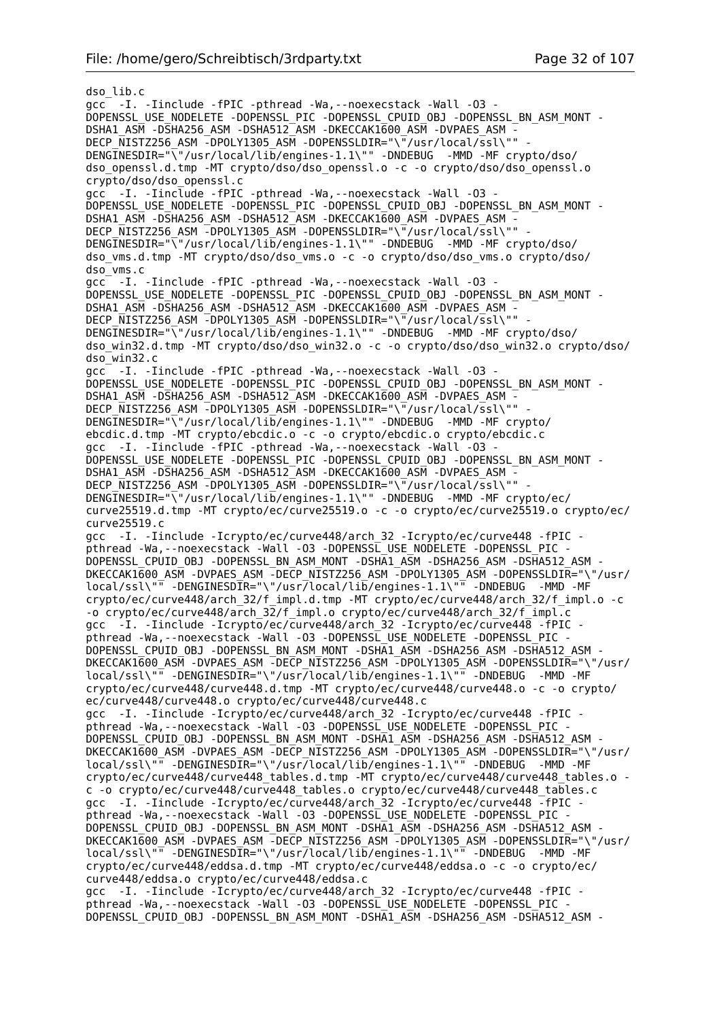dso\_lib.c gcc -I. -Iinclude -fPIC -pthread -Wa,--noexecstack -Wall -O3 - DOPENSSL\_USE\_NODELETE -DOPENSSL\_PIC -DOPENSSL\_CPUID\_OBJ -DOPENSSL\_BN\_ASM\_MONT - DSHA1\_ASM -DSHA256\_ASM -DSHA512\_ASM -DKECCAK1600\_ASM -DVPAES\_ASM - DECP\_NISTZ256\_ASM -DPOLY1305\_ASM -DOPENSSLDIR="\"/usr/local/ssl\"" - DENGINESDIR="\"/usr/local/lib/engines-1.1\"" -DNDEBUG -MMD -MF crypto/dso/ dso\_openssl.d.tmp -MT crypto/dso/dso\_openssl.o -c -o crypto/dso/dso\_openssl.o crypto/dso/dso\_openssl.c gcc -I. -Iinclude -fPIC -pthread -Wa,--noexecstack -Wall -O3 - DOPENSSL\_USE\_NODELETE -DOPENSSL\_PIC -DOPENSSL\_CPUID\_OBJ -DOPENSSL\_BN\_ASM\_MONT - DSHA1\_ASM -DSHA256\_ASM -DSHA512\_ASM -DKECCAK1600\_ASM -DVPAES\_ASM -DECP\_NISTZ256\_ASM -DPOLY1305\_ASM -DOPENSSLDIR="\"/usr/local/ssl\"" DENGINESDIR="\"/usr/local/lib/engines-1.1\"" -DNDEBUG -MMD -MF crypto/dso/ dso\_vms.d.tmp -MT crypto/dso/dso\_vms.o -c -o crypto/dso/dso\_vms.o crypto/dso/ dso\_vms.c gcc -I. -Iinclude -fPIC -pthread -Wa,--noexecstack -Wall -O3 - DOPENSSL\_USE\_NODELETE -DOPENSSL\_PIC -DOPENSSL\_CPUID\_OBJ\_-DOPENSSL\_BN\_ASM\_MONT -DSHA1\_ASM -DSHA256\_ASM -DSHA512\_ASM -DKECCAK1600\_ASM -DVPAES\_ASM -DECP NISTZ256 ASM -DPOLY1305 ASM -DOPENSSLDIR="\"/usr/local/ssl\"" DENGINESDIR="\"/usr/local/lib/engines-1.1\"" -DNDEBUG -MMD -MF crypto/dso/ dso\_win32.d.tmp -MT crypto/dso/dso\_win32.o -c -o crypto/dso/dso\_win32.o crypto/dso/ dso\_win32.c gcc -I. -Iinclude -fPIC -pthread -Wa,--noexecstack -Wall -O3 - DOPENSSL\_USE\_NODELETE -DOPENSSL\_PIC -DOPENSSL\_CPUID\_OBJ -DOPENSSL\_BN\_ASM\_MONT -DSHA1\_ASM -DSHA256\_ASM -DSHA512\_ASM -DKECCAK1600\_ASM -DVPAES\_ASM -DECP NISTZ256 ASM -DPOLY1305 ASM -DOPENSSLDIR="\"/usr/local/ssl\"" DENGINESDIR="\"/usr/local/lib/engines-1.1\"" -DNDEBUG -MMD -MF crypto/ ebcdic.d.tmp -MT crypto/ebcdic.o -c -o crypto/ebcdic.o crypto/ebcdic.c gcc -I. -Iinclude -fPIC -pthread -Wa,--noexecstack -Wall -O3 - DOPENSSL\_USE\_NODELETE -DOPENSSL\_PIC -DOPENSSL\_CPUID\_OBJ -DOPENSSL\_BN\_ASM\_MONT - DSHA1\_ASM -DSHA256\_ASM -DSHA512\_ASM -DKECCAK1600\_ASM -DVPAES\_ASM -DECP NISTZ256 ASM -DPOLY1305 ASM -DOPENSSLDIR="\"/usr/local/ssl\"" DENGINESDIR="\"/usr/local/lib/engines-1.1\"" -DNDEBUG -MMD -MF crypto/ec/ curve25519.d.tmp -MT crypto/ec/curve25519.o -c -o crypto/ec/curve25519.o crypto/ec/ curve25519.c gcc -I. -Iinclude -Icrypto/ec/curve448/arch\_32 -Icrypto/ec/curve448 -fPIC pthread -Wa, --noexecstack -Wall -03 -DOPENSSL USE\_NODELETE -DOPENSSL\_PIC -DOPENSSL\_CPUID\_OBJ -DOPENSSL\_BN\_ASM\_MONT -DSHA1\_ASM -DSHA256\_ASM -DSHA512\_ASM -DKECCAK1600\_ASM -DVPAES\_ASM -DECP\_NISTZ256\_ASM -DPOLY1305\_ASM -DOPENSSLDIR="\"/usr/ local/ssl\"" -DENGINESDIR="\"/usr/local/lib/engines-1.1\"" -DNDEBUG -MMD -MF crypto/ec/curve448/arch\_32/f\_impl.d.tmp -MT crypto/ec/curve448/arch\_32/f\_impl.o -c -o crypto/ec/curve448/arch\_32/f\_impl.o crypto/ec/curve448/arch\_32/f\_impl.c gcc -I. -Iinclude -Icrypto/ec/curve448/arch\_32 -Icrypto/ec/curve448 -fPIC pthread -Wa, --noexecstack -Wall -03 -DOPENSSL USE NODELETE -DOPENSSL PIC -DOPENSSL\_CPUID\_OBJ -DOPENSSL\_BN\_ASM\_MONT -DSHA1\_ASM -DSHA256\_ASM -DSHA512\_ASM - DKECCAK1600\_ASM -DVPAES\_ASM -DECP\_NISTZ256\_ASM -DPOLY1305\_ASM -DOPENSSLDIR="\"/usr/ local/ssl\"" -DENGINESDIR="\"/usr/local/lib/engines-1.1\"" -DNDEBUG -MMD -MF crypto/ec/curve448/curve448.d.tmp -MT crypto/ec/curve448/curve448.o -c -o crypto/ ec/curve448/curve448.o crypto/ec/curve448/curve448.c gcc -I. -Iinclude -Icrypto/ec/curve448/arch\_32 -Icrypto/ec/curve448 -fPIC pthread -Wa,--noexecstack -Wall -O3 -DOPENSSL\_USE\_NODELETE -DOPENSSL\_PIC - DOPENSSL\_CPUID\_OBJ\_-DOPENSSL\_BN\_ASM\_MONT -DSHA1\_ASM -DSHA256\_ASM -DSHA512\_ASM -DKECCAK1600\_ASM -DVPAES\_ASM -DECP\_NISTZ256\_ASM -DPOLY1305\_ASM -DOPENSSLDIR="\"/usr/ local/ssl\"" -DENGINESDIR="\"/usr/local/lib/engines-1.1\"" -DNDEBUG -MMD -MF crypto/ec/curve448/curve448\_tables.d.tmp -MT crypto/ec/curve448/curve448\_tables.o c -o crypto/ec/curve448/curve448\_tables.o crypto/ec/curve448/curve448\_tables.c gcc -I. -Iinclude -Icrypto/ec/curve448/arch\_32 -Icrypto/ec/curve448 -fPIC pthread -Wa,--noexecstack -Wall -O3 -DOPENSSL\_USE\_NODELETE -DOPENSSL\_PIC - DOPENSSL\_CPUID\_OBJ\_-DOPENSSL\_BN\_ASM\_MONT -DSHA1\_ASM -DSHA256\_ASM -DSHA512\_ASM -DKECCAK1600\_ASM -DVPAES\_ASM -DECP\_NISTZ256\_ASM -DPOLY1305\_ASM -DOPENSSLDIR="\"/usr/ local/ssl\"" -DENGINESDIR="\"/usr/local/lib/engines-1.1\"" -DNDEBUG -MMD -MF crypto/ec/curve448/eddsa.d.tmp -MT crypto/ec/curve448/eddsa.o -c -o crypto/ec/ curve448/eddsa.o crypto/ec/curve448/eddsa.c gcc -I. -Iinclude -Icrypto/ec/curve448/arch\_32 -Icrypto/ec/curve448 -fPIC pthread -Wa, --noexecstack -Wall -03 -DOPENSSL USE NODELETE -DOPENSSL PIC -DOPENSSL\_CPUID\_OBJ -DOPENSSL\_BN\_ASM\_MONT -DSHA1\_ASM -DSHA256\_ASM -DSHA512\_ASM -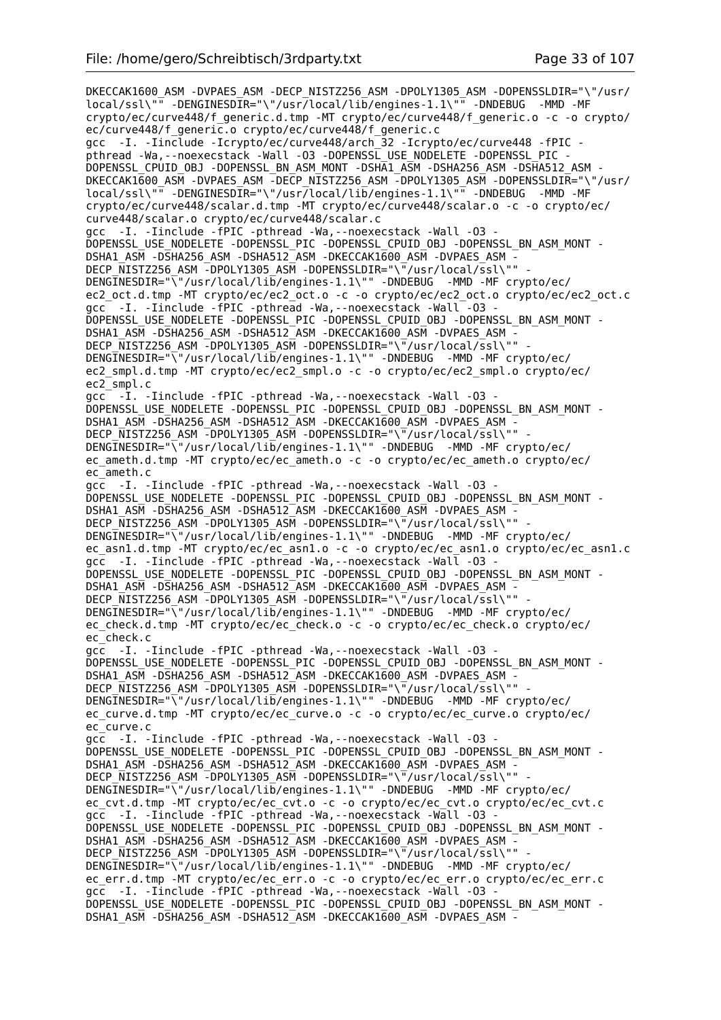DKECCAK1600\_ASM -DVPAES\_ASM -DECP\_NISTZ256\_ASM -DPOLY1305\_ASM -DOPENSSLDIR="\"/usr/ local/ssl\"" -DENGINESDIR="\"/usr/local/lib/engines-1.1\"" -DNDEBUG -MMD -MF crypto/ec/curve448/f\_generic.d.tmp -MT crypto/ec/curve448/f\_generic.o -c -o crypto/ ec/curve448/f\_generic.o crypto/ec/curve448/f\_generic.c gcc -I. -Iinclude -Icrypto/ec/curve448/arch\_32 -Icrypto/ec/curve448 -fPIC pthread -Wa,--noexecstack -Wall -O3 -DOPENSSL\_USE\_NODELETE -DOPENSSL\_PIC - DOPENSSL\_CPUID\_0BJ\_-DOPENSSL\_BN\_ASM\_MONT -DSHA1\_ASM -DSHA256\_ASM -DSHA512\_ASM -DKECCAK1600\_ASM -DVPAES\_ASM -DECP\_NISTZ256\_ASM -DPOLY1305\_ASM -DOPENSSLDIR="\"/usr/ local/ssl\"" -DENGINESDIR="\"/usr/local/lib/engines-1.1\"" -DNDEBUG -MMD -MF crypto/ec/curve448/scalar.d.tmp -MT crypto/ec/curve448/scalar.o -c -o crypto/ec/ curve448/scalar.o crypto/ec/curve448/scalar.c gcc -I. -Iinclude -fPIC -pthread -Wa,--noexecstack -Wall -O3 - DOPENSSL\_USE\_NODELETE -DOPENSSL\_PIC -DOPENSSL\_CPUID\_OBJ -DOPENSSL\_BN\_ASM\_MONT -DSHA1\_ASM -DSHA256\_ASM -DSHA512\_ASM -DKECCAK1600\_ASM -DVPAES\_ASM -DECP NISTZ256 ASM -DPOLY1305 ASM -DOPENSSLDIR="\"/usr/local/ssl\"" DENGINESDIR="\"/usr/local/lib/engines-1.1\"" -DNDEBUG -MMD -MF crypto/ec/ ec2\_oct.d.tmp -MT crypto/ec/ec2\_oct.o -c -o crypto/ec/ec2\_oct.o crypto/ec/ec2\_oct.c gcc -I. -Iinclude -fPIC -pthread -Wa, --noexecstack -Wall -03 -DOPENSSL\_USE\_NODELETE -DOPENSSL\_PIC -DOPENSSL\_CPUID\_OBJ -DOPENSSL\_BN\_ASM\_MONT - DSHA1\_ASM -DSHA256\_ASM -DSHA512\_ASM -DKECCAK1600\_ASM -DVPAES\_ASM - DECP\_NISTZ256\_ASM -DPOLY1305\_ASM -DOPENSSLDIR="\"/usr/local/ssl\"" DENGINESDIR="\"/usr/local/lib/engines-1.1\"" -DNDEBUG -MMD -MF crypto/ec/ ec2\_smpl.d.tmp -MT crypto/ec/ec2\_smpl.o -c -o crypto/ec/ec2\_smpl.o crypto/ec/ ec2\_smpl.c gcc -I. -Iinclude -fPIC -pthread -Wa,--noexecstack -Wall -O3 - DOPENSSL\_USE\_NODELETE -DOPENSSL\_PIC -DOPENSSL\_CPUID\_OBJ -DOPENSSL\_BN\_ASM\_MONT - DSHA1\_ASM -DSHA256\_ASM -DSHA512\_ASM -DKECCAK1600\_ASM -DVPAES\_ASM - DECP\_NISTZ256\_ASM -DPOLY1305\_ASM -DOPENSSLDIR="\"/usr/local/ssl\"" DENGINESDIR="\"/usr/local/lib/engines-1.1\"" -DNDEBUG -MMD -MF crypto/ec/ ec\_ameth.d.tmp -MT crypto/ec/ec\_ameth.o -c -o crypto/ec/ec\_ameth.o crypto/ec/ ec\_ameth.c gcc -I. -Iinclude -fPIC -pthread -Wa,--noexecstack -Wall -O3 - DOPENSSL\_USE\_NODELETE -DOPENSSL\_PIC -DOPENSSL\_CPUID\_OBJ -DOPENSSL\_BN\_ASM\_MONT - DSHA1\_ASM -DSHA256\_ASM -DSHA512\_ASM -DKECCAK1600\_ASM -DVPAES\_ASM -DECP\_NISTZ256\_ASM -DPOLY1305\_ASM -DOPENSSLDIR="\"/usr/local/ssl\"" DENGINESDIR="\"/usr/local/lib/engines-1.1\"" -DNDEBUG -MMD -MF crypto/ec/ ec\_asn1.d.tmp -MT crypto/ec/ec\_asn1.o -c -o crypto/ec/ec\_asn1.o crypto/ec/ec\_asn1.c gcc -I. -Iinclude -fPIC -pthread -Wa,--noexecstack -Wall -O3 - DOPENSSL\_USE\_NODELETE -DOPENSSL\_PIC -DOPENSSL\_CPUID\_OBJ -DOPENSSL\_BN\_ASM\_MONT -DSHA1\_ASM -DSHA256\_ASM -DSHA512\_ASM -DKECCAK1600\_ASM -DVPAES\_ASM -DECP NISTZ256 ASM -DPOLY1305 ASM -DOPENSSLDIR="\"/usr/local/ssl\"" DENGINESDIR="\"/usr/local/lib/engines-1.1\"" -DNDEBUG -MMD -MF crypto/ec/ ec\_check.d.tmp -MT crypto/ec/ec\_check.o -c -o crypto/ec/ec\_check.o crypto/ec/ ec\_check.c gcc -I. -Iinclude -fPIC -pthread -Wa,--noexecstack -Wall -O3 - DOPENSSL\_USE\_NODELETE -DOPENSSL\_PIC -DOPENSSL\_CPUID\_OBJ -DOPENSSL\_BN\_ASM\_MONT -DSHA1\_ASM -DSHA256\_ASM -DSHA512\_ASM -DKECCAK1600\_ASM -DVPAES\_ASM -DECP NISTZ256 ASM -DPOLY1305 ASM -DOPENSSLDIR="\"/usr/local/ssl\"" DENGINESDIR="\"/usr/local/lib/engines-1.1\"" -DNDEBUG -MMD -MF crypto/ec/ ec curve.d.tmp -MT crypto/ec/ec curve.o -c -o crypto/ec/ec curve.o crypto/ec/ ec\_curve.c gcc -I. -Iinclude -fPIC -pthread -Wa,--noexecstack -Wall -O3 - DOPENSSL\_USE\_NODELETE -DOPENSSL\_PIC -DOPENSSL\_CPUID\_OBJ -DOPENSSL\_BN\_ASM\_MONT -DSHA1\_ASM -DSHA256\_ASM -DSHA512\_ASM -DKECCAK1600\_ASM -DVPAES\_ASM -DECP NISTZ256 ASM -DPOLY1305 ASM -DOPENSSLDIR="\"/usr/local/ssl\"" DENGINESDIR="\"/usr/local/lib/engines-1.1\"" -DNDEBUG -MMD -MF crypto/ec/ ec\_cvt.d.tmp -MT crypto/ec/ec\_cvt.o -c -o crypto/ec/ec\_cvt.o crypto/ec/ec\_cvt.c gcc -I. -Iinclude -fPIC -pthread -Wa,--noexecstack -Wall -O3 - DOPENSSL\_USE\_NODELETE -DOPENSSL\_PIC -DOPENSSL\_CPUID\_OBJ\_-DOPENSSL\_BN\_ASM\_MONT -DSHA1\_ASM -DSHA256\_ASM -DSHA512\_ASM -DKECCAK1600\_ASM -DVPAES\_ASM -DECP NISTZ256 ASM -DPOLY1305 ASM -DOPENSSLDIR="\"/usr/local/ssl\"" DENGINESDIR="\"/usr/local/lib/engines-1.1\"" -DNDEBUG -MMD -MF crypto/ec/ ec\_err.d.tmp -MT crypto/ec/ec\_err.o -c -o crypto/ec/ec\_err.o crypto/ec/ec\_err.c gcc -I. -Iinclude -fPIC -pthread -Wa,--noexecstack -Wall -O3 - DOPENSSL\_USE\_NODELETE -DOPENSSL\_PIC -DOPENSSL\_CPUID\_OBJ -DOPENSSL\_BN\_ASM\_MONT - DSHA1\_ASM -DSHA256\_ASM -DSHA512\_ASM -DKECCAK1600\_ASM -DVPAES\_ASM -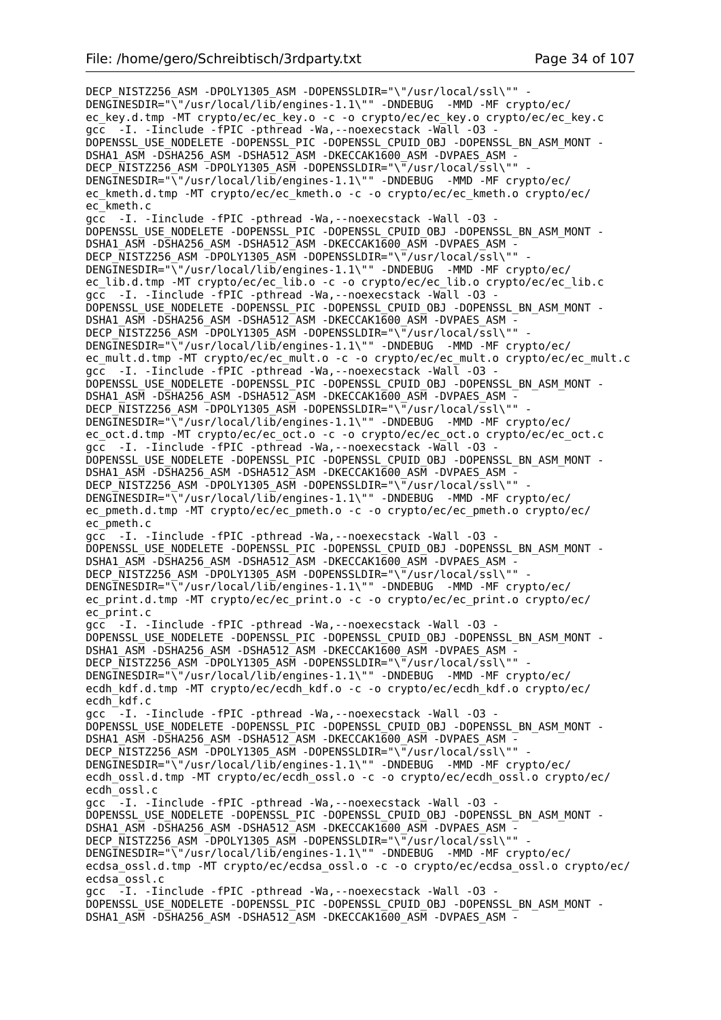DECP\_NISTZ256\_ASM -DPOLY1305\_ASM -DOPENSSLDIR="\"/usr/local/ssl\"" -DENGINESDIR="\"/usr/local/lib/engines-1.1\"" -DNDEBUG -MMD -MF crypto/ec/ ec\_key.d.tmp -MT crypto/ec/ec\_key.o -c -o crypto/ec/ec\_key.o crypto/ec/ec\_key.c gcc -I. -Iinclude -fPIC -pthread -Wa,--noexecstack -Wall -O3 - DOPENSSL\_USE\_NODELETE -DOPENSSL\_PIC -DOPENSSL\_CPUID\_OBJ -DOPENSSL\_BN\_ASM\_MONT - DSHA1\_ASM -DSHA256\_ASM -DSHA512\_ASM -DKECCAK1600\_ASM -DVPAES\_ASM - DECP\_NISTZ256\_ASM -DPOLY1305\_ASM -DOPENSSLDIR="\"/usr/local/ssl\"" DENGINESDIR="\"/usr/local/lib/engines-1.1\"" -DNDEBUG -MMD -MF crypto/ec/ ec kmeth.d.tmp -MT crypto/ec/ec kmeth.o -c -o crypto/ec/ec kmeth.o crypto/ec/ ec\_kmeth.c gcc -I. -Iinclude -fPIC -pthread -Wa,--noexecstack -Wall -O3 - DOPENSSL\_USE\_NODELETE -DOPENSSL\_PIC -DOPENSSL\_CPUID\_OBJ -DOPENSSL\_BN\_ASM\_MONT - DSHA1\_ASM -DSHA256\_ASM -DSHA512\_ASM -DKECCAK1600\_ASM -DVPAES\_ASM - DECP\_NISTZ256\_ASM -DPOLY1305\_ASM -DOPENSSLDIR="\"/usr/local/ssl\"" DENGINESDIR="\"/usr/local/lib/engines-1.1\"" -DNDEBUG -MMD -MF crypto/ec/ ec\_lib.d.tmp -MT crypto/ec/ec\_lib.o -c -o crypto/ec/ec\_lib.o crypto/ec/ec\_lib.c gcc -I. -Iinclude -fPIC -pthread -Wa,--noexecstack -Wall -O3 - DOPENSSL\_USE\_NODELETE -DOPENSSL\_PIC -DOPENSSL\_CPUID\_OBJ -DOPENSSL\_BN\_ASM\_MONT - DSHA1\_ASM -DSHA256\_ASM -DSHA512\_ASM -DKECCAK1600\_ASM -DVPAES\_ASM - DECP\_NISTZ256\_ASM -DPOLY1305\_ASM -DOPENSSLDIR="\"/usr/local/ssl\"" DENGINESDIR="\"/usr/local/lib/engines-1.1\"" -DNDEBUG -MMD -MF crypto/ec/ ec\_mult.d.tmp -MT crypto/ec/ec\_mult.o -c -o crypto/ec/ec\_mult.o crypto/ec/ec\_mult.c gcc -I. -Iinclude -fPIC -pthread -Wa,--noexecstack -Wall -O3 - DOPENSSL\_USE\_NODELETE -DOPENSSL\_PIC -DOPENSSL\_CPUID\_OBJ -DOPENSSL\_BN\_ASM\_MONT -DSHA1\_ASM -DSHA256\_ASM -DSHA512\_ASM -DKECCAK1600\_ASM -DVPAES\_ASM -DECP NISTZ256 ASM -DPOLY1305 ASM -DOPENSSLDIR="\"/usr/local/ssl\"" DENGINESDIR="\"/usr/local/lib/engines-1.1\"" -DNDEBUG -MMD -MF crypto/ec/ ec\_oct.d.tmp -MT crypto/ec/ec\_oct.o -c -o crypto/ec/ec\_oct.o crypto/ec/ec\_oct.c gcc -I. -Iinclude -fPIC -pthread -Wa,--noexecstack -Wall -O3 - DOPENSSL\_USE\_NODELETE -DOPENSSL\_PIC -DOPENSSL\_CPUID\_OBJ -DOPENSSL\_BN\_ASM\_MONT - DSHA1\_ASM -DSHA256\_ASM -DSHA512\_ASM -DKECCAK1600\_ASM -DVPAES\_ASM -DECP NISTZ256 ASM -DPOLY1305 ASM -DOPENSSLDIR="\"/usr/local/ssl\"" DENGINESDIR="\"/usr/local/lib/engines-1.1\"" -DNDEBUG -MMD -MF crypto/ec/ ec\_pmeth.d.tmp -MT crypto/ec/ec\_pmeth.o -c -o crypto/ec/ec\_pmeth.o crypto/ec/ ec\_pmeth.c gcc -I. -Iinclude -fPIC -pthread -Wa,--noexecstack -Wall -O3 - DOPENSSL\_USE\_NODELETE -DOPENSSL\_PIC -DOPENSSL\_CPUID\_OBJ -DOPENSSL\_BN\_ASM\_MONT - DSHA1\_ASM -DSHA256\_ASM -DSHA512\_ASM -DKECCAK1600\_ASM -DVPAES\_ASM - DECP\_NISTZ256\_ASM -DPOLY1305\_ASM -DOPENSSLDIR="\"/usr/local/ssl\"" DENGINESDIR="\"/usr/local/lib/engines-1.1\"" -DNDEBUG -MMD -MF crypto/ec/ ec\_print.d.tmp -MT crypto/ec/ec\_print.o -c -o crypto/ec/ec\_print.o crypto/ec/ ec\_print.c gcc -I. -Iinclude -fPIC -pthread -Wa,--noexecstack -Wall -O3 - DOPENSSL\_USE\_NODELETE -DOPENSSL\_PIC -DOPENSSL\_CPUID\_OBJ -DOPENSSL\_BN\_ASM\_MONT -DSHA1\_ASM -DSHA256\_ASM -DSHA512\_ASM -DKECCAK1600\_ASM -DVPAES\_ASM -DECP NISTZ256 ASM -DPOLY1305 ASM -DOPENSSLDIR="\"/usr/local/ssl\"" DENGINESDIR="\"/usr/local/lib/engines-1.1\"" -DNDEBUG -MMD -MF crypto/ec/ ecdh kdf.d.tmp -MT crypto/ec/ecdh kdf.o -c -o crypto/ec/ecdh kdf.o crypto/ec/ ecdh\_kdf.c gcc  $-I$ . -Iinclude -fPIC -pthread -Wa, --noexecstack -Wall -03 -DOPENSSL\_USE\_NODELETE -DOPENSSL\_PIC -DOPENSSL\_CPUID\_OBJ -DOPENSSL\_BN\_ASM\_MONT - DSHA1\_ASM -DSHA256\_ASM -DSHA512\_ASM -DKECCAK1600\_ASM -DVPAES\_ASM -DECP NISTZ256 ASM -DPOLY1305 ASM -DOPENSSLDIR="\"/usr/local/ssl\"" DENGINESDIR="\"/usr/local/lib/engines-1.1\"" -DNDEBUG -MMD -MF crypto/ec/ ecdh\_ossl.d.tmp -MT crypto/ec/ecdh\_ossl.o -c -o crypto/ec/ecdh\_ossl.o crypto/ec/ ecdh\_ossl.c gcc -I. -Iinclude -fPIC -pthread -Wa,--noexecstack -Wall -O3 - DOPENSSL\_USE\_NODELETE -DOPENSSL\_PIC -DOPENSSL\_CPUID\_OBJ -DOPENSSL\_BN\_ASM\_MONT - DSHA1\_ASM -DSHA256\_ASM -DSHA512\_ASM -DKECCAK1600\_ASM -DVPAES\_ASM -DECP NISTZ256 ASM -DPOLY1305 ASM -DOPENSSLDIR="\"/usr/local/ssl\"" DENGINESDIR="\"/usr/local/lib/engines-1.1\"" -DNDEBUG -MMD -MF crypto/ec/ ecdsa\_ossl.d.tmp -MT crypto/ec/ecdsa\_ossl.o -c -o crypto/ec/ecdsa\_ossl.o crypto/ec/ ecdsa\_ossl.c gcc -I. -Iinclude -fPIC -pthread -Wa,--noexecstack -Wall -O3 - DOPENSSL\_USE\_NODELETE -DOPENSSL\_PIC -DOPENSSL\_CPUID\_OBJ -DOPENSSL\_BN\_ASM\_MONT - DSHA1\_ASM -DSHA256\_ASM -DSHA512\_ASM -DKECCAK1600\_ASM -DVPAES\_ASM -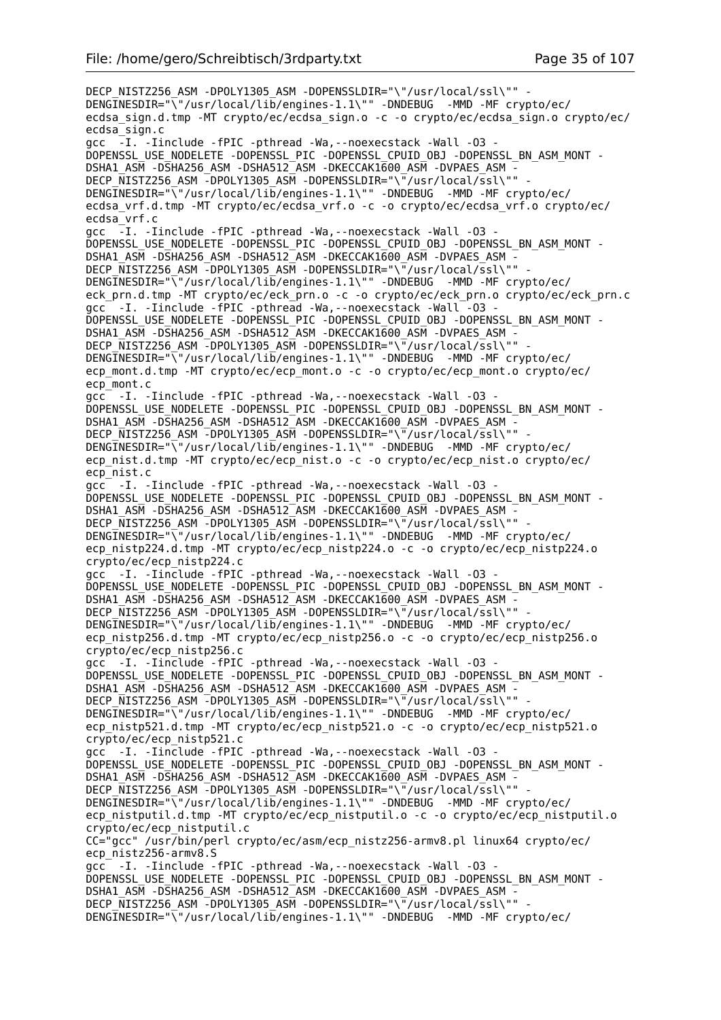DECP\_NISTZ256\_ASM -DPOLY1305\_ASM -DOPENSSLDIR="\"/usr/local/ssl\"" -DENGINESDIR="\"/usr/local/lib/engines-1.1\"" -DNDEBUG -MMD -MF crypto/ec/ ecdsa\_sign.d.tmp -MT crypto/ec/ecdsa\_sign.o -c -o crypto/ec/ecdsa\_sign.o crypto/ec/ ecdsa\_sign.c gcc -I. -Iinclude -fPIC -pthread -Wa,--noexecstack -Wall -O3 - DOPENSSL\_USE\_NODELETE -DOPENSSL\_PIC -DOPENSSL\_CPUID\_OBJ -DOPENSSL\_BN\_ASM\_MONT - DSHA1\_ASM -DSHA256\_ASM -DSHA512\_ASM -DKECCAK1600\_ASM -DVPAES\_ASM -DECP NISTZ256 ASM -DPOLY1305 ASM -DOPENSSLDIR="\"/usr/local/ssl\"" DENGINESDIR="\"/usr/local/lib/engines-1.1\"" -DNDEBUG -MMD -MF crypto/ec/ ecdsa\_vrf.d.tmp -MT crypto/ec/ecdsa\_vrf.o -c -o crypto/ec/ecdsa\_vrf.o crypto/ec/ ecdsa\_vrf.c gcc  $\overline{-1}$ . -Iinclude -fPIC -pthread -Wa, --noexecstack -Wall -03 -DOPENSSL\_USE\_NODELETE -DOPENSSL\_PIC -DOPENSSL\_CPUID\_OBJ\_-DOPENSSL\_BN\_ASM\_MONT -DSHA1\_ASM -DSHA256\_ASM -DSHA512\_ASM -DKECCAK1600\_ASM -DVPAES\_ASM -DECP\_NISTZ256\_ASM -DPOLY1305\_ASM -DOPENSSLDIR="\"/usr/local/ssl\"" DENGINESDIR="\"/usr/local/lib/engines-1.1\"" -DNDEBUG -MMD -MF crypto/ec/ eck\_prn.d.tmp -MT crypto/ec/eck\_prn.o -c -o crypto/ec/eck\_prn.o crypto/ec/eck\_prn.c gcc -I. -Iinclude -fPIC -pthread -Wa, --noexecstack -Wall -03 -DOPENSSL\_USE\_NODELETE -DOPENSSL\_PIC -DOPENSSL\_CPUID\_OBJ -DOPENSSL\_BN\_ASM\_MONT - DSHA1\_ASM -DSHA256\_ASM -DSHA512\_ASM -DKECCAK1600\_ASM -DVPAES\_ASM - DECP NISTZ256 ASM -DPOLY1305 ASM -DOPENSSLDIR="\"/usr/local/ssl\"" DENGINESDIR="\"/usr/local/lib/engines-1.1\"" -DNDEBUG -MMD -MF crypto/ec/ ecp\_mont.d.tmp -MT crypto/ec/ecp\_mont.o -c -o crypto/ec/ecp\_mont.o crypto/ec/ ecp\_mont.c gcc -I. -Iinclude -fPIC -pthread -Wa,--noexecstack -Wall -O3 - DOPENSSL\_USE\_NODELETE -DOPENSSL\_PIC -DOPENSSL\_CPUID\_OBJ -DOPENSSL\_BN\_ASM\_MONT - DSHA1\_ASM -DSHA256\_ASM -DSHA512\_ASM -DKECCAK1600\_ASM -DVPAES\_ASM - DECP\_NISTZ256\_ASM -DPOLY1305\_ASM -DOPENSSLDIR="\"/usr/local/ssl\"" DENGINESDIR="\"/usr/local/lib/engines-1.1\"" -DNDEBUG -MMD -MF crypto/ec/ ecp\_nist.d.tmp -MT crypto/ec/ecp\_nist.o -c -o crypto/ec/ecp\_nist.o crypto/ec/ ecp\_nist.c gcc -I. -Iinclude -fPIC -pthread -Wa,--noexecstack -Wall -O3 - DOPENSSL\_USE\_NODELETE -DOPENSSL\_PIC -DOPENSSL\_CPUID\_OBJ -DOPENSSL\_BN\_ASM\_MONT - DSHA1\_ASM -DSHA256\_ASM -DSHA512\_ASM -DKECCAK1600\_ASM -DVPAES\_ASM -DECP\_NISTZ256\_ASM -DPOLY1305\_ASM -DOPENSSLDIR="\"/usr/local/ssl\"" DENGINESDIR="\"/usr/local/lib/engines-1.1\"" -DNDEBUG -MMD -MF crypto/ec/ ecp\_nistp224.d.tmp -MT crypto/ec/ecp\_nistp224.o -c -o crypto/ec/ecp\_nistp224.o crypto/ec/ecp\_nistp224.c gcc -I. -Iinclude -fPIC -pthread -Wa,--noexecstack -Wall -O3 - DOPENSSL\_USE\_NODELETE -DOPENSSL\_PIC -DOPENSSL\_CPUID\_OBJ -DOPENSSL\_BN\_ASM\_MONT - DSHA1\_ASM -DSHA256\_ASM -DSHA512\_ASM -DKECCAK1600\_ASM -DVPAES\_ASM -DECP NISTZ256 ASM -DPOLY1305 ASM -DOPENSSLDIR="\"/usr/local/ssl\"" DENGINESDIR="\"/usr/local/lib/engines-1.1\"" -DNDEBUG -MMD -MF crypto/ec/ ecp\_nistp256.d.tmp -MT crypto/ec/ecp\_nistp256.o -c -o crypto/ec/ecp\_nistp256.o crypto/ec/ecp\_nistp256.c gcc -I. -Iinclude -fPIC -pthread -Wa,--noexecstack -Wall -O3 - DOPENSSL\_USE\_NODELETE -DOPENSSL\_PIC -DOPENSSL\_CPUID\_OBJ -DOPENSSL\_BN\_ASM\_MONT - DSHA1\_ASM -DSHA256\_ASM -DSHA512\_ASM -DKECCAK1600\_ASM -DVPAES\_ASM -DECP NISTZ256 ASM -DPOLY1305 ASM -DOPENSSLDIR="\"/usr/local/ssl\"" DENGINESDIR="\"/usr/local/lib/engines-1.1\"" -DNDEBUG -MMD -MF crypto/ec/ ecp\_nistp521.d.tmp -MT crypto/ec/ecp\_nistp521.o -c -o crypto/ec/ecp\_nistp521.o crypto/ec/ecp\_nistp521.c gcc -I. -Iinclude -fPIC -pthread -Wa,--noexecstack -Wall -O3 - DOPENSSL\_USE\_NODELETE -DOPENSSL\_PIC -DOPENSSL\_CPUID\_OBJ -DOPENSSL\_BN\_ASM\_MONT -DSHA1\_ASM -DSHA256\_ASM -DSHA512\_ASM -DKECCAK1600 ASM -DVPAES ASM -DECP\_NISTZ256\_ASM -DPOLY1305\_ASM -DOPENSSLDIR="\"/usr/local/ssl\"" -DENGINESDIR="\"/usr/local/lib/engines-1.1\"" -DNDEBUG -MMD -MF crypto/ec/ ecp\_nistputil.d.tmp -MT crypto/ec/ecp\_nistputil.o -c -o crypto/ec/ecp\_nistputil.o crypto/ec/ecp\_nistputil.c CC="gcc" /usr/bin/perl crypto/ec/asm/ecp\_nistz256-armv8.pl linux64 crypto/ec/ ecp\_nistz256-armv8.S gcc -I. -Iinclude -fPIC -pthread -Wa,--noexecstack -Wall -O3 - DOPENSSL\_USE\_NODELETE -DOPENSSL\_PIC -DOPENSSL\_CPUID\_OBJ -DOPENSSL\_BN\_ASM\_MONT - DSHA1\_ASM -DSHA256\_ASM -DSHA512\_ASM -DKECCAK1600\_ASM -DVPAES\_ASM -DECP\_NISTZ256\_ASM -DPOLY1305\_ASM -DOPENSSLDIR="\"/usr/local/ssl\"" DENGINESDIR="\"/usr/local/lib/engines-1.1\"" -DNDEBUG -MMD -MF crypto/ec/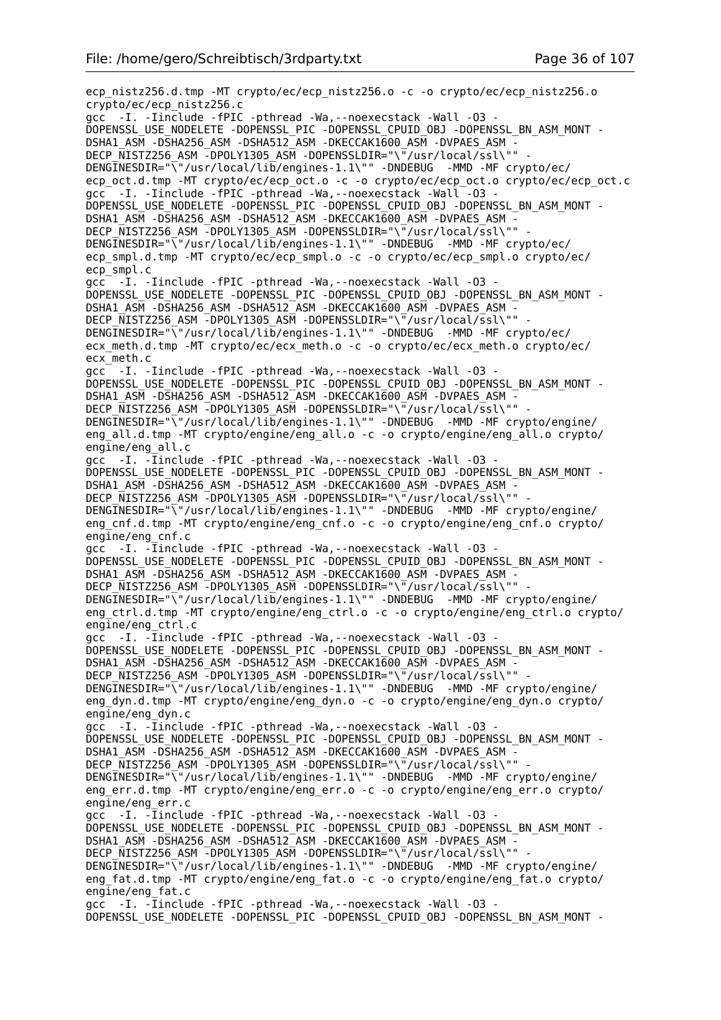ecp\_nistz256.d.tmp -MT crypto/ec/ecp\_nistz256.o -c -o crypto/ec/ecp\_nistz256.o crypto/ec/ecp\_nistz256.c gcc -I. -Iinclude -fPIC -pthread -Wa,--noexecstack -Wall -O3 - DOPENSSL\_USE\_NODELETE -DOPENSSL\_PIC -DOPENSSL\_CPUID\_OBJ -DOPENSSL\_BN\_ASM\_MONT - DSHA1\_ASM -DSHA256\_ASM -DSHA512\_ASM -DKECCAK1600\_ASM -DVPAES\_ASM - DECP\_NISTZ256\_ASM -DPOLY1305\_ASM -DOPENSSLDIR="\"/usr/local/ssl\"" DENGINESDIR="\"/usr/local/lib/engines-1.1\"" -DNDEBUG -MMD -MF crypto/ec/ ecp\_oct.d.tmp -MT crypto/ec/ecp\_oct.o -c -o crypto/ec/ecp\_oct.o crypto/ec/ecp\_oct.c gcc -I. -Iinclude -fPIC -pthread -Wa, --noexecstack -Wall -03 -DOPENSSL\_USE\_NODELETE -DOPENSSL\_PIC -DOPENSSL\_CPUID\_OBJ -DOPENSSL\_BN\_ASM\_MONT -DSHA1\_ASM -DSHA256\_ASM -DSHA512\_ASM -DKECCAK1600\_ASM -DVPAES\_ASM -DECP\_NISTZ256\_ASM -DPOLY1305\_ASM -DOPENSSLDIR="\"/usr/local/ssl\"" DENGINESDIR="\"/usr/local/lib/engines-1.1\"" -DNDEBUG -MMD -MF crypto/ec/ ecp\_smpl.d.tmp -MT crypto/ec/ecp\_smpl.o -c -o crypto/ec/ecp\_smpl.o crypto/ec/ ecp\_smpl.c gcc -I. -Iinclude -fPIC -pthread -Wa,--noexecstack -Wall -O3 - DOPENSSL\_USE\_NODELETE -DOPENSSL\_PIC -DOPENSSL\_CPUID\_OBJ\_-DOPENSSL\_BN\_ASM\_MONT -DSHA1\_ASM -DSHA256\_ASM -DSHA512\_ASM -DKECCAK1600\_ASM -DVPAES\_ASM -DECP NISTZ256 ASM -DPOLY1305 ASM -DOPENSSLDIR="\"/usr/local/ssl\"" DENGINESDIR="\"/usr/local/lib/engines-1.1\"" -DNDEBUG -MMD -MF crypto/ec/ ecx meth.d.tmp -MT crypto/ec/ecx meth.o -c -o crypto/ec/ecx meth.o crypto/ec/ ecx\_meth.c gcc -I. -Iinclude -fPIC -pthread -Wa,--noexecstack -Wall -O3 - DOPENSSL\_USE\_NODELETE -DOPENSSL\_PIC -DOPENSSL\_CPUID\_OBJ\_-DOPENSSL\_BN\_ASM\_MONT -DSHA1\_ASM -DSHA256\_ASM -DSHA512\_ASM -DKECCAK1600\_ASM -DVPAES\_ASM -DECP NISTZ256 ASM -DPOLY1305 ASM -DOPENSSLDIR="\"/usr/local/ssl\"" DENGINESDIR="\"/usr/local/lib/engines-1.1\"" -DNDEBUG -MMD -MF crypto/engine/ eng\_all.d.tmp -MT crypto/engine/eng\_all.o -c -o crypto/engine/eng\_all.o crypto/ engine/eng\_all.c gcc -I. -Iinclude -fPIC -pthread -Wa,--noexecstack -Wall -O3 - DOPENSSL\_USE\_NODELETE -DOPENSSL\_PIC -DOPENSSL\_CPUID\_OBJ -DOPENSSL\_BN\_ASM\_MONT -DSHA1\_ASM -DSHA256\_ASM -DSHA512\_ASM -DKECCAK1600\_ASM -DVPAES\_ASM - DECP NISTZ256 ASM -DPOLY1305 ASM -DOPENSSLDIR="\"/usr/local/ssl\"" DENGINESDIR="\"/usr/local/lib/engines-1.1\"" -DNDEBUG -MMD -MF crypto/engine/ eng cnf.d.tmp -MT crypto/engine/eng\_cnf.o -c -o crypto/engine/eng\_cnf.o crypto/ engine/eng\_cnf.c gcc -I. -Iinclude -fPIC -pthread -Wa,--noexecstack -Wall -O3 - DOPENSSL\_USE\_NODELETE -DOPENSSL\_PIC -DOPENSSL\_CPUID\_OBJ -DOPENSSL\_BN\_ASM\_MONT - DSHA1\_ASM -DSHA256\_ASM -DSHA512\_ASM -DKECCAK1600\_ASM -DVPAES\_ASM -DECP NISTZ256 ASM -DPOLY1305 ASM -DOPENSSLDIR="\"/usr/local/ssl\"" -DENGINESDIR="\"/usr/local/lib/engines-1.1\"" -DNDEBUG -MMD -MF crypto/engine/ eng ctrl.d.tmp -MT crypto/engine/eng ctrl.o -c -o crypto/engine/eng ctrl.o crypto/ engine/eng\_ctrl.c gcc -I. -Iinclude -fPIC -pthread -Wa,--noexecstack -Wall -O3 - DOPENSSL\_USE\_NODELETE -DOPENSSL\_PIC -DOPENSSL\_CPUID\_OBJ\_-DOPENSSL\_BN\_ASM\_MONT -DSHA1\_ASM -DSHA256\_ASM -DSHA512\_ASM -DKECCAK1600\_ASM -DVPAES\_ASM DECP NISTZ256 ASM -DPOLY1305 ASM -DOPENSSLDIR="\"/usr/local/ssl\"" DENGINESDIR="\"/usr/local/lib/engines-1.1\"" -DNDEBUG -MMD -MF crypto/engine/ eng\_dyn.d.tmp -MT crypto/engine/eng\_dyn.o -c -o crypto/engine/eng\_dyn.o crypto/ engine/eng\_dyn.c gcc -I. -Iinclude -fPIC -pthread -Wa,--noexecstack -Wall -O3 - DOPENSSL\_USE\_NODELETE -DOPENSSL\_PIC -DOPENSSL\_CPUID\_OBJ -DOPENSSL\_BN\_ASM\_MONT - DSHA1\_ASM -DSHA256\_ASM -DSHA512\_ASM -DKECCAK1600\_ASM -DVPAES\_ASM DECP NISTZ256 ASM -DPOLY1305 ASM -DOPENSSLDIR="\"/usr/local/ssl\"" -DENGINESDIR="\"/usr/local/lib/engines-1.1\"" -DNDEBUG -MMD -MF crypto/engine/ eng\_err.d.tmp -MT crypto/engine/eng\_err.o -c -o crypto/engine/eng\_err.o crypto/ engine/eng\_err.c gcc -I. -Iinclude -fPIC -pthread -Wa, --noexecstack -Wall -03 -DOPENSSL\_USE\_NODELETE -DOPENSSL\_PIC -DOPENSSL\_CPUID\_OBJ\_-DOPENSSL\_BN\_ASM\_MONT -DSHA1\_ASM -DSHA256\_ASM -DSHA512\_ASM -DKECCAK1600\_ASM -DVPAES\_ASM -DECP NISTZ256 ASM -DPOLY1305 ASM -DOPENSSLDIR="\"/usr/local/ssl\"" DENGINESDIR="\"/usr/local/lib/engines-1.1\"" -DNDEBUG -MMD -MF crypto/engine/ eng fat.d.tmp -MT crypto/engine/eng fat.o -c -o crypto/engine/eng fat.o crypto/ engine/eng\_fat.c gcc -I. -Iinclude -fPIC -pthread -Wa,--noexecstack -Wall -O3 - DOPENSSL\_USE\_NODELETE -DOPENSSL\_PIC -DOPENSSL\_CPUID\_OBJ -DOPENSSL\_BN\_ASM\_MONT -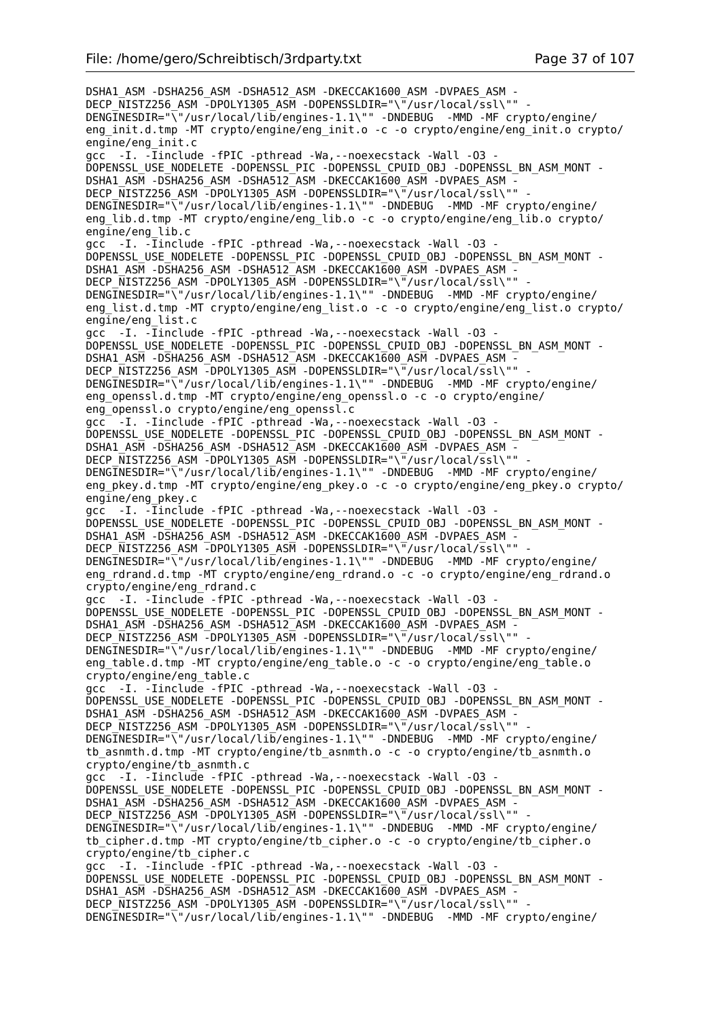DSHA1\_ASM -DSHA256\_ASM -DSHA512\_ASM -DKECCAK1600\_ASM -DVPAES\_ASM - DECP\_NISTZ256\_ASM -DPOLY1305\_ASM -DOPENSSLDIR="\"/usr/local/ssl\"" DENGINESDIR="\"/usr/local/lib/engines-1.1\"" -DNDEBUG -MMD -MF crypto/engine/ eng init.d.tmp -MT crypto/engine/eng\_init.o -c -o crypto/engine/eng\_init.o crypto/ engine/eng\_init.c gcc -I. -Iinclude -fPIC -pthread -Wa,--noexecstack -Wall -O3 - DOPENSSL\_USE\_NODELETE -DOPENSSL\_PIC -DOPENSSL\_CPUID\_OBJ -DOPENSSL\_BN\_ASM\_MONT - DSHA1\_ASM -DSHA256\_ASM -DSHA512\_ASM -DKECCAK1600\_ASM -DVPAES\_ASM DECP\_NISTZ256\_ASM -DPOLY1305\_ASM -DOPENSSLDIR="\"/usr/local/ssl\"" -DENGINESDIR="\"/usr/local/lib/engines-1.1\"" -DNDEBUG -MMD -MF crypto/engine/ eng lib.d.tmp -MT crypto/engine/eng\_lib.o -c -o crypto/engine/eng\_lib.o crypto/ engine/eng\_lib.c gcc -I. -Iinclude -fPIC -pthread -Wa,--noexecstack -Wall -O3 - DOPENSSL\_USE\_NODELETE -DOPENSSL\_PIC -DOPENSSL\_CPUID\_OBJ -DOPENSSL\_BN\_ASM\_MONT - DSHA1\_ASM -DSHA256\_ASM -DSHA512\_ASM -DKECCAK1600\_ASM -DVPAES\_ASM -DECP\_NISTZ256\_ASM\_-DPOLY1305\_ASM\_-DOPENSSLDIR="\"/usr/local/ssl\"" DENGINESDIR="\"/usr/local/lib/engines-1.1\"" -DNDEBUG -MMD -MF crypto/engine/ eng\_list.d.tmp -MT crypto/engine/eng\_list.o -c -o crypto/engine/eng\_list.o crypto/ engine/eng\_list.c gcc -I. -Iinclude -fPIC -pthread -Wa,--noexecstack -Wall -O3 - DOPENSSL\_USE\_NODELETE -DOPENSSL\_PIC -DOPENSSL\_CPUID\_OBJ -DOPENSSL\_BN\_ASM\_MONT - DSHA1\_ASM -DSHA256\_ASM -DSHA512\_ASM -DKECCAK1600\_ASM -DVPAES\_ASM -DECP NISTZ256 ASM -DPOLY1305 ASM -DOPENSSLDIR="\"/usr/local/ssl\"" DENGINESDIR="\"/usr/local/lib/engines-1.1\"" -DNDEBUG -MMD -MF crypto/engine/ eng openssl.d.tmp -MT crypto/engine/eng openssl.o -c -o crypto/engine/ eng\_openssl.o crypto/engine/eng\_openssl.c gcc -I. -Iinclude -fPIC -pthread -Wa, --noexecstack -Wall -03 DOPENSSL\_USE\_NODELETE -DOPENSSL\_PIC -DOPENSSL\_CPUID\_OBJ -DOPENSSL\_BN\_ASM\_MONT -DSHA1\_ASM -DSHA256\_ASM -DSHA512\_ASM -DKECCAK1600\_ASM -DVPAES\_ASM - DECP\_NISTZ256\_ASM -DPOLY1305\_ASM -DOPENSSLDIR="\"/usr/local/ssl\"" DENGINESDIR="\"/usr/local/lib/engines-1.1\"" -DNDEBUG -MMD -MF crypto/engine/ eng\_pkey.d.tmp -MT crypto/engine/eng\_pkey.o -c -o crypto/engine/eng\_pkey.o crypto/ engine/eng\_pkey.c gcc -I. -Iinclude -fPIC -pthread -Wa,--noexecstack -Wall -O3 - DOPENSSL\_USE\_NODELETE -DOPENSSL\_PIC -DOPENSSL\_CPUID\_OBJ -DOPENSSL\_BN\_ASM\_MONT - DSHA1\_ASM -DSHA256\_ASM -DSHA512\_ASM -DKECCAK1600\_ASM -DVPAES\_ASM - DECP\_NISTZ256\_ASM -DPOLY1305\_ASM -DOPENSSLDIR="\"/usr/local/ssl\"" DENGINESDIR="\"/usr/local/lib/engines-1.1\"" -DNDEBUG -MMD -MF crypto/engine/ eng\_rdrand.d.tmp -MT crypto/engine/eng\_rdrand.o -c -o crypto/engine/eng\_rdrand.o crypto/engine/eng\_rdrand.c gcc -I. -Iinclude -fPIC -pthread -Wa,--noexecstack -Wall -O3 - DOPENSSL\_USE\_NODELETE -DOPENSSL\_PIC -DOPENSSL\_CPUID\_OBJ -DOPENSSL\_BN\_ASM\_MONT - DSHA1\_ASM -DSHA256\_ASM -DSHA512\_ASM -DKECCAK1600\_ASM -DVPAES\_ASM - DECP NISTZ256 ASM -DPOLY1305 ASM -DOPENSSLDIR="\"/usr/local/ssl\"" DENGINESDIR="\"/usr/local/lib/engines-1.1\"" -DNDEBUG -MMD -MF crypto/engine/ eng\_table.d.tmp -MT crypto/engine/eng\_table.o -c -o crypto/engine/eng\_table.o crypto/engine/eng\_table.c gcc -I. -Iinclude -fPIC -pthread -Wa,--noexecstack -Wall -O3 - DOPENSSL\_USE\_NODELETE -DOPENSSL\_PIC -DOPENSSL\_CPUID\_OBJ -DOPENSSL\_BN\_ASM\_MONT - DSHA1\_ASM -DSHA256\_ASM -DSHA512\_ASM -DKECCAK1600\_ASM -DVPAES\_ASM - DECP\_NISTZ256\_ASM -DPOLY1305\_ASM -DOPENSSLDIR="\"/usr/local/ssl\"" DENGINESDIR="\"/usr/local/lib/engines-1.1\"" -DNDEBUG -MMD -MF crypto/engine/ tb\_asnmth.d.tmp -MT crypto/engine/tb\_asnmth.o -c -o crypto/engine/tb\_asnmth.o crypto/engine/tb\_asnmth.c gcc -I. -Iinclude -fPIC -pthread -Wa,--noexecstack -Wall -O3 - DOPENSSL\_USE\_NODELETE -DOPENSSL\_PIC -DOPENSSL\_CPUID\_OBJ -DOPENSSL\_BN\_ASM\_MONT - DSHA1\_ASM -DSHA256\_ASM -DSHA512\_ASM -DKECCAK1600\_ASM -DVPAES\_ASM - DECP NISTZ256 ASM -DPOLY1305 ASM -DOPENSSLDIR="\"/usr/local/ssl\"" DENGINESDIR="\"/usr/local/lib/engines-1.1\"" -DNDEBUG -MMD -MF crypto/engine/ tb\_cipher.d.tmp -MT crypto/engine/tb\_cipher.o -c -o crypto/engine/tb\_cipher.o crypto/engine/tb\_cipher.c gcc -I. -Iinclude -fPIC -pthread -Wa,--noexecstack -Wall -O3 - DOPENSSL\_USE\_NODELETE -DOPENSSL\_PIC -DOPENSSL\_CPUID\_OBJ -DOPENSSL\_BN\_ASM\_MONT - DSHA1\_ASM -DSHA256\_ASM -DSHA512\_ASM -DKECCAK1600\_ASM -DVPAES\_ASM -DECP\_NISTZ256\_ASM -DPOLY1305\_ASM -DOPENSSLDIR="\"/usr/local/ssl\"" DENGINESDIR="\"/usr/local/lib/engines-1.1\"" -DNDEBUG -MMD -MF crypto/engine/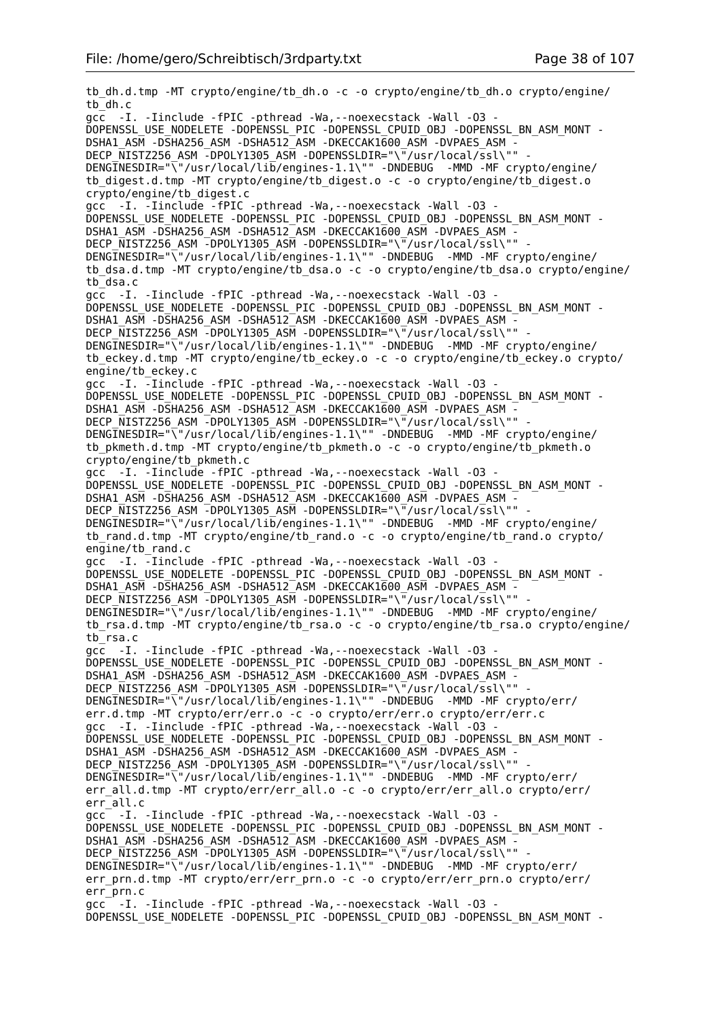tb\_dh.d.tmp -MT crypto/engine/tb\_dh.o -c -o crypto/engine/tb\_dh.o crypto/engine/ tb\_dh.c gcc -I. -Iinclude -fPIC -pthread -Wa,--noexecstack -Wall -O3 - DOPENSSL\_USE\_NODELETE -DOPENSSL\_PIC -DOPENSSL\_CPUID\_OBJ -DOPENSSL\_BN\_ASM\_MONT - DSHA1\_ASM -DSHA256\_ASM -DSHA512\_ASM -DKECCAK1600\_ASM -DVPAES\_ASM - DECP\_NISTZ256\_ASM\_-DPOLY1305\_ASM\_-DOPENSSLDIR="\"/usr/local/ssl\"" DENGINESDIR="\"/usr/local/lib/engines-1.1\"" -DNDEBUG -MMD -MF crypto/engine/ tb\_digest.d.tmp -MT crypto/engine/tb\_digest.o -c -o crypto/engine/tb\_digest.o crypto/engine/tb\_digest.c gcc -I. -Iinclude -fPIC -pthread -Wa,--noexecstack -Wall -O3 - DOPENSSL\_USE\_NODELETE -DOPENSSL\_PIC -DOPENSSL\_CPUID\_OBJ -DOPENSSL\_BN\_ASM\_MONT - DSHA1\_ASM -DSHA256\_ASM -DSHA512\_ASM -DKECCAK1600\_ASM -DVPAES\_ASM - DECP NISTZ256 ASM -DPOLY1305 ASM -DOPENSSLDIR="\"/usr/local/ssl\"" DENGINESDIR="\"/usr/local/lib/engines-1.1\"" -DNDEBUG -MMD -MF crypto/engine/ tb\_dsa.d.tmp -MT crypto/engine/tb\_dsa.o -c -o crypto/engine/tb\_dsa.o crypto/engine/ tb\_dsa.c gcc -I. -Iinclude -fPIC -pthread -Wa,--noexecstack -Wall -O3 - DOPENSSL\_USE\_NODELETE -DOPENSSL\_PIC -DOPENSSL\_CPUID\_OBJ -DOPENSSL\_BN\_ASM\_MONT - DSHA1\_ASM -DSHA256\_ASM -DSHA512\_ASM -DKECCAK1600\_ASM -DVPAES\_ASM -DECP NISTZ256 ASM -DPOLY1305 ASM -DOPENSSLDIR="\"/usr/local/ssl\"" DENGINESDIR="\"/usr/local/lib/engines-1.1\"" -DNDEBUG -MMD -MF crypto/engine/ tb\_eckey.d.tmp -MT crypto/engine/tb\_eckey.o -c -o crypto/engine/tb\_eckey.o crypto/ engine/tb\_eckey.c gcc -I. -Iinclude -fPIC -pthread -Wa,--noexecstack -Wall -O3 - DOPENSSL\_USE\_NODELETE -DOPENSSL\_PIC -DOPENSSL\_CPUID\_OBJ -DOPENSSL\_BN\_ASM\_MONT -DSHA1\_ASM -DSHA256\_ASM -DSHA512\_ASM -DKECCAK1600\_ASM -DVPAES\_ASM -DECP NISTZ256 ASM -DPOLY1305 ASM -DOPENSSLDIR="\"/usr/local/ssl\"" DENGINESDIR="\"/usr/local/lib/engines-1.1\"" -DNDEBUG -MMD -MF crypto/engine/ tb\_pkmeth.d.tmp -MT crypto/engine/tb\_pkmeth.o -c -o crypto/engine/tb\_pkmeth.o crypto/engine/tb\_pkmeth.c gcc -I. -Iinclude -fPIC -pthread -Wa,--noexecstack -Wall -O3 - DOPENSSL\_USE\_NODELETE -DOPENSSL\_PIC -DOPENSSL\_CPUID\_OBJ -DOPENSSL\_BN\_ASM\_MONT - DSHA1\_ASM -DSHA256\_ASM -DSHA512\_ASM -DKECCAK1600\_ASM -DVPAES\_ASM - DECP\_NISTZ256\_ASM -DPOLY1305\_ASM -DOPENSSLDIR="\"/usr/local/ssl\"" DENGINESDIR="\"/usr/local/lib/engines-1.1\"" -DNDEBUG -MMD -MF crypto/engine/ tb\_rand.d.tmp -MT crypto/engine/tb\_rand.o -c -o crypto/engine/tb\_rand.o crypto/ engine/tb\_rand.c gcc -I. -Iinclude -fPIC -pthread -Wa,--noexecstack -Wall -O3 - DOPENSSL\_USE\_NODELETE -DOPENSSL\_PIC -DOPENSSL\_CPUID\_OBJ -DOPENSSL\_BN\_ASM\_MONT -DSHA1\_ASM -DSHA256\_ASM -DSHA512\_ASM -DKECCAK1600\_ASM -DVPAES\_ASM -DECP\_NISTZ256\_ASM -DPOLY1305\_ASM -DOPENSSLDIR="\"/usr/local/ssl\"" DENGINESDIR="\"/usr/local/lib/engines-1.1\"" -DNDEBUG -MMD -MF crypto/engine/ tb\_rsa.d.tmp -MT crypto/engine/tb\_rsa.o -c -o crypto/engine/tb\_rsa.o crypto/engine/ tb\_rsa.c gcc -I. -Iinclude -fPIC -pthread -Wa,--noexecstack -Wall -O3 - DOPENSSL\_USE\_NODELETE -DOPENSSL\_PIC -DOPENSSL\_CPUID\_OBJ -DOPENSSL\_BN\_ASM\_MONT -DSHA1\_ASM -DSHA256\_ASM -DSHA512\_ASM -DKECCAK1600\_ASM -DVPAES\_ASM -DECP NISTZ256 ASM -DPOLY1305 ASM -DOPENSSLDIR="\"/usr/local/ssl\"" DENGINESDIR="\"/usr/local/lib/engines-1.1\"" -DNDEBUG -MMD -MF crypto/err/ err.d.tmp -MT crypto/err/err.o -c -o crypto/err/err.o crypto/err/err.c gcc -I. -Iinclude -fPIC -pthread -Wa,--noexecstack -Wall -O3 - DOPENSSL\_USE\_NODELETE -DOPENSSL\_PIC -DOPENSSL\_CPUID\_OBJ -DOPENSSL\_BN\_ASM\_MONT - DSHA1\_ASM -DSHA256\_ASM -DSHA512\_ASM -DKECCAK1600\_ASM -DVPAES\_ASM DECP\_NISTZ256\_ASM -DPOLY1305\_ASM -DOPENSSLDIR="\"/usr/local/ssl\"" -DENGINESDIR="\"/usr/local/lib/engines-1.1\"" -DNDEBUG -MMD -MF crypto/err/ err\_all.d.tmp -MT crypto/err/err\_all.o -c -o crypto/err/err\_all.o crypto/err/ err\_all.c gcc<sup>-</sup> -I. -Iinclude -fPIC -pthread -Wa, --noexecstack -Wall -03 -DOPENSSL\_USE\_NODELETE -DOPENSSL\_PIC -DOPENSSL\_CPUID\_OBJ\_-DOPENSSL\_BN\_ASM\_MONT -DSHA1\_ASM -DSHA256\_ASM -DSHA512\_ASM -DKECCAK1600\_ASM -DVPAES\_ASM -DECP NISTZ256 ASM -DPOLY1305 ASM -DOPENSSLDIR="\"/usr/local/ssl\"" DENGINESDIR="\"/usr/local/lib/engines-1.1\"" -DNDEBUG -MMD -MF crypto/err/ err\_prn.d.tmp -MT crypto/err/err\_prn.o -c -o crypto/err/err\_prn.o crypto/err/ err\_prn.c gcc -I. -Iinclude -fPIC -pthread -Wa,--noexecstack -Wall -O3 - DOPENSSL\_USE\_NODELETE -DOPENSSL\_PIC -DOPENSSL\_CPUID\_OBJ -DOPENSSL\_BN\_ASM\_MONT -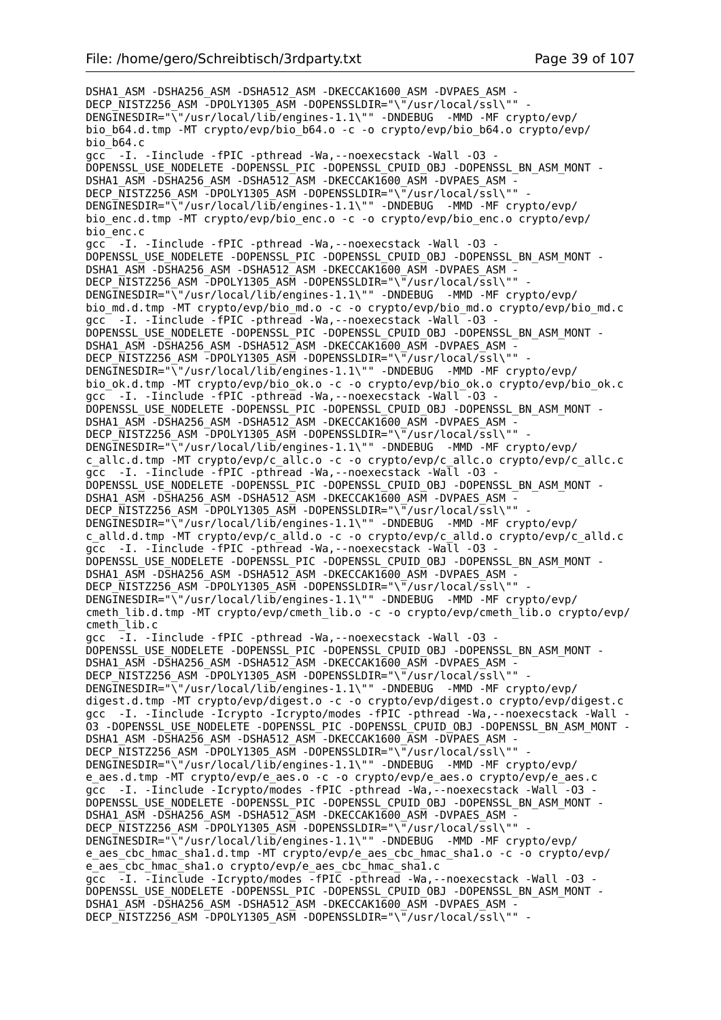DSHA1\_ASM -DSHA256\_ASM -DSHA512\_ASM -DKECCAK1600\_ASM -DVPAES\_ASM - DECP\_NISTZ256\_ASM -DPOLY1305\_ASM -DOPENSSLDIR="\"/usr/local/ssl\"" DENGINESDIR="\"/usr/local/lib/engines-1.1\"" -DNDEBUG -MMD -MF crypto/evp/ bio\_b64.d.tmp -MT crypto/evp/bio\_b64.o -c -o crypto/evp/bio\_b64.o crypto/evp/  $bio$  $b64.c$ gcc -I. -Iinclude -fPIC -pthread -Wa,--noexecstack -Wall -O3 - DOPENSSL\_USE\_NODELETE -DOPENSSL\_PIC -DOPENSSL\_CPUID\_OBJ\_-DOPENSSL\_BN\_ASM\_MONT -DSHA1\_ASM -DSHA256\_ASM -DSHA512\_ASM -DKECCAK1600\_ASM -DVPAES\_ASM DECP\_NISTZ256\_ASM -DPOLY1305\_ASM -DOPENSSLDIR="\"/usr/local/ssl\"" -DENGINESDIR="\"/usr/local/lib/engines-1.1\"" -DNDEBUG -MMD -MF crypto/evp/ bio\_enc.d.tmp -MT crypto/evp/bio\_enc.o -c -o crypto/evp/bio\_enc.o crypto/evp/ bio\_enc.c qcc<sup>-</sup> -I. -Iinclude -fPIC -pthread -Wa, --noexecstack -Wall -03 -DOPENSSL\_USE\_NODELETE -DOPENSSL\_PIC -DOPENSSL\_CPUID\_OBJ -DOPENSSL\_BN\_ASM\_MONT - DSHA1\_ASM -DSHA256\_ASM -DSHA512\_ASM -DKECCAK1600\_ASM -DVPAES\_ASM -DECP\_NISTZ256\_ASM -DPOLY1305\_ASM -DOPENSSLDIR="\"/usr/local/ssl\"" DENGINESDIR="\"/usr/local/lib/engines-1.1\"" -DNDEBUG -MMD -MF crypto/evp/ bio\_md.d.tmp -MT crypto/evp/bio\_md.o -c -o crypto/evp/bio\_md.o crypto/evp/bio\_md.c gcc<sup>-</sup> -I. -Iinclude -fPIC -pthread -Wa, --noexecstack -Wall<sup>-</sup>-03 -DOPENSSL\_USE\_NODELETE -DOPENSSL\_PIC -DOPENSSL\_CPUID\_OBJ -DOPENSSL\_BN\_ASM\_MONT - DSHA1\_ASM -DSHA256\_ASM -DSHA512\_ASM -DKECCAK1600\_ASM -DVPAES\_ASM - DECP NISTZ256 ASM -DPOLY1305 ASM -DOPENSSLDIR="\"/usr/local/ssl\"" -DENGINESDIR="\"/usr/local/lib/engines-1.1\"" -DNDEBUG -MMD -MF crypto/evp/ bio\_ok.d.tmp -MT crypto/evp/bio\_ok.o -c -o crypto/evp/bio\_ok.o crypto/evp/bio\_ok.c gcc -I. -Iinclude -fPIC -pthread -Wa, --noexecstack -Wall -03 -DOPENSSL\_USE\_NODELETE -DOPENSSL\_PIC -DOPENSSL\_CPUID\_OBJ -DOPENSSL\_BN\_ASM\_MONT - DSHA1\_ASM -DSHA256\_ASM -DSHA512\_ASM -DKECCAK1600\_ASM -DVPAES\_ASM - DECP\_NISTZ256\_ASM -DPOLY1305\_ASM -DOPENSSLDIR="\"/usr/local/ssl\"" DENGINESDIR="\"/usr/local/lib/engines-1.1\"" -DNDEBUG -MMD -MF crypto/evp/ c\_allc.d.tmp -MT crypto/evp/c\_allc.o -c -o crypto/evp/c\_allc.o crypto/evp/c\_allc.c gcc -I. -Iinclude -fPIC -pthread -Wa, --noexecstack -Wall -03 -DOPENSSL\_USE\_NODELETE -DOPENSSL\_PIC -DOPENSSL\_CPUID\_OBJ -DOPENSSL\_BN\_ASM\_MONT -DSHA1\_ASM -DSHA256\_ASM -DSHA512\_ASM -DKECCAK1600\_ASM -DVPAES ASM -DECP NISTZ256 ASM -DPOLY1305 ASM -DOPENSSLDIR="\"/usr/local/ssl\"" DENGINESDIR="\"/usr/local/lib/engines-1.1\"" -DNDEBUG -MMD -MF crypto/evp/ c\_alld.d.tmp -MT crypto/evp/c\_alld.o -c -o crypto/evp/c\_alld.o crypto/evp/c\_alld.c gcc -I. -Iinclude -fPIC -pthread -Wa, --noexecstack -Wall -03 -DOPENSSL\_USE\_NODELETE -DOPENSSL\_PIC -DOPENSSL\_CPUID\_OBJ -DOPENSSL\_BN\_ASM\_MONT - DSHA1\_ASM -DSHA256\_ASM -DSHA512\_ASM -DKECCAK1600\_ASM -DVPAES\_ASM -DECP NISTZ256 ASM  $\overline{-}$ DPOLY1305 ASM -DOPENSSLDIR="\ $\overline{''}/$ usr/local/ssl\"" -DENGINESDIR="\"/usr/local/lib/engines-1.1\"" -DNDEBUG -MMD -MF crypto/evp/ cmeth\_lib.d.tmp -MT crypto/evp/cmeth\_lib.o -c -o crypto/evp/cmeth\_lib.o crypto/evp/ cmeth\_lib.c gcc -I. -Iinclude -fPIC -pthread -Wa,--noexecstack -Wall -O3 - DOPENSSL\_USE\_NODELETE -DOPENSSL\_PIC -DOPENSSL\_CPUID\_OBJ\_-DOPENSSL\_BN\_ASM\_MONT -DSHA1\_ASM -DSHA256\_ASM -DSHA512\_ASM -DKECCAK1600\_ASM -DVPAES\_ASM DECP NISTZ256 ASM -DPOLY1305 ASM -DOPENSSLDIR="\"/usr/local/ssl\"" DENGINESDIR="\"/usr/local/lib/engines-1.1\"" -DNDEBUG -MMD -MF crypto/evp/ digest.d.tmp -MT crypto/evp/digest.o -c -o crypto/evp/digest.o crypto/evp/digest.c gcc -I. -Iinclude -Icrypto -Icrypto/modes -fPIC -pthread -Wa,--noexecstack -Wall - O3 -DOPENSSL\_USE\_NODELETE -DOPENSSL\_PIC -DOPENSSL\_CPUID\_OBJ -DOPENSSL\_BN\_ASM\_MONT - DSHA1\_ASM -DSHA256\_ASM -DSHA512\_ASM -DKECCAK1600\_ASM -DVPAES\_ASM -DECP\_NISTZ256\_ASM -DPOLY1305 ASM -DOPENSSLDIR="\"/usr/local/ssl\"" DENGINESDIR="\"/usr/local/lib/engines-1.1\"" -DNDEBUG -MMD -MF crypto/evp/ e aes.d.tmp -MT crypto/evp/e aes.o -c -o crypto/evp/e aes.o crypto/evp/e aes.c gcc -I. -Iinclude -Icrypto/modes -fPIC -pthread -Wa, --noexecstack -Wall -03 -DOPENSSL\_USE\_NODELETE -DOPENSSL\_PIC -DOPENSSL\_CPUID\_OBJ -DOPENSSL\_BN\_ASM\_MONT - DSHA1\_ASM -DSHA256\_ASM -DSHA512\_ASM -DKECCAK1600\_ASM -DVPAES\_ASM - DECP NISTZ256 ASM  $\overline{-}$ DPOLY1305 ASM -DOPENSSLDIR="\ $\overline{-}/$ usr/local/ssl\"" DENGINESDIR="\"/usr/local/lib/engines-1.1\"" -DNDEBUG -MMD -MF crypto/evp/ e\_aes\_cbc\_hmac\_sha1.d.tmp -MT crypto/evp/e\_aes\_cbc\_hmac\_sha1.o -c -o crypto/evp/ e aes cbc hmac shal.o crypto/evp/e aes cbc hmac shal.c gcc -I. -Iinclude -Icrypto/modes -fPIC -pthread -Wa,--noexecstack -Wall -O3 - DOPENSSL\_USE\_NODELETE -DOPENSSL\_PIC -DOPENSSL\_CPUID\_OBJ -DOPENSSL\_BN\_ASM\_MONT - DSHA1\_ASM -DSHA256\_ASM -DSHA512\_ASM -DKECCAK1600\_ASM -DVPAES\_ASM - DECP NISTZ256 ASM  $\overline{-}$ DPOLY1305 ASM -DOPENSSLDIR="\ $\overline{-}/$ usr/local/ssl\"" -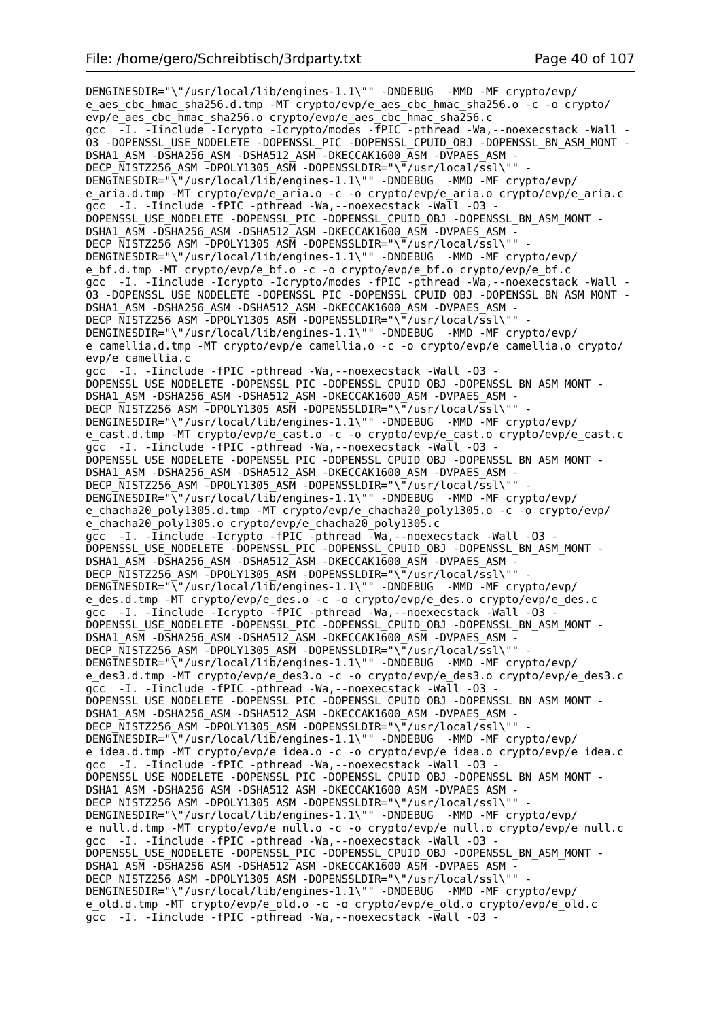DENGINESDIR="\"/usr/local/lib/engines-1.1\"" -DNDEBUG -MMD -MF crypto/evp/ e aes cbc hmac sha256.d.tmp -MT crypto/evp/e aes cbc hmac sha256.o -c -o crypto/ evp/e\_aes\_cbc\_hmac\_sha256.o crypto/evp/e\_aes\_cbc\_hmac\_sha256.c gcc -I. -Iinclude -Icrypto -Icrypto/modes -fPIC -pthread -Wa,--noexecstack -Wall - O3 -DOPENSSL\_USE\_NODELETE -DOPENSSL\_PIC -DOPENSSL\_CPUID\_OBJ -DOPENSSL\_BN\_ASM\_MONT - DSHA1\_ASM -DSHA256\_ASM -DSHA512\_ASM -DKECCAK1600\_ASM -DVPAES\_ASM - DECP\_NISTZ256\_ASM -DPOLY1305\_ASM -DOPENSSLDIR="\"/usr/local/ssl\"" DENGINESDIR="\"/usr/local/lib/engines-1.1\"" -DNDEBUG -MMD -MF crypto/evp/ e aria.d.tmp -MT crypto/evp/e aria.o -c -o crypto/evp/e aria.o crypto/evp/e aria.c gcc -I. -Iinclude -fPIC -pthread -Wa,--noexecstack -Wall -O3 - DOPENSSL\_USE\_NODELETE -DOPENSSL\_PIC -DOPENSSL\_CPUID\_OBJ -DOPENSSL\_BN\_ASM\_MONT - DSHA1\_ASM -DSHA256\_ASM -DSHA512\_ASM -DKECCAK1600\_ASM -DVPAES\_ASM - DECP NISTZ256 ASM -DPOLY1305 ASM -DOPENSSLDIR="\"/usr/local/ssl\"" DENGINESDIR="\"/usr/local/lib/engines-1.1\"" -DNDEBUG -MMD -MF crypto/evp/ e\_bf.d.tmp -MT crypto/evp/e\_bf.o -c -o crypto/evp/e\_bf.o crypto/evp/e\_bf.c gcc -I. -Iinclude -Icrypto -Icrypto/modes -fPIC -pthread -Wa,--noexecstack -Wall - O3 -DOPENSSL\_USE\_NODELETE -DOPENSSL\_PIC -DOPENSSL\_CPUID\_OBJ -DOPENSSL\_BN\_ASM\_MONT - DSHA1\_ASM -DSHA256\_ASM -DSHA512\_ASM -DKECCAK1600\_ASM -DVPAES\_ASM -DECP NISTZ256 ASM -DPOLY1305 ASM -DOPENSSLDIR="\"/usr/local/ssl\"" DENGINESDIR="\"/usr/local/lib/engines-1.1\"" -DNDEBUG -MMD -MF crypto/evp/ e camellia.d.tmp -MT crypto/evp/e camellia.o -c -o crypto/evp/e camellia.o crypto/ evp/e\_camellia.c gcc -I. -Iinclude -fPIC -pthread -Wa,--noexecstack -Wall -O3 - DOPENSSL\_USE\_NODELETE -DOPENSSL\_PIC -DOPENSSL\_CPUID\_OBJ -DOPENSSL\_BN\_ASM\_MONT -DSHA1\_ASM -DSHA256\_ASM -DSHA512\_ASM -DKECCAK1600\_ASM -DVPAES\_ASM -DECP NISTZ256 ASM  $\overline{-}$ DPOLY1305 ASM -DOPENSSLDIR="\ $\overline{-}/$ usr/local/ssl\"" DENGINESDIR="\"/usr/local/lib/engines-1.1\"" -DNDEBUG -MMD -MF crypto/evp/ e\_cast.d.tmp -MT crypto/evp/e\_cast.o -c -o crypto/evp/e\_cast.o crypto/evp/e\_cast.c gcc -I. -Iinclude -fPIC -pthread -Wa, --noexecstack -Wall -03 -DOPENSSL\_USE\_NODELETE -DOPENSSL\_PIC -DOPENSSL\_CPUID\_OBJ -DOPENSSL\_BN\_ASM\_MONT - DSHA1\_ASM -DSHA256\_ASM -DSHA512\_ASM -DKECCAK1600\_ASM -DVPAES\_ASM -DECP NISTZ256 ASM -DPOLY1305 ASM -DOPENSSLDIR="\"/usr/local/ssl\"" DENGINESDIR="\"/usr/local/lib/engines-1.1\"" -DNDEBUG -MMD -MF crypto/evp/ e\_chacha20\_poly1305.d.tmp -MT crypto/evp/e\_chacha20\_poly1305.o -c -o crypto/evp/ e\_chacha20\_poly1305.o crypto/evp/e\_chacha20\_poly1305.c gcc -I. -Iinclude -Icrypto -fPIC -pthread -Wa,--noexecstack -Wall -O3 - DOPENSSL\_USE\_NODELETE -DOPENSSL\_PIC -DOPENSSL\_CPUID\_OBJ -DOPENSSL\_BN\_ASM\_MONT - DSHA1\_ASM -DSHA256\_ASM -DSHA512\_ASM -DKECCAK1600\_ASM -DVPAES\_ASM - DECP\_NISTZ256\_ASM -DPOLY1305\_ASM -DOPENSSLDIR="\"/usr/local/ssl\"" - DENGINESDIR="\"/usr/local/lib/engines-1.1\"" -DNDEBUG -MMD -MF crypto/evp/ e\_des.d.tmp -MT crypto/evp/e\_des.o -c -o crypto/evp/e\_des.o crypto/evp/e\_des.c gcc -I. -Iinclude -Icrypto -fPIC -pthread -Wa,--noexecstack -Wall -O3 - DOPENSSL\_USE\_NODELETE -DOPENSSL\_PIC -DOPENSSL\_CPUID\_OBJ -DOPENSSL\_BN\_ASM\_MONT - DSHA1\_ASM -DSHA256\_ASM -DSHA512\_ASM -DKECCAK1600\_ASM -DVPAES\_ASM -DECP NISTZ256 ASM -DPOLY1305 ASM -DOPENSSLDIR="\"/usr/local/ssl\"" DENGINESDIR="\"/usr/local/lib/engines-1.1\"" -DNDEBUG -MMD -MF crypto/evp/ e des3.d.tmp -MT crypto/evp/e des3.o -c -o crypto/evp/e des3.o crypto/evp/e des3.c gcc -I. -Iinclude -fPIC -pthread -Wa, --noexecstack -Wall -03 DOPENSSL\_USE\_NODELETE -DOPENSSL\_PIC -DOPENSSL\_CPUID\_OBJ -DOPENSSL\_BN\_ASM\_MONT - DSHA1\_ASM -DSHA256\_ASM -DSHA512\_ASM -DKECCAK1600\_ASM -DVPAES\_ASM - DECP\_NISTZ256\_ASM -DPOLY1305\_ASM -DOPENSSLDIR="\"/usr/local/ssl\"" DENGINESDIR="\"/usr/local/lib/engines-1.1\"" -DNDEBUG -MMD -MF crypto/evp/ e\_idea.d.tmp -MT crypto/evp/e\_idea.o -c -o crypto/evp/e\_idea.o crypto/evp/e\_idea.c gcc -I. -Iinclude -fPIC -pthread -Wa,--noexecstack -Wall -O3 - DOPENSSL\_USE\_NODELETE -DOPENSSL\_PIC -DOPENSSL\_CPUID\_OBJ -DOPENSSL\_BN\_ASM\_MONT -DSHA1\_ASM -DSHA256\_ASM -DSHA512\_ASM -DKECCAK1600\_ASM -DVPAES\_ASM -DECP NISTZ256 ASM -DPOLY1305 ASM -DOPENSSLDIR="\"/usr/local/ssl\"" DENGINESDIR="\"/usr/local/lib/engines-1.1\"" -DNDEBUG -MMD -MF crypto/evp/ e\_null.d.tmp -MT crypto/evp/e\_null.o -c -o crypto/evp/e\_null.o crypto/evp/e\_null.c gcc -I. -Iinclude -fPIC -pthread -Wa, --noexecstack -Wall -03 -DOPENSSL\_USE\_NODELETE -DOPENSSL\_PIC -DOPENSSL\_CPUID\_OBJ -DOPENSSL\_BN\_ASM\_MONT -DSHA1\_ASM -DSHA256\_ASM -DSHA512\_ASM -DKECCAK1600\_ASM -DVPAES\_ASM -DECP NISTZ256 ASM -DPOLY1305 ASM -DOPENSSLDIR="\"/usr/local/ssl\"" DENGINESDIR="\"/usr/local/lib/engines-1.1\"" -DNDEBUG -MMD -MF crypto/evp/ e\_old.d.tmp -MT crypto/evp/e\_old.o -c -o crypto/evp/e\_old.o crypto/evp/e\_old.c gcc -I. -Iinclude -fPIC -pthread -Wa,--noexecstack -Wall -O3 -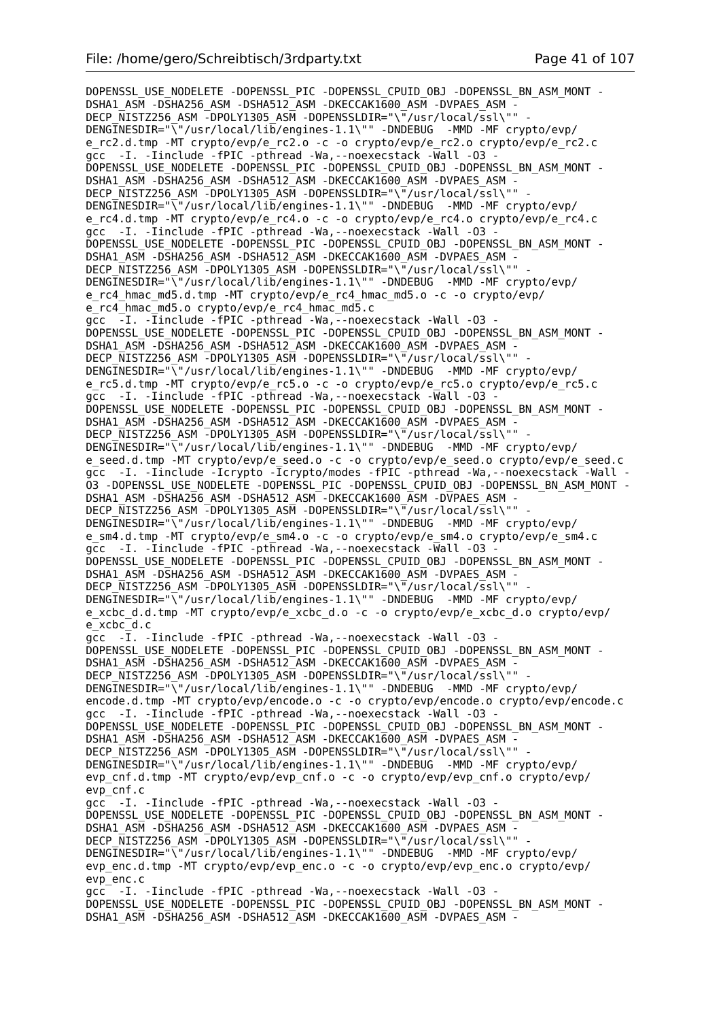DOPENSSL\_USE\_NODELETE -DOPENSSL PIC -DOPENSSL CPUID OBJ -DOPENSSL BN ASM\_MONT -DSHA1\_ASM -DSHA256\_ASM -DSHA512\_ASM -DKECCAK1600\_ASM -DVPAES\_ASM -DECP\_NISTZ256\_ASM -DPOLY1305\_ASM -DOPENSSLDIR="\"/usr/local/ssl\"" DENGINESDIR="\"/usr/local/lib/engines-1.1\"" -DNDEBUG -MMD -MF crypto/evp/ e\_rc2.d.tmp -MT crypto/evp/e\_rc2.o -c -o crypto/evp/e\_rc2.o crypto/evp/e\_rc2.c gcc -I. -Iinclude -fPIC -pthread -Wa, --noexecstack -Wall -03 DOPENSSL\_USE\_NODELETE -DOPENSSL\_PIC -DOPENSSL\_CPUID\_OBJ -DOPENSSL\_BN\_ASM\_MONT - DSHA1\_ASM -DSHA256\_ASM -DSHA512\_ASM -DKECCAK1600\_ASM -DVPAES\_ASM DECP NISTZ256 ASM -DPOLY1305 ASM -DOPENSSLDIR="\"/usr/local/ssl\"" -DENGINESDIR="\"/usr/local/lib/engines-1.1\"" -DNDEBUG -MMD -MF crypto/evp/ e\_rc4.d.tmp -MT crypto/evp/e\_rc4.o -c -o crypto/evp/e\_rc4.o crypto/evp/e\_rc4.c gcc -I. -Iinclude -fPIC -pthread -Wa, --noexecstack -Wall -03 DOPENSSL\_USE\_NODELETE -DOPENSSL\_PIC -DOPENSSL\_CPUID\_OBJ\_-DOPENSSL\_BN\_ASM\_MONT -DSHA1\_ASM -DSHA256\_ASM -DSHA512\_ASM -DKECCAK1600\_ASM -DVPAES\_ASM -DECP NISTZ256 ASM -DPOLY1305 ASM -DOPENSSLDIR="\"/usr/local/ssl\"" DENGINESDIR="\"/usr/local/lib/engines-1.1\"" -DNDEBUG -MMD -MF crypto/evp/ e rc4 hmac md5.d.tmp -MT crypto/evp/e rc4 hmac md5.o -c -o crypto/evp/ e\_rc4\_hmac\_md5.o crypto/evp/e\_rc4\_hmac\_md5.c gcc  $-T.$  -Tinclude -fPIC -pthread -Wa, --noexecstack -Wall -03 -DOPENSSL\_USE\_NODELETE -DOPENSSL\_PIC -DOPENSSL\_CPUID\_OBJ -DOPENSSL\_BN\_ASM\_MONT - DSHA1\_ASM -DSHA256\_ASM -DSHA512\_ASM -DKECCAK1600\_ASM -DVPAES\_ASM - DECP NISTZ256 ASM -DPOLY1305 ASM -DOPENSSLDIR="\"/usr/local/ssl\"" DENGINESDIR="\"/usr/local/lib/engines-1.1\"" -DNDEBUG -MMD -MF crypto/evp/ e rc5.d.tmp -MT crypto/evp/e rc5.o -c -o crypto/evp/e rc5.o crypto/evp/e rc5.c gcc -I. -Iinclude -fPIC -pthread -Wa, --noexecstack -Wall -03 DOPENSSL\_USE\_NODELETE -DOPENSSL\_PIC -DOPENSSL\_CPUID\_OBJ -DOPENSSL\_BN\_ASM\_MONT - DSHA1\_ASM -DSHA256\_ASM -DSHA512\_ASM -DKECCAK1600\_ASM -DVPAES\_ASM - DECP\_NISTZ256\_ASM -DPOLY1305\_ASM -DOPENSSLDIR="\"/usr/local/ssl\"" DENGINESDIR="\"/usr/local/lib/engines-1.1\"" -DNDEBUG -MMD -MF crypto/evp/ e\_seed.d.tmp -MT crypto/evp/e\_seed.o -c -o crypto/evp/e\_seed.o crypto/evp/e\_seed.c gcc -I. -Iinclude -Icrypto -Icrypto/modes -fPIC -pthread -Wa,--noexecstack -Wall - O3 -DOPENSSL\_USE\_NODELETE -DOPENSSL\_PIC -DOPENSSL\_CPUID\_OBJ -DOPENSSL\_BN\_ASM\_MONT - DSHA1\_ASM -DSHA256\_ASM -DSHA512\_ASM -DKECCAK1600\_ASM -DVPAES\_ASM -DECP NISTZ256 ASM -DPOLY1305 ASM -DOPENSSLDIR="\"/usr/local/ssl\"" DENGINESDIR="\"/usr/local/lib/engines-1.1\"" -DNDEBUG -MMD -MF crypto/evp/ e\_sm4.d.tmp -MT crypto/evp/e\_sm4.o -c -o crypto/evp/e\_sm4.o crypto/evp/e\_sm4.c gcc -I. -Iinclude -fPIC -pthread -Wa, --noexecstack -Wall -03 DOPENSSL\_USE\_NODELETE -DOPENSSL\_PIC -DOPENSSL\_CPUID\_OBJ -DOPENSSL\_BN\_ASM\_MONT - DSHA1\_ASM -DSHA256\_ASM -DSHA512\_ASM -DKECCAK1600\_ASM -DVPAES\_ASM -DECP NISTZ256 ASM  $\overline{-}$ DPOLY1305 ASM -DOPENSSLDIR="\ $\overline{''}/$ usr/local/ssl\"" -DENGINESDIR="\"/usr/local/lib/engines-1.1\"" -DNDEBUG -MMD -MF crypto/evp/ e xcbc d.d.tmp -MT crypto/evp/e xcbc d.o -c -o crypto/evp/e xcbc d.o crypto/evp/ e\_xcbc\_d.c  $\overline{qcc}$  - $\overline{I}$ . -Iinclude -fPIC -pthread -Wa, --noexecstack -Wall -03 -DOPENSSL\_USE\_NODELETE -DOPENSSL\_PIC -DOPENSSL\_CPUID\_OBJ\_-DOPENSSL\_BN\_ASM\_MONT -DSHA1\_ASM -DSHA256\_ASM -DSHA512\_ASM -DKECCAK1600\_ASM -DVPAES\_ASM DECP NISTZ256 ASM -DPOLY1305 ASM -DOPENSSLDIR="\"/usr/local/ssl\"" DENGINESDIR="\"/usr/local/lib/engines-1.1\"" -DNDEBUG -MMD -MF crypto/evp/ encode.d.tmp -MT crypto/evp/encode.o -c -o crypto/evp/encode.o crypto/evp/encode.c gcc -I. -Iinclude -fPIC -pthread -Wa,--noexecstack -Wall -O3 - DOPENSSL\_USE\_NODELETE -DOPENSSL\_PIC -DOPENSSL\_CPUID\_OBJ\_-DOPENSSL\_BN\_ASM\_MONT -DSHA1\_ASM -DSHA256\_ASM -DSHA512\_ASM -DKECCAK1600\_ASM -DVPAES\_ASM -DECP  $\overline{\text{N}}$ ISTZ256 ASM -DPOLY1305 ASM -DOPENSSLDIR="\"/usr/local/ssl\"" DENGINESDIR="\"/usr/local/lib/engines-1.1\"" -DNDEBUG -MMD -MF crypto/evp/ evp\_cnf.d.tmp -MT crypto/evp/evp\_cnf.o -c -o crypto/evp/evp\_cnf.o crypto/evp/ evp\_cnf.c gcc -I. -Iinclude -fPIC -pthread -Wa,--noexecstack -Wall -O3 - DOPENSSL\_USE\_NODELETE -DOPENSSL\_PIC -DOPENSSL\_CPUID\_OBJ -DOPENSSL\_BN\_ASM\_MONT - DSHA1\_ASM -DSHA256\_ASM -DSHA512\_ASM -DKECCAK1600\_ASM -DVPAES\_ASM -DECP NISTZ256 ASM -DPOLY1305 ASM -DOPENSSLDIR="\"/usr/local/ssl\"" DENGINESDIR="\"/usr/local/lib/engines-1.1\"" -DNDEBUG -MMD -MF crypto/evp/ evp\_enc.d.tmp -MT crypto/evp/evp\_enc.o -c -o crypto/evp/evp enc.o crypto/evp/ evp\_enc.c gcc -I. -Iinclude -fPIC -pthread -Wa,--noexecstack -Wall -O3 - DOPENSSL\_USE\_NODELETE -DOPENSSL\_PIC -DOPENSSL\_CPUID\_OBJ -DOPENSSL\_BN\_ASM\_MONT - DSHA1\_ASM -DSHA256\_ASM -DSHA512\_ASM -DKECCAK1600\_ASM -DVPAES\_ASM -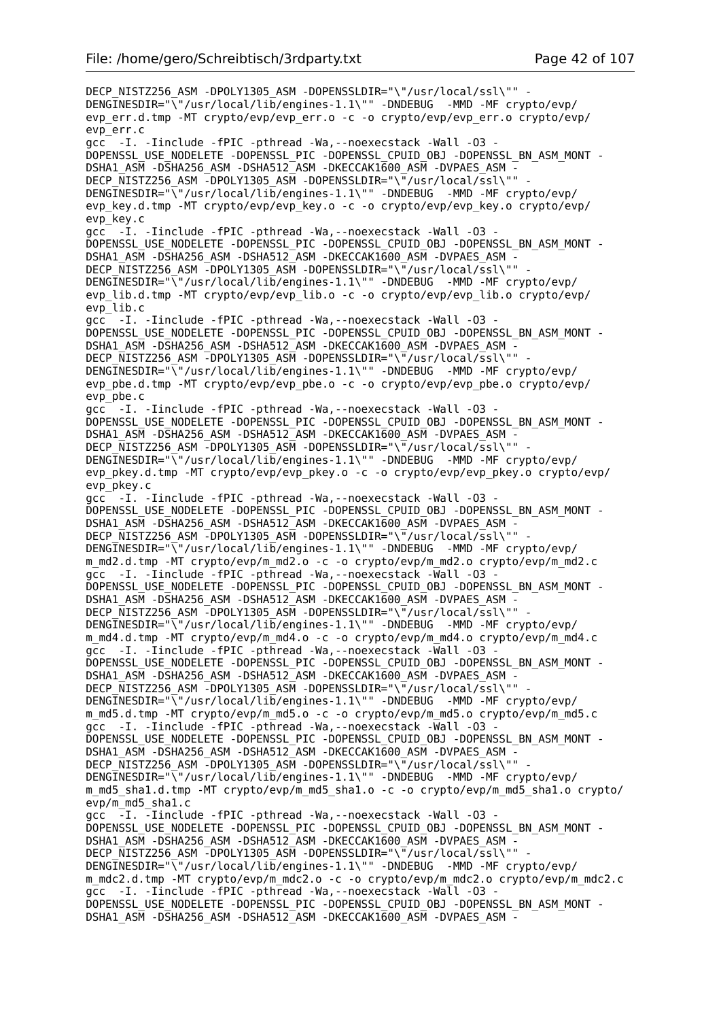DECP\_NISTZ256\_ASM -DPOLY1305\_ASM -DOPENSSLDIR="\"/usr/local/ssl\"" -DENGINESDIR="\"/usr/local/lib/engines-1.1\"" -DNDEBUG -MMD -MF crypto/evp/ evp\_err.d.tmp -MT crypto/evp/evp\_err.o -c -o crypto/evp/evp\_err.o crypto/evp/ evp\_err.c gcc -I. -Iinclude -fPIC -pthread -Wa,--noexecstack -Wall -O3 - DOPENSSL\_USE\_NODELETE -DOPENSSL\_PIC -DOPENSSL\_CPUID\_OBJ -DOPENSSL\_BN\_ASM\_MONT - DSHA1\_ASM -DSHA256\_ASM -DSHA512\_ASM -DKECCAK1600\_ASM -DVPAES\_ASM -DECP NISTZ256 ASM -DPOLY1305 ASM -DOPENSSLDIR="\"/usr/local/ssl\"" DENGINESDIR="\"/usr/local/lib/engines-1.1\"" -DNDEBUG -MMD -MF crypto/evp/ evp\_key.d.tmp -MT crypto/evp/evp\_key.o -c -o crypto/evp/evp key.o crypto/evp/ evp\_key.c gcc -I. -Iinclude -fPIC -pthread -Wa, --noexecstack -Wall -03 -DOPENSSL\_USE\_NODELETE -DOPENSSL\_PIC -DOPENSSL\_CPUID\_OBJ\_-DOPENSSL\_BN\_ASM\_MONT -DSHA1\_ASM -DSHA256\_ASM -DSHA512\_ASM -DKECCAK1600\_ASM -DVPAES\_ASM -DECP NISTZ256 ASM -DPOLY1305 ASM -DOPENSSLDIR="\"/usr/local/ssl\"" DENGINESDIR="\"/usr/local/lib/engines-1.1\"" -DNDEBUG -MMD -MF crypto/evp/ evp\_lib.d.tmp -MT crypto/evp/evp\_lib.o -c -o crypto/evp/evp\_lib.o crypto/evp/ evp\_lib.c gcc -I. -Iinclude -fPIC -pthread -Wa,--noexecstack -Wall -O3 - DOPENSSL\_USE\_NODELETE -DOPENSSL\_PIC -DOPENSSL\_CPUID\_OBJ -DOPENSSL\_BN\_ASM\_MONT - DSHA1\_ASM -DSHA256\_ASM -DSHA512\_ASM -DKECCAK1600\_ASM -DVPAES\_ASM - DECP NISTZ256 ASM  $\overline{-}$ DPOLY1305 ASM -DOPENSSLDIR="\ $\overline{-}/$ usr/local/ssl\"" DENGINESDIR="\"/usr/local/lib/engines-1.1\"" -DNDEBUG -MMD -MF crypto/evp/ evp\_pbe.d.tmp -MT crypto/evp/evp\_pbe.o -c -o crypto/evp/evp\_pbe.o crypto/evp/ evp\_pbe.c gcc<sup>-</sup> -I. -Iinclude -fPIC -pthread -Wa, --noexecstack -Wall -03 -DOPENSSL\_USE\_NODELETE -DOPENSSL\_PIC -DOPENSSL\_CPUID\_OBJ -DOPENSSL\_BN\_ASM\_MONT - DSHA1\_ASM -DSHA256\_ASM -DSHA512\_ASM -DKECCAK1600\_ASM -DVPAES\_ASM - DECP\_NISTZ256\_ASM -DPOLY1305\_ASM -DOPENSSLDIR="\"/usr/local/ssl\"" - DENGINESDIR="\"/usr/local/lib/engines-1.1\"" -DNDEBUG -MMD -MF crypto/evp/ evp\_pkey.d.tmp -MT crypto/evp/evp\_pkey.o -c -o crypto/evp/evp\_pkey.o crypto/evp/ evp\_pkey.c gcc -I. -Iinclude -fPIC -pthread -Wa,--noexecstack -Wall -O3 - DOPENSSL\_USE\_NODELETE -DOPENSSL\_PIC -DOPENSSL\_CPUID\_OBJ -DOPENSSL\_BN\_ASM\_MONT - DSHA1\_ASM -DSHA256\_ASM -DSHA512\_ASM -DKECCAK1600\_ASM -DVPAES\_ASM - DECP\_NISTZ256\_ASM -DPOLY1305\_ASM -DOPENSSLDIR="\"/usr/local/ssl\"" DENGINESDIR="\"/usr/local/lib/engines-1.1\"" -DNDEBUG -MMD -MF crypto/evp/ m\_md2.d.tmp -MT crypto/evp/m\_md2.o -c -o crypto/evp/m\_md2.o crypto/evp/m\_md2.c gcc -I. -Iinclude -fPIC -pthread -Wa,--noexecstack -Wall -O3 - DOPENSSL\_USE\_NODELETE -DOPENSSL\_PIC -DOPENSSL\_CPUID\_OBJ -DOPENSSL\_BN\_ASM\_MONT -DSHA1\_ASM -DSHA256\_ASM -DSHA512\_ASM -DKECCAK1600\_ASM -DVPAES\_ASM -DECP NISTZ256 ASM -DPOLY1305 ASM -DOPENSSLDIR="\"/usr/local/ssl\"" DENGINESDIR="\"/usr/local/lib/engines-1.1\"" -DNDEBUG -MMD -MF crypto/evp/ m\_md4.d.tmp -MT crypto/evp/m\_md4.o -c -o crypto/evp/m\_md4.o crypto/evp/m\_md4.c gcc -I. -Iinclude -fPIC -pthread -Wa,--noexecstack -Wall -O3 - DOPENSSL\_USE\_NODELETE -DOPENSSL\_PIC -DOPENSSL\_CPUID\_OBJ -DOPENSSL\_BN\_ASM\_MONT - DSHA1\_ASM -DSHA256\_ASM -DSHA512\_ASM -DKECCAK1600\_ASM -DVPAES\_ASM -DECP NISTZ256 ASM -DPOLY1305 ASM -DOPENSSLDIR="\"/usr/local/ssl\"" DENGINESDIR="\"/usr/local/lib/engines-1.1\"" -DNDEBUG -MMD -MF crypto/evp/ m\_md5.d.tmp -MT crypto/evp/m\_md5.o -c -o crypto/evp/m\_md5.o crypto/evp/m\_md5.c gcc -I. -Iinclude -fPIC -pthread -Wa, --noexecstack -Wall -03 DOPENSSL\_USE\_NODELETE -DOPENSSL\_PIC -DOPENSSL\_CPUID\_OBJ -DOPENSSL\_BN\_ASM\_MONT -DSHA1\_ASM -DSHA256\_ASM -DSHA512\_ASM -DKECCAK1600\_ASM -DVPAES\_ASM DECP\_NISTZ256\_ASM -DPOLY1305\_ASM -DOPENSSLDIR="\"/usr/local/ssl\"" -DENGINESDIR="\"/usr/local/lib/engines-1.1\"" -DNDEBUG -MMD -MF crypto/evp/ m\_md5\_sha1.d.tmp -MT crypto/evp/m\_md5\_sha1.o -c -o crypto/evp/m\_md5\_sha1.o crypto/ evp/m\_md5\_sha1.c gcc  $\overline{-1}$ .  $\overline{-1}$ Iinclude -fPIC -pthread -Wa, --noexecstack -Wall -03 -DOPENSSL\_USE\_NODELETE -DOPENSSL\_PIC -DOPENSSL\_CPUID\_OBJ\_-DOPENSSL\_BN\_ASM\_MONT -DSHA1\_ASM -DSHA256\_ASM -DSHA512\_ASM -DKECCAK1600\_ASM -DVPAES\_ASM -DECP NISTZ256 ASM -DPOLY1305 ASM -DOPENSSLDIR="\"/usr/local/ssl\"" DENGINESDIR="\"/usr/local/lib/engines-1.1\"" -DNDEBUG -MMD -MF crypto/evp/ m\_mdc2.d.tmp -MT crypto/evp/m\_mdc2.o -c -o crypto/evp/m\_mdc2.o crypto/evp/m\_mdc2.c gcc -I. -Iinclude -fPIC -pthread -Wa, --noexecstack -Wall -03 -DOPENSSL\_USE\_NODELETE -DOPENSSL\_PIC -DOPENSSL\_CPUID\_OBJ -DOPENSSL\_BN\_ASM\_MONT - DSHA1\_ASM -DSHA256\_ASM -DSHA512\_ASM -DKECCAK1600\_ASM -DVPAES\_ASM -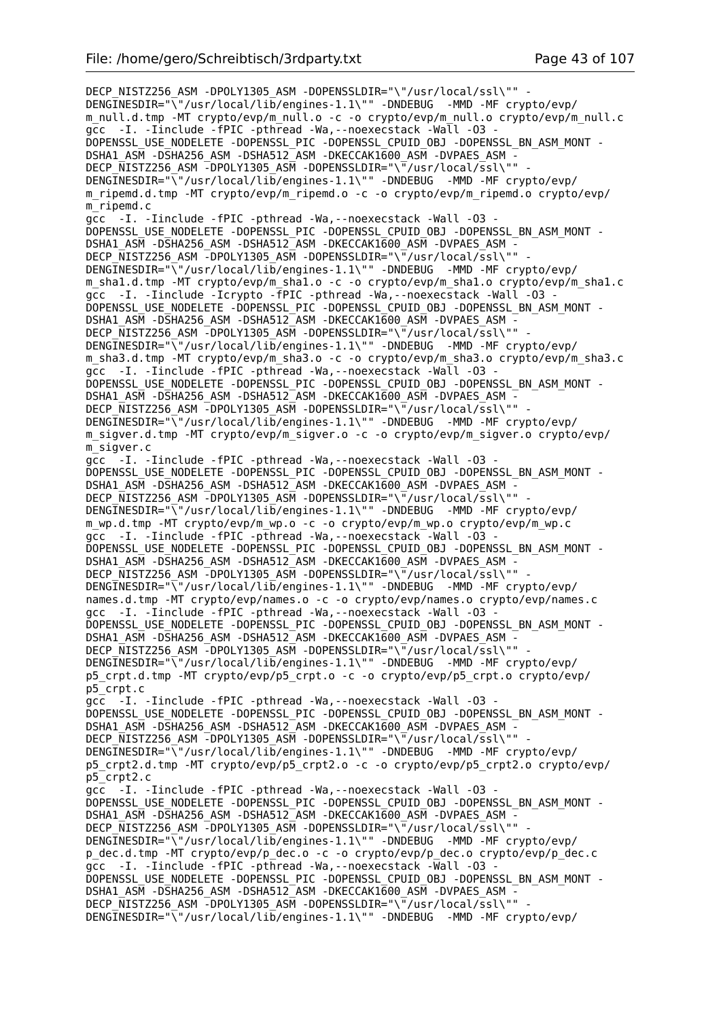DECP\_NISTZ256\_ASM -DPOLY1305\_ASM -DOPENSSLDIR="\"/usr/local/ssl\"" -DENGINESDIR="\"/usr/local/lib/engines-1.1\"" -DNDEBUG -MMD -MF crypto/evp/ m\_null.d.tmp -MT crypto/evp/m\_null.o -c -o crypto/evp/m\_null.o crypto/evp/m\_null.c gcc -I. -Iinclude -fPIC -pthread -Wa,--noexecstack -Wall -O3 - DOPENSSL\_USE\_NODELETE -DOPENSSL\_PIC -DOPENSSL\_CPUID\_OBJ -DOPENSSL\_BN\_ASM\_MONT - DSHA1\_ASM -DSHA256\_ASM -DSHA512\_ASM -DKECCAK1600\_ASM -DVPAES\_ASM - DECP\_NISTZ256\_ASM -DPOLY1305\_ASM -DOPENSSLDIR="\"/usr/local/ssl\"" -DENGINESDIR="\"/usr/local/lib/engines-1.1\"" -DNDEBUG -MMD -MF crypto/evp/ m\_ripemd.d.tmp -MT crypto/evp/m\_ripemd.o -c -o crypto/evp/m\_ripemd.o crypto/evp/ m\_ripemd.c gcc -I. -Iinclude -fPIC -pthread -Wa,--noexecstack -Wall -O3 - DOPENSSL\_USE\_NODELETE -DOPENSSL\_PIC -DOPENSSL\_CPUID\_OBJ -DOPENSSL\_BN\_ASM\_MONT - DSHA1\_ASM -DSHA256\_ASM -DSHA512\_ASM -DKECCAK1600\_ASM -DVPAES\_ASM - DECP\_NISTZ256\_ASM -DPOLY1305\_ASM -DOPENSSLDIR="\"/usr/local/ssl\"" DENGINESDIR="\"/usr/local/lib/engines-1.1\"" -DNDEBUG -MMD -MF crypto/evp/ m\_sha1.d.tmp -MT crypto/evp/m\_sha1.o -c -o crypto/evp/m\_sha1.o crypto/evp/m\_sha1.c gcc -I. -Iinclude -Icrypto -fPIC -pthread -Wa,--noexecstack -Wall -O3 - DOPENSSL\_USE\_NODELETE -DOPENSSL\_PIC -DOPENSSL\_CPUID\_OBJ -DOPENSSL\_BN\_ASM\_MONT - DSHA1\_ASM -DSHA256\_ASM -DSHA512\_ASM -DKECCAK1600\_ASM -DVPAES\_ASM - DECP NISTZ256 ASM -DPOLY1305 ASM -DOPENSSLDIR="\"/usr/local/ssl\"" DENGINESDIR="\"/usr/local/lib/engines-1.1\"" -DNDEBUG -MMD -MF crypto/evp/ m\_sha3.d.tmp -MT crypto/evp/m\_sha3.o -c -o crypto/evp/m\_sha3.o crypto/evp/m\_sha3.c gcc -I. -Iinclude -fPIC -pthread -Wa,--noexecstack -Wall -O3 - DOPENSSL\_USE\_NODELETE -DOPENSSL\_PIC -DOPENSSL\_CPUID\_OBJ -DOPENSSL\_BN\_ASM\_MONT - DSHA1\_ASM -DSHA256\_ASM -DSHA512\_ASM -DKECCAK1600\_ASM -DVPAES\_ASM -DECP NISTZ256 ASM -DPOLY1305 ASM -DOPENSSLDIR="\"/usr/local/ssl\"" DENGINESDIR="\"/usr/local/lib/engines-1.1\"" -DNDEBUG -MMD -MF crypto/evp/ m\_sigver.d.tmp -MT crypto/evp/m\_sigver.o -c -o crypto/evp/m\_sigver.o crypto/evp/ m\_sigver.c gcc -I. -Iinclude -fPIC -pthread -Wa,--noexecstack -Wall -O3 - DOPENSSL\_USE\_NODELETE -DOPENSSL\_PIC -DOPENSSL\_CPUID\_OBJ -DOPENSSL\_BN\_ASM\_MONT -DSHA1\_ASM -DSHA256\_ASM -DSHA512\_ASM -DKECCAK1600\_ASM -DVPAES\_ASM - DECP NISTZ256 ASM -DPOLY1305 ASM -DOPENSSLDIR="\"/usr/local/ssl\"" DENGINESDIR="\"/usr/local/lib/engines-1.1\"" -DNDEBUG -MMD -MF crypto/evp/ m\_wp.d.tmp -MT crypto/evp/m\_wp.o -c -o crypto/evp/m\_wp.o crypto/evp/m\_wp.c gcc -I. -Iinclude -fPIC -pthread -Wa,--noexecstack -Wall -O3 - DOPENSSL\_USE\_NODELETE -DOPENSSL\_PIC -DOPENSSL\_CPUID\_OBJ -DOPENSSL\_BN\_ASM\_MONT - DSHA1\_ASM -DSHA256\_ASM -DSHA512\_ASM -DKECCAK1600\_ASM -DVPAES\_ASM - DECP NISTZ256 ASM -DPOLY1305 ASM -DOPENSSLDIR="\"/usr/local/ssl\"" -DENGINESDIR="\"/usr/local/lib/engines-1.1\"" -DNDEBUG -MMD -MF crypto/evp/ names.d.tmp -MT crypto/evp/names.o -c -o crypto/evp/names.o crypto/evp/names.c gcc -I. -Iinclude -fPIC -pthread -Wa,--noexecstack -Wall -O3 - DOPENSSL\_USE\_NODELETE -DOPENSSL\_PIC -DOPENSSL\_CPUID\_OBJ -DOPENSSL\_BN\_ASM\_MONT -DSHA1\_ASM -DSHA256\_ASM -DSHA512\_ASM -DKECCAK1600\_ASM -DVPAES\_ASM -DECP NISTZ256 ASM  $\overline{-}$ DPOLY1305 ASM -DOPENSSLDIR="\ $\overline{-}/$ usr/local/ssl\"" DENGINESDIR="\"/usr/local/lib/engines-1.1\"" -DNDEBUG -MMD -MF crypto/evp/ p5\_crpt.d.tmp -MT crypto/evp/p5\_crpt.o -c -o crypto/evp/p5\_crpt.o crypto/evp/ p5\_crpt.c gcc -I. -Iinclude -fPIC -pthread -Wa,--noexecstack -Wall -O3 - DOPENSSL\_USE\_NODELETE -DOPENSSL\_PIC -DOPENSSL\_CPUID\_OBJ -DOPENSSL\_BN\_ASM\_MONT - DSHA1\_ASM -DSHA256\_ASM -DSHA512\_ASM -DKECCAK1600\_ASM -DVPAES\_ASM -DECP\_NISTZ256\_ASM -DPOLY1305\_ASM -DOPENSSLDIR="\"/usr/local/ssl\"" DENGINESDIR="\"/usr/local/lib/engines-1.1\"" -DNDEBUG -MMD -MF crypto/evp/ p5\_crpt2.d.tmp -MT crypto/evp/p5\_crpt2.o -c -o crypto/evp/p5\_crpt2.o crypto/evp/ p5\_crpt2.c gcc -I. -Iinclude -fPIC -pthread -Wa,--noexecstack -Wall -O3 - DOPENSSL\_USE\_NODELETE -DOPENSSL\_PIC -DOPENSSL\_CPUID\_OBJ -DOPENSSL\_BN\_ASM\_MONT - DSHA1\_ASM -DSHA256\_ASM -DSHA512\_ASM -DKECCAK1600\_ASM -DVPAES\_ASM - DECP NISTZ256 ASM  $\overline{-}$ DPOLY1305 ASM -DOPENSSLDIR="\ $\overline{-}/$ usr/local/ssl\"" DENGINESDIR="\"/usr/local/lib/engines-1.1\"" -DNDEBUG -MMD -MF crypto/evp/ p\_dec.d.tmp -MT crypto/evp/p\_dec.o -c -o crypto/evp/p\_dec.o crypto/evp/p\_dec.c gcc -I. -Iinclude -fPIC -pthread -Wa, --noexecstack -Wall -03 -DOPENSSL\_USE\_NODELETE -DOPENSSL\_PIC -DOPENSSL\_CPUID\_OBJ -DOPENSSL\_BN\_ASM\_MONT - DSHA1\_ASM -DSHA256\_ASM -DSHA512\_ASM -DKECCAK1600\_ASM -DVPAES ASM -DECP NISTZ256 ASM -DPOLY1305 ASM -DOPENSSLDIR="\"/usr/local/ssl\"" DENGINESDIR="\"/usr/local/lib/engines-1.1\"" -DNDEBUG -MMD -MF crypto/evp/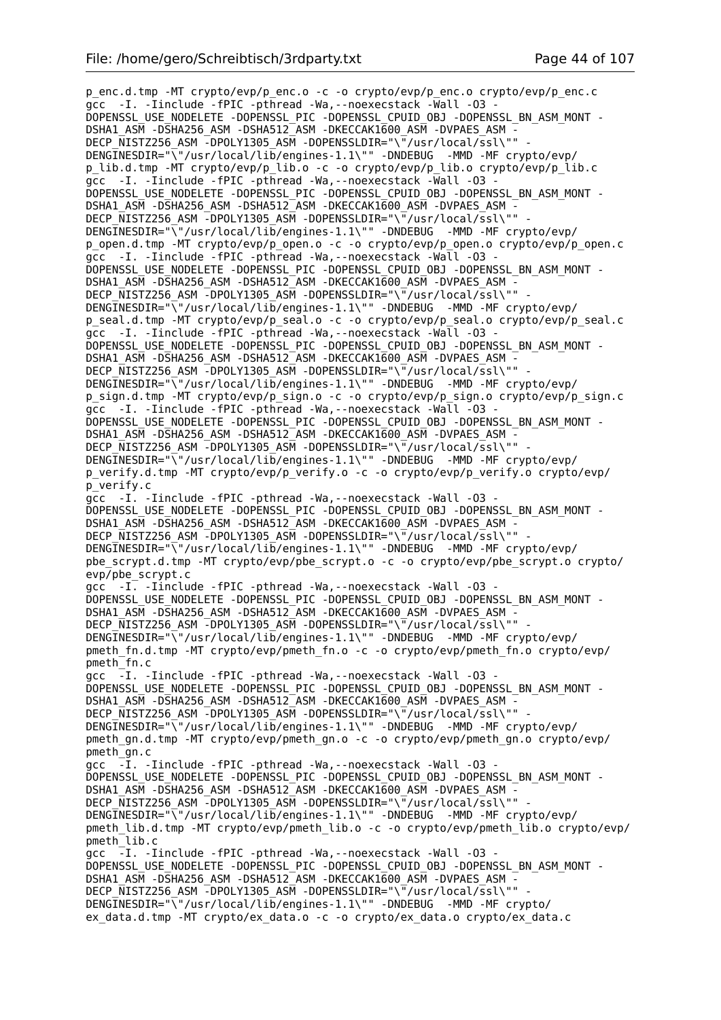p\_enc.d.tmp -MT crypto/evp/p\_enc.o -c -o crypto/evp/p\_enc.o crypto/evp/p\_enc.c gcc -I. -Iinclude -fPIC -pthread -Wa,--noexecstack -Wall -O3 - DOPENSSL\_USE\_NODELETE -DOPENSSL\_PIC -DOPENSSL\_CPUID\_OBJ -DOPENSSL\_BN\_ASM\_MONT - DSHA1\_ASM -DSHA256\_ASM -DSHA512\_ASM -DKECCAK1600\_ASM -DVPAES\_ASM - DECP\_NISTZ256\_ASM -DPOLY1305\_ASM -DOPENSSLDIR="\"/usr/local/ssl\"" - DENGINESDIR="\"/usr/local/lib/engines-1.1\"" -DNDEBUG -MMD -MF crypto/evp/ p\_lib.d.tmp -MT crypto/evp/p\_lib.o -c -o crypto/evp/p\_lib.o crypto/evp/p\_lib.c gcc -I. -Iinclude -fPIC -pthread -Wa,--noexecstack -Wall -O3 - DOPENSSL\_USE\_NODELETE -DOPENSSL\_PIC -DOPENSSL\_CPUID\_OBJ -DOPENSSL\_BN\_ASM\_MONT -DSHA1\_ASM -DSHA256\_ASM -DSHA512\_ASM -DKECCAK1600 ASM -DVPAES ASM -DECP NISTZ256 ASM -DPOLY1305 ASM -DOPENSSLDIR="\"/usr/local/ssl\"" DENGINESDIR="\"/usr/local/lib/engines-1.1\"" -DNDEBUG -MMD -MF crypto/evp/ p\_open.d.tmp -MT crypto/evp/p\_open.o -c -o crypto/evp/p\_open.o crypto/evp/p\_open.c gcc -I. -Iinclude -fPIC -pthread -Wa, --noexecstack -Wall -03 -DOPENSSL\_USE\_NODELETE -DOPENSSL\_PIC -DOPENSSL\_CPUID\_OBJ -DOPENSSL\_BN\_ASM\_MONT - DSHA1\_ASM -DSHA256\_ASM -DSHA512\_ASM -DKECCAK1600\_ASM -DVPAES\_ASM -DECP NISTZ256 ASM -DPOLY1305 ASM -DOPENSSLDIR="\"/usr/local/ssl\"" DENGINESDIR="\"/usr/local/lib/engines-1.1\"" -DNDEBUG -MMD -MF crypto/evp/ p\_seal.d.tmp -MT crypto/evp/p\_seal.o -c -o crypto/evp/p\_seal.o crypto/evp/p\_seal.c gcc -I. -Iinclude -fPIC -pthread -Wa,--noexecstack -Wall -O3 - DOPENSSL\_USE\_NODELETE -DOPENSSL\_PIC -DOPENSSL\_CPUID\_OBJ\_-DOPENSSL\_BN\_ASM\_MONT -DSHA1\_ASM -DSHA256\_ASM -DSHA512\_ASM -DKECCAK1600\_ASM -DVPAES\_ASM -DECP NISTZ256 ASM -DPOLY1305 ASM -DOPENSSLDIR="\"/usr/local/ssl\"" DENGINESDIR="\"/usr/local/lib/engines-1.1\"" -DNDEBUG -MMD -MF crypto/evp/ p\_sign.d.tmp -MT crypto/evp/p\_sign.o -c -o crypto/evp/p\_sign.o crypto/evp/p\_sign.c gcc -I. -Iinclude -fPIC -pthread -Wa, --noexecstack -Wall -03 -DOPENSSL\_USE\_NODELETE -DOPENSSL\_PIC -DOPENSSL\_CPUID\_OBJ -DOPENSSL\_BN\_ASM\_MONT - DSHA1\_ASM -DSHA256\_ASM -DSHA512\_ASM -DKECCAK1600\_ASM -DVPAES\_ASM - DECP\_NISTZ256\_ASM -DPOLY1305\_ASM -DOPENSSLDIR="\"/usr/local/ssl\"" - DENGINESDIR="\"/usr/local/lib/engines-1.1\"" -DNDEBUG -MMD -MF crypto/evp/ p\_verify.d.tmp -MT crypto/evp/p\_verify.o -c -o crypto/evp/p\_verify.o crypto/evp/ p\_verify.c gcc -I. -Iinclude -fPIC -pthread -Wa,--noexecstack -Wall -O3 - DOPENSSL\_USE\_NODELETE -DOPENSSL\_PIC -DOPENSSL\_CPUID\_OBJ -DOPENSSL\_BN\_ASM\_MONT - DSHA1\_ASM -DSHA256\_ASM -DSHA512\_ASM -DKECCAK1600\_ASM -DVPAES\_ASM DECP\_NISTZ256\_ASM -DPOLY1305\_ASM -DOPENSSLDIR="\"/usr/local/ssl\"" DENGINESDIR="\"/usr/local/lib/engines-1.1\"" -DNDEBUG -MMD -MF crypto/evp/ pbe\_scrypt.d.tmp -MT crypto/evp/pbe\_scrypt.o -c -o crypto/evp/pbe\_scrypt.o crypto/ evp/pbe\_scrypt.c gcc -I. -Iinclude -fPIC -pthread -Wa,--noexecstack -Wall -O3 - DOPENSSL\_USE\_NODELETE -DOPENSSL\_PIC -DOPENSSL\_CPUID\_OBJ -DOPENSSL\_BN\_ASM\_MONT - DSHA1\_ASM -DSHA256\_ASM -DSHA512\_ASM -DKECCAK1600\_ASM -DVPAES\_ASM - DECP\_NISTZ256\_ASM -DPOLY1305\_ASM -DOPENSSLDIR="\"/usr/local/ssl\"" DENGINESDIR="\"/usr/local/lib/engines-1.1\"" -DNDEBUG -MMD -MF crypto/evp/ pmeth\_fn.d.tmp -MT crypto/evp/pmeth\_fn.o -c -o crypto/evp/pmeth\_fn.o crypto/evp/ pmeth\_fn.c gcc -I. -Iinclude -fPIC -pthread -Wa,--noexecstack -Wall -O3 - DOPENSSL\_USE\_NODELETE -DOPENSSL\_PIC -DOPENSSL\_CPUID\_OBJ -DOPENSSL\_BN\_ASM\_MONT - DSHA1\_ASM -DSHA256\_ASM -DSHA512\_ASM -DKECCAK1600\_ASM -DVPAES\_ASM - DECP NISTZ256 ASM -DPOLY1305 ASM -DOPENSSLDIR="\"/usr/local/ssl\"" DENGINESDIR="\"/usr/local/lib/engines-1.1\"" -DNDEBUG -MMD -MF crypto/evp/ pmeth\_gn.d.tmp -MT crypto/evp/pmeth\_gn.o -c -o crypto/evp/pmeth\_gn.o crypto/evp/ pmeth\_gn.c gcc -I. -Iinclude -fPIC -pthread -Wa,--noexecstack -Wall -O3 - DOPENSSL\_USE\_NODELETE -DOPENSSL\_PIC -DOPENSSL\_CPUID\_OBJ -DOPENSSL\_BN\_ASM\_MONT - DSHA1\_ASM -DSHA256\_ASM -DSHA512\_ASM -DKECCAK1600\_ASM -DVPAES\_ASM -DECP NISTZ256 ASM -DPOLY1305 ASM -DOPENSSLDIR="\"/usr/local/ssl\"" DENGINESDIR="\"/usr/local/lib/engines-1.1\"" -DNDEBUG -MMD -MF crypto/evp/ pmeth\_lib.d.tmp -MT crypto/evp/pmeth\_lib.o -c -o crypto/evp/pmeth\_lib.o crypto/evp/ pmeth\_lib.c gcc -I. -Iinclude -fPIC -pthread -Wa,--noexecstack -Wall -O3 - DOPENSSL\_USE\_NODELETE -DOPENSSL\_PIC -DOPENSSL\_CPUID\_OBJ -DOPENSSL\_BN\_ASM\_MONT -DSHA1\_ASM -DSHA256\_ASM -DSHA512\_ASM -DKECCAK1600\_ASM -DVPAES\_ASM -DECP\_NISTZ256\_ASM -DPOLY1305\_ASM -DOPENSSLDIR="\"/usr/local/ssl\"" DENGINESDIR="\"/usr/local/lib/engines-1.1\"" -DNDEBUG -MMD -MF crypto/ ex\_data.d.tmp -MT crypto/ex\_data.o -c -o crypto/ex\_data.o crypto/ex\_data.c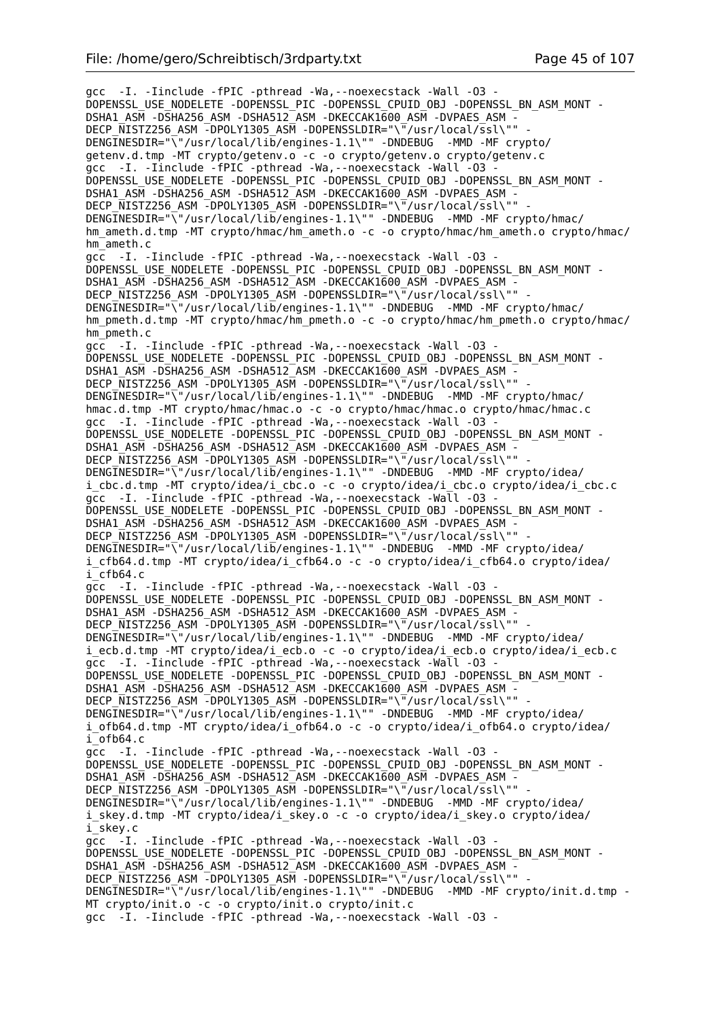gcc -I. -Iinclude -fPIC -pthread -Wa,--noexecstack -Wall -O3 - DOPENSSL\_USE\_NODELETE -DOPENSSL\_PIC -DOPENSSL\_CPUID\_OBJ -DOPENSSL\_BN\_ASM\_MONT - DSHA1\_ASM -DSHA256\_ASM -DSHA512\_ASM -DKECCAK1600\_ASM -DVPAES\_ASM - DECP NISTZ256 ASM -DPOLY1305 ASM -DOPENSSLDIR="\"/usr/local/ssl\"" DENGINESDIR="\"/usr/local/lib/engines-1.1\"" -DNDEBUG -MMD -MF crypto/ getenv.d.tmp -MT crypto/getenv.o -c -o crypto/getenv.o crypto/getenv.c gcc -I. -Iinclude -fPIC -pthread -Wa,--noexecstack -Wall -O3 - DOPENSSL\_USE\_NODELETE -DOPENSSL\_PIC -DOPENSSL\_CPUID\_OBJ -DOPENSSL\_BN\_ASM\_MONT - DSHA1\_ASM -DSHA256\_ASM -DSHA512\_ASM -DKECCAK1600\_ASM -DVPAES\_ASM -DECP NISTZ256 ASM -DPOLY1305 ASM -DOPENSSLDIR="\"/usr/local/ssl\"" -DENGINESDIR="\"/usr/local/lib/engines-1.1\"" -DNDEBUG -MMD -MF crypto/hmac/ hm\_ameth.d.tmp -MT crypto/hmac/hm\_ameth.o -c -o crypto/hmac/hm\_ameth.o crypto/hmac/ hm\_ameth.c gcc -I. -Iinclude -fPIC -pthread -Wa,--noexecstack -Wall -O3 - DOPENSSL\_USE\_NODELETE -DOPENSSL\_PIC -DOPENSSL\_CPUID\_OBJ -DOPENSSL\_BN\_ASM\_MONT -DSHA1\_ASM -DSHA256\_ASM -DSHA512\_ASM -DKECCAK1600\_ASM -DVPAES\_ASM -DECP NISTZ256 ASM -DPOLY1305 ASM -DOPENSSLDIR="\"/usr/local/ssl\"" DENGINESDIR="\"/usr/local/lib/engines-1.1\"" -DNDEBUG -MMD -MF crypto/hmac/ hm\_pmeth.d.tmp -MT crypto/hmac/hm\_pmeth.o -c -o crypto/hmac/hm\_pmeth.o crypto/hmac/ hm\_pmeth.c gcc -I. -Iinclude -fPIC -pthread -Wa,--noexecstack -Wall -O3 - DOPENSSL\_USE\_NODELETE -DOPENSSL\_PIC -DOPENSSL\_CPUID\_OBJ -DOPENSSL\_BN\_ASM\_MONT - DSHA1\_ASM -DSHA256\_ASM -DSHA512\_ASM -DKECCAK1600\_ASM -DVPAES\_ASM -DECP NISTZ256 ASM -DPOLY1305 ASM -DOPENSSLDIR="\"/usr/local/ssl\"" DENGINESDIR="\"/usr/local/lib/engines-1.1\"" -DNDEBUG -MMD -MF crypto/hmac/ hmac.d.tmp -MT crypto/hmac/hmac.o -c -o crypto/hmac/hmac.o crypto/hmac/hmac.c gcc -I. -Iinclude -fPIC -pthread -Wa, --noexecstack -Wall -03 DOPENSSL\_USE\_NODELETE -DOPENSSL\_PIC -DOPENSSL\_CPUID\_OBJ -DOPENSSL\_BN\_ASM\_MONT -DSHA1\_ASM -DSHA256\_ASM -DSHA512\_ASM -DKECCAK1600\_ASM -DVPAES\_ASM - DECP\_NISTZ256\_ASM -DPOLY1305\_ASM -DOPENSSLDIR="\"/usr/local/ssl\"" DENGINESDIR="\"/usr/local/lib/engines-1.1\"" -DNDEBUG -MMD -MF crypto/idea/ i cbc.d.tmp -MT crypto/idea/i cbc.o -c -o crypto/idea/i cbc.o crypto/idea/i cbc.c gcc -I. -Iinclude -fPIC -pthread -Wa,--noexecstack -Wall -O3 - DOPENSSL\_USE\_NODELETE -DOPENSSL\_PIC -DOPENSSL\_CPUID\_OBJ -DOPENSSL\_BN\_ASM\_MONT - DSHA1\_ASM -DSHA256\_ASM -DSHA512\_ASM -DKECCAK1600\_ASM -DVPAES ASM DECP\_NISTZ256\_ASM -DPOLY1305\_ASM -DOPENSSLDIR="\"/usr/local/ssl\"" DENGINESDIR="\"/usr/local/lib/engines-1.1\"" -DNDEBUG -MMD -MF crypto/idea/ i\_cfb64.d.tmp -MT crypto/idea/i\_cfb64.o -c -o crypto/idea/i\_cfb64.o crypto/idea/ i\_cfb64.c gcc -I. -Iinclude -fPIC -pthread -Wa,--noexecstack -Wall -O3 - DOPENSSL\_USE\_NODELETE -DOPENSSL\_PIC -DOPENSSL\_CPUID\_OBJ -DOPENSSL\_BN\_ASM\_MONT - DSHA1\_ASM -DSHA256\_ASM -DSHA512\_ASM -DKECCAK1600\_ASM -DVPAES\_ASM - DECP\_NISTZ256\_ASM -DPOLY1305\_ASM -DOPENSSLDIR="\"/usr/local/ssl\"" - DENGINESDIR="\"/usr/local/lib/engines-1.1\"" -DNDEBUG -MMD -MF crypto/idea/ i\_ecb.d.tmp -MT crypto/idea/i\_ecb.o -c -o crypto/idea/i\_ecb.o crypto/idea/i\_ecb.c gcc -I. -Iinclude -fPIC -pthread -Wa,--noexecstack -Wall -O3 - DOPENSSL\_USE\_NODELETE -DOPENSSL\_PIC -DOPENSSL\_CPUID\_OBJ -DOPENSSL\_BN\_ASM\_MONT - DSHA1\_ASM -DSHA256\_ASM -DSHA512\_ASM -DKECCAK1600\_ASM -DVPAES\_ASM -DECP NISTZ256 ASM -DPOLY1305 ASM -DOPENSSLDIR="\"/usr/local/ssl\"" DENGINESDIR="\"/usr/local/lib/engines-1.1\"" -DNDEBUG -MMD -MF crypto/idea/ i\_ofb64.d.tmp -MT crypto/idea/i\_ofb64.o -c -o crypto/idea/i\_ofb64.o crypto/idea/  $i$ <sup>ofb64.c</sup> gcc -I. -Iinclude -fPIC -pthread -Wa,--noexecstack -Wall -O3 - DOPENSSL\_USE\_NODELETE -DOPENSSL\_PIC -DOPENSSL\_CPUID\_OBJ -DOPENSSL\_BN\_ASM\_MONT -DSHA1\_ASM -DSHA256\_ASM -DSHA512\_ASM -DKECCAK1600 ASM -DVPAES ASM -DECP\_NISTZ256\_ASM -DPOLY1305\_ASM -DOPENSSLDIR="\"/usr/local/ssl\"" -DENGINESDIR="\"/usr/local/lib/engines-1.1\"" -DNDEBUG -MMD -MF crypto/idea/ i skey.d.tmp -MT crypto/idea/i skey.o -c -o crypto/idea/i skey.o crypto/idea/ i\_skey.c gcc -I. -Iinclude -fPIC -pthread -Wa,--noexecstack -Wall -O3 - DOPENSSL\_USE\_NODELETE -DOPENSSL\_PIC -DOPENSSL\_CPUID\_OBJ -DOPENSSL\_BN\_ASM\_MONT -DSHA1\_ASM -DSHA256\_ASM -DSHA512\_ASM -DKECCAK1600\_ASM -DVPAES\_ASM -DECP NISTZ256 ASM -DPOLY1305 ASM -DOPENSSLDIR="\"/usr/local/ssl\"" DENGINESDIR="\"/usr/local/lib/engines-1.1\"" -DNDEBUG -MMD -MF crypto/init.d.tmp - MT crypto/init.o -c -o crypto/init.o crypto/init.c gcc -I. -Iinclude -fPIC -pthread -Wa,--noexecstack -Wall -O3 -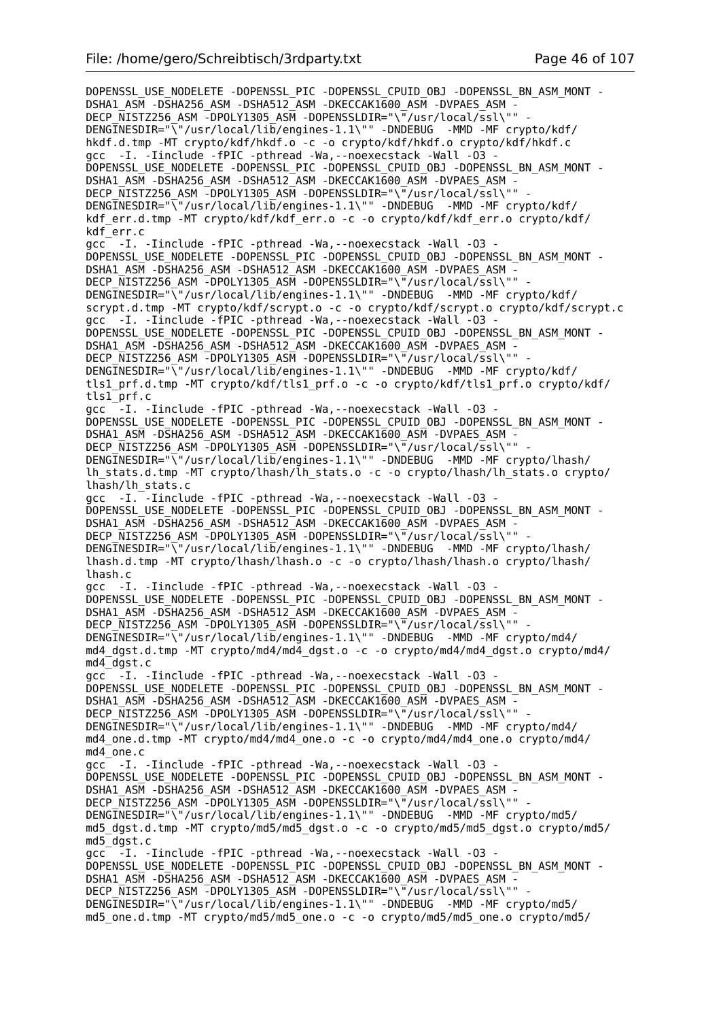DOPENSSL\_USE\_NODELETE -DOPENSSL\_PIC -DOPENSSL\_CPUID\_OBJ -DOPENSSL\_BN\_ASM\_MONT -DSHA1\_ASM -DSHA256\_ASM -DSHA512\_ASM -DKECCAK1600\_ASM -DVPAES\_ASM -DECP\_NISTZ256\_ASM -DPOLY1305\_ASM -DOPENSSLDIR="\"/usr/local/ssl\"" DENGINESDIR="\"/usr/local/lib/engines-1.1\"" -DNDEBUG -MMD -MF crypto/kdf/ hkdf.d.tmp -MT crypto/kdf/hkdf.o -c -o crypto/kdf/hkdf.o crypto/kdf/hkdf.c gcc -I. -Iinclude -fPIC -pthread -Wa,--noexecstack -Wall -O3 - DOPENSSL\_USE\_NODELETE -DOPENSSL\_PIC -DOPENSSL\_CPUID\_OBJ\_-DOPENSSL\_BN\_ASM\_MONT -DSHA1\_ASM -DSHA256\_ASM -DSHA512\_ASM -DKECCAK1600\_ASM -DVPAES\_ASM DECP\_NISTZ256\_ASM -DPOLY1305\_ASM -DOPENSSLDIR="\"/usr/local/ssl\"" -DENGINESDIR="\"/usr/local/lib/engines-1.1\"" -DNDEBUG -MMD -MF crypto/kdf/ kdf err.d.tmp -MT crypto/kdf/kdf err.o -c -o crypto/kdf/kdf err.o crypto/kdf/ kdf\_err.c qcc<sup>-</sup> -I. -Iinclude -fPIC -pthread -Wa, --noexecstack -Wall -03 -DOPENSSL\_USE\_NODELETE -DOPENSSL\_PIC -DOPENSSL\_CPUID\_OBJ -DOPENSSL\_BN\_ASM\_MONT - DSHA1\_ASM -DSHA256\_ASM -DSHA512\_ASM -DKECCAK1600\_ASM -DVPAES\_ASM -DECP NISTZ256 ASM -DPOLY1305 ASM -DOPENSSLDIR="\"/usr/local/ssl\"" DENGINESDIR="\"/usr/local/lib/engines-1.1\"" -DNDEBUG -MMD -MF crypto/kdf/ scrypt.d.tmp -MT crypto/kdf/scrypt.o -c -o crypto/kdf/scrypt.o crypto/kdf/scrypt.c gcc -I. -Iinclude -fPIC -pthread -Wa, --noexecstack -Wall -03 -DOPENSSL\_USE\_NODELETE -DOPENSSL\_PIC -DOPENSSL\_CPUID\_OBJ -DOPENSSL\_BN\_ASM\_MONT - DSHA1\_ASM -DSHA256\_ASM -DSHA512\_ASM -DKECCAK1600\_ASM -DVPAES\_ASM - DECP NISTZ256 ASM -DPOLY1305 ASM -DOPENSSLDIR="\"/usr/local/ssl\"" -DENGINESDIR="\"/usr/local/lib/engines-1.1\"" -DNDEBUG -MMD -MF crypto/kdf/ tls1\_prf.d.tmp -MT crypto/kdf/tls1\_prf.o -c -o crypto/kdf/tls1\_prf.o crypto/kdf/ tls1\_prf.c gcc  $-$ -I. -Iinclude -fPIC -pthread -Wa, --noexecstack -Wall -03 -DOPENSSL\_USE\_NODELETE -DOPENSSL\_PIC -DOPENSSL\_CPUID\_OBJ -DOPENSSL\_BN\_ASM\_MONT - DSHA1\_ASM -DSHA256\_ASM -DSHA512\_ASM -DKECCAK1600\_ASM -DVPAES\_ASM - DECP\_NISTZ256\_ASM -DPOLY1305\_ASM -DOPENSSLDIR="\"/usr/local/ssl\"" - DENGINESDIR="\"/usr/local/lib/engines-1.1\"" -DNDEBUG -MMD -MF crypto/lhash/ lh\_stats.d.tmp -MT crypto/lhash/lh\_stats.o -c -o crypto/lhash/lh\_stats.o crypto/ lhash/lh\_stats.c gcc -I. -Iinclude -fPIC -pthread -Wa,--noexecstack -Wall -O3 - DOPENSSL\_USE\_NODELETE -DOPENSSL\_PIC -DOPENSSL\_CPUID\_OBJ -DOPENSSL\_BN\_ASM\_MONT - DSHA1\_ASM -DSHA256\_ASM -DSHA512\_ASM -DKECCAK1600\_ASM -DVPAES\_ASM DECP\_NISTZ256\_ASM -DPOLY1305\_ASM -DOPENSSLDIR="\"/usr/local/ssl\"" DENGINESDIR="\"/usr/local/lib/engines-1.1\"" -DNDEBUG -MMD -MF crypto/lhash/ lhash.d.tmp -MT crypto/lhash/lhash.o -c -o crypto/lhash/lhash.o crypto/lhash/ lhash.c gcc -I. -Iinclude -fPIC -pthread -Wa,--noexecstack -Wall -O3 - DOPENSSL\_USE\_NODELETE -DOPENSSL\_PIC -DOPENSSL\_CPUID\_OBJ -DOPENSSL\_BN\_ASM\_MONT - DSHA1\_ASM -DSHA256\_ASM -DSHA512\_ASM -DKECCAK1600\_ASM -DVPAES\_ASM - DECP\_NISTZ256\_ASM -DPOLY1305\_ASM -DOPENSSLDIR="\"/usr/local/ssl\"" DENGINESDIR="\"/usr/local/lib/engines-1.1\"" -DNDEBUG -MMD -MF crypto/md4/ md4 dgst.d.tmp -MT crypto/md4/md4 dgst.o -c -o crypto/md4/md4 dgst.o crypto/md4/ md4\_dgst.c gcc -I. -Iinclude -fPIC -pthread -Wa,--noexecstack -Wall -O3 - DOPENSSL\_USE\_NODELETE -DOPENSSL\_PIC -DOPENSSL\_CPUID\_OBJ -DOPENSSL\_BN\_ASM\_MONT - DSHA1\_ASM -DSHA256\_ASM -DSHA512\_ASM -DKECCAK1600\_ASM -DVPAES\_ASM - DECP\_NISTZ256\_ASM -DPOLY1305\_ASM -DOPENSSLDIR="\"/usr/local/ssl\"" DENGINESDIR="\"/usr/local/lib/engines-1.1\"" -DNDEBUG -MMD -MF crypto/md4/ md4\_one.d.tmp -MT crypto/md4/md4\_one.o -c -o crypto/md4/md4\_one.o crypto/md4/ md4\_one.c gcc -I. -Iinclude -fPIC -pthread -Wa,--noexecstack -Wall -O3 - DOPENSSL\_USE\_NODELETE -DOPENSSL\_PIC -DOPENSSL\_CPUID\_OBJ -DOPENSSL\_BN\_ASM\_MONT - DSHA1\_ASM -DSHA256\_ASM -DSHA512\_ASM -DKECCAK1600\_ASM -DVPAES\_ASM -DECP NISTZ256 ASM -DPOLY1305 ASM -DOPENSSLDIR="\"/usr/local/ssl\"" DENGINESDIR="\"/usr/local/lib/engines-1.1\"" -DNDEBUG -MMD -MF crypto/md5/ md5 dgst.d.tmp -MT crypto/md5/md5 dgst.o -c -o crypto/md5/md5 dgst.o crypto/md5/ md5\_dgst.c gcc -I. -Iinclude -fPIC -pthread -Wa,--noexecstack -Wall -O3 - DOPENSSL\_USE\_NODELETE -DOPENSSL\_PIC -DOPENSSL\_CPUID\_OBJ -DOPENSSL\_BN\_ASM\_MONT - DSHA1\_ASM -DSHA256\_ASM -DSHA512\_ASM -DKECCAK1600\_ASM -DVPAES\_ASM - DECP\_NISTZ256\_ASM -DPOLY1305\_ASM -DOPENSSLDIR="\"/usr/local/ssl\"" DENGINESDIR="\"/usr/local/lib/engines-1.1\"" -DNDEBUG -MMD -MF crypto/md5/ md5\_one.d.tmp -MT crypto/md5/md5\_one.o -c -o crypto/md5/md5\_one.o crypto/md5/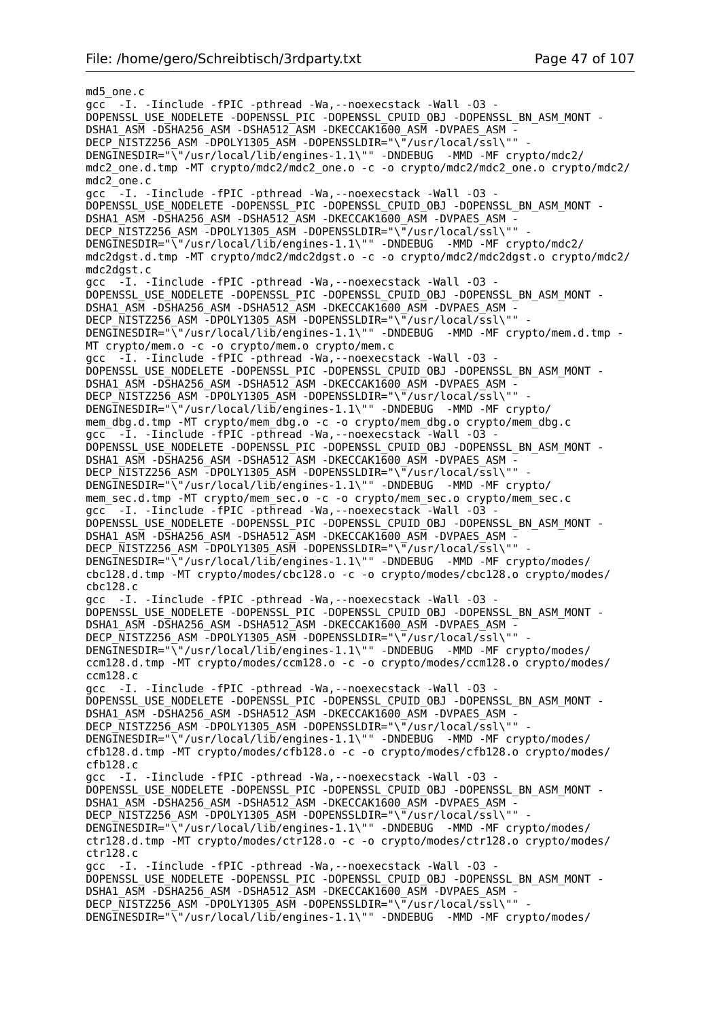md5\_one.c gcc -I. -Iinclude -fPIC -pthread -Wa,--noexecstack -Wall -O3 - DOPENSSL\_USE\_NODELETE -DOPENSSL\_PIC -DOPENSSL\_CPUID\_OBJ -DOPENSSL\_BN\_ASM\_MONT - DSHA1\_ASM -DSHA256\_ASM -DSHA512\_ASM -DKECCAK1600\_ASM -DVPAES\_ASM - DECP\_NISTZ256\_ASM\_-DPOLY1305\_ASM\_-DOPENSSLDIR="\"/usr/local/ssl\"" DENGINESDIR="\"/usr/local/lib/engines-1.1\"" -DNDEBUG -MMD -MF crypto/mdc2/ mdc2\_one.d.tmp -MT crypto/mdc2/mdc2\_one.o -c -o crypto/mdc2/mdc2\_one.o crypto/mdc2/ mdc2\_one.c gcc -I. -Iinclude -fPIC -pthread -Wa,--noexecstack -Wall -O3 - DOPENSSL\_USE\_NODELETE -DOPENSSL\_PIC -DOPENSSL\_CPUID\_OBJ -DOPENSSL\_BN\_ASM\_MONT -DSHA1\_ASM -DSHA256\_ASM -DSHA512\_ASM -DKECCAK1600\_ASM -DVPAES\_ASM -DECP\_NISTZ256\_ASM -DPOLY1305\_ASM -DOPENSSLDIR="\"/usr/local/ssl\"" DENGINESDIR="\"/usr/local/lib/engines-1.1\"" -DNDEBUG -MMD -MF crypto/mdc2/ mdc2dgst.d.tmp -MT crypto/mdc2/mdc2dgst.o -c -o crypto/mdc2/mdc2dgst.o crypto/mdc2/ mdc2dgst.c gcc -I. -Iinclude -fPIC -pthread -Wa,--noexecstack -Wall -O3 - DOPENSSL\_USE\_NODELETE -DOPENSSL\_PIC -DOPENSSL\_CPUID\_OBJ -DOPENSSL\_BN\_ASM\_MONT - DSHA1\_ASM -DSHA256\_ASM -DSHA512\_ASM -DKECCAK1600\_ASM -DVPAES\_ASM -DECP NISTZ256 ASM -DPOLY1305 ASM -DOPENSSLDIR="\"/usr/local/ssl\"" DENGINESDIR="\"/usr/local/lib/engines-1.1\"" -DNDEBUG -MMD -MF crypto/mem.d.tmp -MT crypto/mem.o -c -o crypto/mem.o crypto/mem.c gcc -I. -Iinclude -fPIC -pthread -Wa,--noexecstack -Wall -O3 - DOPENSSL\_USE\_NODELETE -DOPENSSL\_PIC -DOPENSSL\_CPUID\_OBJ -DOPENSSL\_BN\_ASM\_MONT - DSHA1\_ASM -DSHA256\_ASM -DSHA512\_ASM -DKECCAK1600\_ASM -DVPAES\_ASM -DECP\_NISTZ256\_ASM -DPOLY1305\_ASM -DOPENSSLDIR="\"/usr/local/ssl\"" DENGINESDIR="\"/usr/local/lib/engines-1.1\"" -DNDEBUG -MMD -MF crypto/ mem\_dbg.d.tmp -MT crypto/mem\_dbg.o -c -o crypto/mem\_dbg.o crypto/mem\_dbg.c gcc -I. -Iinclude -fPIC -pthread -Wa,--noexecstack -Wall -O3 - DOPENSSL\_USE\_NODELETE -DOPENSSL\_PIC -DOPENSSL\_CPUID\_OBJ -DOPENSSL\_BN\_ASM\_MONT -DSHA1\_ASM -DSHA256\_ASM -DSHA512\_ASM -DKECCAK1600\_ASM -DVPAES\_ASM -DECP NISTZ256 ASM -DPOLY1305 ASM -DOPENSSLDIR="\"/usr/local/ssl\"" DENGINESDIR="\"/usr/local/lib/engines-1.1\"" -DNDEBUG -MMD -MF crypto/ mem\_sec.d.tmp -MT crypto/mem\_sec.o -c -o crypto/mem\_sec.o crypto/mem\_sec.c gcc -I. -Iinclude -fPIC -pthread -Wa,--noexecstack -Wall -O3 - DOPENSSL\_USE\_NODELETE -DOPENSSL\_PIC -DOPENSSL\_CPUID\_OBJ -DOPENSSL\_BN\_ASM\_MONT - DSHA1\_ASM -DSHA256\_ASM -DSHA512\_ASM -DKECCAK1600\_ASM -DVPAES\_ASM - DECP\_NISTZ256\_ASM -DPOLY1305\_ASM -DOPENSSLDIR="\"/usr/local/ssl\"" DENGINESDIR="\"/usr/local/lib/engines-1.1\"" -DNDEBUG -MMD -MF crypto/modes/ cbc128.d.tmp -MT crypto/modes/cbc128.o -c -o crypto/modes/cbc128.o crypto/modes/ cbc128.c gcc -I. -Iinclude -fPIC -pthread -Wa,--noexecstack -Wall -O3 - DOPENSSL\_USE\_NODELETE -DOPENSSL\_PIC -DOPENSSL\_CPUID\_OBJ -DOPENSSL\_BN\_ASM\_MONT - DSHA1\_ASM -DSHA256\_ASM -DSHA512\_ASM -DKECCAK1600\_ASM -DVPAES\_ASM - DECP NISTZ256 ASM -DPOLY1305 ASM -DOPENSSLDIR="\"/usr/local/ssl\"" DENGINESDIR="\"/usr/local/lib/engines-1.1\"" -DNDEBUG -MMD -MF crypto/modes/ ccm128.d.tmp -MT crypto/modes/ccm128.o -c -o crypto/modes/ccm128.o crypto/modes/ ccm128.c gcc -I. -Iinclude -fPIC -pthread -Wa,--noexecstack -Wall -O3 - DOPENSSL\_USE\_NODELETE -DOPENSSL\_PIC -DOPENSSL\_CPUID\_OBJ -DOPENSSL\_BN\_ASM\_MONT - DSHA1\_ASM -DSHA256\_ASM -DSHA512\_ASM -DKECCAK1600\_ASM -DVPAES\_ASM - DECP\_NISTZ256\_ASM -DPOLY1305\_ASM -DOPENSSLDIR="\"/usr/local/ssl\"" DENGINESDIR="\"/usr/local/lib/engines-1.1\"" -DNDEBUG -MMD -MF crypto/modes/ cfb128.d.tmp -MT crypto/modes/cfb128.o -c -o crypto/modes/cfb128.o crypto/modes/ cfb128.c gcc -I. -Iinclude -fPIC -pthread -Wa,--noexecstack -Wall -O3 - DOPENSSL\_USE\_NODELETE -DOPENSSL\_PIC -DOPENSSL\_CPUID\_OBJ -DOPENSSL\_BN\_ASM\_MONT - DSHA1\_ASM -DSHA256\_ASM -DSHA512\_ASM -DKECCAK1600\_ASM -DVPAES\_ASM - DECP NISTZ256 ASM  $\overline{-}$ DPOLY1305 ASM -DOPENSSLDIR="\ $\overline{-}/$ usr/local/ssl\"" DENGINESDIR="\"/usr/local/lib/engines-1.1\"" -DNDEBUG -MMD -MF crypto/modes/ ctr128.d.tmp -MT crypto/modes/ctr128.o -c -o crypto/modes/ctr128.o crypto/modes/ ctr128.c gcc -I. -Iinclude -fPIC -pthread -Wa,--noexecstack -Wall -O3 - DOPENSSL\_USE\_NODELETE -DOPENSSL\_PIC -DOPENSSL\_CPUID\_OBJ -DOPENSSL\_BN\_ASM\_MONT - DSHA1\_ASM -DSHA256\_ASM -DSHA512\_ASM -DKECCAK1600\_ASM -DVPAES\_ASM -DECP NISTZ256 ASM -DPOLY1305 ASM -DOPENSSLDIR="\"/usr/local/ssl\"" DENGINESDIR="\"/usr/local/lib/engines-1.1\"" -DNDEBUG -MMD -MF crypto/modes/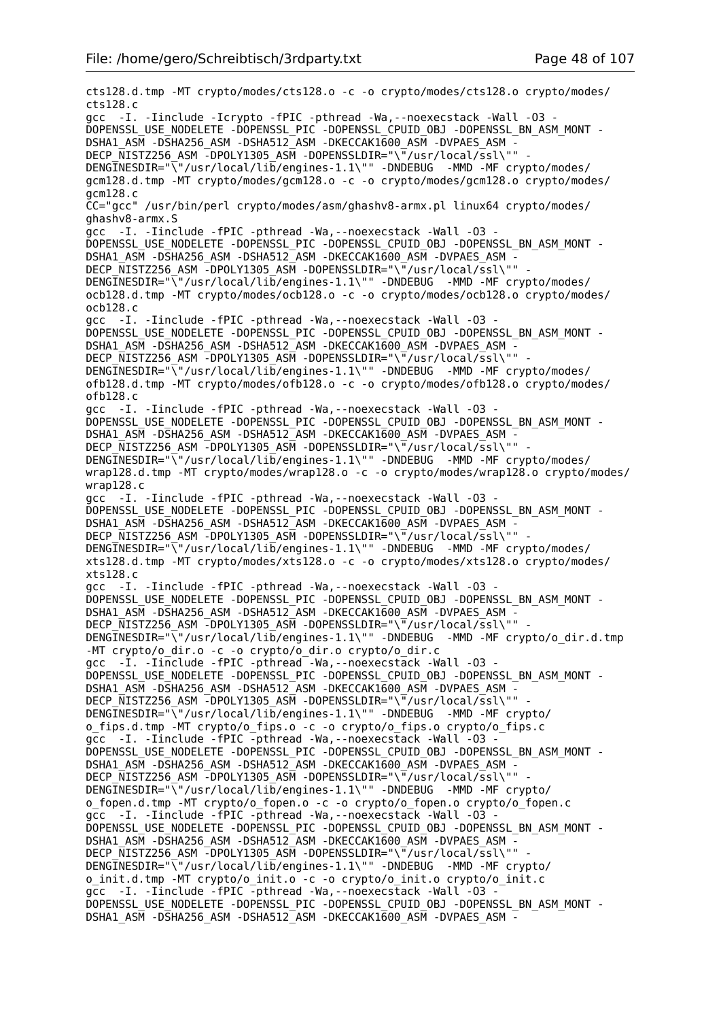cts128.d.tmp -MT crypto/modes/cts128.o -c -o crypto/modes/cts128.o crypto/modes/ cts128.c gcc -I. -Iinclude -Icrypto -fPIC -pthread -Wa,--noexecstack -Wall -O3 - DOPENSSL\_USE\_NODELETE -DOPENSSL\_PIC -DOPENSSL\_CPUID\_OBJ -DOPENSSL\_BN\_ASM\_MONT - DSHA1\_ASM -DSHA256\_ASM -DSHA512\_ASM -DKECCAK1600\_ASM -DVPAES\_ASM - DECP\_NISTZ256\_ASM\_-DPOLY1305\_ASM\_-DOPENSSLDIR="\"/usr/local/ssl\"" DENGINESDIR="\"/usr/local/lib/engines-1.1\"" -DNDEBUG -MMD -MF crypto/modes/ gcm128.d.tmp -MT crypto/modes/gcm128.o -c -o crypto/modes/gcm128.o crypto/modes/ gcm128.c CC="gcc" /usr/bin/perl crypto/modes/asm/ghashv8-armx.pl linux64 crypto/modes/ ghashv8-armx.S gcc -I. -Iinclude -fPIC -pthread -Wa,--noexecstack -Wall -O3 - DOPENSSL\_USE\_NODELETE -DOPENSSL\_PIC -DOPENSSL\_CPUID\_OBJ\_-DOPENSSL\_BN\_ASM\_MONT -DSHA1\_ASM -DSHA256\_ASM -DSHA512\_ASM -DKECCAK1600\_ASM -DVPAES\_ASM -DECP NISTZ256 ASM -DPOLY1305 ASM -DOPENSSLDIR="\"/usr/local/ssl\"" DENGINESDIR="\"/usr/local/lib/engines-1.1\"" -DNDEBUG -MMD -MF crypto/modes/ ocb128.d.tmp -MT crypto/modes/ocb128.o -c -o crypto/modes/ocb128.o crypto/modes/ ocb128.c gcc -I. -Iinclude -fPIC -pthread -Wa,--noexecstack -Wall -O3 - DOPENSSL\_USE\_NODELETE -DOPENSSL\_PIC -DOPENSSL\_CPUID\_OBJ -DOPENSSL\_BN\_ASM\_MONT - DSHA1\_ASM -DSHA256\_ASM -DSHA512\_ASM -DKECCAK1600\_ASM -DVPAES\_ASM - DECP NISTZ256 ASM -DPOLY1305 ASM -DOPENSSLDIR="\"/usr/local/ssl\"" DENGINESDIR="\"/usr/local/lib/engines-1.1\"" -DNDEBUG -MMD -MF crypto/modes/ ofb128.d.tmp -MT crypto/modes/ofb128.o -c -o crypto/modes/ofb128.o crypto/modes/ ofb128.c gcc -I. -Iinclude -fPIC -pthread -Wa,--noexecstack -Wall -O3 - DOPENSSL\_USE\_NODELETE -DOPENSSL\_PIC -DOPENSSL\_CPUID\_OBJ -DOPENSSL\_BN\_ASM\_MONT - DSHA1\_ASM -DSHA256\_ASM -DSHA512\_ASM -DKECCAK1600\_ASM -DVPAES\_ASM - DECP\_NISTZ256\_ASM -DPOLY1305\_ASM -DOPENSSLDIR="\"/usr/local/ssl\"" - DENGINESDIR="\"/usr/local/lib/engines-1.1\"" -DNDEBUG -MMD -MF crypto/modes/ wrap128.d.tmp -MT crypto/modes/wrap128.o -c -o crypto/modes/wrap128.o crypto/modes/ wrap128.c gcc -I. -Iinclude -fPIC -pthread -Wa,--noexecstack -Wall -O3 - DOPENSSL\_USE\_NODELETE -DOPENSSL\_PIC -DOPENSSL\_CPUID\_OBJ -DOPENSSL\_BN\_ASM\_MONT - DSHA1\_ASM -DSHA256\_ASM -DSHA512\_ASM -DKECCAK1600\_ASM -DVPAES ASM DECP\_NISTZ256\_ASM -DPOLY1305\_ASM -DOPENSSLDIR="\"/usr/local/ssl\"" DENGINESDIR="\"/usr/local/lib/engines-1.1\"" -DNDEBUG -MMD -MF crypto/modes/ xts128.d.tmp -MT crypto/modes/xts128.o -c -o crypto/modes/xts128.o crypto/modes/ xts128.c gcc -I. -Iinclude -fPIC -pthread -Wa,--noexecstack -Wall -O3 - DOPENSSL\_USE\_NODELETE -DOPENSSL\_PIC -DOPENSSL\_CPUID\_OBJ -DOPENSSL\_BN\_ASM\_MONT - DSHA1\_ASM -DSHA256\_ASM -DSHA512\_ASM -DKECCAK1600\_ASM -DVPAES\_ASM - DECP\_NISTZ256\_ASM -DPOLY1305\_ASM -DOPENSSLDIR="\"/usr/local/ssl\"" - DENGINESDIR="\"/usr/local/lib/engines-1.1\"" -DNDEBUG -MMD -MF crypto/o dir.d.tmp -MT crypto/o\_dir.o -c -o crypto/o\_dir.o crypto/o\_dir.c gcc -I. -Iinclude -fPIC -pthread -Wa,--noexecstack -Wall -O3 - DOPENSSL\_USE\_NODELETE -DOPENSSL\_PIC -DOPENSSL\_CPUID\_OBJ -DOPENSSL\_BN\_ASM\_MONT -DSHA1\_ASM -DSHA256\_ASM -DSHA512\_ASM -DKECCAK1600\_ASM -DVPAES\_ASM -DECP NISTZ256 ASM -DPOLY1305 ASM -DOPENSSLDIR="\"/usr/local/ssl\"" DENGINESDIR="\"/usr/local/lib/engines-1.1\"" -DNDEBUG -MMD -MF crypto/ o\_fips.d.tmp -MT crypto/o\_fips.o -c -o crypto/o\_fips.o crypto/o\_fips.c gcc -I. -Iinclude -fPIC -pthread -Wa,--noexecstack -Wall -O3 - DOPENSSL\_USE\_NODELETE -DOPENSSL\_PIC -DOPENSSL\_CPUID\_OBJ -DOPENSSL\_BN\_ASM\_MONT -DSHA1\_ASM -DSHA256\_ASM -DSHA512\_ASM -DKECCAK1600\_ASM -DVPAES ASM -DECP NISTZ256 ASM -DPOLY1305 ASM -DOPENSSLDIR="\"/usr/local/ssl\"" -DENGINESDIR="\"/usr/local/lib/engines-1.1\"" -DNDEBUG -MMD -MF crypto/ o\_fopen.d.tmp -MT crypto/o\_fopen.o -c -o crypto/o\_fopen.o crypto/o\_fopen.c gcc -I. -Iinclude -fPIC -pthread -Wa,--noexecstack -Wall -O3 - DOPENSSL\_USE\_NODELETE -DOPENSSL\_PIC -DOPENSSL\_CPUID\_OBJ\_-DOPENSSL\_BN\_ASM\_MONT -DSHA1\_ASM -DSHA256\_ASM -DSHA512\_ASM -DKECCAK1600\_ASM -DVPAES\_ASM -DECP NISTZ256 ASM -DPOLY1305 ASM -DOPENSSLDIR="\"/usr/local/ssl\"" DENGINESDIR="\"/usr/local/lib/engines-1.1\"" -DNDEBUG -MMD -MF crypto/ o\_init.d.tmp -MT crypto/o\_init.o -c -o crypto/o\_init.o crypto/o\_init.c gcc -I. -Iinclude -fPIC -pthread -Wa,--noexecstack -Wall -O3 - DOPENSSL\_USE\_NODELETE -DOPENSSL\_PIC -DOPENSSL\_CPUID\_OBJ -DOPENSSL\_BN\_ASM\_MONT - DSHA1\_ASM -DSHA256\_ASM -DSHA512\_ASM -DKECCAK1600\_ASM -DVPAES\_ASM -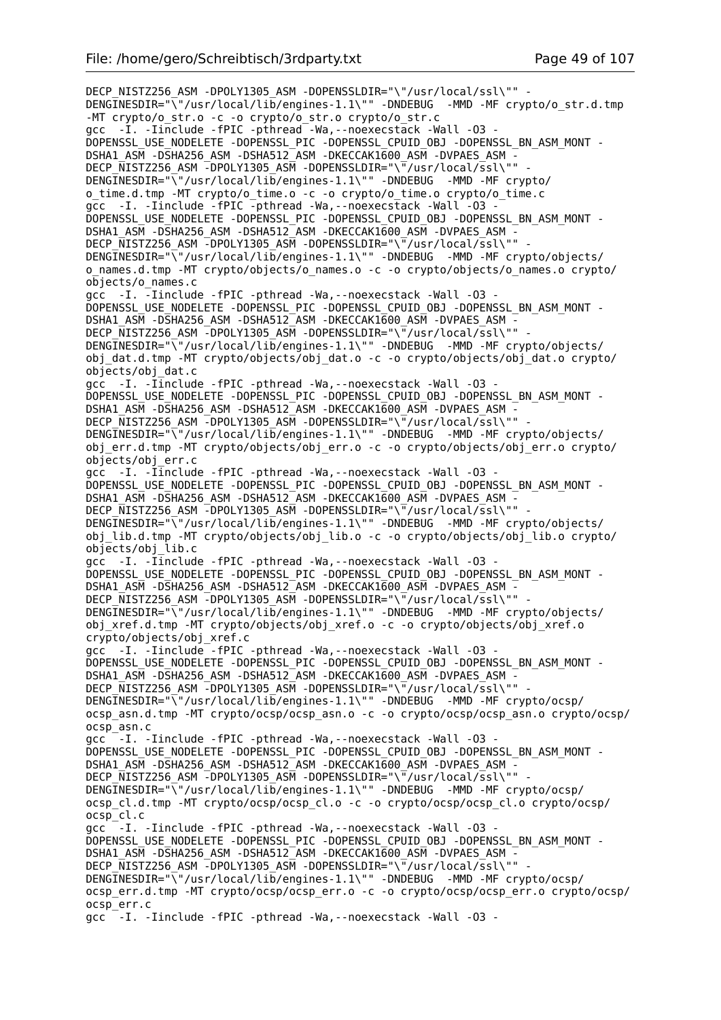DECP\_NISTZ256\_ASM -DPOLY1305\_ASM -DOPENSSLDIR="\"/usr/local/ssl\"" -DENGINESDIR="\"/usr/local/lib/engines-1.1\"" -DNDEBUG -MMD -MF crypto/o str.d.tmp -MT crypto/o\_str.o -c -o crypto/o\_str.o crypto/o\_str.c gcc -I. -Iinclude -fPIC -pthread -Wa,--noexecstack -Wall -O3 - DOPENSSL\_USE\_NODELETE -DOPENSSL\_PIC -DOPENSSL\_CPUID\_OBJ -DOPENSSL\_BN\_ASM\_MONT - DSHA1\_ASM -DSHA256\_ASM -DSHA512\_ASM -DKECCAK1600\_ASM -DVPAES\_ASM - DECP\_NISTZ256\_ASM -DPOLY1305\_ASM -DOPENSSLDIR="\"/usr/local/ssl\"" DENGINESDIR="\"/usr/local/lib/engines-1.1\"" -DNDEBUG -MMD -MF crypto/ o\_time.d.tmp -MT crypto/o\_time.o -c -o crypto/o\_time.o crypto/o\_time.c gcc -I. -Iinclude -fPIC -pthread -Wa, --noexecstack -Wall -03 -DOPENSSL\_USE\_NODELETE -DOPENSSL\_PIC -DOPENSSL\_CPUID\_OBJ -DOPENSSL\_BN\_ASM\_MONT - DSHA1\_ASM -DSHA256\_ASM -DSHA512\_ASM -DKECCAK1600\_ASM -DVPAES\_ASM - DECP NISTZ256 ASM -DPOLY1305 ASM -DOPENSSLDIR="\"/usr/local/ssl\"" DENGINESDIR="\"/usr/local/lib/engines-1.1\"" -DNDEBUG -MMD -MF crypto/objects/ o\_names.d.tmp -MT crypto/objects/o\_names.o -c -o crypto/objects/o\_names.o crypto/ objects/o\_names.c gcc -I. -Iinclude -fPIC -pthread -Wa,--noexecstack -Wall -O3 - DOPENSSL\_USE\_NODELETE -DOPENSSL\_PIC -DOPENSSL\_CPUID\_OBJ -DOPENSSL\_BN\_ASM\_MONT - DSHA1\_ASM -DSHA256\_ASM -DSHA512\_ASM -DKECCAK1600\_ASM -DVPAES\_ASM - DECP\_NISTZ256\_ASM -DPOLY1305\_ASM -DOPENSSLDIR="\"/usr/local/ssl\"" DENGINESDIR="\"/usr/local/lib/engines-1.1\"" -DNDEBUG -MMD -MF crypto/objects/ obj\_dat.d.tmp -MT crypto/objects/obj\_dat.o -c -o crypto/objects/obj\_dat.o crypto/ objects/obj\_dat.c gcc -I. -Iinclude -fPIC -pthread -Wa,--noexecstack -Wall -O3 - DOPENSSL\_USE\_NODELETE -DOPENSSL\_PIC -DOPENSSL\_CPUID\_OBJ -DOPENSSL\_BN\_ASM\_MONT - DSHA1\_ASM -DSHA256\_ASM -DSHA512\_ASM -DKECCAK1600\_ASM -DVPAES\_ASM - DECP NISTZ256 ASM -DPOLY1305 ASM -DOPENSSLDIR="\"/usr/local/ssl\"" DENGINESDIR="\"/usr/local/lib/engines-1.1\"" -DNDEBUG -MMD -MF crypto/objects/ obj\_err.d.tmp -MT crypto/objects/obj\_err.o -c -o crypto/objects/obj\_err.o crypto/ objects/obj\_err.c gcc -I. -Iinclude -fPIC -pthread -Wa,--noexecstack -Wall -O3 - DOPENSSL\_USE\_NODELETE -DOPENSSL\_PIC -DOPENSSL\_CPUID\_OBJ -DOPENSSL\_BN\_ASM\_MONT -DSHA1\_ASM -DSHA256\_ASM -DSHA512\_ASM -DKECCAK1600\_ASM -DVPAES ASM -DECP\_NISTZ256\_ASM -DPOLY1305\_ASM -DOPENSSLDIR="\"/usr/local/ssl\"" DENGINESDIR="\"/usr/local/lib/engines-1.1\"" -DNDEBUG -MMD -MF crypto/objects/ obj\_lib.d.tmp -MT crypto/objects/obj\_lib.o -c -o crypto/objects/obj\_lib.o crypto/ objects/obj\_lib.c gcc -I. -Iinclude -fPIC -pthread -Wa,--noexecstack -Wall -O3 - DOPENSSL\_USE\_NODELETE -DOPENSSL\_PIC -DOPENSSL\_CPUID\_OBJ -DOPENSSL\_BN\_ASM\_MONT -DSHA1\_ASM -DSHA256\_ASM -DSHA512\_ASM -DKECCAK1600\_ASM -DVPAES\_ASM -DECP\_NISTZ256\_ASM -DPOLY1305\_ASM -DOPENSSLDIR="\"/usr/local/ssl\"" DENGINESDIR="\"/usr/local/lib/engines-1.1\"" -DNDEBUG -MMD -MF crypto/objects/ obj\_xref.d.tmp -MT crypto/objects/obj\_xref.o -c -o crypto/objects/obj\_xref.o crypto/objects/obj\_xref.c gcc -I. -Iinclude -fPIC -pthread -Wa,--noexecstack -Wall -O3 - DOPENSSL\_USE\_NODELETE -DOPENSSL\_PIC -DOPENSSL\_CPUID\_OBJ -DOPENSSL\_BN\_ASM\_MONT -DSHA1\_ASM -DSHA256\_ASM -DSHA512\_ASM -DKECCAK1600\_ASM -DVPAES\_ASM -DECP NISTZ256 ASM -DPOLY1305 ASM -DOPENSSLDIR="\"/usr/local/ssl\"" DENGINESDIR="\"/usr/local/lib/engines-1.1\"" -DNDEBUG -MMD -MF crypto/ocsp/ ocsp\_asn.d.tmp -MT crypto/ocsp/ocsp\_asn.o -c -o crypto/ocsp/ocsp\_asn.o crypto/ocsp/ ocsp\_asn.c qcc<sup>--</sup>I. -Iinclude -fPIC -pthread -Wa, --noexecstack -Wall -03 -DOPENSSL\_USE\_NODELETE -DOPENSSL\_PIC -DOPENSSL\_CPUID\_OBJ -DOPENSSL\_BN\_ASM\_MONT - DSHA1\_ASM -DSHA256\_ASM -DSHA512\_ASM -DKECCAK1600\_ASM -DVPAES\_ASM -DECP NISTZ256 ASM -DPOLY1305 ASM -DOPENSSLDIR="\"/usr/local/ssl\"" -DENGINESDIR="\"/usr/local/lib/engines-1.1\"" -DNDEBUG -MMD -MF crypto/ocsp/ ocsp\_cl.d.tmp -MT crypto/ocsp/ocsp\_cl.o -c -o crypto/ocsp/ocsp\_cl.o crypto/ocsp/ ocsp\_cl.c gcc<sup>--</sup>I. -Iinclude -fPIC -pthread -Wa,--noexecstack -Wall -03 -DOPENSSL\_USE\_NODELETE -DOPENSSL\_PIC -DOPENSSL\_CPUID\_OBJ -DOPENSSL\_BN\_ASM\_MONT - DSHA1\_ASM -DSHA256\_ASM -DSHA512\_ASM -DKECCAK1600\_ASM -DVPAES\_ASM -DECP NISTZ256 ASM -DPOLY1305 ASM -DOPENSSLDIR="\"/usr/local/ssl\"" DENGINESDIR="\"/usr/local/lib/engines-1.1\"" -DNDEBUG -MMD -MF crypto/ocsp/ ocsp\_err.d.tmp -MT crypto/ocsp/ocsp\_err.o -c -o crypto/ocsp/ocsp\_err.o crypto/ocsp/ ocsp\_err.c gcc -I. -Iinclude -fPIC -pthread -Wa,--noexecstack -Wall -O3 -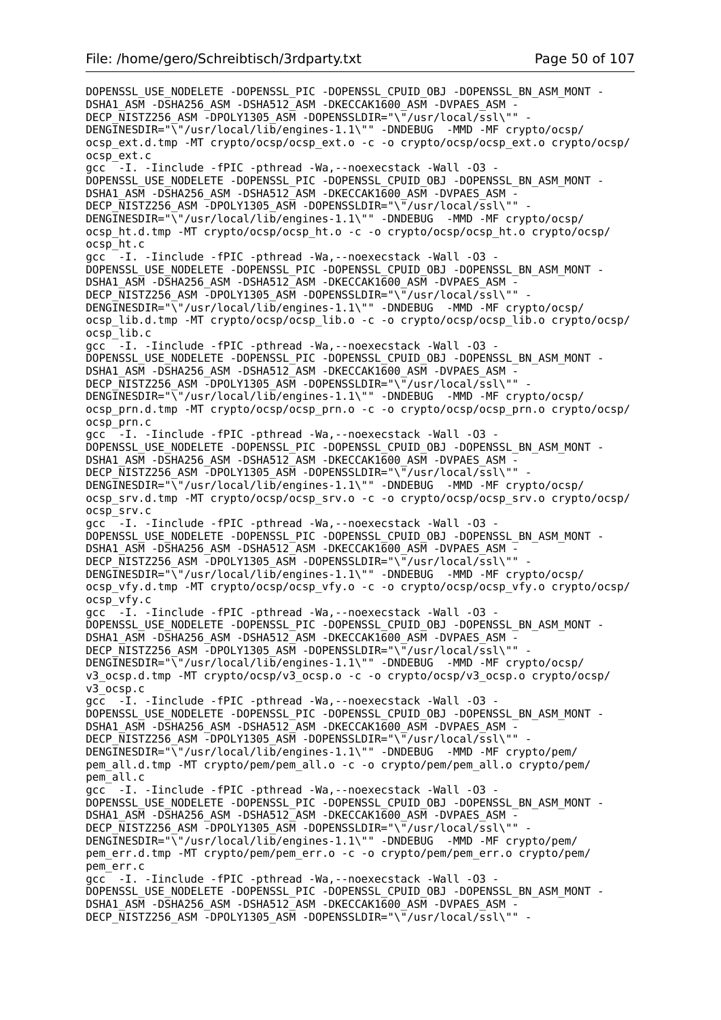DOPENSSL\_USE\_NODELETE -DOPENSSL\_PIC -DOPENSSL\_CPUID\_OBJ -DOPENSSL\_BN\_ASM\_MONT -DSHA1\_ASM -DSHA256\_ASM -DSHA512\_ASM -DKECCAK1600\_ASM -DVPAES\_ASM -DECP\_NISTZ256\_ASM -DPOLY1305\_ASM -DOPENSSLDIR="\"/usr/local/ssl\"" DENGINESDIR="\"/usr/local/lib/engines-1.1\"" -DNDEBUG -MMD -MF crypto/ocsp/ ocsp\_ext.d.tmp -MT crypto/ocsp/ocsp\_ext.o -c -o crypto/ocsp/ocsp\_ext.o crypto/ocsp/ ocsp\_ext.c acc<sup>--</sup>I. -Iinclude -fPIC -pthread -Wa,--noexecstack -Wall -03 -DOPENSSL\_USE\_NODELETE -DOPENSSL\_PIC -DOPENSSL\_CPUID\_OBJ -DOPENSSL\_BN\_ASM\_MONT - DSHA1\_ASM -DSHA256\_ASM -DSHA512\_ASM -DKECCAK1600\_ASM -DVPAES\_ASM -DECP NISTZ256 ASM -DPOLY1305 ASM -DOPENSSLDIR="\"/usr/local/ssl\"" -DENGINESDIR="\"/usr/local/lib/engines-1.1\"" -DNDEBUG -MMD -MF crypto/ocsp/ ocsp\_ht.d.tmp -MT crypto/ocsp/ocsp\_ht.o -c -o crypto/ocsp/ocsp\_ht.o crypto/ocsp/ ocsp\_ht.c gcc<sup>--</sup>I. -Iinclude -fPIC -pthread -Wa, --noexecstack -Wall -03 -DOPENSSL\_USE\_NODELETE -DOPENSSL\_PIC -DOPENSSL\_CPUID\_OBJ -DOPENSSL\_BN\_ASM\_MONT -DSHA1\_ASM -DSHA256\_ASM -DSHA512\_ASM -DKECCAK1600\_ASM -DVPAES\_ASM DECP NISTZ256 ASM -DPOLY1305 ASM -DOPENSSLDIR="\"/usr/local/ssl\"" DENGINESDIR="\"/usr/local/lib/engines-1.1\"" -DNDEBUG -MMD -MF crypto/ocsp/ ocsp\_lib.d.tmp -MT crypto/ocsp/ocsp\_lib.o -c -o crypto/ocsp/ocsp\_lib.o crypto/ocsp/ ocsp\_lib.c gcc<sup>--</sup>I. -Iinclude -fPIC -pthread -Wa,--noexecstack -Wall -03 -DOPENSSL\_USE\_NODELETE -DOPENSSL\_PIC -DOPENSSL\_CPUID\_OBJ -DOPENSSL\_BN\_ASM\_MONT - DSHA1\_ASM -DSHA256\_ASM -DSHA512\_ASM -DKECCAK1600\_ASM -DVPAES\_ASM -DECP\_NISTZ256\_ASM -DPOLY1305\_ASM -DOPENSSLDIR="\"/usr/local/ssl\"" DENGINESDIR="\"/usr/local/lib/engines-1.1\"" -DNDEBUG -MMD -MF crypto/ocsp/ ocsp\_prn.d.tmp -MT crypto/ocsp/ocsp\_prn.o -c -o crypto/ocsp/ocsp\_prn.o crypto/ocsp/ ocsp\_prn.c gcc<sup>--</sup>I. -Iinclude -fPIC -pthread -Wa, --noexecstack -Wall -03 -DOPENSSL\_USE\_NODELETE -DOPENSSL\_PIC -DOPENSSL\_CPUID\_OBJ -DOPENSSL\_BN\_ASM\_MONT -DSHA1\_ASM -DSHA256\_ASM -DSHA512\_ASM -DKECCAK1600\_ASM -DVPAES\_ASM -DECP NISTZ256 ASM -DPOLY1305 ASM -DOPENSSLDIR="\"/usr/local/ssl\"" DENGINESDIR="\"/usr/local/lib/engines-1.1\"" -DNDEBUG -MMD -MF crypto/ocsp/ ocsp\_srv.d.tmp -MT crypto/ocsp/ocsp\_srv.o -c -o crypto/ocsp/ocsp\_srv.o crypto/ocsp/ ocsp\_srv.c gcc -I. -Iinclude -fPIC -pthread -Wa,--noexecstack -Wall -O3 - DOPENSSL\_USE\_NODELETE -DOPENSSL\_PIC -DOPENSSL\_CPUID\_OBJ -DOPENSSL\_BN\_ASM\_MONT - DSHA1\_ASM -DSHA256\_ASM -DSHA512\_ASM -DKECCAK1600\_ASM -DVPAES\_ASM -DECP\_NISTZ256\_ASM -DPOLY1305\_ASM -DOPENSSLDIR="\"/usr/local/ssl\"" DENGINESDIR="\"/usr/local/lib/engines-1.1\"" -DNDEBUG -MMD -MF crypto/ocsp/ ocsp\_vfy.d.tmp -MT crypto/ocsp/ocsp\_vfy.o -c -o crypto/ocsp/ocsp\_vfy.o crypto/ocsp/ ocsp\_vfy.c gcc -I. -Iinclude -fPIC -pthread -Wa,--noexecstack -Wall -O3 - DOPENSSL\_USE\_NODELETE -DOPENSSL\_PIC -DOPENSSL\_CPUID\_OBJ -DOPENSSL\_BN\_ASM\_MONT -DSHA1\_ASM -DSHA256\_ASM -DSHA512\_ASM -DKECCAK1600\_ASM -DVPAES\_ASM -DECP NISTZ256 ASM -DPOLY1305 ASM -DOPENSSLDIR="\"/usr/local/ssl\"" DENGINESDIR="\"/usr/local/lib/engines-1.1\"" -DNDEBUG -MMD -MF crypto/ocsp/ v3\_ocsp.d.tmp -MT crypto/ocsp/v3\_ocsp.o -c -o crypto/ocsp/v3\_ocsp.o crypto/ocsp/ v3\_ocsp.c gcc -I. -Iinclude -fPIC -pthread -Wa,--noexecstack -Wall -O3 - DOPENSSL\_USE\_NODELETE -DOPENSSL\_PIC -DOPENSSL\_CPUID\_OBJ -DOPENSSL\_BN\_ASM\_MONT -DSHA1\_ASM -DSHA256\_ASM -DSHA512\_ASM -DKECCAK1600\_ASM -DVPAES\_ASM - DECP\_NISTZ256\_ASM -DPOLY1305\_ASM -DOPENSSLDIR="\"/usr/local/ssl\"" DENGINESDIR="\"/usr/local/lib/engines-1.1\"" -DNDEBUG -MMD -MF crypto/pem/ pem\_all.d.tmp -MT crypto/pem/pem\_all.o -c -o crypto/pem/pem\_all.o crypto/pem/ pem\_all.c gcc -I. -Iinclude -fPIC -pthread -Wa,--noexecstack -Wall -O3 - DOPENSSL\_USE\_NODELETE -DOPENSSL\_PIC -DOPENSSL\_CPUID\_OBJ -DOPENSSL\_BN\_ASM\_MONT - DSHA1\_ASM -DSHA256\_ASM -DSHA512\_ASM -DKECCAK1600\_ASM -DVPAES\_ASM - DECP NISTZ256 ASM -DPOLY1305 ASM -DOPENSSLDIR="\"/usr/local/ssl\"" DENGINESDIR="\"/usr/local/lib/engines-1.1\"" -DNDEBUG -MMD -MF crypto/pem/ pem\_err.d.tmp -MT crypto/pem/pem\_err.o -c -o crypto/pem/pem\_err.o crypto/pem/ pem\_err.c gcc -I. -Iinclude -fPIC -pthread -Wa,--noexecstack -Wall -O3 - DOPENSSL\_USE\_NODELETE -DOPENSSL\_PIC -DOPENSSL\_CPUID\_OBJ -DOPENSSL\_BN\_ASM\_MONT - DSHA1\_ASM -DSHA256\_ASM -DSHA512\_ASM -DKECCAK1600\_ASM -DVPAES\_ASM - DECP NISTZ256 ASM -DPOLY1305 ASM -DOPENSSLDIR="\"/usr/local/ssl\"" -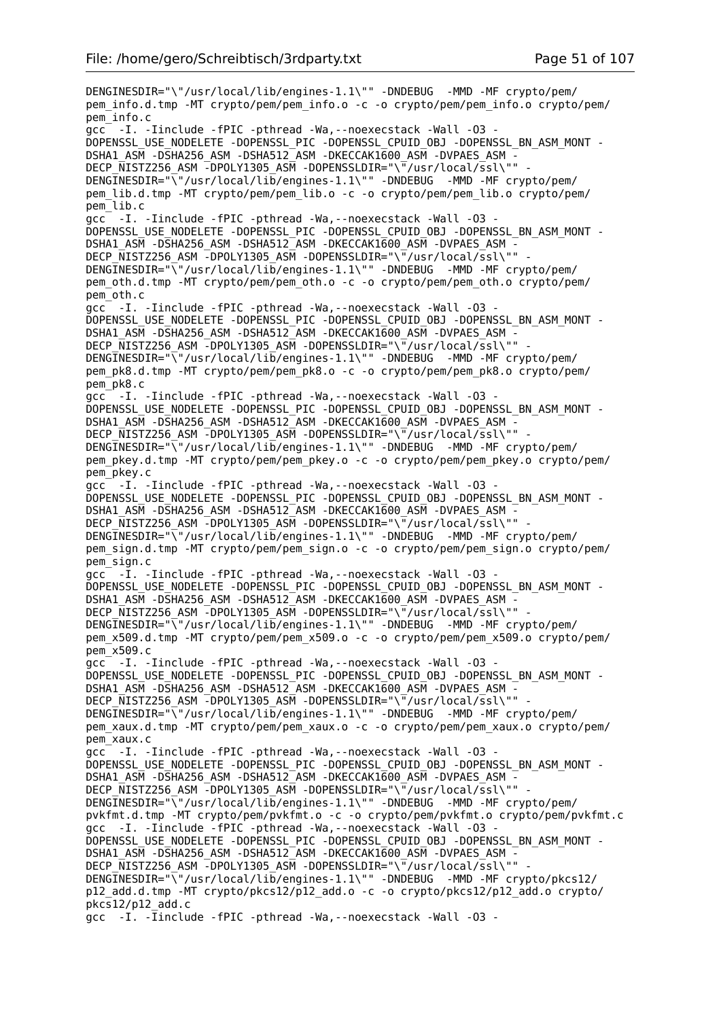DENGINESDIR="\"/usr/local/lib/engines-1.1\"" -DNDEBUG -MMD -MF crypto/pem/ pem\_info.d.tmp -MT crypto/pem/pem\_info.o -c -o crypto/pem/pem\_info.o crypto/pem/ pem\_info.c gcc -I. -Iinclude -fPIC -pthread -Wa,--noexecstack -Wall -O3 - DOPENSSL\_USE\_NODELETE -DOPENSSL\_PIC -DOPENSSL\_CPUID\_OBJ -DOPENSSL\_BN\_ASM\_MONT - DSHA1\_ASM -DSHA256\_ASM -DSHA512\_ASM -DKECCAK1600\_ASM -DVPAES\_ASM - DECP\_NISTZ256\_ASM -DPOLY1305\_ASM -DOPENSSLDIR="\"/usr/local/ssl\"" DENGINESDIR="\"/usr/local/lib/engines-1.1\"" -DNDEBUG -MMD -MF crypto/pem/ pem\_lib.d.tmp -MT crypto/pem/pem\_lib.o -c -o crypto/pem/pem\_lib.o crypto/pem/ pem\_lib.c gcc -I. -Iinclude -fPIC -pthread -Wa,--noexecstack -Wall -O3 - DOPENSSL\_USE\_NODELETE -DOPENSSL\_PIC -DOPENSSL\_CPUID\_OBJ -DOPENSSL\_BN\_ASM\_MONT - DSHA1\_ASM -DSHA256\_ASM -DSHA512\_ASM -DKECCAK1600\_ASM -DVPAES\_ASM - DECP\_NISTZ256\_ASM -DPOLY1305\_ASM -DOPENSSLDIR="\"/usr/local/ssl\"" DENGINESDIR="\"/usr/local/lib/engines-1.1\"" -DNDEBUG -MMD -MF crypto/pem/ pem\_oth.d.tmp -MT crypto/pem/pem\_oth.o -c -o crypto/pem/pem\_oth.o crypto/pem/ pem\_oth.c gcc -I. -Iinclude -fPIC -pthread -Wa,--noexecstack -Wall -O3 - DOPENSSL\_USE\_NODELETE -DOPENSSL\_PIC -DOPENSSL\_CPUID\_OBJ -DOPENSSL\_BN\_ASM\_MONT - DSHA1\_ASM -DSHA256\_ASM -DSHA512\_ASM -DKECCAK1600\_ASM -DVPAES\_ASM - DECP\_NISTZ256\_ASM -DPOLY1305\_ASM -DOPENSSLDIR="\"/usr/local/ssl\"" DENGINESDIR="\"/usr/local/lib/engines-1.1\"" -DNDEBUG -MMD -MF crypto/pem/ pem\_pk8.d.tmp -MT crypto/pem/pem\_pk8.o -c -o crypto/pem/pem\_pk8.o crypto/pem/ pem\_pk8.c gcc -I. -Iinclude -fPIC -pthread -Wa,--noexecstack -Wall -O3 - DOPENSSL\_USE\_NODELETE -DOPENSSL\_PIC -DOPENSSL\_CPUID\_OBJ -DOPENSSL\_BN\_ASM\_MONT - DSHA1\_ASM -DSHA256\_ASM -DSHA512\_ASM -DKECCAK1600\_ASM -DVPAES\_ASM - DECP\_NISTZ256\_ASM -DPOLY1305\_ASM -DOPENSSLDIR="\"/usr/local/ssl\"" DENGINESDIR="\"/usr/local/lib/engines-1.1\"" -DNDEBUG -MMD -MF crypto/pem/ pem\_pkey.d.tmp -MT crypto/pem/pem\_pkey.o -c -o crypto/pem/pem\_pkey.o crypto/pem/ pem\_pkey.c gcc -I. -Iinclude -fPIC -pthread -Wa,--noexecstack -Wall -O3 - DOPENSSL\_USE\_NODELETE -DOPENSSL\_PIC -DOPENSSL\_CPUID\_OBJ -DOPENSSL\_BN\_ASM\_MONT - DSHA1\_ASM -DSHA256\_ASM -DSHA512\_ASM -DKECCAK1600\_ASM -DVPAES\_ASM -DECP\_NISTZ256\_ASM -DPOLY1305\_ASM -DOPENSSLDIR="\"/usr/local/ssl\"" DENGINESDIR="\"/usr/local/lib/engines-1.1\"" -DNDEBUG -MMD -MF crypto/pem/ pem\_sign.d.tmp -MT crypto/pem/pem\_sign.o -c -o crypto/pem/pem\_sign.o crypto/pem/ pem\_sign.c gcc -I. -Iinclude -fPIC -pthread -Wa,--noexecstack -Wall -O3 - DOPENSSL\_USE\_NODELETE -DOPENSSL\_PIC -DOPENSSL\_CPUID\_OBJ -DOPENSSL\_BN\_ASM\_MONT - DSHA1\_ASM -DSHA256\_ASM -DSHA512\_ASM -DKECCAK1600\_ASM -DVPAES\_ASM -DECP NISTZ256 ASM -DPOLY1305 ASM -DOPENSSLDIR="\"/usr/local/ssl\"" DENGINESDIR="\"/usr/local/lib/engines-1.1\"" -DNDEBUG -MMD -MF crypto/pem/ pem\_x509.d.tmp -MT crypto/pem/pem\_x509.o -c -o crypto/pem/pem\_x509.o crypto/pem/ pem\_x509.c gcc -I. -Iinclude -fPIC -pthread -Wa,--noexecstack -Wall -O3 - DOPENSSL\_USE\_NODELETE -DOPENSSL\_PIC -DOPENSSL\_CPUID\_OBJ -DOPENSSL\_BN\_ASM\_MONT - DSHA1\_ASM -DSHA256\_ASM -DSHA512\_ASM -DKECCAK1600\_ASM -DVPAES\_ASM -DECP NISTZ256 ASM -DPOLY1305 ASM -DOPENSSLDIR="\"/usr/local/ssl\"" DENGINESDIR="\"/usr/local/lib/engines-1.1\"" -DNDEBUG -MMD -MF crypto/pem/ pem\_xaux.d.tmp -MT crypto/pem/pem\_xaux.o -c -o crypto/pem/pem\_xaux.o crypto/pem/ pem\_xaux.c gcc -I. -Iinclude -fPIC -pthread -Wa,--noexecstack -Wall -O3 - DOPENSSL\_USE\_NODELETE -DOPENSSL\_PIC -DOPENSSL\_CPUID\_OBJ -DOPENSSL\_BN\_ASM\_MONT -DSHA1\_ASM -DSHA256\_ASM -DSHA512\_ASM -DKECCAK1600 ASM -DVPAES ASM -DECP\_NISTZ256\_ASM -DPOLY1305\_ASM -DOPENSSLDIR="\"/usr/local/ssl\"" DENGINESDIR="\"/usr/local/lib/engines-1.1\"" -DNDEBUG -MMD -MF crypto/pem/ pvkfmt.d.tmp -MT crypto/pem/pvkfmt.o -c -o crypto/pem/pvkfmt.o crypto/pem/pvkfmt.c gcc -I. -Iinclude -fPIC -pthread -Wa,--noexecstack -Wall -O3 - DOPENSSL\_USE\_NODELETE -DOPENSSL\_PIC -DOPENSSL\_CPUID\_OBJ -DOPENSSL\_BN\_ASM\_MONT - DSHA1\_ASM -DSHA256\_ASM -DSHA512\_ASM -DKECCAK1600\_ASM -DVPAES\_ASM -DECP NISTZ256 ASM -DPOLY1305 ASM -DOPENSSLDIR="\"/usr/local/ssl\"" DENGINESDIR="\"/usr/local/lib/engines-1.1\"" -DNDEBUG -MMD -MF crypto/pkcs12/ p12\_add.d.tmp -MT crypto/pkcs12/p12\_add.o -c -o crypto/pkcs12/p12\_add.o crypto/ pkcs12/p12\_add.c gcc -I. -Iinclude -fPIC -pthread -Wa,--noexecstack -Wall -O3 -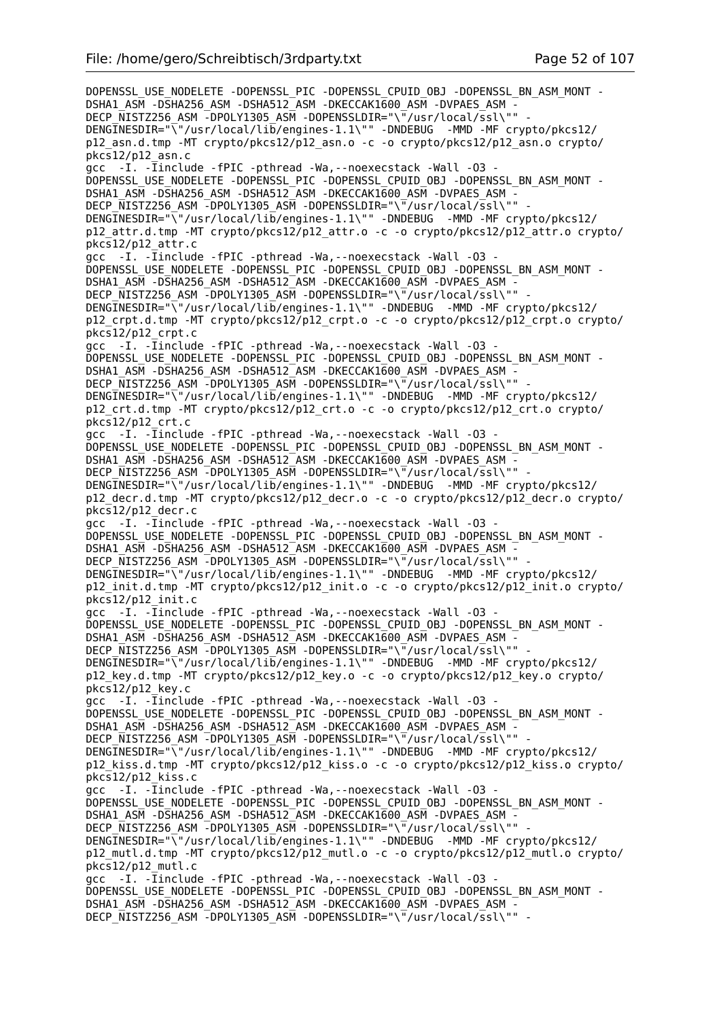DOPENSSL\_USE\_NODELETE -DOPENSSL\_PIC -DOPENSSL\_CPUID\_OBJ -DOPENSSL\_BN\_ASM\_MONT -DSHA1\_ASM -DSHA256\_ASM -DSHA512\_ASM -DKECCAK1600\_ASM -DVPAES\_ASM -DECP\_NISTZ256\_ASM -DPOLY1305\_ASM -DOPENSSLDIR="\"/usr/local/ssl\"" DENGINESDIR="\"/usr/local/lib/engines-1.1\"" -DNDEBUG -MMD -MF crypto/pkcs12/ p12\_asn.d.tmp -MT crypto/pkcs12/p12\_asn.o -c -o crypto/pkcs12/p12\_asn.o crypto/ pkcs12/p12\_asn.c  $acc -I.$  - $\overline{I}$ include -fPIC -pthread -Wa, --noexecstack -Wall -03 -DOPENSSL\_USE\_NODELETE -DOPENSSL\_PIC -DOPENSSL\_CPUID\_OBJ -DOPENSSL\_BN\_ASM\_MONT - DSHA1\_ASM -DSHA256\_ASM -DSHA512\_ASM -DKECCAK1600\_ASM -DVPAES\_ASM -DECP NISTZ256 ASM -DPOLY1305 ASM -DOPENSSLDIR="\"/usr/local/ssl\"" -DENGINESDIR="\"/usr/local/lib/engines-1.1\"" -DNDEBUG -MMD -MF crypto/pkcs12/ p12\_attr.d.tmp -MT crypto/pkcs12/p12\_attr.o -c -o crypto/pkcs12/p12\_attr.o crypto/ pkcs12/p12\_attr.c gcc -I. -Iinclude -fPIC -pthread -Wa,--noexecstack -Wall -O3 - DOPENSSL\_USE\_NODELETE -DOPENSSL\_PIC -DOPENSSL\_CPUID\_OBJ -DOPENSSL\_BN\_ASM\_MONT -DSHA1\_ASM -DSHA256\_ASM -DSHA512\_ASM -DKECCAK1600\_ASM -DVPAES\_ASM DECP NISTZ256 ASM -DPOLY1305 ASM -DOPENSSLDIR="\"/usr/local/ssl\"" DENGINESDIR="\"/usr/local/lib/engines-1.1\"" -DNDEBUG -MMD -MF crypto/pkcs12/ p12\_crpt.d.tmp -MT crypto/pkcs12/p12\_crpt.o -c -o crypto/pkcs12/p12\_crpt.o crypto/ pkcs12/p12\_crpt.c gcc -I. - Iinclude - fPIC - pthread - Wa, - - noexecstack - Wall - 03 -DOPENSSL\_USE\_NODELETE -DOPENSSL\_PIC -DOPENSSL\_CPUID\_OBJ -DOPENSSL\_BN\_ASM\_MONT -DSHA1\_ASM -DSHA256\_ASM -DSHA512\_ASM -DKECCAK1600\_ASM -DVPAES\_ASM -DECP\_NISTZ256\_ASM -DPOLY1305\_ASM -DOPENSSLDIR="\"/usr/local/ssl\"" DENGINESDIR="\"/usr/local/lib/engines-1.1\"" -DNDEBUG -MMD -MF crypto/pkcs12/ p12\_crt.d.tmp -MT crypto/pkcs12/p12\_crt.o -c -o crypto/pkcs12/p12\_crt.o crypto/ pkcs12/p12\_crt.c  $\bar{g}$ cc -I. - $\bar{I}$ include -fPIC -pthread -Wa, --noexecstack -Wall -03 DOPENSSL\_USE\_NODELETE -DOPENSSL\_PIC -DOPENSSL\_CPUID\_OBJ -DOPENSSL\_BN\_ASM\_MONT -DSHA1\_ASM -DSHA256\_ASM -DSHA512\_ASM -DKECCAK1600\_ASM -DVPAES\_ASM -DECP NISTZ256 ASM -DPOLY1305 ASM -DOPENSSLDIR="\"/usr/local/ssl\"" DENGINESDIR="\"/usr/local/lib/engines-1.1\"" -DNDEBUG -MMD -MF crypto/pkcs12/ p12\_decr.d.tmp -MT crypto/pkcs12/p12\_decr.o -c -o crypto/pkcs12/p12\_decr.o crypto/ pkcs12/p12\_decr.c gcc -I. -Iinclude -fPIC -pthread -Wa,--noexecstack -Wall -O3 - DOPENSSL\_USE\_NODELETE -DOPENSSL\_PIC -DOPENSSL\_CPUID\_OBJ -DOPENSSL\_BN\_ASM\_MONT - DSHA1\_ASM -DSHA256\_ASM -DSHA512\_ASM -DKECCAK1600\_ASM -DVPAES\_ASM -DECP\_NISTZ256\_ASM -DPOLY1305\_ASM -DOPENSSLDIR="\"/usr/local/ssl\"" DENGINESDIR="\"/usr/local/lib/engines-1.1\"" -DNDEBUG -MMD -MF crypto/pkcs12/ p12\_init.d.tmp -MT crypto/pkcs12/p12\_init.o -c -o crypto/pkcs12/p12\_init.o crypto/ pkcs12/p12\_init.c gcc -I. -Iinclude -fPIC -pthread -Wa,--noexecstack -Wall -O3 - DOPENSSL\_USE\_NODELETE -DOPENSSL\_PIC -DOPENSSL\_CPUID\_OBJ -DOPENSSL\_BN\_ASM\_MONT - DSHA1\_ASM -DSHA256\_ASM -DSHA512\_ASM -DKECCAK1600\_ASM -DVPAES\_ASM -DECP NISTZ256 ASM -DPOLY1305 ASM -DOPENSSLDIR="\"/usr/local/ssl\"" DENGINESDIR="\"/usr/local/lib/engines-1.1\"" -DNDEBUG -MMD -MF crypto/pkcs12/ p12\_key.d.tmp -MT crypto/pkcs12/p12\_key.o -c -o crypto/pkcs12/p12\_key.o crypto/  $pkcs12/p12$  key.c gcc -I. -Iinclude -fPIC -pthread -Wa,--noexecstack -Wall -O3 - DOPENSSL\_USE\_NODELETE -DOPENSSL\_PIC -DOPENSSL\_CPUID\_OBJ -DOPENSSL\_BN\_ASM\_MONT -DSHA1\_ASM -DSHA256\_ASM -DSHA512\_ASM -DKECCAK1600\_ASM -DVPAES\_ASM - DECP\_NISTZ256\_ASM -DPOLY1305\_ASM -DOPENSSLDIR="\"/usr/local/ssl\"" DENGINESDIR="\"/usr/local/lib/engines-1.1\"" -DNDEBUG -MMD -MF crypto/pkcs12/ p12\_kiss.d.tmp -MT crypto/pkcs12/p12\_kiss.o -c -o crypto/pkcs12/p12\_kiss.o crypto/ pkcs12/p12\_kiss.c gcc -I. -Iinclude -fPIC -pthread -Wa,--noexecstack -Wall -O3 - DOPENSSL\_USE\_NODELETE -DOPENSSL\_PIC -DOPENSSL\_CPUID\_OBJ -DOPENSSL\_BN\_ASM\_MONT - DSHA1\_ASM -DSHA256\_ASM -DSHA512\_ASM -DKECCAK1600\_ASM -DVPAES\_ASM - DECP NISTZ256 ASM -DPOLY1305 ASM -DOPENSSLDIR="\"/usr/local/ssl\"" DENGINESDIR="\"/usr/local/lib/engines-1.1\"" -DNDEBUG -MMD -MF crypto/pkcs12/ p12\_mutl.d.tmp -MT crypto/pkcs12/p12\_mutl.o -c -o crypto/pkcs12/p12\_mutl.o crypto/ pkcs12/p12\_mutl.c gcc -I. -Iinclude -fPIC -pthread -Wa,--noexecstack -Wall -O3 - DOPENSSL\_USE\_NODELETE -DOPENSSL\_PIC -DOPENSSL\_CPUID\_OBJ -DOPENSSL\_BN\_ASM\_MONT - DSHA1\_ASM -DSHA256\_ASM -DSHA512\_ASM -DKECCAK1600\_ASM -DVPAES\_ASM - DECP\_NISTZ256\_ASM -DPOLY1305\_ASM -DOPENSSLDIR="\"/usr/local/ssl\"" -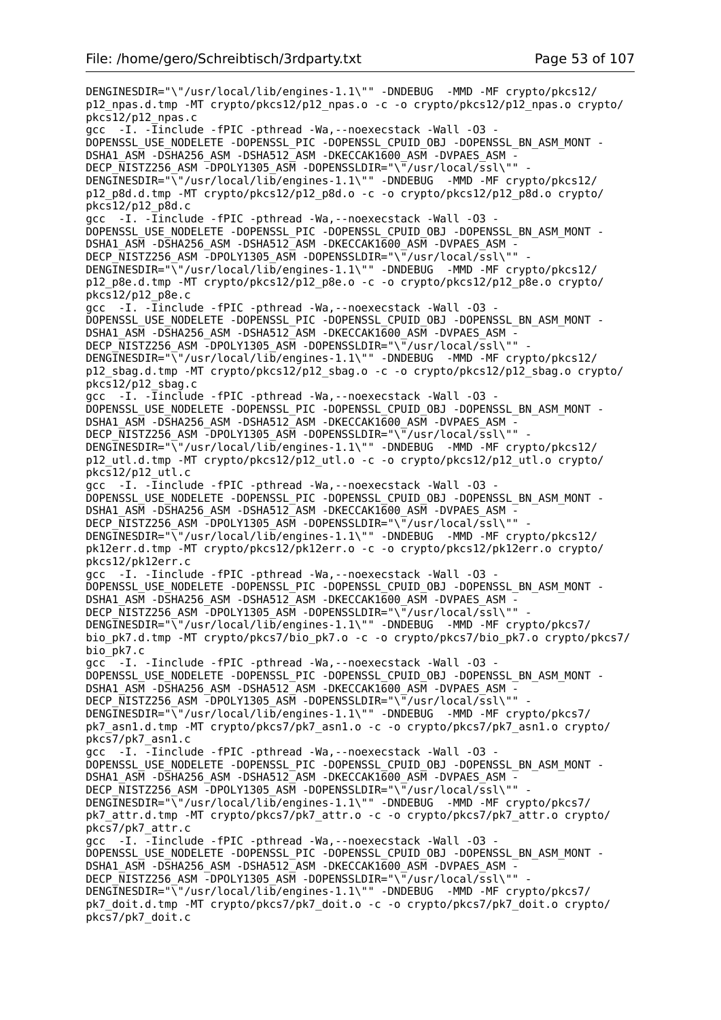DENGINESDIR="\"/usr/local/lib/engines-1.1\"" -DNDEBUG -MMD -MF crypto/pkcs12/ p12\_npas.d.tmp -MT crypto/pkcs12/p12\_npas.o -c -o crypto/pkcs12/p12\_npas.o crypto/  $pkcs12/p12$  npas.c gcc -I. - Tinclude - fPIC - pthread - Wa, - - noexecstack - Wall - 03 -DOPENSSL\_USE\_NODELETE -DOPENSSL\_PIC -DOPENSSL\_CPUID\_OBJ -DOPENSSL\_BN\_ASM\_MONT - DSHA1\_ASM -DSHA256\_ASM -DSHA512\_ASM -DKECCAK1600\_ASM -DVPAES\_ASM - DECP\_NISTZ256\_ASM -DPOLY1305\_ASM -DOPENSSLDIR="\"/usr/local/ssl\"" DENGINESDIR="\"/usr/local/lib/engines-1.1\"" -DNDEBUG -MMD -MF crypto/pkcs12/ p12\_p8d.d.tmp -MT crypto/pkcs12/p12\_p8d.o -c -o crypto/pkcs12/p12\_p8d.o crypto/ pkcs12/p12\_p8d.c gcc -I. -Iinclude -fPIC -pthread -Wa,--noexecstack -Wall -O3 - DOPENSSL\_USE\_NODELETE -DOPENSSL\_PIC -DOPENSSL\_CPUID\_OBJ -DOPENSSL\_BN\_ASM\_MONT - DSHA1\_ASM -DSHA256\_ASM -DSHA512\_ASM -DKECCAK1600\_ASM -DVPAES\_ASM - DECP\_NISTZ256\_ASM -DPOLY1305\_ASM -DOPENSSLDIR="\"/usr/local/ssl\"" DENGINESDIR="\"/usr/local/lib/engines-1.1\"" -DNDEBUG -MMD -MF crypto/pkcs12/ p12\_p8e.d.tmp -MT crypto/pkcs12/p12\_p8e.o -c -o crypto/pkcs12/p12\_p8e.o crypto/ pkcs12/p12\_p8e.c gcc -I. -Iinclude -fPIC -pthread -Wa,--noexecstack -Wall -O3 - DOPENSSL\_USE\_NODELETE -DOPENSSL\_PIC -DOPENSSL\_CPUID\_OBJ -DOPENSSL\_BN\_ASM\_MONT - DSHA1\_ASM -DSHA256\_ASM -DSHA512\_ASM -DKECCAK1600\_ASM -DVPAES\_ASM - DECP\_NISTZ256\_ASM -DPOLY1305\_ASM -DOPENSSLDIR="\"/usr/local/ssl\"" DENGINESDIR="\"/usr/local/lib/engines-1.1\"" -DNDEBUG -MMD -MF crypto/pkcs12/ p12\_sbag.d.tmp -MT crypto/pkcs12/p12\_sbag.o -c -o crypto/pkcs12/p12\_sbag.o crypto/  $pkcs12/p12$  sbag.c gcc -I. - Iinclude - fPIC - pthread - Wa, - - noexecstack - Wall - 03 -DOPENSSL\_USE\_NODELETE -DOPENSSL\_PIC -DOPENSSL\_CPUID\_OBJ -DOPENSSL\_BN\_ASM\_MONT - DSHA1\_ASM -DSHA256\_ASM -DSHA512\_ASM -DKECCAK1600\_ASM -DVPAES\_ASM - DECP\_NISTZ256\_ASM -DPOLY1305\_ASM -DOPENSSLDIR="\"/usr/local/ssl\"" DENGINESDIR="\"/usr/local/lib/engines-1.1\"" -DNDEBUG -MMD -MF crypto/pkcs12/ p12\_utl.d.tmp -MT crypto/pkcs12/p12\_utl.o -c -o crypto/pkcs12/p12\_utl.o crypto/ pkcs12/p12\_utl.c gcc -I. -Iinclude -fPIC -pthread -Wa,--noexecstack -Wall -O3 - DOPENSSL\_USE\_NODELETE -DOPENSSL\_PIC -DOPENSSL\_CPUID\_OBJ -DOPENSSL\_BN\_ASM\_MONT - DSHA1\_ASM -DSHA256\_ASM -DSHA512\_ASM -DKECCAK1600\_ASM -DVPAES\_ASM -DECP\_NISTZ256\_ASM -DPOLY1305\_ASM -DOPENSSLDIR="\"/usr/local/ssl\"" DENGINESDIR="\"/usr/local/lib/engines-1.1\"" -DNDEBUG -MMD -MF crypto/pkcs12/ pk12err.d.tmp -MT crypto/pkcs12/pk12err.o -c -o crypto/pkcs12/pk12err.o crypto/ pkcs12/pk12err.c gcc -I. -Iinclude -fPIC -pthread -Wa,--noexecstack -Wall -O3 - DOPENSSL\_USE\_NODELETE -DOPENSSL\_PIC -DOPENSSL\_CPUID\_OBJ -DOPENSSL\_BN\_ASM\_MONT - DSHA1\_ASM -DSHA256\_ASM -DSHA512\_ASM -DKECCAK1600\_ASM -DVPAES\_ASM -DECP NISTZ256 ASM -DPOLY1305 ASM -DOPENSSLDIR="\"/usr/local/ssl\"" DENGINESDIR="\"/usr/local/lib/engines-1.1\"" -DNDEBUG -MMD -MF crypto/pkcs7/ bio\_pk7.d.tmp -MT crypto/pkcs7/bio\_pk7.o -c -o crypto/pkcs7/bio\_pk7.o crypto/pkcs7/ bio\_pk7.c gcc -I. -Iinclude -fPIC -pthread -Wa,--noexecstack -Wall -O3 - DOPENSSL\_USE\_NODELETE -DOPENSSL\_PIC -DOPENSSL\_CPUID\_OBJ -DOPENSSL\_BN\_ASM\_MONT - DSHA1\_ASM -DSHA256\_ASM -DSHA512\_ASM -DKECCAK1600\_ASM -DVPAES\_ASM - DECP NISTZ256 ASM -DPOLY1305 ASM -DOPENSSLDIR="\"/usr/local/ssl\"" DENGINESDIR="\"/usr/local/lib/engines-1.1\"" -DNDEBUG -MMD -MF crypto/pkcs7/ pk7\_asn1.d.tmp -MT crypto/pkcs7/pk7\_asn1.o -c -o crypto/pkcs7/pk7\_asn1.o crypto/ pkcs7/pk7\_asn1.c gcc -I. -Iinclude -fPIC -pthread -Wa,--noexecstack -Wall -O3 - DOPENSSL\_USE\_NODELETE -DOPENSSL\_PIC -DOPENSSL\_CPUID\_OBJ -DOPENSSL\_BN\_ASM\_MONT -DSHA1\_ASM -DSHA256\_ASM -DSHA512\_ASM -DKECCAK1600 ASM -DVPAES ASM -DECP\_NISTZ256\_ASM -DPOLY1305\_ASM -DOPENSSLDIR="\"/usr/local/ssl\"" DENGINESDIR="\"/usr/local/lib/engines-1.1\"" -DNDEBUG -MMD -MF crypto/pkcs7/ pk7\_attr.d.tmp -MT crypto/pkcs7/pk7\_attr.o -c -o crypto/pkcs7/pk7\_attr.o crypto/ pkcs7/pk7\_attr.c gcc -I. -Iinclude -fPIC -pthread -Wa, --noexecstack -Wall -03 -DOPENSSL\_USE\_NODELETE -DOPENSSL\_PIC -DOPENSSL\_CPUID\_OBJ -DOPENSSL\_BN\_ASM\_MONT -DSHA1\_ASM -DSHA256\_ASM -DSHA512\_ASM -DKECCAK1600\_ASM -DVPAES\_ASM -DECP NISTZ256 ASM -DPOLY1305 ASM -DOPENSSLDIR="\"/usr/local/ssl\"" DENGINESDIR="\"/usr/local/lib/engines-1.1\"" -DNDEBUG -MMD -MF crypto/pkcs7/ pk7\_doit.d.tmp -MT crypto/pkcs7/pk7\_doit.o -c -o crypto/pkcs7/pk7\_doit.o crypto/ pkcs7/pk7\_doit.c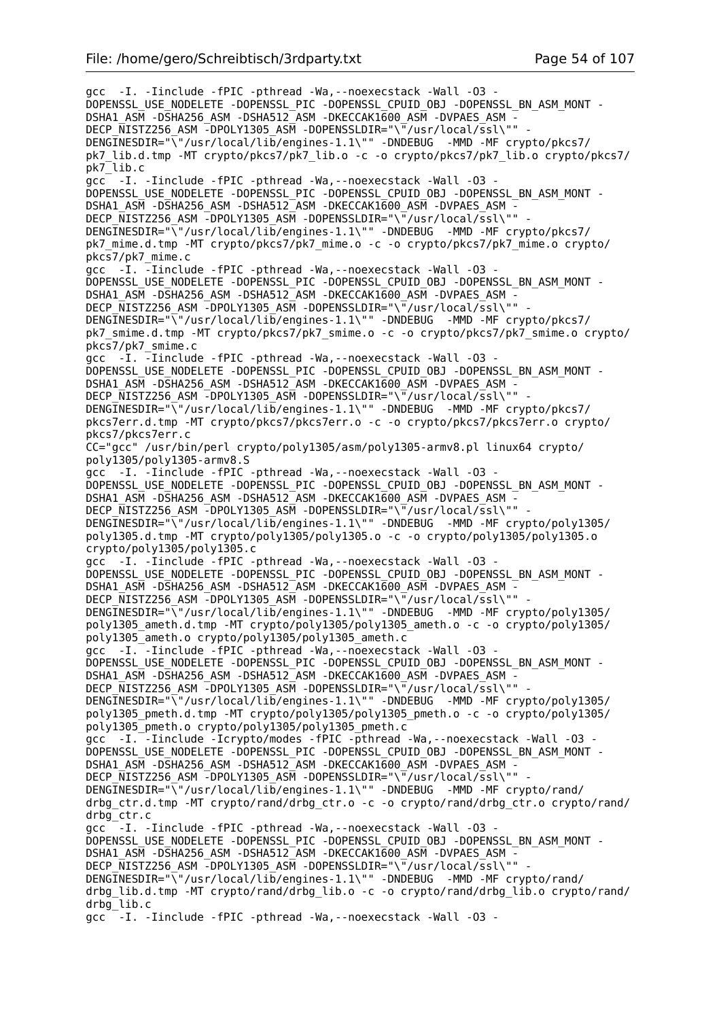gcc -I. -Iinclude -fPIC -pthread -Wa,--noexecstack -Wall -O3 - DOPENSSL\_USE\_NODELETE -DOPENSSL\_PIC -DOPENSSL\_CPUID\_OBJ -DOPENSSL\_BN\_ASM\_MONT - DSHA1\_ASM -DSHA256\_ASM -DSHA512\_ASM -DKECCAK1600\_ASM -DVPAES\_ASM -DECP NISTZ256 ASM -DPOLY1305 ASM -DOPENSSLDIR="\"/usr/local/ssl\"" DENGINESDIR="\"/usr/local/lib/engines-1.1\"" -DNDEBUG -MMD -MF crypto/pkcs7/ pk7\_lib.d.tmp -MT crypto/pkcs7/pk7\_lib.o -c -o crypto/pkcs7/pk7\_lib.o crypto/pkcs7/ pk7\_lib.c gcc -I. -Iinclude -fPIC -pthread -Wa,--noexecstack -Wall -O3 - DOPENSSL\_USE\_NODELETE -DOPENSSL\_PIC -DOPENSSL\_CPUID\_OBJ -DOPENSSL\_BN\_ASM\_MONT -DSHA1\_ASM -DSHA256\_ASM -DSHA512\_ASM -DKECCAK1600 ASM -DVPAES ASM -DECP NISTZ256 ASM -DPOLY1305 ASM -DOPENSSLDIR="\"/usr/local/ssl\"" DENGINESDIR="\"/usr/local/lib/engines-1.1\"" -DNDEBUG -MMD -MF crypto/pkcs7/ pk7\_mime.d.tmp -MT crypto/pkcs7/pk7\_mime.o -c -o crypto/pkcs7/pk7\_mime.o crypto/ pkcs7/pk7\_mime.c gcc -I. -Iinclude -fPIC -pthread -Wa,--noexecstack -Wall -O3 - DOPENSSL\_USE\_NODELETE -DOPENSSL\_PIC -DOPENSSL\_CPUID\_OBJ -DOPENSSL\_BN\_ASM\_MONT -DSHA1\_ASM -DSHA256\_ASM -DSHA512\_ASM -DKECCAK1600\_ASM -DVPAES\_ASM -DECP NISTZ256 ASM -DPOLY1305 ASM -DOPENSSLDIR="\"/usr/local/ssl\"" DENGINESDIR="\"/usr/local/lib/engines-1.1\"" -DNDEBUG -MMD -MF crypto/pkcs7/ pk7\_smime.d.tmp -MT crypto/pkcs7/pk7\_smime.o -c -o crypto/pkcs7/pk7\_smime.o crypto/ pkcs7/pk7\_smime.c gcc -I. -Iinclude -fPIC -pthread -Wa,--noexecstack -Wall -O3 - DOPENSSL\_USE\_NODELETE -DOPENSSL\_PIC -DOPENSSL\_CPUID\_OBJ -DOPENSSL\_BN\_ASM\_MONT -DSHA1\_ASM -DSHA256\_ASM -DSHA512\_ASM -DKECCAK1600\_ASM -DVPAES\_ASM -DECP\_NISTZ256\_ASM -DPOLY1305\_ASM -DOPENSSLDIR="\"/usr/local/ssl\"" DENGINESDIR="\"/usr/local/lib/engines-1.1\"" -DNDEBUG -MMD -MF crypto/pkcs7/ pkcs7err.d.tmp -MT crypto/pkcs7/pkcs7err.o -c -o crypto/pkcs7/pkcs7err.o crypto/ pkcs7/pkcs7err.c CC="gcc" /usr/bin/perl crypto/poly1305/asm/poly1305-armv8.pl linux64 crypto/ poly1305/poly1305-armv8.S gcc -I. -Iinclude -fPIC -pthread -Wa,--noexecstack -Wall -O3 - DOPENSSL\_USE\_NODELETE -DOPENSSL\_PIC -DOPENSSL\_CPUID\_OBJ -DOPENSSL\_BN\_ASM\_MONT - DSHA1\_ASM -DSHA256\_ASM -DSHA512\_ASM -DKECCAK1600\_ASM -DVPAES ASM -DECP\_NISTZ256\_ASM -DPOLY1305\_ASM -DOPENSSLDIR="\"/usr/local/ssl\"" DENGINESDIR="\"/usr/local/lib/engines-1.1\"" -DNDEBUG -MMD -MF crypto/poly1305/ poly1305.d.tmp -MT crypto/poly1305/poly1305.o -c -o crypto/poly1305/poly1305.o crypto/poly1305/poly1305.c gcc -I. -Iinclude -fPIC -pthread -Wa,--noexecstack -Wall -O3 - DOPENSSL\_USE\_NODELETE -DOPENSSL\_PIC -DOPENSSL\_CPUID\_OBJ -DOPENSSL\_BN\_ASM\_MONT -DSHA1\_ASM -DSHA256\_ASM -DSHA512\_ASM -DKECCAK1600\_ASM -DVPAES\_ASM -DECP\_NISTZ256\_ASM -DPOLY1305\_ASM -DOPENSSLDIR="\"/usr/local/ssl\"" DENGINESDIR="\"/usr/local/lib/engines-1.1\"" -DNDEBUG -MMD -MF crypto/poly1305/ poly1305\_ameth.d.tmp -MT crypto/poly1305/poly1305\_ameth.o -c -o crypto/poly1305/ poly1305\_ameth.o crypto/poly1305/poly1305\_ameth.c gcc -I. -Iinclude -fPIC -pthread -Wa,--noexecstack -Wall -O3 - DOPENSSL\_USE\_NODELETE -DOPENSSL\_PIC -DOPENSSL\_CPUID\_OBJ -DOPENSSL\_BN\_ASM\_MONT - DSHA1\_ASM -DSHA256\_ASM -DSHA512\_ASM -DKECCAK1600\_ASM -DVPAES\_ASM -DECP NISTZ256 ASM -DPOLY1305 ASM -DOPENSSLDIR="\"/usr/local/ssl\"" DENGINESDIR="\"/usr/local/lib/engines-1.1\"" -DNDEBUG -MMD -MF crypto/poly1305/ poly1305\_pmeth.d.tmp -MT crypto/poly1305/poly1305\_pmeth.o -c -o crypto/poly1305/ poly1305\_pmeth.o crypto/poly1305/poly1305\_pmeth.c gcc -I. -Iinclude -Icrypto/modes -fPIC -pthread -Wa, --noexecstack -Wall -03 -DOPENSSL\_USE\_NODELETE -DOPENSSL\_PIC -DOPENSSL\_CPUID\_OBJ -DOPENSSL\_BN\_ASM\_MONT - DSHA1\_ASM -DSHA256\_ASM -DSHA512\_ASM -DKECCAK1600\_ASM -DVPAES\_ASM -DECP  $\overline{N}$ ISTZ256 ASM -DPOLY1305 ASM -DOPENSSLDIR="\"/usr/local/ssl\"" DENGINESDIR="\"/usr/local/lib/engines-1.1\"" -DNDEBUG -MMD -MF crypto/rand/ drbg\_ctr.d.tmp -MT crypto/rand/drbg\_ctr.o -c -o crypto/rand/drbg\_ctr.o crypto/rand/ drbg\_ctr.c gcc<sup>--</sup>I. -Iinclude -fPIC -pthread -Wa, --noexecstack -Wall -03 -DOPENSSL\_USE\_NODELETE -DOPENSSL\_PIC -DOPENSSL\_CPUID\_OBJ -DOPENSSL\_BN\_ASM\_MONT - DSHA1\_ASM -DSHA256\_ASM -DSHA512\_ASM -DKECCAK1600\_ASM -DVPAES\_ASM -DECP NISTZ256 ASM -DPOLY1305 ASM -DOPENSSLDIR="\"/usr/local/ssl\"" DENGINESDIR="\"/usr/local/lib/engines-1.1\"" -DNDEBUG -MMD -MF crypto/rand/ drbg\_lib.d.tmp -MT crypto/rand/drbg\_lib.o -c -o crypto/rand/drbg\_lib.o crypto/rand/ drbg\_lib.c gcc -I. -Iinclude -fPIC -pthread -Wa,--noexecstack -Wall -O3 -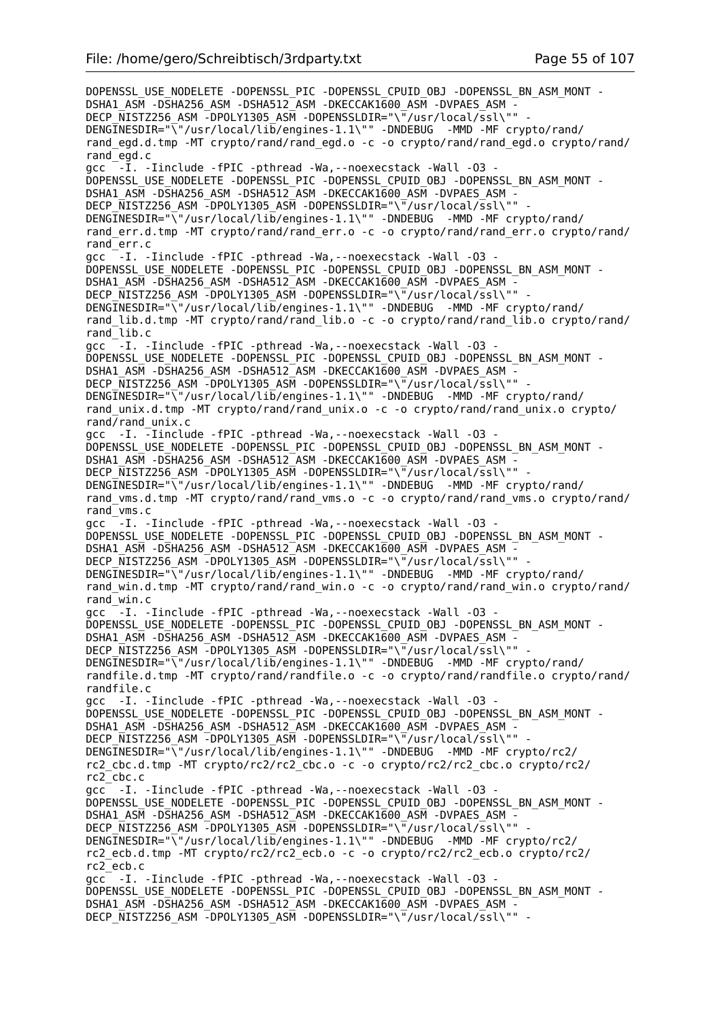DOPENSSL\_USE\_NODELETE -DOPENSSL\_PIC -DOPENSSL\_CPUID\_OBJ -DOPENSSL\_BN\_ASM\_MONT -DSHA1\_ASM -DSHA256\_ASM -DSHA512\_ASM -DKECCAK1600\_ASM -DVPAES\_ASM -DECP\_NISTZ256\_ASM -DPOLY1305\_ASM -DOPENSSLDIR="\"/usr/local/ssl\"" DENGINESDIR="\"/usr/local/lib/engines-1.1\"" -DNDEBUG -MMD -MF crypto/rand/ rand egd.d.tmp -MT crypto/rand/rand egd.o -c -o crypto/rand/rand egd.o crypto/rand/ rand\_egd.c  $acc -I.$ -Iinclude -fPIC -pthread -Wa,--noexecstack -Wall -03 -DOPENSSL\_USE\_NODELETE -DOPENSSL\_PIC -DOPENSSL\_CPUID\_OBJ -DOPENSSL\_BN\_ASM\_MONT - DSHA1\_ASM -DSHA256\_ASM -DSHA512\_ASM -DKECCAK1600\_ASM -DVPAES\_ASM -DECP NISTZ256 ASM -DPOLY1305 ASM -DOPENSSLDIR="\"/usr/local/ssl\"" -DENGINESDIR="\"/usr/local/lib/engines-1.1\"" -DNDEBUG -MMD -MF crypto/rand/ rand\_err.d.tmp -MT crypto/rand/rand\_err.o -c -o crypto/rand/rand\_err.o crypto/rand/ rand\_err.c gcc  $^-$ -I. -Iinclude -fPIC -pthread -Wa, --noexecstack -Wall -03 -DOPENSSL\_USE\_NODELETE -DOPENSSL\_PIC -DOPENSSL\_CPUID\_OBJ -DOPENSSL\_BN\_ASM\_MONT -DSHA1\_ASM -DSHA256\_ASM -DSHA512\_ASM -DKECCAK1600\_ASM -DVPAES\_ASM DECP NISTZ256 ASM -DPOLY1305 ASM -DOPENSSLDIR="\"/usr/local/ssl\"" DENGINESDIR="\"/usr/local/lib/engines-1.1\"" -DNDEBUG -MMD -MF crypto/rand/ rand\_lib.d.tmp -MT crypto/rand/rand\_lib.o -c -o crypto/rand/rand\_lib.o crypto/rand/ rand\_lib.c gcc  $-I.$  -Iinclude -fPIC -pthread -Wa, --noexecstack -Wall -03 -DOPENSSL\_USE\_NODELETE -DOPENSSL\_PIC -DOPENSSL\_CPUID\_OBJ -DOPENSSL\_BN\_ASM\_MONT - DSHA1\_ASM -DSHA256\_ASM -DSHA512\_ASM -DKECCAK1600\_ASM -DVPAES\_ASM -DECP\_NISTZ256\_ASM -DPOLY1305\_ASM -DOPENSSLDIR="\"/usr/local/ssl\"" DENGINESDIR="\"/usr/local/lib/engines-1.1\"" -DNDEBUG -MMD -MF crypto/rand/ rand\_unix.d.tmp -MT crypto/rand/rand\_unix.o -c -o crypto/rand/rand\_unix.o crypto/ rand $\sqrt{r}$ and unix.c gcc -I. -Iinclude -fPIC -pthread -Wa, --noexecstack -Wall -03 DOPENSSL\_USE\_NODELETE -DOPENSSL\_PIC -DOPENSSL\_CPUID\_OBJ -DOPENSSL\_BN\_ASM\_MONT -DSHA1\_ASM -DSHA256\_ASM -DSHA512\_ASM -DKECCAK1600\_ASM -DVPAES\_ASM -DECP NISTZ256 ASM -DPOLY1305 ASM -DOPENSSLDIR="\"/usr/local/ssl\"" DENGINESDIR="\"/usr/local/lib/engines-1.1\"" -DNDEBUG -MMD -MF crypto/rand/ rand vms.d.tmp -MT crypto/rand/rand vms.o -c -o crypto/rand/rand vms.o crypto/rand/ rand\_vms.c gcc  $-I.$  -Iinclude -fPIC -pthread -Wa,--noexecstack -Wall -03 -DOPENSSL\_USE\_NODELETE -DOPENSSL\_PIC -DOPENSSL\_CPUID\_OBJ -DOPENSSL\_BN\_ASM\_MONT - DSHA1\_ASM -DSHA256\_ASM -DSHA512\_ASM -DKECCAK1600\_ASM -DVPAES\_ASM -DECP\_NISTZ256\_ASM -DPOLY1305\_ASM -DOPENSSLDIR="\"/usr/local/ssl\"" DENGINESDIR="\"/usr/local/lib/engines-1.1\"" -DNDEBUG -MMD -MF crypto/rand/ rand win.d.tmp -MT crypto/rand/rand win.o -c -o crypto/rand/rand win.o crypto/rand/ rand\_win.c gcc  $-I.$  -Iinclude -fPIC -pthread -Wa,--noexecstack -Wall -03 -DOPENSSL\_USE\_NODELETE -DOPENSSL\_PIC -DOPENSSL\_CPUID\_OBJ\_-DOPENSSL\_BN\_ASM\_MONT -DSHA1\_ASM -DSHA256\_ASM -DSHA512\_ASM -DKECCAK1600\_ASM -DVPAES\_ASM DECP NISTZ256 ASM -DPOLY1305 ASM -DOPENSSLDIR="\"/usr/local/ssl\"" DENGINESDIR="\"/usr/local/lib/engines-1.1\"" -DNDEBUG -MMD -MF crypto/rand/ randfile.d.tmp -MT crypto/rand/randfile.o -c -o crypto/rand/randfile.o crypto/rand/ randfile.c gcc -I. -Iinclude -fPIC -pthread -Wa,--noexecstack -Wall -O3 - DOPENSSL\_USE\_NODELETE -DOPENSSL\_PIC -DOPENSSL\_CPUID\_OBJ -DOPENSSL\_BN\_ASM\_MONT - DSHA1\_ASM -DSHA256\_ASM -DSHA512\_ASM -DKECCAK1600\_ASM -DVPAES\_ASM - DECP\_NISTZ256\_ASM -DPOLY1305\_ASM -DOPENSSLDIR="\"/usr/local/ssl\"" DENGINESDIR="\"/usr/local/lib/engines-1.1\"" -DNDEBUG -MMD -MF crypto/rc2/ rc2\_cbc.d.tmp -MT crypto/rc2/rc2\_cbc.o -c -o crypto/rc2/rc2\_cbc.o crypto/rc2/ rc2\_cbc.c gcc<sup>-</sup> -I. -Iinclude -fPIC -pthread -Wa, --noexecstack -Wall -03 -DOPENSSL\_USE\_NODELETE -DOPENSSL\_PIC -DOPENSSL\_CPUID\_OBJ -DOPENSSL\_BN\_ASM\_MONT - DSHA1\_ASM -DSHA256\_ASM -DSHA512\_ASM -DKECCAK1600\_ASM -DVPAES\_ASM - DECP NISTZ256 ASM -DPOLY1305 ASM -DOPENSSLDIR="\"/usr/local/ssl\"" DENGINESDIR="\"/usr/local/lib/engines-1.1\"" -DNDEBUG -MMD -MF crypto/rc2/ rc2\_ecb.d.tmp -MT crypto/rc2/rc2\_ecb.o -c -o crypto/rc2/rc2\_ecb.o crypto/rc2/ rc2\_ecb.c gcc -I. -Iinclude -fPIC -pthread -Wa,--noexecstack -Wall -O3 - DOPENSSL\_USE\_NODELETE -DOPENSSL\_PIC -DOPENSSL\_CPUID\_OBJ -DOPENSSL\_BN\_ASM\_MONT - DSHA1\_ASM -DSHA256\_ASM -DSHA512\_ASM -DKECCAK1600\_ASM -DVPAES\_ASM - DECP NISTZ256 ASM -DPOLY1305 ASM -DOPENSSLDIR="\"/usr/local/ssl\"" -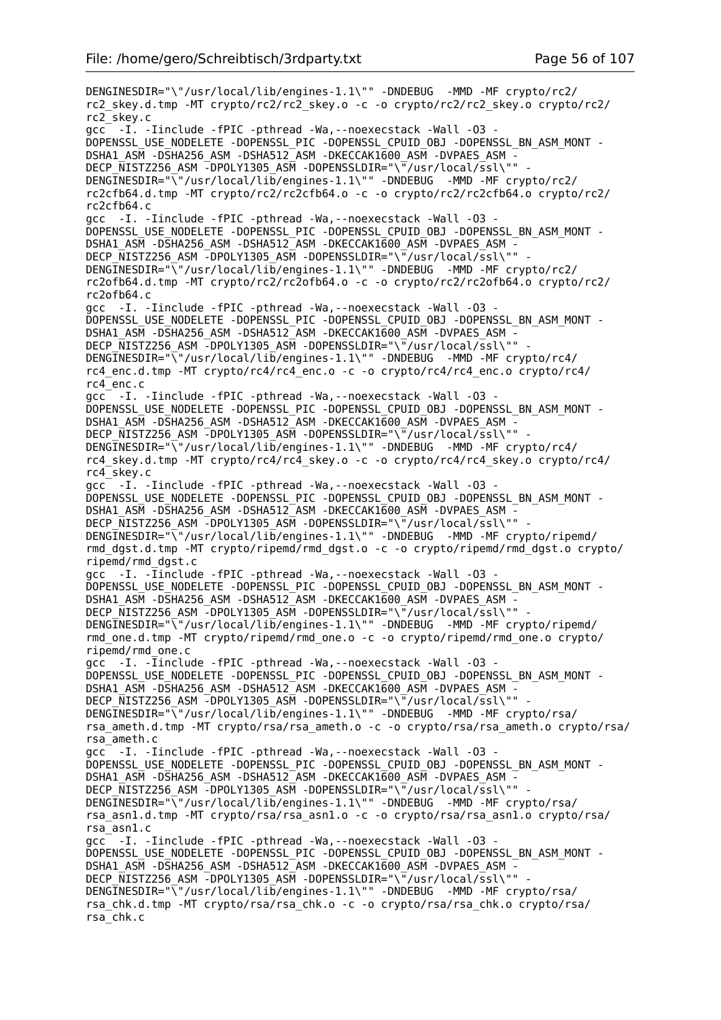DENGINESDIR="\"/usr/local/lib/engines-1.1\"" -DNDEBUG -MMD -MF crypto/rc2/ rc2\_skey.d.tmp -MT crypto/rc2/rc2\_skey.o -c -o crypto/rc2/rc2\_skey.o crypto/rc2/ rc2\_skey.c gcc -I. -Iinclude -fPIC -pthread -Wa,--noexecstack -Wall -O3 - DOPENSSL\_USE\_NODELETE -DOPENSSL\_PIC -DOPENSSL\_CPUID\_OBJ -DOPENSSL\_BN\_ASM\_MONT - DSHA1\_ASM -DSHA256\_ASM -DSHA512\_ASM -DKECCAK1600\_ASM -DVPAES\_ASM - DECP\_NISTZ256\_ASM -DPOLY1305\_ASM -DOPENSSLDIR="\"/usr/local/ssl\"" DENGINESDIR="\"/usr/local/lib/engines-1.1\"" -DNDEBUG -MMD -MF crypto/rc2/ rc2cfb64.d.tmp -MT crypto/rc2/rc2cfb64.o -c -o crypto/rc2/rc2cfb64.o crypto/rc2/ rc2cfb64.c gcc -I. -Iinclude -fPIC -pthread -Wa,--noexecstack -Wall -O3 - DOPENSSL\_USE\_NODELETE -DOPENSSL\_PIC -DOPENSSL\_CPUID\_OBJ -DOPENSSL\_BN\_ASM\_MONT - DSHA1\_ASM -DSHA256\_ASM -DSHA512\_ASM -DKECCAK1600\_ASM -DVPAES\_ASM - DECP\_NISTZ256\_ASM -DPOLY1305\_ASM -DOPENSSLDIR="\"/usr/local/ssl\"" DENGINESDIR="\"/usr/local/lib/engines-1.1\"" -DNDEBUG -MMD -MF crypto/rc2/ rc2ofb64.d.tmp -MT crypto/rc2/rc2ofb64.o -c -o crypto/rc2/rc2ofb64.o crypto/rc2/ rc2ofb64.c gcc -I. -Iinclude -fPIC -pthread -Wa,--noexecstack -Wall -O3 - DOPENSSL\_USE\_NODELETE -DOPENSSL\_PIC -DOPENSSL\_CPUID\_OBJ -DOPENSSL\_BN\_ASM\_MONT - DSHA1\_ASM -DSHA256\_ASM -DSHA512\_ASM -DKECCAK1600\_ASM -DVPAES\_ASM - DECP\_NISTZ256\_ASM -DPOLY1305\_ASM -DOPENSSLDIR="\"/usr/local/ssl\"" DENGINESDIR="\"/usr/local/lib/engines-1.1\"" -DNDEBUG -MMD -MF crypto/rc4/ rc4\_enc.d.tmp -MT crypto/rc4/rc4\_enc.o -c -o crypto/rc4/rc4\_enc.o crypto/rc4/ rc4\_enc.c gcc -I. -Iinclude -fPIC -pthread -Wa,--noexecstack -Wall -O3 - DOPENSSL\_USE\_NODELETE -DOPENSSL\_PIC -DOPENSSL\_CPUID\_OBJ -DOPENSSL\_BN\_ASM\_MONT - DSHA1\_ASM -DSHA256\_ASM -DSHA512\_ASM -DKECCAK1600\_ASM -DVPAES\_ASM - DECP\_NISTZ256\_ASM -DPOLY1305\_ASM -DOPENSSLDIR="\"/usr/local/ssl\"" DENGINESDIR="\"/usr/local/lib/engines-1.1\"" -DNDEBUG -MMD -MF crypto/rc4/ rc4\_skey.d.tmp -MT crypto/rc4/rc4\_skey.o -c -o crypto/rc4/rc4\_skey.o crypto/rc4/ rc4\_skey.c gcc -I. -Iinclude -fPIC -pthread -Wa,--noexecstack -Wall -O3 - DOPENSSL\_USE\_NODELETE -DOPENSSL\_PIC -DOPENSSL\_CPUID\_OBJ -DOPENSSL\_BN\_ASM\_MONT - DSHA1\_ASM -DSHA256\_ASM -DSHA512\_ASM -DKECCAK1600\_ASM -DVPAES\_ASM -DECP\_NISTZ256\_ASM -DPOLY1305\_ASM -DOPENSSLDIR="\"/usr/local/ssl\"" DENGINESDIR="\"/usr/local/lib/engines-1.1\"" -DNDEBUG -MMD -MF crypto/ripemd/ rmd\_dgst.d.tmp -MT crypto/ripemd/rmd\_dgst.o -c -o crypto/ripemd/rmd\_dgst.o crypto/ ripemd/rmd\_dgst.c gcc -I. -Iinclude -fPIC -pthread -Wa,--noexecstack -Wall -O3 - DOPENSSL\_USE\_NODELETE -DOPENSSL\_PIC -DOPENSSL\_CPUID\_OBJ -DOPENSSL\_BN\_ASM\_MONT - DSHA1\_ASM -DSHA256\_ASM -DSHA512\_ASM -DKECCAK1600\_ASM -DVPAES\_ASM -DECP NISTZ256 ASM -DPOLY1305 ASM -DOPENSSLDIR="\"/usr/local/ssl\"" DENGINESDIR="\"/usr/local/lib/engines-1.1\"" -DNDEBUG -MMD -MF crypto/ripemd/ rmd\_one.d.tmp -MT crypto/ripemd/rmd\_one.o -c -o crypto/ripemd/rmd\_one.o crypto/ ripemd/rmd\_one.c gcc -I. -Iinclude -fPIC -pthread -Wa,--noexecstack -Wall -O3 - DOPENSSL\_USE\_NODELETE -DOPENSSL\_PIC -DOPENSSL\_CPUID\_OBJ -DOPENSSL\_BN\_ASM\_MONT - DSHA1\_ASM -DSHA256\_ASM -DSHA512\_ASM -DKECCAK1600\_ASM -DVPAES\_ASM -DECP NISTZ256 ASM -DPOLY1305 ASM -DOPENSSLDIR="\"/usr/local/ssl\"" DENGINESDIR="\"/usr/local/lib/engines-1.1\"" -DNDEBUG -MMD -MF crypto/rsa/ rsa\_ameth.d.tmp -MT crypto/rsa/rsa\_ameth.o -c -o crypto/rsa/rsa\_ameth.o crypto/rsa/ rsa\_ameth.c gcc -I. -Iinclude -fPIC -pthread -Wa,--noexecstack -Wall -O3 - DOPENSSL\_USE\_NODELETE -DOPENSSL\_PIC -DOPENSSL\_CPUID\_OBJ -DOPENSSL\_BN\_ASM\_MONT -DSHA1\_ASM -DSHA256\_ASM -DSHA512\_ASM -DKECCAK1600 ASM -DVPAES ASM -DECP\_NISTZ256\_ASM -DPOLY1305\_ASM -DOPENSSLDIR="\"/usr/local/ssl\"" DENGINESDIR="\"/usr/local/lib/engines-1.1\"" -DNDEBUG -MMD -MF crypto/rsa/ rsa\_asn1.d.tmp -MT crypto/rsa/rsa\_asn1.o -c -o crypto/rsa/rsa\_asn1.o crypto/rsa/ rsa\_asn1.c gcc -I. -Iinclude -fPIC -pthread -Wa,--noexecstack -Wall -O3 - DOPENSSL\_USE\_NODELETE -DOPENSSL\_PIC -DOPENSSL\_CPUID\_OBJ -DOPENSSL\_BN\_ASM\_MONT -DSHA1\_ASM -DSHA256\_ASM -DSHA512\_ASM -DKECCAK1600\_ASM -DVPAES\_ASM -DECP NISTZ256 ASM -DPOLY1305 ASM -DOPENSSLDIR="\"/usr/local/ssl\"" DENGINESDIR="\"/usr/local/lib/engines-1.1\"" -DNDEBUG -MMD -MF crypto/rsa/ rsa\_chk.d.tmp -MT crypto/rsa/rsa\_chk.o -c -o crypto/rsa/rsa\_chk.o crypto/rsa/ rsa\_chk.c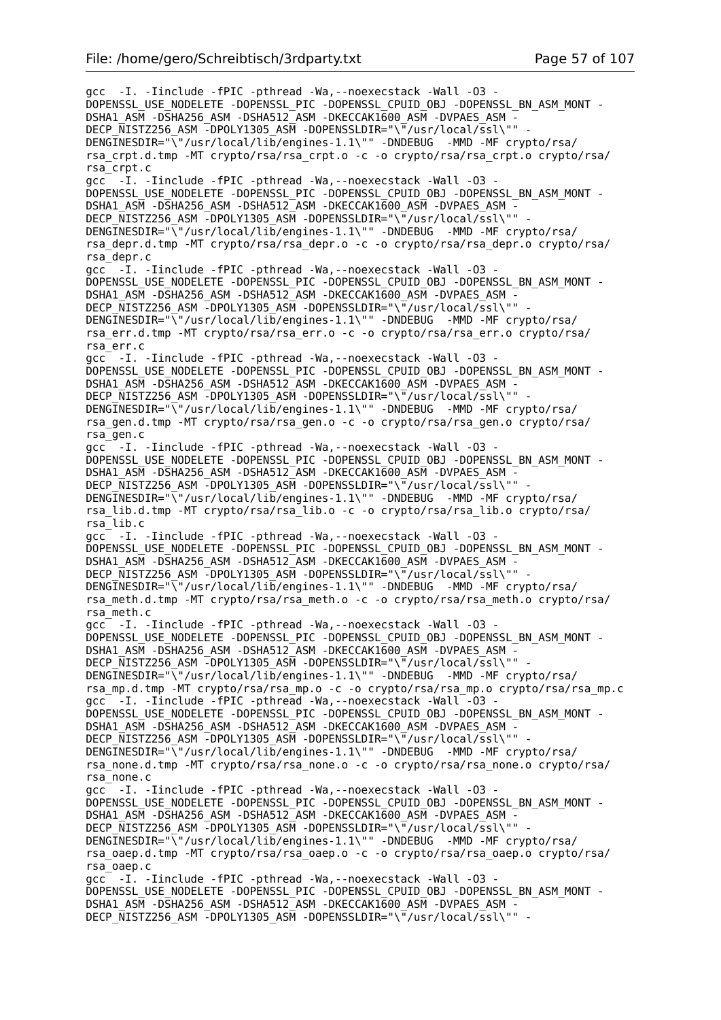gcc -I. -Iinclude -fPIC -pthread -Wa,--noexecstack -Wall -O3 - DOPENSSL\_USE\_NODELETE -DOPENSSL\_PIC -DOPENSSL\_CPUID\_OBJ -DOPENSSL\_BN\_ASM\_MONT - DSHA1\_ASM -DSHA256\_ASM -DSHA512\_ASM -DKECCAK1600\_ASM -DVPAES\_ASM -DECP NISTZ256 ASM -DPOLY1305 ASM -DOPENSSLDIR="\"/usr/local/ssl\"" DENGINESDIR="\"/usr/local/lib/engines-1.1\"" -DNDEBUG -MMD -MF crypto/rsa/ rsa\_crpt.d.tmp -MT crypto/rsa/rsa\_crpt.o -c -o crypto/rsa/rsa\_crpt.o crypto/rsa/ rsa\_crpt.c gcc -I. -Iinclude -fPIC -pthread -Wa,--noexecstack -Wall -O3 - DOPENSSL\_USE\_NODELETE -DOPENSSL\_PIC -DOPENSSL\_CPUID\_OBJ -DOPENSSL\_BN\_ASM\_MONT - DSHA1\_ASM -DSHA256\_ASM -DSHA512\_ASM -DKECCAK1600 ASM -DVPAES ASM -DECP NISTZ256 ASM -DPOLY1305 ASM -DOPENSSLDIR="\"/usr/local/ssl\"" DENGINESDIR="\"/usr/local/lib/engines-1.1\"" -DNDEBUG -MMD -MF crypto/rsa/ rsa\_depr.d.tmp -MT crypto/rsa/rsa\_depr.o -c -o crypto/rsa/rsa\_depr.o crypto/rsa/ rsa\_depr.c gcc -I. -Iinclude -fPIC -pthread -Wa,--noexecstack -Wall -O3 - DOPENSSL\_USE\_NODELETE -DOPENSSL\_PIC -DOPENSSL\_CPUID\_OBJ -DOPENSSL\_BN\_ASM\_MONT -DSHA1\_ASM -DSHA256\_ASM -DSHA512\_ASM -DKECCAK1600\_ASM -DVPAES\_ASM -DECP NISTZ256 ASM -DPOLY1305 ASM -DOPENSSLDIR="\"/usr/local/ssl\"" DENGINESDIR="\<sup>"</sup>/usr/local/lib/engines-1.1\"" -DNDEBUG -MMD -MF crypto/rsa/ rsa\_err.d.tmp -MT crypto/rsa/rsa\_err.o -c -o crypto/rsa/rsa\_err.o crypto/rsa/ rsa\_err.c gcc<sup>-</sup> -I. -Iinclude -fPIC -pthread -Wa, --noexecstack -Wall -03 -DOPENSSL\_USE\_NODELETE -DOPENSSL\_PIC -DOPENSSL\_CPUID\_OBJ -DOPENSSL\_BN\_ASM\_MONT -DSHA1\_ASM -DSHA256\_ASM -DSHA512\_ASM -DKECCAK1600\_ASM -DVPAES\_ASM -DECP\_NISTZ256\_ASM -DPOLY1305\_ASM -DOPENSSLDIR="\"/usr/local/ssl\"" DENGINESDIR="\"/usr/local/lib/engines-1.1\"" -DNDEBUG -MMD -MF crypto/rsa/ rsa\_gen.d.tmp -MT crypto/rsa/rsa\_gen.o -c -o crypto/rsa/rsa\_gen.o crypto/rsa/ rsa\_gen.c gcc<sup>--</sup>-I. -Iinclude -fPIC -pthread -Wa,--noexecstack -Wall -03 -DOPENSSL\_USE\_NODELETE -DOPENSSL\_PIC -DOPENSSL\_CPUID\_OBJ -DOPENSSL\_BN\_ASM\_MONT -DSHA1\_ASM -DSHA256\_ASM -DSHA512\_ASM -DKECCAK1600\_ASM -DVPAES\_ASM DECP NISTZ256 ASM -DPOLY1305 ASM -DOPENSSLDIR="\"/usr/local/ssl\"" DENGINESDIR="\"/usr/local/lib/engines-1.1\"" -DNDEBUG -MMD -MF crypto/rsa/ rsa\_lib.d.tmp -MT crypto/rsa/rsa\_lib.o -c -o crypto/rsa/rsa\_lib.o crypto/rsa/ rsa\_lib.c gcc -I. -Iinclude -fPIC -pthread -Wa,--noexecstack -Wall -O3 - DOPENSSL\_USE\_NODELETE -DOPENSSL\_PIC -DOPENSSL\_CPUID\_OBJ -DOPENSSL\_BN\_ASM\_MONT - DSHA1\_ASM -DSHA256\_ASM -DSHA512\_ASM -DKECCAK1600\_ASM -DVPAES\_ASM - DECP\_NISTZ256\_ASM -DPOLY1305\_ASM -DOPENSSLDIR="\"/usr/local/ssl\"" -DENGINESDIR="\"/usr/local/lib/engines-1.1\"" -DNDEBUG -MMD -MF crypto/rsa/ rsa\_meth.d.tmp -MT crypto/rsa/rsa\_meth.o -c -o crypto/rsa/rsa\_meth.o crypto/rsa/ rsa\_meth.c gcc -I. -Iinclude -fPIC -pthread -Wa,--noexecstack -Wall -O3 - DOPENSSL\_USE\_NODELETE -DOPENSSL\_PIC -DOPENSSL\_CPUID\_OBJ -DOPENSSL\_BN\_ASM\_MONT -DSHA1\_ASM -DSHA256\_ASM -DSHA512\_ASM -DKECCAK1600\_ASM -DVPAES\_ASM -DECP NISTZ256 ASM -DPOLY1305 ASM -DOPENSSLDIR="\"/usr/local/ssl\"" DENGINESDIR="\"/usr/local/lib/engines-1.1\"" -DNDEBUG -MMD -MF crypto/rsa/ rsa\_mp.d.tmp -MT crypto/rsa/rsa\_mp.o -c -o crypto/rsa/rsa\_mp.o crypto/rsa/rsa\_mp.c gcc<sup>-</sup> -I. -Iinclude -fPIC -pthread -Wa, --noexecstack -Wall -03 -DOPENSSL\_USE\_NODELETE -DOPENSSL\_PIC -DOPENSSL\_CPUID\_OBJ -DOPENSSL\_BN\_ASM\_MONT - DSHA1\_ASM -DSHA256\_ASM -DSHA512\_ASM -DKECCAK1600\_ASM -DVPAES\_ASM - DECP\_NISTZ256\_ASM -DPOLY1305\_ASM -DOPENSSLDIR="\"/usr/local/ssl\"" -DENGINESDIR="\"/usr/local/lib/engines-1.1\"" -DNDEBUG -MMD -MF crypto/rsa/ rsa\_none.d.tmp -MT crypto/rsa/rsa\_none.o -c -o crypto/rsa/rsa\_none.o crypto/rsa/ rsa\_none.c gcc<sup>-</sup> -I. -Iinclude -fPIC -pthread -Wa, --noexecstack -Wall -03 -DOPENSSL\_USE\_NODELETE -DOPENSSL\_PIC -DOPENSSL\_CPUID\_OBJ -DOPENSSL\_BN\_ASM\_MONT - DSHA1\_ASM -DSHA256\_ASM -DSHA512\_ASM -DKECCAK1600\_ASM -DVPAES\_ASM - DECP NISTZ256 ASM  $\overline{-}$ DPOLY1305 ASM -DOPENSSLDIR="\ $\overline{-}/$ usr/local/ssl\"" DENGINESDIR="\"/usr/local/lib/engines-1.1\"" -DNDEBUG -MMD -MF crypto/rsa/ rsa\_oaep.d.tmp -MT crypto/rsa/rsa\_oaep.o -c -o crypto/rsa/rsa\_oaep.o crypto/rsa/ rsa\_oaep.c gcc -I. -Iinclude -fPIC -pthread -Wa,--noexecstack -Wall -O3 - DOPENSSL\_USE\_NODELETE -DOPENSSL\_PIC -DOPENSSL\_CPUID\_OBJ -DOPENSSL\_BN\_ASM\_MONT - DSHA1\_ASM -DSHA256\_ASM -DSHA512\_ASM -DKECCAK1600\_ASM -DVPAES\_ASM - DECP NISTZ256 ASM -DPOLY1305 ASM -DOPENSSLDIR="\"/usr/local/ssl\"" -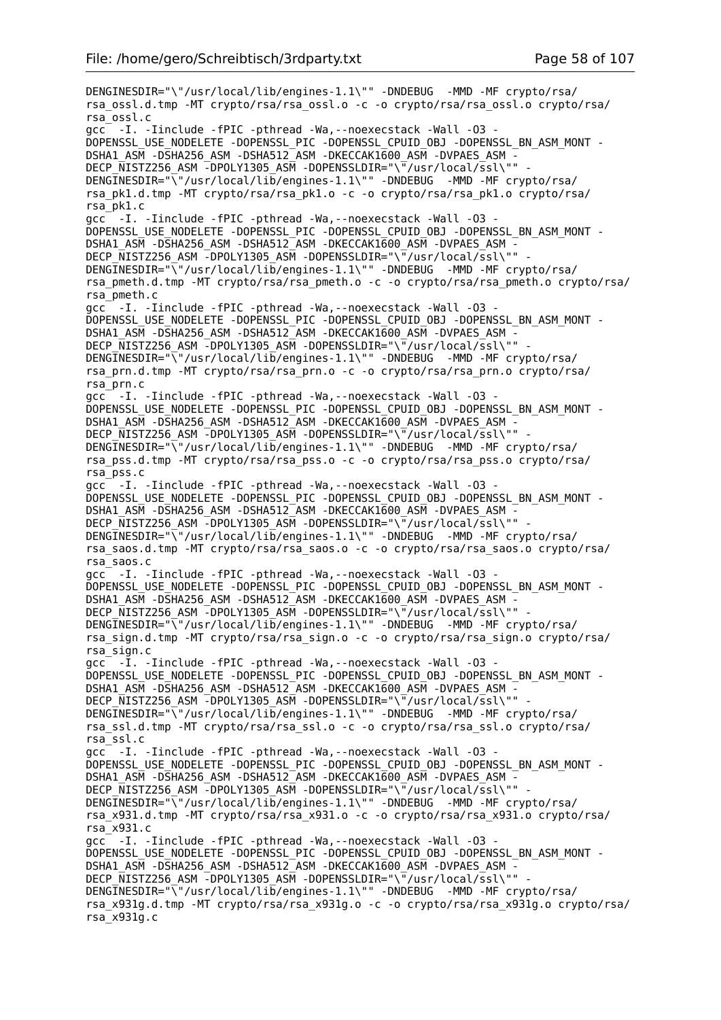DENGINESDIR="\"/usr/local/lib/engines-1.1\"" -DNDEBUG -MMD -MF crypto/rsa/ rsa\_ossl.d.tmp -MT crypto/rsa/rsa\_ossl.o -c -o crypto/rsa/rsa\_ossl.o crypto/rsa/ rsa\_ossl.c gcc -I. -Iinclude -fPIC -pthread -Wa,--noexecstack -Wall -O3 - DOPENSSL\_USE\_NODELETE -DOPENSSL\_PIC -DOPENSSL\_CPUID\_OBJ -DOPENSSL\_BN\_ASM\_MONT - DSHA1\_ASM -DSHA256\_ASM -DSHA512\_ASM -DKECCAK1600\_ASM -DVPAES\_ASM - DECP\_NISTZ256\_ASM -DPOLY1305\_ASM -DOPENSSLDIR="\"/usr/local/ssl\"" DENGINESDIR="\"/usr/local/lib/engines-1.1\"" -DNDEBUG -MMD -MF crypto/rsa/ rsa\_pk1.d.tmp -MT crypto/rsa/rsa\_pk1.o -c -o crypto/rsa/rsa\_pk1.o crypto/rsa/ rsa\_pk1.c gcc<sup>-</sup> -I. -Iinclude -fPIC -pthread -Wa, --noexecstack -Wall -03 -DOPENSSL\_USE\_NODELETE -DOPENSSL\_PIC -DOPENSSL\_CPUID\_OBJ -DOPENSSL\_BN\_ASM\_MONT - DSHA1\_ASM -DSHA256\_ASM -DSHA512\_ASM -DKECCAK1600\_ASM -DVPAES\_ASM - DECP\_NISTZ256\_ASM -DPOLY1305\_ASM -DOPENSSLDIR="\"/usr/local/ssl\"" DENGINESDIR="\"/usr/local/lib/engines-1.1\"" -DNDEBUG -MMD -MF crypto/rsa/ rsa\_pmeth.d.tmp -MT crypto/rsa/rsa\_pmeth.o -c -o crypto/rsa/rsa\_pmeth.o crypto/rsa/ rsa\_pmeth.c gcc -I. -Iinclude -fPIC -pthread -Wa,--noexecstack -Wall -O3 - DOPENSSL\_USE\_NODELETE -DOPENSSL\_PIC -DOPENSSL\_CPUID\_OBJ -DOPENSSL\_BN\_ASM\_MONT - DSHA1\_ASM -DSHA256\_ASM -DSHA512\_ASM -DKECCAK1600\_ASM -DVPAES\_ASM - DECP\_NISTZ256\_ASM -DPOLY1305\_ASM -DOPENSSLDIR="\"/usr/local/ssl\"" DENGINESDIR="\"/usr/local/lib/engines-1.1\"" -DNDEBUG -MMD -MF crypto/rsa/ rsa\_prn.d.tmp -MT crypto/rsa/rsa\_prn.o -c -o crypto/rsa/rsa\_prn.o crypto/rsa/ rsa\_prn.c gcc -I. -Iinclude -fPIC -pthread -Wa,--noexecstack -Wall -O3 - DOPENSSL\_USE\_NODELETE -DOPENSSL\_PIC -DOPENSSL\_CPUID\_OBJ -DOPENSSL\_BN\_ASM\_MONT - DSHA1\_ASM -DSHA256\_ASM -DSHA512\_ASM -DKECCAK1600\_ASM -DVPAES\_ASM - DECP\_NISTZ256\_ASM -DPOLY1305\_ASM -DOPENSSLDIR="\"/usr/local/ssl\"" DENGINESDIR="\"/usr/local/lib/engines-1.1\"" -DNDEBUG -MMD -MF crypto/rsa/ rsa\_pss.d.tmp -MT crypto/rsa/rsa\_pss.o -c -o crypto/rsa/rsa\_pss.o crypto/rsa/ rsa\_pss.c gcc -I. -Iinclude -fPIC -pthread -Wa,--noexecstack -Wall -O3 - DOPENSSL\_USE\_NODELETE -DOPENSSL\_PIC -DOPENSSL\_CPUID\_OBJ -DOPENSSL\_BN\_ASM\_MONT - DSHA1\_ASM -DSHA256\_ASM -DSHA512\_ASM -DKECCAK1600\_ASM -DVPAES\_ASM -DECP\_NISTZ256\_ASM -DPOLY1305\_ASM -DOPENSSLDIR="\"/usr/local/ssl\"" DENGINESDIR="\"/usr/local/lib/engines-1.1\"" -DNDEBUG -MMD -MF crypto/rsa/ rsa\_saos.d.tmp -MT crypto/rsa/rsa\_saos.o -c -o crypto/rsa/rsa\_saos.o crypto/rsa/ rsa\_saos.c gcc -I. -Iinclude -fPIC -pthread -Wa,--noexecstack -Wall -O3 - DOPENSSL\_USE\_NODELETE -DOPENSSL\_PIC -DOPENSSL\_CPUID\_OBJ -DOPENSSL\_BN\_ASM\_MONT - DSHA1\_ASM -DSHA256\_ASM -DSHA512\_ASM -DKECCAK1600\_ASM -DVPAES\_ASM -DECP NISTZ256 ASM -DPOLY1305 ASM -DOPENSSLDIR="\"/usr/local/ssl\"" DENGINESDIR="\"/usr/local/lib/engines-1.1\"" -DNDEBUG -MMD -MF crypto/rsa/ rsa\_sign.d.tmp -MT crypto/rsa/rsa\_sign.o -c -o crypto/rsa/rsa\_sign.o crypto/rsa/ rsa\_sign.c gcc -I. -Iinclude -fPIC -pthread -Wa,--noexecstack -Wall -O3 - DOPENSSL\_USE\_NODELETE -DOPENSSL\_PIC -DOPENSSL\_CPUID\_OBJ -DOPENSSL\_BN\_ASM\_MONT - DSHA1\_ASM -DSHA256\_ASM -DSHA512\_ASM -DKECCAK1600\_ASM -DVPAES\_ASM - DECP NISTZ256 ASM -DPOLY1305 ASM -DOPENSSLDIR="\"/usr/local/ssl\"" DENGINESDIR="\"/usr/local/lib/engines-1.1\"" -DNDEBUG -MMD -MF crypto/rsa/ rsa\_ssl.d.tmp -MT crypto/rsa/rsa\_ssl.o -c -o crypto/rsa/rsa\_ssl.o crypto/rsa/ rsa\_ssl.c gcc -I. -Iinclude -fPIC -pthread -Wa,--noexecstack -Wall -O3 - DOPENSSL\_USE\_NODELETE -DOPENSSL\_PIC -DOPENSSL\_CPUID\_OBJ -DOPENSSL\_BN\_ASM\_MONT -DSHA1\_ASM -DSHA256\_ASM -DSHA512\_ASM -DKECCAK1600 ASM -DVPAES ASM -DECP\_NISTZ256\_ASM -DPOLY1305\_ASM -DOPENSSLDIR="\"/usr/local/ssl\"" -DENGINESDIR="\"/usr/local/lib/engines-1.1\"" -DNDEBUG -MMD -MF crypto/rsa/ rsa\_x931.d.tmp -MT crypto/rsa/rsa\_x931.o -c -o crypto/rsa/rsa\_x931.o crypto/rsa/ rsa\_x931.c gcc -I. -Iinclude -fPIC -pthread -Wa,--noexecstack -Wall -O3 - DOPENSSL\_USE\_NODELETE -DOPENSSL\_PIC -DOPENSSL\_CPUID\_OBJ -DOPENSSL\_BN\_ASM\_MONT -DSHA1\_ASM -DSHA256\_ASM -DSHA512\_ASM -DKECCAK1600\_ASM -DVPAES\_ASM -DECP NISTZ256 ASM -DPOLY1305 ASM -DOPENSSLDIR="\"/usr/local/ssl\"" DENGINESDIR="\"/usr/local/lib/engines-1.1\"" -DNDEBUG -MMD -MF crypto/rsa/ rsa\_x931g.d.tmp -MT crypto/rsa/rsa\_x931g.o -c -o crypto/rsa/rsa\_x931g.o crypto/rsa/ rsa\_x931g.c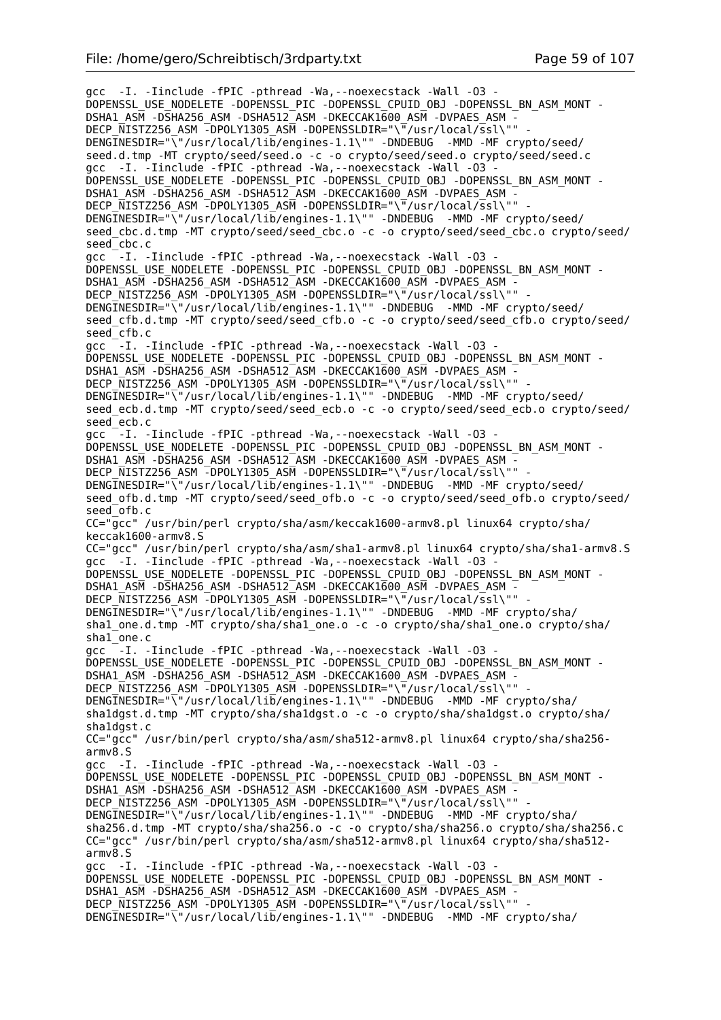gcc -I. -Iinclude -fPIC -pthread -Wa,--noexecstack -Wall -O3 - DOPENSSL\_USE\_NODELETE -DOPENSSL\_PIC -DOPENSSL\_CPUID\_OBJ -DOPENSSL\_BN\_ASM\_MONT - DSHA1\_ASM -DSHA256\_ASM -DSHA512\_ASM -DKECCAK1600\_ASM -DVPAES\_ASM - DECP\_NISTZ256\_ASM -DPOLY1305\_ASM -DOPENSSLDIR="\"/usr/local/ssl\"" - DENGINESDIR="\"/usr/local/lib/engines-1.1\"" -DNDEBUG -MMD -MF crypto/seed/ seed.d.tmp -MT crypto/seed/seed.o -c -o crypto/seed/seed.o crypto/seed/seed.c gcc -I. -Iinclude -fPIC -pthread -Wa,--noexecstack -Wall -O3 - DOPENSSL\_USE\_NODELETE -DOPENSSL\_PIC -DOPENSSL\_CPUID\_OBJ -DOPENSSL\_BN\_ASM\_MONT - DSHA1\_ASM -DSHA256\_ASM -DSHA512\_ASM -DKECCAK1600\_ASM -DVPAES\_ASM -DECP NISTZ256 ASM -DPOLY1305 ASM -DOPENSSLDIR="\"/usr/local/ssl\"" -DENGINESDIR="\"/usr/local/lib/engines-1.1\"" -DNDEBUG -MMD -MF crypto/seed/ seed\_cbc.d.tmp -MT crypto/seed/seed\_cbc.o -c -o crypto/seed/seed\_cbc.o crypto/seed/ seed\_cbc.c gcc  $^-$ -I. -Iinclude -fPIC -pthread -Wa, --noexecstack -Wall -03 -DOPENSSL\_USE\_NODELETE -DOPENSSL\_PIC -DOPENSSL\_CPUID\_OBJ -DOPENSSL\_BN\_ASM\_MONT -DSHA1\_ASM -DSHA256\_ASM -DSHA512\_ASM -DKECCAK1600\_ASM -DVPAES\_ASM -DECP NISTZ256 ASM -DPOLY1305 ASM -DOPENSSLDIR="\"/usr/local/ssl\"" DENGINESDIR="\"/usr/local/lib/engines-1.1\"" -DNDEBUG -MMD -MF crypto/seed/ seed\_cfb.d.tmp -MT crypto/seed/seed\_cfb.o -c -o crypto/seed/seed\_cfb.o crypto/seed/ seed\_cfb.c gcc  $-$ -I. -Iinclude -fPIC -pthread -Wa,--noexecstack -Wall -03 -DOPENSSL\_USE\_NODELETE -DOPENSSL\_PIC -DOPENSSL\_CPUID\_OBJ -DOPENSSL\_BN\_ASM\_MONT - DSHA1\_ASM -DSHA256\_ASM -DSHA512\_ASM -DKECCAK1600\_ASM -DVPAES\_ASM -DECP\_NISTZ256\_ASM -DPOLY1305\_ASM -DOPENSSLDIR="\"/usr/local/ssl\"" DENGINESDIR="\"/usr/local/lib/engines-1.1\"" -DNDEBUG -MMD -MF crypto/seed/ seed ecb.d.tmp -MT crypto/seed/seed ecb.o -c -o crypto/seed/seed ecb.o crypto/seed/ seed\_ecb.c gcc  $-I$ . -Iinclude -fPIC -pthread -Wa, --noexecstack -Wall -03 -DOPENSSL\_USE\_NODELETE -DOPENSSL\_PIC -DOPENSSL\_CPUID\_OBJ -DOPENSSL\_BN\_ASM\_MONT -DSHA1\_ASM -DSHA256\_ASM -DSHA512\_ASM -DKECCAK1600\_ASM -DVPAES\_ASM -DECP NISTZ256 ASM -DPOLY1305 ASM -DOPENSSLDIR="\"/usr/local/ssl\"" DENGINESDIR="\"/usr/local/lib/engines-1.1\"" -DNDEBUG -MMD -MF crypto/seed/ seed\_ofb.d.tmp -MT crypto/seed/seed\_ofb.o -c -o crypto/seed/seed\_ofb.o crypto/seed/ seed\_ofb.c CC="gcc" /usr/bin/perl crypto/sha/asm/keccak1600-armv8.pl linux64 crypto/sha/ keccak1600-armv8.S CC="gcc" /usr/bin/perl crypto/sha/asm/sha1-armv8.pl linux64 crypto/sha/sha1-armv8.S gcc -I. -Iinclude -fPIC -pthread -Wa, --noexecstack -Wall -03 DOPENSSL\_USE\_NODELETE -DOPENSSL\_PIC -DOPENSSL\_CPUID\_OBJ -DOPENSSL\_BN\_ASM\_MONT -DSHA1\_ASM -DSHA256\_ASM -DSHA512\_ASM -DKECCAK1600\_ASM -DVPAES\_ASM -DECP NISTZ256 ASM -DPOLY1305 ASM -DOPENSSLDIR="\"/usr/local/ssl\"" DENGINESDIR="\"/usr/local/lib/engines-1.1\"" -DNDEBUG -MMD -MF crypto/sha/ shal\_one.d.tmp -MT crypto/sha/shal\_one.o -c -o crypto/sha/shal\_one.o crypto/sha/ sha1\_one.c gcc  $-I.$  -Iinclude -fPIC -pthread -Wa,--noexecstack -Wall -03 -DOPENSSL\_USE\_NODELETE -DOPENSSL\_PIC -DOPENSSL\_CPUID\_OBJ -DOPENSSL\_BN\_ASM\_MONT - DSHA1\_ASM -DSHA256\_ASM -DSHA512\_ASM -DKECCAK1600\_ASM -DVPAES\_ASM -DECP NISTZ256 ASM -DPOLY1305 ASM -DOPENSSLDIR="\"/usr/local/ssl\"" DENGINESDIR="\"/usr/local/lib/engines-1.1\"" -DNDEBUG -MMD -MF crypto/sha/ sha1dgst.d.tmp -MT crypto/sha/sha1dgst.o -c -o crypto/sha/sha1dgst.o crypto/sha/ sha1dgst.c CC="gcc" /usr/bin/perl crypto/sha/asm/sha512-armv8.pl linux64 crypto/sha/sha256 armv8.S gcc -I. -Iinclude -fPIC -pthread -Wa,--noexecstack -Wall -O3 - DOPENSSL\_USE\_NODELETE -DOPENSSL\_PIC -DOPENSSL\_CPUID\_OBJ -DOPENSSL\_BN\_ASM\_MONT - DSHA1\_ASM -DSHA256\_ASM -DSHA512\_ASM -DKECCAK1600\_ASM -DVPAES\_ASM -DECP NISTZ256 ASM -DPOLY1305 ASM -DOPENSSLDIR="\"/usr/local/ssl\"" DENGINESDIR="\"/usr/local/lib/engines-1.1\"" -DNDEBUG -MMD -MF crypto/sha/ sha256.d.tmp -MT crypto/sha/sha256.o -c -o crypto/sha/sha256.o crypto/sha/sha256.c CC="gcc" /usr/bin/perl crypto/sha/asm/sha512-armv8.pl linux64 crypto/sha/sha512 armv8.S gcc -I. -Iinclude -fPIC -pthread -Wa,--noexecstack -Wall -O3 - DOPENSSL\_USE\_NODELETE -DOPENSSL\_PIC -DOPENSSL\_CPUID\_OBJ -DOPENSSL\_BN\_ASM\_MONT - DSHA1\_ASM -DSHA256\_ASM -DSHA512\_ASM -DKECCAK1600\_ASM -DVPAES ASM -DECP NISTZ256 ASM -DPOLY1305 ASM -DOPENSSLDIR="\"/usr/local/ssl\"" DENGINESDIR="\"/usr/local/lib/engines-1.1\"" -DNDEBUG -MMD -MF crypto/sha/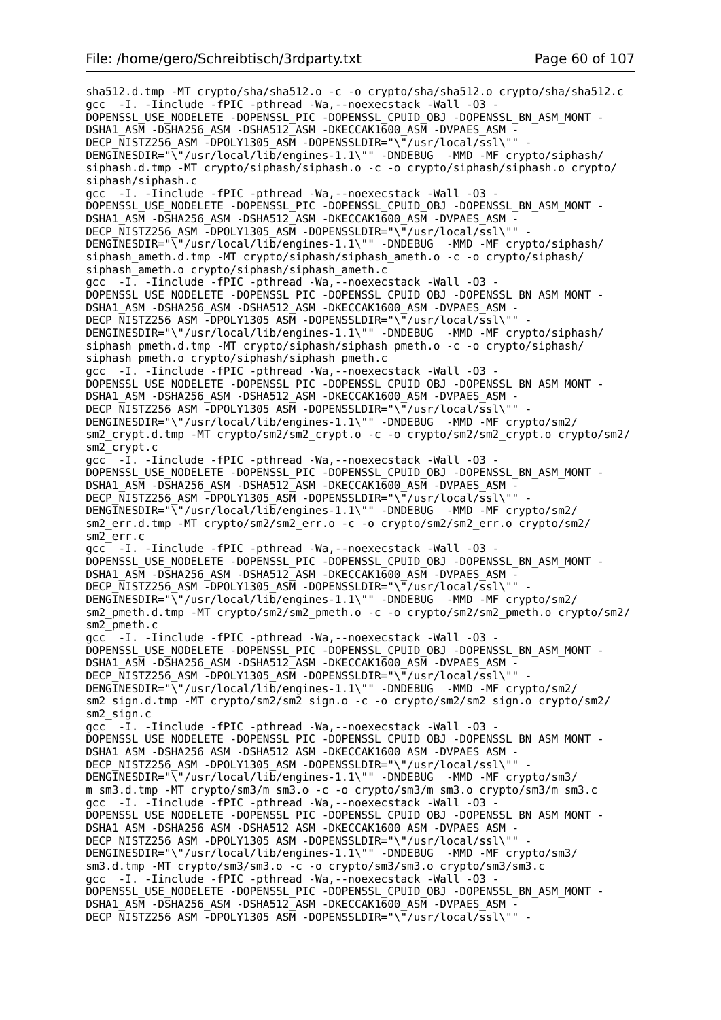sha512.d.tmp -MT crypto/sha/sha512.o -c -o crypto/sha/sha512.o crypto/sha/sha512.c gcc -I. -Iinclude -fPIC -pthread -Wa,--noexecstack -Wall -O3 - DOPENSSL\_USE\_NODELETE -DOPENSSL\_PIC -DOPENSSL\_CPUID\_OBJ -DOPENSSL\_BN\_ASM\_MONT - DSHA1\_ASM -DSHA256\_ASM -DSHA512\_ASM -DKECCAK1600\_ASM -DVPAES\_ASM - DECP\_NISTZ256\_ASM -DPOLY1305\_ASM -DOPENSSLDIR="\"/usr/local/ssl\"" - DENGINESDIR="\"/usr/local/lib/engines-1.1\"" -DNDEBUG -MMD -MF crypto/siphash/ siphash.d.tmp -MT crypto/siphash/siphash.o -c -o crypto/siphash/siphash.o crypto/ siphash/siphash.c gcc -I. -Iinclude -fPIC -pthread -Wa,--noexecstack -Wall -O3 - DOPENSSL\_USE\_NODELETE -DOPENSSL\_PIC -DOPENSSL\_CPUID\_OBJ -DOPENSSL\_BN\_ASM\_MONT -DSHA1\_ASM -DSHA256\_ASM -DSHA512\_ASM -DKECCAK1600\_ASM -DVPAES\_ASM -DECP\_NISTZ256\_ASM -DPOLY1305\_ASM -DOPENSSLDIR="\"/usr/local/ssl\"" DENGINESDIR="\"/usr/local/lib/engines-1.1\"" -DNDEBUG -MMD -MF crypto/siphash/ siphash\_ameth.d.tmp -MT crypto/siphash/siphash\_ameth.o -c -o crypto/siphash/ siphash\_ameth.o crypto/siphash/siphash\_ameth.c gcc -I. -Iinclude -fPIC -pthread -Wa,--noexecstack -Wall -O3 - DOPENSSL\_USE\_NODELETE -DOPENSSL\_PIC -DOPENSSL\_CPUID\_OBJ -DOPENSSL\_BN\_ASM\_MONT - DSHA1\_ASM -DSHA256\_ASM -DSHA512\_ASM -DKECCAK1600\_ASM -DVPAES\_ASM -DECP NISTZ256 ASM -DPOLY1305 ASM -DOPENSSLDIR="\"/usr/local/ssl\"" DENGINESDIR="\"/usr/local/lib/engines-1.1\"" -DNDEBUG -MMD -MF crypto/siphash/ siphash pmeth.d.tmp -MT crypto/siphash/siphash pmeth.o -c -o crypto/siphash/ siphash\_pmeth.o crypto/siphash/siphash\_pmeth.c gcc -I. -Iinclude -fPIC -pthread -Wa, --noexecstack -Wall -03 -DOPENSSL\_USE\_NODELETE -DOPENSSL\_PIC -DOPENSSL\_CPUID\_OBJ -DOPENSSL\_BN\_ASM\_MONT -DSHA1\_ASM -DSHA256\_ASM -DSHA512\_ASM -DKECCAK1600\_ASM -DVPAES\_ASM -DECP NISTZ256 ASM -DPOLY1305 ASM -DOPENSSLDIR="\"/usr/local/ssl\"" DENGINESDIR="\"/usr/local/lib/engines-1.1\"" -DNDEBUG -MMD -MF crypto/sm2/ sm2\_crypt.d.tmp -MT crypto/sm2/sm2\_crypt.o -c -o crypto/sm2/sm2\_crypt.o crypto/sm2/ sm2\_crypt.c gcc -I. -Iinclude -fPIC -pthread -Wa,--noexecstack -Wall -O3 - DOPENSSL\_USE\_NODELETE -DOPENSSL\_PIC -DOPENSSL\_CPUID\_OBJ -DOPENSSL\_BN\_ASM\_MONT -DSHA1\_ASM -DSHA256\_ASM -DSHA512\_ASM -DKECCAK1600\_ASM -DVPAES\_ASM - DECP NISTZ256 ASM -DPOLY1305 ASM -DOPENSSLDIR="\"/usr/local/ssl\"" DENGINESDIR="\"/usr/local/lib/engines-1.1\"" -DNDEBUG -MMD -MF crypto/sm2/ sm2\_err.d.tmp -MT crypto/sm2/sm2\_err.o -c -o crypto/sm2/sm2\_err.o crypto/sm2/ sm2\_err.c gcc -I. -Iinclude -fPIC -pthread -Wa,--noexecstack -Wall -O3 - DOPENSSL\_USE\_NODELETE -DOPENSSL\_PIC -DOPENSSL\_CPUID\_OBJ -DOPENSSL\_BN\_ASM\_MONT - DSHA1\_ASM -DSHA256\_ASM -DSHA512\_ASM -DKECCAK1600\_ASM -DVPAES\_ASM -DECP NISTZ256 ASM -DPOLY1305 ASM -DOPENSSLDIR="\"/usr/local/ssl\"" -DENGINESDIR="\"/usr/local/lib/engines-1.1\"" -DNDEBUG -MMD -MF crypto/sm2/ sm2\_pmeth.d.tmp -MT crypto/sm2/sm2\_pmeth.o -c -o crypto/sm2/sm2\_pmeth.o crypto/sm2/ sm2\_pmeth.c gcc<sup>-</sup> -I. -Iinclude -fPIC -pthread -Wa, --noexecstack -Wall -03 -DOPENSSL\_USE\_NODELETE -DOPENSSL\_PIC -DOPENSSL\_CPUID\_OBJ\_-DOPENSSL\_BN\_ASM\_MONT -DSHA1\_ASM -DSHA256\_ASM -DSHA512\_ASM -DKECCAK1600\_ASM -DVPAES\_ASM DECP NISTZ256 ASM -DPOLY1305 ASM -DOPENSSLDIR="\"/usr/local/ssl\"" DENGINESDIR="\"/usr/local/lib/engines-1.1\"" -DNDEBUG -MMD -MF crypto/sm2/ sm2\_sign.d.tmp -MT crypto/sm2/sm2\_sign.o -c -o crypto/sm2/sm2\_sign.o crypto/sm2/ sm2\_sign.c gcc -I. -Iinclude -fPIC -pthread -Wa,--noexecstack -Wall -O3 - DOPENSSL\_USE\_NODELETE -DOPENSSL\_PIC -DOPENSSL\_CPUID\_OBJ -DOPENSSL\_BN\_ASM\_MONT -DSHA1\_ASM -DSHA256\_ASM -DSHA512\_ASM -DKECCAK1600\_ASM -DVPAES\_ASM DECP NISTZ256 ASM -DPOLY1305 ASM -DOPENSSLDIR="\"/usr/local/ssl\"" -DENGINESDIR="\"/usr/local/lib/engines-1.1\"" -DNDEBUG -MMD -MF crypto/sm3/ m\_sm3.d.tmp -MT crypto/sm3/m\_sm3.o -c -o crypto/sm3/m\_sm3.o crypto/sm3/m\_sm3.c gcc -I. -Iinclude -fPIC -pthread -Wa,--noexecstack -Wall -O3 - DOPENSSL\_USE\_NODELETE -DOPENSSL\_PIC -DOPENSSL\_CPUID\_OBJ -DOPENSSL\_BN\_ASM\_MONT - DSHA1\_ASM -DSHA256\_ASM -DSHA512\_ASM -DKECCAK1600\_ASM -DVPAES\_ASM -DECP NISTZ256 ASM -DPOLY1305 ASM -DOPENSSLDIR="\"/usr/local/ssl\"" DENGINESDIR="\"/usr/local/lib/engines-1.1\"" -DNDEBUG -MMD -MF crypto/sm3/ sm3.d.tmp -MT crypto/sm3/sm3.o -c -o crypto/sm3/sm3.o crypto/sm3/sm3.c gcc -I. -Iinclude -fPIC -pthread -Wa,--noexecstack -Wall -O3 - DOPENSSL\_USE\_NODELETE -DOPENSSL\_PIC -DOPENSSL\_CPUID\_OBJ -DOPENSSL\_BN\_ASM\_MONT - DSHA1\_ASM -DSHA256\_ASM -DSHA512\_ASM -DKECCAK1600\_ASM -DVPAES\_ASM - DECP NISTZ256 ASM -DPOLY1305 ASM -DOPENSSLDIR="\"/usr/local/ssl\"" -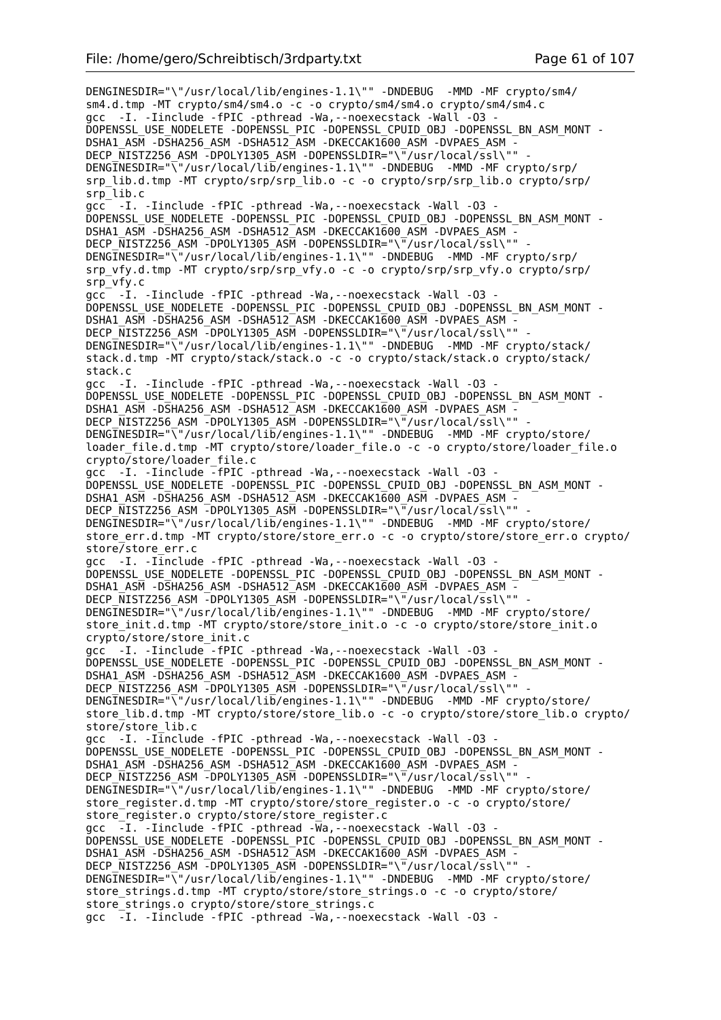DENGINESDIR="\"/usr/local/lib/engines-1.1\"" -DNDEBUG -MMD -MF crypto/sm4/ sm4.d.tmp -MT crypto/sm4/sm4.o -c -o crypto/sm4/sm4.o crypto/sm4/sm4.c gcc -I. -Iinclude -fPIC -pthread -Wa, --noexecstack -Wall -03 DOPENSSL\_USE\_NODELETE -DOPENSSL\_PIC -DOPENSSL\_CPUID\_OBJ -DOPENSSL\_BN\_ASM\_MONT - DSHA1\_ASM -DSHA256\_ASM -DSHA512\_ASM -DKECCAK1600\_ASM -DVPAES\_ASM - DECP\_NISTZ256\_ASM -DPOLY1305\_ASM -DOPENSSLDIR="\"/usr/local/ssl\"" DENGINESDIR="\"/usr/local/lib/engines-1.1\"" -DNDEBUG -MMD -MF crypto/srp/ srp\_lib.d.tmp -MT crypto/srp/srp\_lib.o -c -o crypto/srp/srp\_lib.o crypto/srp/ srp\_lib.c gcc -I. -Iinclude -fPIC -pthread -Wa,--noexecstack -Wall -O3 - DOPENSSL\_USE\_NODELETE -DOPENSSL\_PIC -DOPENSSL\_CPUID\_OBJ -DOPENSSL\_BN\_ASM\_MONT - DSHA1\_ASM -DSHA256\_ASM -DSHA512\_ASM -DKECCAK1600\_ASM -DVPAES\_ASM - DECP NISTZ256 ASM -DPOLY1305 ASM -DOPENSSLDIR="\"/usr/local/ssl\"" DENGINESDIR="\"/usr/local/lib/engines-1.1\"" -DNDEBUG -MMD -MF crypto/srp/ srp\_vfy.d.tmp -MT crypto/srp/srp\_vfy.o -c -o crypto/srp/srp\_vfy.o crypto/srp/ srp\_vfy.c gcc -I. -Iinclude -fPIC -pthread -Wa,--noexecstack -Wall -O3 - DOPENSSL\_USE\_NODELETE -DOPENSSL\_PIC -DOPENSSL\_CPUID\_OBJ -DOPENSSL\_BN\_ASM\_MONT - DSHA1\_ASM -DSHA256\_ASM -DSHA512\_ASM -DKECCAK1600\_ASM -DVPAES\_ASM -DECP NISTZ256 ASM -DPOLY1305 ASM -DOPENSSLDIR="\"/usr/local/ssl\"" DENGINESDIR="\"/usr/local/lib/engines-1.1\"" -DNDEBUG -MMD -MF crypto/stack/ stack.d.tmp -MT crypto/stack/stack.o -c -o crypto/stack/stack.o crypto/stack/ stack.c gcc -I. -Iinclude -fPIC -pthread -Wa,--noexecstack -Wall -O3 - DOPENSSL\_USE\_NODELETE -DOPENSSL\_PIC -DOPENSSL\_CPUID\_OBJ -DOPENSSL\_BN\_ASM\_MONT - DSHA1\_ASM -DSHA256\_ASM -DSHA512\_ASM -DKECCAK1600\_ASM -DVPAES\_ASM -DECP NISTZ256 ASM -DPOLY1305 ASM -DOPENSSLDIR="\"/usr/local/ssl\"" DENGINESDIR="\"/usr/local/lib/engines-1.1\"" -DNDEBUG -MMD -MF crypto/store/ loader\_file.d.tmp -MT crypto/store/loader\_file.o -c -o crypto/store/loader\_file.o crypto/store/loader\_file.c gcc -I. -Iinclude -fPIC -pthread -Wa,--noexecstack -Wall -O3 - DOPENSSL\_USE\_NODELETE -DOPENSSL\_PIC -DOPENSSL\_CPUID\_OBJ -DOPENSSL\_BN\_ASM\_MONT -DSHA1\_ASM -DSHA256\_ASM -DSHA512\_ASM -DKECCAK1600\_ASM -DVPAES ASM -DECP\_NISTZ256\_ASM -DPOLY1305\_ASM -DOPENSSLDIR="\"/usr/local/ssl\"" DENGINESDIR="\"/usr/local/lib/engines-1.1\"" -DNDEBUG -MMD -MF crypto/store/ store\_err.d.tmp -MT crypto/store/store\_err.o -c -o crypto/store/store\_err.o crypto/ store/store\_err.c gcc -I. -Iinclude -fPIC -pthread -Wa,--noexecstack -Wall -O3 - DOPENSSL\_USE\_NODELETE -DOPENSSL\_PIC -DOPENSSL\_CPUID\_OBJ -DOPENSSL\_BN\_ASM\_MONT -DSHA1\_ASM -DSHA256\_ASM -DSHA512\_ASM -DKECCAK1600\_ASM -DVPAES\_ASM -DECP\_NISTZ256\_ASM -DPOLY1305\_ASM -DOPENSSLDIR="\"/usr/local/ssl\"" DENGINESDIR="\"/usr/local/lib/engines-1.1\"" -DNDEBUG -MMD -MF crypto/store/ store\_init.d.tmp -MT crypto/store/store\_init.o -c -o crypto/store/store\_init.o crypto/store/store\_init.c gcc -I. -Iinclude -fPIC -pthread -Wa,--noexecstack -Wall -O3 - DOPENSSL\_USE\_NODELETE -DOPENSSL\_PIC -DOPENSSL\_CPUID\_OBJ -DOPENSSL\_BN\_ASM\_MONT -DSHA1\_ASM -DSHA256\_ASM -DSHA512\_ASM -DKECCAK1600\_ASM -DVPAES\_ASM -DECP NISTZ256 ASM -DPOLY1305 ASM -DOPENSSLDIR="\"/usr/local/ssl\"" DENGINESDIR="\"/usr/local/lib/engines-1.1\"" -DNDEBUG -MMD -MF crypto/store/ store\_lib.d.tmp -MT crypto/store/store\_lib.o -c -o crypto/store/store\_lib.o crypto/ store/store lib.c gcc -I. -Iinclude -fPIC -pthread -Wa,--noexecstack -Wall -O3 - DOPENSSL\_USE\_NODELETE -DOPENSSL\_PIC -DOPENSSL\_CPUID\_OBJ -DOPENSSL\_BN\_ASM\_MONT -DSHA1\_ASM -DSHA256\_ASM -DSHA512\_ASM -DKECCAK1600\_ASM -DVPAES\_ASM -DECP NISTZ256 ASM -DPOLY1305 ASM -DOPENSSLDIR="\"/usr/local/ssl\"" -DENGINESDIR="\"/usr/local/lib/engines-1.1\"" -DNDEBUG -MMD -MF crypto/store/ store register.d.tmp -MT crypto/store/store register.o -c -o crypto/store/ store\_register.o crypto/store/store\_register.c gcc  $\overline{-1}$ . -Iinclude -fPIC -pthread -Wa, --noexecstack -Wall -03 -DOPENSSL\_USE\_NODELETE -DOPENSSL\_PIC -DOPENSSL\_CPUID\_OBJ -DOPENSSL\_BN\_ASM\_MONT - DSHA1\_ASM -DSHA256\_ASM -DSHA512\_ASM -DKECCAK1600\_ASM -DVPAES\_ASM DECP NISTZ256 ASM -DPOLY1305 ASM -DOPENSSLDIR="\"/usr/local/ssl\"" DENGINESDIR="\"/usr/local/lib/engines-1.1\"" -DNDEBUG -MMD -MF crypto/store/ store\_strings.d.tmp -MT crypto/store/store\_strings.o -c -o crypto/store/ store\_strings.o crypto/store/store\_strings.c gcc -I. -Iinclude -fPIC -pthread -Wa,--noexecstack -Wall -O3 -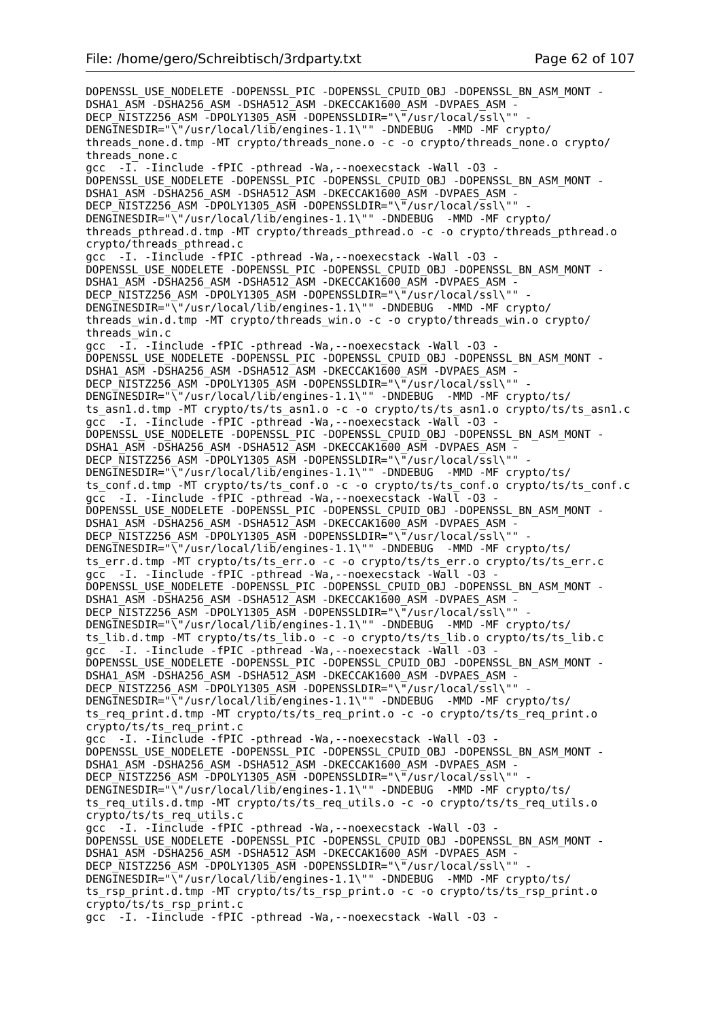DOPENSSL\_USE\_NODELETE -DOPENSSL\_PIC -DOPENSSL\_CPUID\_OBJ -DOPENSSL\_BN\_ASM\_MONT -DSHA1\_ASM -DSHA256\_ASM -DSHA512\_ASM -DKECCAK1600\_ASM -DVPAES\_ASM -DECP\_NISTZ256\_ASM -DPOLY1305\_ASM -DOPENSSLDIR="\"/usr/local/ssl\"" DENGINESDIR="\"/usr/local/lib/engines-1.1\"" -DNDEBUG -MMD -MF crypto/ threads\_none.d.tmp -MT crypto/threads\_none.o -c -o crypto/threads\_none.o crypto/ threads\_none.c gcc  $-I.$  -Iinclude -fPIC -pthread -Wa, --noexecstack -Wall -03 -DOPENSSL\_USE\_NODELETE -DOPENSSL\_PIC -DOPENSSL\_CPUID\_OBJ -DOPENSSL\_BN\_ASM\_MONT - DSHA1\_ASM -DSHA256\_ASM -DSHA512\_ASM -DKECCAK1600\_ASM -DVPAES\_ASM -DECP NISTZ256 ASM -DPOLY1305 ASM -DOPENSSLDIR="\"/usr/local/ssl\"" -DENGINESDIR="\"/usr/local/lib/engines-1.1\"" -DNDEBUG -MMD -MF crypto/ threads\_pthread.d.tmp -MT crypto/threads\_pthread.o -c -o crypto/threads\_pthread.o crypto/threads\_pthread.c gcc -I. -Iinclude -fPIC -pthread -Wa, --noexecstack -Wall -03 -DOPENSSL\_USE\_NODELETE -DOPENSSL\_PIC -DOPENSSL\_CPUID\_OBJ -DOPENSSL\_BN\_ASM\_MONT -DSHA1\_ASM -DSHA256\_ASM -DSHA512\_ASM -DKECCAK1600\_ASM -DVPAES\_ASM DECP NISTZ256 ASM -DPOLY1305 ASM -DOPENSSLDIR="\"/usr/local/ssl\"" DENGINESDIR="\"/usr/local/lib/engines-1.1\"" -DNDEBUG -MMD -MF crypto/ threads\_win.d.tmp -MT crypto/threads\_win.o -c -o crypto/threads\_win.o crypto/ threads\_win.c gcc -I. -Iinclude -fPIC -pthread -Wa,--noexecstack -Wall -O3 - DOPENSSL\_USE\_NODELETE -DOPENSSL\_PIC -DOPENSSL\_CPUID\_OBJ -DOPENSSL\_BN\_ASM\_MONT -DSHA1\_ASM -DSHA256\_ASM -DSHA512\_ASM -DKECCAK1600\_ASM -DVPAES\_ASM -DECP NISTZ256 ASM -DPOLY1305 ASM -DOPENSSLDIR="\"/usr/local/ssl\"" DENGINESDIR="\"/usr/local/lib/engines-1.1\"" -DNDEBUG -MMD -MF crypto/ts/ ts asn1.d.tmp -MT crypto/ts/ts asn1.o -c -o crypto/ts/ts asn1.o crypto/ts/ts asn1.c gcc -I. -Iinclude -fPIC -pthread -Wa,--noexecstack -Wall -O3 - DOPENSSL\_USE\_NODELETE -DOPENSSL\_PIC -DOPENSSL\_CPUID\_OBJ -DOPENSSL\_BN\_ASM\_MONT - DSHA1\_ASM -DSHA256\_ASM -DSHA512\_ASM -DKECCAK1600\_ASM -DVPAES\_ASM DECP\_NISTZ256\_ASM -DPOLY1305\_ASM -DOPENSSLDIR="\"/usr/local/ssl\"" DENGINESDIR="\"/usr/local/lib/engines-1.1\"" -DNDEBUG -MMD -MF crypto/ts/ ts conf.d.tmp -MT crypto/ts/ts conf.o -c -o crypto/ts/ts conf.o crypto/ts/ts conf.c gcc -I. -Iinclude -fPIC -pthread -Wa,--noexecstack -Wall -O3 - DOPENSSL\_USE\_NODELETE -DOPENSSL\_PIC -DOPENSSL\_CPUID\_OBJ -DOPENSSL\_BN\_ASM\_MONT - DSHA1\_ASM -DSHA256\_ASM -DSHA512\_ASM -DKECCAK1600\_ASM -DVPAES\_ASM - DECP\_NISTZ256\_ASM -DPOLY1305\_ASM -DOPENSSLDIR="\"/usr/local/ssl\"" DENGINESDIR="\"/usr/local/lib/engines-1.1\"" -DNDEBUG -MMD -MF crypto/ts/ ts\_err.d.tmp -MT crypto/ts/ts\_err.o -c -o crypto/ts/ts\_err.o crypto/ts/ts\_err.c gcc -I. -Iinclude -fPIC -pthread -Wa,--noexecstack -Wall -O3 - DOPENSSL\_USE\_NODELETE -DOPENSSL\_PIC -DOPENSSL\_CPUID\_OBJ -DOPENSSL\_BN\_ASM\_MONT -DSHA1\_ASM -DSHA256\_ASM -DSHA512\_ASM -DKECCAK1600\_ASM -DVPAES\_ASM -DECP NISTZ256 ASM -DPOLY1305 ASM -DOPENSSLDIR="\"/usr/local/ssl\"" DENGINESDIR="\"/usr/local/lib/engines-1.1\"" -DNDEBUG -MMD -MF crypto/ts/ ts\_lib.d.tmp -MT crypto/ts/ts\_lib.o -c -o crypto/ts/ts\_lib.o crypto/ts/ts\_lib.c gcc -I. -Iinclude -fPIC -pthread -Wa, --noexecstack -Wall -03 DOPENSSL\_USE\_NODELETE -DOPENSSL\_PIC -DOPENSSL\_CPUID\_OBJ -DOPENSSL\_BN\_ASM\_MONT -DSHA1\_ASM -DSHA256\_ASM -DSHA512\_ASM -DKECCAK1600\_ASM -DVPAES\_ASM -DECP NISTZ256 ASM -DPOLY1305 ASM -DOPENSSLDIR="\"/usr/local/ssl\"" DENGINESDIR="\"/usr/local/lib/engines-1.1\"" -DNDEBUG -MMD -MF crypto/ts/ ts req print.d.tmp -MT crypto/ts/ts req print.o -c -o crypto/ts/ts req print.o crypto/ts/ts\_req\_print.c gcc -I. -Iinclude -fPIC -pthread -Wa,--noexecstack -Wall -O3 - DOPENSSL\_USE\_NODELETE -DOPENSSL\_PIC -DOPENSSL\_CPUID\_OBJ -DOPENSSL\_BN\_ASM\_MONT -DSHA1\_ASM -DSHA256\_ASM -DSHA512\_ASM -DKECCAK1600\_ASM -DVPAES ASM -DECP  $\overline{N}$ ISTZ256 ASM -DPOLY1305 ASM -DOPENSSLDIR="\"/usr/local/ssl\"" DENGINESDIR="\"/usr/local/lib/engines-1.1\"" -DNDEBUG -MMD -MF crypto/ts/ ts req utils.d.tmp -MT crypto/ts/ts req utils.o -c -o crypto/ts/ts req utils.o crypto/ts/ts req utils.c gcc -I. -Iinclude -fPIC -pthread -Wa,--noexecstack -Wall -O3 - DOPENSSL\_USE\_NODELETE -DOPENSSL\_PIC -DOPENSSL\_CPUID\_OBJ -DOPENSSL\_BN\_ASM\_MONT - DSHA1\_ASM -DSHA256\_ASM -DSHA512\_ASM -DKECCAK1600\_ASM -DVPAES\_ASM -DECP NISTZ256 ASM -DPOLY1305 ASM -DOPENSSLDIR="\"/usr/local/ssl\"" DENGINESDIR="\"/usr/local/lib/engines-1.1\"" -DNDEBUG -MMD -MF crypto/ts/ ts\_rsp\_print.d.tmp -MT crypto/ts/ts\_rsp\_print.o -c -o crypto/ts/ts\_rsp\_print.o crypto/ts/ts rsp print.c gcc -I. -Iinclude -fPIC -pthread -Wa,--noexecstack -Wall -O3 -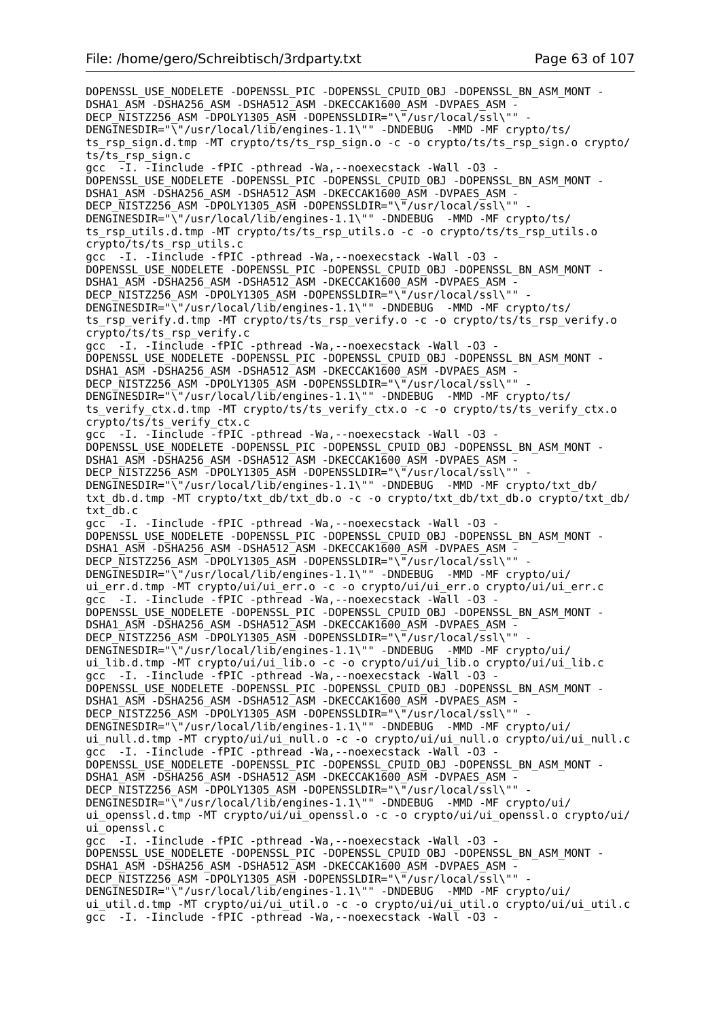DOPENSSL\_USE\_NODELETE -DOPENSSL\_PIC -DOPENSSL\_CPUID\_OBJ -DOPENSSL\_BN\_ASM\_MONT -DSHA1\_ASM -DSHA256\_ASM -DSHA512\_ASM -DKECCAK1600\_ASM -DVPAES\_ASM -DECP\_NISTZ256\_ASM -DPOLY1305\_ASM -DOPENSSLDIR="\"/usr/local/ssl\"" DENGINESDIR="\"/usr/local/lib/engines-1.1\"" -DNDEBUG -MMD -MF crypto/ts/ ts\_rsp\_sign.d.tmp -MT crypto/ts/ts\_rsp\_sign.o -c -o crypto/ts/ts\_rsp\_sign.o crypto/ ts/ts rsp sign.c gcc -I. -Iinclude -fPIC -pthread -Wa,--noexecstack -Wall -O3 - DOPENSSL\_USE\_NODELETE -DOPENSSL\_PIC -DOPENSSL\_CPUID\_OBJ -DOPENSSL\_BN\_ASM\_MONT - DSHA1\_ASM -DSHA256\_ASM -DSHA512\_ASM -DKECCAK1600\_ASM -DVPAES\_ASM -DECP NISTZ256 ASM -DPOLY1305 ASM -DOPENSSLDIR="\"/usr/local/ssl\"" -DENGINESDIR="\"/usr/local/lib/engines-1.1\"" -DNDEBUG -MMD -MF crypto/ts/ ts\_rsp\_utils.d.tmp -MT crypto/ts/ts\_rsp\_utils.o -c -o crypto/ts/ts\_rsp\_utils.o crypto/ts/ts\_rsp\_utils.c gcc -I. -Iinclude -fPIC -pthread -Wa,--noexecstack -Wall -O3 - DOPENSSL\_USE\_NODELETE -DOPENSSL\_PIC -DOPENSSL\_CPUID\_OBJ -DOPENSSL\_BN\_ASM\_MONT -DSHA1\_ASM -DSHA256\_ASM -DSHA512\_ASM -DKECCAK1600\_ASM -DVPAES\_ASM DECP NISTZ256 ASM -DPOLY1305 ASM -DOPENSSLDIR="\"/usr/local/ssl\"" DENGINESDIR="\"/usr/local/lib/engines-1.1\"" -DNDEBUG -MMD -MF crypto/ts/ ts\_rsp\_verify.d.tmp -MT crypto/ts/ts\_rsp\_verify.o -c -o crypto/ts/ts\_rsp\_verify.o crypto/ts/ts\_rsp\_verify.c gcc -I. -Iinclude -fPIC -pthread -Wa,--noexecstack -Wall -O3 - DOPENSSL\_USE\_NODELETE -DOPENSSL\_PIC -DOPENSSL\_CPUID\_OBJ -DOPENSSL\_BN\_ASM\_MONT -DSHA1\_ASM -DSHA256\_ASM -DSHA512\_ASM -DKECCAK1600\_ASM -DVPAES\_ASM -DECP\_NISTZ256\_ASM -DPOLY1305\_ASM -DOPENSSLDIR="\"/usr/local/ssl\"" DENGINESDIR="\"/usr/local/lib/engines-1.1\"" -DNDEBUG -MMD -MF crypto/ts/ ts verify ctx.d.tmp -MT crypto/ts/ts verify ctx.o -c -o crypto/ts/ts verify ctx.o crypto/ts/ts\_verify\_ctx.c gcc -I. -Iinclude -fPIC -pthread -Wa,--noexecstack -Wall -O3 - DOPENSSL\_USE\_NODELETE -DOPENSSL\_PIC -DOPENSSL\_CPUID\_OBJ -DOPENSSL\_BN\_ASM\_MONT - DSHA1\_ASM -DSHA256\_ASM -DSHA512\_ASM -DKECCAK1600\_ASM -DVPAES\_ASM -DECP NISTZ256 ASM -DPOLY1305 ASM -DOPENSSLDIR="\"/usr/local/ssl\"" DENGINESDIR="\"/usr/local/lib/engines-1.1\"" -DNDEBUG -MMD -MF crypto/txt db/ txt\_db.d.tmp -MT crypto/txt\_db/txt\_db.o -c -o crypto/txt\_db/txt\_db.o crypto/txt\_db/ txt\_db.c gcc -I. -Iinclude -fPIC -pthread -Wa,--noexecstack -Wall -O3 - DOPENSSL\_USE\_NODELETE -DOPENSSL\_PIC -DOPENSSL\_CPUID\_OBJ -DOPENSSL\_BN\_ASM\_MONT - DSHA1\_ASM -DSHA256\_ASM -DSHA512\_ASM -DKECCAK1600\_ASM -DVPAES\_ASM -DECP\_NISTZ256\_ASM -DPOLY1305\_ASM -DOPENSSLDIR="\"/usr/local/ssl\""  $DENGTNESDIR="\sqrt{12}$  /usr/local/lib/engines-1.1\"" -DNDEBUG -MMD -MF crypto/ui/ ui\_err.d.tmp -MT crypto/ui/ui\_err.o -c -o crypto/ui/ui\_err.o crypto/ui/ui\_err.c gcc -I. -Iinclude -fPIC -pthread -Wa,--noexecstack -Wall -O3 - DOPENSSL\_USE\_NODELETE -DOPENSSL\_PIC -DOPENSSL\_CPUID\_OBJ -DOPENSSL\_BN\_ASM\_MONT - DSHA1\_ASM -DSHA256\_ASM -DSHA512\_ASM -DKECCAK1600\_ASM -DVPAES\_ASM - DECP NISTZ256 ASM -DPOLY1305 ASM -DOPENSSLDIR="\"/usr/local/ssl\"" DENGINESDIR="\"/usr/local/lib/engines-1.1\"" -DNDEBUG -MMD -MF crypto/ui/ ui lib.d.tmp -MT crypto/ui/ui lib.o -c -o crypto/ui/ui lib.o crypto/ui/ui lib.c gcc -I. -Iinclude -fPIC -pthread -Wa,--noexecstack -Wall -O3 - DOPENSSL\_USE\_NODELETE -DOPENSSL\_PIC -DOPENSSL\_CPUID\_OBJ -DOPENSSL\_BN\_ASM\_MONT - DSHA1\_ASM -DSHA256\_ASM -DSHA512\_ASM -DKECCAK1600\_ASM -DVPAES\_ASM - DECP\_NISTZ256\_ASM -DPOLY1305\_ASM -DOPENSSLDIR="\"/usr/local/ssl\"" - DENGINESDIR="\"/usr/local/lib/engines-1.1\"" -DNDEBUG -MMD -MF crypto/ui/ ui null.d.tmp -MT crypto/ui/ui null.o -c -o crypto/ui/ui null.o crypto/ui/ui null.c gcc -I. -Iinclude -fPIC -pthread -Wa,--noexecstack -Wall -O3 - DOPENSSL\_USE\_NODELETE -DOPENSSL\_PIC -DOPENSSL\_CPUID\_OBJ -DOPENSSL\_BN\_ASM\_MONT -DSHA1\_ASM -DSHA256\_ASM -DSHA512\_ASM -DKECCAK1600\_ASM -DVPAES\_ASM -DECP\_NISTZ256\_ASM -DPOLY1305\_ASM -DOPENSSLDIR="\"/usr/local/ssl\"" DENGINESDIR="\"/usr/local/lib/engines-1.1\"" -DNDEBUG -MMD -MF crypto/ui/ ui openssl.d.tmp -MT crypto/ui/ui openssl.o -c -o crypto/ui/ui openssl.o crypto/ui/ ui openssl.c gcc -I. -Iinclude -fPIC -pthread -Wa,--noexecstack -Wall -O3 - DOPENSSL\_USE\_NODELETE -DOPENSSL\_PIC -DOPENSSL\_CPUID\_OBJ -DOPENSSL\_BN\_ASM\_MONT -DSHA1\_ASM -DSHA256\_ASM -DSHA512\_ASM -DKECCAK1600\_ASM -DVPAES\_ASM -DECP NISTZ256 ASM -DPOLY1305 ASM -DOPENSSLDIR="\"/usr/local/ssl\"" DENGINESDIR="\"/usr/local/lib/engines-1.1\"" -DNDEBUG -MMD -MF crypto/ui/ ui\_util.d.tmp -MT crypto/ui/ui\_util.o -c -o crypto/ui/ui\_util.o crypto/ui/ui\_util.c gcc -I. -Iinclude -fPIC -pthread -Wa,--noexecstack -Wall -O3 -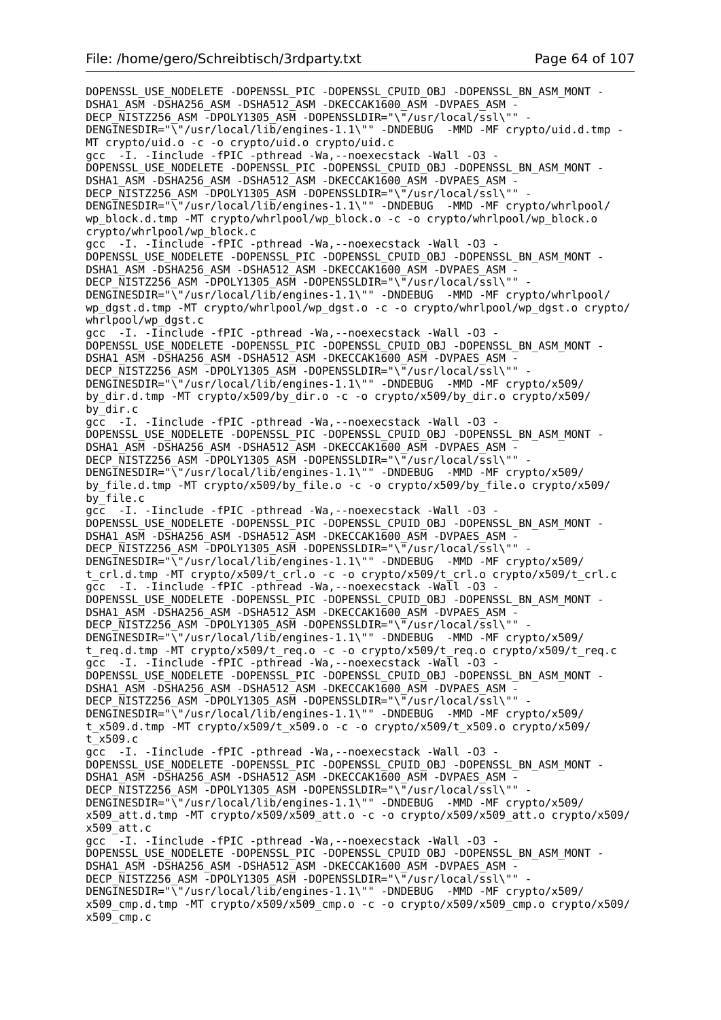DOPENSSL\_USE\_NODELETE -DOPENSSL\_PIC -DOPENSSL\_CPUID\_OBJ -DOPENSSL\_BN\_ASM\_MONT -DSHA1\_ASM -DSHA256\_ASM -DSHA512\_ASM -DKECCAK1600\_ASM -DVPAES\_ASM -DECP\_NISTZ256\_ASM -DPOLY1305\_ASM -DOPENSSLDIR="\"/usr/local/ssl\"" DENGINESDIR="\"/usr/local/lib/engines-1.1\"" -DNDEBUG -MMD -MF crypto/uid.d.tmp -MT crypto/uid.o -c -o crypto/uid.o crypto/uid.c gcc -I. -Iinclude -fPIC -pthread -Wa,--noexecstack -Wall -O3 - DOPENSSL\_USE\_NODELETE -DOPENSSL\_PIC -DOPENSSL\_CPUID\_OBJ\_-DOPENSSL\_BN\_ASM\_MONT -DSHA1\_ASM -DSHA256\_ASM -DSHA512\_ASM -DKECCAK1600\_ASM -DVPAES\_ASM DECP NISTZ256 ASM -DPOLY1305 ASM -DOPENSSLDIR="\"/usr/local/ssl\"" -DENGINESDIR="\"/usr/local/lib/engines-1.1\"" -DNDEBUG -MMD -MF crypto/whrlpool/ wp\_block.d.tmp -MT crypto/whrlpool/wp\_block.o -c -o crypto/whrlpool/wp\_block.o crypto/whrlpool/wp\_block.c gcc -I. -Iinclude -fPIC -pthread -Wa,--noexecstack -Wall -O3 - DOPENSSL\_USE\_NODELETE -DOPENSSL\_PIC -DOPENSSL\_CPUID\_OBJ -DOPENSSL\_BN\_ASM\_MONT - DSHA1\_ASM -DSHA256\_ASM -DSHA512\_ASM -DKECCAK1600\_ASM -DVPAES\_ASM -DECP NISTZ256 ASM -DPOLY1305 ASM -DOPENSSLDIR="\"/usr/local/ssl\"" DENGINESDIR="\"/usr/local/lib/engines-1.1\"" -DNDEBUG -MMD -MF crypto/whrlpool/ wp\_dgst.d.tmp -MT crypto/whrlpool/wp\_dgst.o -c -o crypto/whrlpool/wp\_dgst.o crypto/ whrlpool/wp\_dgst.c gcc -I. -Iinclude -fPIC -pthread -Wa,--noexecstack -Wall -O3 - DOPENSSL\_USE\_NODELETE -DOPENSSL\_PIC -DOPENSSL\_CPUID\_OBJ -DOPENSSL\_BN\_ASM\_MONT - DSHA1\_ASM -DSHA256\_ASM -DSHA512\_ASM -DKECCAK1600\_ASM -DVPAES\_ASM -DECP NISTZ256 ASM -DPOLY1305 ASM -DOPENSSLDIR="\"/usr/local/ssl\"" DENGINESDIR="\"/usr/local/lib/engines-1.1\"" -DNDEBUG -MMD -MF crypto/x509/ by\_dir.d.tmp -MT crypto/x509/by\_dir.o -c -o crypto/x509/by\_dir.o crypto/x509/ by\_dir.c gcc -I. -Iinclude -fPIC -pthread -Wa,--noexecstack -Wall -O3 - DOPENSSL\_USE\_NODELETE -DOPENSSL\_PIC -DOPENSSL\_CPUID\_OBJ -DOPENSSL\_BN\_ASM\_MONT - DSHA1\_ASM -DSHA256\_ASM -DSHA512\_ASM -DKECCAK1600\_ASM -DVPAES\_ASM -DECP\_NISTZ256\_ASM -DPOLY1305\_ASM -DOPENSSLDIR="\"/usr/local/ssl\"" DENGINESDIR="\"/usr/local/lib/engines-1.1\"" -DNDEBUG -MMD -MF crypto/x509/ by\_file.d.tmp -MT crypto/x509/by\_file.o -c -o crypto/x509/by\_file.o crypto/x509/ by\_file.c gcc -I. -Iinclude -fPIC -pthread -Wa,--noexecstack -Wall -O3 - DOPENSSL\_USE\_NODELETE -DOPENSSL\_PIC -DOPENSSL\_CPUID\_OBJ -DOPENSSL\_BN\_ASM\_MONT - DSHA1\_ASM -DSHA256\_ASM -DSHA512\_ASM -DKECCAK1600\_ASM -DVPAES\_ASM - DECP\_NISTZ256\_ASM -DPOLY1305\_ASM -DOPENSSLDIR="\"/usr/local/ssl\"" DENGINESDIR="\"/usr/local/lib/engines-1.1\"" -DNDEBUG -MMD -MF crypto/x509/ t crl.d.tmp -MT crypto/x509/t crl.o -c -o crypto/x509/t crl.o crypto/x509/t crl.c gcc -I. -Iinclude -fPIC -pthread -Wa, --noexecstack -Wall -03 -DOPENSSL\_USE\_NODELETE -DOPENSSL\_PIC -DOPENSSL\_CPUID\_OBJ -DOPENSSL\_BN\_ASM\_MONT - DSHA1\_ASM -DSHA256\_ASM -DSHA512\_ASM -DKECCAK1600\_ASM -DVPAES\_ASM - DECP\_NISTZ256\_ASM -DPOLY1305\_ASM -DOPENSSLDIR="\"/usr/local/ssl\"" - DENGINESDIR="\"/usr/local/lib/engines-1.1\"" -DNDEBUG -MMD -MF crypto/x509/ t\_req.d.tmp -MT crypto/x509/t\_req.o -c -o crypto/x509/t\_req.o crypto/x509/t\_req.c gcc -I. -Iinclude -fPIC -pthread -Wa,--noexecstack -Wall -O3 - DOPENSSL\_USE\_NODELETE -DOPENSSL\_PIC -DOPENSSL\_CPUID\_OBJ -DOPENSSL\_BN\_ASM\_MONT - DSHA1\_ASM -DSHA256\_ASM -DSHA512\_ASM -DKECCAK1600\_ASM -DVPAES\_ASM -DECP NISTZ256 ASM -DPOLY1305 ASM -DOPENSSLDIR="\"/usr/local/ssl\"" DENGINESDIR="\"/usr/local/lib/engines-1.1\"" -DNDEBUG -MMD -MF crypto/x509/ t x509.d.tmp -MT crypto/x509/t x509.o -c -o crypto/x509/t x509.o crypto/x509/  $t$ <sub>x509.c</sub> gcc -I. -Iinclude -fPIC -pthread -Wa,--noexecstack -Wall -O3 - DOPENSSL\_USE\_NODELETE -DOPENSSL\_PIC -DOPENSSL\_CPUID\_OBJ -DOPENSSL\_BN\_ASM\_MONT -DSHA1\_ASM -DSHA256\_ASM -DSHA512\_ASM -DKECCAK1600 ASM -DVPAES ASM -DECP\_NISTZ256\_ASM -DPOLY1305\_ASM -DOPENSSLDIR="\"/usr/local/ssl\"" DENGINESDIR="\"/usr/local/lib/engines-1.1\"" -DNDEBUG -MMD -MF crypto/x509/ x509\_att.d.tmp -MT crypto/x509/x509\_att.o -c -o crypto/x509/x509\_att.o crypto/x509/ x509\_att.c gcc -I. -Iinclude -fPIC -pthread -Wa,--noexecstack -Wall -O3 - DOPENSSL\_USE\_NODELETE -DOPENSSL\_PIC -DOPENSSL\_CPUID\_OBJ -DOPENSSL\_BN\_ASM\_MONT -DSHA1\_ASM -DSHA256\_ASM -DSHA512\_ASM -DKECCAK1600\_ASM -DVPAES\_ASM -DECP NISTZ256 ASM -DPOLY1305 ASM -DOPENSSLDIR="\"/usr/local/ssl\"" DENGINESDIR="\"/usr/local/lib/engines-1.1\"" -DNDEBUG -MMD -MF crypto/x509/ x509\_cmp.d.tmp -MT crypto/x509/x509\_cmp.o -c -o crypto/x509/x509\_cmp.o crypto/x509/ x509\_cmp.c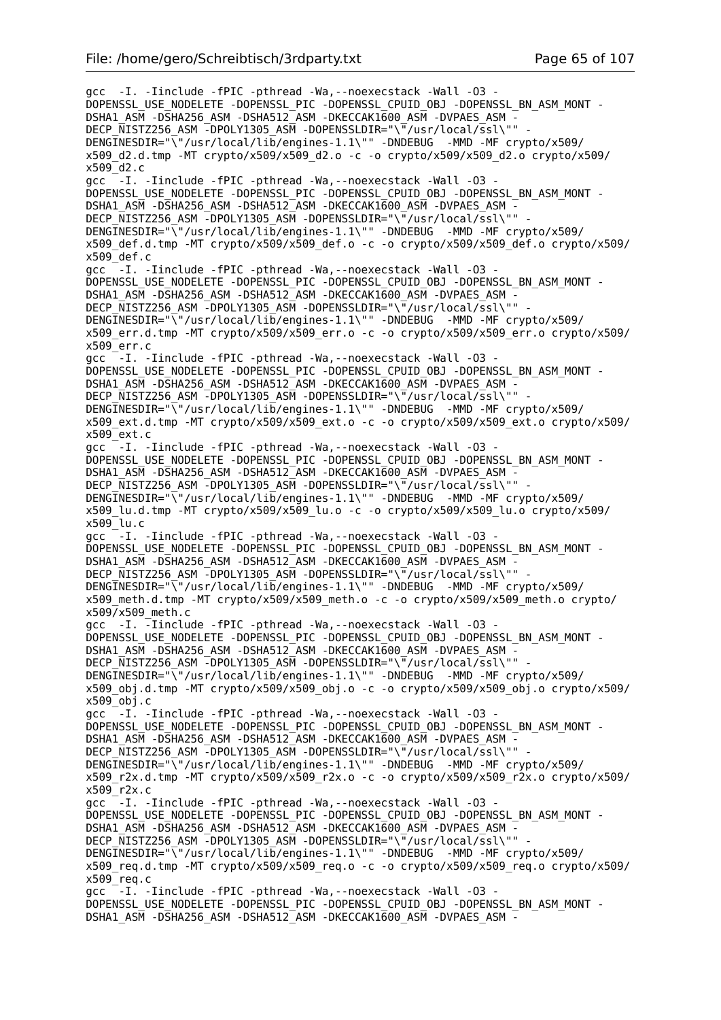gcc -I. -Iinclude -fPIC -pthread -Wa,--noexecstack -Wall -O3 - DOPENSSL\_USE\_NODELETE -DOPENSSL\_PIC -DOPENSSL\_CPUID\_OBJ -DOPENSSL\_BN\_ASM\_MONT - DSHA1\_ASM -DSHA256\_ASM -DSHA512\_ASM -DKECCAK1600\_ASM -DVPAES\_ASM - DECP\_NISTZ256\_ASM -DPOLY1305\_ASM -DOPENSSLDIR="\"/usr/local/ssl\"" - DENGINESDIR="\"/usr/local/lib/engines-1.1\"" -DNDEBUG -MMD -MF crypto/x509/ x509\_d2.d.tmp -MT crypto/x509/x509\_d2.o -c -o crypto/x509/x509\_d2.o crypto/x509/  $x509$ <sup>d2.c</sup> acc  $-I$ . -Iinclude -fPIC -pthread -Wa, --noexecstack -Wall -03 -DOPENSSL\_USE\_NODELETE -DOPENSSL\_PIC -DOPENSSL\_CPUID\_OBJ -DOPENSSL\_BN\_ASM\_MONT -DSHA1\_ASM -DSHA256\_ASM -DSHA512\_ASM -DKECCAK1600 ASM -DVPAES ASM -DECP NISTZ256 ASM  $\overline{-}$ DPOLY1305 ASM -DOPENSSLDIR="\ $\overline{-}/$ usr/local/ssl\"" DENGINESDIR="\"/usr/local/lib/engines-1.1\"" -DNDEBUG -MMD -MF crypto/x509/  $x509$  def.d.tmp -MT crypto/x509/x509 def.o -c -o crypto/x509/x509 def.o crypto/x509/  $x509$  def.c gcc -I. -Iinclude -fPIC -pthread -Wa,--noexecstack -Wall -O3 - DOPENSSL\_USE\_NODELETE -DOPENSSL\_PIC -DOPENSSL\_CPUID\_OBJ -DOPENSSL\_BN\_ASM\_MONT -DSHA1\_ASM -DSHA256\_ASM -DSHA512\_ASM -DKECCAK1600\_ASM -DVPAES\_ASM -DECP NISTZ256 ASM -DPOLY1305 ASM -DOPENSSLDIR="\"/usr/local/ssl\"" DENGINESDIR="\"/usr/local/lib/engines-1.1\"" -DNDEBUG -MMD -MF crypto/x509/ x509\_err.d.tmp -MT crypto/x509/x509\_err.o -c -o crypto/x509/x509\_err.o crypto/x509/ x509\_err.c gcc -I. -Iinclude -fPIC -pthread -Wa,--noexecstack -Wall -O3 - DOPENSSL\_USE\_NODELETE -DOPENSSL\_PIC -DOPENSSL\_CPUID\_OBJ -DOPENSSL\_BN\_ASM\_MONT -DSHA1\_ASM -DSHA256\_ASM -DSHA512\_ASM -DKECCAK1600\_ASM -DVPAES\_ASM -DECP\_NISTZ256\_ASM -DPOLY1305\_ASM -DOPENSSLDIR="\"/usr/local/ssl\"" DENGINESDIR="\"/usr/local/lib/engines-1.1\"" -DNDEBUG -MMD -MF crypto/x509/  $x509$  ext.d.tmp -MT crypto/x509/x509 ext.o -c -o crypto/x509/x509 ext.o crypto/x509/  $x509$ <sup>c</sup>ext.c gcc  $-I.$  -Iinclude -fPIC -pthread -Wa, --noexecstack -Wall -03 -DOPENSSL\_USE\_NODELETE -DOPENSSL\_PIC -DOPENSSL\_CPUID\_OBJ -DOPENSSL\_BN\_ASM\_MONT - DSHA1\_ASM -DSHA256\_ASM -DSHA512\_ASM -DKECCAK1600\_ASM -DVPAES\_ASM -DECP NISTZ256 ASM -DPOLY1305 ASM -DOPENSSLDIR="\"/usr/local/ssl\"" DENGINESDIR="\"/usr/local/lib/engines-1.1\"" -DNDEBUG -MMD -MF crypto/x509/ x509\_lu.d.tmp -MT crypto/x509/x509\_lu.o -c -o crypto/x509/x509\_lu.o crypto/x509/ x509\_lu.c gcc  $-I$ . -Iinclude -fPIC -pthread -Wa, --noexecstack -Wall -03 -DOPENSSL\_USE\_NODELETE -DOPENSSL\_PIC -DOPENSSL\_CPUID\_OBJ -DOPENSSL\_BN\_ASM\_MONT - DSHA1\_ASM -DSHA256\_ASM -DSHA512\_ASM -DKECCAK1600\_ASM -DVPAES\_ASM - DECP\_NISTZ256\_ASM -DPOLY1305\_ASM -DOPENSSLDIR="\"/usr/local/ssl\"" DENGINESDIR="\"/usr/local/lib/engines-1.1\"" -DNDEBUG -MMD -MF crypto/x509/ x509\_meth.d.tmp -MT crypto/x509/x509\_meth.o -c -o crypto/x509/x509\_meth.o crypto/  $x509$ / $x509$  meth.c gcc -I. -Iinclude -fPIC -pthread -Wa,--noexecstack -Wall -O3 - DOPENSSL\_USE\_NODELETE -DOPENSSL\_PIC -DOPENSSL\_CPUID\_OBJ\_-DOPENSSL\_BN\_ASM\_MONT -DSHA1\_ASM -DSHA256\_ASM -DSHA512\_ASM -DKECCAK1600\_ASM -DVPAES\_ASM -DECP NISTZ256 ASM -DPOLY1305 ASM -DOPENSSLDIR="\"/usr/local/ssl\"" DENGINESDIR="\"/usr/local/lib/engines-1.1\"" -DNDEBUG -MMD -MF crypto/x509/  $x509$  obj.d.tmp -MT crypto/x509/x509 obj.o -c -o crypto/x509/x509 obj.o crypto/x509/  $x509$ <sup>obj.c</sup> gcc  $-$ -I. -Iinclude -fPIC -pthread -Wa, --noexecstack -Wall -03 -DOPENSSL\_USE\_NODELETE -DOPENSSL\_PIC -DOPENSSL\_CPUID\_OBJ -DOPENSSL\_BN\_ASM\_MONT - DSHA1\_ASM -DSHA256\_ASM -DSHA512\_ASM -DKECCAK1600\_ASM -DVPAES\_ASM -DECP NISTZ256 ASM -DPOLY1305 ASM -DOPENSSLDIR="\"/usr/local/ssl\"" DENGINESDIR="\"/usr/local/lib/engines-1.1\"" -DNDEBUG -MMD -MF crypto/x509/ x509\_r2x.d.tmp -MT crypto/x509/x509\_r2x.o -c -o crypto/x509/x509\_r2x.o crypto/x509/ x509\_r2x.c gcc -I. -Iinclude -fPIC -pthread -Wa,--noexecstack -Wall -O3 - DOPENSSL\_USE\_NODELETE -DOPENSSL\_PIC -DOPENSSL\_CPUID\_OBJ -DOPENSSL\_BN\_ASM\_MONT - DSHA1\_ASM -DSHA256\_ASM -DSHA512\_ASM -DKECCAK1600\_ASM -DVPAES\_ASM -DECP\_NISTZ256\_ASM -DPOLY1305\_ASM -DOPENSSLDIR="\"/usr/local/ssl\"" DENGINESDIR="\"/usr/local/lib/engines-1.1\"" -DNDEBUG -MMD -MF crypto/x509/  $x509$  req.d.tmp -MT crypto/x509/x509 req.o -c -o crypto/x509/x509 req.o crypto/x509/  $x509$  req.c gcc -I. -Iinclude -fPIC -pthread -Wa,--noexecstack -Wall -O3 - DOPENSSL\_USE\_NODELETE -DOPENSSL\_PIC -DOPENSSL\_CPUID\_OBJ -DOPENSSL\_BN\_ASM\_MONT - DSHA1\_ASM -DSHA256\_ASM -DSHA512\_ASM -DKECCAK1600\_ASM -DVPAES\_ASM -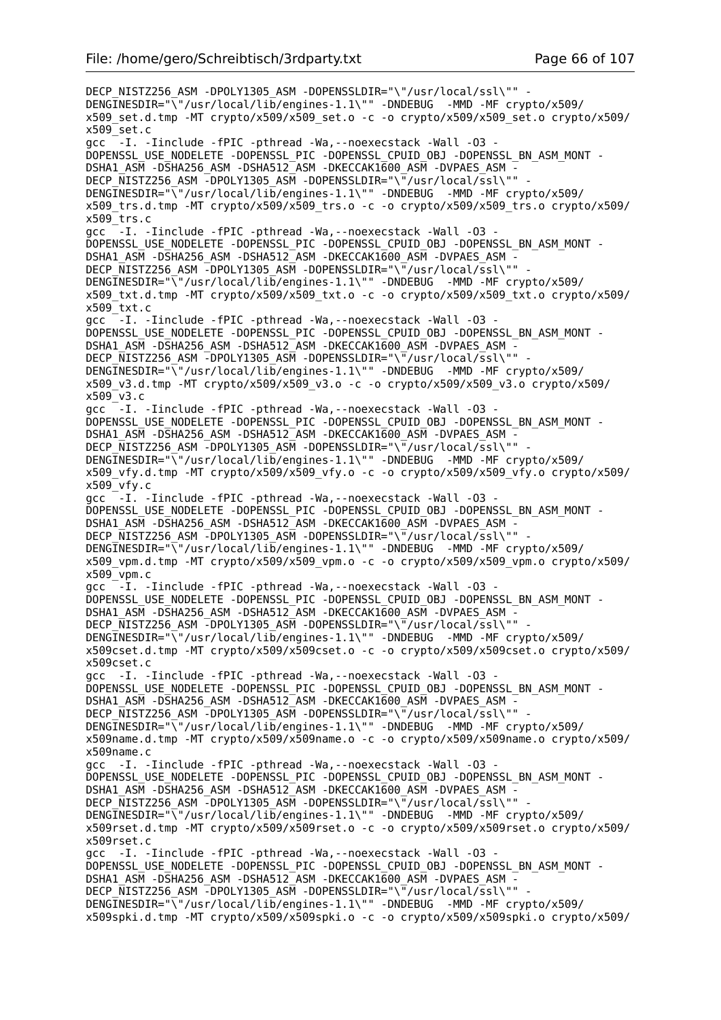DECP\_NISTZ256\_ASM -DPOLY1305\_ASM -DOPENSSLDIR="\"/usr/local/ssl\"" -DENGINESDIR="\"/usr/local/lib/engines-1.1\"" -DNDEBUG -MMD -MF crypto/x509/  $x509$  set.d.tmp -MT crypto/x509/x509 set.o -c -o crypto/x509/x509 set.o crypto/x509/ x509\_set.c gcc -I. -Iinclude -fPIC -pthread -Wa,--noexecstack -Wall -O3 - DOPENSSL\_USE\_NODELETE -DOPENSSL\_PIC -DOPENSSL\_CPUID\_OBJ -DOPENSSL\_BN\_ASM\_MONT - DSHA1\_ASM -DSHA256\_ASM -DSHA512\_ASM -DKECCAK1600\_ASM -DVPAES\_ASM -DECP NISTZ256 ASM -DPOLY1305 ASM -DOPENSSLDIR="\"/usr/local/ssl\"" DENGINESDIR="\"/usr/local/lib/engines-1.1\"" -DNDEBUG -MMD -MF crypto/x509/  $x509$  trs.d.tmp -MT crypto/x509/x509 trs.o -c -o crypto/x509/x509 trs.o crypto/x509/  $x509$ <sup>-</sup>trs.c gcc  $-$ -I. -Iinclude -fPIC -pthread -Wa,--noexecstack -Wall -03 -DOPENSSL\_USE\_NODELETE -DOPENSSL\_PIC -DOPENSSL\_CPUID\_OBJ\_-DOPENSSL\_BN\_ASM\_MONT -DSHA1\_ASM -DSHA256\_ASM -DSHA512\_ASM -DKECCAK1600\_ASM -DVPAES\_ASM -DECP NISTZ256 ASM -DPOLY1305 ASM -DOPENSSLDIR="\"/usr/local/ssl\"" DENGINESDIR="\"/usr/local/lib/engines-1.1\"" -DNDEBUG -MMD -MF crypto/x509/ x509\_txt.d.tmp -MT crypto/x509/x509\_txt.o -c -o crypto/x509/x509\_txt.o crypto/x509/ x509\_txt.c gcc -I. -Iinclude -fPIC -pthread -Wa,--noexecstack -Wall -O3 - DOPENSSL\_USE\_NODELETE -DOPENSSL\_PIC -DOPENSSL\_CPUID\_OBJ -DOPENSSL\_BN\_ASM\_MONT - DSHA1\_ASM -DSHA256\_ASM -DSHA512\_ASM -DKECCAK1600\_ASM -DVPAES\_ASM - DECP NISTZ256 ASM  $\overline{-}$ DPOLY1305 ASM -DOPENSSLDIR="\ $\overline{-}$ /usr/local/ssl\"" DENGINESDIR="\"/usr/local/lib/engines-1.1\"" -DNDEBUG -MMD -MF crypto/x509/ x509\_v3.d.tmp -MT crypto/x509/x509\_v3.o -c -o crypto/x509/x509\_v3.o crypto/x509/ x509\_v3.c gcc<sup>-</sup>-I. -Iinclude -fPIC -pthread -Wa, --noexecstack -Wall -03 -DOPENSSL\_USE\_NODELETE -DOPENSSL\_PIC -DOPENSSL\_CPUID\_OBJ -DOPENSSL\_BN\_ASM\_MONT - DSHA1\_ASM -DSHA256\_ASM -DSHA512\_ASM -DKECCAK1600\_ASM -DVPAES\_ASM - DECP\_NISTZ256\_ASM -DPOLY1305\_ASM -DOPENSSLDIR="\"/usr/local/ssl\"" - DENGINESDIR="\"/usr/local/lib/engines-1.1\"" -DNDEBUG -MMD -MF crypto/x509/ x509\_vfy.d.tmp -MT crypto/x509/x509\_vfy.o -c -o crypto/x509/x509\_vfy.o crypto/x509/ x509\_vfy.c gcc  $-L$ . -Iinclude -fPIC -pthread -Wa, --noexecstack -Wall -03 -DOPENSSL\_USE\_NODELETE -DOPENSSL\_PIC -DOPENSSL\_CPUID\_OBJ -DOPENSSL\_BN\_ASM\_MONT - DSHA1\_ASM -DSHA256\_ASM -DSHA512\_ASM -DKECCAK1600\_ASM -DVPAES ASM DECP\_NISTZ256\_ASM -DPOLY1305\_ASM -DOPENSSLDIR="\"/usr/local/ssl\"" DENGINESDIR="\"/usr/local/lib/engines-1.1\"" -DNDEBUG -MMD -MF crypto/x509/ x509\_vpm.d.tmp -MT crypto/x509/x509\_vpm.o -c -o crypto/x509/x509\_vpm.o crypto/x509/  $x509$  vpm.c gcc  $-I$ . -Iinclude -fPIC -pthread -Wa, --noexecstack -Wall -03 -DOPENSSL\_USE\_NODELETE -DOPENSSL\_PIC -DOPENSSL\_CPUID\_OBJ -DOPENSSL\_BN\_ASM\_MONT - DSHA1\_ASM -DSHA256\_ASM -DSHA512\_ASM -DKECCAK1600\_ASM -DVPAES\_ASM - DECP\_NISTZ256\_ASM -DPOLY1305\_ASM -DOPENSSLDIR="\"/usr/local/ssl\"" - DENGINESDIR="\"/usr/local/lib/engines-1.1\"" -DNDEBUG -MMD -MF crypto/x509/ x509cset.d.tmp -MT crypto/x509/x509cset.o -c -o crypto/x509/x509cset.o crypto/x509/ x509cset.c gcc -I. -Iinclude -fPIC -pthread -Wa,--noexecstack -Wall -O3 - DOPENSSL\_USE\_NODELETE -DOPENSSL\_PIC -DOPENSSL\_CPUID\_OBJ -DOPENSSL\_BN\_ASM\_MONT - DSHA1\_ASM -DSHA256\_ASM -DSHA512\_ASM -DKECCAK1600\_ASM -DVPAES\_ASM - DECP\_NISTZ256\_ASM\_-DPOLY1305\_ASM\_-DOPENSSLDIR="\"/usr/local/ssl\"" DENGINESDIR="\"/usr/local/lib/engines-1.1\"" -DNDEBUG -MMD -MF crypto/x509/ x509name.d.tmp -MT crypto/x509/x509name.o -c -o crypto/x509/x509name.o crypto/x509/ x509name.c gcc -I. -Iinclude -fPIC -pthread -Wa,--noexecstack -Wall -O3 - DOPENSSL\_USE\_NODELETE -DOPENSSL\_PIC -DOPENSSL\_CPUID\_OBJ -DOPENSSL\_BN\_ASM\_MONT -DSHA1\_ASM -DSHA256\_ASM -DSHA512\_ASM -DKECCAK1600\_ASM -DVPAES\_ASM -DECP NISTZ256 ASM -DPOLY1305 ASM -DOPENSSLDIR="\"/usr/local/ssl\"" DENGINESDIR="\"/usr/local/lib/engines-1.1\"" -DNDEBUG -MMD -MF crypto/x509/ x509rset.d.tmp -MT crypto/x509/x509rset.o -c -o crypto/x509/x509rset.o crypto/x509/ x509rset.c gcc -I. -Iinclude -fPIC -pthread -Wa,--noexecstack -Wall -O3 - DOPENSSL\_USE\_NODELETE -DOPENSSL\_PIC -DOPENSSL\_CPUID\_OBJ -DOPENSSL\_BN\_ASM\_MONT - DSHA1\_ASM -DSHA256\_ASM -DSHA512\_ASM -DKECCAK1600\_ASM -DVPAES\_ASM - DECP\_NISTZ256\_ASM -DPOLY1305\_ASM -DOPENSSLDIR="\"/usr/local/ssl\"" DENGINESDIR="\"/usr/local/lib/engines-1.1\"" -DNDEBUG -MMD -MF crypto/x509/ x509spki.d.tmp -MT crypto/x509/x509spki.o -c -o crypto/x509/x509spki.o crypto/x509/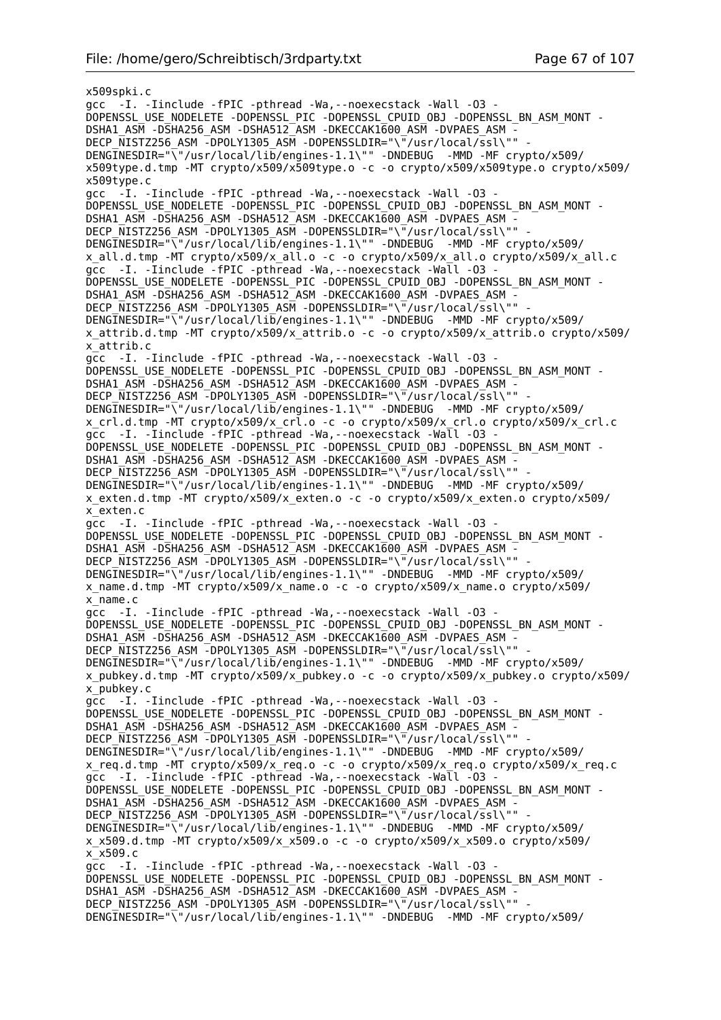x509spki.c gcc -I. -Iinclude -fPIC -pthread -Wa,--noexecstack -Wall -O3 - DOPENSSL\_USE\_NODELETE -DOPENSSL\_PIC -DOPENSSL\_CPUID\_OBJ -DOPENSSL\_BN\_ASM\_MONT - DSHA1\_ASM -DSHA256\_ASM -DSHA512\_ASM -DKECCAK1600\_ASM -DVPAES\_ASM - DECP\_NISTZ256\_ASM\_-DPOLY1305\_ASM\_-DOPENSSLDIR="\"/usr/local/ssl\"" DENGINESDIR="\"/usr/local/lib/engines-1.1\"" -DNDEBUG -MMD -MF crypto/x509/ x509type.d.tmp -MT crypto/x509/x509type.o -c -o crypto/x509/x509type.o crypto/x509/ x509type.c gcc -I. -Iinclude -fPIC -pthread -Wa,--noexecstack -Wall -O3 - DOPENSSL\_USE\_NODELETE -DOPENSSL\_PIC -DOPENSSL\_CPUID\_OBJ -DOPENSSL\_BN\_ASM\_MONT -DSHA1\_ASM -DSHA256\_ASM -DSHA512\_ASM -DKECCAK1600\_ASM -DVPAES\_ASM -DECP\_NISTZ256\_ASM -DPOLY1305\_ASM -DOPENSSLDIR="\"/usr/local/ssl\"" DENGINESDIR="\"/usr/local/lib/engines-1.1\"" -DNDEBUG -MMD -MF crypto/x509/ x\_all.d.tmp -MT crypto/x509/x\_all.o -c -o crypto/x509/x\_all.o crypto/x509/x\_all.c gcc -I. -Iinclude -fPIC -pthread -Wa, --noexecstack -Wall -03 -DOPENSSL\_USE\_NODELETE -DOPENSSL\_PIC -DOPENSSL\_CPUID\_OBJ -DOPENSSL\_BN\_ASM\_MONT -DSHA1\_ASM -DSHA256\_ASM -DSHA512\_ASM -DKECCAK1600\_ASM -DVPAES\_ASM -DECP NISTZ256 ASM -DPOLY1305 ASM -DOPENSSLDIR="\"/usr/local/ssl\"" DENGINESDIR="\"/usr/local/lib/engines-1.1\"" -DNDEBUG -MMD -MF crypto/x509/ x\_attrib.d.tmp -MT crypto/x509/x\_attrib.o -c -o crypto/x509/x\_attrib.o crypto/x509/ x\_attrib.c gcc -I. -Iinclude -fPIC -pthread -Wa,--noexecstack -Wall -O3 - DOPENSSL\_USE\_NODELETE -DOPENSSL\_PIC -DOPENSSL\_CPUID\_OBJ -DOPENSSL\_BN\_ASM\_MONT -DSHA1\_ASM -DSHA256\_ASM -DSHA512\_ASM -DKECCAK1600\_ASM -DVPAES\_ASM -DECP\_NISTZ256\_ASM -DPOLY1305\_ASM -DOPENSSLDIR="\"/usr/local/ssl\"" DENGINESDIR="\"/usr/local/lib/engines-1.1\"" -DNDEBUG -MMD -MF crypto/x509/ x\_crl.d.tmp -MT crypto/x509/x\_crl.o -c -o crypto/x509/x\_crl.o crypto/x509/x\_crl.c  $qcc -I.$  -Iinclude -fPIC -pthread -Wa, --noexecstack -Wall -03 DOPENSSL\_USE\_NODELETE -DOPENSSL\_PIC -DOPENSSL\_CPUID\_OBJ -DOPENSSL\_BN\_ASM\_MONT -DSHA1\_ASM -DSHA256\_ASM -DSHA512\_ASM -DKECCAK1600\_ASM -DVPAES\_ASM -DECP NISTZ256 ASM -DPOLY1305 ASM -DOPENSSLDIR="\"/usr/local/ssl\"" DENGINESDIR="\"/usr/local/lib/engines-1.1\"" -DNDEBUG -MMD -MF crypto/x509/ x\_exten.d.tmp -MT crypto/x509/x\_exten.o -c -o crypto/x509/x\_exten.o crypto/x509/ x\_exten.c gcc -I. -Iinclude -fPIC -pthread -Wa,--noexecstack -Wall -O3 - DOPENSSL\_USE\_NODELETE -DOPENSSL\_PIC -DOPENSSL\_CPUID\_OBJ -DOPENSSL\_BN\_ASM\_MONT - DSHA1\_ASM -DSHA256\_ASM -DSHA512\_ASM -DKECCAK1600\_ASM -DVPAES\_ASM -DECP\_NISTZ256\_ASM -DPOLY1305\_ASM -DOPENSSLDIR="\"/usr/local/ssl\"" DENGINESDIR="\"/usr/local/lib/engines-1.1\"" -DNDEBUG -MMD -MF crypto/x509/ x\_name.d.tmp -MT crypto/x509/x\_name.o -c -o crypto/x509/x\_name.o crypto/x509/ x\_name.c gcc -I. -Iinclude -fPIC -pthread -Wa,--noexecstack -Wall -O3 - DOPENSSL\_USE\_NODELETE -DOPENSSL\_PIC -DOPENSSL\_CPUID\_OBJ -DOPENSSL\_BN\_ASM\_MONT - DSHA1\_ASM -DSHA256\_ASM -DSHA512\_ASM -DKECCAK1600\_ASM -DVPAES\_ASM -DECP NISTZ256 ASM -DPOLY1305 ASM -DOPENSSLDIR="\"/usr/local/ssl\"" DENGINESDIR="\"/usr/local/lib/engines-1.1\"" -DNDEBUG -MMD -MF crypto/x509/ x\_pubkey.d.tmp -MT crypto/x509/x\_pubkey.o -c -o crypto/x509/x\_pubkey.o crypto/x509/ x\_pubkey.c gcc -I. -Iinclude -fPIC -pthread -Wa, --noexecstack -Wall -03 -DOPENSSL\_USE\_NODELETE -DOPENSSL\_PIC -DOPENSSL\_CPUID\_OBJ -DOPENSSL\_BN\_ASM\_MONT -DSHA1\_ASM -DSHA256\_ASM -DSHA512\_ASM -DKECCAK1600\_ASM -DVPAES\_ASM - DECP NISTZ256 ASM -DPOLY1305 ASM -DOPENSSLDIR="\"/usr/local/ssl\"" DENGINESDIR="\"/usr/local/lib/engines-1.1\"" -DNDEBUG -MMD -MF crypto/x509/ x\_req.d.tmp -MT crypto/x509/x\_req.o -c -o crypto/x509/x\_req.o crypto/x509/x\_req.c gcc -I. -Iinclude -fPIC -pthread -Wa, --noexecstack -Wall -03 -DOPENSSL\_USE\_NODELETE -DOPENSSL\_PIC -DOPENSSL\_CPUID\_OBJ -DOPENSSL\_BN\_ASM\_MONT - DSHA1\_ASM -DSHA256\_ASM -DSHA512\_ASM -DKECCAK1600\_ASM -DVPAES\_ASM - DECP\_NISTZ256\_ASM -DPOLY1305\_ASM -DOPENSSLDIR="\"/usr/local/ssl\"" DENGINESDIR="\"/usr/local/lib/engines-1.1\"" -DNDEBUG -MMD -MF crypto/x509/ x\_x509.d.tmp -MT crypto/x509/x\_x509.o -c -o crypto/x509/x\_x509.o crypto/x509/  $x$  $x$ 509.c gcc -I. -Iinclude -fPIC -pthread -Wa,--noexecstack -Wall -O3 - DOPENSSL\_USE\_NODELETE -DOPENSSL\_PIC -DOPENSSL\_CPUID\_OBJ -DOPENSSL\_BN\_ASM\_MONT - DSHA1\_ASM -DSHA256\_ASM -DSHA512\_ASM -DKECCAK1600\_ASM -DVPAES\_ASM -DECP NISTZ256 ASM -DPOLY1305 ASM -DOPENSSLDIR="\"/usr/local/ssl\"" DENGINESDIR="\"/usr/local/lib/engines-1.1\"" -DNDEBUG -MMD -MF crypto/x509/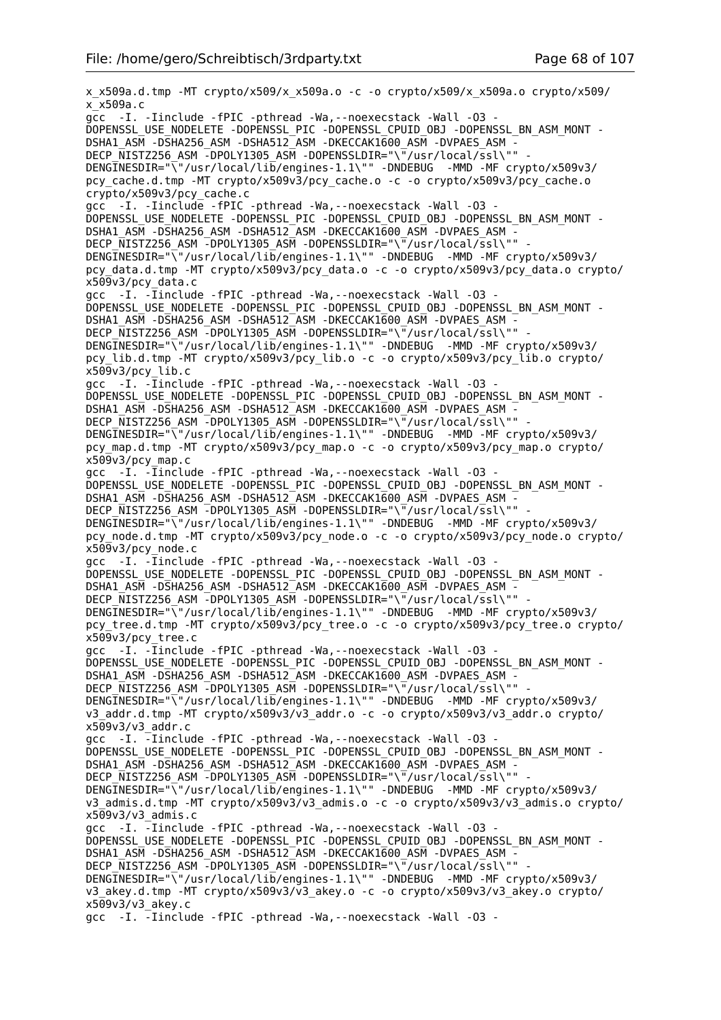x\_x509a.d.tmp -MT crypto/x509/x\_x509a.o -c -o crypto/x509/x\_x509a.o crypto/x509/ x\_x509a.c gcc -I. -Iinclude -fPIC -pthread -Wa,--noexecstack -Wall -O3 - DOPENSSL\_USE\_NODELETE -DOPENSSL\_PIC -DOPENSSL\_CPUID\_OBJ -DOPENSSL\_BN\_ASM\_MONT - DSHA1\_ASM -DSHA256\_ASM -DSHA512\_ASM -DKECCAK1600\_ASM -DVPAES\_ASM - DECP\_NISTZ256\_ASM -DPOLY1305\_ASM -DOPENSSLDIR="\"/usr/local/ssl\"" DENGINESDIR="\"/usr/local/lib/engines-1.1\"" -DNDEBUG -MMD -MF crypto/x509v3/ pcy\_cache.d.tmp -MT crypto/x509v3/pcy\_cache.o -c -o crypto/x509v3/pcy\_cache.o crypto/x509v3/pcy\_cache.c gcc -I. -Iinclude -fPIC -pthread -Wa,--noexecstack -Wall -O3 - DOPENSSL\_USE\_NODELETE -DOPENSSL\_PIC -DOPENSSL\_CPUID\_OBJ -DOPENSSL\_BN\_ASM\_MONT - DSHA1\_ASM -DSHA256\_ASM -DSHA512\_ASM -DKECCAK1600\_ASM -DVPAES\_ASM - DECP NISTZ256 ASM -DPOLY1305 ASM -DOPENSSLDIR="\"/usr/local/ssl\"" DENGINESDIR="\"/usr/local/lib/engines-1.1\"" -DNDEBUG -MMD -MF crypto/x509v3/ pcy\_data.d.tmp -MT crypto/x509v3/pcy\_data.o -c -o crypto/x509v3/pcy\_data.o crypto/ x509v3/pcy\_data.c gcc -I. - Iinclude - fPIC - pthread - Wa, - - noexecstack - Wall - 03 -DOPENSSL\_USE\_NODELETE -DOPENSSL\_PIC -DOPENSSL\_CPUID\_OBJ -DOPENSSL\_BN\_ASM\_MONT - DSHA1\_ASM -DSHA256\_ASM -DSHA512\_ASM -DKECCAK1600\_ASM -DVPAES\_ASM -DECP\_NISTZ256\_ASM -DPOLY1305\_ASM -DOPENSSLDIR="\"/usr/local/ssl\"" DENGINESDIR="\"/usr/local/lib/engines-1.1\"" -DNDEBUG -MMD -MF crypto/x509v3/ pcy\_lib.d.tmp -MT crypto/x509v3/pcy\_lib.o -c -o crypto/x509v3/pcy\_lib.o crypto/ x509v3/pcy\_lib.c gcc -I. -Iinclude -fPIC -pthread -Wa,--noexecstack -Wall -O3 - DOPENSSL\_USE\_NODELETE -DOPENSSL\_PIC -DOPENSSL\_CPUID\_OBJ -DOPENSSL\_BN\_ASM\_MONT - DSHA1\_ASM -DSHA256\_ASM -DSHA512\_ASM -DKECCAK1600\_ASM -DVPAES\_ASM -DECP NISTZ256 ASM -DPOLY1305 ASM -DOPENSSLDIR="\"/usr/local/ssl\"" DENGINESDIR="\"/usr/local/lib/engines-1.1\"" -DNDEBUG -MMD -MF crypto/x509v3/ pcy\_map.d.tmp -MT crypto/x509v3/pcy\_map.o -c -o crypto/x509v3/pcy\_map.o crypto/  $x50\overline{9}$ v3/pcy\_map.c gcc -I. -Iinclude -fPIC -pthread -Wa,--noexecstack -Wall -O3 - DOPENSSL\_USE\_NODELETE -DOPENSSL\_PIC -DOPENSSL\_CPUID\_OBJ -DOPENSSL\_BN\_ASM\_MONT -DSHA1\_ASM -DSHA256\_ASM -DSHA512\_ASM -DKECCAK1600\_ASM -DVPAES\_ASM - DECP\_NISTZ256\_ASM -DPOLY1305\_ASM -DOPENSSLDIR="\"/usr/local/ssl\"" DENGINESDIR="\"/usr/local/lib/engines-1.1\"" -DNDEBUG -MMD -MF crypto/x509v3/ pcy\_node.d.tmp -MT crypto/x509v3/pcy\_node.o -c -o crypto/x509v3/pcy\_node.o crypto/ x509v3/pcy\_node.c gcc -I. -Iinclude -fPIC -pthread -Wa,--noexecstack -Wall -O3 - DOPENSSL\_USE\_NODELETE -DOPENSSL\_PIC -DOPENSSL\_CPUID\_OBJ -DOPENSSL\_BN\_ASM\_MONT -DSHA1\_ASM -DSHA256\_ASM -DSHA512\_ASM -DKECCAK1600\_ASM -DVPAES\_ASM -DECP NISTZ256 ASM -DPOLY1305 ASM -DOPENSSLDIR="\"/usr/local/ssl\"" DENGINESDIR="\"/usr/local/lib/engines-1.1\"" -DNDEBUG -MMD -MF crypto/x509v3/ pcy\_tree.d.tmp -MT crypto/x509v3/pcy\_tree.o -c -o crypto/x509v3/pcy\_tree.o crypto/ x509v3/pcy\_tree.c gcc -I. -Iinclude -fPIC -pthread -Wa,--noexecstack -Wall -O3 - DOPENSSL\_USE\_NODELETE -DOPENSSL\_PIC -DOPENSSL\_CPUID\_OBJ -DOPENSSL\_BN\_ASM\_MONT -DSHA1\_ASM -DSHA256\_ASM -DSHA512\_ASM -DKECCAK1600\_ASM -DVPAES\_ASM -DECP NISTZ256 ASM -DPOLY1305 ASM -DOPENSSLDIR="\"/usr/local/ssl\"" DENGINESDIR="\"/usr/local/lib/engines-1.1\"" -DNDEBUG -MMD -MF crypto/x509v3/ v3 addr.d.tmp -MT crypto/x509v3/v3 addr.o -c -o crypto/x509v3/v3 addr.o crypto/  $x509v3/v3$  addr.c gcc -I. -Iinclude -fPIC -pthread -Wa,--noexecstack -Wall -O3 - DOPENSSL\_USE\_NODELETE -DOPENSSL\_PIC -DOPENSSL\_CPUID\_OBJ -DOPENSSL\_BN\_ASM\_MONT - DSHA1\_ASM -DSHA256\_ASM -DSHA512\_ASM -DKECCAK1600\_ASM -DVPAES\_ASM -DECP NISTZ256 ASM -DPOLY1305 ASM -DOPENSSLDIR="\"/usr/local/ssl\"" DENGINESDIR="\"/usr/local/lib/engines-1.1\"" -DNDEBUG -MMD -MF crypto/x509v3/ v3\_admis.d.tmp -MT crypto/x509v3/v3\_admis.o -c -o crypto/x509v3/v3\_admis.o crypto/  $x509v3/v3$  admis.c gcc -I. -Iinclude -fPIC -pthread -Wa,--noexecstack -Wall -O3 - DOPENSSL\_USE\_NODELETE -DOPENSSL\_PIC -DOPENSSL\_CPUID\_OBJ -DOPENSSL\_BN\_ASM\_MONT - DSHA1\_ASM -DSHA256\_ASM -DSHA512\_ASM -DKECCAK1600\_ASM -DVPAES\_ASM -DECP NISTZ256 ASM -DPOLY1305 ASM -DOPENSSLDIR="\"/usr/local/ssl\"" DENGINESDIR="\"/usr/local/lib/engines-1.1\"" -DNDEBUG -MMD -MF crypto/x509v3/ v3\_akey.d.tmp -MT crypto/x509v3/v3\_akey.o -c -o crypto/x509v3/v3\_akey.o crypto/ x509v3/v3\_akey.c gcc -I. -Iinclude -fPIC -pthread -Wa,--noexecstack -Wall -O3 -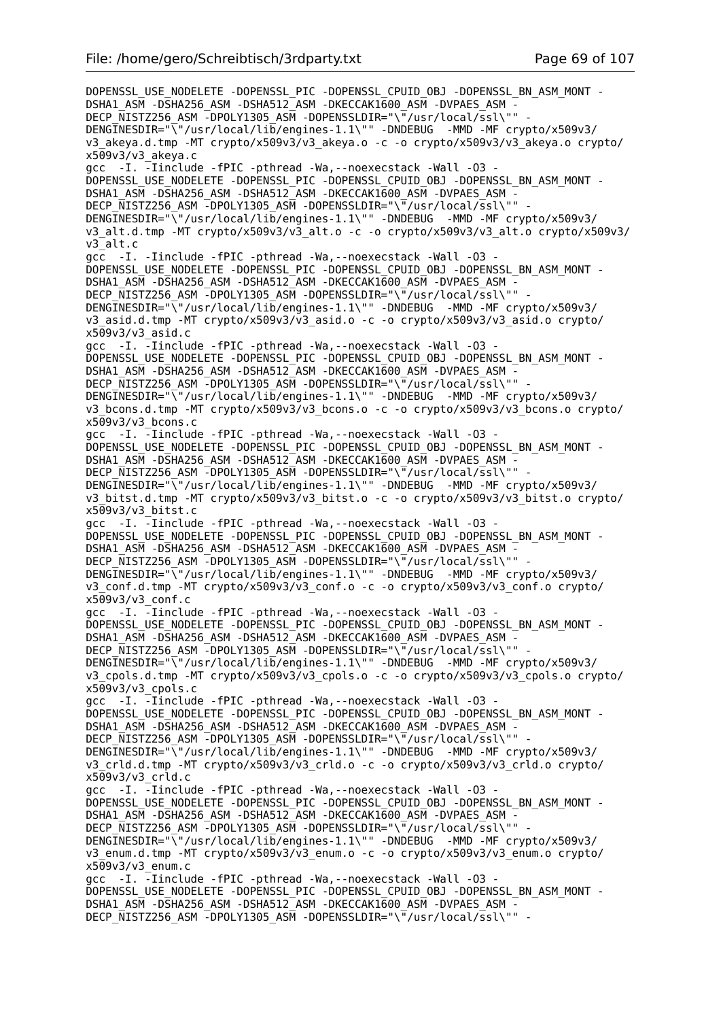DOPENSSL\_USE\_NODELETE -DOPENSSL\_PIC -DOPENSSL\_CPUID\_OBJ -DOPENSSL\_BN\_ASM\_MONT -DSHA1\_ASM -DSHA256\_ASM -DSHA512\_ASM -DKECCAK1600\_ASM -DVPAES\_ASM -DECP\_NISTZ256\_ASM -DPOLY1305\_ASM -DOPENSSLDIR="\"/usr/local/ssl\"" DENGINESDIR="\"/usr/local/lib/engines-1.1\"" -DNDEBUG -MMD -MF crypto/x509v3/ v3\_akeya.d.tmp -MT crypto/x509v3/v3\_akeya.o -c -o crypto/x509v3/v3\_akeya.o crypto/ x509v3/v3\_akeya.c gcc -I. -Iinclude -fPIC -pthread -Wa,--noexecstack -Wall -O3 - DOPENSSL\_USE\_NODELETE -DOPENSSL\_PIC -DOPENSSL\_CPUID\_OBJ -DOPENSSL\_BN\_ASM\_MONT - DSHA1\_ASM -DSHA256\_ASM -DSHA512\_ASM -DKECCAK1600\_ASM -DVPAES\_ASM -DECP NISTZ256 ASM -DPOLY1305 ASM -DOPENSSLDIR="\"/usr/local/ssl\"" -DENGINESDIR="\"/usr/local/lib/engines-1.1\"" -DNDEBUG -MMD -MF crypto/x509v3/ v3\_alt.d.tmp -MT crypto/x509v3/v3\_alt.o -c -o crypto/x509v3/v3\_alt.o crypto/x509v3/ v3\_alt.c gcc -I. -Iinclude -fPIC -pthread -Wa,--noexecstack -Wall -O3 - DOPENSSL\_USE\_NODELETE -DOPENSSL\_PIC -DOPENSSL\_CPUID\_OBJ -DOPENSSL\_BN\_ASM\_MONT -DSHA1\_ASM -DSHA256\_ASM -DSHA512\_ASM -DKECCAK1600\_ASM -DVPAES\_ASM -DECP NISTZ256 ASM -DPOLY1305 ASM -DOPENSSLDIR="\"/usr/local/ssl\"" DENGINESDIR="\"/usr/local/lib/engines-1.1\"" -DNDEBUG -MMD -MF crypto/x509v3/ v3\_asid.d.tmp -MT crypto/x509v3/v3\_asid.o -c -o crypto/x509v3/v3\_asid.o crypto/  $x509v3/v3$  asid.c gcc -I. -Iinclude -fPIC -pthread -Wa,--noexecstack -Wall -O3 - DOPENSSL\_USE\_NODELETE -DOPENSSL\_PIC -DOPENSSL\_CPUID\_OBJ -DOPENSSL\_BN\_ASM\_MONT -DSHA1\_ASM -DSHA256\_ASM -DSHA512\_ASM -DKECCAK1600\_ASM -DVPAES\_ASM -DECP\_NISTZ256\_ASM -DPOLY1305\_ASM -DOPENSSLDIR="\"/usr/local/ssl\"" DENGINESDIR="\"/usr/local/lib/engines-1.1\"" -DNDEBUG -MMD -MF crypto/x509v3/ v3\_bcons.d.tmp -MT crypto/x509v3/v3\_bcons.o -c -o crypto/x509v3/v3\_bcons.o crypto/  $x509v3/v3$  bcons.c gcc -I. -Iinclude -fPIC -pthread -Wa,--noexecstack -Wall -O3 - DOPENSSL\_USE\_NODELETE -DOPENSSL\_PIC -DOPENSSL\_CPUID\_OBJ -DOPENSSL\_BN\_ASM\_MONT -DSHA1\_ASM -DSHA256\_ASM -DSHA512\_ASM -DKECCAK1600\_ASM -DVPAES\_ASM -DECP NISTZ256 ASM -DPOLY1305 ASM -DOPENSSLDIR="\"/usr/local/ssl\"" DENGINESDIR="\"/usr/local/lib/engines-1.1\"" -DNDEBUG -MMD -MF crypto/x509v3/ v3\_bitst.d.tmp -MT crypto/x509v3/v3\_bitst.o -c -o crypto/x509v3/v3\_bitst.o crypto/ x509v3/v3\_bitst.c gcc -I. -Iinclude -fPIC -pthread -Wa,--noexecstack -Wall -O3 - DOPENSSL\_USE\_NODELETE -DOPENSSL\_PIC -DOPENSSL\_CPUID\_OBJ -DOPENSSL\_BN\_ASM\_MONT - DSHA1\_ASM -DSHA256\_ASM -DSHA512\_ASM -DKECCAK1600\_ASM -DVPAES\_ASM -DECP\_NISTZ256\_ASM -DPOLY1305\_ASM -DOPENSSLDIR="\"/usr/local/ssl\"" DENGINESDIR="\"/usr/local/lib/engines-1.1\"" -DNDEBUG -MMD -MF crypto/x509v3/ v3\_conf.d.tmp -MT crypto/x509v3/v3\_conf.o -c -o crypto/x509v3/v3\_conf.o crypto/ x509v3/v3\_conf.c gcc -I. -Iinclude -fPIC -pthread -Wa,--noexecstack -Wall -O3 - DOPENSSL\_USE\_NODELETE -DOPENSSL\_PIC -DOPENSSL\_CPUID\_OBJ\_-DOPENSSL\_BN\_ASM\_MONT -DSHA1\_ASM -DSHA256\_ASM -DSHA512\_ASM -DKECCAK1600\_ASM -DVPAES\_ASM -DECP NISTZ256 ASM -DPOLY1305 ASM -DOPENSSLDIR="\"/usr/local/ssl\"" DENGINESDIR="\"/usr/local/lib/engines-1.1\"" -DNDEBUG -MMD -MF crypto/x509v3/ v3\_cpols.d.tmp -MT crypto/x509v3/v3\_cpols.o -c -o crypto/x509v3/v3\_cpols.o crypto/  $x509v3/v3$  cpols.c gcc -I.  $\overline{-}$ Iinclude -fPIC -pthread -Wa, --noexecstack -Wall -03 -DOPENSSL\_USE\_NODELETE -DOPENSSL\_PIC -DOPENSSL\_CPUID\_OBJ -DOPENSSL\_BN\_ASM\_MONT -DSHA1\_ASM -DSHA256\_ASM -DSHA512\_ASM -DKECCAK1600\_ASM -DVPAES\_ASM - DECP\_NISTZ256\_ASM -DPOLY1305\_ASM -DOPENSSLDIR="\"/usr/local/ssl\"" DENGINESDIR="\"/usr/local/lib/engines-1.1\"" -DNDEBUG -MMD -MF crypto/x509v3/ v3\_crld.d.tmp -MT crypto/x509v3/v3\_crld.o -c -o crypto/x509v3/v3\_crld.o crypto/  $x509v3/v3$  crld.c gcc -I. -Iinclude -fPIC -pthread -Wa, --noexecstack -Wall -03 -DOPENSSL\_USE\_NODELETE -DOPENSSL\_PIC -DOPENSSL\_CPUID\_OBJ -DOPENSSL\_BN\_ASM\_MONT - DSHA1\_ASM -DSHA256\_ASM -DSHA512\_ASM -DKECCAK1600\_ASM -DVPAES\_ASM - DECP NISTZ256 ASM -DPOLY1305 ASM -DOPENSSLDIR="\"/usr/local/ssl\"" DENGINESDIR="\"/usr/local/lib/engines-1.1\"" -DNDEBUG -MMD -MF crypto/x509v3/ v3\_enum.d.tmp -MT crypto/x509v3/v3\_enum.o -c -o crypto/x509v3/v3\_enum.o crypto/ x509v3/v3\_enum.c gcc -I. -Iinclude -fPIC -pthread -Wa,--noexecstack -Wall -O3 - DOPENSSL\_USE\_NODELETE -DOPENSSL\_PIC -DOPENSSL\_CPUID\_OBJ -DOPENSSL\_BN\_ASM\_MONT - DSHA1\_ASM -DSHA256\_ASM -DSHA512\_ASM -DKECCAK1600\_ASM -DVPAES\_ASM - DECP NISTZ256 ASM -DPOLY1305 ASM -DOPENSSLDIR="\"/usr/local/ssl\"" -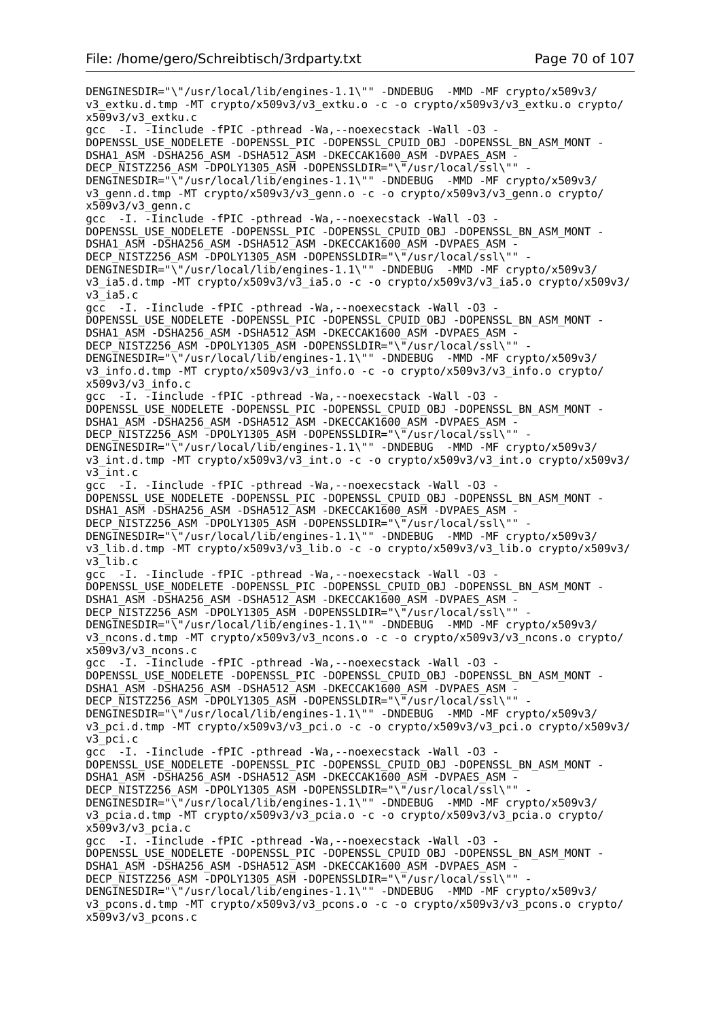DENGINESDIR="\"/usr/local/lib/engines-1.1\"" -DNDEBUG -MMD -MF crypto/x509v3/ v3\_extku.d.tmp -MT crypto/x509v3/v3\_extku.o -c -o crypto/x509v3/v3\_extku.o crypto/  $x509v3/v3$  extku.c gcc -I. -Iinclude -fPIC -pthread -Wa,--noexecstack -Wall -O3 - DOPENSSL\_USE\_NODELETE -DOPENSSL\_PIC -DOPENSSL\_CPUID\_OBJ -DOPENSSL\_BN\_ASM\_MONT - DSHA1\_ASM -DSHA256\_ASM -DSHA512\_ASM -DKECCAK1600\_ASM -DVPAES\_ASM - DECP\_NISTZ256\_ASM -DPOLY1305\_ASM -DOPENSSLDIR="\"/usr/local/ssl\"" DENGINESDIR="\"/usr/local/lib/engines-1.1\"" -DNDEBUG -MMD -MF crypto/x509v3/ v3\_genn.d.tmp -MT crypto/x509v3/v3\_genn.o -c -o crypto/x509v3/v3\_genn.o crypto/ x509v3/v3\_genn.c gcc -I. -Iinclude -fPIC -pthread -Wa,--noexecstack -Wall -O3 - DOPENSSL\_USE\_NODELETE -DOPENSSL\_PIC -DOPENSSL\_CPUID\_OBJ -DOPENSSL\_BN\_ASM\_MONT - DSHA1\_ASM -DSHA256\_ASM -DSHA512\_ASM -DKECCAK1600\_ASM -DVPAES\_ASM - DECP\_NISTZ256\_ASM -DPOLY1305\_ASM -DOPENSSLDIR="\"/usr/local/ssl\"" DENGINESDIR="\"/usr/local/lib/engines-1.1\"" -DNDEBUG -MMD -MF crypto/x509v3/ v3\_ia5.d.tmp -MT crypto/x509v3/v3\_ia5.o -c -o crypto/x509v3/v3\_ia5.o crypto/x509v3/ v3\_ia5.c gcc -I. -Iinclude -fPIC -pthread -Wa,--noexecstack -Wall -O3 - DOPENSSL\_USE\_NODELETE -DOPENSSL\_PIC -DOPENSSL\_CPUID\_OBJ -DOPENSSL\_BN\_ASM\_MONT - DSHA1\_ASM -DSHA256\_ASM -DSHA512\_ASM -DKECCAK1600\_ASM -DVPAES\_ASM - DECP\_NISTZ256\_ASM -DPOLY1305\_ASM -DOPENSSLDIR="\"/usr/local/ssl\"" DENGINESDIR="\"/usr/local/lib/engines-1.1\"" -DNDEBUG -MMD -MF crypto/x509v3/ v3\_info.d.tmp -MT crypto/x509v3/v3\_info.o -c -o crypto/x509v3/v3\_info.o crypto/  $x509v3/v3$  info.c gcc -I. -Iinclude -fPIC -pthread -Wa,--noexecstack -Wall -O3 - DOPENSSL\_USE\_NODELETE -DOPENSSL\_PIC -DOPENSSL\_CPUID\_OBJ -DOPENSSL\_BN\_ASM\_MONT - DSHA1\_ASM -DSHA256\_ASM -DSHA512\_ASM -DKECCAK1600\_ASM -DVPAES\_ASM - DECP\_NISTZ256\_ASM -DPOLY1305\_ASM -DOPENSSLDIR="\"/usr/local/ssl\"" DENGINESDIR="\"/usr/local/lib/engines-1.1\"" -DNDEBUG -MMD -MF crypto/x509v3/ v3\_int.d.tmp -MT crypto/x509v3/v3\_int.o -c -o crypto/x509v3/v3\_int.o crypto/x509v3/ v3\_int.c gcc -I. -Iinclude -fPIC -pthread -Wa,--noexecstack -Wall -O3 - DOPENSSL\_USE\_NODELETE -DOPENSSL\_PIC -DOPENSSL\_CPUID\_OBJ -DOPENSSL\_BN\_ASM\_MONT - DSHA1\_ASM -DSHA256\_ASM -DSHA512\_ASM -DKECCAK1600\_ASM -DVPAES\_ASM -DECP\_NISTZ256\_ASM -DPOLY1305\_ASM -DOPENSSLDIR="\"/usr/local/ssl\"" DENGINESDIR="\"/usr/local/lib/engines-1.1\"" -DNDEBUG -MMD -MF crypto/x509v3/ v3\_lib.d.tmp -MT crypto/x509v3/v3\_lib.o -c -o crypto/x509v3/v3\_lib.o crypto/x509v3/ v3\_lib.c gcc -I. -Iinclude -fPIC -pthread -Wa,--noexecstack -Wall -O3 - DOPENSSL\_USE\_NODELETE -DOPENSSL\_PIC -DOPENSSL\_CPUID\_OBJ -DOPENSSL\_BN\_ASM\_MONT - DSHA1\_ASM -DSHA256\_ASM -DSHA512\_ASM -DKECCAK1600\_ASM -DVPAES\_ASM -DECP NISTZ256 ASM -DPOLY1305 ASM -DOPENSSLDIR="\"/usr/local/ssl\"" DENGINESDIR="\"/usr/local/lib/engines-1.1\"" -DNDEBUG -MMD -MF crypto/x509v3/ v3\_ncons.d.tmp -MT crypto/x509v3/v3\_ncons.o -c -o crypto/x509v3/v3\_ncons.o crypto/  $x509v3/v3$  ncons.c gcc -I. -Iinclude -fPIC -pthread -Wa,--noexecstack -Wall -O3 - DOPENSSL\_USE\_NODELETE -DOPENSSL\_PIC -DOPENSSL\_CPUID\_OBJ -DOPENSSL\_BN\_ASM\_MONT - DSHA1\_ASM -DSHA256\_ASM -DSHA512\_ASM -DKECCAK1600\_ASM -DVPAES\_ASM -DECP NISTZ256 ASM -DPOLY1305 ASM -DOPENSSLDIR="\"/usr/local/ssl\"" DENGINESDIR="\"/usr/local/lib/engines-1.1\"" -DNDEBUG -MMD -MF crypto/x509v3/ v3\_pci.d.tmp -MT crypto/x509v3/v3\_pci.o -c -o crypto/x509v3/v3\_pci.o crypto/x509v3/ v3\_pci.c gcc -I. -Iinclude -fPIC -pthread -Wa,--noexecstack -Wall -O3 - DOPENSSL\_USE\_NODELETE -DOPENSSL\_PIC -DOPENSSL\_CPUID\_OBJ -DOPENSSL\_BN\_ASM\_MONT -DSHA1\_ASM -DSHA256\_ASM -DSHA512\_ASM -DKECCAK1600 ASM -DVPAES ASM -DECP\_NISTZ256\_ASM -DPOLY1305\_ASM -DOPENSSLDIR="\"/usr/local/ssl\"" DENGINESDIR="\"/usr/local/lib/engines-1.1\"" -DNDEBUG -MMD -MF crypto/x509v3/ v3\_pcia.d.tmp -MT crypto/x509v3/v3\_pcia.o -c -o crypto/x509v3/v3\_pcia.o crypto/ x509v3/v3\_pcia.c gcc -I. -Iinclude -fPIC -pthread -Wa,--noexecstack -Wall -O3 - DOPENSSL\_USE\_NODELETE -DOPENSSL\_PIC -DOPENSSL\_CPUID\_OBJ -DOPENSSL\_BN\_ASM\_MONT -DSHA1\_ASM -DSHA256\_ASM -DSHA512\_ASM -DKECCAK1600\_ASM -DVPAES\_ASM -DECP NISTZ256 ASM -DPOLY1305 ASM -DOPENSSLDIR="\"/usr/local/ssl\"" DENGINESDIR="\"/usr/local/lib/engines-1.1\"" -DNDEBUG -MMD -MF crypto/x509v3/ v3\_pcons.d.tmp -MT crypto/x509v3/v3\_pcons.o -c -o crypto/x509v3/v3\_pcons.o crypto/ x509v3/v3\_pcons.c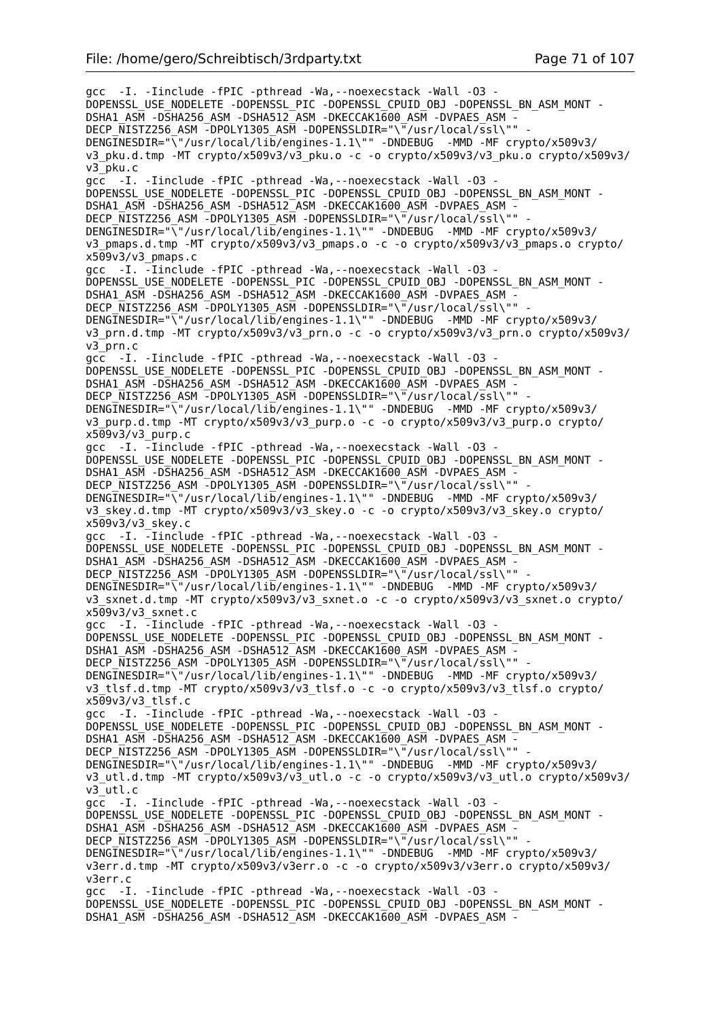gcc -I. -Iinclude -fPIC -pthread -Wa,--noexecstack -Wall -O3 - DOPENSSL\_USE\_NODELETE -DOPENSSL\_PIC -DOPENSSL\_CPUID\_OBJ -DOPENSSL\_BN\_ASM\_MONT - DSHA1\_ASM -DSHA256\_ASM -DSHA512\_ASM -DKECCAK1600\_ASM -DVPAES\_ASM - DECP\_NISTZ256\_ASM -DPOLY1305\_ASM -DOPENSSLDIR="\"/usr/local/ssl\"" - DENGINESDIR="\"/usr/local/lib/engines-1.1\"" -DNDEBUG -MMD -MF crypto/x509v3/ v3\_pku.d.tmp -MT crypto/x509v3/v3\_pku.o -c -o crypto/x509v3/v3\_pku.o crypto/x509v3/ v3\_pku.c acc -I. -Iinclude -fPIC -pthread -Wa, --noexecstack -Wall -03 -DOPENSSL\_USE\_NODELETE -DOPENSSL\_PIC -DOPENSSL\_CPUID\_OBJ -DOPENSSL\_BN\_ASM\_MONT -DSHA1\_ASM -DSHA256\_ASM -DSHA512\_ASM -DKECCAK1600 ASM -DVPAES ASM -DECP NISTZ256 ASM -DPOLY1305 ASM -DOPENSSLDIR="\"/usr/local/ssl\"" DENGINESDIR="\"/usr/local/lib/engines-1.1\"" -DNDEBUG -MMD -MF crypto/x509v3/ v3\_pmaps.d.tmp -MT crypto/x509v3/v3\_pmaps.o -c -o crypto/x509v3/v3\_pmaps.o crypto/ x509v3/v3\_pmaps.c gcc -I. -Iinclude -fPIC -pthread -Wa,--noexecstack -Wall -O3 - DOPENSSL\_USE\_NODELETE -DOPENSSL\_PIC -DOPENSSL\_CPUID\_OBJ -DOPENSSL\_BN\_ASM\_MONT -DSHA1\_ASM -DSHA256\_ASM -DSHA512\_ASM -DKECCAK1600\_ASM -DVPAES\_ASM -DECP NISTZ256 ASM -DPOLY1305 ASM -DOPENSSLDIR="\"/usr/local/ssl\"" DENGINESDIR="\"/usr/local/lib/engines-1.1\"" -DNDEBUG -MMD -MF crypto/x509v3/ v3\_prn.d.tmp -MT crypto/x509v3/v3\_prn.o -c -o crypto/x509v3/v3\_prn.o crypto/x509v3/ v3\_prn.c gcc -I. -Iinclude -fPIC -pthread -Wa, --noexecstack -Wall -03 -DOPENSSL\_USE\_NODELETE -DOPENSSL\_PIC -DOPENSSL\_CPUID\_OBJ -DOPENSSL\_BN\_ASM\_MONT -DSHA1\_ASM -DSHA256\_ASM -DSHA512\_ASM -DKECCAK1600\_ASM -DVPAES\_ASM -DECP\_NISTZ256\_ASM -DPOLY1305\_ASM -DOPENSSLDIR="\"/usr/local/ssl\"" -DENGINESDIR="\"/usr/local/lib/engines-1.1\"" -DNDEBUG -MMD -MF crypto/x509v3/ v3\_purp.d.tmp -MT crypto/x509v3/v3\_purp.o -c -o crypto/x509v3/v3\_purp.o crypto/  $x509v3/v3$  purp.c gcc -I. -Iinclude -fPIC -pthread -Wa,--noexecstack -Wall -O3 - DOPENSSL\_USE\_NODELETE -DOPENSSL\_PIC -DOPENSSL\_CPUID\_OBJ -DOPENSSL\_BN\_ASM\_MONT -DSHA1\_ASM -DSHA256\_ASM -DSHA512\_ASM -DKECCAK1600\_ASM -DVPAES\_ASM -DECP NISTZ256 ASM -DPOLY1305 ASM -DOPENSSLDIR="\"/usr/local/ssl\"" DENGINESDIR="\"/usr/local/lib/engines-1.1\"" -DNDEBUG -MMD -MF crypto/x509v3/ v3\_skey.d.tmp -MT crypto/x509v3/v3\_skey.o -c -o crypto/x509v3/v3\_skey.o crypto/ x509v3/v3\_skey.c gcc -I. -Iinclude -fPIC -pthread -Wa,--noexecstack -Wall -O3 - DOPENSSL\_USE\_NODELETE -DOPENSSL\_PIC -DOPENSSL\_CPUID\_OBJ -DOPENSSL\_BN\_ASM\_MONT - DSHA1\_ASM -DSHA256\_ASM -DSHA512\_ASM -DKECCAK1600\_ASM -DVPAES\_ASM - DECP\_NISTZ256\_ASM -DPOLY1305\_ASM -DOPENSSLDIR="\"/usr/local/ssl\"" -DENGINESDIR="\"/usr/local/lib/engines-1.1\"" -DNDEBUG -MMD -MF crypto/x509v3/ v3\_sxnet.d.tmp -MT crypto/x509v3/v3\_sxnet.o -c -o crypto/x509v3/v3\_sxnet.o crypto/  $x509v3/v3$  sxnet.c gcc -I. -Iinclude -fPIC -pthread -Wa,--noexecstack -Wall -O3 - DOPENSSL\_USE\_NODELETE -DOPENSSL\_PIC -DOPENSSL\_CPUID\_OBJ -DOPENSSL\_BN\_ASM\_MONT -DSHA1\_ASM -DSHA256\_ASM -DSHA512\_ASM -DKECCAK1600\_ASM -DVPAES\_ASM -DECP NISTZ256 ASM -DPOLY1305 ASM -DOPENSSLDIR="\"/usr/local/ssl\"" DENGINESDIR="\"/usr/local/lib/engines-1.1\"" -DNDEBUG -MMD -MF crypto/x509v3/ v3\_tlsf.d.tmp -MT crypto/x509v3/v3\_tlsf.o -c -o crypto/x509v3/v3\_tlsf.o crypto/  $x509v3/v3$  tlsf.c gcc -I.  $\overline{-}$ Iinclude -fPIC -pthread -Wa,--noexecstack -Wall -03 -DOPENSSL\_USE\_NODELETE -DOPENSSL\_PIC -DOPENSSL\_CPUID\_OBJ\_-DOPENSSL\_BN\_ASM\_MONT -DSHA1\_ASM -DSHA256\_ASM -DSHA512\_ASM -DKECCAK1600\_ASM -DVPAES\_ASM -DECP NISTZ256 ASM -DPOLY1305 ASM -DOPENSSLDIR="\"/usr/local/ssl\"" DENGINESDIR="\"/usr/local/lib/engines-1.1\"" -DNDEBUG -MMD -MF crypto/x509v3/ v3\_utl.d.tmp -MT crypto/x509v3/v3\_utl.o -c -o crypto/x509v3/v3\_utl.o crypto/x509v3/ v3\_utl.c gcc -I. -Iinclude -fPIC -pthread -Wa,--noexecstack -Wall -O3 - DOPENSSL\_USE\_NODELETE -DOPENSSL\_PIC -DOPENSSL\_CPUID\_OBJ -DOPENSSL\_BN\_ASM\_MONT - DSHA1\_ASM -DSHA256\_ASM -DSHA512\_ASM -DKECCAK1600\_ASM -DVPAES\_ASM -DECP\_NISTZ256\_ASM -DPOLY1305\_ASM -DOPENSSLDIR="\"/usr/local/ssl\"" DENGINESDIR="\"/usr/local/lib/engines-1.1\"" -DNDEBUG -MMD -MF crypto/x509v3/ v3err.d.tmp -MT crypto/x509v3/v3err.o -c -o crypto/x509v3/v3err.o crypto/x509v3/ v3err.c gcc -I. -Iinclude -fPIC -pthread -Wa,--noexecstack -Wall -O3 - DOPENSSL\_USE\_NODELETE -DOPENSSL\_PIC -DOPENSSL\_CPUID\_OBJ -DOPENSSL\_BN\_ASM\_MONT - DSHA1\_ASM -DSHA256\_ASM -DSHA512\_ASM -DKECCAK1600\_ASM -DVPAES\_ASM -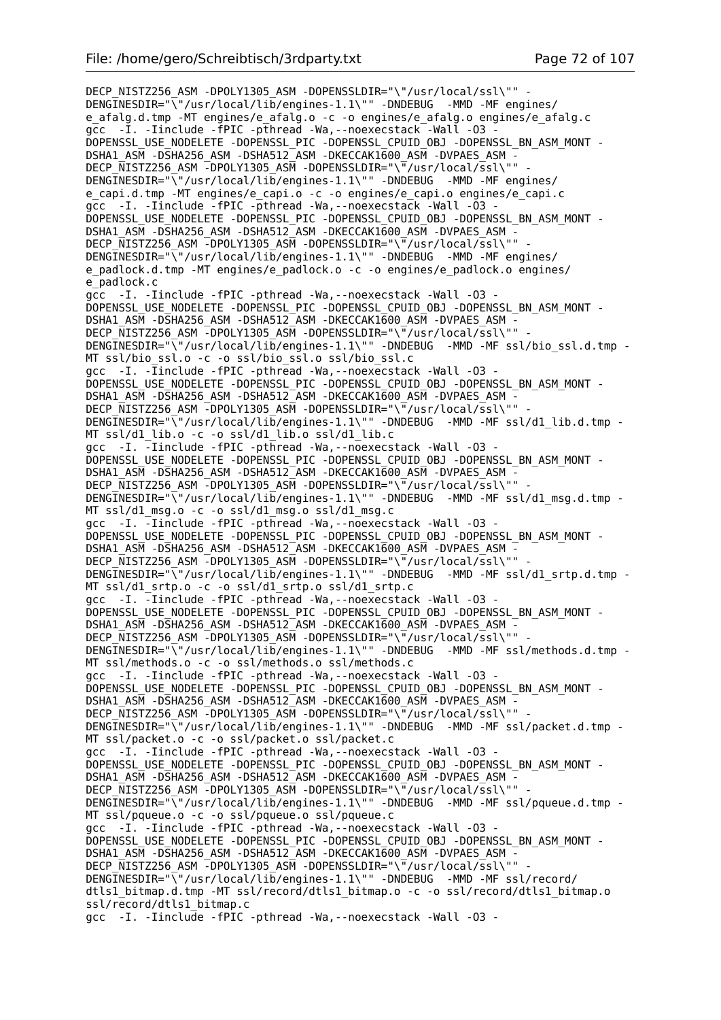DECP\_NISTZ256\_ASM -DPOLY1305\_ASM -DOPENSSLDIR="\"/usr/local/ssl\"" -DENGINESDIR="\"/usr/local/lib/engines-1.1\"" -DNDEBUG -MMD -MF engines/ e\_afalg.d.tmp -MT engines/e\_afalg.o -c -o engines/e\_afalg.o engines/e\_afalg.c gcc -I. -Iinclude -fPIC -pthread -Wa, --noexecstack -Wall -03 -DOPENSSL\_USE\_NODELETE -DOPENSSL\_PIC -DOPENSSL\_CPUID\_OBJ -DOPENSSL\_BN\_ASM\_MONT - DSHA1\_ASM -DSHA256\_ASM -DSHA512\_ASM -DKECCAK1600\_ASM -DVPAES\_ASM - DECP\_NISTZ256\_ASM -DPOLY1305\_ASM -DOPENSSLDIR="\"/usr/local/ssl\""  $DENGTNESDIR="\sqrt{1}$  /usr/local/lib/engines-1.1\"" -DNDEBUG -MMD -MF engines/ e capi.d.tmp -MT engines/e capi.o -c -o engines/e capi.o engines/e capi.c gcc -I. -Iinclude -fPIC -pthread -Wa,--noexecstack -Wall -O3 - DOPENSSL\_USE\_NODELETE -DOPENSSL\_PIC -DOPENSSL\_CPUID\_OBJ -DOPENSSL\_BN\_ASM\_MONT - DSHA1\_ASM -DSHA256\_ASM -DSHA512\_ASM -DKECCAK1600\_ASM -DVPAES\_ASM - DECP NISTZ256 ASM -DPOLY1305 ASM -DOPENSSLDIR="\"/usr/local/ssl\"" DENGINESDIR="\"/usr/local/lib/engines-1.1\"" -DNDEBUG -MMD -MF engines/ e padlock.d.tmp -MT engines/e\_padlock.o -c -o engines/e\_padlock.o engines/ e\_padlock.c gcc -I. -Iinclude -fPIC -pthread -Wa,--noexecstack -Wall -O3 - DOPENSSL\_USE\_NODELETE -DOPENSSL\_PIC -DOPENSSL\_CPUID\_OBJ -DOPENSSL\_BN\_ASM\_MONT - DSHA1\_ASM -DSHA256\_ASM -DSHA512\_ASM -DKECCAK1600\_ASM -DVPAES\_ASM -DECP\_NISTZ256\_ASM -DPOLY1305\_ASM -DOPENSSLDIR="\"/usr/local/ssl\"" DENGINESDIR="\"/usr/local/lib/engines-1.1\"" -DNDEBUG -MMD -MF ssl/bio ssl.d.tmp -MT ssl/bio ssl.o -c -o ssl/bio ssl.o ssl/bio ssl.c gcc -I. -Iinclude -fPIC -pthread -Wa,--noexecstack -Wall -O3 - DOPENSSL\_USE\_NODELETE -DOPENSSL\_PIC -DOPENSSL\_CPUID\_OBJ -DOPENSSL\_BN\_ASM\_MONT - DSHA1\_ASM -DSHA256\_ASM -DSHA512\_ASM -DKECCAK1600\_ASM -DVPAES\_ASM -DECP NISTZ256 ASM -DPOLY1305 ASM -DOPENSSLDIR="\"/usr/local/ssl\"" DENGINESDIR="\"/usr/local/lib/engines-1.1\"" -DNDEBUG -MMD -MF ssl/d1\_lib.d.tmp - MT ssl/d1\_lib.o -c -o ssl/d1\_lib.o ssl/d1\_lib.c gcc -I. -Iinclude -fPIC -pthread -Wa,--noexecstack -Wall -O3 - DOPENSSL\_USE\_NODELETE -DOPENSSL\_PIC -DOPENSSL\_CPUID\_OBJ -DOPENSSL\_BN\_ASM\_MONT - DSHA1\_ASM -DSHA256\_ASM -DSHA512\_ASM -DKECCAK1600\_ASM -DVPAES\_ASM -DECP NISTZ256 ASM -DPOLY1305 ASM -DOPENSSLDIR="\"/usr/local/ssl\""  $DENGTNESDIR="\sqrt{15}/\sqrt{10}$  /  $DMP = 1.1$   $m = 1.1$   $m = 1.1$   $m = 1.1$   $m = 1.1$   $m = 1.1$   $m = 1.1$   $m = 1.1$   $m = 1.1$   $m = 1.1$   $m = 1.1$   $m = 1.1$   $m = 1.1$   $m = 1.1$   $m = 1.1$   $m = 1.1$   $m = 1.1$   $m = 1.1$   $m = 1.1$   $m = 1.1$   $m = 1.1$   $m = 1.1$ MT ssl/d1\_msg.o -c -o ssl/d1\_msg.o ssl/d1\_msg.c gcc -I. -Iinclude -fPIC -pthread -Wa,--noexecstack -Wall -O3 - DOPENSSL\_USE\_NODELETE -DOPENSSL\_PIC -DOPENSSL\_CPUID\_OBJ -DOPENSSL\_BN\_ASM\_MONT - DSHA1\_ASM -DSHA256\_ASM -DSHA512\_ASM -DKECCAK1600\_ASM -DVPAES\_ASM -DECP\_NISTZ256\_ASM -DPOLY1305\_ASM -DOPENSSLDIR="\"/usr/local/ssl\"" DENGINESDIR="\"/usr/local/lib/engines-1.1\"" -DNDEBUG -MMD -MF ssl/d1 srtp.d.tmp -MT ssl/d1\_srtp.o -c -o ssl/d1\_srtp.o ssl/d1\_srtp.c gcc -I. -Iinclude -fPIC -pthread -Wa,--noexecstack -Wall -O3 - DOPENSSL\_USE\_NODELETE -DOPENSSL\_PIC -DOPENSSL\_CPUID\_OBJ -DOPENSSL\_BN\_ASM\_MONT - DSHA1\_ASM -DSHA256\_ASM -DSHA512\_ASM -DKECCAK1600\_ASM -DVPAES\_ASM - DECP NISTZ256 ASM -DPOLY1305 ASM -DOPENSSLDIR="\"/usr/local/ssl\"" DENGINESDIR="\"/usr/local/lib/engines-1.1\"" -DNDEBUG -MMD -MF ssl/methods.d.tmp -MT ssl/methods.o -c -o ssl/methods.o ssl/methods.c gcc -I. -Iinclude -fPIC -pthread -Wa,--noexecstack -Wall -O3 - DOPENSSL\_USE\_NODELETE -DOPENSSL\_PIC -DOPENSSL\_CPUID\_OBJ -DOPENSSL\_BN\_ASM\_MONT - DSHA1\_ASM -DSHA256\_ASM -DSHA512\_ASM -DKECCAK1600\_ASM -DVPAES\_ASM - DECP\_NISTZ256\_ASM -DPOLY1305\_ASM -DOPENSSLDIR="\"/usr/local/ssl\"" - DENGINESDIR="\"/usr/local/lib/engines-1.1\"" -DNDEBUG -MMD -MF ssl/packet.d.tmp - MT ssl/packet.o -c -o ssl/packet.o ssl/packet.c gcc -I. -Iinclude -fPIC -pthread -Wa,--noexecstack -Wall -O3 - DOPENSSL\_USE\_NODELETE -DOPENSSL\_PIC -DOPENSSL\_CPUID\_OBJ -DOPENSSL\_BN\_ASM\_MONT -DSHA1\_ASM -DSHA256\_ASM -DSHA512\_ASM -DKECCAK1600 ASM -DVPAES ASM -DECP\_NISTZ256\_ASM -DPOLY1305\_ASM -DOPENSSLDIR="\"/usr/local/ssl\"" DENGINESDIR="\"/usr/local/lib/engines-1.1\"" -DNDEBUG -MMD -MF ssl/pqueue.d.tmp - MT ssl/pqueue.o -c -o ssl/pqueue.o ssl/pqueue.c gcc -I. -Iinclude -fPIC -pthread -Wa,--noexecstack -Wall -O3 - DOPENSSL\_USE\_NODELETE -DOPENSSL\_PIC -DOPENSSL\_CPUID\_OBJ -DOPENSSL\_BN\_ASM\_MONT - DSHA1\_ASM -DSHA256\_ASM -DSHA512\_ASM -DKECCAK1600\_ASM -DVPAES\_ASM -DECP NISTZ256 ASM -DPOLY1305 ASM -DOPENSSLDIR="\"/usr/local/ssl\"" DENGINESDIR="\"/usr/local/lib/engines-1.1\"" -DNDEBUG -MMD -MF ssl/record/ dtls1\_bitmap.d.tmp -MT ssl/record/dtls1\_bitmap.o -c -o ssl/record/dtls1\_bitmap.o ssl/record/dtls1 bitmap.c gcc -I. -Iinclude -fPIC -pthread -Wa,--noexecstack -Wall -O3 -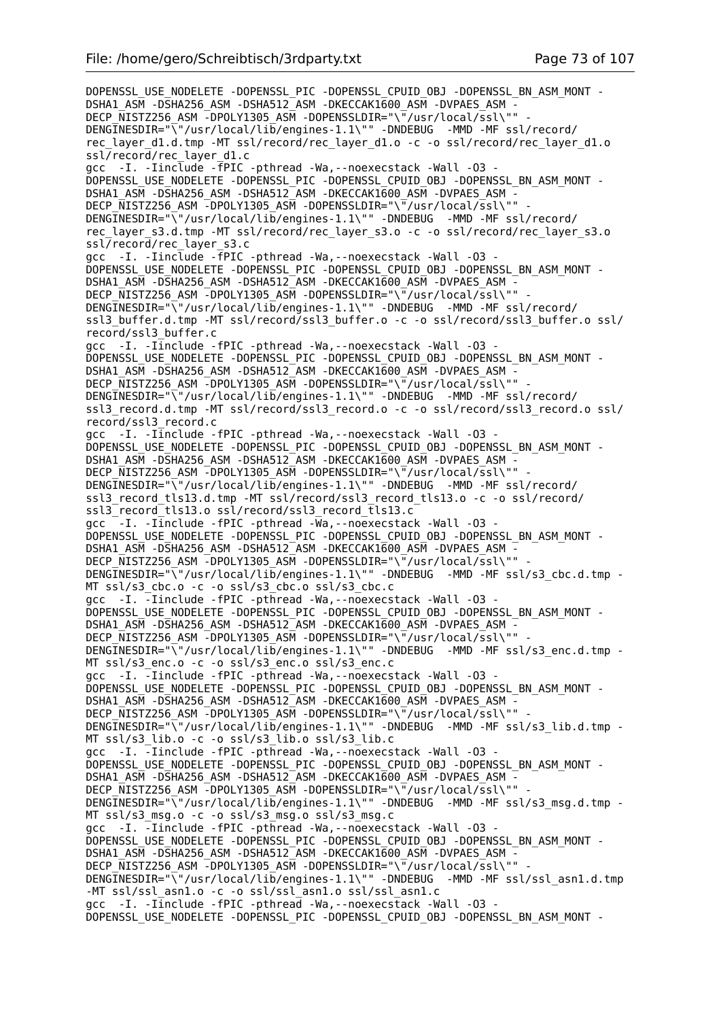DOPENSSL\_USE\_NODELETE -DOPENSSL\_PIC -DOPENSSL\_CPUID\_OBJ -DOPENSSL\_BN\_ASM\_MONT -DSHA1\_ASM -DSHA256\_ASM -DSHA512\_ASM -DKECCAK1600\_ASM -DVPAES\_ASM -DECP\_NISTZ256\_ASM -DPOLY1305\_ASM -DOPENSSLDIR="\"/usr/local/ssl\"" DENGINESDIR="\"/usr/local/lib/engines-1.1\"" -DNDEBUG -MMD -MF ssl/record/ rec\_layer\_d1.d.tmp -MT ssl/record/rec\_layer\_d1.o -c -o ssl/record/rec\_layer\_d1.o ssl/record/rec\_layer\_d1.c gcc -I. -Iinclude -fPIC -pthread -Wa,--noexecstack -Wall -O3 - DOPENSSL\_USE\_NODELETE -DOPENSSL\_PIC -DOPENSSL\_CPUID\_OBJ -DOPENSSL\_BN\_ASM\_MONT - DSHA1\_ASM -DSHA256\_ASM -DSHA512\_ASM -DKECCAK1600\_ASM -DVPAES\_ASM -DECP NISTZ256 ASM -DPOLY1305 ASM -DOPENSSLDIR="\"/usr/local/ssl\"" DENGINESDIR="\"/usr/local/lib/engines-1.1\"" -DNDEBUG -MMD -MF ssl/record/ rec\_layer\_s3.d.tmp -MT ssl/record/rec\_layer\_s3.o -c -o ssl/record/rec\_layer\_s3.o ssl/record/rec\_layer\_s3.c gcc -I. -Iinclude -fPIC -pthread -Wa,--noexecstack -Wall -O3 - DOPENSSL\_USE\_NODELETE -DOPENSSL\_PIC -DOPENSSL\_CPUID\_OBJ -DOPENSSL\_BN\_ASM\_MONT -DSHA1\_ASM -DSHA256\_ASM -DSHA512\_ASM -DKECCAK1600\_ASM -DVPAES\_ASM - DECP NISTZ256 ASM -DPOLY1305 ASM -DOPENSSLDIR="\"/usr/local/ssl\"" DENGINESDIR="\"/usr/local/lib/engines-1.1\"" -DNDEBUG -MMD -MF ssl/record/ ssl3\_buffer.d.tmp -MT ssl/record/ssl3\_buffer.o -c -o ssl/record/ssl3\_buffer.o ssl/ record/ssl3\_buffer.c gcc -I. -Iinclude -fPIC -pthread -Wa,--noexecstack -Wall -O3 - DOPENSSL\_USE\_NODELETE -DOPENSSL\_PIC -DOPENSSL\_CPUID\_OBJ -DOPENSSL\_BN\_ASM\_MONT - DSHA1\_ASM -DSHA256\_ASM -DSHA512\_ASM -DKECCAK1600\_ASM -DVPAES\_ASM -DECP\_NISTZ256\_ASM -DPOLY1305\_ASM -DOPENSSLDIR="\"/usr/local/ssl\"" DENGINESDIR="\"/usr/local/lib/engines-1.1\"" -DNDEBUG -MMD -MF ssl/record/ ssl3\_record.d.tmp -MT ssl/record/ssl3\_record.o -c -o ssl/record/ssl3\_record.o ssl/ record/ssl3\_record.c gcc -I. -Iinclude -fPIC -pthread -Wa,--noexecstack -Wall -O3 - DOPENSSL\_USE\_NODELETE -DOPENSSL\_PIC -DOPENSSL\_CPUID\_OBJ -DOPENSSL\_BN\_ASM\_MONT -DSHA1\_ASM -DSHA256\_ASM -DSHA512\_ASM -DKECCAK1600\_ASM -DVPAES\_ASM -DECP NISTZ256 ASM -DPOLY1305 ASM -DOPENSSLDIR="\"/usr/local/ssl\"" DENGINESDIR="\"/usr/local/lib/engines-1.1\"" -DNDEBUG -MMD -MF ssl/record/ ssl3\_record\_tls13.d.tmp -MT ssl/record/ssl3\_record\_tls13.o -c -o ssl/record/ ssl3\_record\_tls13.o ssl/record/ssl3\_record\_tls13.c gcc  $-I.$  -Iinclude -fPIC -pthread -Wa, --noexecstack -Wall -03 -DOPENSSL\_USE\_NODELETE -DOPENSSL\_PIC -DOPENSSL\_CPUID\_OBJ -DOPENSSL\_BN\_ASM\_MONT - DSHA1\_ASM -DSHA256\_ASM -DSHA512\_ASM -DKECCAK1600\_ASM -DVPAES\_ASM -DECP\_NISTZ256\_ASM -DPOLY1305\_ASM -DOPENSSLDIR="\"/usr/local/ssl\""  $DENGTNESDIR="\sqrt{15}/log1/110/2$  -DNDEBUG -MMD -MF ssl/s3 cbc.d.tmp MT ssl/s3\_cbc.o -c -o ssl/s3\_cbc.o ssl/s3\_cbc.c gcc -I. -Iinclude -fPIC -pthread -Wa,--noexecstack -Wall -O3 - DOPENSSL\_USE\_NODELETE -DOPENSSL\_PIC -DOPENSSL\_CPUID\_OBJ -DOPENSSL\_BN\_ASM\_MONT - DSHA1\_ASM -DSHA256\_ASM -DSHA512\_ASM -DKECCAK1600\_ASM -DVPAES\_ASM - DECP NISTZ256 ASM -DPOLY1305 ASM -DOPENSSLDIR="\"/usr/local/ssl\"" DENGINESDIR="\"/usr/local/lib/engines-1.1\"" -DNDEBUG -MMD -MF ssl/s3 enc.d.tmp -MT ssl/s3 enc.o -c -o ssl/s3 enc.o ssl/s3 enc.c gcc -I. -Iinclude -fPIC -pthread -Wa,--noexecstack -Wall -O3 - DOPENSSL\_USE\_NODELETE -DOPENSSL\_PIC -DOPENSSL\_CPUID\_OBJ -DOPENSSL\_BN\_ASM\_MONT - DSHA1\_ASM -DSHA256\_ASM -DSHA512\_ASM -DKECCAK1600\_ASM -DVPAES\_ASM - DECP\_NISTZ256\_ASM -DPOLY1305\_ASM -DOPENSSLDIR="\"/usr/local/ssl\"" - DENGINESDIR="\"/usr/local/lib/engines-1.1\"" -DNDEBUG -MMD -MF ssl/s3 lib.d.tmp -MT ssl/s3 lib.o -c -o ssl/s3 lib.o ssl/s3 lib.c gcc -I. -Iinclude -fPIC -pthread -Wa,--noexecstack -Wall -O3 - DOPENSSL\_USE\_NODELETE -DOPENSSL\_PIC -DOPENSSL\_CPUID\_OBJ -DOPENSSL\_BN\_ASM\_MONT -DSHA1\_ASM -DSHA256\_ASM -DSHA512\_ASM -DKECCAK1600\_ASM -DVPAES\_ASM -DECP\_NISTZ256\_ASM -DPOLY1305\_ASM -DOPENSSLDIR="\"/usr/local/ssl\""  $DENGTNESDIR="\sqrt{15}$  /usr/local/lib/engines-1.1\"" -DNDEBUG -MMD -MF ssl/s3 msg.d.tmp -MT ssl/s3\_msg.o -c -o ssl/s3\_msg.o ssl/s3\_msg.c gcc -I. -Iinclude -fPIC -pthread -Wa,--noexecstack -Wall -O3 - DOPENSSL\_USE\_NODELETE -DOPENSSL\_PIC -DOPENSSL\_CPUID\_OBJ -DOPENSSL\_BN\_ASM\_MONT - DSHA1\_ASM -DSHA256\_ASM -DSHA512\_ASM -DKECCAK1600\_ASM -DVPAES\_ASM -DECP NISTZ256 ASM -DPOLY1305 ASM -DOPENSSLDIR="\"/usr/local/ssl\"" DENGINESDIR="\"/usr/local/lib/engines-1.1\"" -DNDEBUG -MMD -MF ssl/ssl\_asn1.d.tmp -MT ssl/ssl\_asn1.o -c -o ssl/ssl\_asn1.o ssl/ssl\_asn1.c gcc -I. -Iinclude -fPIC -pthread -Wa,--noexecstack -Wall -O3 - DOPENSSL\_USE\_NODELETE -DOPENSSL\_PIC -DOPENSSL\_CPUID\_OBJ\_-DOPENSSL\_BN\_ASM\_MONT -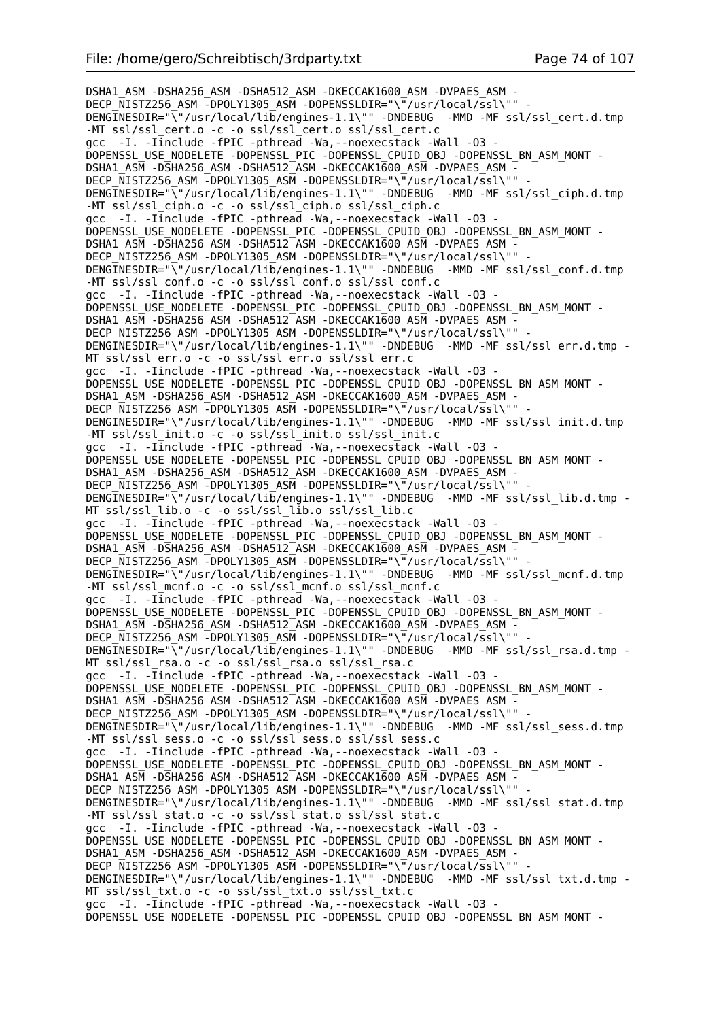DSHA1\_ASM -DSHA256\_ASM -DSHA512\_ASM -DKECCAK1600\_ASM -DVPAES\_ASM - DECP\_NISTZ256\_ASM -DPOLY1305\_ASM -DOPENSSLDIR="\"/usr/local/ssl\"" DENGINESDIR="\"/usr/local/lib/engines-1.1\"" -DNDEBUG -MMD -MF ssl/ssl cert.d.tmp -MT ssl/ssl\_cert.o -c -o ssl/ssl\_cert.o ssl/ssl\_cert.c gcc -I. -Iinclude -fPIC -pthread -Wa,--noexecstack -Wall -O3 - DOPENSSL\_USE\_NODELETE -DOPENSSL\_PIC -DOPENSSL\_CPUID\_OBJ -DOPENSSL\_BN\_ASM\_MONT - DSHA1\_ASM -DSHA256\_ASM -DSHA512\_ASM -DKECCAK1600\_ASM -DVPAES\_ASM -DECP NISTZ256 ASM -DPOLY1305 ASM -DOPENSSLDIR="\"/usr/local/ssl\"" DENGINESDIR="\"/usr/local/lib/engines-1.1\"" -DNDEBUG -MMD -MF ssl/ssl ciph.d.tmp -MT ssl/ssl\_ciph.o -c -o ssl/ssl\_ciph.o ssl/ssl\_ciph.c gcc -I. -Iinclude -fPIC -pthread -Wa,--noexecstack -Wall -O3 - DOPENSSL\_USE\_NODELETE -DOPENSSL\_PIC -DOPENSSL\_CPUID\_OBJ -DOPENSSL\_BN\_ASM\_MONT - DSHA1\_ASM -DSHA256\_ASM -DSHA512\_ASM -DKECCAK1600\_ASM -DVPAES\_ASM - DECP\_NISTZ256\_ASM -DPOLY1305\_ASM -DOPENSSLDIR="\"/usr/local/ssl\"" DENGINESDIR="\"/usr/local/lib/engines-1.1\"" -DNDEBUG -MMD -MF ssl/ssl conf.d.tmp -MT ssl/ssl conf.o -c -o ssl/ssl conf.o ssl/ssl conf.c gcc -I. -Iinclude -fPIC -pthread -Wa,--noexecstack -Wall -O3 - DOPENSSL\_USE\_NODELETE -DOPENSSL\_PIC -DOPENSSL\_CPUID\_OBJ -DOPENSSL\_BN\_ASM\_MONT - DSHA1\_ASM -DSHA256\_ASM -DSHA512\_ASM -DKECCAK1600\_ASM -DVPAES\_ASM -DECP NISTZ256 ASM -DPOLY1305 ASM -DOPENSSLDIR="\"/usr/local/ssl\"" DENGINESDIR="\"/usr/local/lib/engines-1.1\"" -DNDEBUG -MMD -MF ssl/ssl err.d.tmp -MT ssl/ssl err.o -c -o ssl/ssl err.o ssl/ssl err.c gcc -I. -Iinclude -fPIC -pthread -Wa,--noexecstack -Wall -O3 - DOPENSSL\_USE\_NODELETE -DOPENSSL\_PIC -DOPENSSL\_CPUID\_OBJ -DOPENSSL\_BN\_ASM\_MONT - DSHA1\_ASM -DSHA256\_ASM -DSHA512\_ASM -DKECCAK1600\_ASM -DVPAES\_ASM -DECP NISTZ256 ASM  $\overline{-}$ DPOLY1305 ASM -DOPENSSLDIR="\ $\overline{-}/$ usr/local/ssl\"" DENGINESDIR="\"/usr/local/lib/engines-1.1\"" -DNDEBUG -MMD -MF ssl/ssl init.d.tmp -MT ssl/ssl\_init.o -c -o ssl/ssl\_init.o ssl/ssl\_init.c gcc -I. -Iinclude -fPIC -pthread -Wa,--noexecstack -Wall -O3 - DOPENSSL\_USE\_NODELETE -DOPENSSL\_PIC -DOPENSSL\_CPUID\_OBJ -DOPENSSL\_BN\_ASM\_MONT - DSHA1\_ASM -DSHA256\_ASM -DSHA512\_ASM -DKECCAK1600\_ASM -DVPAES\_ASM -DECP NISTZ256 ASM -DPOLY1305 ASM -DOPENSSLDIR="\"/usr/local/ssl\""  $DENG\overline{I}NESDIR="\overline{\\}'/usr/local/li\overline{b}/engines-1.1\$ " - $DNDEBUG$  -MMD -MF ssl/ssl lib.d.tmp -MT ssl/ssl\_lib.o -c -o ssl/ssl\_lib.o ssl/ssl\_lib.c gcc -I. -Iinclude -fPIC -pthread -Wa,--noexecstack -Wall -O3 - DOPENSSL\_USE\_NODELETE -DOPENSSL\_PIC -DOPENSSL\_CPUID\_OBJ -DOPENSSL\_BN\_ASM\_MONT - DSHA1\_ASM -DSHA256\_ASM -DSHA512\_ASM -DKECCAK1600\_ASM -DVPAES\_ASM -DECP\_NISTZ256\_ASM -DPOLY1305\_ASM -DOPENSSLDIR="\"/usr/local/ssl\"" DENGINESDIR="\"/usr/local/lib/engines-1.1\"" -DNDEBUG -MMD -MF ssl/ssl mcnf.d.tmp -MT ssl/ssl\_mcnf.o -c -o ssl/ssl\_mcnf.o ssl/ssl\_mcnf.c gcc -I. -Iinclude -fPIC -pthread -Wa,--noexecstack -Wall -O3 - DOPENSSL\_USE\_NODELETE -DOPENSSL\_PIC -DOPENSSL\_CPUID\_OBJ -DOPENSSL\_BN\_ASM\_MONT - DSHA1\_ASM -DSHA256\_ASM -DSHA512\_ASM -DKECCAK1600\_ASM -DVPAES\_ASM - DECP\_NISTZ256\_ASM -DPOLY1305\_ASM -DOPENSSLDIR="\"/usr/local/ssl\"" -<br>DENGINESDIR="\"/usr/local/lib/engines-1.1\"" -DNDEBUG -MMD -MF ssl/ssl\_rsa.d.tmp - $DENG\overline{INESDIR}="\overline{V}''/usr/local/lib/enqines -1.1V''' -DND EBUG$ MT ssl/ssl\_rsa.o -c -o ssl/ssl\_rsa.o ssl/ssl\_rsa.c gcc -I. -Iinclude -fPIC -pthread -Wa,--noexecstack -Wall -O3 - DOPENSSL\_USE\_NODELETE -DOPENSSL\_PIC -DOPENSSL\_CPUID\_OBJ -DOPENSSL\_BN\_ASM\_MONT - DSHA1\_ASM -DSHA256\_ASM -DSHA512\_ASM -DKECCAK1600\_ASM -DVPAES\_ASM - DECP\_NISTZ256\_ASM\_-DPOLY1305\_ASM\_-DOPENSSLDIR="\"/usr/local/ssl\"" DENGINESDIR="\"/usr/local/lib/engines-1.1\"" -DNDEBUG -MMD -MF ssl/ssl sess.d.tmp -MT ssl/ssl\_sess.o -c -o ssl/ssl\_sess.o ssl/ssl\_sess.c gcc -I. -Iinclude -fPIC -pthread -Wa,--noexecstack -Wall -O3 - DOPENSSL\_USE\_NODELETE -DOPENSSL\_PIC -DOPENSSL\_CPUID\_OBJ -DOPENSSL\_BN\_ASM\_MONT -DSHA1\_ASM -DSHA256\_ASM -DSHA512\_ASM -DKECCAK1600 ASM -DVPAES ASM -DECP\_NISTZ256\_ASM\_-DPOLY1305\_ASM\_-DOPENSSLDIR="\"/usr/local/ssl\"" DENGINESDIR="\"/usr/local/lib/engines-1.1\"" -DNDEBUG -MMD -MF ssl/ssl stat.d.tmp -MT ssl/ssl stat.o -c -o ssl/ssl stat.o ssl/ssl stat.c gcc -I. -Iinclude -fPIC -pthread -Wa,--noexecstack -Wall -O3 - DOPENSSL\_USE\_NODELETE -DOPENSSL\_PIC -DOPENSSL\_CPUID\_OBJ -DOPENSSL\_BN\_ASM\_MONT - DSHA1\_ASM -DSHA256\_ASM -DSHA512\_ASM -DKECCAK1600\_ASM -DVPAES\_ASM -DECP NISTZ256 ASM -DPOLY1305 ASM -DOPENSSLDIR="\"/usr/local/ssl\"" DENGINESDIR="\"/usr/local/lib/engines-1.1\"" -DNDEBUG -MMD -MF ssl/ssl txt.d.tmp -MT ssl/ssl\_txt.o -c -o ssl/ssl\_txt.o ssl/ssl\_txt.c gcc -I. -Iinclude -fPIC -pthread -Wa,--noexecstack -Wall -O3 - DOPENSSL\_USE\_NODELETE -DOPENSSL\_PIC -DOPENSSL\_CPUID\_OBJ\_-DOPENSSL\_BN\_ASM\_MONT -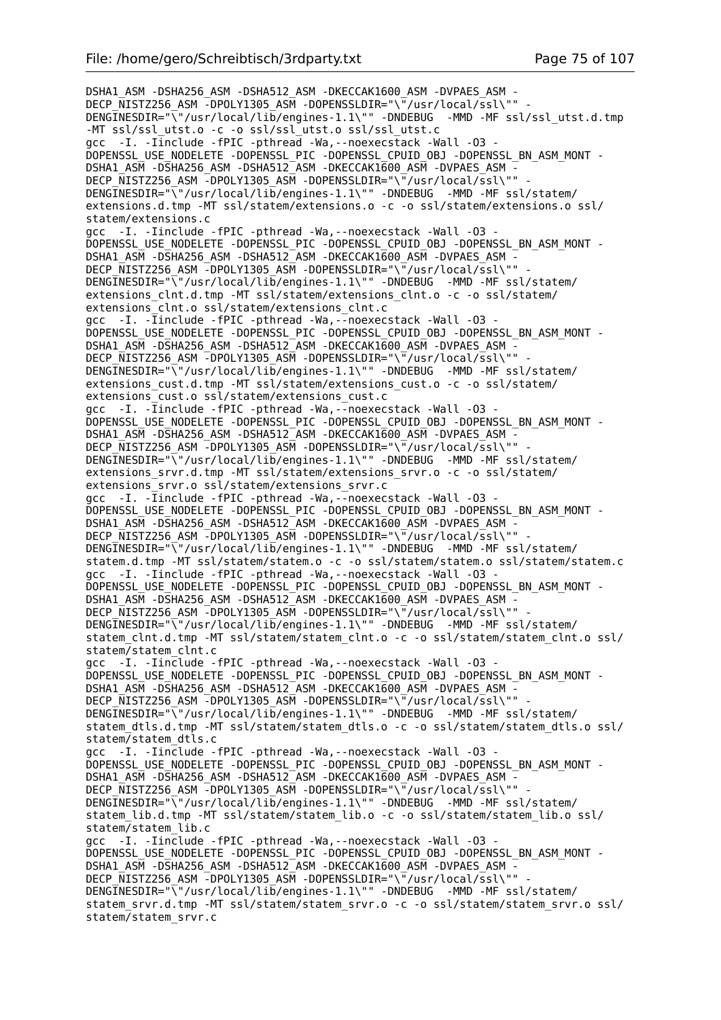DSHA1\_ASM -DSHA256\_ASM -DSHA512\_ASM -DKECCAK1600\_ASM -DVPAES\_ASM - DECP\_NISTZ256\_ASM -DPOLY1305\_ASM -DOPENSSLDIR="\"/usr/local/ssl\"" DENGINESDIR="\"/usr/local/lib/engines-1.1\"" -DNDEBUG -MMD -MF ssl/ssl utst.d.tmp -MT ssl/ssl\_utst.o -c -o ssl/ssl\_utst.o ssl/ssl\_utst.c gcc -I. -Iinclude -fPIC -pthread -Wa,--noexecstack -Wall -O3 - DOPENSSL\_USE\_NODELETE -DOPENSSL\_PIC -DOPENSSL\_CPUID\_OBJ -DOPENSSL\_BN\_ASM\_MONT - DSHA1\_ASM -DSHA256\_ASM -DSHA512\_ASM -DKECCAK1600\_ASM -DVPAES\_ASM -DECP NISTZ256 ASM -DPOLY1305 ASM -DOPENSSLDIR="\"/usr/local/ssl\"" DENGINESDIR="\"/usr/local/lib/engines-1.1\"" -DNDEBUG -MMD -MF ssl/statem/ extensions.d.tmp -MT ssl/statem/extensions.o -c -o ssl/statem/extensions.o ssl/ statem/extensions.c gcc -I. -Iinclude -fPIC -pthread -Wa,--noexecstack -Wall -O3 - DOPENSSL\_USE\_NODELETE -DOPENSSL\_PIC -DOPENSSL\_CPUID\_OBJ\_-DOPENSSL\_BN\_ASM\_MONT -DSHA1\_ASM -DSHA256\_ASM -DSHA512\_ASM -DKECCAK1600\_ASM -DVPAES\_ASM -DECP NISTZ256 ASM -DPOLY1305 ASM -DOPENSSLDIR="\"/usr/local/ssl\"" DENGINESDIR="\"/usr/local/lib/engines-1.1\"" -DNDEBUG -MMD -MF ssl/statem/ extensions clnt.d.tmp -MT ssl/statem/extensions clnt.o -c -o ssl/statem/ extensions\_clnt.o ssl/statem/extensions\_clnt.c gcc -I. -Iinclude -fPIC -pthread -Wa,--noexecstack -Wall -O3 - DOPENSSL\_USE\_NODELETE -DOPENSSL\_PIC -DOPENSSL\_CPUID\_OBJ -DOPENSSL\_BN\_ASM\_MONT - DSHA1\_ASM -DSHA256\_ASM -DSHA512\_ASM -DKECCAK1600\_ASM -DVPAES\_ASM - DECP  $\overline{\text{N}}$ ISTZ256 ASM -DPOLY1305 ASM -DOPENSSLDIR="\"/usr/local/ssl\"" DENGINESDIR="\"/usr/local/lib/engines-1.1\"" -DNDEBUG -MMD -MF ssl/statem/ extensions cust.d.tmp -MT ssl/statem/extensions cust.o -c -o ssl/statem/ extensions cust.o ssl/statem/extensions cust.c gcc -I. - Iinclude -fPIC -pthread -Wa, --noexecstack -Wall -03 -DOPENSSL\_USE\_NODELETE -DOPENSSL\_PIC -DOPENSSL\_CPUID\_OBJ -DOPENSSL\_BN\_ASM\_MONT - DSHA1\_ASM -DSHA256\_ASM -DSHA512\_ASM -DKECCAK1600\_ASM -DVPAES\_ASM - DECP\_NISTZ256\_ASM -DPOLY1305\_ASM -DOPENSSLDIR="\"/usr/local/ssl\"" - DENGINESDIR="\"/usr/local/lib/engines-1.1\"" -DNDEBUG -MMD -MF ssl/statem/ extensions\_srvr.d.tmp -MT ssl/statem/extensions\_srvr.o -c -o ssl/statem/ extensions\_srvr.o ssl/statem/extensions\_srvr.c gcc -I. -Iinclude -fPIC -pthread -Wa,--noexecstack -Wall -O3 - DOPENSSL\_USE\_NODELETE -DOPENSSL\_PIC -DOPENSSL\_CPUID\_OBJ -DOPENSSL\_BN\_ASM\_MONT - DSHA1\_ASM -DSHA256\_ASM -DSHA512\_ASM -DKECCAK1600\_ASM -DVPAES\_ASM - DECP\_NISTZ256\_ASM -DPOLY1305\_ASM -DOPENSSLDIR="\"/usr/local/ssl\"" DENGINESDIR="\"/usr/local/lib/engines-1.1\"" -DNDEBUG -MMD -MF ssl/statem/ statem.d.tmp -MT ssl/statem/statem.o -c -o ssl/statem/statem.o ssl/statem/statem.c gcc -I. -Iinclude -fPIC -pthread -Wa,--noexecstack -Wall -O3 - DOPENSSL\_USE\_NODELETE -DOPENSSL\_PIC -DOPENSSL\_CPUID\_OBJ -DOPENSSL\_BN\_ASM\_MONT - DSHA1\_ASM -DSHA256\_ASM -DSHA512\_ASM -DKECCAK1600\_ASM -DVPAES\_ASM -DECP NISTZ256 ASM -DPOLY1305 ASM -DOPENSSLDIR="\"/usr/local/ssl\"" DENGINESDIR="\"/usr/local/lib/engines-1.1\"" -DNDEBUG -MMD -MF ssl/statem/ statem\_clnt.d.tmp -MT ssl/statem/statem\_clnt.o -c -o ssl/statem/statem\_clnt.o ssl/ statem/statem\_clnt.c gcc -I. -Iinclude -fPIC -pthread -Wa,--noexecstack -Wall -O3 - DOPENSSL\_USE\_NODELETE -DOPENSSL\_PIC -DOPENSSL\_CPUID\_OBJ -DOPENSSL\_BN\_ASM\_MONT - DSHA1\_ASM -DSHA256\_ASM -DSHA512\_ASM -DKECCAK1600\_ASM -DVPAES\_ASM -DECP NISTZ256 ASM -DPOLY1305 ASM -DOPENSSLDIR="\"/usr/local/ssl\"" DENGINESDIR="\"/usr/local/lib/engines-1.1\"" -DNDEBUG -MMD -MF ssl/statem/ statem\_dtls.d.tmp -MT ssl/statem/statem\_dtls.o -c -o ssl/statem/statem\_dtls.o ssl/ statem/statem\_dtls.c gcc -I. -Iinclude -fPIC -pthread -Wa,--noexecstack -Wall -O3 - DOPENSSL\_USE\_NODELETE -DOPENSSL\_PIC -DOPENSSL\_CPUID\_OBJ -DOPENSSL\_BN\_ASM\_MONT -DSHA1\_ASM -DSHA256\_ASM -DSHA512\_ASM -DKECCAK1600 ASM -DVPAES ASM -DECP\_NISTZ256\_ASM -DPOLY1305\_ASM -DOPENSSLDIR="\"/usr/local/ssl\"" DENGINESDIR="\"/usr/local/lib/engines-1.1\"" -DNDEBUG -MMD -MF ssl/statem/ statem\_lib.d.tmp -MT ssl/statem/statem\_lib.o -c -o ssl/statem/statem\_lib.o ssl/ statem/statem\_lib.c gcc -I. -Iinclude -fPIC -pthread -Wa,--noexecstack -Wall -O3 - DOPENSSL\_USE\_NODELETE -DOPENSSL\_PIC -DOPENSSL\_CPUID\_OBJ -DOPENSSL\_BN\_ASM\_MONT -DSHA1\_ASM -DSHA256\_ASM -DSHA512\_ASM -DKECCAK1600\_ASM -DVPAES\_ASM -DECP NISTZ256 ASM -DPOLY1305 ASM -DOPENSSLDIR="\"/usr/local/ssl\"" DENGINESDIR="\"/usr/local/lib/engines-1.1\"" -DNDEBUG -MMD -MF ssl/statem/ statem\_srvr.d.tmp -MT ssl/statem/statem\_srvr.o -c -o ssl/statem/statem\_srvr.o ssl/ statem/statem\_srvr.c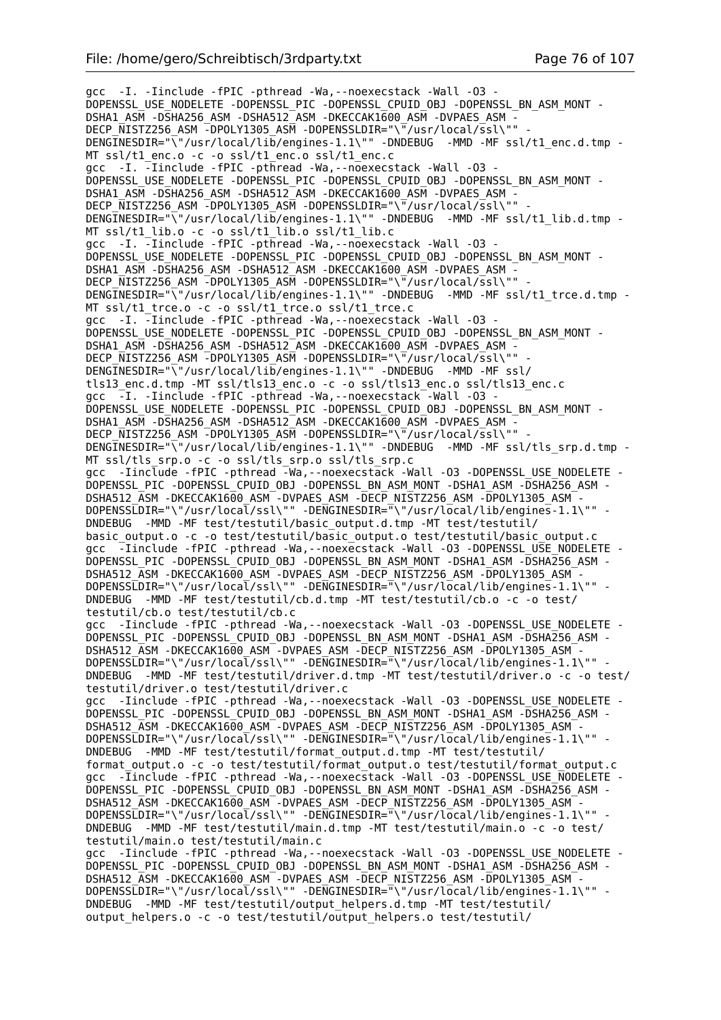gcc -I. -Iinclude -fPIC -pthread -Wa,--noexecstack -Wall -O3 - DOPENSSL\_USE\_NODELETE -DOPENSSL\_PIC -DOPENSSL\_CPUID\_OBJ -DOPENSSL\_BN\_ASM\_MONT - DSHA1\_ASM -DSHA256\_ASM -DSHA512\_ASM -DKECCAK1600\_ASM -DVPAES\_ASM -DECP NISTZ256 ASM -DPOLY1305 ASM -DOPENSSLDIR="\"/usr/local/ssl\"" DENGINESDIR="\"/usr/local/lib/engines-1.1\"" -DNDEBUG -MMD -MF ssl/t1 enc.d.tmp -MT ssl/t1 enc.o -c -o ssl/t1 enc.o ssl/t1 enc.c gcc -I. -Iinclude -fPIC -pthread -Wa,--noexecstack -Wall -O3 - DOPENSSL\_USE\_NODELETE -DOPENSSL\_PIC -DOPENSSL\_CPUID\_OBJ -DOPENSSL\_BN\_ASM\_MONT - DSHA1\_ASM -DSHA256\_ASM -DSHA512\_ASM -DKECCAK1600\_ASM -DVPAES\_ASM -DECP NISTZ256 ASM -DPOLY1305 ASM -DOPENSSLDIR="\"/usr/local/ssl\"" -DENGINESDIR="\"/usr/local/lib/engines-1.1\"" -DNDEBUG -MMD -MF ssl/t1 lib.d.tmp -MT ssl/t1\_lib.o -c -o ssl/t1\_lib.o ssl/t1\_lib.c gcc -I. -Iinclude -fPIC -pthread -Wa,--noexecstack -Wall -O3 - DOPENSSL\_USE\_NODELETE -DOPENSSL\_PIC -DOPENSSL\_CPUID\_OBJ -DOPENSSL\_BN\_ASM\_MONT - DSHA1\_ASM -DSHA256\_ASM -DSHA512\_ASM -DKECCAK1600\_ASM -DVPAES\_ASM -DECP\_NISTZ256\_ASM -DPOLY1305\_ASM -DOPENSSLDIR="\"/usr/local/ssl\"" DENGINESDIR="\"/usr/local/lib/engines-1.1\"" -DNDEBUG -MMD -MF ssl/t1 trce.d.tmp -MT ssl/t1\_trce.o -c -o ssl/t1\_trce.o ssl/t1\_trce.c gcc -I. -Iinclude -fPIC -pthread -Wa,--noexecstack -Wall -O3 - DOPENSSL\_USE\_NODELETE -DOPENSSL\_PIC -DOPENSSL\_CPUID\_OBJ -DOPENSSL\_BN\_ASM\_MONT - DSHA1\_ASM -DSHA256\_ASM -DSHA512\_ASM -DKECCAK1600\_ASM -DVPAES\_ASM - DECP NISTZ256 ASM -DPOLY1305 ASM -DOPENSSLDIR="\"/usr/local/ssl\"" -DENGINESDIR="\"/usr/local/lib/engines-1.1\"" -DNDEBUG -MMD -MF ssl/ tls13\_enc.d.tmp -MT ssl/tls13\_enc.o -c -o ssl/tls13\_enc.o ssl/tls13\_enc.c gcc -I. -Iinclude -fPIC -pthread -Wa,--noexecstack -Wall -O3 - DOPENSSL\_USE\_NODELETE -DOPENSSL\_PIC -DOPENSSL\_CPUID\_OBJ -DOPENSSL\_BN\_ASM\_MONT - DSHA1\_ASM -DSHA256\_ASM -DSHA512\_ASM -DKECCAK1600\_ASM -DVPAES\_ASM - DECP\_NISTZ256\_ASM\_-DPOLY1305\_ASM\_-DOPENSSLDIR="\"/usr/local/ssl\"" DENGINESDIR="\"/usr/local/lib/engines-1.1\"" -DNDEBUG -MMD -MF ssl/tls srp.d.tmp -MT ssl/tls\_srp.o -c -o ssl/tls\_srp.o ssl/tls\_srp.c gcc -Iinclude -fPIC -pthread -Wa, --noexecstack -Wall -03 -DOPENSSL\_USE\_NODELETE -DOPENSSL\_PIC -DOPENSSL\_CPUID\_0BJ\_-DOPENSSL\_BN\_ASM\_MONT -DSHA1\_ASM -DSHA256\_ASM -DSHA512\_ASM -DKECCAK1600\_ASM -DVPAES\_ASM -DECP\_NISTZ256\_ASM -DPOLY1305\_ASM - DOPENSSLDIR="\"/usr/local/ssl\"" -DENGINESDIR="\"/usr/local/lib/engines-1.1\"" -DNDEBUG -MMD -MF test/testutil/basic\_output.d.tmp -MT test/testutil/ basic\_output.o -c -o test/testutil/basic\_output.o test/testutil/basic\_output.c gcc -Iinclude -fPIC -pthread -Wa, --noexecstack -Wall -03 -DOPENSSL\_USE\_NODELETE -DOPENSSL\_PIC -DOPENSSL\_CPUID\_OBJ -DOPENSSL\_BN\_ASM\_MONT -DSHA1\_ASM -DSHA256\_ASM -DSHA512\_ASM -DKECCAK1600\_ASM -DVPAES\_ASM -DECP\_NISTZ256\_ASM -DPOLY1305\_ASM -DOPENSSLDIR="\"/usr/local/ssl\"" -DENGINESDIR="\"/usr/local/lib/engines-1.1\"" -DNDEBUG -MMD -MF test/testutil/cb.d.tmp -MT test/testutil/cb.o -c -o test/ testutil/cb.o test/testutil/cb.c gcc -Iinclude -fPIC -pthread -Wa,--noexecstack -Wall -O3 -DOPENSSL\_USE\_NODELETE - DOPENSSL\_PIC -DOPENSSL\_CPUID\_OBJ -DOPENSSL\_BN\_ASM\_MONT -DSHA1\_ASM -DSHA256\_ASM -DSHA512\_ASM -DKECCAK1600\_ASM -DVPAES\_ASM -DECP\_NISTZ256\_ASM -DPOLY1305\_ASM -DOPENSSLDIR="\"/usr/local/ssl\"" -DENGINESDIR="\"/usr/local/lib/engines-1.1\"" -DNDEBUG -MMD -MF test/testutil/driver.d.tmp -MT test/testutil/driver.o -c -o test/ testutil/driver.o test/testutil/driver.c gcc -Iinclude -fPIC -pthread -Wa,--noexecstack -Wall -O3 -DOPENSSL\_USE\_NODELETE - DOPENSSL\_PIC -DOPENSSL\_CPUID\_OBJ -DOPENSSL\_BN\_ASM\_MONT -DSHA1\_ASM -DSHA256\_ASM - DSHA512\_ASM -DKECCAK1600\_ASM -DVPAES\_ASM -DECP\_NISTZ256\_ASM -DPOLY1305\_ASM - DOPENSSLDIR="\"/usr/local/ssl\"" -DENGINESDIR="\"/usr/local/lib/engines-1.1\"" - DNDEBUG -MMD -MF test/testutil/format\_output.d.tmp -MT test/testutil/ format\_output.o -c -o test/testutil/format\_output.o test/testutil/format\_output.c gcc -Tinclude -fPIC -pthread -Wa, --noexecstack -Wall -03 -DOPENSSL\_USE\_NODELETE -DOPENSSL\_PIC -DOPENSSL\_CPUID\_OBJ -DOPENSSL\_BN\_ASM\_MONT -DSHA1\_ASM -DSHA256\_ASM - DSHA512\_ASM -DKECCAK1600\_ASM -DVPAES\_ASM -DECP\_NISTZ256\_ASM -DPOLY1305\_ASM - DOPENSSLDIR="\"/usr/local/ssl\"" -DENGINESDIR="\"/usr/local/lib/engines-1.1\"" - DNDEBUG -MMD -MF test/testutil/main.d.tmp -MT test/testutil/main.o -c -o test/ testutil/main.o test/testutil/main.c gcc -Iinclude -fPIC -pthread -Wa,--noexecstack -Wall -O3 -DOPENSSL\_USE\_NODELETE - DOPENSSL\_PIC -DOPENSSL\_CPUID\_0BJ\_-DOPENSSL\_BN\_ASM\_MONT -DSHA1\_ASM -DSHA256\_ASM -DSHA512\_ASM -DKECCAK1600\_ASM -DVPAES\_ASM -DECP\_NISTZ256\_ASM -DPOLY1305\_ASM -DOPENSSLDIR="\"/usr/local/ssl\"" -DENGINESDIR="\"/usr/local/lib/engines-1.1\"" -DNDEBUG -MMD -MF test/testutil/output\_helpers.d.tmp -MT test/testutil/ output helpers.o -c -o test/testutil/output helpers.o test/testutil/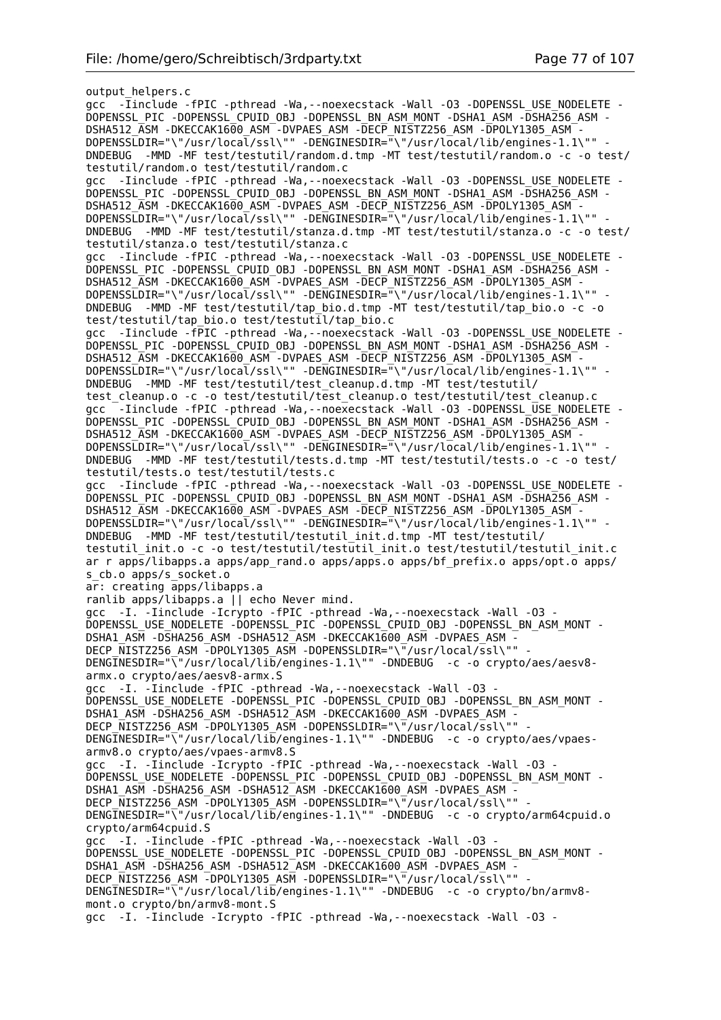output\_helpers.c gcc -Tinclude -fPIC -pthread -Wa, --noexecstack -Wall -03 -DOPENSSL\_USE NODELETE -DOPENSSL\_PIC -DOPENSSL\_CPUID\_OBJ -DOPENSSL\_BN\_ASM\_MONT -DSHA1\_ASM -DSHA256\_ASM - DSHA512\_ASM -DKECCAK1600\_ASM -DVPAES\_ASM -DECP\_NISTZ256\_ASM -DPOLY1305\_ASM - DOPENSSLDIR="\"/usr/local/ssl\"" -DENGINESDIR="\"/usr/local/lib/engines-1.1\"" - DNDEBUG -MMD -MF test/testutil/random.d.tmp -MT test/testutil/random.o -c -o test/ testutil/random.o test/testutil/random.c gcc -Iinclude -fPIC -pthread -Wa,--noexecstack -Wall -O3 -DOPENSSL\_USE\_NODELETE - DOPENSSL\_PIC -DOPENSSL\_CPUID\_0BJ\_-DOPENSSL\_BN\_ASM\_MONT -DSHA1\_ASM -DSHA256\_ASM -DSHA512\_ASM -DKECCAK1600\_ASM -DVPAES\_ASM -DECP\_NISTZ256\_ASM -DPOLY1305\_ASM -DOPENSSLDIR="\"/usr/local/ssl\"" -DENGINESDIR="\"/usr/local/lib/engines-1.1\"" DNDEBUG -MMD -MF test/testutil/stanza.d.tmp -MT test/testutil/stanza.o -c -o test/ testutil/stanza.o test/testutil/stanza.c gcc -Iinclude -fPIC -pthread -Wa,--noexecstack -Wall -O3 -DOPENSSL\_USE\_NODELETE - DOPENSSL\_PIC -DOPENSSL\_CPUID\_0BJ\_-DOPENSSL\_BN\_ASM\_MONT -DSHA1\_ASM -DSHA256\_ASM -DSHA512\_ASM -DKECCAK1600\_ASM -DVPAES\_ASM -DECP\_NISTZ256\_ASM -DPOLY1305\_ASM -DOPENSSLDIR="\"/usr/local/ssl\"" -DENGINESDIR="\"/usr/local/lib/engines-1.1\"" -DNDEBUG -MMD -MF test/testutil/tap\_bio.d.tmp -MT test/testutil/tap\_bio.o -c -o test/testutil/tap\_bio.o test/testutil/tap\_bio.c gcc -Iinclude -fPIC -pthread -Wa,--noexecstack -Wall -O3 -DOPENSSL\_USE\_NODELETE - DOPENSSL\_PIC -DOPENSSL\_CPUID\_OBJ -DOPENSSL\_BN\_ASM\_MONT -DSHA1\_ASM -DSHA256\_ASM - DSHA512\_ASM -DKECCAK1600\_ASM -DVPAES\_ASM -DECP\_NISTZ256\_ASM -DPOLY1305\_ASM -DOPENSSLDIR="\"/usr/local/ssl\"" -DENGINESDIR="\"/usr/local/lib/engines-1.1\"" -DNDEBUG -MMD -MF test/testutil/test\_cleanup.d.tmp -MT test/testutil/ test cleanup.o -c -o test/testutil/test cleanup.o test/testutil/test cleanup.c gcc -Iinclude -fPIC -pthread -Wa,--noexecstack -Wall -O3 -DOPENSSL\_USE\_NODELETE - DOPENSSL\_PIC -DOPENSSL\_CPUID\_OBJ -DOPENSSL\_BN\_ASM\_MONT -DSHA1\_ASM -DSHA256\_ASM - DSHA512\_ASM -DKECCAK1600\_ASM -DVPAES\_ASM -DECP\_NISTZ256\_ASM -DPOLY1305\_ASM - DOPENSSLDIR="\"/usr/local/ssl\"" -DENGINESDIR="\"/usr/local/lib/engines-1.1\"" - DNDEBUG -MMD -MF test/testutil/tests.d.tmp -MT test/testutil/tests.o -c -o test/ testutil/tests.o test/testutil/tests.c gcc -Iinclude -fPIC -pthread -Wa,--noexecstack -Wall -O3 -DOPENSSL\_USE\_NODELETE - DOPENSSL\_PIC -DOPENSSL\_CPUID\_OBJ -DOPENSSL\_BN\_ASM\_MONT -DSHA1\_ASM -DSHA256\_ASM - DSHA512\_ASM -DKECCAK1600\_ASM -DVPAES\_ASM -DECP\_NISTZ256\_ASM -DPOLY1305\_ASM - DOPENSSLDIR="\"/usr/local/ssl\"" -DENGINESDIR="\"/usr/local/lib/engines-1.1\"" -DNDEBUG -MMD -MF test/testutil/testutil\_init.d.tmp -MT test/testutil/ testutil\_init.o -c -o test/testutil/testutil\_init.o test/testutil/testutil\_init.c ar r apps/libapps.a apps/app\_rand.o apps/apps.o apps/bf\_prefix.o apps/opt.o apps/ s cb.o apps/s socket.o ar: creating apps/libapps.a ranlib apps/libapps.a || echo Never mind. gcc -I. -Iinclude -Icrypto -fPIC -pthread -Wa,--noexecstack -Wall -O3 - DOPENSSL\_USE\_NODELETE -DOPENSSL\_PIC -DOPENSSL\_CPUID\_OBJ -DOPENSSL\_BN\_ASM\_MONT - DSHA1\_ASM -DSHA256\_ASM -DSHA512\_ASM -DKECCAK1600\_ASM -DVPAES\_ASM -DECP NISTZ256 ASM  $\overline{-}$ DPOLY1305 ASM -DOPENSSLDIR="\ $\overline{-}/$ usr/local/ssl\"" DENGINESDIR="\"/usr/local/lib/engines-1.1\"" -DNDEBUG -c -o crypto/aes/aesv8 armx.o crypto/aes/aesv8-armx.S gcc -I. -Iinclude -fPIC -pthread -Wa,--noexecstack -Wall -O3 - DOPENSSL\_USE\_NODELETE -DOPENSSL\_PIC -DOPENSSL\_CPUID\_OBJ -DOPENSSL\_BN\_ASM\_MONT - DSHA1\_ASM -DSHA256\_ASM -DSHA512\_ASM -DKECCAK1600\_ASM -DVPAES\_ASM - DECP\_NISTZ256\_ASM\_-DPOLY1305\_ASM\_-DOPENSSLDIR="\"/usr/local/ssl\"" DENGINESDIR="\"/usr/local/lib/engines-1.1\"" -DNDEBUG -c -o crypto/aes/vpaesarmv8.o crypto/aes/vpaes-armv8.S gcc -I. -Iinclude -Icrypto -fPIC -pthread -Wa,--noexecstack -Wall -O3 - DOPENSSL\_USE\_NODELETE -DOPENSSL\_PIC -DOPENSSL\_CPUID\_OBJ -DOPENSSL\_BN\_ASM\_MONT - DSHA1\_ASM -DSHA256\_ASM -DSHA512\_ASM -DKECCAK1600\_ASM -DVPAES\_ASM -DECP NISTZ256 ASM -DPOLY1305 ASM -DOPENSSLDIR="\"/usr/local/ssl\"" DENGINESDIR="\"/usr/local/lib/engines-1.1\"" -DNDEBUG -c -o crypto/arm64cpuid.o crypto/arm64cpuid.S gcc -I. -Iinclude -fPIC -pthread -Wa,--noexecstack -Wall -O3 - DOPENSSL\_USE\_NODELETE -DOPENSSL\_PIC -DOPENSSL\_CPUID\_OBJ -DOPENSSL\_BN\_ASM\_MONT -DSHA1\_ASM -DSHA256\_ASM -DSHA512\_ASM -DKECCAK1600\_ASM -DVPAES\_ASM -DECP NISTZ256 ASM -DPOLY1305 ASM -DOPENSSLDIR="\"/usr/local/ssl\"" DENGINESDIR="\"/usr/local/lib/engines-1.1\"" -DNDEBUG -c -o crypto/bn/armv8 mont.o crypto/bn/armv8-mont.S gcc -I. -Iinclude -Icrypto -fPIC -pthread -Wa,--noexecstack -Wall -O3 -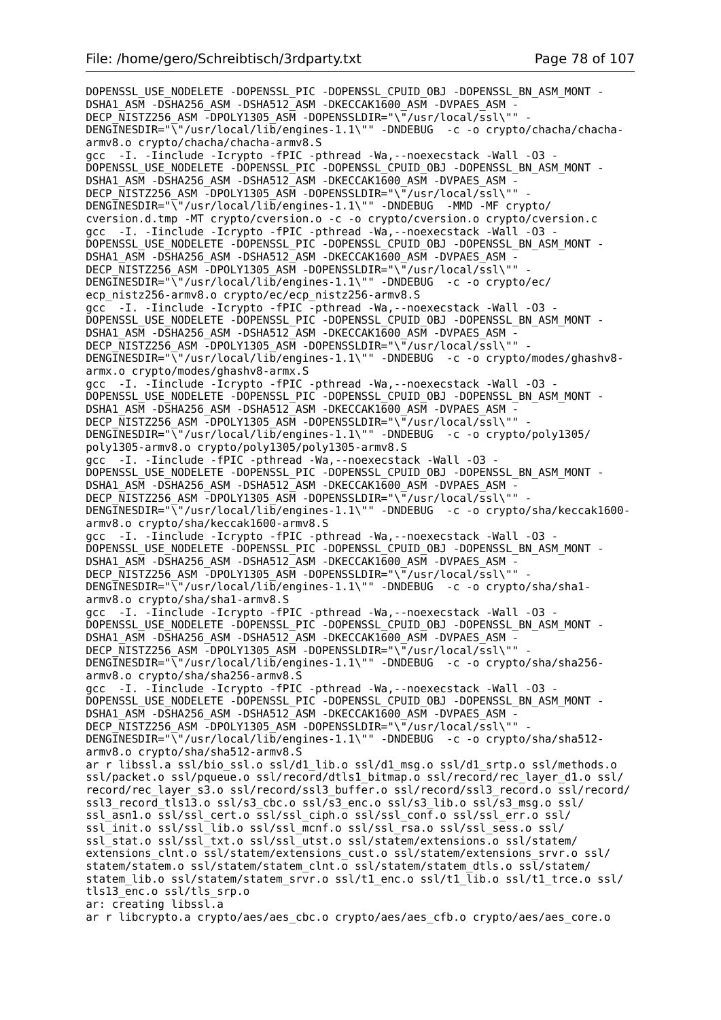DOPENSSL\_USE\_NODELETE -DOPENSSL\_PIC -DOPENSSL\_CPUID\_OBJ -DOPENSSL\_BN\_ASM\_MONT -DSHA1\_ASM -DSHA256\_ASM -DSHA512\_ASM -DKECCAK1600\_ASM -DVPAES\_ASM -DECP\_NISTZ256\_ASM -DPOLY1305\_ASM -DOPENSSLDIR="\"/usr/local/ssl\"" DENGINESDIR="\"/usr/local/lib/engines-1.1\"" -DNDEBUG -c -o crypto/chacha/chachaarmv8.o crypto/chacha/chacha-armv8.S gcc -I. -Iinclude -Icrypto -fPIC -pthread -Wa,--noexecstack -Wall -O3 - DOPENSSL\_USE\_NODELETE -DOPENSSL\_PIC -DOPENSSL\_CPUID\_OBJ -DOPENSSL\_BN\_ASM\_MONT - DSHA1\_ASM -DSHA256\_ASM -DSHA512\_ASM -DKECCAK1600\_ASM -DVPAES\_ASM -DECP NISTZ256 ASM -DPOLY1305 ASM -DOPENSSLDIR="\"/usr/local/ssl\"" DENGINESDIR="\"/usr/local/lib/engines-1.1\"" -DNDEBUG -MMD -MF crypto/ cversion.d.tmp -MT crypto/cversion.o -c -o crypto/cversion.o crypto/cversion.c gcc -I. -Iinclude -Icrypto -fPIC -pthread -Wa,--noexecstack -Wall -O3 - DOPENSSL\_USE\_NODELETE -DOPENSSL\_PIC -DOPENSSL\_CPUID\_OBJ\_-DOPENSSL\_BN\_ASM\_MONT -DSHA1\_ASM -DSHA256\_ASM -DSHA512\_ASM -DKECCAK1600\_ASM -DVPAES\_ASM -DECP NISTZ256 ASM -DPOLY1305 ASM -DOPENSSLDIR="\"/usr/local/ssl\"" DENGINESDIR="\"/usr/local/lib/engines-1.1\"" -DNDEBUG -c -o crypto/ec/ ecp\_nistz256-armv8.o crypto/ec/ecp\_nistz256-armv8.S gcc -I. -Iinclude -Icrypto -fPIC -pthread -Wa,--noexecstack -Wall -O3 - DOPENSSL\_USE\_NODELETE -DOPENSSL\_PIC -DOPENSSL\_CPUID\_OBJ -DOPENSSL\_BN\_ASM\_MONT - DSHA1\_ASM -DSHA256\_ASM -DSHA512\_ASM -DKECCAK1600\_ASM -DVPAES\_ASM - DECP\_NISTZ256\_ASM -DPOLY1305\_ASM -DOPENSSLDIR="\"/usr/local/ssl\"" DENGINESDIR="\"/usr/local/lib/engines-1.1\"" -DNDEBUG -c -o crypto/modes/ghashv8armx.o crypto/modes/ghashv8-armx.S gcc -I. -Iinclude -Icrypto -fPIC -pthread -Wa,--noexecstack -Wall -O3 - DOPENSSL\_USE\_NODELETE -DOPENSSL\_PIC -DOPENSSL\_CPUID\_OBJ -DOPENSSL\_BN\_ASM\_MONT - DSHA1\_ASM -DSHA256\_ASM -DSHA512\_ASM -DKECCAK1600\_ASM -DVPAES\_ASM -DECP NISTZ256 ASM -DPOLY1305 ASM -DOPENSSLDIR="\"/usr/local/ssl\"" DENGINESDIR="\"/usr/local/lib/engines-1.1\"" -DNDEBUG -c -o crypto/poly1305/ poly1305-armv8.o crypto/poly1305/poly1305-armv8.S gcc -I. -Iinclude -fPIC -pthread -Wa,--noexecstack -Wall -O3 - DOPENSSL\_USE\_NODELETE -DOPENSSL\_PIC -DOPENSSL\_CPUID\_OBJ -DOPENSSL\_BN\_ASM\_MONT -DSHA1\_ASM -DSHA256\_ASM -DSHA512\_ASM -DKECCAK1600\_ASM -DVPAES\_ASM - DECP\_NISTZ256\_ASM -DPOLY1305\_ASM -DOPENSSLDIR="\"/usr/local/ssl\"" DENGINESDIR="\"/usr/local/lib/engines-1.1\"" -DNDEBUG -c -o crypto/sha/keccak1600 armv8.o crypto/sha/keccak1600-armv8.S gcc -I. -Iinclude -Icrypto -fPIC -pthread -Wa,--noexecstack -Wall -O3 - DOPENSSL\_USE\_NODELETE -DOPENSSL\_PIC -DOPENSSL\_CPUID\_OBJ -DOPENSSL\_BN\_ASM\_MONT - DSHA1\_ASM -DSHA256\_ASM -DSHA512\_ASM -DKECCAK1600\_ASM -DVPAES\_ASM - DECP\_NISTZ256\_ASM -DPOLY1305\_ASM -DOPENSSLDIR="\"/usr/local/ssl\"" DENGINESDIR="\"/usr/local/lib/engines-1.1\"" -DNDEBUG -c -o crypto/sha/sha1 armv8.o crypto/sha/sha1-armv8.S gcc -I. -Iinclude -Icrypto -fPIC -pthread -Wa,--noexecstack -Wall -O3 - DOPENSSL\_USE\_NODELETE -DOPENSSL\_PIC -DOPENSSL\_CPUID\_OBJ -DOPENSSL\_BN\_ASM\_MONT - DSHA1\_ASM -DSHA256\_ASM -DSHA512\_ASM -DKECCAK1600\_ASM -DVPAES\_ASM -DECP NISTZ256 ASM -DPOLY1305 ASM -DOPENSSLDIR="\"/usr/local/ssl\"" DENGINESDIR="\"/usr/local/lib/engines-1.1\"" -DNDEBUG -c -o crypto/sha/sha256 armv8.o crypto/sha/sha256-armv8.S gcc -I. -Iinclude -Icrypto -fPIC -pthread -Wa,--noexecstack -Wall -O3 - DOPENSSL\_USE\_NODELETE -DOPENSSL\_PIC -DOPENSSL\_CPUID\_OBJ -DOPENSSL\_BN\_ASM\_MONT - DSHA1\_ASM -DSHA256\_ASM -DSHA512\_ASM -DKECCAK1600\_ASM -DVPAES\_ASM - DECP\_NISTZ256\_ASM -DPOLY1305\_ASM -DOPENSSLDIR="\"/usr/local/ssl\"" - DENGINESDIR="\"/usr/local/lib/engines-1.1\"" -DNDEBUG -c -o crypto/sha/sha512armv8.o crypto/sha/sha512-armv8.S ar r libssl.a ssl/bio ssl.o ssl/d1 lib.o ssl/d1 msg.o ssl/d1 srtp.o ssl/methods.o ssl/packet.o ssl/pqueue.o ssl/record/dtls1\_bitmap.o ssl/record/rec\_layer\_d1.o ssl/ record/rec\_layer\_s3.o ssl/record/ssl3\_buffer.o ssl/record/ssl3\_record.o ssl/record/ ssl3\_record\_tls13.o ssl/s3\_cbc.o ssl/s3\_enc.o ssl/s3\_lib.o ssl/s3\_msg.o ssl/ ssl\_asn1.o ssl/ssl\_cert.o ssl/ssl\_ciph.o ssl/ssl\_conf.o ssl/ssl\_err.o ssl/ ssl\_init.o ssl/ssl\_lib.o ssl/ssl\_mcnf.o ssl/ssl\_rsa.o ssl/ssl\_sess.o ssl/ ssl\_stat.o ssl/ssl\_txt.o ssl/ssl\_utst.o ssl/statem/extensions.o ssl/statem/ extensions\_clnt.o ssl/statem/extensions\_cust.o ssl/statem/extensions\_srvr.o ssl/ statem/statem.o ssl/statem/statem\_clnt.o ssl/statem/statem\_dtls.o ssl/statem/ statem lib.o ssl/statem/statem srvr.o ssl/t1 enc.o ssl/t1 lib.o ssl/t1 trce.o ssl/ tls13\_enc.o ssl/tls\_srp.o ar: creating libssl.a ar r libcrypto.a crypto/aes/aes\_cbc.o crypto/aes/aes\_cfb.o crypto/aes/aes\_core.o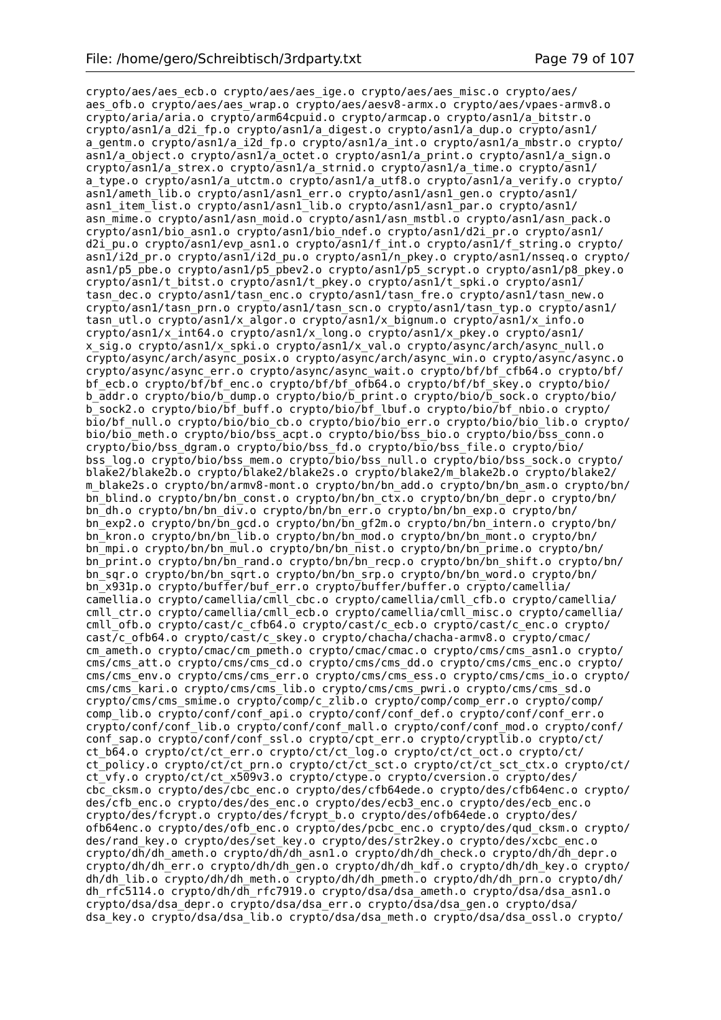crypto/aes/aes\_ecb.o crypto/aes/aes\_ige.o crypto/aes/aes\_misc.o crypto/aes/ aes\_ofb.o crypto/aes/aes\_wrap.o crypto/aes/aesv8-armx.o crypto/aes/vpaes-armv8.o crypto/aria/aria.o crypto/arm64cpuid.o crypto/armcap.o crypto/asn1/a\_bitstr.o crypto/asn1/a\_d2i\_fp.o crypto/asn1/a\_digest.o crypto/asn1/a\_dup.o crypto/asn1/ a gentm.o crypto/asn1/a i2d fp.o crypto/asn1/a int.o crypto/asn1/a mbstr.o crypto/ asn1/a\_object.o crypto/asn1/a\_octet.o crypto/asn1/a\_print.o crypto/asn1/a\_sign.o crypto/asn1/a\_strex.o crypto/asn1/a\_strnid.o crypto/asn1/a\_time.o crypto/asn1/ a\_type.o crypto/asn1/a\_utctm.o crypto/asn1/a\_utf8.o crypto/asn1/a\_verify.o crypto/ asn1/ameth\_lib.o crypto/asn1/asn1\_err.o crypto/asn1/asn1\_gen.o crypto/asn1/ asn1 item list.o crypto/asn1/asn1 lib.o crypto/asn1/asn1 par.o crypto/asn1/ asn mime.o crypto/asn1/asn moid.o crypto/asn1/asn mstbl.o crypto/asn1/asn pack.o crypto/asn1/bio\_asn1.o crypto/asn1/bio\_ndef.o crypto/asn1/d2i\_pr.o crypto/asn1/ d2i\_pu.o crypto/asn1/evp\_asn1.o crypto/asn1/f\_int.o crypto/asn1/f\_string.o crypto/ asn1/i2d\_pr.o crypto/asn1/i2d\_pu.o crypto/asn1/n\_pkey.o crypto/asn1/nsseq.o crypto/ asn1/p5\_pbe.o crypto/asn1/p5\_pbev2.o crypto/asn1/p5\_scrypt.o crypto/asn1/p8\_pkey.o crypto/asn1/t\_bitst.o crypto/asn1/t\_pkey.o crypto/asn1/t\_spki.o crypto/asn1/ tasn dec.o crypto/asn1/tasn enc.o crypto/asn1/tasn fre.o crypto/asn1/tasn new.o crypto/asn1/tasn\_prn.o crypto/asn1/tasn\_scn.o crypto/asn1/tasn\_typ.o crypto/asn1/ tasn\_utl.o crypto/asn1/x\_algor.o crypto/asn1/x\_bignum.o crypto/asn1/x\_info.o crypto/asn1/x\_int64.o crypto/asn1/x\_long.o crypto/asn1/x\_pkey.o crypto/asn1/ x sig.o crypto/asn1/x spki.o crypto/asn1/x val.o crypto/async/arch/async null.o crypto/async/arch/async\_posix.o crypto/async/arch/async\_win.o crypto/async/async.o crypto/async/async\_err.o crypto/async/async\_wait.o crypto/bf/bf\_cfb64.o crypto/bf/ bf ecb.o crypto/bf/bf enc.o crypto/bf/bf ofb64.o crypto/bf/bf skey.o crypto/bio/ b\_addr.o crypto/bio/b\_dump.o crypto/bio/b\_print.o crypto/bio/b\_sock.o crypto/bio/ b\_sock2.o crypto/bio/bf\_buff.o crypto/bio/bf\_lbuf.o crypto/bio/bf\_nbio.o crypto/ bio/bf\_null.o crypto/bio/bio\_cb.o crypto/bio/bio\_err.o crypto/bio/bio\_lib.o crypto/ bio/bio\_meth.o crypto/bio/bss\_acpt.o crypto/bio/bss\_bio.o crypto/bio/bss\_conn.o crypto/bio/bss\_dgram.o crypto/bio/bss\_fd.o crypto/bio/bss\_file.o crypto/bio/ bss\_log.o crypto/bio/bss\_mem.o crypto/bio/bss\_null.o crypto/bio/bss\_sock.o crypto/ blake2/blake2b.o crypto/blake2/blake2s.o crypto/blake2/m\_blake2b.o crypto/blake2/ m\_blake2s.o crypto/bn/armv8-mont.o crypto/bn/bn\_add.o crypto/bn/bn\_asm.o crypto/bn/ bn\_blind.o crypto/bn/bn\_const.o crypto/bn/bn\_ctx.o crypto/bn/bn\_depr.o crypto/bn/ bn\_dh.o crypto/bn/bn\_div.o crypto/bn/bn\_err.o crypto/bn/bn\_exp.o crypto/bn/ bn\_exp2.o crypto/bn/bn\_gcd.o crypto/bn/bn\_gf2m.o crypto/bn/bn\_intern.o crypto/bn/ bn\_kron.o crypto/bn/bn\_lib.o crypto/bn/bn\_mod.o crypto/bn/bn\_mont.o crypto/bn/ bn\_mpi.o crypto/bn/bn\_mul.o crypto/bn/bn\_nist.o crypto/bn/bn\_prime.o crypto/bn/ bn\_print.o crypto/bn/bn\_rand.o crypto/bn/bn\_recp.o crypto/bn/bn\_shift.o crypto/bn/ bn sqr.o crypto/bn/bn sqrt.o crypto/bn/bn srp.o crypto/bn/bn word.o crypto/bn/ bn\_x931p.o crypto/buffer/buf\_err.o crypto/buffer/buffer.o crypto/camellia/ camellia.o crypto/camellia/cmll\_cbc.o crypto/camellia/cmll\_cfb.o crypto/camellia/ cmll\_ctr.o crypto/camellia/cmll\_ecb.o crypto/camellia/cmll\_misc.o crypto/camellia/ cmll\_ofb.o crypto/cast/c\_cfb64.o crypto/cast/c\_ecb.o crypto/cast/c\_enc.o crypto/ cast/c\_ofb64.o crypto/cast/c\_skey.o crypto/chacha/chacha-armv8.o crypto/cmac/ cm\_ameth.o crypto/cmac/cm\_pmeth.o crypto/cmac/cmac.o crypto/cms/cms\_asn1.o crypto/ cms/cms att.o crypto/cms/cms cd.o crypto/cms/cms dd.o crypto/cms/cms enc.o crypto/ cms/cms env.o crypto/cms/cms err.o crypto/cms/cms ess.o crypto/cms/cms io.o crypto/ cms/cms\_kari.o crypto/cms/cms\_lib.o crypto/cms/cms\_pwri.o crypto/cms/cms\_sd.o crypto/cms/cms\_smime.o crypto/comp/c\_zlib.o crypto/comp/comp\_err.o crypto/comp/ comp lib.o crypto/conf/conf api.o crypto/conf/conf def.o crypto/conf/conf err.o crypto/conf/conf\_lib.o crypto/conf/conf\_mall.o crypto/conf/conf\_mod.o crypto/conf/ conf sap.o crypto/conf/conf ssl.o crypto/cpt err.o crypto/cryptlib.o crypto/ct/ ct\_b64.o crypto/ct/ct\_err.o crypto/ct/ct\_log.o crypto/ct/ct\_oct.o crypto/ct/ ct\_policy.o crypto/ct/ct\_prn.o crypto/ct/ct\_sct.o crypto/ct/ct\_sct\_ctx.o crypto/ct/ ct\_vfy.o crypto/ct/ct\_x509v3.o crypto/ctype.o crypto/cversion.o crypto/des/ cbc\_cksm.o crypto/des/cbc\_enc.o crypto/des/cfb64ede.o crypto/des/cfb64enc.o crypto/ des/cfb\_enc.o crypto/des/des\_enc.o crypto/des/ecb3\_enc.o crypto/des/ecb\_enc.o crypto/des/fcrypt.o crypto/des/fcrypt\_b.o crypto/des/ofb64ede.o crypto/des/ ofb64enc.o crypto/des/ofb\_enc.o crypto/des/pcbc\_enc.o crypto/des/qud\_cksm.o crypto/ des/rand\_key.o crypto/des/set\_key.o crypto/des/str2key.o crypto/des/xcbc\_enc.o crypto/dh/dh\_ameth.o crypto/dh/dh\_asn1.o crypto/dh/dh\_check.o crypto/dh/dh\_depr.o crypto/dh/dh\_err.o crypto/dh/dh\_gen.o crypto/dh/dh\_kdf.o crypto/dh/dh\_key.o crypto/ dh/dh\_lib.o crypto/dh/dh\_meth.o crypto/dh/dh\_pmeth.o crypto/dh/dh\_prn.o crypto/dh/ dh\_rfc5114.o crypto/dh/dh\_rfc7919.o crypto/dsa/dsa\_ameth.o crypto/dsa/dsa\_asn1.o crypto/dsa/dsa\_depr.o crypto/dsa/dsa\_err.o crypto/dsa/dsa\_gen.o crypto/dsa/ dsa key.o crypto/dsa/dsa lib.o crypto/dsa/dsa meth.o crypto/dsa/dsa ossl.o crypto/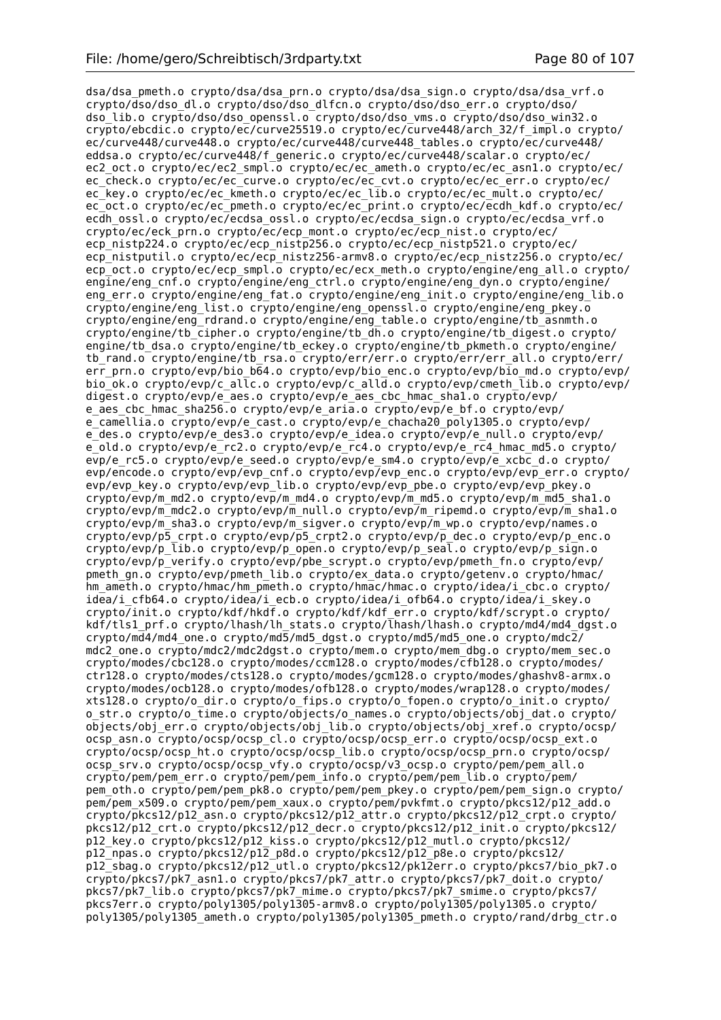dsa/dsa\_pmeth.o crypto/dsa/dsa\_prn.o crypto/dsa/dsa\_sign.o crypto/dsa/dsa\_vrf.o crypto/dso/dso\_dl.o crypto/dso/dso\_dlfcn.o crypto/dso/dso\_err.o crypto/dso/ dso\_lib.o crypto/dso/dso\_openssl.o crypto/dso/dso\_vms.o crypto/dso/dso\_win32.o crypto/ebcdic.o crypto/ec/curve25519.o crypto/ec/curve448/arch\_32/f\_impl.o crypto/ ec/curve448/curve448.o crypto/ec/curve448/curve448\_tables.o crypto/ec/curve448/ eddsa.o crypto/ec/curve448/f\_generic.o crypto/ec/curve448/scalar.o crypto/ec/ ec2\_oct.o crypto/ec/ec2\_smpl.o crypto/ec/ec\_ameth.o crypto/ec/ec\_asn1.o crypto/ec/ ec\_check.o crypto/ec/ec\_curve.o crypto/ec/ec\_cvt.o crypto/ec/ec\_err.o crypto/ec/ ec<sup>key.o</sup> crypto/ec/ec kmeth.o crypto/ec/ec lib.o crypto/ec/ec mult.o crypto/ec/ ec oct.o crypto/ec/ec pmeth.o crypto/ec/ec print.o crypto/ec/ecdh kdf.o crypto/ec/ ecdh ossl.o crypto/ec/ecdsa ossl.o crypto/ec/ecdsa sign.o crypto/ec/ecdsa vrf.o crypto/ec/eck\_prn.o crypto/ec/ecp\_mont.o crypto/ec/ecp\_nist.o crypto/ec/ ecp\_nistp224.o crypto/ec/ecp\_nistp256.o crypto/ec/ecp\_nistp521.o crypto/ec/ ecp\_nistputil.o crypto/ec/ecp\_nistz256-armv8.o crypto/ec/ecp\_nistz256.o crypto/ec/ ecp\_oct.o crypto/ec/ecp\_smpl.o crypto/ec/ecx\_meth.o crypto/engine/eng\_all.o crypto/ engine/eng\_cnf.o crypto/engine/eng\_ctrl.o crypto/engine/eng\_dyn.o crypto/engine/ eng err.o crypto/engine/eng fat.o crypto/engine/eng\_init.o crypto/engine/eng\_lib.o crypto/engine/eng\_list.o crypto/engine/eng\_openssl.o crypto/engine/eng\_pkey.o crypto/engine/eng\_rdrand.o crypto/engine/eng\_table.o crypto/engine/tb\_asnmth.o crypto/engine/tb\_cipher.o crypto/engine/tb\_dh.o crypto/engine/tb\_digest.o crypto/ engine/tb dsa.o crypto/engine/tb eckey.o crypto/engine/tb pkmeth.o crypto/engine/ tb\_rand.o crypto/engine/tb\_rsa.o crypto/err/err.o crypto/err/err\_all.o crypto/err/ err\_prn.o crypto/evp/bio\_b64.o crypto/evp/bio\_enc.o crypto/evp/bio\_md.o crypto/evp/ bio\_ok.o crypto/evp/c\_allc.o crypto/evp/c\_alld.o crypto/evp/cmeth\_lib.o crypto/evp/ digest.o crypto/evp/e\_aes.o crypto/evp/e\_aes\_cbc\_hmac\_sha1.o crypto/evp/ e aes cbc hmac sha256.o crypto/evp/e aria.o crypto/evp/e bf.o crypto/evp/ e\_camellia.o crypto/evp/e\_cast.o crypto/evp/e\_chacha20\_poly1305.o crypto/evp/ e\_des.o crypto/evp/e\_des3.o crypto/evp/e\_idea.o crypto/evp/e\_null.o crypto/evp/ e\_old.o crypto/evp/e\_rc2.o crypto/evp/e\_rc4.o crypto/evp/e\_rc4\_hmac\_md5.o crypto/ evp/e\_rc5.o crypto/evp/e\_seed.o crypto/evp/e\_sm4.o crypto/evp/e\_xcbc\_d.o crypto/ evp/encode.o crypto/evp/evp\_cnf.o crypto/evp/evp\_enc.o crypto/evp/evp\_err.o crypto/ evp/evp\_key.o crypto/evp/evp\_lib.o crypto/evp/evp\_pbe.o crypto/evp/evp\_pkey.o crypto/evp/m\_md2.o crypto/evp/m\_md4.o crypto/evp/m\_md5.o crypto/evp/m\_md5\_sha1.o crypto/evp/m\_mdc2.o crypto/evp/m\_null.o crypto/evp/m\_ripemd.o crypto/evp/m\_sha1.o crypto/evp/m\_sha3.o crypto/evp/m\_sigver.o crypto/evp/m\_wp.o crypto/evp/names.o crypto/evp/p5\_crpt.o crypto/evp/p5\_crpt2.o crypto/evp/p\_dec.o crypto/evp/p\_enc.o crypto/evp/p\_lib.o crypto/evp/p\_open.o crypto/evp/p\_seal.o crypto/evp/p\_sign.o crypto/evp/p\_verify.o crypto/evp/pbe\_scrypt.o crypto/evp/pmeth\_fn.o crypto/evp/ pmeth gn.o crypto/evp/pmeth lib.o crypto/ex data.o crypto/getenv.o crypto/hmac/ hm\_ameth.o crypto/hmac/hm\_pmeth.o crypto/hmac/hmac.o crypto/idea/i\_cbc.o crypto/ idea/i\_cfb64.o crypto/idea/i\_ecb.o crypto/idea/i\_ofb64.o crypto/idea/i\_skey.o crypto/init.o crypto/kdf/hkdf.o crypto/kdf/kdf\_err.o crypto/kdf/scrypt.o crypto/ kdf/tls1 prf.o crypto/lhash/lh stats.o crypto/lhash/lhash.o crypto/md4/md4 dgst.o crypto/md4/md4\_one.o crypto/md5/md5\_dgst.o crypto/md5/md5\_one.o crypto/mdc2/ mdc2\_one.o crypto/mdc2/mdc2dgst.o crypto/mem.o crypto/mem\_dbg.o crypto/mem\_sec.o crypto/modes/cbc128.o crypto/modes/ccm128.o crypto/modes/cfb128.o crypto/modes/ ctr128.o crypto/modes/cts128.o crypto/modes/gcm128.o crypto/modes/ghashv8-armx.o crypto/modes/ocb128.o crypto/modes/ofb128.o crypto/modes/wrap128.o crypto/modes/ xts128.o crypto/o\_dir.o crypto/o\_fips.o crypto/o\_fopen.o crypto/o\_init.o crypto/ o\_str.o crypto/o\_time.o crypto/objects/o\_names.o crypto/objects/obj\_dat.o crypto/ objects/obj\_err.o crypto/objects/obj\_lib.o crypto/objects/obj\_xref.o crypto/ocsp/ ocsp\_asn.o crypto/ocsp/ocsp\_cl.o crypto/ocsp/ocsp\_err.o crypto/ocsp/ocsp\_ext.o crypto/ocsp/ocsp\_ht.o crypto/ocsp/ocsp\_lib.o crypto/ocsp/ocsp\_prn.o crypto/ocsp/ ocsp\_srv.o crypto/ocsp/ocsp\_vfy.o crypto/ocsp/v3\_ocsp.o crypto/pem/pem\_all.o crypto/pem/pem\_err.o crypto/pem/pem\_info.o crypto/pem/pem\_lib.o crypto/pem/ pem\_oth.o crypto/pem/pem\_pk8.o crypto/pem/pem\_pkey.o crypto/pem/pem\_sign.o crypto/ pem/pem\_x509.o crypto/pem/pem\_xaux.o crypto/pem/pvkfmt.o crypto/pkcs12/p12\_add.o crypto/pkcs12/p12\_asn.o crypto/pkcs12/p12\_attr.o crypto/pkcs12/p12\_crpt.o crypto/ pkcs12/p12\_crt.o crypto/pkcs12/p12\_decr.o crypto/pkcs12/p12\_init.o crypto/pkcs12/ p12\_key.o crypto/pkcs12/p12\_kiss.o crypto/pkcs12/p12\_mutl.o crypto/pkcs12/ p12\_npas.o crypto/pkcs12/p12\_p8d.o crypto/pkcs12/p12\_p8e.o crypto/pkcs12/ p12\_sbag.o crypto/pkcs12/p12\_utl.o crypto/pkcs12/pk12err.o crypto/pkcs7/bio\_pk7.o crypto/pkcs7/pk7\_asn1.o crypto/pkcs7/pk7\_attr.o crypto/pkcs7/pk7\_doit.o crypto/ pkcs7/pk7\_lib.o crypto/pkcs7/pk7\_mime.o crypto/pkcs7/pk7\_smime.o crypto/pkcs7/ pkcs7err.o crypto/poly1305/poly1305-armv8.o crypto/poly1305/poly1305.o crypto/ poly1305/poly1305\_ameth.o crypto/poly1305/poly1305\_pmeth.o crypto/rand/drbg\_ctr.o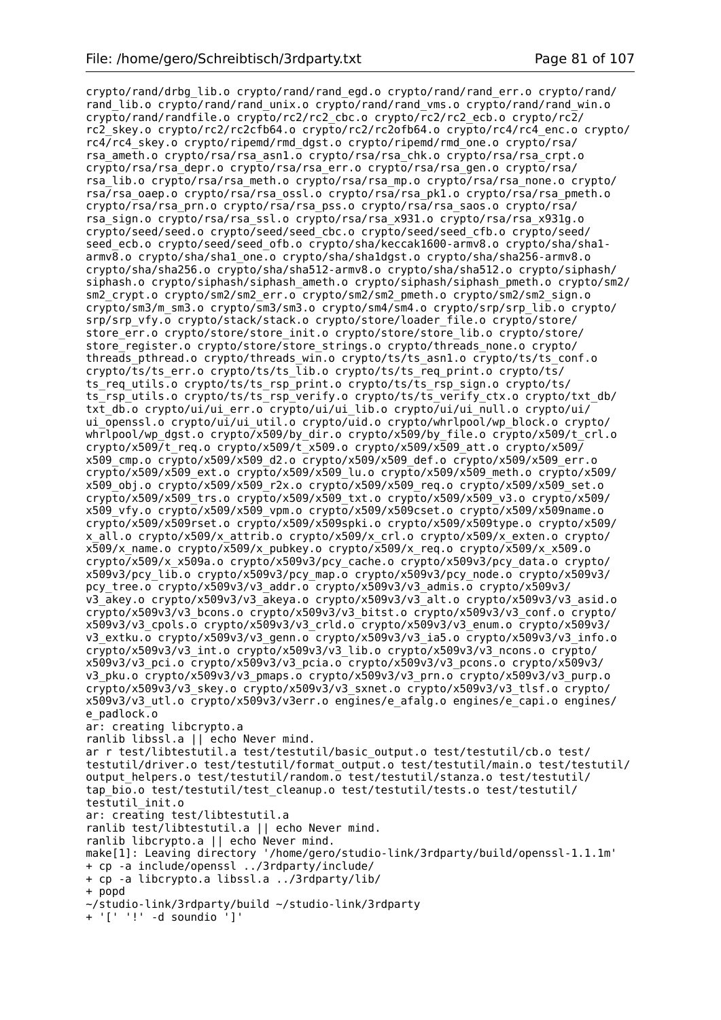crypto/rand/drbg\_lib.o crypto/rand/rand\_egd.o crypto/rand/rand\_err.o crypto/rand/ rand lib.o crypto/rand/rand unix.o crypto/rand/rand vms.o crypto/rand/rand win.o  $crypto/rand/randfile.o crypto/rc2/rc2$  cbc.o crypto/rc2/rc2 ecb.o crypto/rc $\overline{2}/$ rc2\_skey.o crypto/rc2/rc2cfb64.o crypto/rc2/rc2ofb64.o crypto/rc4/rc4\_enc.o crypto/ rc4/rc4\_skey.o crypto/ripemd/rmd\_dgst.o crypto/ripemd/rmd\_one.o crypto/rsa/ rsa ameth.o crypto/rsa/rsa asn1.o crypto/rsa/rsa chk.o crypto/rsa/rsa crpt.o crypto/rsa/rsa\_depr.o crypto/rsa/rsa\_err.o crypto/rsa/rsa\_gen.o crypto/rsa/ rsa\_lib.o crypto/rsa/rsa\_meth.o crypto/rsa/rsa\_mp.o crypto/rsa/rsa\_none.o crypto/ rsa/rsa\_oaep.o crypto/rsa/rsa\_ossl.o crypto/rsa/rsa\_pk1.o crypto/rsa/rsa\_pmeth.o crypto/rsa/rsa\_prn.o crypto/rsa/rsa\_pss.o crypto/rsa/rsa\_saos.o crypto/rsa/ rsa\_sign.o crypto/rsa/rsa\_ssl.o crypto/rsa/rsa\_x931.o crypto/rsa/rsa\_x931g.o crypto/seed/seed.o crypto/seed/seed\_cbc.o crypto/seed/seed\_cfb.o crypto/seed/ seed\_ecb.o crypto/seed/seed\_ofb.o crypto/sha/keccak1600-armv8.o crypto/sha/sha1armv8.o crypto/sha/sha1\_one.o crypto/sha/sha1dgst.o crypto/sha/sha256-armv8.o crypto/sha/sha256.o crypto/sha/sha512-armv8.o crypto/sha/sha512.o crypto/siphash/ siphash.o crypto/siphash/siphash\_ameth.o crypto/siphash/siphash\_pmeth.o crypto/sm2/ sm2 crypt.o crypto/sm2/sm2 err.o crypto/sm2/sm2 pmeth.o crypto/sm2/sm2 sign.o crypto/sm3/m\_sm3.o crypto/sm3/sm3.o crypto/sm4/sm4.o crypto/srp/srp\_lib.o crypto/ srp/srp\_vfy.o crypto/stack/stack.o crypto/store/loader\_file.o crypto/store/ store err.o crypto/store/store init.o crypto/store/store lib.o crypto/store/ store\_register.o crypto/store/store\_strings.o crypto/threads\_none.o crypto/ threads pthread.o crypto/threads win.o crypto/ts/ts asn1.o crypto/ts/ts conf.o crypto/ts/ts\_err.o crypto/ts/ts\_lib.o crypto/ts/ts\_req\_print.o crypto/ts/ ts req utils.o crypto/ts/ts rsp\_print.o crypto/ts/ts rsp sign.o crypto/ts/ ts\_rsp\_utils.o crypto/ts/ts\_rsp\_verify.o crypto/ts/ts\_verify\_ctx.o crypto/txt\_db/ txt\_db.o crypto/ui/ui\_err.o crypto/ui/ui\_lib.o crypto/ui/ui\_null.o crypto/ui/ ui\_openssl.o crypto/ui/ui\_util.o crypto/uid.o crypto/whrlpool/wp\_block.o crypto/ whrlpool/wp\_dgst.o crypto/x509/by\_dir.o crypto/x509/by\_file.o crypto/x509/t\_crl.o crypto/x509/t\_req.o crypto/x509/t\_x509.o crypto/x509/x509\_att.o crypto/x509/ x509\_cmp.o crypto/x509/x509\_d2.o crypto/x509/x509\_def.o crypto/x509/x509\_err.o crypto/x509/x509\_ext.o crypto/x509/x509\_lu.o crypto/x509/x509\_meth.o crypto/x509/  $x509$  obj.o crypto/x509/x509 r2x.o crypto/x509/x509 req.o crypto/x509/x509 set.o crypto/x509/x509\_trs.o crypto/x509/x509\_txt.o crypto/x509/x509\_v3.o crypto/x509/ x509\_vfy.o crypto/x509/x509\_vpm.o crypto/x509/x509cset.o crypto/x509/x509name.o crypto/x509/x509rset.o crypto/x509/x509spki.o crypto/x509/x509type.o crypto/x509/ x\_all.o crypto/x509/x\_attrib.o crypto/x509/x\_crl.o crypto/x509/x\_exten.o crypto/ x509/x\_name.o crypto/x509/x\_pubkey.o crypto/x509/x\_req.o crypto/x509/x\_x509.o crypto/x509/x\_x509a.o crypto/x509v3/pcy\_cache.o crypto/x509v3/pcy\_data.o crypto/ x509v3/pcy\_lib.o crypto/x509v3/pcy\_map.o crypto/x509v3/pcy\_node.o crypto/x509v3/ pcy\_tree.o crypto/x509v3/v3\_addr.o crypto/x509v3/v3\_admis.o crypto/x509v3/ v3\_akey.o crypto/x509v3/v3\_akeya.o crypto/x509v3/v3\_alt.o crypto/x509v3/v3\_asid.o crypto/x509v3/v3\_bcons.o crypto/x509v3/v3\_bitst.o crypto/x509v3/v3\_conf.o crypto/ x509v3/v3\_cpols.o crypto/x509v3/v3\_crld.o crypto/x509v3/v3\_enum.o crypto/x509v3/ v3 extku.o crypto/x509v3/v3 genn.o crypto/x509v3/v3\_ia5.o crypto/x509v3/v3\_info.o crypto/x509v3/v3\_int.o crypto/x509v3/v3\_lib.o crypto/x509v3/v3\_ncons.o crypto/ x509v3/v3\_pci.o crypto/x509v3/v3\_pcia.o crypto/x509v3/v3\_pcons.o crypto/x509v3/ v3\_pku.o crypto/x509v3/v3\_pmaps.o crypto/x509v3/v3\_prn.o crypto/x509v3/v3\_purp.o crypto/x509v3/v3\_skey.o crypto/x509v3/v3\_sxnet.o crypto/x509v3/v3\_tlsf.o crypto/ x509v3/v3 utl.o crypto/x509v3/v3err.o engines/e afalg.o engines/e capi.o engines/ e padlock.o ar: creating libcrypto.a ranlib libssl.a || echo Never mind. ar r test/libtestutil.a test/testutil/basic\_output.o test/testutil/cb.o test/ testutil/driver.o test/testutil/format\_output.o test/testutil/main.o test/testutil/ output helpers.o test/testutil/random.o test/testutil/stanza.o test/testutil/ tap\_bio.o test/testutil/test\_cleanup.o test/testutil/tests.o test/testutil/ testutil\_init.o ar: creating test/libtestutil.a ranlib test/libtestutil.a || echo Never mind. ranlib libcrypto.a || echo Never mind. make[1]: Leaving directory '/home/gero/studio-link/3rdparty/build/openssl-1.1.1m' + cp -a include/openssl ../3rdparty/include/ + cp -a libcrypto.a libssl.a ../3rdparty/lib/ + popd ~/studio-link/3rdparty/build ~/studio-link/3rdparty

+ '[' '!' -d soundio ']'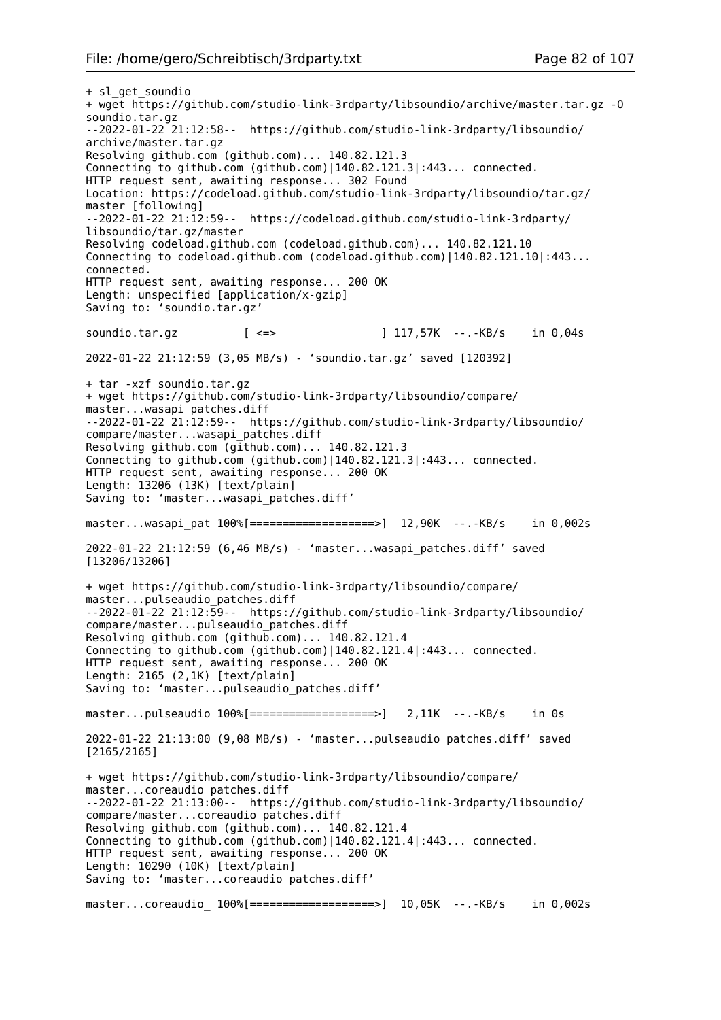+ sl\_get\_soundio + wget https://github.com/studio-link-3rdparty/libsoundio/archive/master.tar.gz -O soundio.tar.gz --2022-01-22 21:12:58-- https://github.com/studio-link-3rdparty/libsoundio/ archive/master.tar.gz Resolving github.com (github.com)... 140.82.121.3 Connecting to github.com (github.com)|140.82.121.3|:443... connected. HTTP request sent, awaiting response... 302 Found Location: https://codeload.github.com/studio-link-3rdparty/libsoundio/tar.gz/ master [following] --2022-01-22 21:12:59-- https://codeload.github.com/studio-link-3rdparty/ libsoundio/tar.gz/master Resolving codeload.github.com (codeload.github.com)... 140.82.121.10 Connecting to codeload.github.com (codeload.github.com)|140.82.121.10|:443... connected. HTTP request sent, awaiting response... 200 OK Length: unspecified [application/x-gzip] Saving to: 'soundio.tar.gz' soundio.tar.gz [ <=> ] 117,57K --.-KB/s in 0,04s 2022-01-22 21:12:59 (3,05 MB/s) - 'soundio.tar.gz' saved [120392] + tar -xzf soundio.tar.gz + wget https://github.com/studio-link-3rdparty/libsoundio/compare/ master...wasapi\_patches.diff --2022-01-22 21:12:59-- https://github.com/studio-link-3rdparty/libsoundio/ compare/master...wasapi\_patches.diff Resolving github.com (github.com)... 140.82.121.3 Connecting to github.com (github.com)|140.82.121.3|:443... connected. HTTP request sent, awaiting response... 200 OK Length: 13206 (13K) [text/plain] Saving to: 'master...wasapi\_patches.diff' master...wasapi\_pat 100%[==================>] 12,90K --.-KB/s in 0,002s 2022-01-22 21:12:59 (6,46 MB/s) - 'master...wasapi\_patches.diff' saved [13206/13206] + wget https://github.com/studio-link-3rdparty/libsoundio/compare/ master...pulseaudio\_patches.diff --2022-01-22 21:12:59-- https://github.com/studio-link-3rdparty/libsoundio/ compare/master...pulseaudio\_patches.diff Resolving github.com (github.com)... 140.82.121.4 Connecting to github.com (github.com)|140.82.121.4|:443... connected. HTTP request sent, awaiting response... 200 OK Length: 2165 (2,1K) [text/plain] Saving to: 'master...pulseaudio\_patches.diff' master...pulseaudio 100%[===================>] 2,11K --.-KB/s in 0s 2022-01-22 21:13:00 (9,08 MB/s) - 'master...pulseaudio\_patches.diff' saved [2165/2165] + wget https://github.com/studio-link-3rdparty/libsoundio/compare/ master...coreaudio\_patches.diff --2022-01-22 21:13:00-- https://github.com/studio-link-3rdparty/libsoundio/ compare/master...coreaudio\_patches.diff Resolving github.com (github.com)... 140.82.121.4 Connecting to github.com (github.com)|140.82.121.4|:443... connected. HTTP request sent, awaiting response... 200 OK Length: 10290 (10K) [text/plain] Saving to: 'master...coreaudio patches.diff' master...coreaudio 100%[==================>] 10,05K --.-KB/s in 0,002s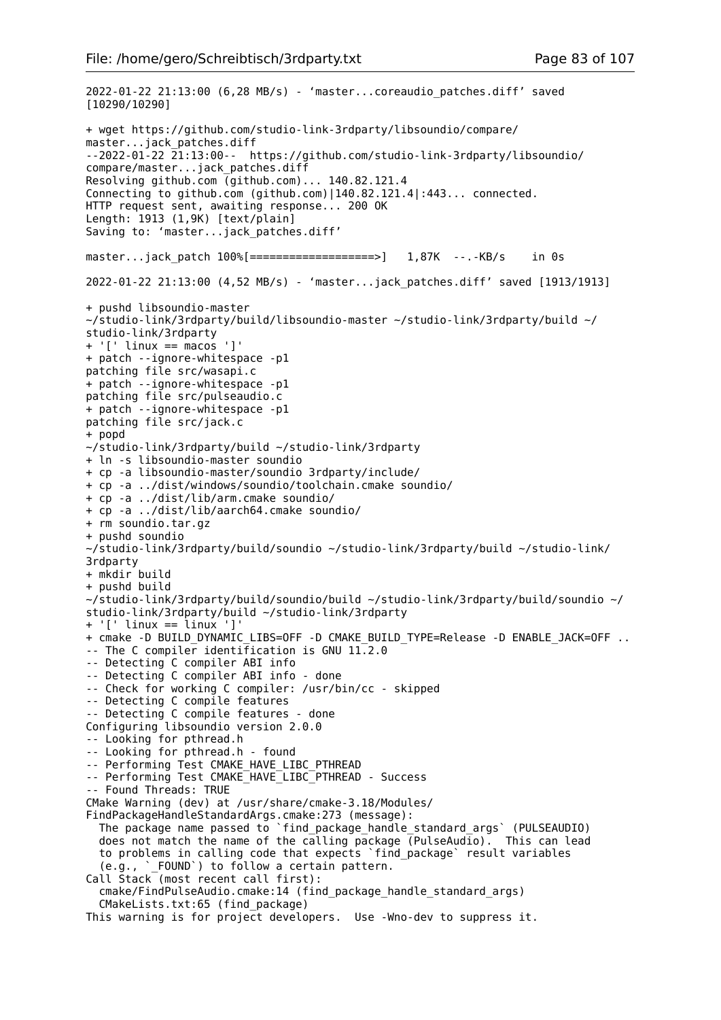2022-01-22 21:13:00 (6,28 MB/s) - 'master...coreaudio\_patches.diff' saved [10290/10290] + wget https://github.com/studio-link-3rdparty/libsoundio/compare/ master...jack\_patches.diff --2022-01-22 21:13:00-- https://github.com/studio-link-3rdparty/libsoundio/ compare/master...jack\_patches.diff Resolving github.com (github.com)... 140.82.121.4 Connecting to github.com (github.com)|140.82.121.4|:443... connected. HTTP request sent, awaiting response... 200 OK Length: 1913 (1,9K) [text/plain] Saving to: 'master...jack\_patches.diff' master...jack\_patch 100%[===================>] 1,87K --.-KB/s in 0s 2022-01-22 21:13:00 (4,52 MB/s) - 'master...jack\_patches.diff' saved [1913/1913] + pushd libsoundio-master ~/studio-link/3rdparty/build/libsoundio-master ~/studio-link/3rdparty/build ~/ studio-link/3rdparty + '[' linux == macos ']' + patch --ignore-whitespace -p1 patching file src/wasapi.c + patch --ignore-whitespace -p1 patching file src/pulseaudio.c + patch --ignore-whitespace -p1 patching file src/jack.c + popd ~/studio-link/3rdparty/build ~/studio-link/3rdparty + ln -s libsoundio-master soundio + cp -a libsoundio-master/soundio 3rdparty/include/ + cp -a ../dist/windows/soundio/toolchain.cmake soundio/ + cp -a ../dist/lib/arm.cmake soundio/ + cp -a ../dist/lib/aarch64.cmake soundio/ + rm soundio.tar.gz + pushd soundio ~/studio-link/3rdparty/build/soundio ~/studio-link/3rdparty/build ~/studio-link/ 3rdparty + mkdir build + pushd build ~/studio-link/3rdparty/build/soundio/build ~/studio-link/3rdparty/build/soundio ~/ studio-link/3rdparty/build ~/studio-link/3rdparty + '[' linux == linux ']' + cmake -D BUILD DYNAMIC LIBS=OFF -D CMAKE BUILD TYPE=Release -D ENABLE JACK=OFF .. -- The C compiler identification is GNU 11.2.0 -- Detecting C compiler ABI info -- Detecting C compiler ABI info - done -- Check for working C compiler: /usr/bin/cc - skipped -- Detecting C compile features -- Detecting C compile features - done Configuring libsoundio version 2.0.0 -- Looking for pthread.h -- Looking for pthread.h - found -- Performing Test CMAKE HAVE LIBC PTHREAD -- Performing Test CMAKE HAVE LIBC PTHREAD - Success -- Found Threads: TRUE CMake Warning (dev) at /usr/share/cmake-3.18/Modules/ FindPackageHandleStandardArgs.cmake:273 (message): The package name passed to `find\_package\_handle\_standard\_args` (PULSEAUDIO) does not match the name of the calling package (PulseAudio). This can lead to problems in calling code that expects `find\_package` result variables (e.g., `\_FOUND`) to follow a certain pattern. Call Stack (most recent call first): cmake/FindPulseAudio.cmake:14 (find\_package\_handle\_standard\_args) CMakeLists.txt:65 (find\_package) This warning is for project developers. Use -Wno-dev to suppress it.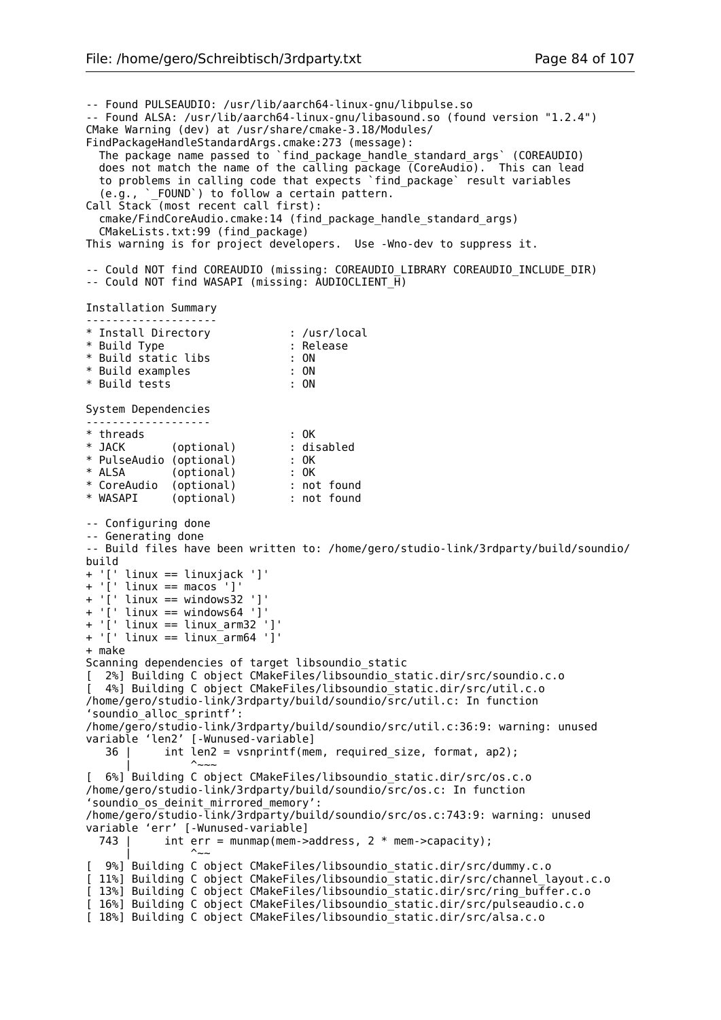-- Found PULSEAUDIO: /usr/lib/aarch64-linux-gnu/libpulse.so -- Found ALSA: /usr/lib/aarch64-linux-gnu/libasound.so (found version "1.2.4") CMake Warning (dev) at /usr/share/cmake-3.18/Modules/ FindPackageHandleStandardArgs.cmake:273 (message): The package name passed to `find\_package\_handle\_standard\_args` (COREAUDIO) does not match the name of the calling package (CoreAudio). This can lead to problems in calling code that expects `find\_package` result variables (e.g., `\_FOUND`) to follow a certain pattern. Call Stack (most recent call first): cmake/FindCoreAudio.cmake:14 (find\_package\_handle\_standard\_args) CMakeLists.txt:99 (find\_package) This warning is for project developers. Use -Wno-dev to suppress it. -- Could NOT find COREAUDIO (missing: COREAUDIO LIBRARY COREAUDIO INCLUDE DIR) -- Could NOT find WASAPI (missing: AUDIOCLIENT  $\overline{H}$ ) Installation Summary -------------------- \* Install Directory : /usr/local \* Build Type : Release \* Build static libs : ON \* Build examples : ON \* Build tests : ON System Dependencies ------------------- \* threads : OK \* JACK (optional) : disabled \* PulseAudio (optional) : OK \* ALSA (optional) : OK \* CoreAudio (optional) : not found \* WASAPI (optional) : not found -- Configuring done -- Generating done -- Build files have been written to: /home/gero/studio-link/3rdparty/build/soundio/ build + '[' linux == linuxjack ']'  $+$  '[' linux == macos ']' + '[' linux == windows32 ']' + '[' linux == windows64 ']' + '[' linux == linux\_arm32 ']' + '[' linux == linux\_arm64 ']' + make Scanning dependencies of target libsoundio static [ 2%] Building C object CMakeFiles/libsoundio\_static.dir/src/soundio.c.o [ 4%] Building C object CMakeFiles/libsoundio\_static.dir/src/util.c.o /home/gero/studio-link/3rdparty/build/soundio/src/util.c: In function 'soundio\_alloc\_sprintf': /home/gero/studio-link/3rdparty/build/soundio/src/util.c:36:9: warning: unused variable 'len2' [-Wunused-variable] 36 | int len2 = vsnprintf(mem, required\_size, format, ap2); | <sup>^</sup>~~~ [ 6%] Building C object CMakeFiles/libsoundio\_static.dir/src/os.c.o /home/gero/studio-link/3rdparty/build/soundio/src/os.c: In function 'soundio\_os\_deinit\_mirrored\_memory': /home/gero/studio-link/3rdparty/build/soundio/src/os.c:743:9: warning: unused variable 'err' [-Wunused-variable]<br>743 | int err = munmap(mem-> int err = munmap(mem->address,  $2 *$  mem->capacity);  $\sim$   $\sim$ [ 9%] Building C object CMakeFiles/libsoundio\_static.dir/src/dummy.c.o [ 11%] Building C object CMakeFiles/libsoundio\_static.dir/src/channel\_layout.c.o [ 13%] Building C object CMakeFiles/libsoundio\_static.dir/src/ring\_buffer.c.o [ 16%] Building C object CMakeFiles/libsoundio\_static.dir/src/pulseaudio.c.o [ 18%] Building C object CMakeFiles/libsoundio\_static.dir/src/alsa.c.o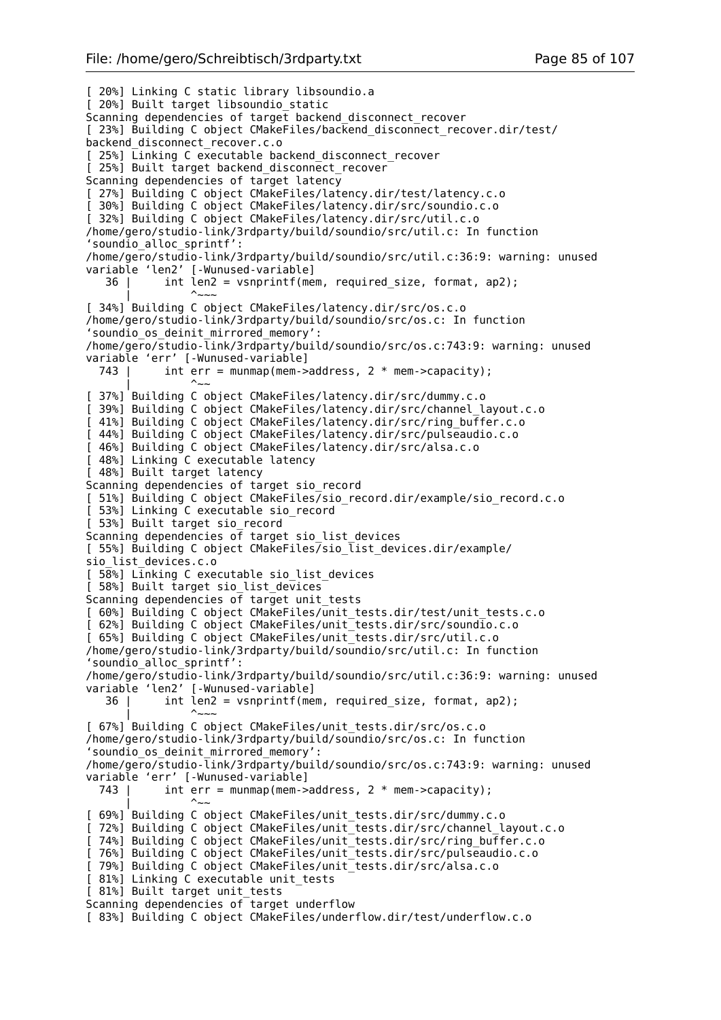[ 20%] Linking C static library libsoundio.a [ 20%] Built target libsoundio\_static Scanning dependencies of target backend disconnect recover [ 23%] Building C object CMakeFiles/backend disconnect recover.dir/test/ backend\_disconnect\_recover.c.o [ 25%] Linking C executable backend disconnect recover [ 25%] Built target backend disconnect recover  $Scanning dependent$  dependencies of target latency [ 27%] Building C object CMakeFiles/latency.dir/test/latency.c.o [ 30%] Building C object CMakeFiles/latency.dir/src/soundio.c.o [ 32%] Building C object CMakeFiles/latency.dir/src/util.c.o /home/gero/studio-link/3rdparty/build/soundio/src/util.c: In function 'soundio\_alloc\_sprintf': /home/gero/studio-link/3rdparty/build/soundio/src/util.c:36:9: warning: unused variable 'len2' [-Wunused-variable] 36 | int len2 = vsnprintf(mem, required\_size, format, ap2); | <sup>^</sup>~~~ [ 34%] Building C object CMakeFiles/latency.dir/src/os.c.o /home/gero/studio-link/3rdparty/build/soundio/src/os.c: In function 'soundio\_os\_deinit\_mirrored\_memory': /home/gero/studio-link/3rdparty/build/soundio/src/os.c:743:9: warning: unused variable 'err' [-Wunused-variable] 743 | int err = munmap(mem->address,  $2 *$  mem->capacity); | <sup>|</sup> ^~~ [ 37%] Building C object CMakeFiles/latency.dir/src/dummy.c.o [ 39%] Building C object CMakeFiles/latency.dir/src/channel\_layout.c.o [ 41%] Building C object CMakeFiles/latency.dir/src/ring\_buffer.c.o [ 44%] Building C object CMakeFiles/latency.dir/src/pulseaudio.c.o [ 46%] Building C object CMakeFiles/latency.dir/src/alsa.c.o [ 48%] Linking C executable latency [ 48%] Built target latency Scanning dependencies of target sio\_record [ 51%] Building C object CMakeFiles/sio\_record.dir/example/sio\_record.c.o [ 53%] Linking C executable sio\_record [ 53%] Built target sio\_record Scanning dependencies of target sio\_list\_devices [ 55%] Building C object CMakeFiles/sio\_list\_devices.dir/example/ sio\_list\_devices.c.o [ 58%] Linking C executable sio list devices [ 58%] Built target sio\_list\_devices Scanning dependencies of target unit\_tests [ 60%] Building C object CMakeFiles/unit\_tests.dir/test/unit\_tests.c.o [ 62%] Building C object CMakeFiles/unit\_tests.dir/src/soundio.c.o [ 65%] Building C object CMakeFiles/unit\_tests.dir/src/util.c.o /home/gero/studio-link/3rdparty/build/soundio/src/util.c: In function 'soundio\_alloc\_sprintf': /home/gero/studio-link/3rdparty/build/soundio/src/util.c:36:9: warning: unused variable 'len2' [-Wunused-variable]  $36$  | int len2 = vsnprintf(mem, required size, format, ap2); | <sup>^</sup>~~~ [  $67\%$ ] Building C object CMakeFiles/unit tests.dir/src/os.c.o /home/gero/studio-link/3rdparty/build/soundio/src/os.c: In function 'soundio\_os\_deinit\_mirrored\_memory': /home/gero/studio-link/3rdparty/build/soundio/src/os.c:743:9: warning: unused variable 'err' [-Wunused-variable] 743 | int err = munmap(mem->address,  $2 *$  mem->capacity); | <sup>|</sup> ^~~ [ 69%] Building C object CMakeFiles/unit\_tests.dir/src/dummy.c.o [ 72%] Building C object CMakeFiles/unit\_tests.dir/src/channel\_layout.c.o [ 74%] Building C object CMakeFiles/unit\_tests.dir/src/ring\_buffer.c.o [ 76%] Building C object CMakeFiles/unit\_tests.dir/src/pulseaudio.c.o [ 79%] Building C object CMakeFiles/unit\_tests.dir/src/alsa.c.o [ 81%] Linking C executable unit\_tests [ 81%] Built target unit\_tests Scanning dependencies of target underflow [ 83%] Building C object CMakeFiles/underflow.dir/test/underflow.c.o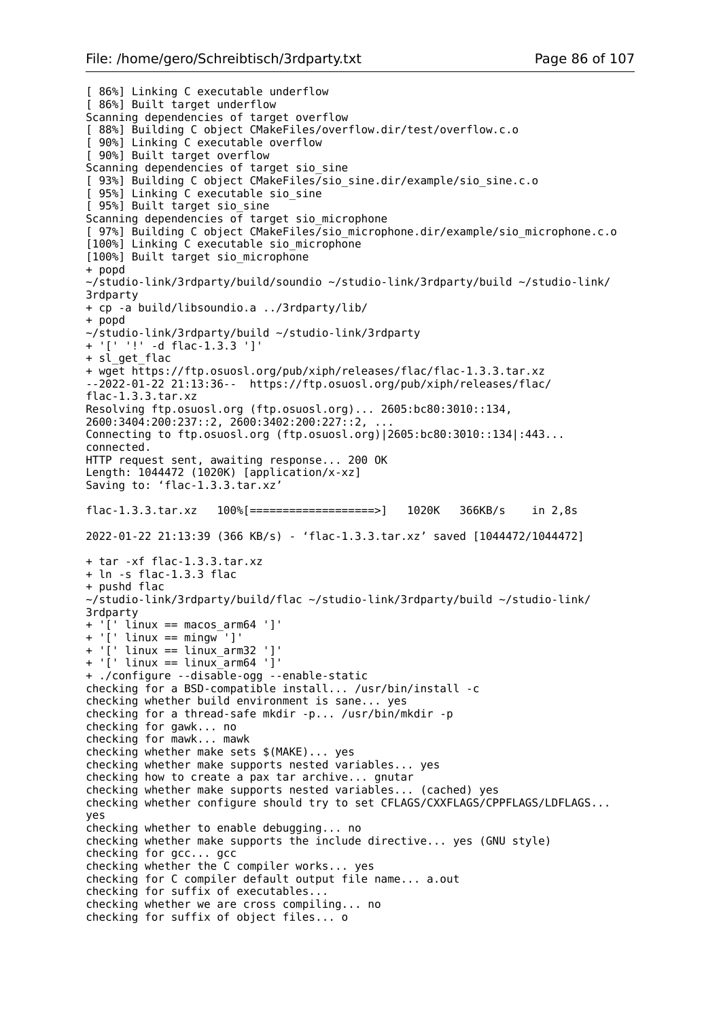[ 86%] Linking C executable underflow [ 86%] Built target underflow Scanning dependencies of target overflow [ 88%] Building C object CMakeFiles/overflow.dir/test/overflow.c.o 90%] Linking C executable overflow [ 90%] Built target overflow Scanning dependencies of target sio sine [ 93%] Building C object CMakeFiles/sio\_sine.dir/example/sio\_sine.c.o [ 95%] Linking C executable sio sine [ 95%] Built target sio\_sine Scanning dependencies  $\overline{of}$  target sio microphone [ 97%] Building C object CMakeFiles/sio\_microphone.dir/example/sio\_microphone.c.o [100%] Linking C executable sio microphone [100%] Built target sio\_microphone + popd ~/studio-link/3rdparty/build/soundio ~/studio-link/3rdparty/build ~/studio-link/ 3rdparty + cp -a build/libsoundio.a ../3rdparty/lib/ + popd ~/studio-link/3rdparty/build ~/studio-link/3rdparty + '[' '!' -d flac-1.3.3 ']' + sl get flac + wget https://ftp.osuosl.org/pub/xiph/releases/flac/flac-1.3.3.tar.xz --2022-01-22 21:13:36-- https://ftp.osuosl.org/pub/xiph/releases/flac/ flac-1.3.3.tar.xz Resolving ftp.osuosl.org (ftp.osuosl.org)... 2605:bc80:3010::134, 2600:3404:200:237::2, 2600:3402:200:227::2, ... Connecting to ftp.osuosl.org (ftp.osuosl.org)|2605:bc80:3010::134|:443... connected. HTTP request sent, awaiting response... 200 OK Length: 1044472 (1020K) [application/x-xz] Saving to: 'flac-1.3.3.tar.xz' flac-1.3.3.tar.xz 100%[===================>] 1020K 366KB/s in 2,8s 2022-01-22 21:13:39 (366 KB/s) - 'flac-1.3.3.tar.xz' saved [1044472/1044472] + tar -xf flac-1.3.3.tar.xz + ln -s flac-1.3.3 flac + pushd flac ~/studio-link/3rdparty/build/flac ~/studio-link/3rdparty/build ~/studio-link/ 3rdparty + '[' linux == macos\_arm64 ']' +  $'$ [' linux == mingw<sup>'</sup>]' +  $'$ [' linux == linux arm32 ']'  $+$  ' $\lceil$ ' linux == linux $\bar{a}$ rm64 ' $\bar{1}$ ' + ./configure --disable-ogg --enable-static checking for a BSD-compatible install... /usr/bin/install -c checking whether build environment is sane... yes checking for a thread-safe mkdir -p... /usr/bin/mkdir -p checking for gawk... no checking for mawk... mawk checking whether make sets \$(MAKE)... yes checking whether make supports nested variables... yes checking how to create a pax tar archive... gnutar checking whether make supports nested variables... (cached) yes checking whether configure should try to set CFLAGS/CXXFLAGS/CPPFLAGS/LDFLAGS... yes checking whether to enable debugging... no checking whether make supports the include directive... yes (GNU style) checking for gcc... gcc checking whether the C compiler works... yes checking for C compiler default output file name... a.out checking for suffix of executables... checking whether we are cross compiling... no checking for suffix of object files... o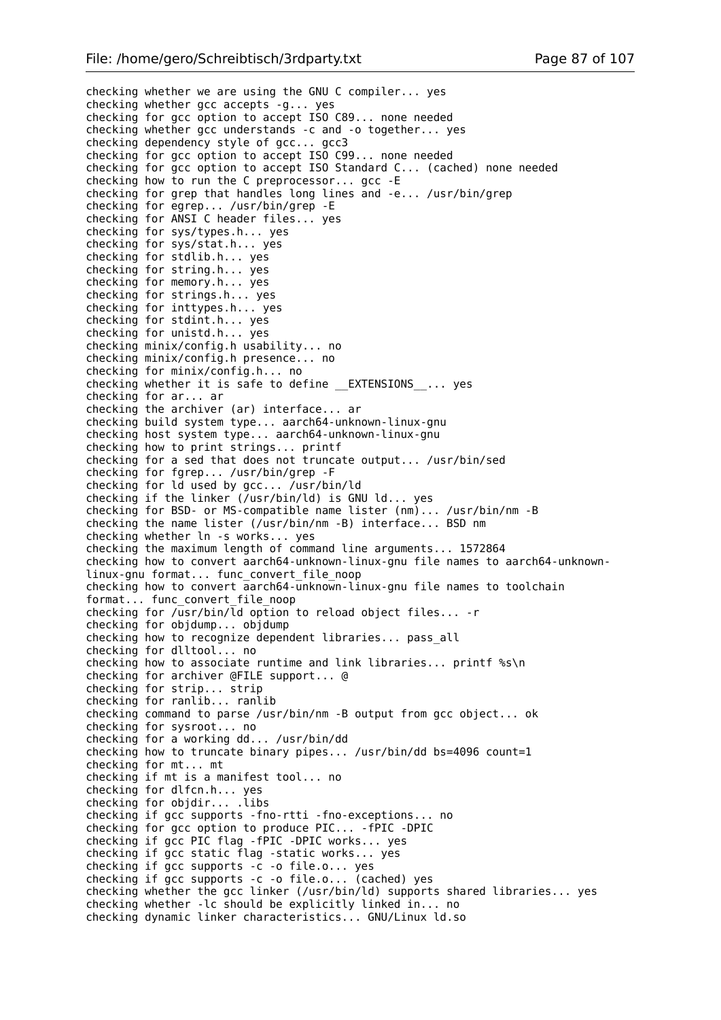checking whether we are using the GNU C compiler... yes checking whether gcc accepts -g... yes checking for gcc option to accept ISO C89... none needed checking whether gcc understands -c and -o together... yes checking dependency style of gcc... gcc3 checking for gcc option to accept ISO C99... none needed checking for gcc option to accept ISO Standard C... (cached) none needed checking how to run the C preprocessor... gcc -E checking for grep that handles long lines and -e... /usr/bin/grep checking for egrep... /usr/bin/grep -E checking for ANSI C header files... yes checking for sys/types.h... yes checking for sys/stat.h... yes checking for stdlib.h... yes checking for string.h... yes checking for memory.h... yes checking for strings.h... yes checking for inttypes.h... yes checking for stdint.h... yes checking for unistd.h... yes checking minix/config.h usability... no checking minix/config.h presence... no checking for minix/config.h... no checking whether it is safe to define EXTENSIONS ... yes checking for ar... ar checking the archiver (ar) interface... ar checking build system type... aarch64-unknown-linux-gnu checking host system type... aarch64-unknown-linux-gnu checking how to print strings... printf checking for a sed that does not truncate output... /usr/bin/sed checking for fgrep... /usr/bin/grep -F checking for ld used by gcc... /usr/bin/ld checking if the linker (/usr/bin/ld) is GNU ld... yes checking for BSD- or MS-compatible name lister (nm)... /usr/bin/nm -B checking the name lister (/usr/bin/nm -B) interface... BSD nm checking whether ln -s works... yes checking the maximum length of command line arguments... 1572864 checking how to convert aarch64-unknown-linux-gnu file names to aarch64-unknownlinux-gnu format... func\_convert\_file\_noop checking how to convert aarch64-unknown-linux-gnu file names to toolchain format... func\_convert\_file\_noop checking for  $\sqrt{u}$ sr/bin/ld option to reload object files... - r checking for objdump... objdump checking how to recognize dependent libraries... pass\_all checking for dlltool... no checking how to associate runtime and link libraries... printf %s\n checking for archiver @FILE support... @ checking for strip... strip checking for ranlib... ranlib checking command to parse /usr/bin/nm -B output from gcc object... ok checking for sysroot... no checking for a working dd... /usr/bin/dd checking how to truncate binary pipes... /usr/bin/dd bs=4096 count=1 checking for mt... mt checking if mt is a manifest tool... no checking for dlfcn.h... yes checking for objdir... .libs checking if gcc supports -fno-rtti -fno-exceptions... no checking for gcc option to produce PIC... -fPIC -DPIC checking if gcc PIC flag -fPIC -DPIC works... yes checking if gcc static flag -static works... yes checking if gcc supports -c -o file.o... yes checking if gcc supports -c -o file.o... (cached) yes checking whether the gcc linker (/usr/bin/ld) supports shared libraries... yes checking whether -lc should be explicitly linked in... no checking dynamic linker characteristics... GNU/Linux ld.so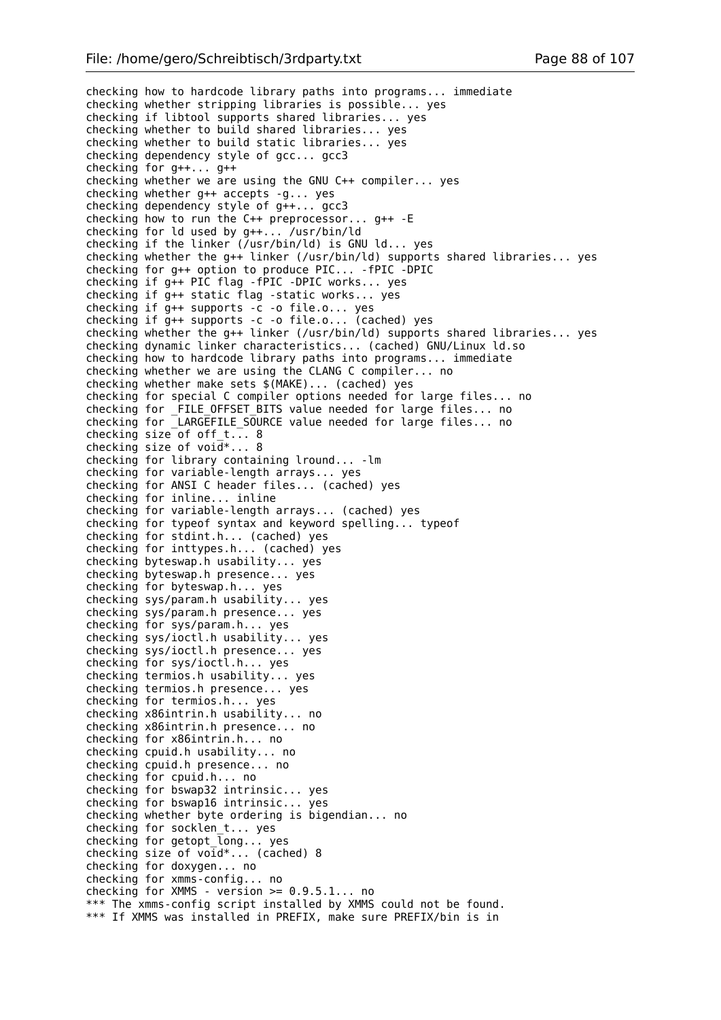checking how to hardcode library paths into programs... immediate checking whether stripping libraries is possible... yes checking if libtool supports shared libraries... yes checking whether to build shared libraries... yes checking whether to build static libraries... yes checking dependency style of gcc... gcc3 checking for g++... g++ checking whether we are using the GNU C++ compiler... yes checking whether g++ accepts -g... yes checking dependency style of g++... gcc3 checking how to run the C++ preprocessor... g++ -E checking for ld used by g++... /usr/bin/ld checking if the linker (/usr/bin/ld) is GNU ld... yes checking whether the g++ linker (/usr/bin/ld) supports shared libraries... yes checking for g++ option to produce PIC... -fPIC -DPIC checking if g++ PIC flag -fPIC -DPIC works... yes checking if g++ static flag -static works... yes checking if g++ supports -c -o file.o... yes checking if g++ supports -c -o file.o... (cached) yes checking whether the g++ linker (/usr/bin/ld) supports shared libraries... yes checking dynamic linker characteristics... (cached) GNU/Linux ld.so checking how to hardcode library paths into programs... immediate checking whether we are using the CLANG C compiler... no checking whether make sets \$(MAKE)... (cached) yes checking for special C compiler options needed for large files... no checking for \_FILE\_OFFSET\_BITS value needed for large files... no checking for \_LARGEFILE\_SOURCE value needed for large files... no checking size of off  $t$ ... 8 checking size of  $void^*...$  8 checking for library containing lround... -lm checking for variable-length arrays... yes checking for ANSI C header files... (cached) yes checking for inline... inline checking for variable-length arrays... (cached) yes checking for typeof syntax and keyword spelling... typeof checking for stdint.h... (cached) yes checking for inttypes.h... (cached) yes checking byteswap.h usability... yes checking byteswap.h presence... yes checking for byteswap.h... yes checking sys/param.h usability... yes checking sys/param.h presence... yes checking for sys/param.h... yes checking sys/ioctl.h usability... yes checking sys/ioctl.h presence... yes checking for sys/ioctl.h... yes checking termios.h usability... yes checking termios.h presence... yes checking for termios.h... yes checking x86intrin.h usability... no checking x86intrin.h presence... no checking for x86intrin.h... no checking cpuid.h usability... no checking cpuid.h presence... no checking for cpuid.h... no checking for bswap32 intrinsic... yes checking for bswap16 intrinsic... yes checking whether byte ordering is bigendian... no checking for socklen t... yes checking for getopt\_long... yes checking size of void\*... (cached) 8 checking for doxygen... no checking for xmms-config... no checking for XMMS - version  $>= 0.9.5.1...$  no \*\*\* The xmms-config script installed by XMMS could not be found. \*\*\* If XMMS was installed in PREFIX, make sure PREFIX/bin is in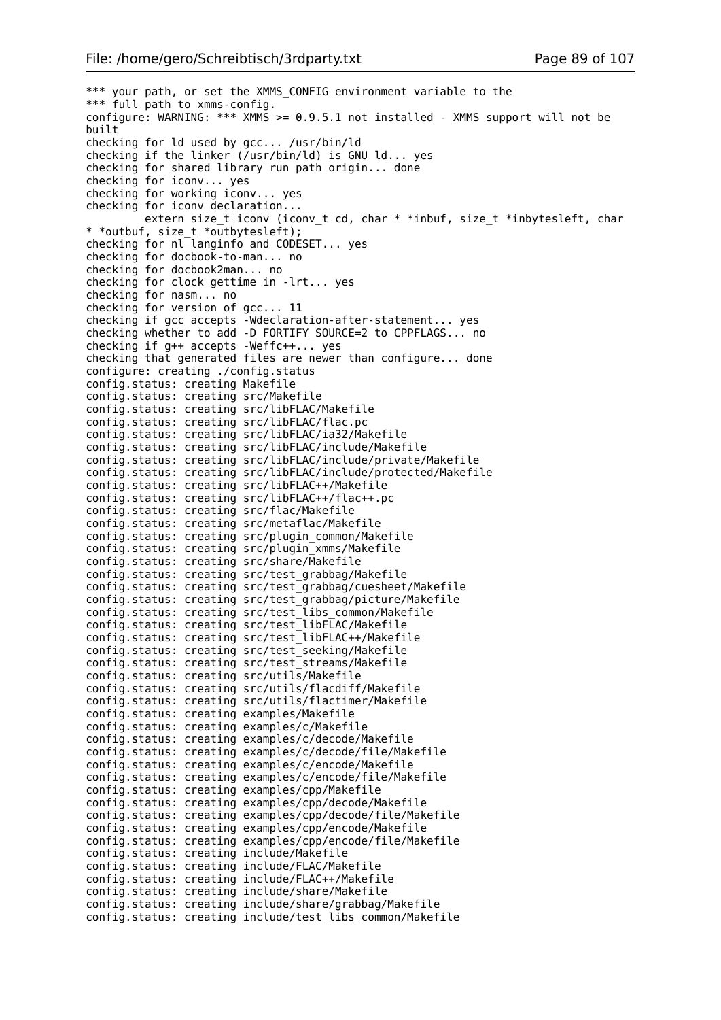\*\*\* your path, or set the XMMS\_CONFIG environment variable to the \*\*\* full path to xmms-config. configure: WARNING:  $***$  XMMS >= 0.9.5.1 not installed - XMMS support will not be built checking for ld used by gcc... /usr/bin/ld checking if the linker (/usr/bin/ld) is GNU ld... yes checking for shared library run path origin... done checking for iconv... yes checking for working iconv... yes checking for iconv declaration... extern size t iconv (iconv t cd, char \* \*inbuf, size t \*inbytesleft, char \* \*outbuf, size\_t \*outbytesleft); checking for nl\_langinfo and CODESET... yes checking for docbook-to-man... no checking for docbook2man... no checking for clock\_gettime in -lrt... yes checking for nasm... no checking for version of gcc... 11 checking if gcc accepts -Wdeclaration-after-statement... yes checking whether to add -D\_FORTIFY\_SOURCE=2 to CPPFLAGS... no checking if g++ accepts -Weffc++... yes checking that generated files are newer than configure... done configure: creating ./config.status config.status: creating Makefile config.status: creating src/Makefile config.status: creating src/libFLAC/Makefile config.status: creating src/libFLAC/flac.pc config.status: creating src/libFLAC/ia32/Makefile config.status: creating src/libFLAC/include/Makefile config.status: creating src/libFLAC/include/private/Makefile config.status: creating src/libFLAC/include/protected/Makefile config.status: creating src/libFLAC++/Makefile config.status: creating src/libFLAC++/flac++.pc config.status: creating src/flac/Makefile config.status: creating src/metaflac/Makefile config.status: creating src/plugin\_common/Makefile config.status: creating src/plugin\_xmms/Makefile config.status: creating src/share/Makefile config.status: creating src/test\_grabbag/Makefile config.status: creating src/test\_grabbag/cuesheet/Makefile config.status: creating src/test\_grabbag/picture/Makefile config.status: creating src/test\_libs\_common/Makefile config.status: creating src/test\_libFLAC/Makefile config.status: creating src/test\_libFLAC++/Makefile config.status: creating src/test\_seeking/Makefile config.status: creating src/test\_streams/Makefile config.status: creating src/utils/Makefile config.status: creating src/utils/flacdiff/Makefile config.status: creating src/utils/flactimer/Makefile config.status: creating examples/Makefile config.status: creating examples/c/Makefile config.status: creating examples/c/decode/Makefile config.status: creating examples/c/decode/file/Makefile config.status: creating examples/c/encode/Makefile config.status: creating examples/c/encode/file/Makefile config.status: creating examples/cpp/Makefile config.status: creating examples/cpp/decode/Makefile config.status: creating examples/cpp/decode/file/Makefile config.status: creating examples/cpp/encode/Makefile config.status: creating examples/cpp/encode/file/Makefile config.status: creating include/Makefile config.status: creating include/FLAC/Makefile config.status: creating include/FLAC++/Makefile config.status: creating include/share/Makefile config.status: creating include/share/grabbag/Makefile config.status: creating include/test\_libs\_common/Makefile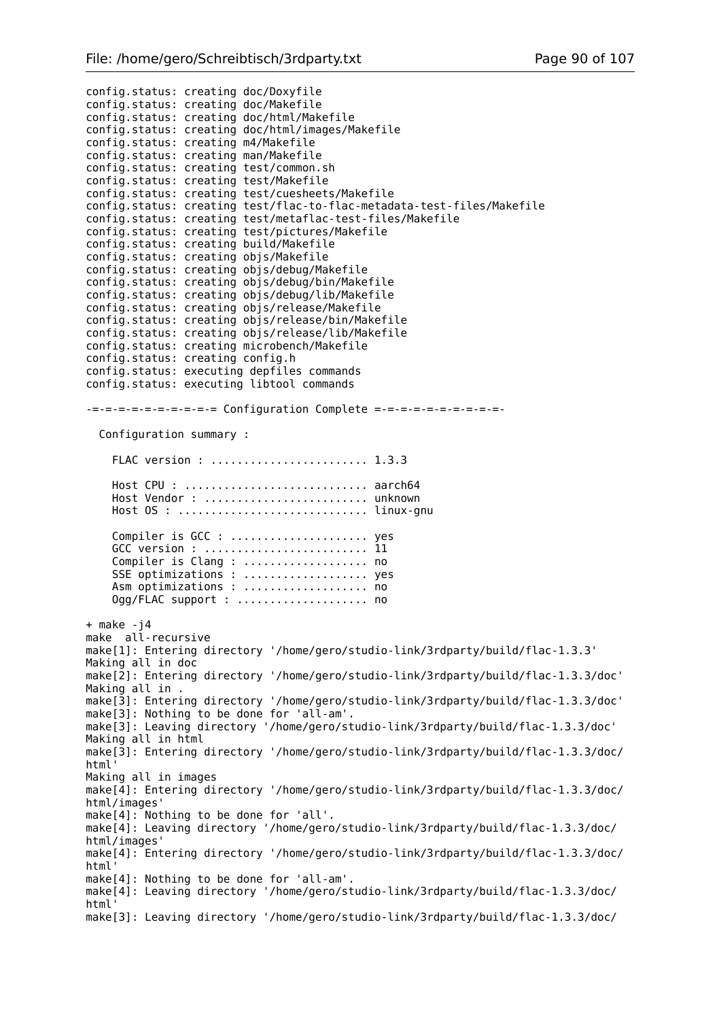config.status: creating doc/Doxyfile config.status: creating doc/Makefile config.status: creating doc/html/Makefile config.status: creating doc/html/images/Makefile config.status: creating m4/Makefile config.status: creating man/Makefile config.status: creating test/common.sh config.status: creating test/Makefile config.status: creating test/cuesheets/Makefile config.status: creating test/flac-to-flac-metadata-test-files/Makefile config.status: creating test/metaflac-test-files/Makefile config.status: creating test/pictures/Makefile config.status: creating build/Makefile config.status: creating objs/Makefile config.status: creating objs/debug/Makefile config.status: creating objs/debug/bin/Makefile config.status: creating objs/debug/lib/Makefile config.status: creating objs/release/Makefile config.status: creating objs/release/bin/Makefile config.status: creating objs/release/lib/Makefile config.status: creating microbench/Makefile config.status: creating config.h config.status: executing depfiles commands config.status: executing libtool commands -=-=-=-=-=-=-=-=-=-= Configuration Complete =-=-=-=-=-=-=-=-=-=- Configuration summary : FLAC version : ........................ 1.3.3 Host CPU : ............................ aarch64 Host Vendor : ......................... unknown Host OS : ............................. linux-gnu Compiler is GCC : ........................ yes GCC version : ......................... 11 Compiler is Clang : ..................... no SSE optimizations : ..................... yes Asm optimizations : ................... no Ogg/FLAC support : ..................... no  $+$  make  $-14$ make all-recursive make[1]: Entering directory '/home/gero/studio-link/3rdparty/build/flac-1.3.3' Making all in doc make[2]: Entering directory '/home/gero/studio-link/3rdparty/build/flac-1.3.3/doc' Making all in . make[3]: Entering directory '/home/gero/studio-link/3rdparty/build/flac-1.3.3/doc' make[3]: Nothing to be done for 'all-am'. make[3]: Leaving directory '/home/gero/studio-link/3rdparty/build/flac-1.3.3/doc' Making all in html make[3]: Entering directory '/home/gero/studio-link/3rdparty/build/flac-1.3.3/doc/ html' Making all in images make[4]: Entering directory '/home/gero/studio-link/3rdparty/build/flac-1.3.3/doc/ html/images' make[4]: Nothing to be done for 'all'. make[4]: Leaving directory '/home/gero/studio-link/3rdparty/build/flac-1.3.3/doc/ html/images' make[4]: Entering directory '/home/gero/studio-link/3rdparty/build/flac-1.3.3/doc/ html' make[4]: Nothing to be done for 'all-am'. make[4]: Leaving directory '/home/gero/studio-link/3rdparty/build/flac-1.3.3/doc/ html' make[3]: Leaving directory '/home/gero/studio-link/3rdparty/build/flac-1.3.3/doc/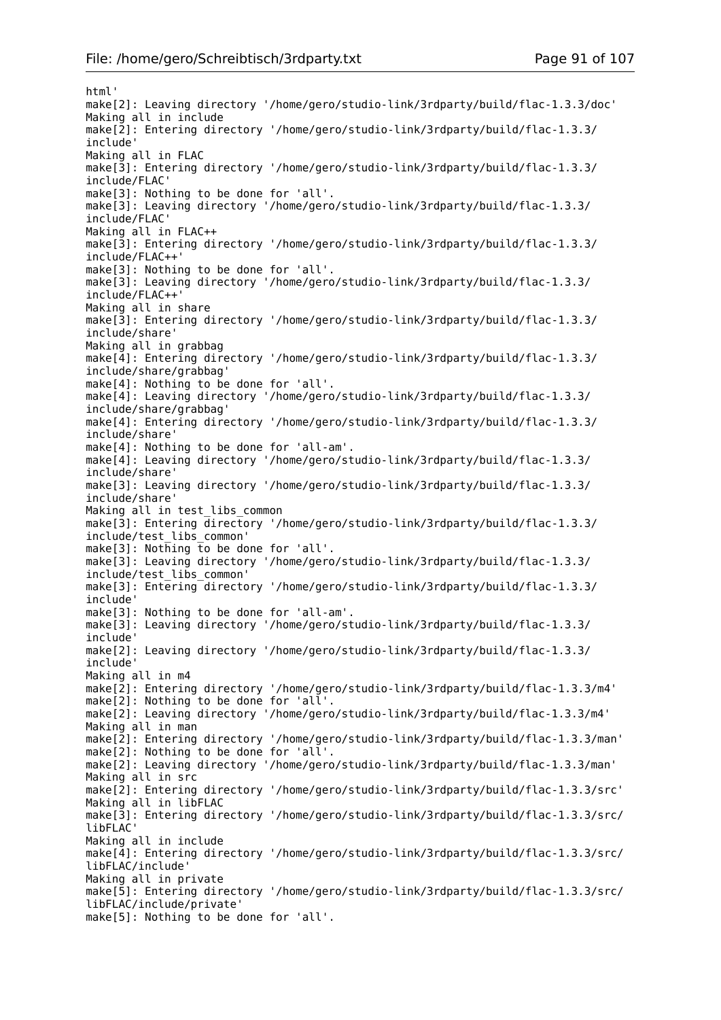html' make[2]: Leaving directory '/home/gero/studio-link/3rdparty/build/flac-1.3.3/doc' Making all in include make[2]: Entering directory '/home/gero/studio-link/3rdparty/build/flac-1.3.3/ include' Making all in FLAC make[3]: Entering directory '/home/gero/studio-link/3rdparty/build/flac-1.3.3/ include/FLAC' make[3]: Nothing to be done for 'all'. make[3]: Leaving directory '/home/gero/studio-link/3rdparty/build/flac-1.3.3/ include/FLAC' Making all in FLAC++ make[3]: Entering directory '/home/gero/studio-link/3rdparty/build/flac-1.3.3/ include/FLAC++' make[3]: Nothing to be done for 'all'. make[3]: Leaving directory '/home/gero/studio-link/3rdparty/build/flac-1.3.3/ include/FLAC++' Making all in share make[3]: Entering directory '/home/gero/studio-link/3rdparty/build/flac-1.3.3/ include/share' Making all in grabbag make[4]: Entering directory '/home/gero/studio-link/3rdparty/build/flac-1.3.3/ include/share/grabbag' make[4]: Nothing to be done for 'all'. make[4]: Leaving directory '/home/gero/studio-link/3rdparty/build/flac-1.3.3/ include/share/grabbag' make[4]: Entering directory '/home/gero/studio-link/3rdparty/build/flac-1.3.3/ include/share' make[4]: Nothing to be done for 'all-am'. make[4]: Leaving directory '/home/gero/studio-link/3rdparty/build/flac-1.3.3/ include/share' make[3]: Leaving directory '/home/gero/studio-link/3rdparty/build/flac-1.3.3/ include/share' Making all in test\_libs\_common make[3]: Entering directory '/home/gero/studio-link/3rdparty/build/flac-1.3.3/ include/test\_libs\_common'  $make[3]$ : Nothing to be done for 'all'. make[3]: Leaving directory '/home/gero/studio-link/3rdparty/build/flac-1.3.3/ include/test\_libs\_common' make[3]: Entering directory '/home/gero/studio-link/3rdparty/build/flac-1.3.3/ include' make[3]: Nothing to be done for 'all-am'. make[3]: Leaving directory '/home/gero/studio-link/3rdparty/build/flac-1.3.3/ include' make[2]: Leaving directory '/home/gero/studio-link/3rdparty/build/flac-1.3.3/ include' Making all in m4 make[2]: Entering directory '/home/gero/studio-link/3rdparty/build/flac-1.3.3/m4' make[2]: Nothing to be done for 'all'. make[2]: Leaving directory '/home/gero/studio-link/3rdparty/build/flac-1.3.3/m4' Making all in man make[2]: Entering directory '/home/gero/studio-link/3rdparty/build/flac-1.3.3/man' make[2]: Nothing to be done for 'all'. make[2]: Leaving directory '/home/gero/studio-link/3rdparty/build/flac-1.3.3/man' Making all in src make[2]: Entering directory '/home/gero/studio-link/3rdparty/build/flac-1.3.3/src' Making all in libFLAC make[3]: Entering directory '/home/gero/studio-link/3rdparty/build/flac-1.3.3/src/ libFLAC' Making all in include make[4]: Entering directory '/home/gero/studio-link/3rdparty/build/flac-1.3.3/src/ libFLAC/include' Making all in private make[5]: Entering directory '/home/gero/studio-link/3rdparty/build/flac-1.3.3/src/ libFLAC/include/private' make[5]: Nothing to be done for 'all'.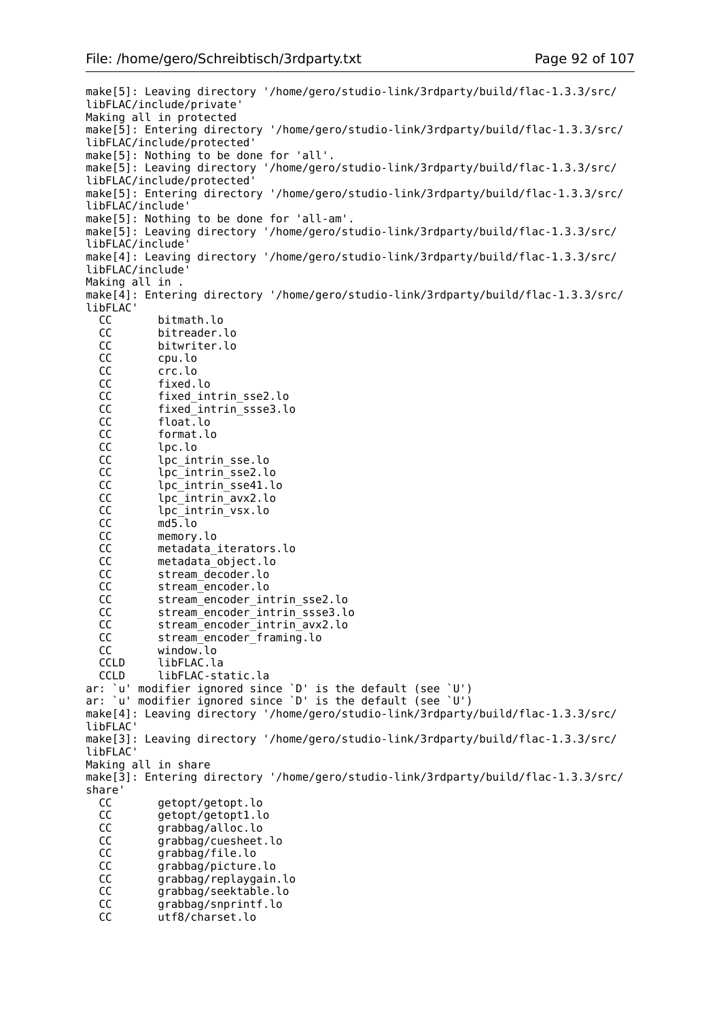make[5]: Leaving directory '/home/gero/studio-link/3rdparty/build/flac-1.3.3/src/ libFLAC/include/private' Making all in protected make[5]: Entering directory '/home/gero/studio-link/3rdparty/build/flac-1.3.3/src/ libFLAC/include/protected' make[5]: Nothing to be done for 'all'. make[5]: Leaving directory '/home/gero/studio-link/3rdparty/build/flac-1.3.3/src/ libFLAC/include/protected' make[5]: Entering directory '/home/gero/studio-link/3rdparty/build/flac-1.3.3/src/ libFLAC/include' make[5]: Nothing to be done for 'all-am'. make[5]: Leaving directory '/home/gero/studio-link/3rdparty/build/flac-1.3.3/src/ libFLAC/include' make[4]: Leaving directory '/home/gero/studio-link/3rdparty/build/flac-1.3.3/src/ libFLAC/include' Making all in . make[4]: Entering directory '/home/gero/studio-link/3rdparty/build/flac-1.3.3/src/ libFLAC' CC bitmath.lo CC bitreader.lo CC bitwriter.lo<br>CC cpu.lo CC cpu.lo CC crc.lo CC fixed.lo CC fixed intrin sse2.lo CC fixed\_intrin\_ssse3.lo CC float.lo CC format.lo<br>CC lpc.lo CC lpc.lo<br>CC lpc\_in lpc\_intrin\_sse.lo CC lpc\_intrin\_sse2.lo CC lpc\_intrin\_sse41.lo CC lpc\_intrin\_avx2.lo<br>CC lpc\_intrin\_vsx.lo CC lpc\_intrin\_vsx.lo<br>CC md5.lo md5.lo CC memory.lo<br>CC metadata CC metadata\_iterators.lo<br>CC metadata\_obiect.lo metadata\_object.lo CC stream\_decoder.lo CC stream\_encoder.lo CC stream\_encoder\_intrin\_sse2.lo CC stream\_encoder\_intrin\_ssse3.lo CC stream\_encoder\_intrin\_avx2.lo CC stream encoder framing.lo CC window.lo CCLD libFLAC.la CCLD libFLAC-static.la ar: `u' modifier ignored since `D' is the default (see `U') ar: `u' modifier ignored since `D' is the default (see `U') make[4]: Leaving directory '/home/gero/studio-link/3rdparty/build/flac-1.3.3/src/ libFLAC' make[3]: Leaving directory '/home/gero/studio-link/3rdparty/build/flac-1.3.3/src/ libFLAC' Making all in share make[3]: Entering directory '/home/gero/studio-link/3rdparty/build/flac-1.3.3/src/ share' CC getopt/getopt.lo CC getopt/getopt1.lo<br>CC grabbag/alloc.lo CC grabbag/alloc.lo<br>CC grabbag/cuesheet grabbag/cuesheet.lo CC grabbag/file.lo CC grabbag/picture.lo CC grabbag/replaygain.lo CC grabbag/seektable.lo CC grabbag/snprintf.lo CC utf8/charset.lo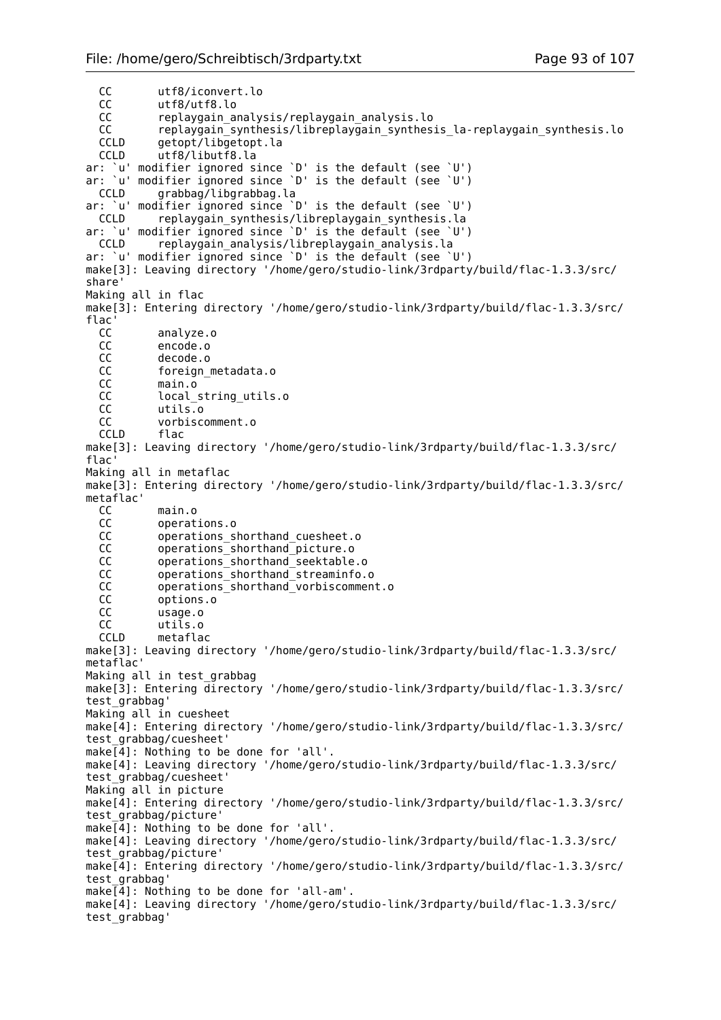CC utf8/iconvert.lo<br>CC utf8/utf8.lo CC utf8/utf8.lo<br>CC replayoain au replaygain\_analysis/replaygain analysis.lo CC replaygain\_synthesis/libreplaygain\_synthesis\_la-replaygain\_synthesis.lo CCLD getopt/libgetopt.la CCLD utf8/libutf8.la ar: `u' modifier ignored since `D' is the default (see `U') ar: `u' modifier ignored since `D' is the default (see `U') CCLD grabbag/libgrabbag.la ar: `u' modifier ignored since `D' is the default (see `U') CCLD replaygain\_synthesis/libreplaygain\_synthesis.la ar: `u' modifier ignored since `D' is the default (see `U') CCLD replaygain analysis/libreplaygain analysis.la ar: `u' modifier ignored since `D' is the default (see `U') make[3]: Leaving directory '/home/gero/studio-link/3rdparty/build/flac-1.3.3/src/ share' Making all in flac make[3]: Entering directory '/home/gero/studio-link/3rdparty/build/flac-1.3.3/src/ flac' CC analyze.o CC encode.o<br>CC decode.o decode.o CC foreign metadata.o CC main.o CC local\_string\_utils.o CC utils.o CC vorbiscomment.o CCLD flac make[3]: Leaving directory '/home/gero/studio-link/3rdparty/build/flac-1.3.3/src/ flac' Making all in metaflac make[3]: Entering directory '/home/gero/studio-link/3rdparty/build/flac-1.3.3/src/ metaflac'<br>CC CC main.o operations.o CC operations\_shorthand\_cuesheet.o<br>CC operations shorthand picture.o CC operations\_shorthand\_picture.o<br>CC operations\_shorthand\_seektable operations\_shorthand\_seektable.o CC operations shorthand streaminfo.o CC operations\_shorthand\_vorbiscomment.o CC options.o CC usage.o CC utils.o CCLD metaflac make[3]: Leaving directory '/home/gero/studio-link/3rdparty/build/flac-1.3.3/src/ metaflac' Making all in test grabbag make[3]: Entering directory '/home/gero/studio-link/3rdparty/build/flac-1.3.3/src/ test grabbag' Making all in cuesheet make[4]: Entering directory '/home/gero/studio-link/3rdparty/build/flac-1.3.3/src/ test\_grabbag/cuesheet'  $make[4]$ : Nothing to be done for 'all'. make[4]: Leaving directory '/home/gero/studio-link/3rdparty/build/flac-1.3.3/src/ test\_grabbag/cuesheet' Making all in picture make[4]: Entering directory '/home/gero/studio-link/3rdparty/build/flac-1.3.3/src/ test\_grabbag/picture' make[4]: Nothing to be done for 'all'. make[4]: Leaving directory '/home/gero/studio-link/3rdparty/build/flac-1.3.3/src/ test\_grabbag/picture' make[4]: Entering directory '/home/gero/studio-link/3rdparty/build/flac-1.3.3/src/ test\_grabbag' make[4]: Nothing to be done for 'all-am'. make[4]: Leaving directory '/home/gero/studio-link/3rdparty/build/flac-1.3.3/src/ test\_grabbag'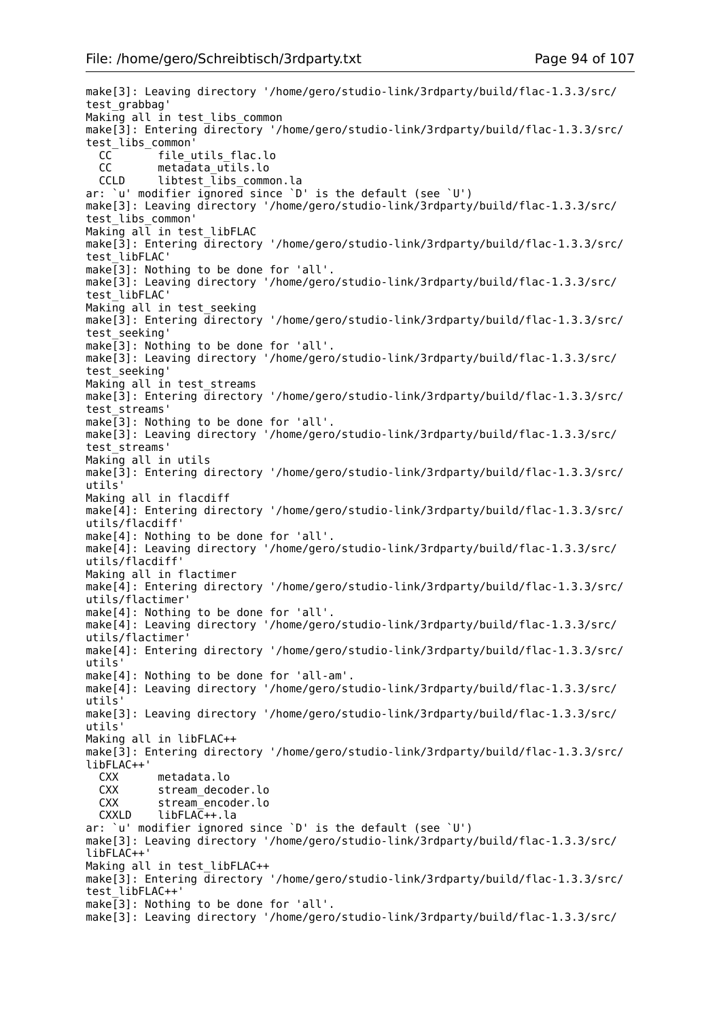make[3]: Leaving directory '/home/gero/studio-link/3rdparty/build/flac-1.3.3/src/ test\_grabbag' Making all in test libs common make[3]: Entering directory '/home/gero/studio-link/3rdparty/build/flac-1.3.3/src/ test\_libs\_common' CC file\_utils\_flac.lo<br>CC metadata\_utils.lo CC metadata\_utils.lo<br>CCLD libtest\_libs\_comm  $libtest$  libs common.la ar: `u' modifier  $iq$ nored since `D' is the default (see `U') make[3]: Leaving directory '/home/gero/studio-link/3rdparty/build/flac-1.3.3/src/ test\_libs\_common' Making all in test\_libFLAC make[3]: Entering directory '/home/gero/studio-link/3rdparty/build/flac-1.3.3/src/ test\_libFLAC' make[3]: Nothing to be done for 'all'. make[3]: Leaving directory '/home/gero/studio-link/3rdparty/build/flac-1.3.3/src/ test\_libFLAC' Making all in test seeking make[3]: Entering directory '/home/gero/studio-link/3rdparty/build/flac-1.3.3/src/ test\_seeking' make[3]: Nothing to be done for 'all'. make[3]: Leaving directory '/home/gero/studio-link/3rdparty/build/flac-1.3.3/src/ test\_seeking' Making all in test streams make[3]: Entering directory '/home/gero/studio-link/3rdparty/build/flac-1.3.3/src/ test\_streams' make[3]: Nothing to be done for 'all'. make[3]: Leaving directory '/home/gero/studio-link/3rdparty/build/flac-1.3.3/src/ test\_streams' Making all in utils make[3]: Entering directory '/home/gero/studio-link/3rdparty/build/flac-1.3.3/src/ utils' Making all in flacdiff make[4]: Entering directory '/home/gero/studio-link/3rdparty/build/flac-1.3.3/src/ utils/flacdiff' make[4]: Nothing to be done for 'all'. make[4]: Leaving directory '/home/gero/studio-link/3rdparty/build/flac-1.3.3/src/ utils/flacdiff' Making all in flactimer make[4]: Entering directory '/home/gero/studio-link/3rdparty/build/flac-1.3.3/src/ utils/flactimer' make[4]: Nothing to be done for 'all'. make[4]: Leaving directory '/home/gero/studio-link/3rdparty/build/flac-1.3.3/src/ utils/flactimer' make[4]: Entering directory '/home/gero/studio-link/3rdparty/build/flac-1.3.3/src/ utils' make[4]: Nothing to be done for 'all-am'. make[4]: Leaving directory '/home/gero/studio-link/3rdparty/build/flac-1.3.3/src/ utils' make[3]: Leaving directory '/home/gero/studio-link/3rdparty/build/flac-1.3.3/src/ utils' Making all in libFLAC++ make[3]: Entering directory '/home/gero/studio-link/3rdparty/build/flac-1.3.3/src/ libFLAC++' CXX metadata.lo stream\_decoder.lo CXX stream\_encoder.lo CXXLD libFLAC++.la ar: `u' modifier ignored since `D' is the default (see `U') make[3]: Leaving directory '/home/gero/studio-link/3rdparty/build/flac-1.3.3/src/ libFLAC++' Making all in test libFLAC++ make[3]: Entering directory '/home/gero/studio-link/3rdparty/build/flac-1.3.3/src/ test\_libFLAC++' make[3]: Nothing to be done for 'all'. make[3]: Leaving directory '/home/gero/studio-link/3rdparty/build/flac-1.3.3/src/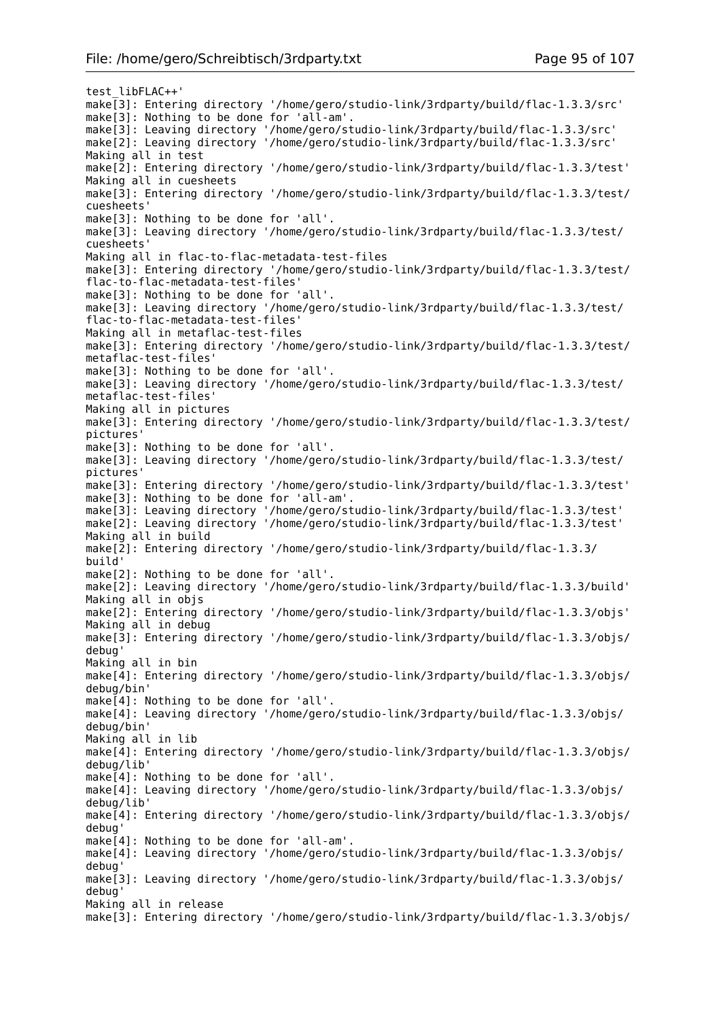test\_libFLAC++' make[3]: Entering directory '/home/gero/studio-link/3rdparty/build/flac-1.3.3/src' make[3]: Nothing to be done for 'all-am'. make[3]: Leaving directory '/home/gero/studio-link/3rdparty/build/flac-1.3.3/src' make[2]: Leaving directory '/home/gero/studio-link/3rdparty/build/flac-1.3.3/src' Making all in test make[2]: Entering directory '/home/gero/studio-link/3rdparty/build/flac-1.3.3/test' Making all in cuesheets make[3]: Entering directory '/home/gero/studio-link/3rdparty/build/flac-1.3.3/test/ cuesheets' make[3]: Nothing to be done for 'all'. make[3]: Leaving directory '/home/gero/studio-link/3rdparty/build/flac-1.3.3/test/ cuesheets' Making all in flac-to-flac-metadata-test-files make[3]: Entering directory '/home/gero/studio-link/3rdparty/build/flac-1.3.3/test/ flac-to-flac-metadata-test-files' make[3]: Nothing to be done for 'all'. make[3]: Leaving directory '/home/gero/studio-link/3rdparty/build/flac-1.3.3/test/ flac-to-flac-metadata-test-files' Making all in metaflac-test-files make[3]: Entering directory '/home/gero/studio-link/3rdparty/build/flac-1.3.3/test/ metaflac-test-files' make[3]: Nothing to be done for 'all'. make[3]: Leaving directory '/home/gero/studio-link/3rdparty/build/flac-1.3.3/test/ metaflac-test-files' Making all in pictures make[3]: Entering directory '/home/gero/studio-link/3rdparty/build/flac-1.3.3/test/ pictures' make[3]: Nothing to be done for 'all'. make[3]: Leaving directory '/home/gero/studio-link/3rdparty/build/flac-1.3.3/test/ pictures' make[3]: Entering directory '/home/gero/studio-link/3rdparty/build/flac-1.3.3/test' make[3]: Nothing to be done for 'all-am'. make[3]: Leaving directory '/home/gero/studio-link/3rdparty/build/flac-1.3.3/test' make[2]: Leaving directory '/home/gero/studio-link/3rdparty/build/flac-1.3.3/test' Making all in build make[2]: Entering directory '/home/gero/studio-link/3rdparty/build/flac-1.3.3/ build' make[2]: Nothing to be done for 'all'. make[2]: Leaving directory '/home/gero/studio-link/3rdparty/build/flac-1.3.3/build' Making all in objs make[2]: Entering directory '/home/gero/studio-link/3rdparty/build/flac-1.3.3/objs' Making all in debug make[3]: Entering directory '/home/gero/studio-link/3rdparty/build/flac-1.3.3/objs/ debug' Making all in bin make[4]: Entering directory '/home/gero/studio-link/3rdparty/build/flac-1.3.3/objs/ debug/bin' make[4]: Nothing to be done for 'all'. make[4]: Leaving directory '/home/gero/studio-link/3rdparty/build/flac-1.3.3/objs/ debug/bin' Making all in lib make[4]: Entering directory '/home/gero/studio-link/3rdparty/build/flac-1.3.3/objs/ debug/lib' make[4]: Nothing to be done for 'all'. make[4]: Leaving directory '/home/gero/studio-link/3rdparty/build/flac-1.3.3/objs/ debug/lib' make[4]: Entering directory '/home/gero/studio-link/3rdparty/build/flac-1.3.3/objs/ debug' make[4]: Nothing to be done for 'all-am'. make[4]: Leaving directory '/home/gero/studio-link/3rdparty/build/flac-1.3.3/objs/ debug' make[3]: Leaving directory '/home/gero/studio-link/3rdparty/build/flac-1.3.3/objs/ debug' Making all in release make[3]: Entering directory '/home/gero/studio-link/3rdparty/build/flac-1.3.3/objs/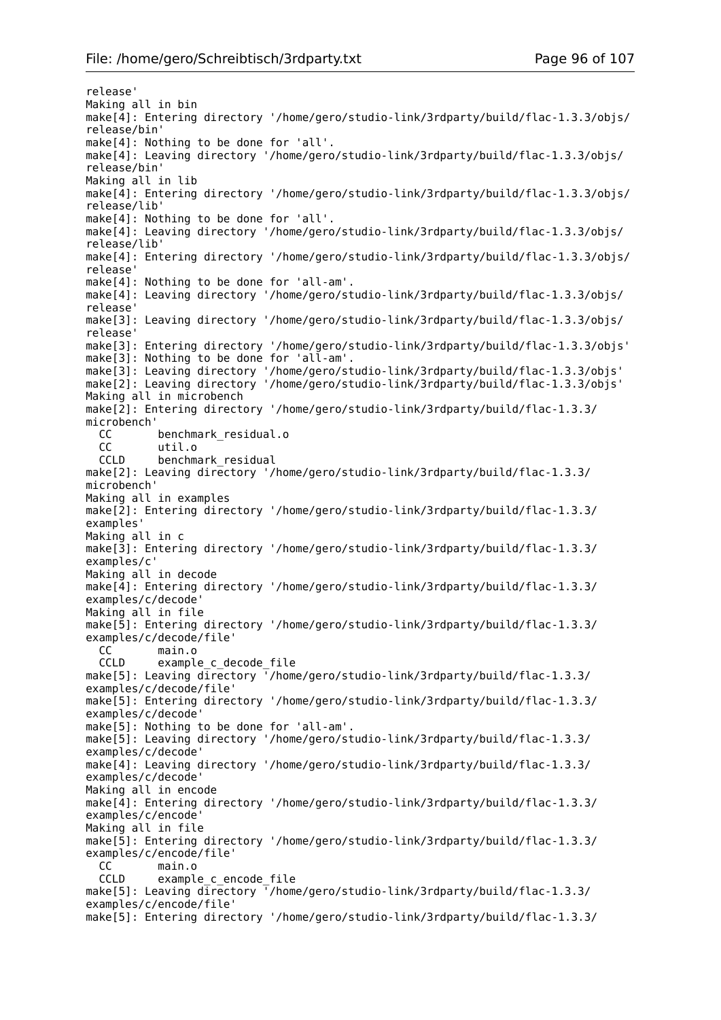release' Making all in bin make[4]: Entering directory '/home/gero/studio-link/3rdparty/build/flac-1.3.3/objs/ release/bin' make[4]: Nothing to be done for 'all'. make[4]: Leaving directory '/home/gero/studio-link/3rdparty/build/flac-1.3.3/objs/ release/bin' Making all in lib make[4]: Entering directory '/home/gero/studio-link/3rdparty/build/flac-1.3.3/objs/ release/lib' make[4]: Nothing to be done for 'all'. make[4]: Leaving directory '/home/gero/studio-link/3rdparty/build/flac-1.3.3/objs/ release/lib' make[4]: Entering directory '/home/gero/studio-link/3rdparty/build/flac-1.3.3/objs/ release' make[4]: Nothing to be done for 'all-am'. make[4]: Leaving directory '/home/gero/studio-link/3rdparty/build/flac-1.3.3/objs/ release' make[3]: Leaving directory '/home/gero/studio-link/3rdparty/build/flac-1.3.3/objs/ release' make[3]: Entering directory '/home/gero/studio-link/3rdparty/build/flac-1.3.3/objs' make[3]: Nothing to be done for 'all-am'. make[3]: Leaving directory '/home/gero/studio-link/3rdparty/build/flac-1.3.3/objs' make[2]: Leaving directory '/home/gero/studio-link/3rdparty/build/flac-1.3.3/objs' Making all in microbench make[2]: Entering directory '/home/gero/studio-link/3rdparty/build/flac-1.3.3/ microbench' CC benchmark\_residual.o<br>CC util.o CC util.o<br>CCLD benchm benchmark\_residual make[2]: Leaving directory '/home/gero/studio-link/3rdparty/build/flac-1.3.3/ microbench' Making all in examples make[2]: Entering directory '/home/gero/studio-link/3rdparty/build/flac-1.3.3/ examples' Making all in c make[3]: Entering directory '/home/gero/studio-link/3rdparty/build/flac-1.3.3/ examples/c' Making all in decode make[4]: Entering directory '/home/gero/studio-link/3rdparty/build/flac-1.3.3/ examples/c/decode' Making all in file make[5]: Entering directory '/home/gero/studio-link/3rdparty/build/flac-1.3.3/ examples/c/decode/file' CC main.o CCLD example c decode file make[5]: Leaving directory '/home/gero/studio-link/3rdparty/build/flac-1.3.3/ examples/c/decode/file' make[5]: Entering directory '/home/gero/studio-link/3rdparty/build/flac-1.3.3/ examples/c/decode' make[5]: Nothing to be done for 'all-am'. make[5]: Leaving directory '/home/gero/studio-link/3rdparty/build/flac-1.3.3/ examples/c/decode' make[4]: Leaving directory '/home/gero/studio-link/3rdparty/build/flac-1.3.3/ examples/c/decode' Making all in encode make[4]: Entering directory '/home/gero/studio-link/3rdparty/build/flac-1.3.3/ examples/c/encode' Making all in file make[5]: Entering directory '/home/gero/studio-link/3rdparty/build/flac-1.3.3/ examples/c/encode/file' CC main.o<br>CCLD example example c encode file make[5]: Leaving directory '/home/gero/studio-link/3rdparty/build/flac-1.3.3/ examples/c/encode/file' make[5]: Entering directory '/home/gero/studio-link/3rdparty/build/flac-1.3.3/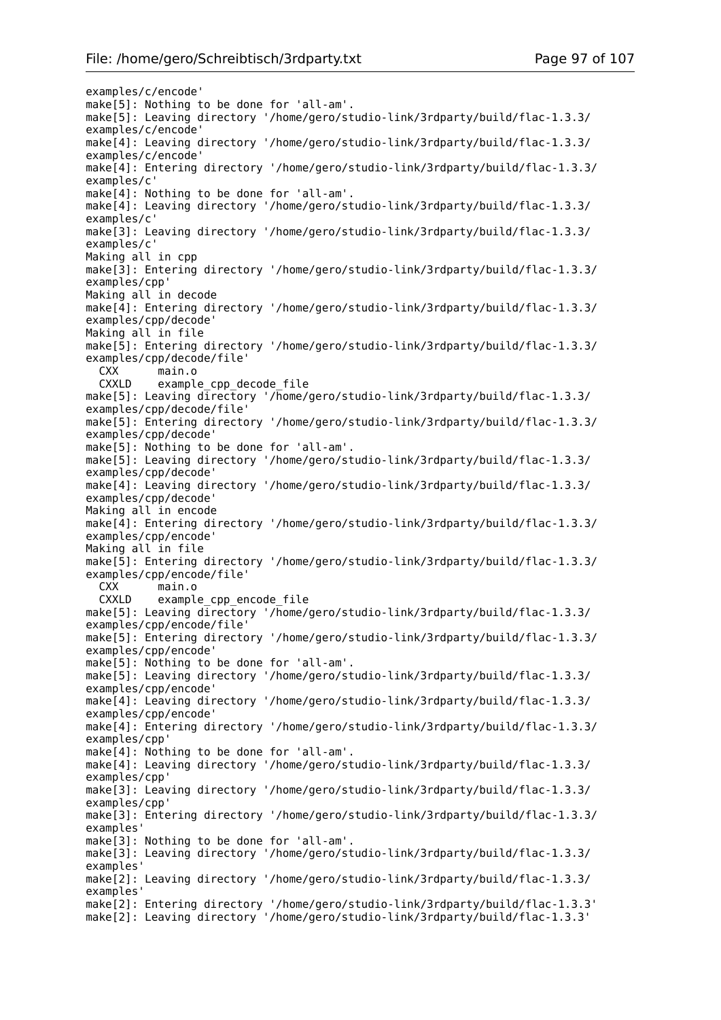examples/c/encode' make[5]: Nothing to be done for 'all-am'. make[5]: Leaving directory '/home/gero/studio-link/3rdparty/build/flac-1.3.3/ examples/c/encode' make[4]: Leaving directory '/home/gero/studio-link/3rdparty/build/flac-1.3.3/ examples/c/encode' make[4]: Entering directory '/home/gero/studio-link/3rdparty/build/flac-1.3.3/ examples/c' make[4]: Nothing to be done for 'all-am'. make[4]: Leaving directory '/home/gero/studio-link/3rdparty/build/flac-1.3.3/ examples/c' make[3]: Leaving directory '/home/gero/studio-link/3rdparty/build/flac-1.3.3/ examples/c' Making all in cpp make[3]: Entering directory '/home/gero/studio-link/3rdparty/build/flac-1.3.3/ examples/cpp' Making all in decode make[4]: Entering directory '/home/gero/studio-link/3rdparty/build/flac-1.3.3/ examples/cpp/decode' Making all in file make[5]: Entering directory '/home/gero/studio-link/3rdparty/build/flac-1.3.3/ examples/cpp/decode/file' CXX main.o CXXLD example cpp decode file make[5]: Leaving directory '/home/gero/studio-link/3rdparty/build/flac-1.3.3/ examples/cpp/decode/file' make[5]: Entering directory '/home/gero/studio-link/3rdparty/build/flac-1.3.3/ examples/cpp/decode' make[5]: Nothing to be done for 'all-am'. make[5]: Leaving directory '/home/gero/studio-link/3rdparty/build/flac-1.3.3/ examples/cpp/decode' make[4]: Leaving directory '/home/gero/studio-link/3rdparty/build/flac-1.3.3/ examples/cpp/decode' Making all in encode make[4]: Entering directory '/home/gero/studio-link/3rdparty/build/flac-1.3.3/ examples/cpp/encode' Making all in file make[5]: Entering directory '/home/gero/studio-link/3rdparty/build/flac-1.3.3/ examples/cpp/encode/file' CXX main.o CXXLD example\_cpp\_encode\_file make[5]: Leaving directory '/home/gero/studio-link/3rdparty/build/flac-1.3.3/ examples/cpp/encode/file' make[5]: Entering directory '/home/gero/studio-link/3rdparty/build/flac-1.3.3/ examples/cpp/encode' make[5]: Nothing to be done for 'all-am'. make[5]: Leaving directory '/home/gero/studio-link/3rdparty/build/flac-1.3.3/ examples/cpp/encode' make[4]: Leaving directory '/home/gero/studio-link/3rdparty/build/flac-1.3.3/ examples/cpp/encode' make[4]: Entering directory '/home/gero/studio-link/3rdparty/build/flac-1.3.3/ examples/cpp' make[4]: Nothing to be done for 'all-am'. make[4]: Leaving directory '/home/gero/studio-link/3rdparty/build/flac-1.3.3/ examples/cpp' make[3]: Leaving directory '/home/gero/studio-link/3rdparty/build/flac-1.3.3/ examples/cpp' make[3]: Entering directory '/home/gero/studio-link/3rdparty/build/flac-1.3.3/ examples' make[3]: Nothing to be done for 'all-am'. make[3]: Leaving directory '/home/gero/studio-link/3rdparty/build/flac-1.3.3/ examples' make[2]: Leaving directory '/home/gero/studio-link/3rdparty/build/flac-1.3.3/ examples' make[2]: Entering directory '/home/gero/studio-link/3rdparty/build/flac-1.3.3' make[2]: Leaving directory '/home/gero/studio-link/3rdparty/build/flac-1.3.3'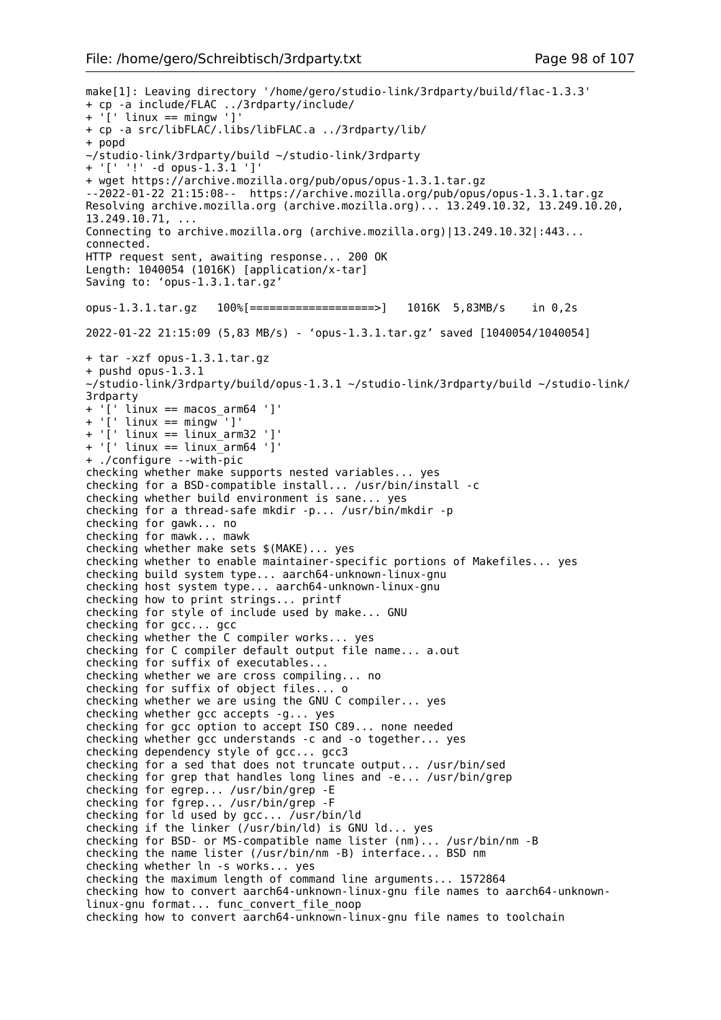```
make[1]: Leaving directory '/home/gero/studio-link/3rdparty/build/flac-1.3.3'
+ cp -a include/FLAC ../3rdparty/include/
+ '[' linux == mingw ']'
+ cp -a src/libFLAC/.libs/libFLAC.a ../3rdparty/lib/
+ popd
~/studio-link/3rdparty/build ~/studio-link/3rdparty
+ '[' '!' -d opus-1.3.1 ']'
+ wget https://archive.mozilla.org/pub/opus/opus-1.3.1.tar.gz
--2022-01-22 21:15:08-- https://archive.mozilla.org/pub/opus/opus-1.3.1.tar.gz
Resolving archive.mozilla.org (archive.mozilla.org)... 13.249.10.32, 13.249.10.20,
13.249.10.71, ...
Connecting to archive.mozilla.org (archive.mozilla.org)|13.249.10.32|:443...
connected.
HTTP request sent, awaiting response... 200 OK
Length: 1040054 (1016K) [application/x-tar]
Saving to: 'opus-1.3.1.tar.gz'
opus-1.3.1.tar.gz 100%[===================>] 1016K 5,83MB/s in 0,2s 
2022-01-22 21:15:09 (5,83 MB/s) - 'opus-1.3.1.tar.gz' saved [1040054/1040054]
+ tar -xzf opus-1.3.1.tar.gz
+ pushd opus-1.3.1
~/studio-link/3rdparty/build/opus-1.3.1 ~/studio-link/3rdparty/build ~/studio-link/
3rdparty
+ '[' linux == macos_arm64 ']'
+ '[' linux == mingw ']'
+ '[' linux == linux_arm32 ']'
+ '[' linux == linux arm64 ']'
+ ./configure --with-pic
checking whether make supports nested variables... yes
checking for a BSD-compatible install... /usr/bin/install -c
checking whether build environment is sane... yes
checking for a thread-safe mkdir -p... /usr/bin/mkdir -p
checking for gawk... no
checking for mawk... mawk
checking whether make sets $(MAKE)... yes
checking whether to enable maintainer-specific portions of Makefiles... yes
checking build system type... aarch64-unknown-linux-gnu
checking host system type... aarch64-unknown-linux-gnu
checking how to print strings... printf
checking for style of include used by make... GNU
checking for gcc... gcc
checking whether the C compiler works... yes
checking for C compiler default output file name... a.out
checking for suffix of executables... 
checking whether we are cross compiling... no
checking for suffix of object files... o
checking whether we are using the GNU C compiler... yes
checking whether gcc accepts -g... yes
checking for gcc option to accept ISO C89... none needed
checking whether gcc understands -c and -o together... yes
checking dependency style of gcc... gcc3
checking for a sed that does not truncate output... /usr/bin/sed
checking for grep that handles long lines and -e... /usr/bin/grep
checking for egrep... /usr/bin/grep -E
checking for fgrep... /usr/bin/grep -F
checking for ld used by gcc... /usr/bin/ld
checking if the linker (/usr/bin/ld) is GNU ld... yes
checking for BSD- or MS-compatible name lister (nm)... /usr/bin/nm -B
checking the name lister (/usr/bin/nm -B) interface... BSD nm
checking whether ln -s works... yes
checking the maximum length of command line arguments... 1572864
checking how to convert aarch64-unknown-linux-gnu file names to aarch64-unknown-
linux-gnu format... func convert file noop
checking how to convert aarch64-unknown-linux-gnu file names to toolchain
```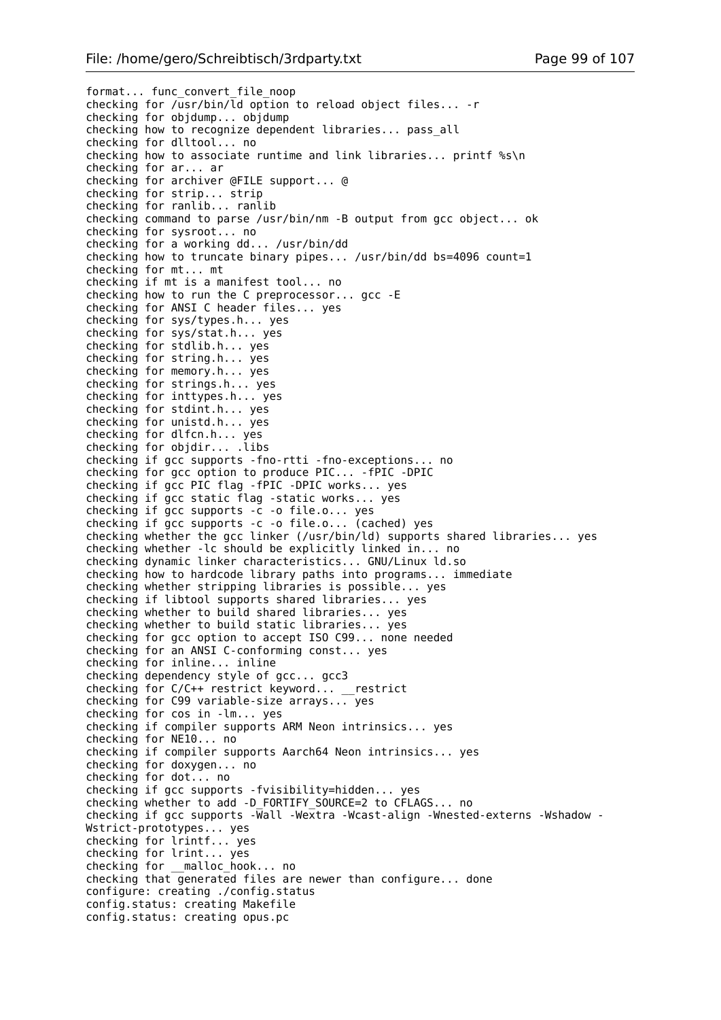format... func convert file noop checking for  $\sqrt{u}$ sr/bin/ld option to reload object files... - r checking for objdump... objdump checking how to recognize dependent libraries... pass\_all checking for dlltool... no checking how to associate runtime and link libraries... printf %s\n checking for ar... ar checking for archiver @FILE support... @ checking for strip... strip checking for ranlib... ranlib checking command to parse /usr/bin/nm -B output from gcc object... ok checking for sysroot... no checking for a working dd... /usr/bin/dd checking how to truncate binary pipes... /usr/bin/dd bs=4096 count=1 checking for mt... mt checking if mt is a manifest tool... no checking how to run the C preprocessor... gcc -E checking for ANSI C header files... yes checking for sys/types.h... yes checking for sys/stat.h... yes checking for stdlib.h... yes checking for string.h... yes checking for memory.h... yes checking for strings.h... yes checking for inttypes.h... yes checking for stdint.h... yes checking for unistd.h... yes checking for dlfcn.h... yes checking for objdir... .libs checking if gcc supports -fno-rtti -fno-exceptions... no checking for gcc option to produce PIC... -fPIC -DPIC checking if gcc PIC flag -fPIC -DPIC works... yes checking if gcc static flag -static works... yes checking if gcc supports -c -o file.o... yes checking if gcc supports -c -o file.o... (cached) yes checking whether the gcc linker (/usr/bin/ld) supports shared libraries... yes checking whether -lc should be explicitly linked in... no checking dynamic linker characteristics... GNU/Linux ld.so checking how to hardcode library paths into programs... immediate checking whether stripping libraries is possible... yes checking if libtool supports shared libraries... yes checking whether to build shared libraries... yes checking whether to build static libraries... yes checking for gcc option to accept ISO C99... none needed checking for an ANSI C-conforming const... yes checking for inline... inline checking dependency style of gcc... gcc3 checking for C/C++ restrict keyword... \_\_restrict checking for C99 variable-size arrays... yes checking for cos in -lm... yes checking if compiler supports ARM Neon intrinsics... yes checking for NE10... no checking if compiler supports Aarch64 Neon intrinsics... yes checking for doxygen... no checking for dot... no checking if gcc supports -fvisibility=hidden... yes checking whether to add -D\_FORTIFY\_SOURCE=2 to CFLAGS... no checking if gcc supports -Wall -Wextra -Wcast-align -Wnested-externs -Wshadow - Wstrict-prototypes... yes checking for lrintf... yes checking for lrint... yes checking for \_\_malloc\_hook... no checking that generated files are newer than configure... done configure: creating ./config.status config.status: creating Makefile config.status: creating opus.pc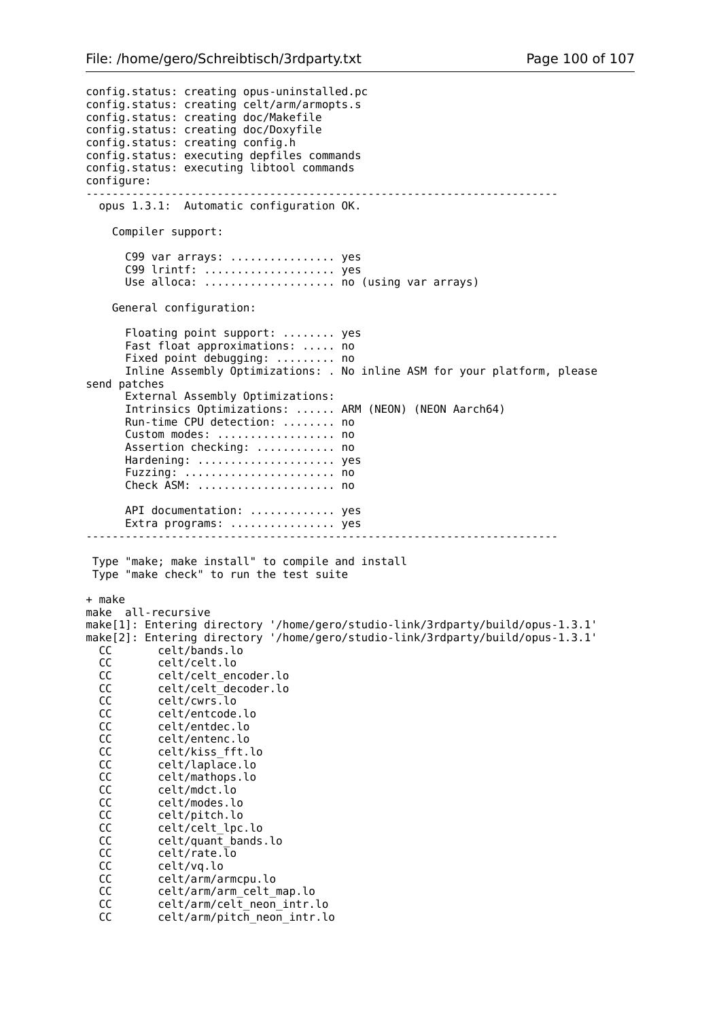config.status: creating opus-uninstalled.pc config.status: creating celt/arm/armopts.s config.status: creating doc/Makefile config.status: creating doc/Doxyfile config.status: creating config.h config.status: executing depfiles commands config.status: executing libtool commands configure: ----------------------------------------------------------------------- opus 1.3.1: Automatic configuration OK. Compiler support: C99 var arrays: ................. yes C99 lrintf: .................... yes Use alloca: ...................... no (using var arrays) General configuration: Floating point support: ........ yes Fast float approximations: ..... no Fixed point debugging: ......... no Inline Assembly Optimizations: . No inline ASM for your platform, please send patches External Assembly Optimizations: Intrinsics Optimizations: ...... ARM (NEON) (NEON Aarch64) Run-time CPU detection: ........ no Custom modes: .................. no Assertion checking: ............ no Hardening: ..................... yes Fuzzing: ....................... no Check ASM: ..................... no API documentation: .............. yes Extra programs: .................. yes ------------------------------------------------------------------------ Type "make; make install" to compile and install Type "make check" to run the test suite + make make all-recursive make[1]: Entering directory '/home/gero/studio-link/3rdparty/build/opus-1.3.1' make[2]: Entering directory '/home/gero/studio-link/3rdparty/build/opus-1.3.1' CC celt/bands.lo CC celt/celt.lo CC celt/celt\_encoder.lo<br>CC celt/celt\_decoder.lo celt/celt\_decoder.lo CC celt/cwrs.lo CC celt/entcode.lo CC celt/entdec.lo<br>CC celt/entenc.lo celt/entenc.lo CC celt/kiss\_fft.lo CC celt/laplace.lo CC celt/mathops.lo<br>CC celt/mdct.lo celt/mdct.lo CC celt/modes.lo CC celt/pitch.lo<br>CC celt/celt lpc CC celt/celt\_lpc.lo<br>CC celt/quant bands CC celt/quant\_bands.lo<br>CC celt/rate.lo  $celt/rate.\overline{lo}$  CC celt/vq.lo CC celt/arm/armcpu.lo CC celt/arm/arm\_celt\_map.lo CC celt/arm/celt\_neon\_intr.lo CC celt/arm/pitch neon intr.lo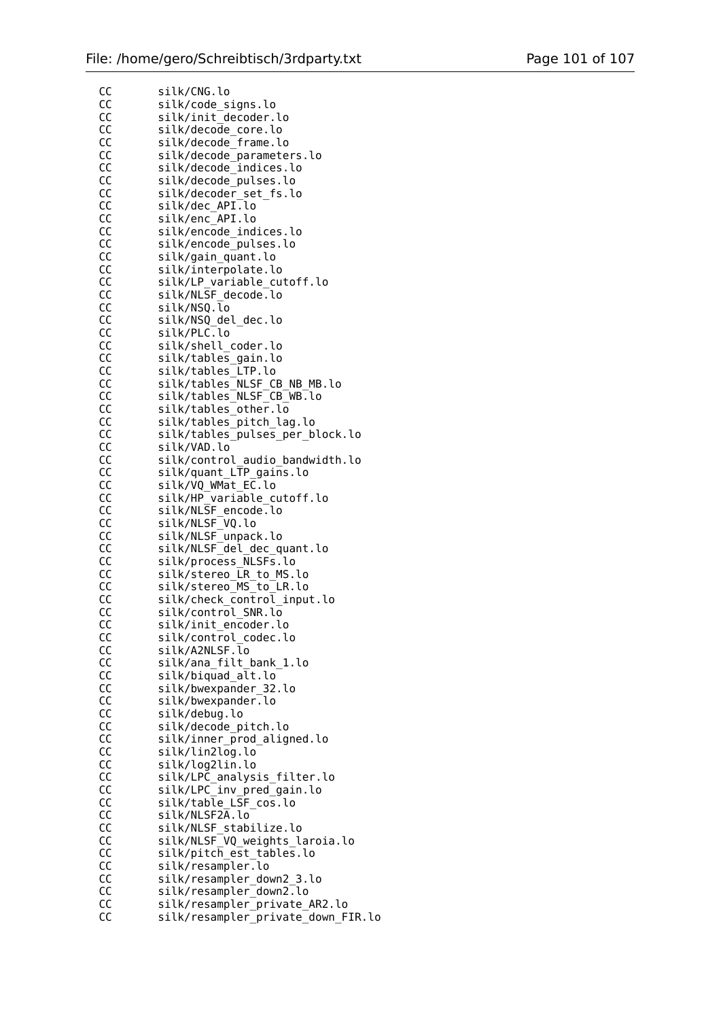| CС | silk/CNG.lo                        |
|----|------------------------------------|
| cc | silk/code_signs.lo                 |
| cc | silk/init_decoder.lo               |
| cc | silk/decode_core.lo                |
| cc | silk/decode_frame.lo               |
|    |                                    |
| cc | silk/decode_parameters.lo          |
| cc | silk/decode_indices.lo             |
| cc | silk/decode_pulses.lo              |
| CС | silk/decoder_set_fs.lo             |
| CС | silk/dec_API.lo                    |
|    |                                    |
| cc | silk/enc_API.lo                    |
| СC | silk/encode_indices.lo             |
| cc | silk/encode_pulses.lo              |
| СC | silk/gain_quant.lo                 |
| cc | silk/interpolate.lo                |
| cc | silk/LP_variable_cutoff.lo         |
| CС | silk/NLSF decode.lo                |
|    |                                    |
| cc | silk/NSQ.lo                        |
| cc | silk/NSQ_del_dec.lo                |
| СC | silk/PLC.lo                        |
| cc | silk/shell_coder.lo                |
| СC | silk/tables_gain.lo                |
| cc | silk/tables_LTP.lo                 |
| СC | silk/tables_NLSF_CB_NB_MB.lo       |
|    | silk/tables NLSF CB WB.lo          |
| CС |                                    |
| cc | silk/tables_other.lo               |
| cc | silk/tables_pitch_lag.lo           |
| СC | silk/tables_pulses_per_block.lo    |
| CС | silk/VAD.lo                        |
| cc | silk/control_audio_bandwidth.lo    |
| СC | silk/quant_LTP_gains.lo            |
| CС | silk/VQ WMat EC.lo                 |
|    |                                    |
| CС | silk/HP_variable_cutoff.lo         |
| cc | silk/NLSF_encode.lo                |
| СC | silk/NLSF_VQ.lo                    |
| cc | silk/NLSF unpack.lo                |
| CС | silk/NLSF_del_dec_quant.lo         |
| cc | silk/process_NLSFs.lo              |
| cc | silk/stereo LR to MS.lo            |
| CС | silk/stereo_MS_to_LR.lo            |
|    |                                    |
| CС | silk/check_control_input.lo        |
| cс | silk/control_SNR.lo                |
| СC | silk/init_encoder.lo               |
| CС | silk/control_codec.lo              |
| СC | silk/A2NLSF.lo                     |
| СC | silk/ana_filt_bank_1.lo            |
| СC | silk/biquad_alt.lo                 |
|    | silk/bwexpander_32.lo              |
| cc |                                    |
| CС | silk/bwexpander.lo                 |
| cc | silk/debug.lo                      |
| СC | silk/decode_pitch.lo               |
| CС | silk/inner_prod_aligned.lo         |
| cc | silk/lin2log.lo                    |
| cc | silk/log2lin.lo                    |
| СC | silk/LPC_analysis_filter.lo        |
|    |                                    |
| cc | silk/LPC_inv_pred_gain.lo          |
| CС | silk/table_LSF_cos.lo              |
| cc | silk/NLSF2A.lo                     |
| СC | silk/NLSF_stabilize.lo             |
| CС | silk/NLSF_VQ_weights_laroia.lo     |
| cc | silk/pitch_est_tables.lo           |
| cc | silk/resampler.lo                  |
| СC | silk/resampler_down2_3.lo          |
|    | silk/resampler_down2.lo            |
| CС |                                    |
| CС | silk/resampler_private_AR2.lo      |
| cc | silk/resampler_private_down_FIR.lo |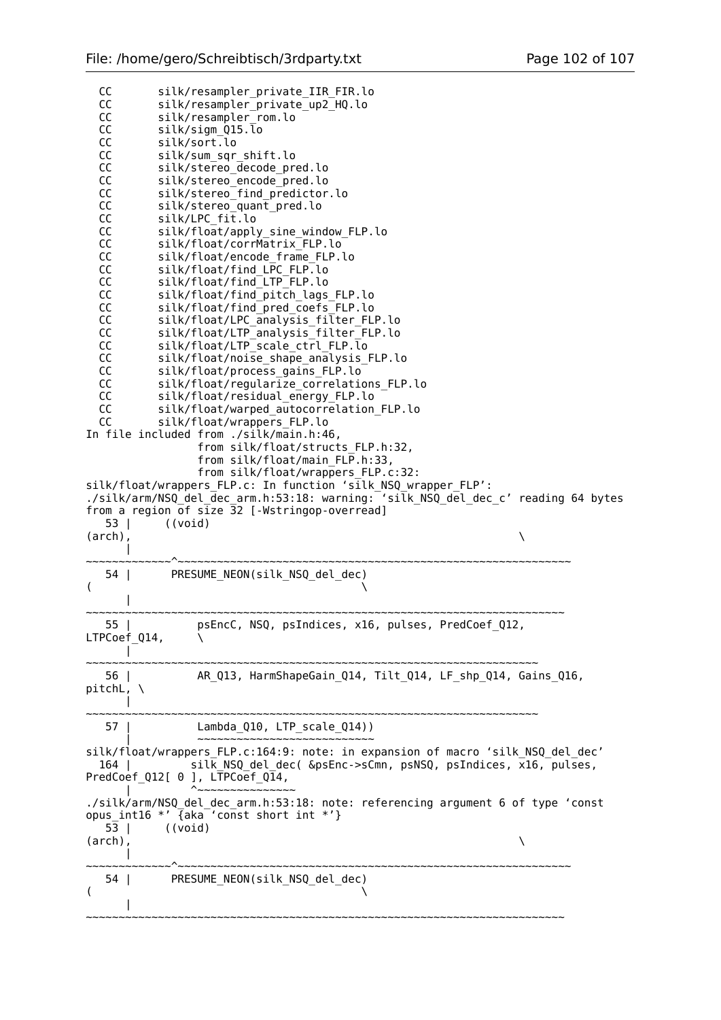| cc<br>cc<br>cc<br>cc<br>cc<br>cc<br>cc<br><b>CC</b><br>cc<br><b>CC</b><br><b>CC</b><br><b>CC</b><br><b>CC</b><br>cc<br><b>CC</b><br><b>CC</b><br>cc<br><b>CC</b><br><b>CC</b><br><b>CC</b><br><b>CC</b><br>cc<br><b>CC</b><br><b>CC</b><br><b>CC</b><br><b>CC</b><br>cc<br>$53 \mid$<br>$(\text{arch})$ , | silk/resampler_private_IIR_FIR.lo<br>silk/resampler_private_up2_HQ.lo<br>silk/resampler rom.lo<br>silk/sigm Q15.lo<br>silk/sort.lo<br>silk/sum sqr shift.lo<br>silk/stereo decode pred.lo<br>silk/stereo encode pred.lo<br>silk/stereo_find_predictor.lo<br>silk/stereo_quant_pred.lo<br>silk/LPC fit.lo<br>silk/float/apply sine window FLP.lo<br>silk/float/corrMatrix FLP.lo<br>silk/float/encode frame FLP.lo<br>silk/float/find LPC FLP.lo<br>silk/float/find LTP FLP.lo<br>silk/float/find_pitch_lags_FLP.lo<br>silk/float/find pred coefs FLP.lo<br>silk/float/LPC analysis filter FLP.lo<br>silk/float/LTP analysis filter FLP.lo<br>silk/float/LTP_scale_ctrl_FLP.lo<br>silk/float/noise shape analysis FLP.lo<br>silk/float/process_gains_FLP.lo<br>silk/float/regularize correlations FLP.lo<br>silk/float/residual_energy_FLP.lo<br>silk/float/warped autocorrelation FLP.lo<br>silk/float/wrappers FLP.lo<br>In file included from ./silk/main.h:46,<br>from silk/float/structs FLP.h:32,<br>from silk/float/main FLP.h:33,<br>from silk/float/wrappers FLP.c:32:<br>silk/float/wrappers FLP.c: In function 'silk NSQ wrapper FLP':<br>./silk/arm/NSQ del dec arm.h:53:18: warning: 'silk NSQ del dec c' reading 64 bytes<br>from a region of $size\$ 32 [-Wstringop-overread]<br>((void) | Λ |
|-----------------------------------------------------------------------------------------------------------------------------------------------------------------------------------------------------------------------------------------------------------------------------------------------------------|--------------------------------------------------------------------------------------------------------------------------------------------------------------------------------------------------------------------------------------------------------------------------------------------------------------------------------------------------------------------------------------------------------------------------------------------------------------------------------------------------------------------------------------------------------------------------------------------------------------------------------------------------------------------------------------------------------------------------------------------------------------------------------------------------------------------------------------------------------------------------------------------------------------------------------------------------------------------------------------------------------------------------------------------------------------------------------------------------------------------------------------------------------------------------------------------------------------------------------------------------------------------------------------------------------|---|
| $\overline{(}$                                                                                                                                                                                                                                                                                            | 54   PRESUME_NEON(silk_NSQ_del_dec)                                                                                                                                                                                                                                                                                                                                                                                                                                                                                                                                                                                                                                                                                                                                                                                                                                                                                                                                                                                                                                                                                                                                                                                                                                                                    |   |
| 55  <br>LTPCoef_Q14,                                                                                                                                                                                                                                                                                      | psEncC, NSQ, psIndices, x16, pulses, PredCoef_Q12,                                                                                                                                                                                                                                                                                                                                                                                                                                                                                                                                                                                                                                                                                                                                                                                                                                                                                                                                                                                                                                                                                                                                                                                                                                                     |   |
| 56  <br>pitchL, $\setminus$                                                                                                                                                                                                                                                                               | AR Q13, HarmShapeGain Q14, Tilt Q14, LF shp Q14, Gains Q16,<br>~~~~~~~~~~~~~~~~~~~~~~~                                                                                                                                                                                                                                                                                                                                                                                                                                                                                                                                                                                                                                                                                                                                                                                                                                                                                                                                                                                                                                                                                                                                                                                                                 |   |
| 57 I                                                                                                                                                                                                                                                                                                      | Lambda_Q10, LTP_scale_Q14))                                                                                                                                                                                                                                                                                                                                                                                                                                                                                                                                                                                                                                                                                                                                                                                                                                                                                                                                                                                                                                                                                                                                                                                                                                                                            |   |
| 164 l                                                                                                                                                                                                                                                                                                     | silk/float/wrappers FLP.c:164:9: note: in expansion of macro 'silk NSQ del dec'<br>silk NSQ del dec( &psEnc->sCmn, psNSQ, psIndices, x16, pulses,<br>PredCoef_Q12[ 0 ], LTPCoef_Q14,                                                                                                                                                                                                                                                                                                                                                                                                                                                                                                                                                                                                                                                                                                                                                                                                                                                                                                                                                                                                                                                                                                                   |   |
| 53 I<br>$(\text{arch})$ ,                                                                                                                                                                                                                                                                                 | ./silk/arm/NSQ_del_dec_arm.h:53:18: note: referencing argument 6 of type 'const<br>opus_int16 *' {aka 'const short int *'}<br>((void)                                                                                                                                                                                                                                                                                                                                                                                                                                                                                                                                                                                                                                                                                                                                                                                                                                                                                                                                                                                                                                                                                                                                                                  | N |
| 54 I<br>$\overline{\phantom{a}}$                                                                                                                                                                                                                                                                          | PRESUME_NEON(silk_NSQ_del_dec)                                                                                                                                                                                                                                                                                                                                                                                                                                                                                                                                                                                                                                                                                                                                                                                                                                                                                                                                                                                                                                                                                                                                                                                                                                                                         |   |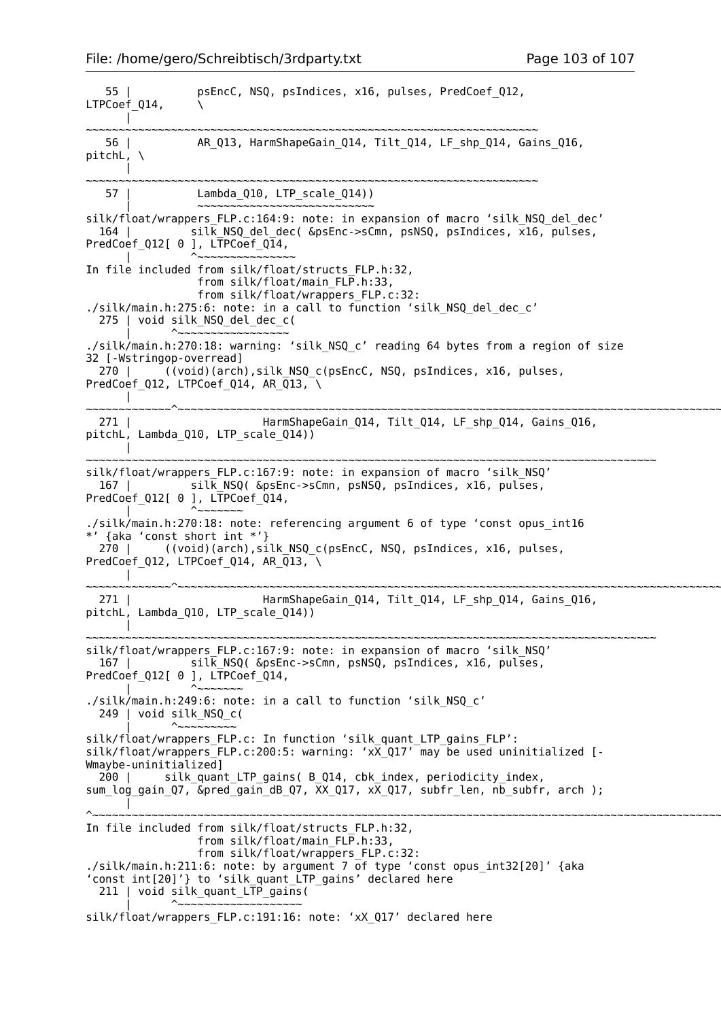55 | psEncC, NSQ, psIndices, x16, pulses, PredCoef\_Q12, LTPCoef 014, | ~~~~~~~~~~~~~~~~~~~~~~~~~~~~~~~~~~~~~~~~~~~~~~~~~~~~~~~~~~~~~~~~~~~~~ 56 | AR\_Q13, HarmShapeGain\_Q14, Tilt\_Q14, LF\_shp\_Q14, Gains\_Q16,  $pitchL$ ,  $\setminus$  $\blacksquare$ ~~~~~~~~~~~~~~~~~~~~~~~~~~~~~~~~~~~~~~~~~~~~~~~~~~~~~~~~~~~~~~~~~~~~~ 57 | Lambda\_Q10, LTP\_scale\_Q14)) | ~~~~~~~~~~~~~~~~~~~~~~~~~~~~ silk/float/wrappers FLP.c:164:9: note: in expansion of macro 'silk NSQ del dec' 164 | silk\_NSQ\_del\_dec( &psEnc->sCmn, psNSQ, psIndices,  $\overline{x}$ 16, pulses, PredCoef\_Q12[ 0 ], LTPCoef\_Q14, | ^~~~~~~~~~~~~~~~ In file included from silk/float/structs\_FLP.h:32, from silk/float/main FLP.h:33, from silk/float/wrappers\_FLP.c:32: ./silk/main.h:275:6: note: in a call to function 'silk NSQ del dec c' 275 | void silk\_NSQ\_del\_dec\_c( | ^~~~~~~~~~~~~~~~~~ ./silk/main.h:270:18: warning: 'silk\_NSQ\_c' reading 64 bytes from a region of size 32 [-Wstringop-overread] 270 | ((void)(arch),silk\_NSQ\_c(psEncC, NSQ, psIndices, x16, pulses, PredCoef Q12, LTPCoef Q14, AR  $\overline{Q}$ 13, \  $\blacksquare$ ~~~~~~~~~~~~~^~~~~~~~~~~~~~~~~~~~~~~~~~~~~~~~~~~~~~~~~~~~~~~~~~~~~~~~~~~~~~~~~~~~~~~~~~~~~~~~~~~~~ 271 | HarmShapeGain\_Q14, Tilt\_Q14, LF\_shp\_Q14, Gains\_Q16, pitchL, Lambda Q10, LTP scale Q14))  $\blacksquare$ ~~~~~~~~~~~~~~~~~~~~~~~~~~~~~~~~~~~~~~~~~~~~~~~~~~~~~~~~~~~~~~~~~~~~~~~~~~~~~~~~~~~~~~~ silk/float/wrappers\_FLP.c:167:9: note: in expansion of macro 'silk\_NSQ'<br>167 | silk NSQ( &psEnc->sCmn, psNSQ, psIndices, x16, pulses, silk NSQ( &psEnc->sCmn, psNSQ, psIndices, x16, pulses, PredCoef\_Q12[ 0 ], LTPCoef\_Q14, | <sup>^</sup>~~~~~~~ ./silk/main.h:270:18: note: referencing argument 6 of type 'const opus\_int16 {aka 'const short int  $*'$ } 270 | ((void)(arch),silk\_NSQ\_c(psEncC, NSQ, psIndices, x16, pulses, PredCoef\_Q12, LTPCoef\_Q14, AR\_ $\overline{Q}$ 13, \  $\blacksquare$ ~~~~~~~~~~~~~^~~~~~~~~~~~~~~~~~~~~~~~~~~~~~~~~~~~~~~~~~~~~~~~~~~~~~~~~~~~~~~~~~~~~~~~~~~~~~~~~~~~~ 271 | HarmShapeGain\_Q14, Tilt\_Q14, LF\_shp\_Q14, Gains\_Q16, pitchL, Lambda\_Q10, LTP\_scale\_Q14))  $\blacksquare$ ~~~~~~~~~~~~~~~~~~~~~~~~~~~~~~~~~~~~~~~~~~~~~~~~~~~~~~~~~~~~~~~~~~~~~~~~~~~~~~~~~~~~~~~ silk/float/wrappers\_FLP.c:167:9: note: in expansion of macro 'silk\_NSQ' 167 | silk NSQ( &psEnc->sCmn, psNSQ, psIndices, x16, pulses, PredCoef Q12[ 0 ], LTPCoef Q14, | <sup>^</sup>~~~~~~~ ./silk/main.h:249:6: note: in a call to function 'silk\_NSQ\_c' 249 | void silk NSQ c( | ^~~~~~~~~~ silk/float/wrappers FLP.c: In function 'silk quant LTP gains FLP': silk/float/wrappers  $FLP.c:200:5:$  warning: 'x $\overline{X}$  Q17' may be used uninitialized [-Wmaybe-uninitialized] 200 | silk quant LTP gains( B Q14, cbk index, periodicity index, sum\_log\_gain\_Q7,  $\&$ pred\_gain\_dB\_Q7,  $\overline{XX}$ \_Q17,  $x\overline{X}$ \_Q17, subfr\_len, nb\_subfr, arch );  $\blacksquare$ ^~~~~~~~~~~~~~~~~~~~~~~~~~~~~~~~~~~~~~~~~~~~~~~~~~~~~~~~~~~~~~~~~~~~~~~~~~~~~~~~~~~~~~~~~~~~~~~~~~~~~~~~~~~~~~~~~~ In file included from silk/float/structs\_FLP.h:32, from silk/float/main FLP.h:33, from silk/float/wrappers\_FLP.c:32: ./silk/main.h:211:6: note: by argument 7 of type 'const opus\_int32[20]' {aka 'const int[20]'} to 'silk\_quant\_LTP\_gains' declared here 211 | void silk\_quant\_LTP\_gains( | ^~~~~~~~~~~~~~~~~~~~ silk/float/wrappers FLP.c:191:16: note: 'xX Q17' declared here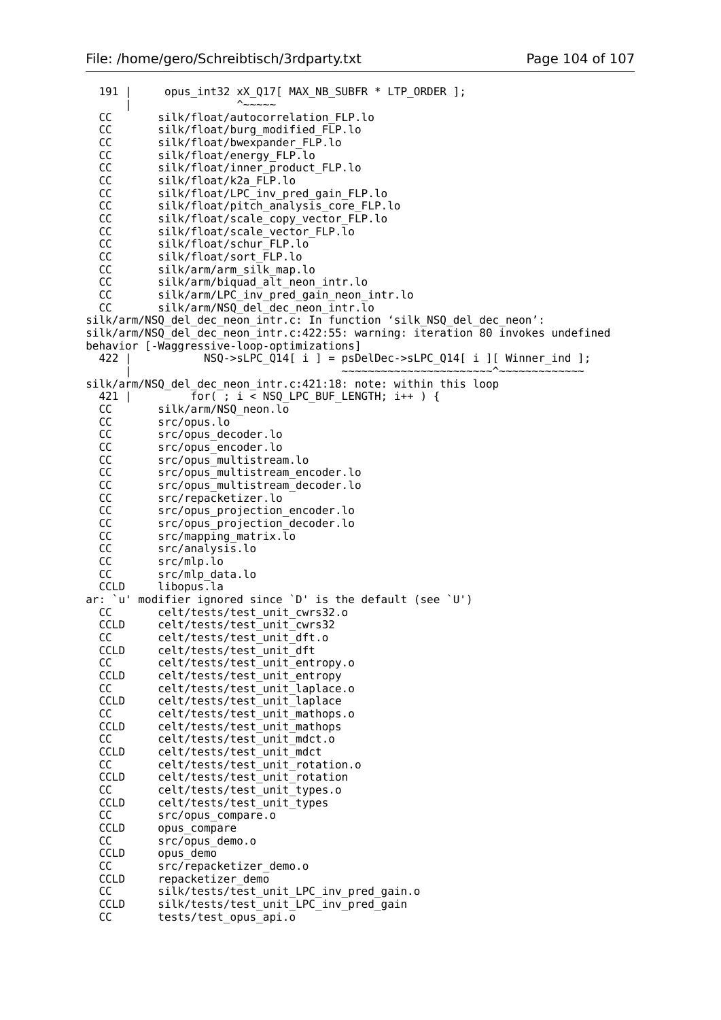```
191 | opus int32 xX Q17[ MAX NB SUBFR * LTP ORDER ];
 | ^~~~~~
  CC silk/float/autocorrelation_FLP.lo<br>CC silk/float/burg_modified_FLP.lo
           silk/float/burg_modified_FLP.lo
  CC silk/float/bwexpander FLP.lo
   CC silk/float/energy_FLP.lo
   CC silk/float/inner_product_FLP.lo
  CC silk/float/k2a FLP.lo
  CC silk/float/LPC<sup>-</sup>inv pred gain FLP.lo
  CC silk/float/pitch_analysis_core_FLP.lo<br>CC silk/float/scale_copy_vector_FLP.lo
           silk/float/scale_copy_vector_FLP.lo
 CC silk/float/scale_vector_FLP.lo
 CC silk/float/schur_FLP.lo
   CC silk/float/sort_FLP.lo
   CC silk/arm/arm_silk_map.lo
  CC silk/arm/biquad alt neon intr.lo
   CC silk/arm/LPC_inv_pred_gain_neon_intr.lo
  CC silk/arm/NSQ_del_dec_neon_intr.lo
silk/arm/NSQ_del_dec_neon_intr.c: In function 'silk_NSQ_del_dec_neon':
silk/arm/NSQ_del_dec_neon_intr.c:422:55: warning: iteration 80 invokes undefined
behavior [-Waggressive-loop-optimizations]
  422 | NSQ->sLPC_Q14[ i ] = psDelDec->sLPC_Q14[ i ][ Winner ind ];
 | ~~~~~~~~~~~~~~~~~~~~~~~^~~~~~~~~~~~~~
silk/arm/NSQ del dec neon intr.c:421:18: note: within this loop
  421 | for( ; i < NSQ_LPC_BUF_LENGTH; i++ ) {<br>CC silk/arm/NSQ neon.lo
  CC silk/arm/NSQ_neon.lo<br>CC src/opus.lo
           src/opus.lo
 CC src/opus_decoder.lo
 CC src/opus_encoder.lo
   CC src/opus_multistream.lo
  CC src/opus multistream encoder.lo
  CC src/opus multistream decoder.lo
  CC src/repacketizer.lo<br>CC src/opus projection
           src/opus_projection_encoder.lo
   CC src/opus_projection_decoder.lo
   CC src/mapping_matrix.lo
   CC src/analysis.lo
   CC src/mlp.lo
   CC src/mlp_data.lo
  CCLD libopus.la
ar: `u' modifier ignored since `D' is the default (see `U')<br>CC celt/tests/test unit cwrs32.o
            CC celt/tests/test_unit_cwrs32.o
 CCLD celt/tests/test_unit_cwrs32
 CC celt/tests/test_unit_dft.o
  CCLD celt/tests/test_unit_dft
   CC celt/tests/test_unit_entropy.o
 CCLD celt/tests/test_unit_entropy<br>CC celt/tests/test_unit_laplace
  CC celt/tests/test_unit_laplace.o<br>CCLD celt/tests/test_unit_laplace
           celt/tests/test_unit_laplace
 CC celt/tests/test_unit_mathops.o
 CCLD celt/tests/test_unit_mathops
  CC celt/tests/test_unit_mdct.o<br>CCLD celt/tests/test_unit_mdct
           celt/tests/test_unit_mdct
  CC celt/tests/test_unit_rotation.o
  CCLD celt/tests/test_unit_rotation
  CC celt/tests/test_unit_types.o<br>CCLD celt/tests/test_unit_types
           celt/tests/test_unit_types
  CC src/opus_compare.o<br>CCLD opus compare
           opus compare
  CC src/opus_demo.o<br>CCLD opus demo
           opus demo
  CC src/repacketizer demo.o
  CCLD repacketizer demo
   CC silk/tests/test_unit_LPC_inv_pred_gain.o
   CCLD silk/tests/test_unit_LPC_inv_pred_gain
  CC tests/test opus api.o
```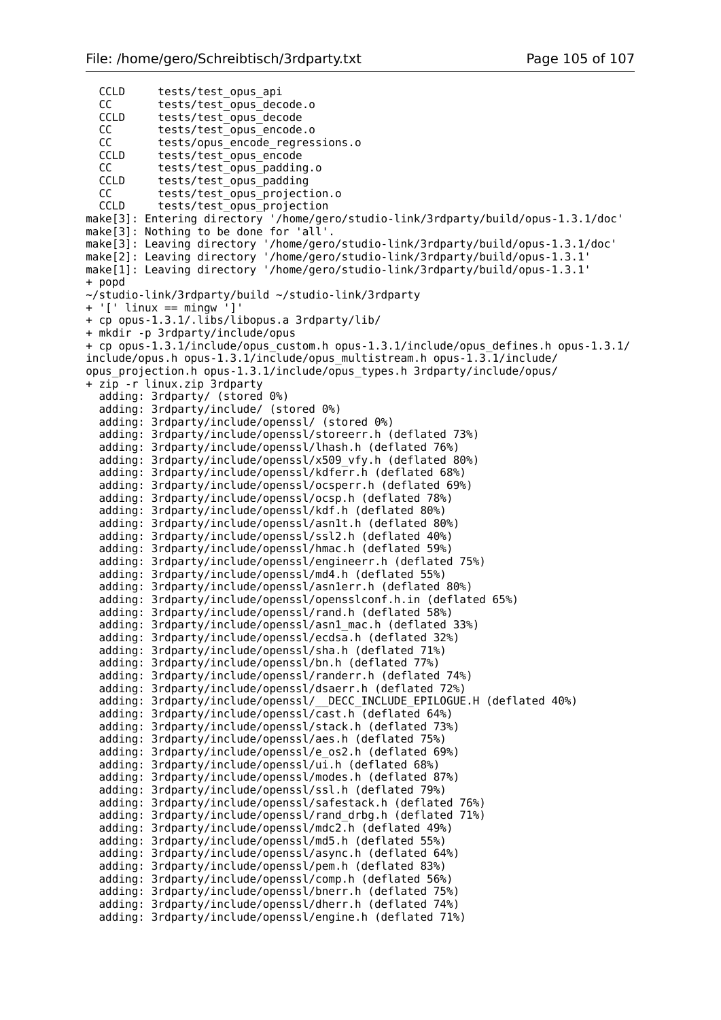CCLD tests/test\_opus\_api CC tests/test\_opus\_decode.o<br>CCLD tests/test\_opus\_decode tests/test\_opus\_decode CC tests/test\_opus\_encode.o CC tests/opus\_encode\_regressions.o CCLD tests/test\_opus\_encode CC tests/test\_opus\_padding.o<br>CCLD tests/test\_opus\_padding tests/test\_opus\_padding CC tests/test\_opus\_projection.o<br>CCLD tests/test\_opus\_projection tests/test opus projection make[3]: Entering directory '/home/gero/studio-link/3rdparty/build/opus-1.3.1/doc' make[3]: Nothing to be done for 'all'. make[3]: Leaving directory '/home/gero/studio-link/3rdparty/build/opus-1.3.1/doc' make[2]: Leaving directory '/home/gero/studio-link/3rdparty/build/opus-1.3.1' make[1]: Leaving directory '/home/gero/studio-link/3rdparty/build/opus-1.3.1' + popd ~/studio-link/3rdparty/build ~/studio-link/3rdparty + '[' linux == mingw ']' + cp opus-1.3.1/.libs/libopus.a 3rdparty/lib/ + mkdir -p 3rdparty/include/opus + cp opus-1.3.1/include/opus\_custom.h opus-1.3.1/include/opus\_defines.h opus-1.3.1/ include/opus.h opus-1.3.1/include/opus\_multistream.h opus-1.3.1/include/ opus\_projection.h opus-1.3.1/include/opus\_types.h 3rdparty/include/opus/ + zip -r linux.zip 3rdparty adding: 3rdparty/ (stored 0%) adding: 3rdparty/include/ (stored 0%) adding: 3rdparty/include/openssl/ (stored 0%) adding: 3rdparty/include/openssl/storeerr.h (deflated 73%) adding: 3rdparty/include/openssl/lhash.h (deflated 76%) adding: 3rdparty/include/openssl/x509\_vfy.h (deflated 80%) adding: 3rdparty/include/openssl/kdferr.h (deflated 68%) adding: 3rdparty/include/openssl/ocsperr.h (deflated 69%) adding: 3rdparty/include/openssl/ocsp.h (deflated 78%) adding: 3rdparty/include/openssl/kdf.h (deflated 80%) adding: 3rdparty/include/openssl/asn1t.h (deflated 80%) adding: 3rdparty/include/openssl/ssl2.h (deflated 40%) adding: 3rdparty/include/openssl/hmac.h (deflated 59%) adding: 3rdparty/include/openssl/engineerr.h (deflated 75%) adding: 3rdparty/include/openssl/md4.h (deflated 55%) adding: 3rdparty/include/openssl/asn1err.h (deflated 80%) adding: 3rdparty/include/openssl/opensslconf.h.in (deflated 65%) adding: 3rdparty/include/openssl/rand.h (deflated 58%) adding: 3rdparty/include/openssl/asn1\_mac.h (deflated 33%) adding: 3rdparty/include/openssl/ecdsa.h (deflated 32%) adding: 3rdparty/include/openssl/sha.h (deflated 71%) adding: 3rdparty/include/openssl/bn.h (deflated 77%) adding: 3rdparty/include/openssl/randerr.h (deflated 74%) adding: 3rdparty/include/openssl/dsaerr.h (deflated 72%) adding: 3rdparty/include/openssl/\_\_DECC\_INCLUDE\_EPILOGUE.H (deflated 40%) adding: 3rdparty/include/openssl/cast.h (deflated 64%) adding: 3rdparty/include/openssl/stack.h (deflated 73%) adding: 3rdparty/include/openssl/aes.h (deflated 75%) adding: 3rdparty/include/openssl/e\_os2.h (deflated 69%) adding:  $3$ rdparty/include/openssl/ui.h (deflated 68%) adding: 3rdparty/include/openssl/modes.h (deflated 87%) adding: 3rdparty/include/openssl/ssl.h (deflated 79%) adding: 3rdparty/include/openssl/safestack.h (deflated 76%) adding: 3rdparty/include/openssl/rand\_drbg.h (deflated 71%) adding: 3rdparty/include/openssl/mdc2.h (deflated 49%) adding: 3rdparty/include/openssl/md5.h (deflated 55%) adding: 3rdparty/include/openssl/async.h (deflated 64%) adding: 3rdparty/include/openssl/pem.h (deflated 83%) adding: 3rdparty/include/openssl/comp.h (deflated 56%) adding: 3rdparty/include/openssl/bnerr.h (deflated 75%) adding: 3rdparty/include/openssl/dherr.h (deflated 74%) adding: 3rdparty/include/openssl/engine.h (deflated 71%)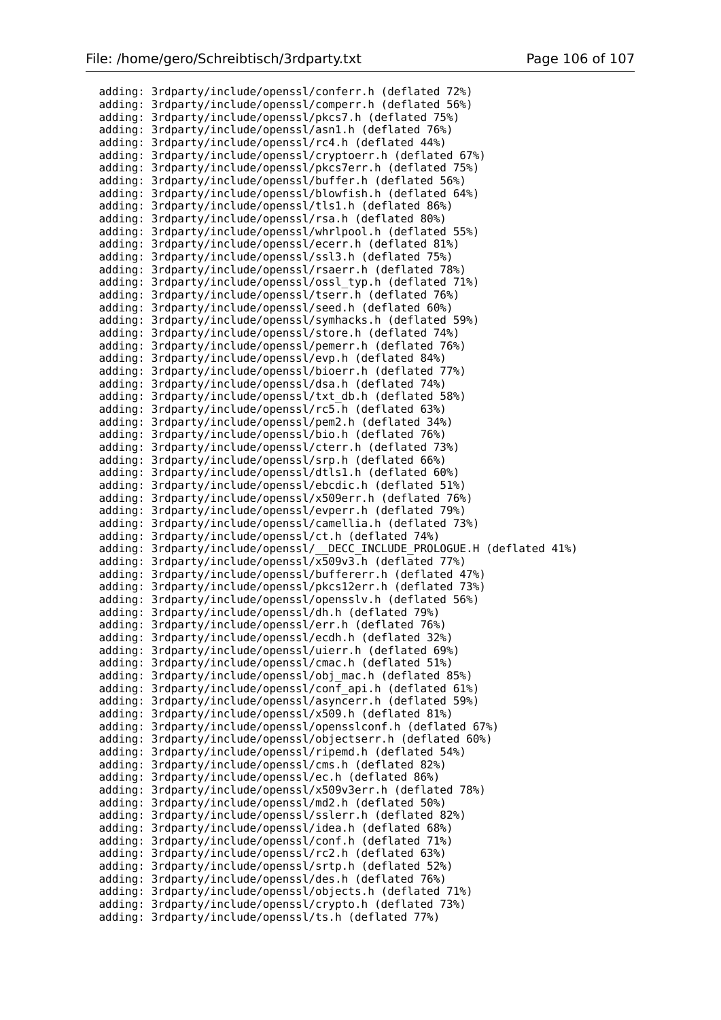adding: 3rdparty/include/openssl/conferr.h (deflated 72%) adding: 3rdparty/include/openssl/comperr.h (deflated 56%) adding: 3rdparty/include/openssl/pkcs7.h (deflated 75%) adding: 3rdparty/include/openssl/asn1.h (deflated 76%) adding: 3rdparty/include/openssl/rc4.h (deflated 44%) adding: 3rdparty/include/openssl/cryptoerr.h (deflated 67%) adding: 3rdparty/include/openssl/pkcs7err.h (deflated 75%) adding: 3rdparty/include/openssl/buffer.h (deflated 56%) adding: 3rdparty/include/openssl/blowfish.h (deflated 64%) adding: 3rdparty/include/openssl/tls1.h (deflated 86%) adding: 3rdparty/include/openssl/rsa.h (deflated 80%) adding: 3rdparty/include/openssl/whrlpool.h (deflated 55%) adding: 3rdparty/include/openssl/ecerr.h (deflated 81%) adding: 3rdparty/include/openssl/ssl3.h (deflated 75%) adding: 3rdparty/include/openssl/rsaerr.h (deflated 78%) adding: 3rdparty/include/openssl/ossl\_typ.h (deflated 71%) adding: 3rdparty/include/openssl/tserr.h (deflated 76%) adding: 3rdparty/include/openssl/seed.h (deflated 60%) adding: 3rdparty/include/openssl/symhacks.h (deflated 59%) adding: 3rdparty/include/openssl/store.h (deflated 74%) adding: 3rdparty/include/openssl/pemerr.h (deflated 76%) adding: 3rdparty/include/openssl/evp.h (deflated 84%) adding: 3rdparty/include/openssl/bioerr.h (deflated 77%) adding: 3rdparty/include/openssl/dsa.h (deflated 74%) adding: 3rdparty/include/openssl/txt\_db.h (deflated 58%) adding: 3rdparty/include/openssl/rc5.h (deflated 63%) adding: 3rdparty/include/openssl/pem2.h (deflated 34%) adding: 3rdparty/include/openssl/bio.h (deflated 76%) adding: 3rdparty/include/openssl/cterr.h (deflated 73%) adding: 3rdparty/include/openssl/srp.h (deflated 66%) adding: 3rdparty/include/openssl/dtls1.h (deflated 60%) adding: 3rdparty/include/openssl/ebcdic.h (deflated 51%) adding: 3rdparty/include/openssl/x509err.h (deflated 76%) adding: 3rdparty/include/openssl/evperr.h (deflated 79%) adding: 3rdparty/include/openssl/camellia.h (deflated 73%) adding: 3rdparty/include/openssl/ct.h (deflated 74%) adding: 3rdparty/include/openssl/\_\_DECC\_INCLUDE\_PROLOGUE.H (deflated 41%) adding: 3rdparty/include/openssl/x509v3.h (deflated 77%) adding: 3rdparty/include/openssl/buffererr.h (deflated 47%) adding: 3rdparty/include/openssl/pkcs12err.h (deflated 73%) adding: 3rdparty/include/openssl/opensslv.h (deflated 56%) adding: 3rdparty/include/openssl/dh.h (deflated 79%) adding: 3rdparty/include/openssl/err.h (deflated 76%) adding: 3rdparty/include/openssl/ecdh.h (deflated 32%) adding: 3rdparty/include/openssl/uierr.h (deflated 69%) adding: 3rdparty/include/openssl/cmac.h (deflated 51%) adding: 3rdparty/include/openssl/obj\_mac.h (deflated 85%) adding: 3rdparty/include/openssl/conf\_api.h (deflated 61%) adding: 3rdparty/include/openssl/asyncerr.h (deflated 59%) adding: 3rdparty/include/openssl/x509.h (deflated 81%) adding: 3rdparty/include/openssl/opensslconf.h (deflated 67%) adding: 3rdparty/include/openssl/objectserr.h (deflated 60%) adding: 3rdparty/include/openssl/ripemd.h (deflated 54%) adding: 3rdparty/include/openssl/cms.h (deflated 82%) adding: 3rdparty/include/openssl/ec.h (deflated 86%) adding: 3rdparty/include/openssl/x509v3err.h (deflated 78%) adding: 3rdparty/include/openssl/md2.h (deflated 50%) adding: 3rdparty/include/openssl/sslerr.h (deflated 82%) adding: 3rdparty/include/openssl/idea.h (deflated 68%) adding: 3rdparty/include/openssl/conf.h (deflated 71%) adding: 3rdparty/include/openssl/rc2.h (deflated 63%) adding: 3rdparty/include/openssl/srtp.h (deflated 52%) adding: 3rdparty/include/openssl/des.h (deflated 76%) adding: 3rdparty/include/openssl/objects.h (deflated 71%) adding: 3rdparty/include/openssl/crypto.h (deflated 73%) adding: 3rdparty/include/openssl/ts.h (deflated 77%)